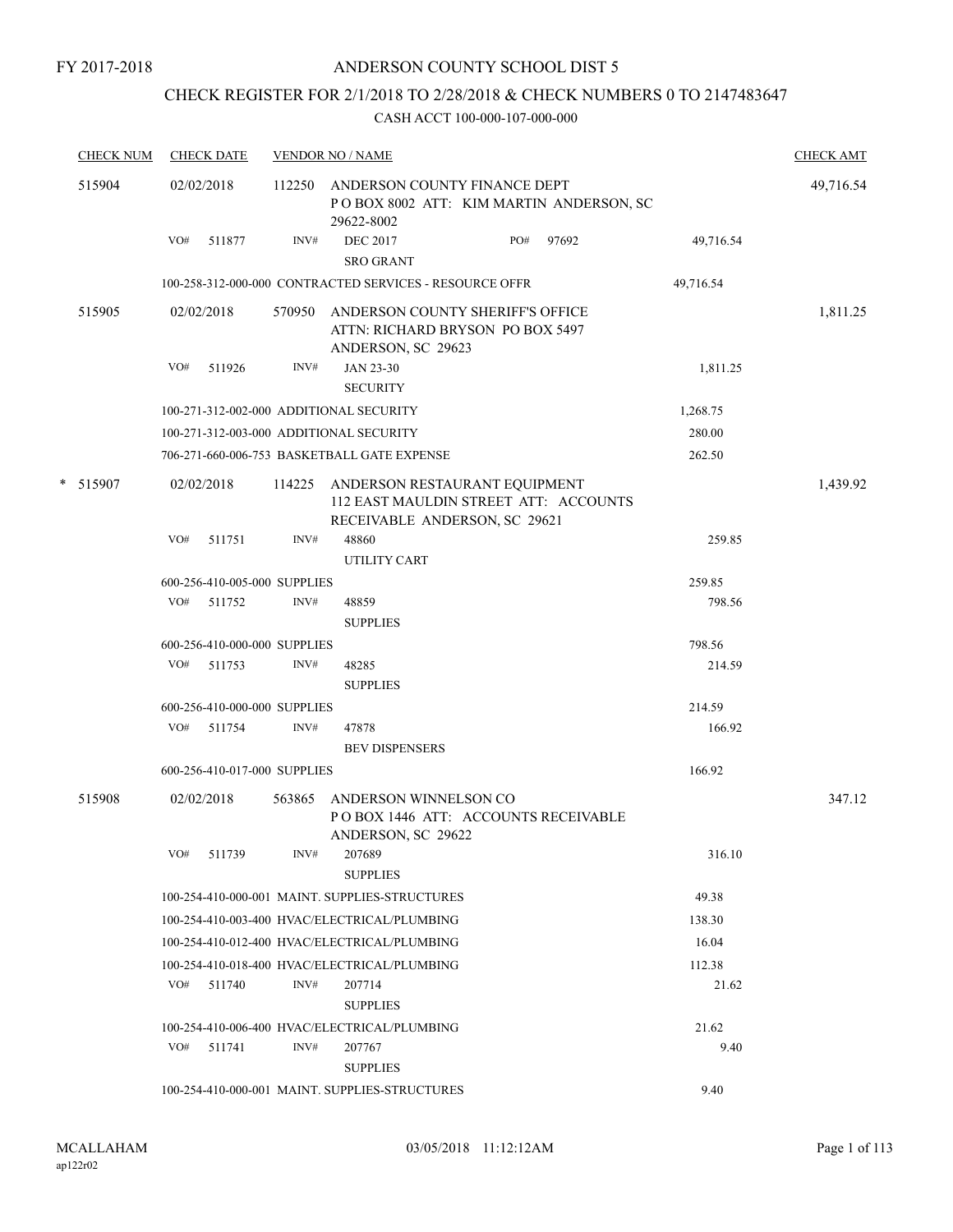# CHECK REGISTER FOR 2/1/2018 TO 2/28/2018 & CHECK NUMBERS 0 TO 2147483647

|  | <b>CHECK NUM</b> | <b>CHECK DATE</b><br><b>VENDOR NO / NAME</b> |                              |        |                                                                                                                |     |       |           | <b>CHECK AMT</b> |
|--|------------------|----------------------------------------------|------------------------------|--------|----------------------------------------------------------------------------------------------------------------|-----|-------|-----------|------------------|
|  | 515904           |                                              | 02/02/2018                   |        | 112250 ANDERSON COUNTY FINANCE DEPT<br>POBOX 8002 ATT: KIM MARTIN ANDERSON, SC<br>29622-8002                   |     |       |           | 49,716.54        |
|  |                  | VO#                                          | 511877                       | INV#   | <b>DEC 2017</b><br><b>SRO GRANT</b>                                                                            | PO# | 97692 | 49,716.54 |                  |
|  |                  |                                              |                              |        | 100-258-312-000-000 CONTRACTED SERVICES - RESOURCE OFFR                                                        |     |       | 49,716.54 |                  |
|  | 515905           |                                              | 02/02/2018                   |        | 570950 ANDERSON COUNTY SHERIFF'S OFFICE                                                                        |     |       |           | 1,811.25         |
|  |                  |                                              |                              |        | ATTN: RICHARD BRYSON PO BOX 5497<br>ANDERSON, SC 29623                                                         |     |       |           |                  |
|  |                  | VO#                                          | 511926                       | INV#   | <b>JAN 23-30</b>                                                                                               |     |       | 1,811.25  |                  |
|  |                  |                                              |                              |        | <b>SECURITY</b>                                                                                                |     |       |           |                  |
|  |                  |                                              |                              |        | 100-271-312-002-000 ADDITIONAL SECURITY                                                                        |     |       | 1,268.75  |                  |
|  |                  |                                              |                              |        | 100-271-312-003-000 ADDITIONAL SECURITY                                                                        |     |       | 280.00    |                  |
|  |                  |                                              |                              |        | 706-271-660-006-753 BASKETBALL GATE EXPENSE                                                                    |     |       | 262.50    |                  |
|  | * 515907         |                                              | 02/02/2018                   |        | 114225 ANDERSON RESTAURANT EQUIPMENT<br>112 EAST MAULDIN STREET ATT: ACCOUNTS<br>RECEIVABLE ANDERSON, SC 29621 |     |       |           | 1,439.92         |
|  |                  | VO#                                          | 511751                       | INV#   | 48860                                                                                                          |     |       | 259.85    |                  |
|  |                  |                                              |                              |        | UTILITY CART                                                                                                   |     |       |           |                  |
|  |                  |                                              | 600-256-410-005-000 SUPPLIES |        |                                                                                                                |     |       | 259.85    |                  |
|  |                  |                                              | VO# 511752                   | INV#   | 48859                                                                                                          |     |       | 798.56    |                  |
|  |                  |                                              |                              |        | <b>SUPPLIES</b>                                                                                                |     |       |           |                  |
|  |                  |                                              | 600-256-410-000-000 SUPPLIES |        |                                                                                                                |     |       | 798.56    |                  |
|  |                  |                                              | VO# 511753                   | INV#   | 48285                                                                                                          |     |       | 214.59    |                  |
|  |                  |                                              |                              |        | <b>SUPPLIES</b>                                                                                                |     |       |           |                  |
|  |                  |                                              | 600-256-410-000-000 SUPPLIES |        |                                                                                                                |     |       | 214.59    |                  |
|  |                  | VO#                                          | 511754                       | INV#   | 47878                                                                                                          |     |       | 166.92    |                  |
|  |                  |                                              |                              |        | <b>BEV DISPENSERS</b>                                                                                          |     |       |           |                  |
|  |                  |                                              | 600-256-410-017-000 SUPPLIES |        |                                                                                                                |     |       | 166.92    |                  |
|  | 515908           |                                              | 02/02/2018                   | 563865 | ANDERSON WINNELSON CO<br>POBOX 1446 ATT: ACCOUNTS RECEIVABLE<br>ANDERSON, SC 29622                             |     |       |           | 347.12           |
|  |                  | VO#                                          | 511739                       | INV#   | 207689<br><b>SUPPLIES</b>                                                                                      |     |       | 316.10    |                  |
|  |                  |                                              |                              |        | 100-254-410-000-001 MAINT. SUPPLIES-STRUCTURES                                                                 |     |       | 49.38     |                  |
|  |                  |                                              |                              |        | 100-254-410-003-400 HVAC/ELECTRICAL/PLUMBING                                                                   |     |       | 138.30    |                  |
|  |                  |                                              |                              |        | 100-254-410-012-400 HVAC/ELECTRICAL/PLUMBING                                                                   |     |       | 16.04     |                  |
|  |                  |                                              |                              |        | 100-254-410-018-400 HVAC/ELECTRICAL/PLUMBING                                                                   |     |       | 112.38    |                  |
|  |                  |                                              | VO# 511740                   | INV#   | 207714                                                                                                         |     |       | 21.62     |                  |
|  |                  |                                              |                              |        | <b>SUPPLIES</b>                                                                                                |     |       |           |                  |
|  |                  |                                              |                              |        | 100-254-410-006-400 HVAC/ELECTRICAL/PLUMBING                                                                   |     |       | 21.62     |                  |
|  |                  |                                              | $VO#$ 511741                 | INV#   | 207767<br><b>SUPPLIES</b>                                                                                      |     |       | 9.40      |                  |
|  |                  |                                              |                              |        | 100-254-410-000-001 MAINT. SUPPLIES-STRUCTURES                                                                 |     |       | 9.40      |                  |
|  |                  |                                              |                              |        |                                                                                                                |     |       |           |                  |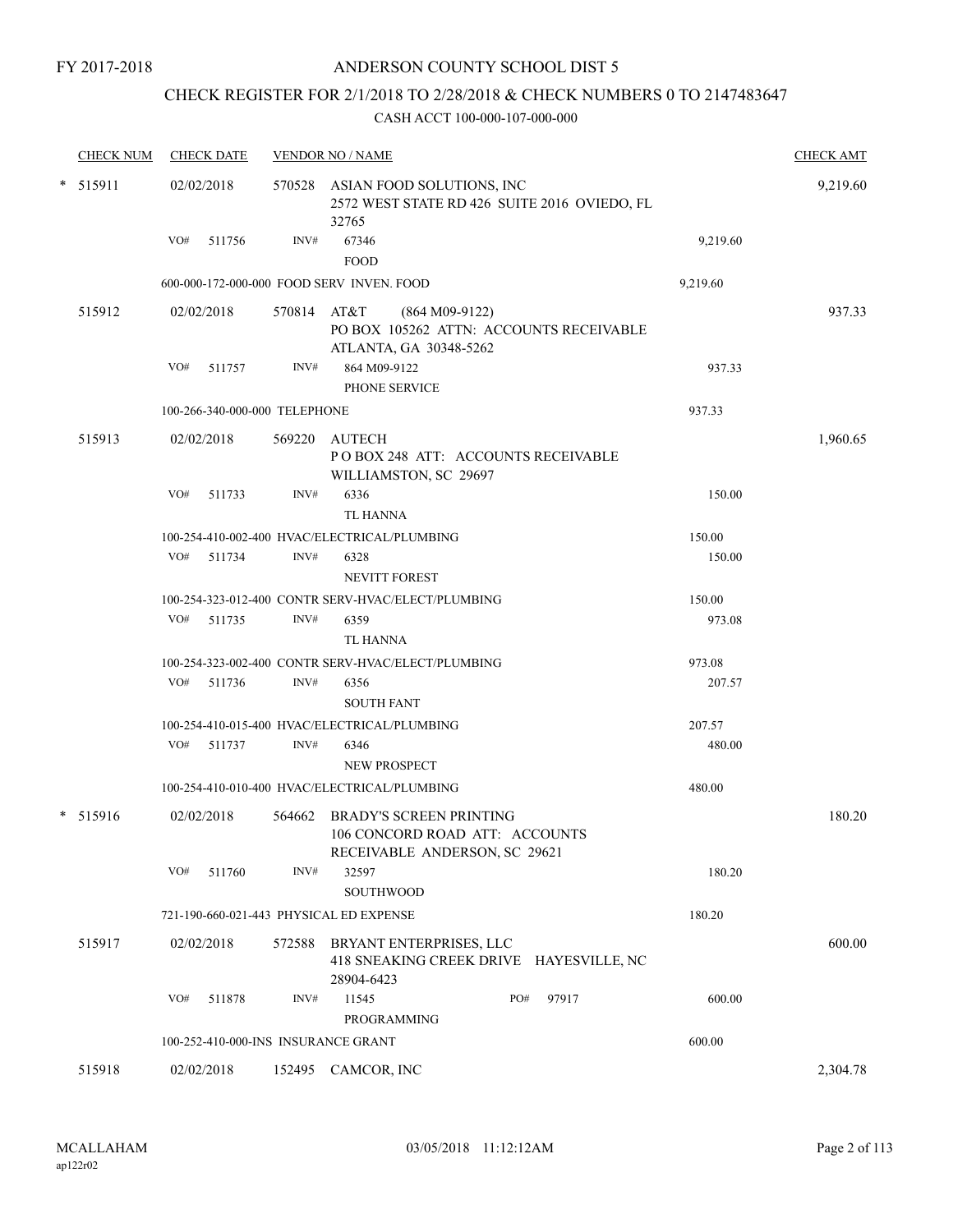# CHECK REGISTER FOR 2/1/2018 TO 2/28/2018 & CHECK NUMBERS 0 TO 2147483647

|            | <b>CHECK NUM</b> | <b>CHECK DATE</b>                       |             | <b>VENDOR NO / NAME</b>                                                                    |          | <b>CHECK AMT</b> |
|------------|------------------|-----------------------------------------|-------------|--------------------------------------------------------------------------------------------|----------|------------------|
| $*$ 515911 |                  | 02/02/2018                              |             | 570528 ASIAN FOOD SOLUTIONS, INC<br>2572 WEST STATE RD 426 SUITE 2016 OVIEDO, FL<br>32765  |          | 9,219.60         |
|            |                  | $VO#$ 511756                            | INV#        | 67346<br><b>FOOD</b>                                                                       | 9,219.60 |                  |
|            |                  |                                         |             | 600-000-172-000-000 FOOD SERV INVEN, FOOD                                                  | 9,219.60 |                  |
|            | 515912           | 02/02/2018                              | 570814 AT&T | $(864 M09-9122)$<br>PO BOX 105262 ATTN: ACCOUNTS RECEIVABLE<br>ATLANTA, GA 30348-5262      |          | 937.33           |
|            |                  | VO# 511757                              | INV#        | 864 M09-9122<br>PHONE SERVICE                                                              | 937.33   |                  |
|            |                  | 100-266-340-000-000 TELEPHONE           |             |                                                                                            | 937.33   |                  |
|            | 515913           | 02/02/2018                              |             | 569220 AUTECH<br>POBOX 248 ATT: ACCOUNTS RECEIVABLE<br>WILLIAMSTON, SC 29697               |          | 1,960.65         |
|            |                  | VO#<br>511733                           | INV#        | 6336<br><b>TL HANNA</b>                                                                    | 150.00   |                  |
|            |                  |                                         |             | 100-254-410-002-400 HVAC/ELECTRICAL/PLUMBING                                               | 150.00   |                  |
|            |                  | VO# 511734                              | INV#        | 6328<br>NEVITT FOREST                                                                      | 150.00   |                  |
|            |                  |                                         |             | 100-254-323-012-400 CONTR SERV-HVAC/ELECT/PLUMBING                                         | 150.00   |                  |
|            |                  | VO# 511735                              | INV#        | 6359<br><b>TL HANNA</b>                                                                    | 973.08   |                  |
|            |                  |                                         |             | 100-254-323-002-400 CONTR SERV-HVAC/ELECT/PLUMBING                                         | 973.08   |                  |
|            |                  | VO# 511736                              | INV#        | 6356<br><b>SOUTH FANT</b>                                                                  | 207.57   |                  |
|            |                  |                                         |             | 100-254-410-015-400 HVAC/ELECTRICAL/PLUMBING                                               | 207.57   |                  |
|            |                  | VO# 511737                              | INV#        | 6346<br>NEW PROSPECT                                                                       | 480.00   |                  |
|            |                  |                                         |             | 100-254-410-010-400 HVAC/ELECTRICAL/PLUMBING                                               | 480.00   |                  |
|            | * 515916         | 02/02/2018                              | 564662      | BRADY'S SCREEN PRINTING<br>106 CONCORD ROAD ATT: ACCOUNTS<br>RECEIVABLE ANDERSON, SC 29621 |          | 180.20           |
|            |                  | VO#<br>511760                           | INV#        | 32597<br><b>SOUTHWOOD</b>                                                                  | 180.20   |                  |
|            |                  | 721-190-660-021-443 PHYSICAL ED EXPENSE |             |                                                                                            | 180.20   |                  |
|            | 515917           | 02/02/2018                              | 572588      | BRYANT ENTERPRISES, LLC<br>418 SNEAKING CREEK DRIVE HAYESVILLE, NC<br>28904-6423           |          | 600.00           |
|            |                  | VO#<br>511878                           | INV#        | PO#<br>97917<br>11545<br>PROGRAMMING                                                       | 600.00   |                  |
|            |                  | 100-252-410-000-INS INSURANCE GRANT     |             |                                                                                            | 600.00   |                  |
|            | 515918           | 02/02/2018                              |             | 152495 CAMCOR, INC                                                                         |          | 2,304.78         |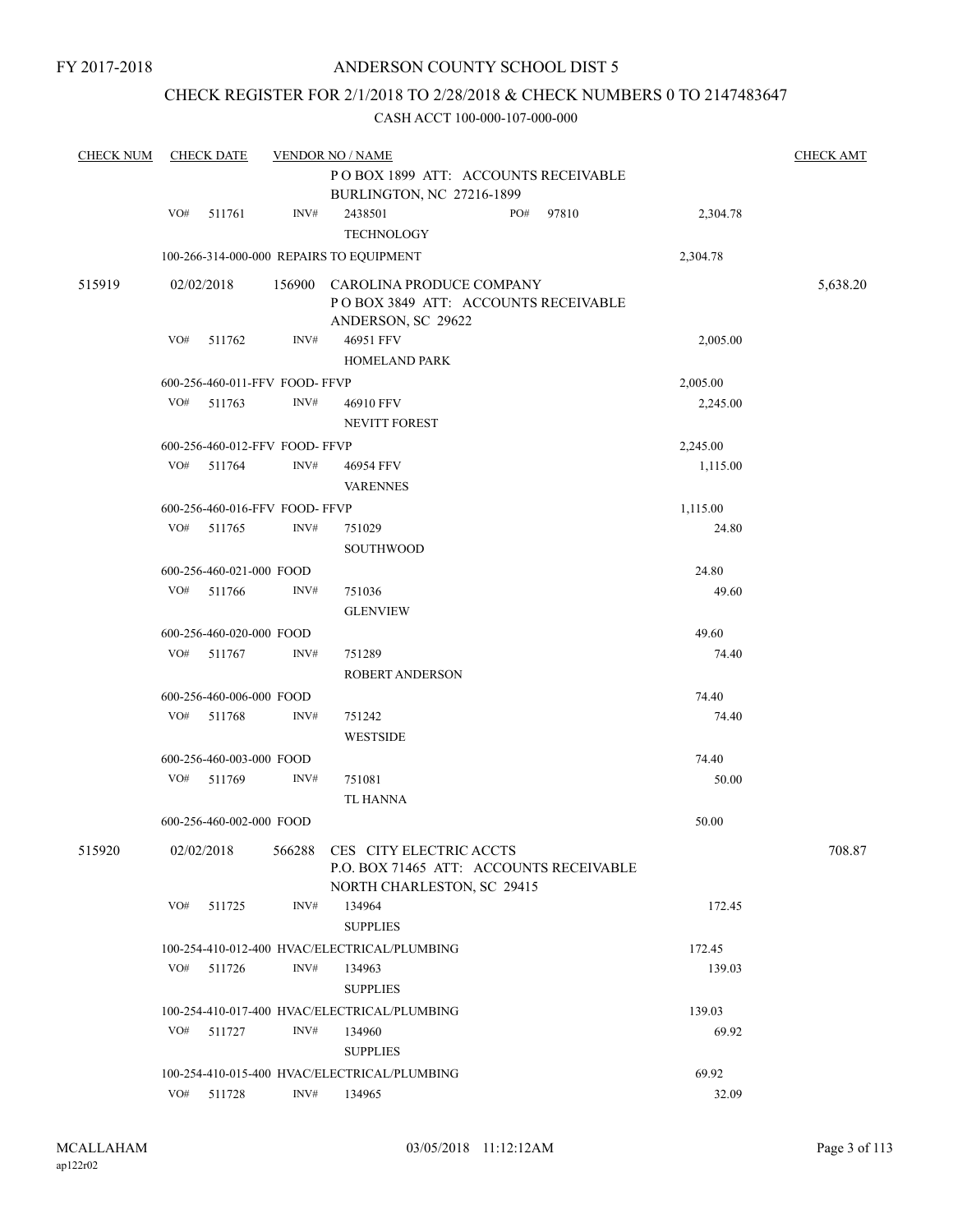# CHECK REGISTER FOR 2/1/2018 TO 2/28/2018 & CHECK NUMBERS 0 TO 2147483647

| <b>CHECK NUM</b> |     | <b>CHECK DATE</b>              |      | <b>VENDOR NO / NAME</b>                                                                                 |     |       |          | <b>CHECK AMT</b> |
|------------------|-----|--------------------------------|------|---------------------------------------------------------------------------------------------------------|-----|-------|----------|------------------|
|                  |     |                                |      | POBOX 1899 ATT: ACCOUNTS RECEIVABLE<br>BURLINGTON, NC 27216-1899                                        |     |       |          |                  |
|                  | VO# | 511761                         | INV# | 2438501                                                                                                 | PO# | 97810 |          |                  |
|                  |     |                                |      | <b>TECHNOLOGY</b>                                                                                       |     |       | 2,304.78 |                  |
|                  |     |                                |      | 100-266-314-000-000 REPAIRS TO EQUIPMENT                                                                |     |       | 2,304.78 |                  |
| 515919           |     | 02/02/2018                     |      | 156900 CAROLINA PRODUCE COMPANY                                                                         |     |       |          | 5,638.20         |
|                  |     |                                |      | POBOX 3849 ATT: ACCOUNTS RECEIVABLE<br>ANDERSON, SC 29622                                               |     |       |          |                  |
|                  | VO# | 511762                         | INV# | 46951 FFV<br><b>HOMELAND PARK</b>                                                                       |     |       | 2,005.00 |                  |
|                  |     | 600-256-460-011-FFV FOOD- FFVP |      |                                                                                                         |     |       | 2,005.00 |                  |
|                  | VO# | 511763                         | INV# | 46910 FFV                                                                                               |     |       | 2,245.00 |                  |
|                  |     |                                |      | NEVITT FOREST                                                                                           |     |       |          |                  |
|                  |     | 600-256-460-012-FFV FOOD-FFVP  |      |                                                                                                         |     |       | 2,245.00 |                  |
|                  | VO# | 511764                         | INV# | 46954 FFV                                                                                               |     |       | 1,115.00 |                  |
|                  |     |                                |      | <b>VARENNES</b>                                                                                         |     |       |          |                  |
|                  |     | 600-256-460-016-FFV FOOD-FFVP  |      |                                                                                                         |     |       | 1,115.00 |                  |
|                  |     | VO# 511765                     | INV# | 751029                                                                                                  |     |       | 24.80    |                  |
|                  |     |                                |      | <b>SOUTHWOOD</b>                                                                                        |     |       |          |                  |
|                  |     | 600-256-460-021-000 FOOD       |      |                                                                                                         |     |       | 24.80    |                  |
|                  | VO# | 511766                         | INV# | 751036                                                                                                  |     |       | 49.60    |                  |
|                  |     |                                |      | <b>GLENVIEW</b>                                                                                         |     |       |          |                  |
|                  |     | 600-256-460-020-000 FOOD       |      |                                                                                                         |     |       | 49.60    |                  |
|                  | VO# | 511767                         | INV# | 751289<br><b>ROBERT ANDERSON</b>                                                                        |     |       | 74.40    |                  |
|                  |     | 600-256-460-006-000 FOOD       |      |                                                                                                         |     |       | 74.40    |                  |
|                  |     | VO# 511768                     | INV# | 751242                                                                                                  |     |       | 74.40    |                  |
|                  |     |                                |      | <b>WESTSIDE</b>                                                                                         |     |       |          |                  |
|                  |     | 600-256-460-003-000 FOOD       |      |                                                                                                         |     |       | 74.40    |                  |
|                  |     | VO# 511769                     | INV# | 751081                                                                                                  |     |       | 50.00    |                  |
|                  |     |                                |      | <b>TL HANNA</b>                                                                                         |     |       |          |                  |
|                  |     | 600-256-460-002-000 FOOD       |      |                                                                                                         |     |       | 50.00    |                  |
| 515920           |     | 02/02/2018                     |      | 566288 CES CITY ELECTRIC ACCTS<br>P.O. BOX 71465 ATT: ACCOUNTS RECEIVABLE<br>NORTH CHARLESTON, SC 29415 |     |       |          | 708.87           |
|                  | VO# | 511725                         | INV# | 134964                                                                                                  |     |       | 172.45   |                  |
|                  |     |                                |      | <b>SUPPLIES</b>                                                                                         |     |       |          |                  |
|                  |     |                                |      | 100-254-410-012-400 HVAC/ELECTRICAL/PLUMBING                                                            |     |       | 172.45   |                  |
|                  |     | VO# 511726                     | INV# | 134963                                                                                                  |     |       | 139.03   |                  |
|                  |     |                                |      | <b>SUPPLIES</b>                                                                                         |     |       |          |                  |
|                  |     |                                |      | 100-254-410-017-400 HVAC/ELECTRICAL/PLUMBING                                                            |     |       | 139.03   |                  |
|                  | VO# | 511727                         | INV# | 134960                                                                                                  |     |       | 69.92    |                  |
|                  |     |                                |      | <b>SUPPLIES</b>                                                                                         |     |       |          |                  |
|                  |     |                                |      | 100-254-410-015-400 HVAC/ELECTRICAL/PLUMBING                                                            |     |       | 69.92    |                  |
|                  | VO# | 511728                         | INV# | 134965                                                                                                  |     |       | 32.09    |                  |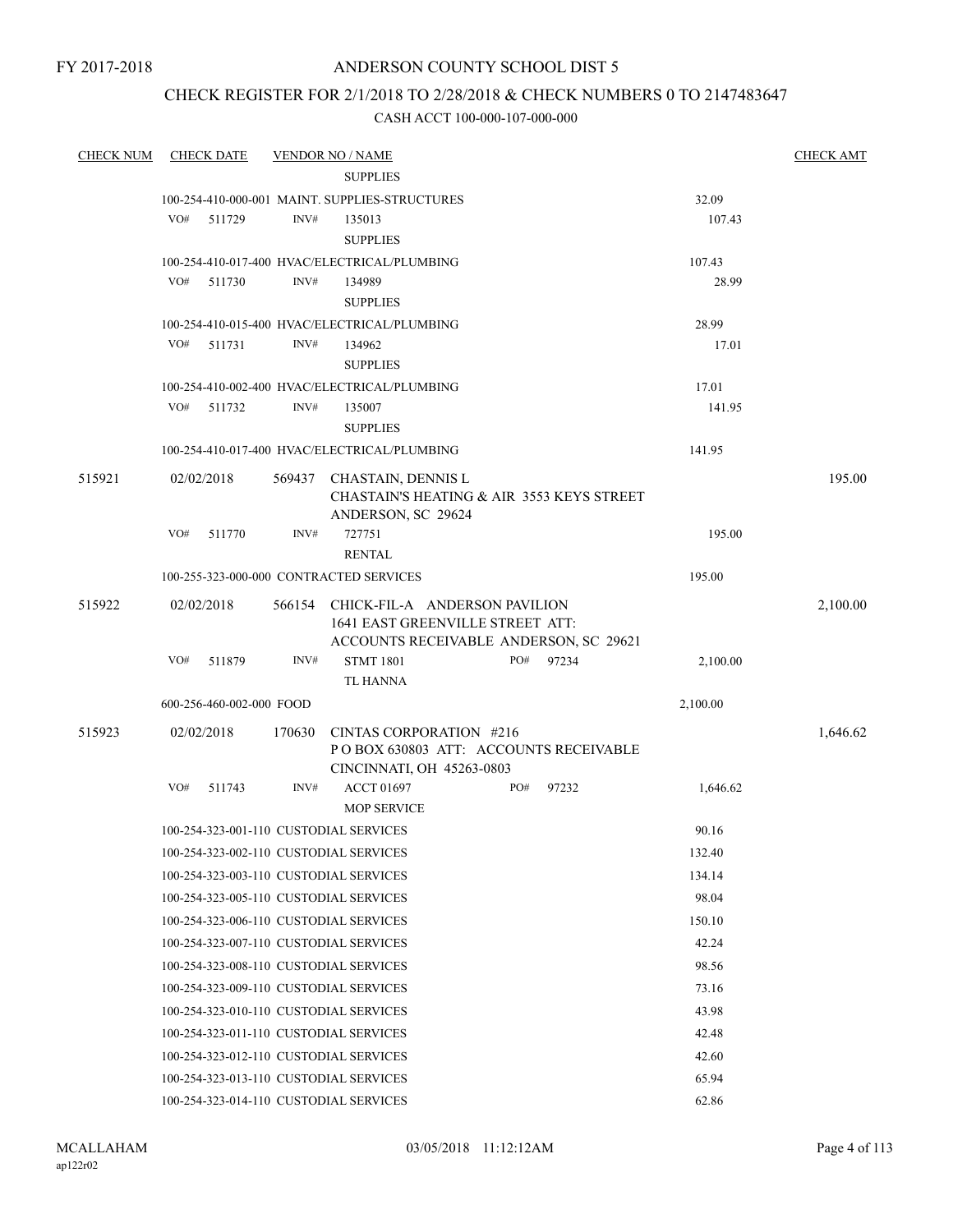# ANDERSON COUNTY SCHOOL DIST 5

# CHECK REGISTER FOR 2/1/2018 TO 2/28/2018 & CHECK NUMBERS 0 TO 2147483647

| <b>CHECK NUM</b> | <b>CHECK DATE</b>                       |        | <b>VENDOR NO / NAME</b>                                                    |       |          | <b>CHECK AMT</b> |
|------------------|-----------------------------------------|--------|----------------------------------------------------------------------------|-------|----------|------------------|
|                  |                                         |        | <b>SUPPLIES</b>                                                            |       |          |                  |
|                  |                                         |        | 100-254-410-000-001 MAINT, SUPPLIES-STRUCTURES                             |       | 32.09    |                  |
|                  | VO#<br>511729                           | INV#   | 135013                                                                     |       | 107.43   |                  |
|                  |                                         |        | <b>SUPPLIES</b>                                                            |       |          |                  |
|                  |                                         |        | 100-254-410-017-400 HVAC/ELECTRICAL/PLUMBING                               |       | 107.43   |                  |
|                  | VO#<br>511730                           | INV#   | 134989                                                                     |       | 28.99    |                  |
|                  |                                         |        | <b>SUPPLIES</b>                                                            |       |          |                  |
|                  |                                         |        | 100-254-410-015-400 HVAC/ELECTRICAL/PLUMBING                               |       | 28.99    |                  |
|                  | VO#<br>511731                           | INV#   | 134962                                                                     |       | 17.01    |                  |
|                  |                                         |        | <b>SUPPLIES</b>                                                            |       |          |                  |
|                  | VO#                                     | INV#   | 100-254-410-002-400 HVAC/ELECTRICAL/PLUMBING                               |       | 17.01    |                  |
|                  | 511732                                  |        | 135007<br><b>SUPPLIES</b>                                                  |       | 141.95   |                  |
|                  |                                         |        | 100-254-410-017-400 HVAC/ELECTRICAL/PLUMBING                               |       | 141.95   |                  |
|                  |                                         |        |                                                                            |       |          |                  |
| 515921           | 02/02/2018                              |        | 569437 CHASTAIN, DENNIS L                                                  |       |          | 195.00           |
|                  |                                         |        | <b>CHASTAIN'S HEATING &amp; AIR 3553 KEYS STREET</b><br>ANDERSON, SC 29624 |       |          |                  |
|                  | VO#<br>511770                           | INV#   | 727751                                                                     |       | 195.00   |                  |
|                  |                                         |        | <b>RENTAL</b>                                                              |       |          |                  |
|                  | 100-255-323-000-000 CONTRACTED SERVICES |        |                                                                            |       | 195.00   |                  |
| 515922           | 02/02/2018                              |        | 566154 CHICK-FIL-A ANDERSON PAVILION                                       |       |          | 2,100.00         |
|                  |                                         |        | 1641 EAST GREENVILLE STREET ATT:                                           |       |          |                  |
|                  |                                         |        | ACCOUNTS RECEIVABLE ANDERSON, SC 29621                                     |       |          |                  |
|                  | VO#<br>511879                           | INV#   | <b>STMT 1801</b><br>PO#                                                    | 97234 | 2,100.00 |                  |
|                  |                                         |        | TL HANNA                                                                   |       |          |                  |
|                  | 600-256-460-002-000 FOOD                |        |                                                                            |       | 2,100.00 |                  |
| 515923           | 02/02/2018                              | 170630 | CINTAS CORPORATION #216                                                    |       |          | 1,646.62         |
|                  |                                         |        | POBOX 630803 ATT: ACCOUNTS RECEIVABLE                                      |       |          |                  |
|                  | VO#<br>511743                           | INV#   | CINCINNATI, OH 45263-0803<br>PO#<br><b>ACCT 01697</b>                      | 97232 | 1,646.62 |                  |
|                  |                                         |        | <b>MOP SERVICE</b>                                                         |       |          |                  |
|                  | 100-254-323-001-110 CUSTODIAL SERVICES  |        |                                                                            |       | 90.16    |                  |
|                  | 100-254-323-002-110 CUSTODIAL SERVICES  |        |                                                                            |       | 132.40   |                  |
|                  | 100-254-323-003-110 CUSTODIAL SERVICES  |        |                                                                            |       | 134.14   |                  |
|                  | 100-254-323-005-110 CUSTODIAL SERVICES  |        |                                                                            |       | 98.04    |                  |
|                  |                                         |        |                                                                            |       |          |                  |
|                  | 100-254-323-006-110 CUSTODIAL SERVICES  |        |                                                                            |       | 150.10   |                  |
|                  | 100-254-323-007-110 CUSTODIAL SERVICES  |        |                                                                            |       | 42.24    |                  |
|                  | 100-254-323-008-110 CUSTODIAL SERVICES  |        |                                                                            |       | 98.56    |                  |
|                  | 100-254-323-009-110 CUSTODIAL SERVICES  |        |                                                                            |       | 73.16    |                  |
|                  | 100-254-323-010-110 CUSTODIAL SERVICES  |        |                                                                            |       | 43.98    |                  |
|                  | 100-254-323-011-110 CUSTODIAL SERVICES  |        |                                                                            |       | 42.48    |                  |
|                  | 100-254-323-012-110 CUSTODIAL SERVICES  |        |                                                                            |       | 42.60    |                  |
|                  | 100-254-323-013-110 CUSTODIAL SERVICES  |        |                                                                            |       | 65.94    |                  |
|                  | 100-254-323-014-110 CUSTODIAL SERVICES  |        |                                                                            |       | 62.86    |                  |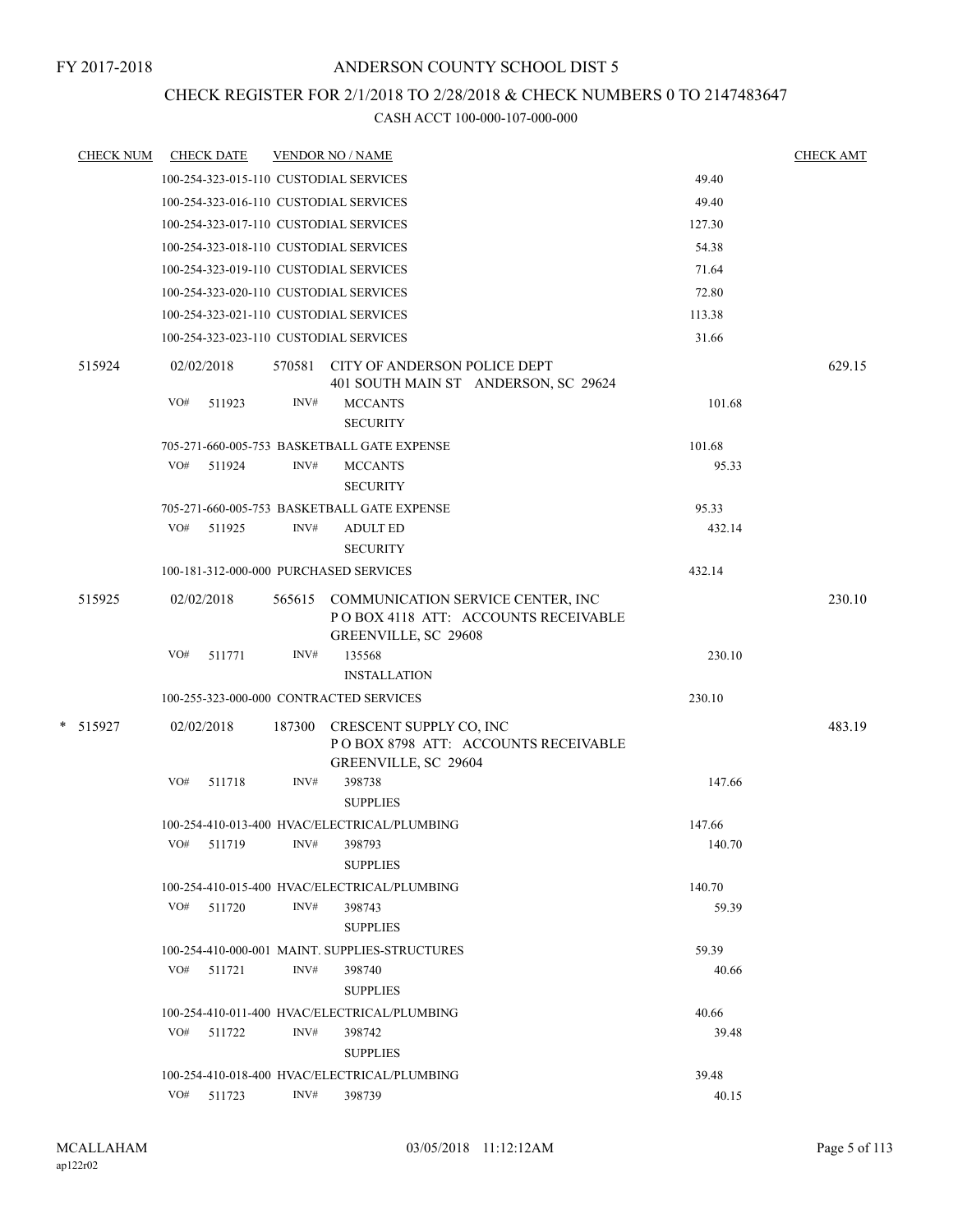# CHECK REGISTER FOR 2/1/2018 TO 2/28/2018 & CHECK NUMBERS 0 TO 2147483647

| <b>CHECK NUM</b> | <b>CHECK DATE</b>                               |        |        | <b>VENDOR NO / NAME</b>                                                                                 |        | <b>CHECK AMT</b> |  |
|------------------|-------------------------------------------------|--------|--------|---------------------------------------------------------------------------------------------------------|--------|------------------|--|
|                  |                                                 |        |        | 100-254-323-015-110 CUSTODIAL SERVICES                                                                  | 49.40  |                  |  |
|                  |                                                 |        |        | 100-254-323-016-110 CUSTODIAL SERVICES                                                                  | 49.40  |                  |  |
|                  |                                                 |        |        | 100-254-323-017-110 CUSTODIAL SERVICES                                                                  | 127.30 |                  |  |
|                  | 54.38<br>100-254-323-018-110 CUSTODIAL SERVICES |        |        |                                                                                                         |        |                  |  |
|                  |                                                 |        |        | 100-254-323-019-110 CUSTODIAL SERVICES                                                                  | 71.64  |                  |  |
|                  |                                                 |        |        | 100-254-323-020-110 CUSTODIAL SERVICES                                                                  | 72.80  |                  |  |
|                  |                                                 |        |        | 100-254-323-021-110 CUSTODIAL SERVICES                                                                  | 113.38 |                  |  |
|                  |                                                 |        |        | 100-254-323-023-110 CUSTODIAL SERVICES                                                                  | 31.66  |                  |  |
| 515924           | 02/02/2018                                      |        |        | 570581 CITY OF ANDERSON POLICE DEPT<br>401 SOUTH MAIN ST ANDERSON, SC 29624                             |        | 629.15           |  |
|                  | VO#                                             | 511923 | INV#   | <b>MCCANTS</b><br><b>SECURITY</b>                                                                       | 101.68 |                  |  |
|                  |                                                 |        |        | 705-271-660-005-753 BASKETBALL GATE EXPENSE                                                             | 101.68 |                  |  |
|                  | VO#                                             | 511924 | INV#   | <b>MCCANTS</b><br><b>SECURITY</b>                                                                       | 95.33  |                  |  |
|                  |                                                 |        |        | 705-271-660-005-753 BASKETBALL GATE EXPENSE                                                             | 95.33  |                  |  |
|                  | VO# 511925                                      |        | INV#   | <b>ADULT ED</b><br><b>SECURITY</b>                                                                      | 432.14 |                  |  |
|                  |                                                 |        |        | 100-181-312-000-000 PURCHASED SERVICES                                                                  | 432.14 |                  |  |
| 515925           | 02/02/2018                                      |        |        | 565615 COMMUNICATION SERVICE CENTER, INC<br>POBOX 4118 ATT: ACCOUNTS RECEIVABLE<br>GREENVILLE, SC 29608 |        | 230.10           |  |
|                  | VO#                                             | 511771 | INV#   | 135568<br><b>INSTALLATION</b>                                                                           | 230.10 |                  |  |
|                  |                                                 |        |        | 100-255-323-000-000 CONTRACTED SERVICES                                                                 | 230.10 |                  |  |
| * 515927         | 02/02/2018                                      |        | 187300 | CRESCENT SUPPLY CO, INC<br>POBOX 8798 ATT: ACCOUNTS RECEIVABLE<br>GREENVILLE, SC 29604                  |        | 483.19           |  |
|                  | VO#                                             | 511718 | INV#   | 398738<br><b>SUPPLIES</b>                                                                               | 147.66 |                  |  |
|                  |                                                 |        |        | 100-254-410-013-400 HVAC/ELECTRICAL/PLUMBING                                                            | 147.66 |                  |  |
|                  |                                                 |        |        | VO# 511719 INV# 398793<br><b>SUPPLIES</b>                                                               | 140.70 |                  |  |
|                  |                                                 |        |        | 100-254-410-015-400 HVAC/ELECTRICAL/PLUMBING                                                            | 140.70 |                  |  |
|                  | VO# 511720                                      |        | INV#   | 398743<br><b>SUPPLIES</b>                                                                               | 59.39  |                  |  |
|                  |                                                 |        |        | 100-254-410-000-001 MAINT. SUPPLIES-STRUCTURES                                                          | 59.39  |                  |  |
|                  | $VO#$ 511721                                    |        | INV#   | 398740<br><b>SUPPLIES</b>                                                                               | 40.66  |                  |  |
|                  |                                                 |        |        | 100-254-410-011-400 HVAC/ELECTRICAL/PLUMBING                                                            | 40.66  |                  |  |
|                  | VO# 511722                                      |        | INV#   | 398742<br><b>SUPPLIES</b>                                                                               | 39.48  |                  |  |
|                  |                                                 |        |        | 100-254-410-018-400 HVAC/ELECTRICAL/PLUMBING                                                            | 39.48  |                  |  |
|                  | VO# 511723                                      |        | INV#   | 398739                                                                                                  | 40.15  |                  |  |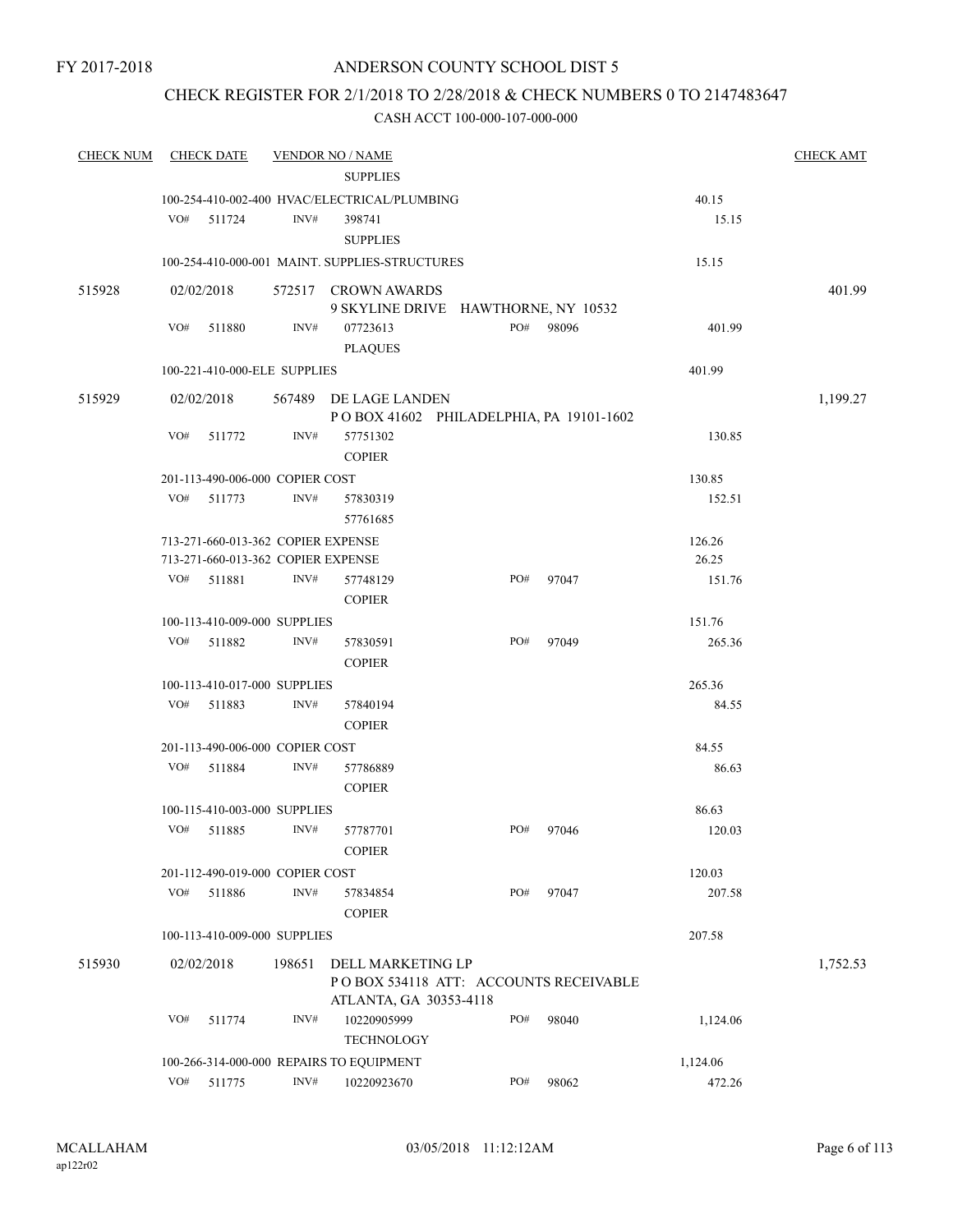# CHECK REGISTER FOR 2/1/2018 TO 2/28/2018 & CHECK NUMBERS 0 TO 2147483647

| <b>CHECK NUM</b> |     | <b>CHECK DATE</b> |                                    | <b>VENDOR NO / NAME</b>                                    |     |           |          | <b>CHECK AMT</b> |
|------------------|-----|-------------------|------------------------------------|------------------------------------------------------------|-----|-----------|----------|------------------|
|                  |     |                   |                                    | <b>SUPPLIES</b>                                            |     |           |          |                  |
|                  |     |                   |                                    | 100-254-410-002-400 HVAC/ELECTRICAL/PLUMBING               |     |           | 40.15    |                  |
|                  | VO# | 511724            | INV#                               | 398741                                                     |     |           | 15.15    |                  |
|                  |     |                   |                                    | <b>SUPPLIES</b>                                            |     |           |          |                  |
|                  |     |                   |                                    | 100-254-410-000-001 MAINT. SUPPLIES-STRUCTURES             |     |           | 15.15    |                  |
| 515928           |     |                   |                                    | 572517 CROWN AWARDS                                        |     |           |          | 401.99           |
|                  |     | 02/02/2018        |                                    | 9 SKYLINE DRIVE HAWTHORNE, NY 10532                        |     |           |          |                  |
|                  | VO# | 511880            | INV#                               | 07723613                                                   |     | PO# 98096 | 401.99   |                  |
|                  |     |                   |                                    | <b>PLAQUES</b>                                             |     |           |          |                  |
|                  |     |                   | 100-221-410-000-ELE SUPPLIES       |                                                            |     |           | 401.99   |                  |
|                  |     |                   |                                    |                                                            |     |           |          |                  |
| 515929           |     | 02/02/2018        |                                    | 567489 DE LAGE LANDEN                                      |     |           |          | 1,199.27         |
|                  | VO# | 511772            | INV#                               | POBOX 41602 PHILADELPHIA, PA 19101-1602<br>57751302        |     |           | 130.85   |                  |
|                  |     |                   |                                    | <b>COPIER</b>                                              |     |           |          |                  |
|                  |     |                   | 201-113-490-006-000 COPIER COST    |                                                            |     |           | 130.85   |                  |
|                  | VO# | 511773            | INV#                               | 57830319                                                   |     |           | 152.51   |                  |
|                  |     |                   |                                    | 57761685                                                   |     |           |          |                  |
|                  |     |                   | 713-271-660-013-362 COPIER EXPENSE |                                                            |     |           | 126.26   |                  |
|                  |     |                   | 713-271-660-013-362 COPIER EXPENSE |                                                            |     |           | 26.25    |                  |
|                  | VO# | 511881            | INV#                               | 57748129                                                   | PO# | 97047     | 151.76   |                  |
|                  |     |                   |                                    | <b>COPIER</b>                                              |     |           |          |                  |
|                  |     |                   | 100-113-410-009-000 SUPPLIES       |                                                            |     |           | 151.76   |                  |
|                  | VO# | 511882            | INV#                               | 57830591                                                   | PO# | 97049     | 265.36   |                  |
|                  |     |                   |                                    | <b>COPIER</b>                                              |     |           |          |                  |
|                  |     |                   | 100-113-410-017-000 SUPPLIES       |                                                            |     |           | 265.36   |                  |
|                  | VO# | 511883            | INV#                               | 57840194                                                   |     |           | 84.55    |                  |
|                  |     |                   |                                    | <b>COPIER</b>                                              |     |           |          |                  |
|                  |     |                   | 201-113-490-006-000 COPIER COST    |                                                            |     |           | 84.55    |                  |
|                  | VO# | 511884            | INV#                               | 57786889                                                   |     |           | 86.63    |                  |
|                  |     |                   |                                    | <b>COPIER</b>                                              |     |           |          |                  |
|                  |     |                   | 100-115-410-003-000 SUPPLIES       |                                                            |     |           | 86.63    |                  |
|                  | VO# | 511885            | INV#                               | 57787701                                                   | PO# | 97046     | 120.03   |                  |
|                  |     |                   |                                    | <b>COPIER</b>                                              |     |           |          |                  |
|                  |     |                   | 201-112-490-019-000 COPIER COST    |                                                            |     |           | 120.03   |                  |
|                  | VO# | 511886            | INV#                               | 57834854                                                   | PO# | 97047     | 207.58   |                  |
|                  |     |                   |                                    | <b>COPIER</b>                                              |     |           |          |                  |
|                  |     |                   | 100-113-410-009-000 SUPPLIES       |                                                            |     |           | 207.58   |                  |
|                  |     |                   |                                    |                                                            |     |           |          |                  |
| 515930           |     | 02/02/2018        | 198651                             | DELL MARKETING LP<br>POBOX 534118 ATT: ACCOUNTS RECEIVABLE |     |           |          | 1,752.53         |
|                  |     |                   |                                    | ATLANTA, GA 30353-4118                                     |     |           |          |                  |
|                  | VO# | 511774            | INV#                               | 10220905999                                                | PO# | 98040     | 1,124.06 |                  |
|                  |     |                   |                                    | <b>TECHNOLOGY</b>                                          |     |           |          |                  |
|                  |     |                   |                                    | 100-266-314-000-000 REPAIRS TO EQUIPMENT                   |     |           | 1,124.06 |                  |
|                  | VO# | 511775            | $\text{INV}\#$                     | 10220923670                                                | PO# | 98062     | 472.26   |                  |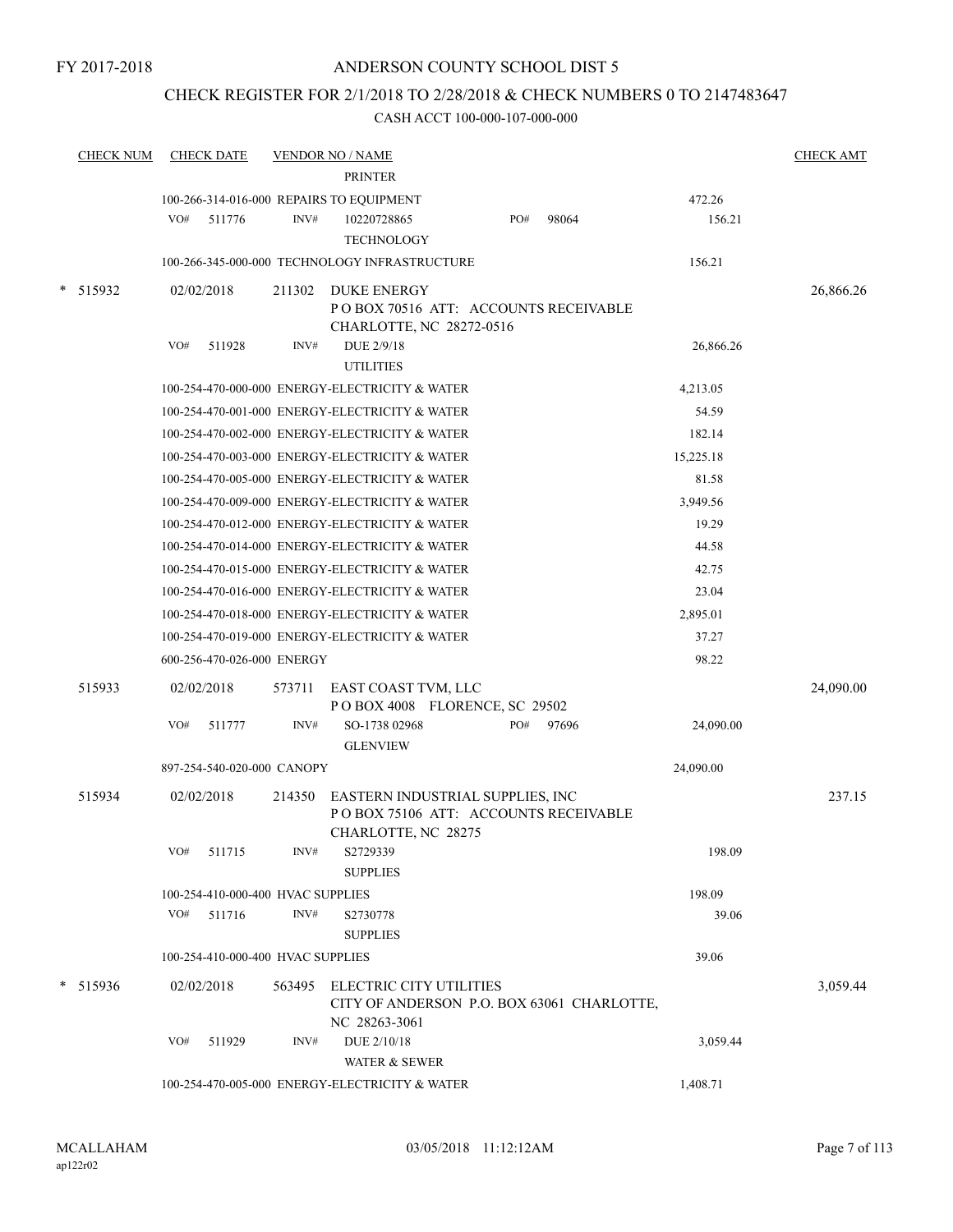# CHECK REGISTER FOR 2/1/2018 TO 2/28/2018 & CHECK NUMBERS 0 TO 2147483647

| <b>CHECK NUM</b> |     | <b>CHECK DATE</b>                 |        | <b>VENDOR NO / NAME</b><br><b>PRINTER</b>                                                       |     |       |           | <b>CHECK AMT</b> |
|------------------|-----|-----------------------------------|--------|-------------------------------------------------------------------------------------------------|-----|-------|-----------|------------------|
|                  |     |                                   |        | 100-266-314-016-000 REPAIRS TO EQUIPMENT                                                        |     |       | 472.26    |                  |
|                  | VO# | 511776                            | INV#   | 10220728865<br><b>TECHNOLOGY</b>                                                                | PO# | 98064 | 156.21    |                  |
|                  |     |                                   |        | 100-266-345-000-000 TECHNOLOGY INFRASTRUCTURE                                                   |     |       | 156.21    |                  |
| * 515932         |     | 02/02/2018                        | 211302 | DUKE ENERGY<br>POBOX 70516 ATT: ACCOUNTS RECEIVABLE<br>CHARLOTTE, NC 28272-0516                 |     |       |           | 26,866.26        |
|                  | VO# | 511928                            | INV#   | DUE 2/9/18<br><b>UTILITIES</b>                                                                  |     |       | 26,866.26 |                  |
|                  |     |                                   |        | 100-254-470-000-000 ENERGY-ELECTRICITY & WATER                                                  |     |       | 4,213.05  |                  |
|                  |     |                                   |        | 100-254-470-001-000 ENERGY-ELECTRICITY & WATER                                                  |     |       | 54.59     |                  |
|                  |     |                                   |        | 100-254-470-002-000 ENERGY-ELECTRICITY & WATER                                                  |     |       | 182.14    |                  |
|                  |     |                                   |        | 100-254-470-003-000 ENERGY-ELECTRICITY & WATER                                                  |     |       | 15,225.18 |                  |
|                  |     |                                   |        | 100-254-470-005-000 ENERGY-ELECTRICITY & WATER                                                  |     |       | 81.58     |                  |
|                  |     |                                   |        | 100-254-470-009-000 ENERGY-ELECTRICITY & WATER                                                  |     |       | 3,949.56  |                  |
|                  |     |                                   |        | 100-254-470-012-000 ENERGY-ELECTRICITY & WATER                                                  |     |       | 19.29     |                  |
|                  |     |                                   |        | 100-254-470-014-000 ENERGY-ELECTRICITY & WATER                                                  |     |       | 44.58     |                  |
|                  |     |                                   |        | 100-254-470-015-000 ENERGY-ELECTRICITY & WATER                                                  |     |       | 42.75     |                  |
|                  |     |                                   |        | 100-254-470-016-000 ENERGY-ELECTRICITY & WATER                                                  |     |       | 23.04     |                  |
|                  |     |                                   |        | 100-254-470-018-000 ENERGY-ELECTRICITY & WATER                                                  |     |       | 2,895.01  |                  |
|                  |     |                                   |        | 100-254-470-019-000 ENERGY-ELECTRICITY & WATER                                                  |     |       | 37.27     |                  |
|                  |     | 600-256-470-026-000 ENERGY        |        |                                                                                                 |     |       | 98.22     |                  |
| 515933           |     | 02/02/2018                        | 573711 | EAST COAST TVM, LLC<br>POBOX 4008 FLORENCE, SC 29502                                            |     |       |           | 24,090.00        |
|                  | VO# | 511777                            | INV#   | SO-1738 02968<br><b>GLENVIEW</b>                                                                | PO# | 97696 | 24,090.00 |                  |
|                  |     | 897-254-540-020-000 CANOPY        |        |                                                                                                 |     |       | 24,090.00 |                  |
| 515934           |     | 02/02/2018                        | 214350 | EASTERN INDUSTRIAL SUPPLIES, INC<br>POBOX 75106 ATT: ACCOUNTS RECEIVABLE<br>CHARLOTTE, NC 28275 |     |       |           | 237.15           |
|                  | VO# | 511715                            | INV#   | S2729339<br><b>SUPPLIES</b>                                                                     |     |       | 198.09    |                  |
|                  |     | 100-254-410-000-400 HVAC SUPPLIES |        |                                                                                                 |     |       | 198.09    |                  |
|                  |     | VO# 511716                        | INV#   | S2730778<br><b>SUPPLIES</b>                                                                     |     |       | 39.06     |                  |
|                  |     | 100-254-410-000-400 HVAC SUPPLIES |        |                                                                                                 |     |       | 39.06     |                  |
| $*$ 515936       |     | 02/02/2018                        |        | 563495 ELECTRIC CITY UTILITIES<br>CITY OF ANDERSON P.O. BOX 63061 CHARLOTTE,<br>NC 28263-3061   |     |       |           | 3,059.44         |
|                  | VO# | 511929                            | INV#   | DUE 2/10/18<br>WATER & SEWER                                                                    |     |       | 3,059.44  |                  |
|                  |     |                                   |        | 100-254-470-005-000 ENERGY-ELECTRICITY & WATER                                                  |     |       | 1,408.71  |                  |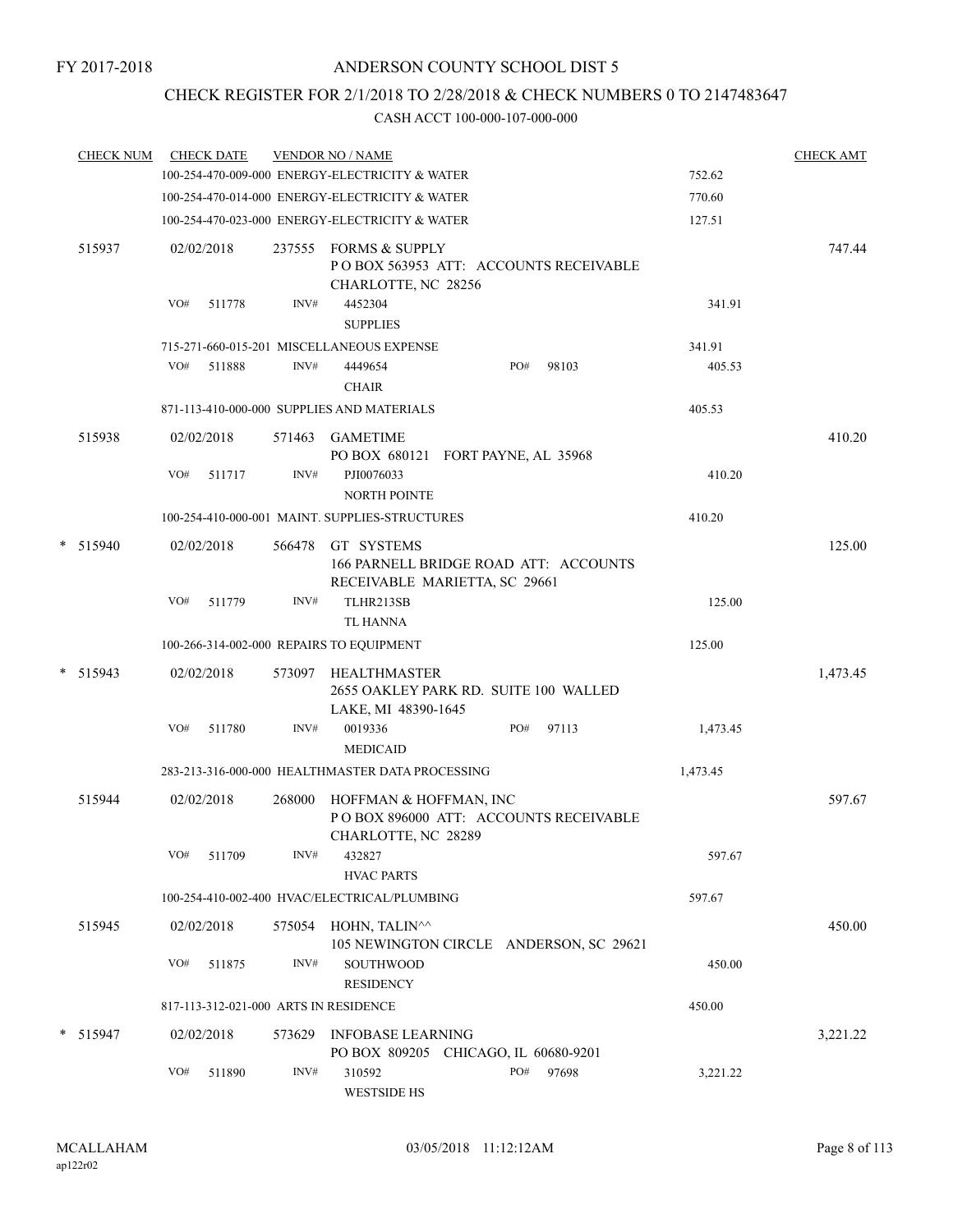# CHECK REGISTER FOR 2/1/2018 TO 2/28/2018 & CHECK NUMBERS 0 TO 2147483647

| <b>CHECK NUM</b> | <b>CHECK DATE</b> |            |        | <b>VENDOR NO / NAME</b><br>100-254-470-009-000 ENERGY-ELECTRICITY & WATER                   |     |       | 752.62   | <b>CHECK AMT</b> |
|------------------|-------------------|------------|--------|---------------------------------------------------------------------------------------------|-----|-------|----------|------------------|
|                  |                   |            |        | 100-254-470-014-000 ENERGY-ELECTRICITY & WATER                                              |     |       | 770.60   |                  |
|                  |                   |            |        | 100-254-470-023-000 ENERGY-ELECTRICITY & WATER                                              |     |       | 127.51   |                  |
| 515937           |                   | 02/02/2018 |        | 237555 FORMS & SUPPLY<br>POBOX 563953 ATT: ACCOUNTS RECEIVABLE<br>CHARLOTTE, NC 28256       |     |       |          | 747.44           |
|                  | VO#               | 511778     | INV#   | 4452304<br><b>SUPPLIES</b>                                                                  |     |       | 341.91   |                  |
|                  |                   |            |        | 715-271-660-015-201 MISCELLANEOUS EXPENSE                                                   |     |       | 341.91   |                  |
|                  | VO#               | 511888     | INV#   | 4449654<br><b>CHAIR</b>                                                                     | PO# | 98103 | 405.53   |                  |
|                  |                   |            |        | 871-113-410-000-000 SUPPLIES AND MATERIALS                                                  |     |       | 405.53   |                  |
| 515938           |                   | 02/02/2018 | 571463 | GAMETIME<br>PO BOX 680121 FORT PAYNE, AL 35968                                              |     |       |          | 410.20           |
|                  | VO#               | 511717     | INV#   | PJI0076033<br><b>NORTH POINTE</b>                                                           |     |       | 410.20   |                  |
|                  |                   |            |        | 100-254-410-000-001 MAINT, SUPPLIES-STRUCTURES                                              |     |       | 410.20   |                  |
| * 515940         |                   | 02/02/2018 |        | 566478 GT SYSTEMS<br>166 PARNELL BRIDGE ROAD ATT: ACCOUNTS<br>RECEIVABLE MARIETTA, SC 29661 |     |       |          | 125.00           |
|                  | VO#               | 511779     | INV#   | TLHR213SB<br><b>TL HANNA</b>                                                                |     |       | 125.00   |                  |
|                  |                   |            |        | 100-266-314-002-000 REPAIRS TO EQUIPMENT                                                    |     |       | 125.00   |                  |
| $*$ 515943       |                   | 02/02/2018 |        | 573097 HEALTHMASTER<br>2655 OAKLEY PARK RD. SUITE 100 WALLED<br>LAKE, MI 48390-1645         |     |       |          | 1,473.45         |
|                  | VO#               | 511780     | INV#   | 0019336<br><b>MEDICAID</b>                                                                  | PO# | 97113 | 1,473.45 |                  |
|                  |                   |            |        | 283-213-316-000-000 HEALTHMASTER DATA PROCESSING                                            |     |       | 1,473.45 |                  |
| 515944           |                   | 02/02/2018 | 268000 | HOFFMAN & HOFFMAN, INC<br>POBOX 896000 ATT: ACCOUNTS RECEIVABLE<br>CHARLOTTE, NC 28289      |     |       |          | 597.67           |
|                  | VO#               | 511709     | INV#   | 432827<br><b>HVAC PARTS</b>                                                                 |     |       | 597.67   |                  |
|                  |                   |            |        | 100-254-410-002-400 HVAC/ELECTRICAL/PLUMBING                                                |     |       | 597.67   |                  |
| 515945           |                   | 02/02/2018 |        | 575054 HOHN, TALIN^^<br>105 NEWINGTON CIRCLE ANDERSON, SC 29621                             |     |       |          | 450.00           |
|                  | VO#               | 511875     | INV#   | SOUTHWOOD<br><b>RESIDENCY</b>                                                               |     |       | 450.00   |                  |
|                  |                   |            |        | 817-113-312-021-000 ARTS IN RESIDENCE                                                       |     |       | 450.00   |                  |
| * 515947         |                   | 02/02/2018 | 573629 | <b>INFOBASE LEARNING</b><br>PO BOX 809205 CHICAGO, IL 60680-9201                            |     |       |          | 3,221.22         |
|                  | VO#               | 511890     | INV#   | 310592<br><b>WESTSIDE HS</b>                                                                | PO# | 97698 | 3,221.22 |                  |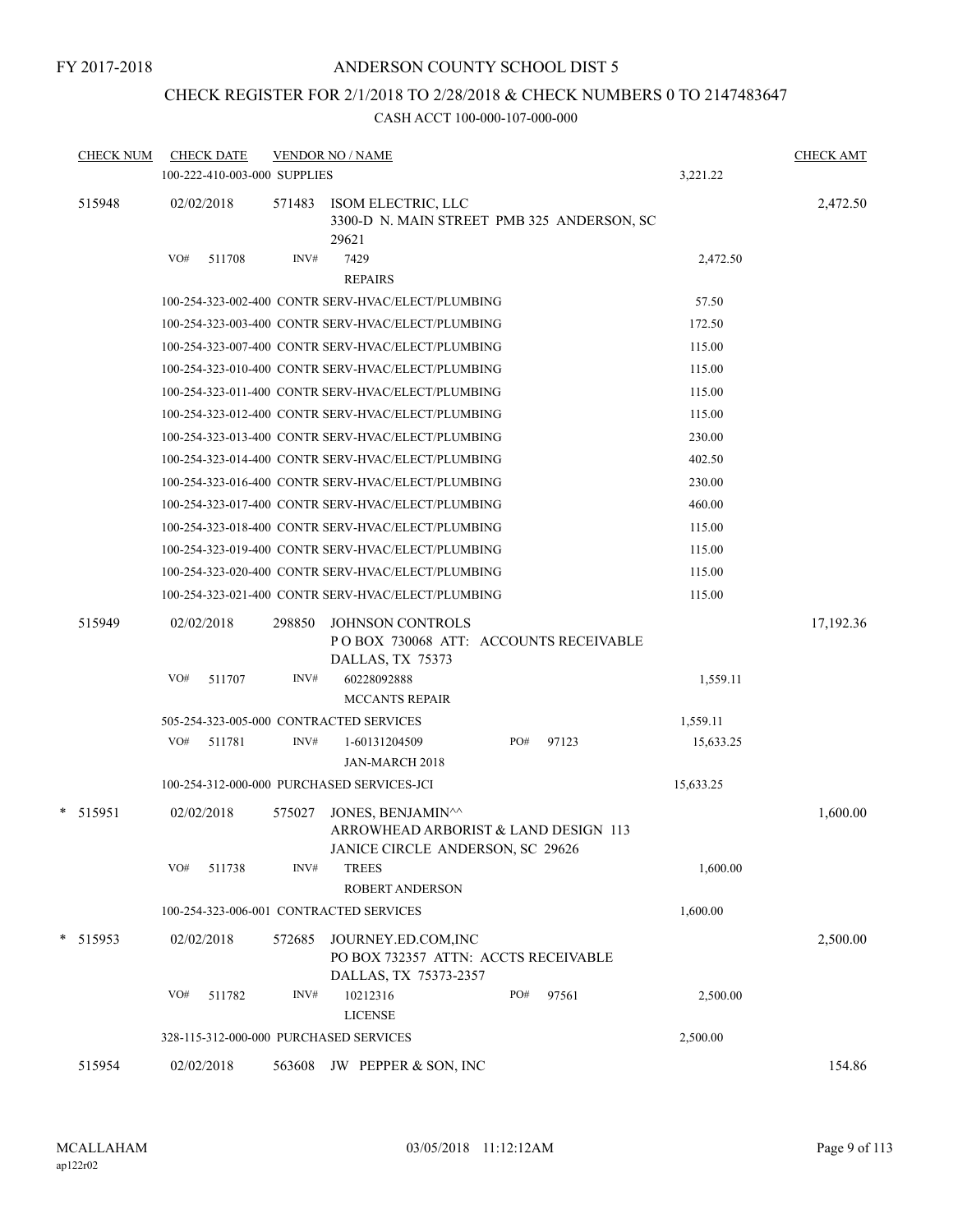# CHECK REGISTER FOR 2/1/2018 TO 2/28/2018 & CHECK NUMBERS 0 TO 2147483647

| <b>CHECK NUM</b> | <b>CHECK DATE</b><br>100-222-410-003-000 SUPPLIES |        | <b>VENDOR NO / NAME</b>                                                                       |              | 3,221.22  | <b>CHECK AMT</b> |
|------------------|---------------------------------------------------|--------|-----------------------------------------------------------------------------------------------|--------------|-----------|------------------|
| 515948           | 02/02/2018                                        | 571483 | ISOM ELECTRIC, LLC<br>3300-D N. MAIN STREET PMB 325 ANDERSON, SC<br>29621                     |              |           | 2,472.50         |
|                  | VO#<br>511708                                     | INV#   | 7429<br><b>REPAIRS</b>                                                                        |              | 2,472.50  |                  |
|                  |                                                   |        | 100-254-323-002-400 CONTR SERV-HVAC/ELECT/PLUMBING                                            |              | 57.50     |                  |
|                  |                                                   |        | 100-254-323-003-400 CONTR SERV-HVAC/ELECT/PLUMBING                                            |              | 172.50    |                  |
|                  |                                                   |        | 100-254-323-007-400 CONTR SERV-HVAC/ELECT/PLUMBING                                            |              | 115.00    |                  |
|                  |                                                   |        | 100-254-323-010-400 CONTR SERV-HVAC/ELECT/PLUMBING                                            |              | 115.00    |                  |
|                  |                                                   |        | 100-254-323-011-400 CONTR SERV-HVAC/ELECT/PLUMBING                                            |              | 115.00    |                  |
|                  |                                                   |        | 100-254-323-012-400 CONTR SERV-HVAC/ELECT/PLUMBING                                            |              | 115.00    |                  |
|                  |                                                   |        | 100-254-323-013-400 CONTR SERV-HVAC/ELECT/PLUMBING                                            |              | 230.00    |                  |
|                  |                                                   |        | 100-254-323-014-400 CONTR SERV-HVAC/ELECT/PLUMBING                                            |              | 402.50    |                  |
|                  |                                                   |        | 100-254-323-016-400 CONTR SERV-HVAC/ELECT/PLUMBING                                            |              | 230.00    |                  |
|                  |                                                   |        | 100-254-323-017-400 CONTR SERV-HVAC/ELECT/PLUMBING                                            |              | 460.00    |                  |
|                  |                                                   |        | 100-254-323-018-400 CONTR SERV-HVAC/ELECT/PLUMBING                                            |              | 115.00    |                  |
|                  |                                                   |        | 100-254-323-019-400 CONTR SERV-HVAC/ELECT/PLUMBING                                            |              | 115.00    |                  |
|                  |                                                   |        | 100-254-323-020-400 CONTR SERV-HVAC/ELECT/PLUMBING                                            |              | 115.00    |                  |
|                  |                                                   |        | 100-254-323-021-400 CONTR SERV-HVAC/ELECT/PLUMBING                                            |              | 115.00    |                  |
|                  |                                                   |        |                                                                                               |              |           |                  |
| 515949           | 02/02/2018                                        | 298850 | <b>JOHNSON CONTROLS</b><br>POBOX 730068 ATT: ACCOUNTS RECEIVABLE<br>DALLAS, TX 75373          |              |           | 17,192.36        |
|                  | VO#<br>511707                                     | INV#   | 60228092888<br><b>MCCANTS REPAIR</b>                                                          |              | 1,559.11  |                  |
|                  |                                                   |        | 505-254-323-005-000 CONTRACTED SERVICES                                                       |              | 1,559.11  |                  |
|                  | VO#<br>511781                                     | INV#   | 1-60131204509                                                                                 | PO#<br>97123 | 15,633.25 |                  |
|                  |                                                   |        | JAN-MARCH 2018                                                                                |              |           |                  |
|                  |                                                   |        | 100-254-312-000-000 PURCHASED SERVICES-JCI                                                    |              | 15,633.25 |                  |
| * 515951         | 02/02/2018                                        | 575027 | JONES, BENJAMIN^^<br>ARROWHEAD ARBORIST & LAND DESIGN 113<br>JANICE CIRCLE ANDERSON, SC 29626 |              |           | 1,600.00         |
|                  | VO#<br>511738                                     | INV#   | <b>TREES</b><br><b>ROBERT ANDERSON</b>                                                        |              | 1,600.00  |                  |
|                  |                                                   |        | 100-254-323-006-001 CONTRACTED SERVICES                                                       |              | 1,600.00  |                  |
| $*$ 515953       | 02/02/2018                                        | 572685 | JOURNEY.ED.COM, INC<br>PO BOX 732357 ATTN: ACCTS RECEIVABLE<br>DALLAS, TX 75373-2357          |              |           | 2,500.00         |
|                  | VO#<br>511782                                     | INV#   | 10212316<br><b>LICENSE</b>                                                                    | PO#<br>97561 | 2,500.00  |                  |
|                  | 328-115-312-000-000 PURCHASED SERVICES            |        |                                                                                               |              | 2,500.00  |                  |
| 515954           | 02/02/2018                                        | 563608 | JW PEPPER & SON, INC                                                                          |              |           | 154.86           |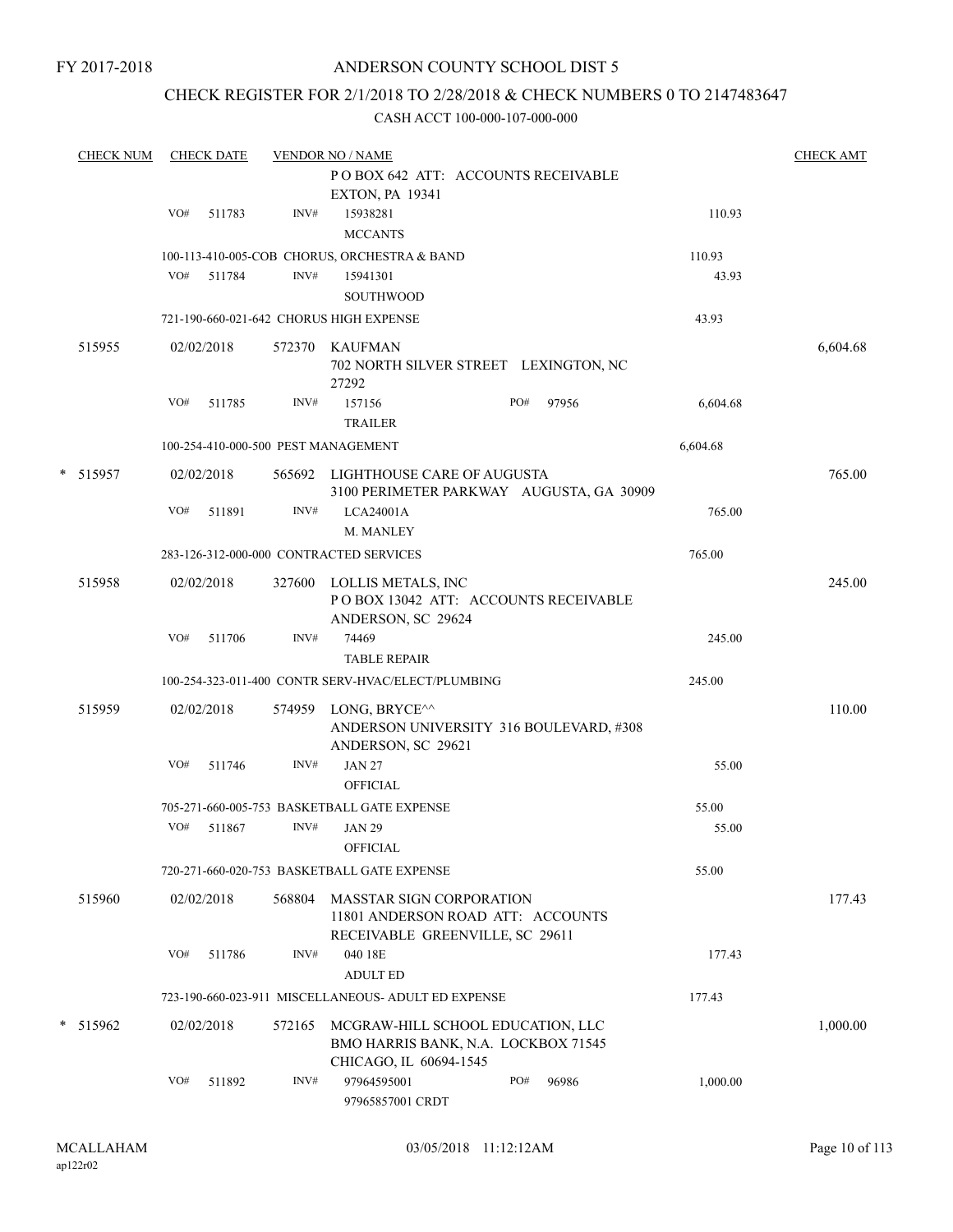# ANDERSON COUNTY SCHOOL DIST 5

# CHECK REGISTER FOR 2/1/2018 TO 2/28/2018 & CHECK NUMBERS 0 TO 2147483647

|   | <b>CHECK NUM</b> |     | <b>CHECK DATE</b> |        | <b>VENDOR NO / NAME</b>                                                                                           |     |       |          | <b>CHECK AMT</b> |
|---|------------------|-----|-------------------|--------|-------------------------------------------------------------------------------------------------------------------|-----|-------|----------|------------------|
|   |                  |     |                   |        | POBOX 642 ATT: ACCOUNTS RECEIVABLE                                                                                |     |       |          |                  |
|   |                  |     |                   |        | <b>EXTON, PA 19341</b>                                                                                            |     |       |          |                  |
|   |                  | VO# | 511783            | INV#   | 15938281                                                                                                          |     |       | 110.93   |                  |
|   |                  |     |                   |        | <b>MCCANTS</b>                                                                                                    |     |       |          |                  |
|   |                  |     |                   |        | 100-113-410-005-COB CHORUS, ORCHESTRA & BAND                                                                      |     |       | 110.93   |                  |
|   |                  | VO# | 511784            | INV#   | 15941301                                                                                                          |     |       | 43.93    |                  |
|   |                  |     |                   |        | <b>SOUTHWOOD</b>                                                                                                  |     |       |          |                  |
|   |                  |     |                   |        | 721-190-660-021-642 CHORUS HIGH EXPENSE                                                                           |     |       | 43.93    |                  |
|   |                  |     |                   |        |                                                                                                                   |     |       |          |                  |
|   | 515955           |     | 02/02/2018        |        | 572370 KAUFMAN<br>702 NORTH SILVER STREET LEXINGTON, NC<br>27292                                                  |     |       |          | 6,604.68         |
|   |                  | VO# | 511785            | INV#   | 157156                                                                                                            | PO# | 97956 | 6,604.68 |                  |
|   |                  |     |                   |        | <b>TRAILER</b>                                                                                                    |     |       |          |                  |
|   |                  |     |                   |        | 100-254-410-000-500 PEST MANAGEMENT                                                                               |     |       | 6,604.68 |                  |
|   |                  |     |                   |        |                                                                                                                   |     |       |          |                  |
| * | 515957           |     | 02/02/2018        |        | 565692 LIGHTHOUSE CARE OF AUGUSTA                                                                                 |     |       |          | 765.00           |
|   |                  | VO# | 511891            | INV#   | 3100 PERIMETER PARKWAY AUGUSTA, GA 30909<br>LCA24001A                                                             |     |       | 765.00   |                  |
|   |                  |     |                   |        | M. MANLEY                                                                                                         |     |       |          |                  |
|   |                  |     |                   |        |                                                                                                                   |     |       |          |                  |
|   |                  |     |                   |        | 283-126-312-000-000 CONTRACTED SERVICES                                                                           |     |       | 765.00   |                  |
|   | 515958           |     | 02/02/2018        | 327600 | LOLLIS METALS, INC<br>POBOX 13042 ATT: ACCOUNTS RECEIVABLE<br>ANDERSON, SC 29624                                  |     |       |          | 245.00           |
|   |                  | VO# | 511706            | INV#   | 74469                                                                                                             |     |       | 245.00   |                  |
|   |                  |     |                   |        | <b>TABLE REPAIR</b>                                                                                               |     |       |          |                  |
|   |                  |     |                   |        | 100-254-323-011-400 CONTR SERV-HVAC/ELECT/PLUMBING                                                                |     |       | 245.00   |                  |
|   |                  |     |                   |        |                                                                                                                   |     |       |          |                  |
|   | 515959           |     | 02/02/2018        | 574959 | LONG, BRYCE <sup><math>\wedge\wedge</math></sup><br>ANDERSON UNIVERSITY 316 BOULEVARD, #308<br>ANDERSON, SC 29621 |     |       |          | 110.00           |
|   |                  | VO# | 511746            | INV#   | <b>JAN 27</b>                                                                                                     |     |       | 55.00    |                  |
|   |                  |     |                   |        | <b>OFFICIAL</b>                                                                                                   |     |       |          |                  |
|   |                  |     |                   |        | 705-271-660-005-753 BASKETBALL GATE EXPENSE                                                                       |     |       | 55.00    |                  |
|   |                  | VO# | 511867            | INV#   | <b>JAN 29</b>                                                                                                     |     |       | 55.00    |                  |
|   |                  |     |                   |        | <b>OFFICIAL</b>                                                                                                   |     |       |          |                  |
|   |                  |     |                   |        | 720-271-660-020-753 BASKETBALL GATE EXPENSE                                                                       |     |       | 55.00    |                  |
|   |                  |     | 02/02/2018        |        | <b>MASSTAR SIGN CORPORATION</b>                                                                                   |     |       |          |                  |
|   | 515960           |     |                   | 568804 | 11801 ANDERSON ROAD ATT: ACCOUNTS<br>RECEIVABLE GREENVILLE, SC 29611                                              |     |       |          | 177.43           |
|   |                  | VO# | 511786            | INV#   | 040 18E                                                                                                           |     |       | 177.43   |                  |
|   |                  |     |                   |        | <b>ADULT ED</b>                                                                                                   |     |       |          |                  |
|   |                  |     |                   |        | 723-190-660-023-911 MISCELLANEOUS- ADULT ED EXPENSE                                                               |     |       | 177.43   |                  |
|   |                  |     |                   |        |                                                                                                                   |     |       |          |                  |
|   | * 515962         |     | 02/02/2018        | 572165 | MCGRAW-HILL SCHOOL EDUCATION, LLC<br>BMO HARRIS BANK, N.A. LOCKBOX 71545<br>CHICAGO, IL 60694-1545                |     |       |          | 1,000.00         |
|   |                  | VO# | 511892            | INV#   | 97964595001<br>97965857001 CRDT                                                                                   | PO# | 96986 | 1,000.00 |                  |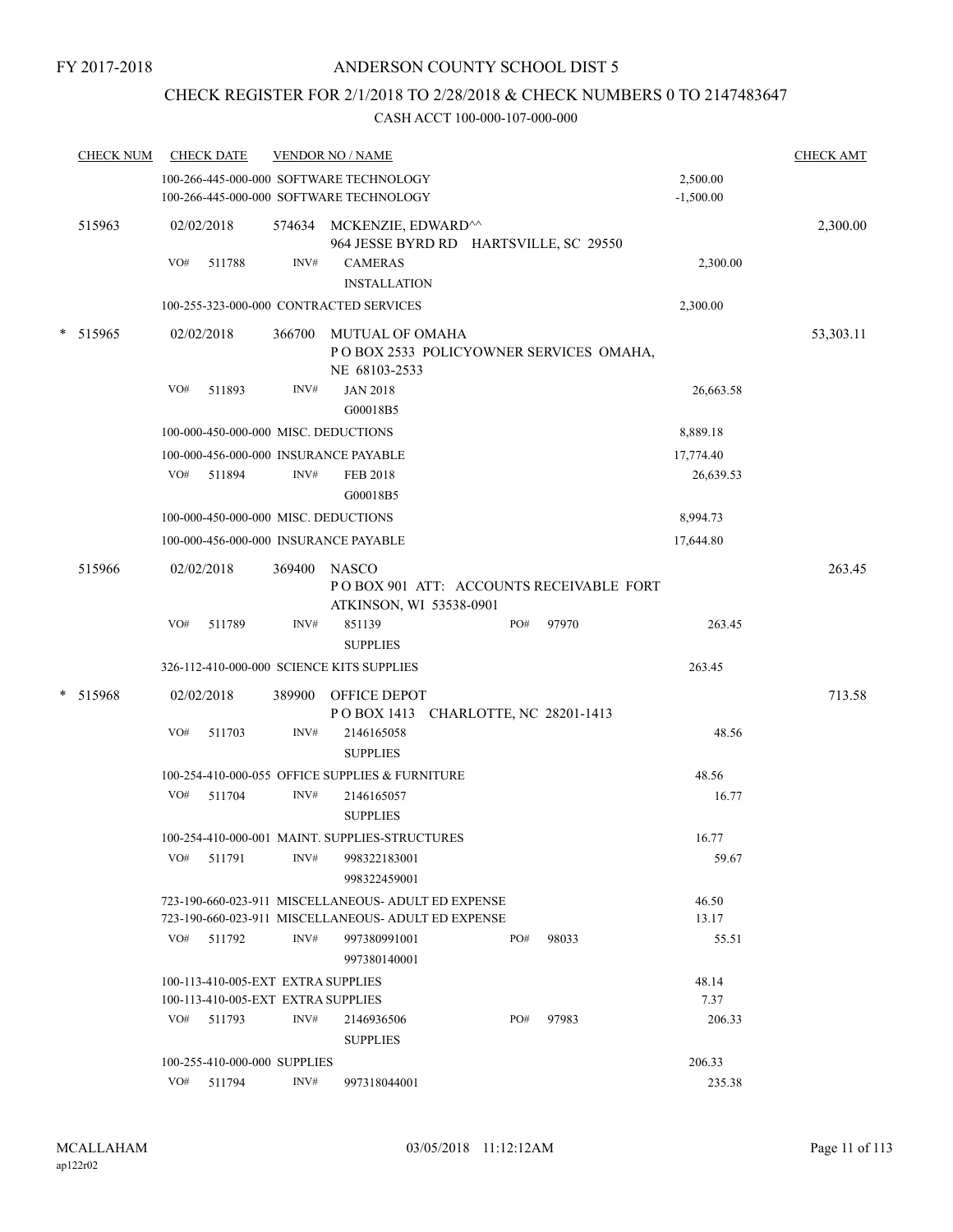# CHECK REGISTER FOR 2/1/2018 TO 2/28/2018 & CHECK NUMBERS 0 TO 2147483647

|        | <b>CHECK NUM</b> | <b>CHECK DATE</b>                         |        | <b>VENDOR NO / NAME</b>                                                            |     |       |                         | <b>CHECK AMT</b> |
|--------|------------------|-------------------------------------------|--------|------------------------------------------------------------------------------------|-----|-------|-------------------------|------------------|
|        |                  |                                           |        | 100-266-445-000-000 SOFTWARE TECHNOLOGY<br>100-266-445-000-000 SOFTWARE TECHNOLOGY |     |       | 2,500.00<br>$-1,500.00$ |                  |
|        | 515963           | 02/02/2018                                |        | 574634 MCKENZIE, EDWARD <sup>^^</sup><br>964 JESSE BYRD RD HARTSVILLE, SC 29550    |     |       |                         | 2,300.00         |
|        |                  | VO#<br>511788                             | INV#   | <b>CAMERAS</b>                                                                     |     |       | 2,300.00                |                  |
|        |                  |                                           |        | <b>INSTALLATION</b>                                                                |     |       |                         |                  |
|        |                  |                                           |        | 100-255-323-000-000 CONTRACTED SERVICES                                            |     |       | 2,300.00                |                  |
| $\ast$ | 515965           | 02/02/2018                                | 366700 | MUTUAL OF OMAHA<br>POBOX 2533 POLICYOWNER SERVICES OMAHA,<br>NE 68103-2533         |     |       |                         | 53,303.11        |
|        |                  | VO#<br>511893                             | INV#   | <b>JAN 2018</b><br>G00018B5                                                        |     |       | 26,663.58               |                  |
|        |                  | 100-000-450-000-000 MISC. DEDUCTIONS      |        |                                                                                    |     |       | 8,889.18                |                  |
|        |                  | 100-000-456-000-000 INSURANCE PAYABLE     |        |                                                                                    |     |       | 17,774.40               |                  |
|        |                  | VO#<br>511894                             | INV#   | <b>FEB 2018</b><br>G00018B5                                                        |     |       | 26,639.53               |                  |
|        |                  | 100-000-450-000-000 MISC. DEDUCTIONS      |        |                                                                                    |     |       | 8,994.73                |                  |
|        |                  | 100-000-456-000-000 INSURANCE PAYABLE     |        |                                                                                    |     |       | 17,644.80               |                  |
|        | 515966           | 02/02/2018                                | 369400 | <b>NASCO</b><br>POBOX 901 ATT: ACCOUNTS RECEIVABLE FORT<br>ATKINSON, WI 53538-0901 |     |       |                         | 263.45           |
|        |                  | VO#<br>511789                             | INV#   | 851139<br><b>SUPPLIES</b>                                                          | PO# | 97970 | 263.45                  |                  |
|        |                  | 326-112-410-000-000 SCIENCE KITS SUPPLIES |        |                                                                                    |     |       | 263.45                  |                  |
|        | * 515968         | 02/02/2018                                | 389900 | OFFICE DEPOT<br>POBOX 1413 CHARLOTTE, NC 28201-1413                                |     |       |                         | 713.58           |
|        |                  | VO#<br>511703                             | INV#   | 2146165058<br><b>SUPPLIES</b>                                                      |     |       | 48.56                   |                  |
|        |                  |                                           |        | 100-254-410-000-055 OFFICE SUPPLIES & FURNITURE                                    |     |       | 48.56                   |                  |
|        |                  | VO#<br>511704                             | INV#   | 2146165057<br><b>SUPPLIES</b>                                                      |     |       | 16.77                   |                  |
|        |                  |                                           |        | 100-254-410-000-001 MAINT. SUPPLIES-STRUCTURES                                     |     |       | 16.77                   |                  |
|        |                  | VO#<br>511791                             | INV#   | 998322183001<br>998322459001                                                       |     |       | 59.67                   |                  |
|        |                  |                                           |        | 723-190-660-023-911 MISCELLANEOUS- ADULT ED EXPENSE                                |     |       | 46.50                   |                  |
|        |                  |                                           |        | 723-190-660-023-911 MISCELLANEOUS- ADULT ED EXPENSE                                |     |       | 13.17                   |                  |
|        |                  | VO#<br>511792                             | INV#   | 997380991001<br>997380140001                                                       | PO# | 98033 | 55.51                   |                  |
|        |                  | 100-113-410-005-EXT EXTRA SUPPLIES        |        |                                                                                    |     |       | 48.14                   |                  |
|        |                  | 100-113-410-005-EXT EXTRA SUPPLIES        |        |                                                                                    |     |       | 7.37                    |                  |
|        |                  | VO#<br>511793                             | INV#   | 2146936506<br><b>SUPPLIES</b>                                                      | PO# | 97983 | 206.33                  |                  |
|        |                  | 100-255-410-000-000 SUPPLIES              |        |                                                                                    |     |       | 206.33                  |                  |
|        |                  | VO#<br>511794                             | INV#   | 997318044001                                                                       |     |       | 235.38                  |                  |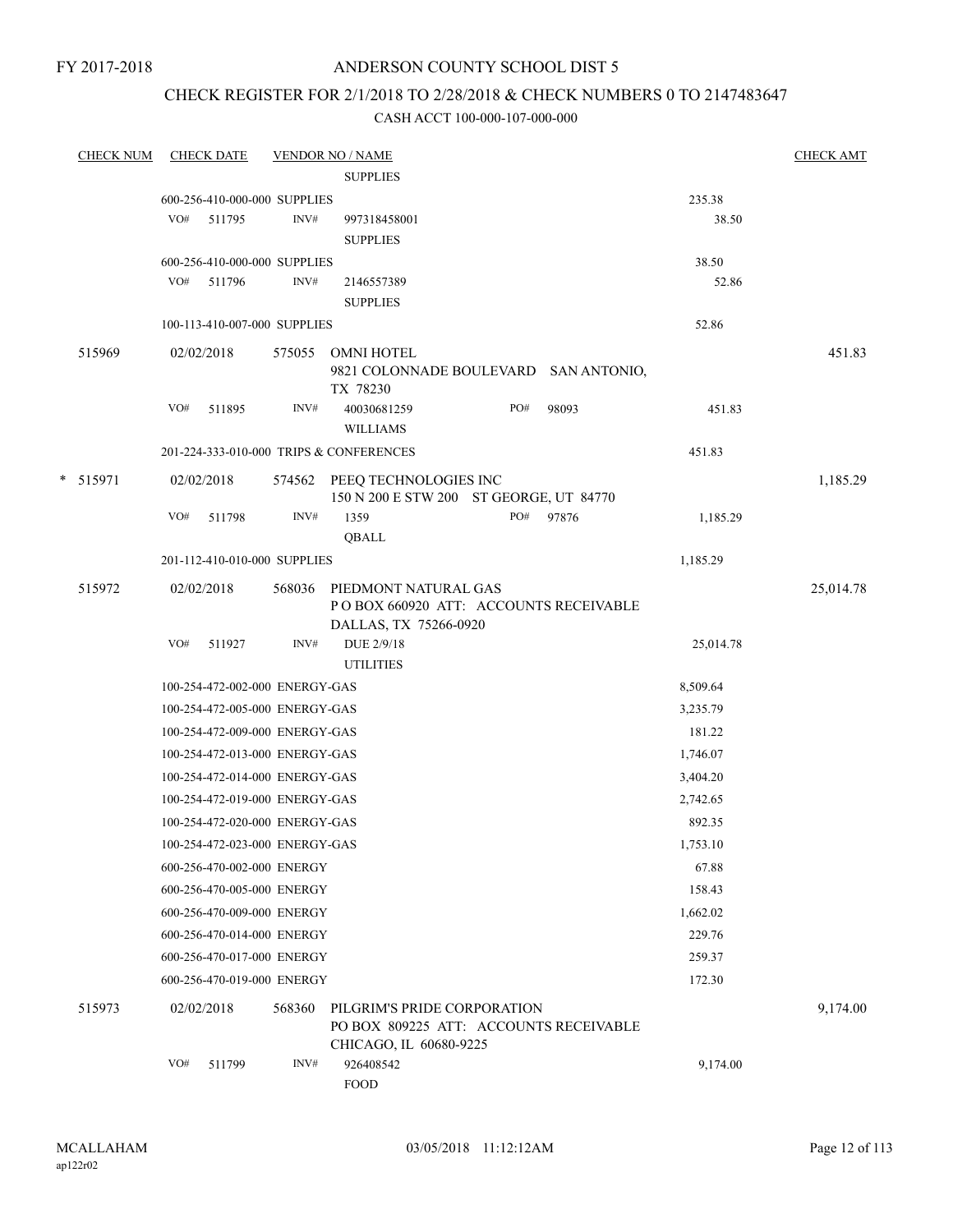# ANDERSON COUNTY SCHOOL DIST 5

# CHECK REGISTER FOR 2/1/2018 TO 2/28/2018 & CHECK NUMBERS 0 TO 2147483647

| <b>CHECK NUM</b> |     | <b>CHECK DATE</b>              |        | <b>VENDOR NO / NAME</b>                                                                         |     |           |           | <b>CHECK AMT</b> |
|------------------|-----|--------------------------------|--------|-------------------------------------------------------------------------------------------------|-----|-----------|-----------|------------------|
|                  |     |                                |        | <b>SUPPLIES</b>                                                                                 |     |           |           |                  |
|                  |     | 600-256-410-000-000 SUPPLIES   |        |                                                                                                 |     |           | 235.38    |                  |
|                  |     | VO# 511795                     | INV#   | 997318458001                                                                                    |     |           | 38.50     |                  |
|                  |     |                                |        | <b>SUPPLIES</b>                                                                                 |     |           |           |                  |
|                  |     | 600-256-410-000-000 SUPPLIES   |        |                                                                                                 |     |           | 38.50     |                  |
|                  |     | VO# 511796                     | INV#   | 2146557389                                                                                      |     |           | 52.86     |                  |
|                  |     |                                |        | <b>SUPPLIES</b>                                                                                 |     |           |           |                  |
|                  |     | 100-113-410-007-000 SUPPLIES   |        |                                                                                                 |     |           | 52.86     |                  |
| 515969           |     | 02/02/2018                     |        | 575055 OMNI HOTEL<br>9821 COLONNADE BOULEVARD SAN ANTONIO,<br>TX 78230                          |     |           |           | 451.83           |
|                  | VO# | 511895                         | INV#   | 40030681259<br><b>WILLIAMS</b>                                                                  | PO# | 98093     | 451.83    |                  |
|                  |     |                                |        | 201-224-333-010-000 TRIPS & CONFERENCES                                                         |     |           | 451.83    |                  |
|                  |     |                                |        |                                                                                                 |     |           |           |                  |
| * 515971         |     | 02/02/2018                     |        | 574562 PEEQ TECHNOLOGIES INC<br>150 N 200 E STW 200 ST GEORGE, UT 84770                         |     |           |           | 1,185.29         |
|                  | VO# | 511798                         | INV#   | 1359                                                                                            |     | PO# 97876 | 1,185.29  |                  |
|                  |     |                                |        | QBALL                                                                                           |     |           |           |                  |
|                  |     | 201-112-410-010-000 SUPPLIES   |        |                                                                                                 |     |           | 1,185.29  |                  |
| 515972           |     | 02/02/2018                     |        | 568036 PIEDMONT NATURAL GAS<br>POBOX 660920 ATT: ACCOUNTS RECEIVABLE                            |     |           |           | 25,014.78        |
|                  |     | VO# 511927                     | INV#   | DALLAS, TX 75266-0920<br>DUE 2/9/18                                                             |     |           | 25,014.78 |                  |
|                  |     |                                |        | <b>UTILITIES</b>                                                                                |     |           |           |                  |
|                  |     | 100-254-472-002-000 ENERGY-GAS |        |                                                                                                 |     |           | 8,509.64  |                  |
|                  |     | 100-254-472-005-000 ENERGY-GAS |        |                                                                                                 |     |           | 3,235.79  |                  |
|                  |     | 100-254-472-009-000 ENERGY-GAS |        |                                                                                                 |     |           | 181.22    |                  |
|                  |     | 100-254-472-013-000 ENERGY-GAS |        |                                                                                                 |     |           | 1,746.07  |                  |
|                  |     | 100-254-472-014-000 ENERGY-GAS |        |                                                                                                 |     |           | 3,404.20  |                  |
|                  |     | 100-254-472-019-000 ENERGY-GAS |        |                                                                                                 |     |           | 2,742.65  |                  |
|                  |     | 100-254-472-020-000 ENERGY-GAS |        |                                                                                                 |     |           | 892.35    |                  |
|                  |     | 100-254-472-023-000 ENERGY-GAS |        |                                                                                                 |     |           | 1,753.10  |                  |
|                  |     | 600-256-470-002-000 ENERGY     |        |                                                                                                 |     |           | 67.88     |                  |
|                  |     |                                |        |                                                                                                 |     |           |           |                  |
|                  |     | 600-256-470-005-000 ENERGY     |        |                                                                                                 |     |           | 158.43    |                  |
|                  |     | 600-256-470-009-000 ENERGY     |        |                                                                                                 |     |           | 1,662.02  |                  |
|                  |     | 600-256-470-014-000 ENERGY     |        |                                                                                                 |     |           | 229.76    |                  |
|                  |     | 600-256-470-017-000 ENERGY     |        |                                                                                                 |     |           | 259.37    |                  |
|                  |     | 600-256-470-019-000 ENERGY     |        |                                                                                                 |     |           | 172.30    |                  |
| 515973           |     | 02/02/2018                     | 568360 | PILGRIM'S PRIDE CORPORATION<br>PO BOX 809225 ATT: ACCOUNTS RECEIVABLE<br>CHICAGO, IL 60680-9225 |     |           |           | 9,174.00         |
|                  | VO# | 511799                         | INV#   | 926408542<br><b>FOOD</b>                                                                        |     |           | 9,174.00  |                  |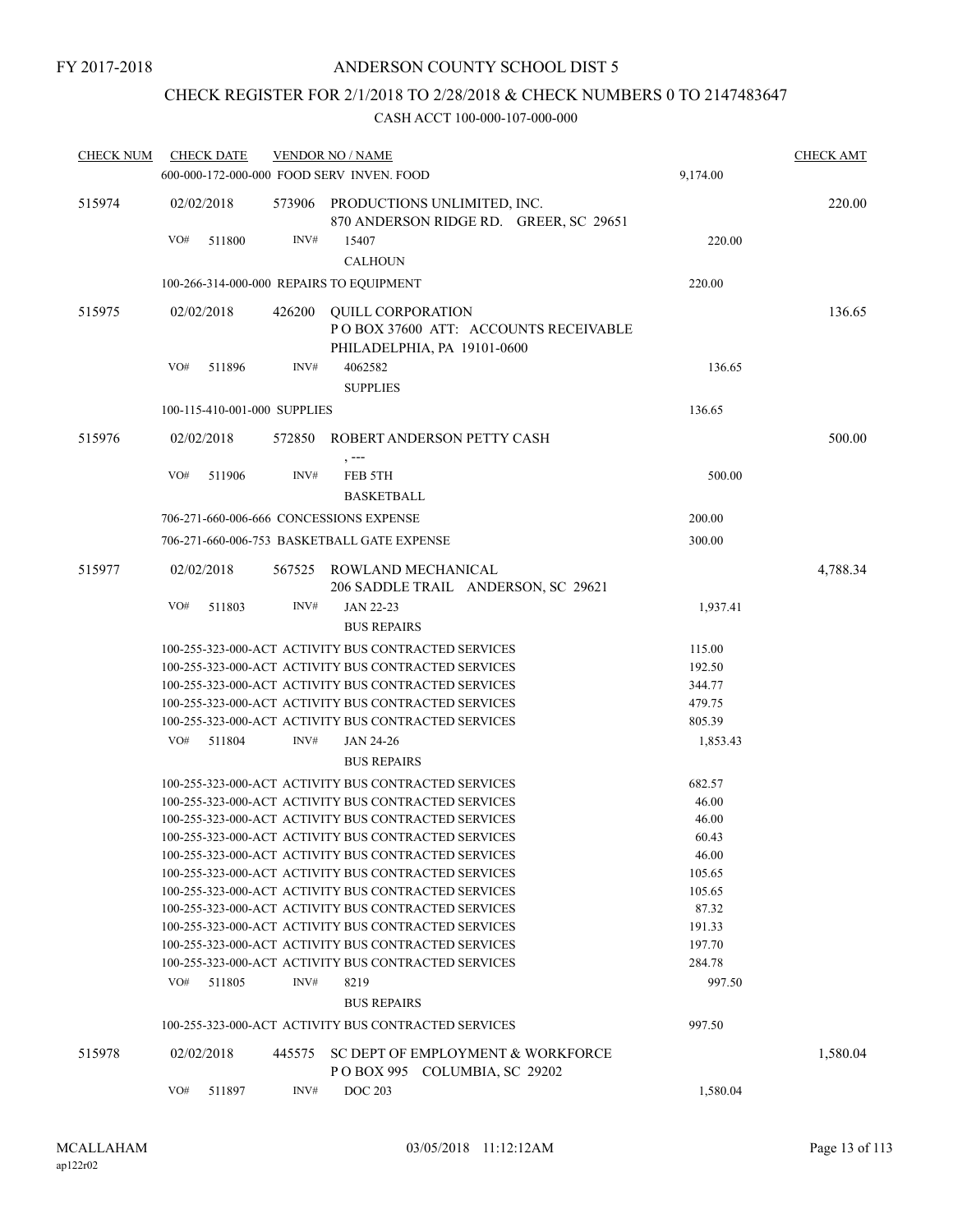# CHECK REGISTER FOR 2/1/2018 TO 2/28/2018 & CHECK NUMBERS 0 TO 2147483647

| <b>CHECK NUM</b> | <b>CHECK DATE</b>                        |        | <b>VENDOR NO / NAME</b>                                                                                      |                  | <b>CHECK AMT</b> |
|------------------|------------------------------------------|--------|--------------------------------------------------------------------------------------------------------------|------------------|------------------|
|                  |                                          |        | 600-000-172-000-000 FOOD SERV INVEN. FOOD                                                                    | 9,174.00         |                  |
| 515974           | 02/02/2018                               |        | 573906 PRODUCTIONS UNLIMITED, INC.<br>870 ANDERSON RIDGE RD. GREER, SC 29651                                 |                  | 220.00           |
|                  | VO#<br>511800                            | INV#   | 15407                                                                                                        | 220.00           |                  |
|                  |                                          |        | <b>CALHOUN</b>                                                                                               |                  |                  |
|                  | 100-266-314-000-000 REPAIRS TO EQUIPMENT |        |                                                                                                              | 220.00           |                  |
| 515975           | 02/02/2018                               | 426200 | <b>OUILL CORPORATION</b>                                                                                     |                  | 136.65           |
|                  |                                          |        | POBOX 37600 ATT: ACCOUNTS RECEIVABLE                                                                         |                  |                  |
|                  |                                          |        | PHILADELPHIA, PA 19101-0600                                                                                  |                  |                  |
|                  | VO#<br>511896                            | INV#   | 4062582                                                                                                      | 136.65           |                  |
|                  |                                          |        | <b>SUPPLIES</b>                                                                                              |                  |                  |
|                  | 100-115-410-001-000 SUPPLIES             |        |                                                                                                              | 136.65           |                  |
| 515976           | 02/02/2018                               | 572850 | ROBERT ANDERSON PETTY CASH                                                                                   |                  | 500.00           |
|                  | VO#<br>511906                            | INV#   | $, --$<br>FEB 5TH                                                                                            | 500.00           |                  |
|                  |                                          |        | <b>BASKETBALL</b>                                                                                            |                  |                  |
|                  | 706-271-660-006-666 CONCESSIONS EXPENSE  |        |                                                                                                              | 200.00           |                  |
|                  |                                          |        | 706-271-660-006-753 BASKETBALL GATE EXPENSE                                                                  | 300.00           |                  |
| 515977           | 02/02/2018                               |        | 567525 ROWLAND MECHANICAL                                                                                    |                  | 4,788.34         |
|                  |                                          |        | 206 SADDLE TRAIL ANDERSON, SC 29621                                                                          |                  |                  |
|                  | VO#<br>511803                            | INV#   | JAN 22-23                                                                                                    | 1,937.41         |                  |
|                  |                                          |        | <b>BUS REPAIRS</b>                                                                                           |                  |                  |
|                  |                                          |        | 100-255-323-000-ACT ACTIVITY BUS CONTRACTED SERVICES                                                         | 115.00           |                  |
|                  |                                          |        | 100-255-323-000-ACT ACTIVITY BUS CONTRACTED SERVICES                                                         | 192.50           |                  |
|                  |                                          |        | 100-255-323-000-ACT ACTIVITY BUS CONTRACTED SERVICES                                                         | 344.77           |                  |
|                  |                                          |        | 100-255-323-000-ACT ACTIVITY BUS CONTRACTED SERVICES                                                         | 479.75           |                  |
|                  |                                          |        | 100-255-323-000-ACT ACTIVITY BUS CONTRACTED SERVICES                                                         | 805.39           |                  |
|                  | VO#<br>511804                            | INV#   | JAN 24-26                                                                                                    | 1,853.43         |                  |
|                  |                                          |        | <b>BUS REPAIRS</b>                                                                                           |                  |                  |
|                  |                                          |        | 100-255-323-000-ACT ACTIVITY BUS CONTRACTED SERVICES                                                         | 682.57           |                  |
|                  |                                          |        | 100-255-323-000-ACT ACTIVITY BUS CONTRACTED SERVICES                                                         | 46.00            |                  |
|                  |                                          |        | 100-255-323-000-ACT ACTIVITY BUS CONTRACTED SERVICES                                                         | 46.00            |                  |
|                  |                                          |        | 100-255-323-000-ACT ACTIVITY BUS CONTRACTED SERVICES                                                         | 60.43            |                  |
|                  |                                          |        | 100-255-323-000-ACT ACTIVITY BUS CONTRACTED SERVICES                                                         | 46.00            |                  |
|                  |                                          |        | 100-255-323-000-ACT ACTIVITY BUS CONTRACTED SERVICES                                                         | 105.65           |                  |
|                  |                                          |        | 100-255-323-000-ACT ACTIVITY BUS CONTRACTED SERVICES                                                         | 105.65           |                  |
|                  |                                          |        | 100-255-323-000-ACT ACTIVITY BUS CONTRACTED SERVICES                                                         | 87.32            |                  |
|                  |                                          |        | 100-255-323-000-ACT ACTIVITY BUS CONTRACTED SERVICES<br>100-255-323-000-ACT ACTIVITY BUS CONTRACTED SERVICES | 191.33<br>197.70 |                  |
|                  |                                          |        | 100-255-323-000-ACT ACTIVITY BUS CONTRACTED SERVICES                                                         | 284.78           |                  |
|                  | VO#<br>511805                            | INV#   | 8219                                                                                                         | 997.50           |                  |
|                  |                                          |        | <b>BUS REPAIRS</b>                                                                                           |                  |                  |
|                  |                                          |        | 100-255-323-000-ACT ACTIVITY BUS CONTRACTED SERVICES                                                         | 997.50           |                  |
|                  |                                          |        |                                                                                                              |                  |                  |
| 515978           | 02/02/2018                               | 445575 | SC DEPT OF EMPLOYMENT & WORKFORCE<br>POBOX 995 COLUMBIA, SC 29202                                            |                  | 1,580.04         |
|                  | VO#<br>511897                            | INV#   | <b>DOC 203</b>                                                                                               | 1,580.04         |                  |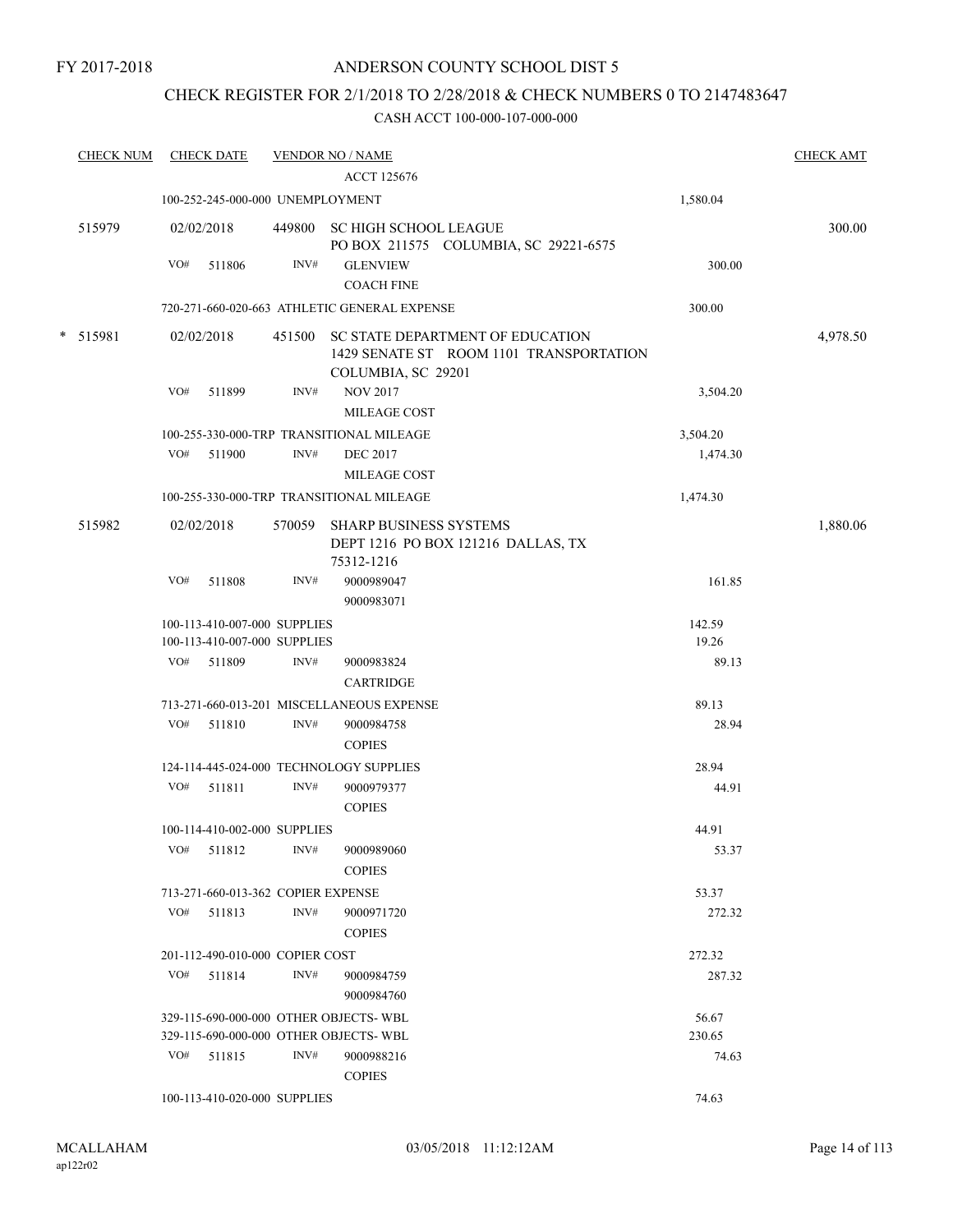# CHECK REGISTER FOR 2/1/2018 TO 2/28/2018 & CHECK NUMBERS 0 TO 2147483647

| <b>CHECK NUM</b> |     | <b>CHECK DATE</b>                  |        | <b>VENDOR NO / NAME</b>                                                                           |          | <b>CHECK AMT</b> |
|------------------|-----|------------------------------------|--------|---------------------------------------------------------------------------------------------------|----------|------------------|
|                  |     |                                    |        | <b>ACCT 125676</b>                                                                                |          |                  |
|                  |     | 100-252-245-000-000 UNEMPLOYMENT   |        |                                                                                                   | 1,580.04 |                  |
| 515979           |     | 02/02/2018                         |        | 449800 SC HIGH SCHOOL LEAGUE<br>PO BOX 211575 COLUMBIA, SC 29221-6575                             |          | 300.00           |
|                  | VO# | 511806                             | INV#   | <b>GLENVIEW</b>                                                                                   | 300.00   |                  |
|                  |     |                                    |        | <b>COACH FINE</b>                                                                                 |          |                  |
|                  |     |                                    |        | 720-271-660-020-663 ATHLETIC GENERAL EXPENSE                                                      | 300.00   |                  |
| * 515981         |     | 02/02/2018                         | 451500 | SC STATE DEPARTMENT OF EDUCATION<br>1429 SENATE ST ROOM 1101 TRANSPORTATION<br>COLUMBIA, SC 29201 |          | 4,978.50         |
|                  | VO# | 511899                             | INV#   | <b>NOV 2017</b>                                                                                   | 3,504.20 |                  |
|                  |     |                                    |        | MILEAGE COST                                                                                      |          |                  |
|                  |     |                                    |        | 100-255-330-000-TRP TRANSITIONAL MILEAGE                                                          | 3,504.20 |                  |
|                  |     | VO# 511900                         | INV#   | <b>DEC 2017</b>                                                                                   | 1,474.30 |                  |
|                  |     |                                    |        | <b>MILEAGE COST</b>                                                                               |          |                  |
|                  |     |                                    |        | 100-255-330-000-TRP TRANSITIONAL MILEAGE                                                          | 1,474.30 |                  |
| 515982           |     | 02/02/2018                         | 570059 | <b>SHARP BUSINESS SYSTEMS</b><br>DEPT 1216 PO BOX 121216 DALLAS, TX<br>75312-1216                 |          | 1,880.06         |
|                  | VO# | 511808                             | INV#   | 9000989047<br>9000983071                                                                          | 161.85   |                  |
|                  |     | 100-113-410-007-000 SUPPLIES       |        |                                                                                                   | 142.59   |                  |
|                  |     | 100-113-410-007-000 SUPPLIES       |        |                                                                                                   | 19.26    |                  |
|                  |     | VO# 511809                         | INV#   | 9000983824                                                                                        | 89.13    |                  |
|                  |     |                                    |        | <b>CARTRIDGE</b>                                                                                  |          |                  |
|                  |     |                                    |        | 713-271-660-013-201 MISCELLANEOUS EXPENSE                                                         | 89.13    |                  |
|                  | VO# | 511810                             | INV#   | 9000984758<br><b>COPIES</b>                                                                       | 28.94    |                  |
|                  |     |                                    |        | 124-114-445-024-000 TECHNOLOGY SUPPLIES                                                           | 28.94    |                  |
|                  |     | VO# 511811                         | INV#   | 9000979377                                                                                        | 44.91    |                  |
|                  |     |                                    |        | <b>COPIES</b>                                                                                     |          |                  |
|                  |     | 100-114-410-002-000 SUPPLIES       |        |                                                                                                   | 44.91    |                  |
|                  | VO# | 511812                             | INV#   | 9000989060                                                                                        | 53.37    |                  |
|                  |     |                                    |        | <b>COPIES</b>                                                                                     |          |                  |
|                  |     | 713-271-660-013-362 COPIER EXPENSE |        |                                                                                                   | 53.37    |                  |
|                  |     | VO# 511813                         | INV#   | 9000971720                                                                                        | 272.32   |                  |
|                  |     |                                    |        | <b>COPIES</b>                                                                                     |          |                  |
|                  |     | 201-112-490-010-000 COPIER COST    |        |                                                                                                   | 272.32   |                  |
|                  | VO# | 511814                             | INV#   | 9000984759                                                                                        | 287.32   |                  |
|                  |     |                                    |        | 9000984760                                                                                        |          |                  |
|                  |     |                                    |        | 329-115-690-000-000 OTHER OBJECTS-WBL                                                             | 56.67    |                  |
|                  |     |                                    |        | 329-115-690-000-000 OTHER OBJECTS-WBL                                                             | 230.65   |                  |
|                  | VO# | 511815                             | INV#   | 9000988216                                                                                        | 74.63    |                  |
|                  |     |                                    |        | <b>COPIES</b>                                                                                     |          |                  |
|                  |     | 100-113-410-020-000 SUPPLIES       |        |                                                                                                   | 74.63    |                  |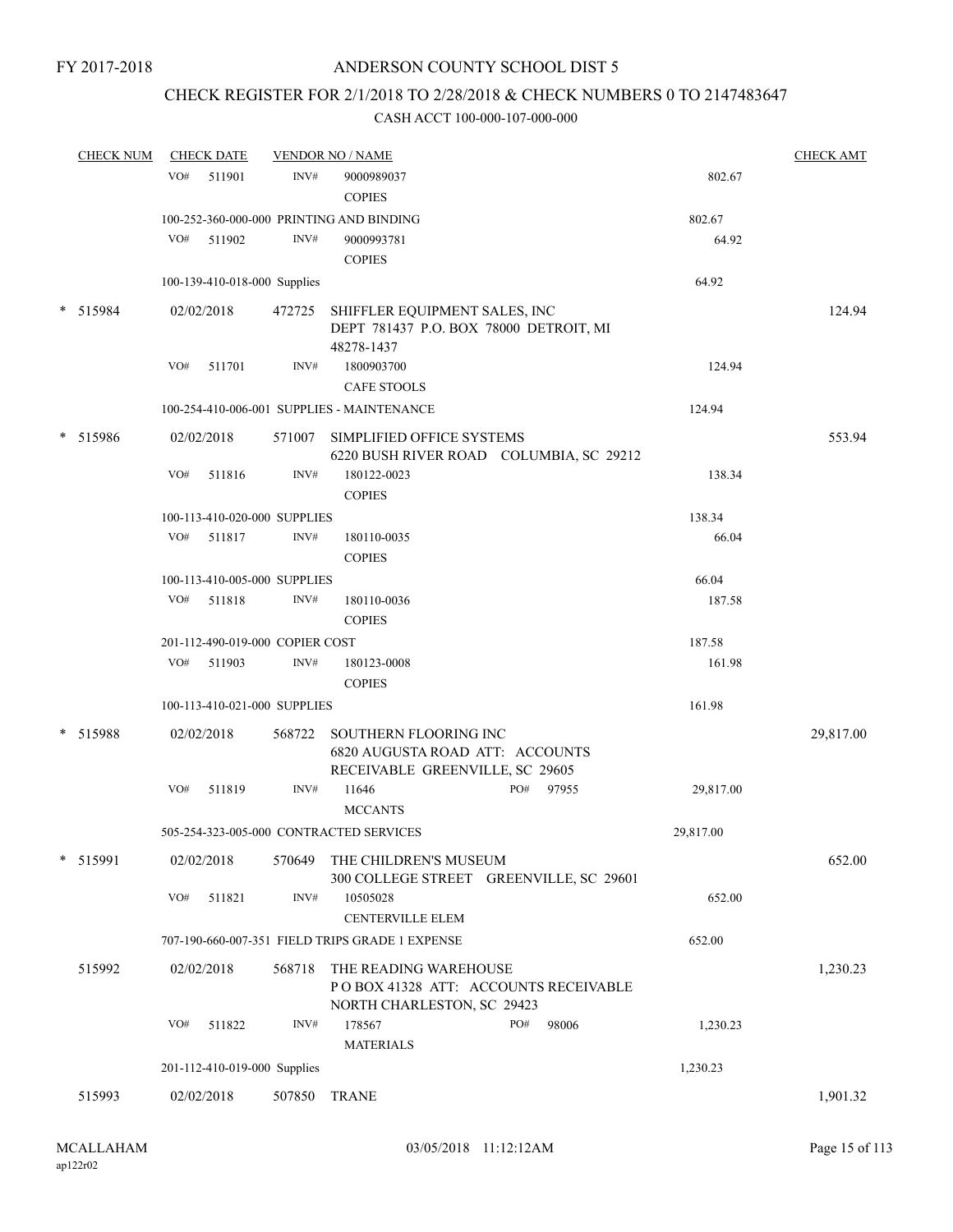# CHECK REGISTER FOR 2/1/2018 TO 2/28/2018 & CHECK NUMBERS 0 TO 2147483647

|        | <b>CHECK NUM</b> |     | <b>CHECK DATE</b>               |        | <b>VENDOR NO / NAME</b>                                                                      |                                         |           | <b>CHECK AMT</b> |
|--------|------------------|-----|---------------------------------|--------|----------------------------------------------------------------------------------------------|-----------------------------------------|-----------|------------------|
|        |                  | VO# | 511901                          | INV#   | 9000989037<br><b>COPIES</b>                                                                  |                                         | 802.67    |                  |
|        |                  |     |                                 |        | 100-252-360-000-000 PRINTING AND BINDING                                                     |                                         | 802.67    |                  |
|        |                  | VO# | 511902                          | INV#   | 9000993781                                                                                   |                                         | 64.92     |                  |
|        |                  |     |                                 |        | <b>COPIES</b>                                                                                |                                         |           |                  |
|        |                  |     | 100-139-410-018-000 Supplies    |        |                                                                                              |                                         | 64.92     |                  |
|        | * 515984         |     | 02/02/2018                      |        | 472725 SHIFFLER EQUIPMENT SALES, INC<br>DEPT 781437 P.O. BOX 78000 DETROIT, MI<br>48278-1437 |                                         |           | 124.94           |
|        |                  | VO# | 511701                          | INV#   | 1800903700                                                                                   |                                         | 124.94    |                  |
|        |                  |     |                                 |        | <b>CAFE STOOLS</b>                                                                           |                                         |           |                  |
|        |                  |     |                                 |        | 100-254-410-006-001 SUPPLIES - MAINTENANCE                                                   |                                         | 124.94    |                  |
|        | * 515986         |     | 02/02/2018                      |        | 571007 SIMPLIFIED OFFICE SYSTEMS                                                             | 6220 BUSH RIVER ROAD COLUMBIA, SC 29212 |           | 553.94           |
|        |                  | VO# | 511816                          | INV#   | 180122-0023<br><b>COPIES</b>                                                                 |                                         | 138.34    |                  |
|        |                  |     | 100-113-410-020-000 SUPPLIES    |        |                                                                                              |                                         | 138.34    |                  |
|        |                  | VO# | 511817                          | INV#   | 180110-0035                                                                                  |                                         | 66.04     |                  |
|        |                  |     |                                 |        | <b>COPIES</b>                                                                                |                                         |           |                  |
|        |                  |     | 100-113-410-005-000 SUPPLIES    |        |                                                                                              |                                         | 66.04     |                  |
|        |                  |     | VO# 511818                      | INV#   | 180110-0036                                                                                  |                                         | 187.58    |                  |
|        |                  |     |                                 |        | <b>COPIES</b>                                                                                |                                         |           |                  |
|        |                  |     | 201-112-490-019-000 COPIER COST |        |                                                                                              |                                         | 187.58    |                  |
|        |                  | VO# | 511903                          | INV#   | 180123-0008<br><b>COPIES</b>                                                                 |                                         | 161.98    |                  |
|        |                  |     | 100-113-410-021-000 SUPPLIES    |        |                                                                                              |                                         | 161.98    |                  |
| $\ast$ | 515988           |     | 02/02/2018                      | 568722 | SOUTHERN FLOORING INC<br>6820 AUGUSTA ROAD ATT: ACCOUNTS<br>RECEIVABLE GREENVILLE, SC 29605  |                                         |           | 29,817.00        |
|        |                  | VO# | 511819                          | INV#   | 11646<br><b>MCCANTS</b>                                                                      | PO#<br>97955                            | 29,817.00 |                  |
|        |                  |     |                                 |        | 505-254-323-005-000 CONTRACTED SERVICES                                                      |                                         | 29,817.00 |                  |
|        | * 515991         |     | 02/02/2018                      | 570649 | THE CHILDREN'S MUSEUM                                                                        | 300 COLLEGE STREET GREENVILLE, SC 29601 |           | 652.00           |
|        |                  | VO# | 511821                          | INV#   | 10505028<br><b>CENTERVILLE ELEM</b>                                                          |                                         | 652.00    |                  |
|        |                  |     |                                 |        | 707-190-660-007-351 FIELD TRIPS GRADE 1 EXPENSE                                              |                                         | 652.00    |                  |
|        | 515992           |     | 02/02/2018                      | 568718 | THE READING WAREHOUSE                                                                        |                                         |           | 1,230.23         |
|        |                  |     |                                 |        | NORTH CHARLESTON, SC 29423                                                                   | POBOX 41328 ATT: ACCOUNTS RECEIVABLE    |           |                  |
|        |                  | VO# | 511822                          | INV#   | 178567<br><b>MATERIALS</b>                                                                   | PO#<br>98006                            | 1,230.23  |                  |
|        |                  |     | 201-112-410-019-000 Supplies    |        |                                                                                              |                                         | 1,230.23  |                  |
|        | 515993           |     | 02/02/2018                      | 507850 | <b>TRANE</b>                                                                                 |                                         |           | 1,901.32         |
|        |                  |     |                                 |        |                                                                                              |                                         |           |                  |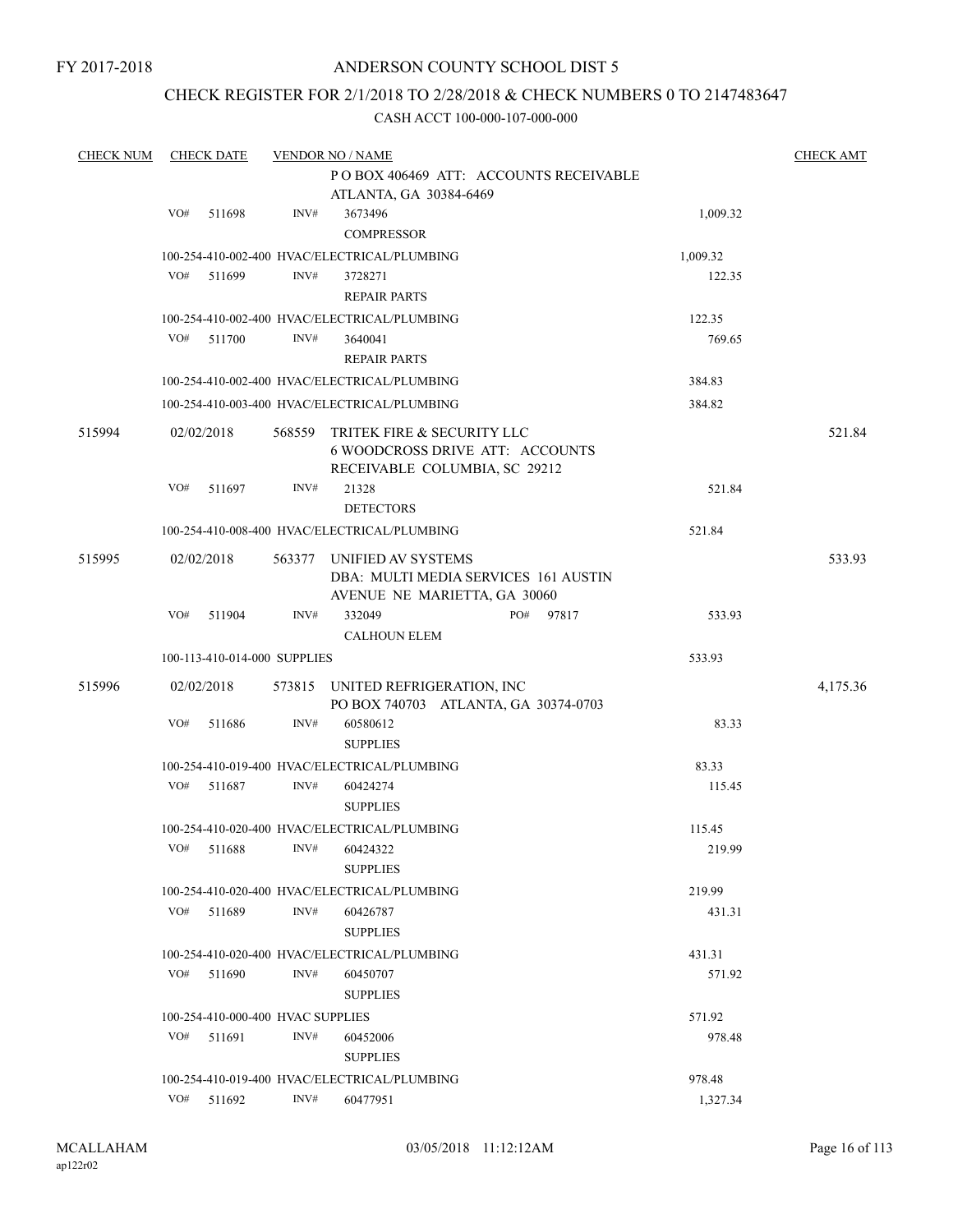# ANDERSON COUNTY SCHOOL DIST 5

# CHECK REGISTER FOR 2/1/2018 TO 2/28/2018 & CHECK NUMBERS 0 TO 2147483647

| <b>CHECK NUM</b> |     | <b>CHECK DATE</b> |                                   | <b>VENDOR NO / NAME</b>                                              |     |       |          | <b>CHECK AMT</b> |
|------------------|-----|-------------------|-----------------------------------|----------------------------------------------------------------------|-----|-------|----------|------------------|
|                  |     |                   |                                   | POBOX 406469 ATT: ACCOUNTS RECEIVABLE                                |     |       |          |                  |
|                  |     |                   |                                   | ATLANTA, GA 30384-6469                                               |     |       |          |                  |
|                  | VO# | 511698            | INV#                              | 3673496                                                              |     |       | 1,009.32 |                  |
|                  |     |                   |                                   | <b>COMPRESSOR</b>                                                    |     |       |          |                  |
|                  |     |                   |                                   | 100-254-410-002-400 HVAC/ELECTRICAL/PLUMBING                         |     |       | 1,009.32 |                  |
|                  | VO# | 511699            | INV#                              | 3728271                                                              |     |       | 122.35   |                  |
|                  |     |                   |                                   | <b>REPAIR PARTS</b>                                                  |     |       |          |                  |
|                  |     |                   |                                   | 100-254-410-002-400 HVAC/ELECTRICAL/PLUMBING                         |     |       | 122.35   |                  |
|                  | VO# | 511700            | INV#                              | 3640041                                                              |     |       | 769.65   |                  |
|                  |     |                   |                                   |                                                                      |     |       |          |                  |
|                  |     |                   |                                   | <b>REPAIR PARTS</b>                                                  |     |       |          |                  |
|                  |     |                   |                                   | 100-254-410-002-400 HVAC/ELECTRICAL/PLUMBING                         |     |       | 384.83   |                  |
|                  |     |                   |                                   | 100-254-410-003-400 HVAC/ELECTRICAL/PLUMBING                         |     |       | 384.82   |                  |
| 515994           |     | 02/02/2018        |                                   | 568559 TRITEK FIRE & SECURITY LLC                                    |     |       |          | 521.84           |
|                  |     |                   |                                   | <b>6 WOODCROSS DRIVE ATT: ACCOUNTS</b>                               |     |       |          |                  |
|                  |     |                   |                                   | RECEIVABLE COLUMBIA, SC 29212                                        |     |       |          |                  |
|                  | VO# | 511697            | INV#                              | 21328                                                                |     |       | 521.84   |                  |
|                  |     |                   |                                   | <b>DETECTORS</b>                                                     |     |       |          |                  |
|                  |     |                   |                                   | 100-254-410-008-400 HVAC/ELECTRICAL/PLUMBING                         |     |       | 521.84   |                  |
|                  |     |                   |                                   |                                                                      |     |       |          |                  |
| 515995           |     | 02/02/2018        |                                   | 563377 UNIFIED AV SYSTEMS                                            |     |       |          | 533.93           |
|                  |     |                   |                                   | DBA: MULTI MEDIA SERVICES 161 AUSTIN<br>AVENUE NE MARIETTA, GA 30060 |     |       |          |                  |
|                  | VO# | 511904            | INV#                              | 332049                                                               | PO# | 97817 | 533.93   |                  |
|                  |     |                   |                                   |                                                                      |     |       |          |                  |
|                  |     |                   |                                   | <b>CALHOUN ELEM</b>                                                  |     |       |          |                  |
|                  |     |                   | 100-113-410-014-000 SUPPLIES      |                                                                      |     |       | 533.93   |                  |
| 515996           |     | 02/02/2018        |                                   | 573815 UNITED REFRIGERATION, INC                                     |     |       |          | 4,175.36         |
|                  |     |                   |                                   | PO BOX 740703 ATLANTA, GA 30374-0703                                 |     |       |          |                  |
|                  | VO# | 511686            | INV#                              | 60580612                                                             |     |       | 83.33    |                  |
|                  |     |                   |                                   | <b>SUPPLIES</b>                                                      |     |       |          |                  |
|                  |     |                   |                                   | 100-254-410-019-400 HVAC/ELECTRICAL/PLUMBING                         |     |       | 83.33    |                  |
|                  | VO# | 511687            | INV#                              | 60424274                                                             |     |       | 115.45   |                  |
|                  |     |                   |                                   | <b>SUPPLIES</b>                                                      |     |       |          |                  |
|                  |     |                   |                                   | 100-254-410-020-400 HVAC/ELECTRICAL/PLUMBING                         |     |       | 115.45   |                  |
|                  | VO# | 511688            |                                   | INV# 60424322                                                        |     |       | 219.99   |                  |
|                  |     |                   |                                   | <b>SUPPLIES</b>                                                      |     |       |          |                  |
|                  |     |                   |                                   | 100-254-410-020-400 HVAC/ELECTRICAL/PLUMBING                         |     |       | 219.99   |                  |
|                  | VO# | 511689            | INV#                              | 60426787                                                             |     |       | 431.31   |                  |
|                  |     |                   |                                   | <b>SUPPLIES</b>                                                      |     |       |          |                  |
|                  |     |                   |                                   |                                                                      |     |       |          |                  |
|                  |     |                   |                                   | 100-254-410-020-400 HVAC/ELECTRICAL/PLUMBING                         |     |       | 431.31   |                  |
|                  | VO# | 511690            | INV#                              | 60450707                                                             |     |       | 571.92   |                  |
|                  |     |                   |                                   | <b>SUPPLIES</b>                                                      |     |       |          |                  |
|                  |     |                   | 100-254-410-000-400 HVAC SUPPLIES |                                                                      |     |       | 571.92   |                  |
|                  | VO# | 511691            | INV#                              | 60452006                                                             |     |       | 978.48   |                  |
|                  |     |                   |                                   | <b>SUPPLIES</b>                                                      |     |       |          |                  |
|                  |     |                   |                                   | 100-254-410-019-400 HVAC/ELECTRICAL/PLUMBING                         |     |       | 978.48   |                  |
|                  | VO# | 511692            | $\text{INV}\#$                    | 60477951                                                             |     |       | 1,327.34 |                  |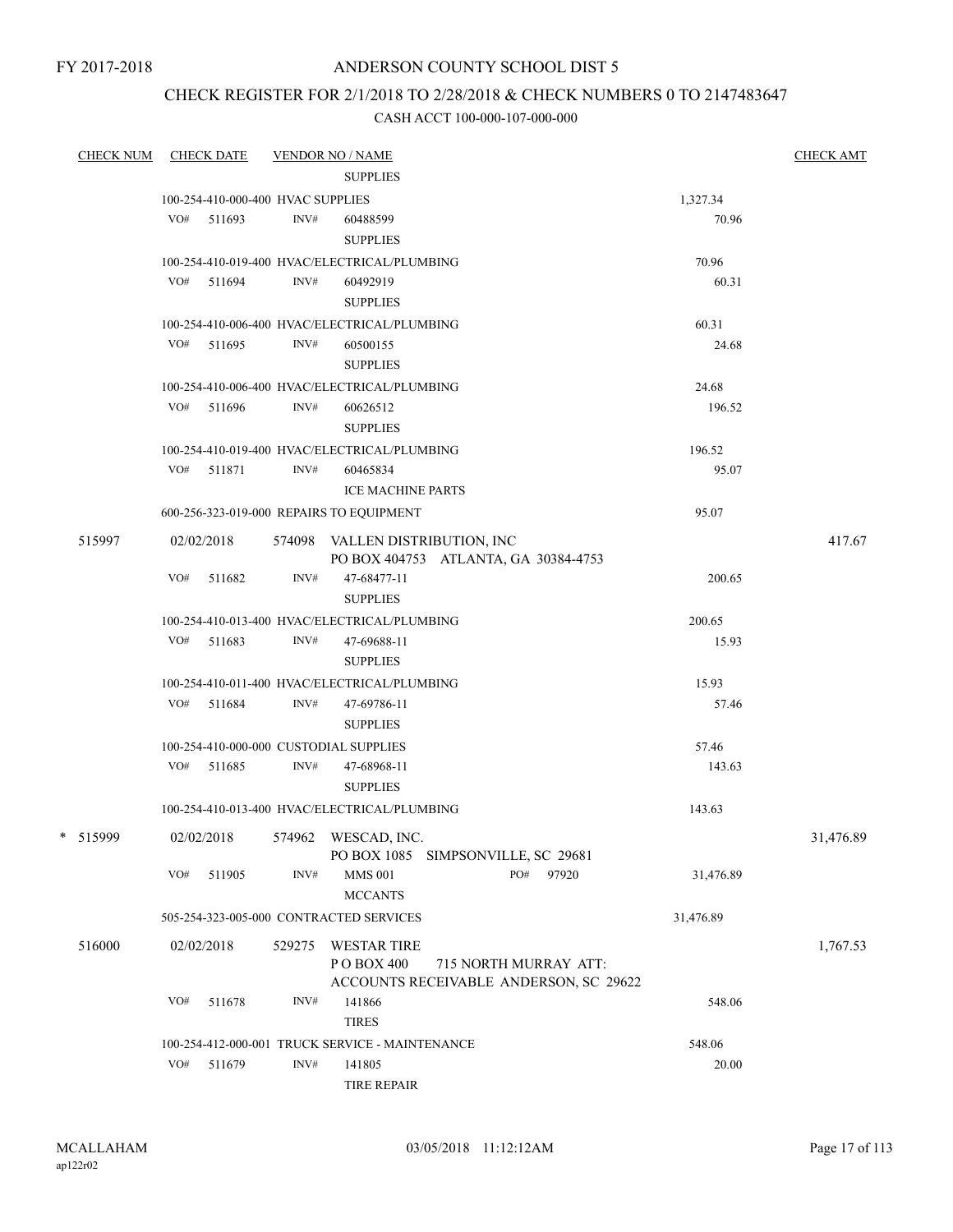# ANDERSON COUNTY SCHOOL DIST 5

# CHECK REGISTER FOR 2/1/2018 TO 2/28/2018 & CHECK NUMBERS 0 TO 2147483647

|          | <b>CHECK NUM</b> |     | <b>CHECK DATE</b>                 |        | <b>VENDOR NO / NAME</b>                                                 |                       |           | <b>CHECK AMT</b> |
|----------|------------------|-----|-----------------------------------|--------|-------------------------------------------------------------------------|-----------------------|-----------|------------------|
|          |                  |     |                                   |        | <b>SUPPLIES</b>                                                         |                       |           |                  |
|          |                  |     | 100-254-410-000-400 HVAC SUPPLIES |        |                                                                         |                       | 1,327.34  |                  |
|          |                  |     | VO# 511693                        | INV#   | 60488599                                                                |                       | 70.96     |                  |
|          |                  |     |                                   |        | <b>SUPPLIES</b>                                                         |                       |           |                  |
|          |                  |     |                                   |        | 100-254-410-019-400 HVAC/ELECTRICAL/PLUMBING                            |                       | 70.96     |                  |
|          |                  |     | VO# 511694                        | INV#   | 60492919                                                                |                       | 60.31     |                  |
|          |                  |     |                                   |        | <b>SUPPLIES</b>                                                         |                       |           |                  |
|          |                  |     |                                   |        | 100-254-410-006-400 HVAC/ELECTRICAL/PLUMBING                            |                       | 60.31     |                  |
|          |                  |     | VO# 511695                        | INV#   | 60500155                                                                |                       | 24.68     |                  |
|          |                  |     |                                   |        | <b>SUPPLIES</b>                                                         |                       |           |                  |
|          |                  |     |                                   |        | 100-254-410-006-400 HVAC/ELECTRICAL/PLUMBING                            |                       | 24.68     |                  |
|          |                  |     | VO# 511696                        | INV#   | 60626512                                                                |                       | 196.52    |                  |
|          |                  |     |                                   |        | <b>SUPPLIES</b>                                                         |                       |           |                  |
|          |                  |     |                                   |        | 100-254-410-019-400 HVAC/ELECTRICAL/PLUMBING                            |                       | 196.52    |                  |
|          |                  |     | VO# 511871                        | INV#   | 60465834                                                                |                       | 95.07     |                  |
|          |                  |     |                                   |        | <b>ICE MACHINE PARTS</b>                                                |                       |           |                  |
|          |                  |     |                                   |        | 600-256-323-019-000 REPAIRS TO EQUIPMENT                                |                       | 95.07     |                  |
|          | 515997           |     | 02/02/2018                        |        | 574098 VALLEN DISTRIBUTION, INC<br>PO BOX 404753 ATLANTA, GA 30384-4753 |                       |           | 417.67           |
|          |                  | VO# | 511682                            | INV#   | 47-68477-11                                                             |                       | 200.65    |                  |
|          |                  |     |                                   |        | <b>SUPPLIES</b>                                                         |                       |           |                  |
|          |                  |     |                                   |        | 100-254-410-013-400 HVAC/ELECTRICAL/PLUMBING                            |                       | 200.65    |                  |
|          |                  |     | $VO#$ 511683                      | INV#   | 47-69688-11                                                             |                       | 15.93     |                  |
|          |                  |     |                                   |        | <b>SUPPLIES</b>                                                         |                       |           |                  |
|          |                  |     |                                   |        | 100-254-410-011-400 HVAC/ELECTRICAL/PLUMBING                            |                       | 15.93     |                  |
|          |                  | VO# | 511684                            | INV#   | 47-69786-11                                                             |                       | 57.46     |                  |
|          |                  |     |                                   |        | <b>SUPPLIES</b>                                                         |                       |           |                  |
|          |                  |     |                                   |        | 100-254-410-000-000 CUSTODIAL SUPPLIES                                  |                       | 57.46     |                  |
|          |                  |     | VO# 511685                        | INV#   | 47-68968-11                                                             |                       | 143.63    |                  |
|          |                  |     |                                   |        | <b>SUPPLIES</b>                                                         |                       |           |                  |
|          |                  |     |                                   |        | 100-254-410-013-400 HVAC/ELECTRICAL/PLUMBING                            |                       | 143.63    |                  |
| * 515999 |                  |     | 02/02/2018                        |        | 574962 WESCAD, INC.<br>PO BOX 1085 SIMPSONVILLE, SC 29681               |                       |           | 31.476.89        |
|          |                  | VO# | 511905                            | INV#   | <b>MMS 001</b>                                                          | PO#<br>97920          | 31,476.89 |                  |
|          |                  |     |                                   |        | <b>MCCANTS</b>                                                          |                       |           |                  |
|          |                  |     |                                   |        | 505-254-323-005-000 CONTRACTED SERVICES                                 |                       | 31,476.89 |                  |
|          | 516000           |     | 02/02/2018                        | 529275 | <b>WESTAR TIRE</b>                                                      |                       |           | 1,767.53         |
|          |                  |     |                                   |        | PO BOX 400<br>ACCOUNTS RECEIVABLE ANDERSON, SC 29622                    | 715 NORTH MURRAY ATT: |           |                  |
|          |                  | VO# | 511678                            | INV#   | 141866                                                                  |                       | 548.06    |                  |
|          |                  |     |                                   |        | <b>TIRES</b>                                                            |                       |           |                  |
|          |                  |     |                                   |        | 100-254-412-000-001 TRUCK SERVICE - MAINTENANCE                         |                       | 548.06    |                  |
|          |                  | VO# | 511679                            | INV#   | 141805                                                                  |                       | 20.00     |                  |
|          |                  |     |                                   |        | <b>TIRE REPAIR</b>                                                      |                       |           |                  |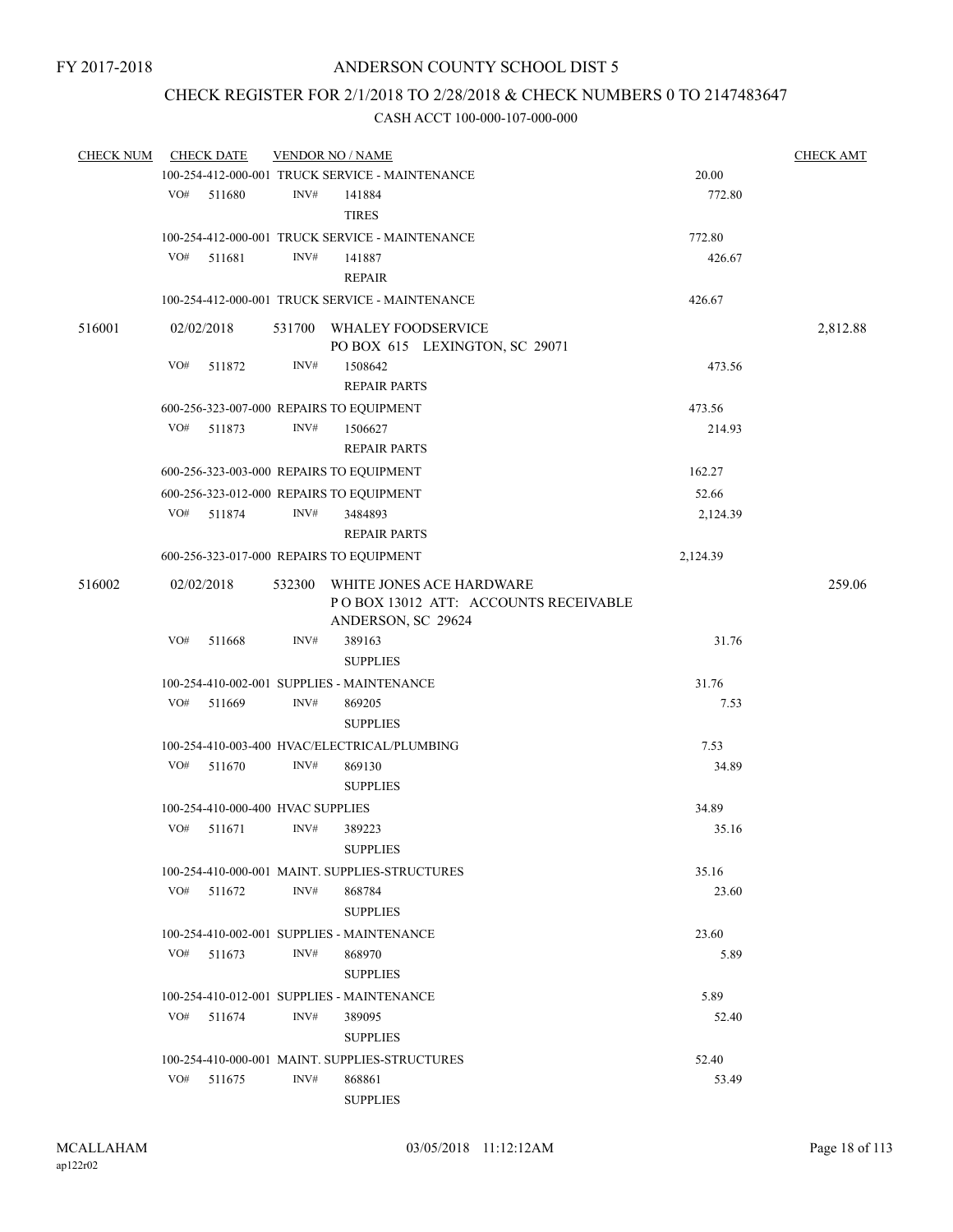# CHECK REGISTER FOR 2/1/2018 TO 2/28/2018 & CHECK NUMBERS 0 TO 2147483647

| <b>CHECK NUM</b> | <b>CHECK DATE</b>                 |        |        | <b>VENDOR NO / NAME</b>                                                                |                | <b>CHECK AMT</b> |
|------------------|-----------------------------------|--------|--------|----------------------------------------------------------------------------------------|----------------|------------------|
|                  |                                   |        |        | 100-254-412-000-001 TRUCK SERVICE - MAINTENANCE                                        | 20.00          |                  |
|                  | VO#                               | 511680 | INV#   | 141884                                                                                 | 772.80         |                  |
|                  |                                   |        |        | <b>TIRES</b>                                                                           |                |                  |
|                  |                                   |        |        | 100-254-412-000-001 TRUCK SERVICE - MAINTENANCE                                        | 772.80         |                  |
|                  | VO#                               | 511681 | INV#   | 141887                                                                                 | 426.67         |                  |
|                  |                                   |        |        | <b>REPAIR</b>                                                                          |                |                  |
|                  |                                   |        |        | 100-254-412-000-001 TRUCK SERVICE - MAINTENANCE                                        | 426.67         |                  |
| 516001           | 02/02/2018                        |        |        | 531700 WHALEY FOODSERVICE<br>PO BOX 615 LEXINGTON, SC 29071                            |                | 2,812.88         |
|                  | VO#                               | 511872 | INV#   | 1508642                                                                                | 473.56         |                  |
|                  |                                   |        |        | <b>REPAIR PARTS</b>                                                                    |                |                  |
|                  |                                   |        |        | 600-256-323-007-000 REPAIRS TO EQUIPMENT                                               | 473.56         |                  |
|                  | VO#                               | 511873 | INV#   | 1506627                                                                                | 214.93         |                  |
|                  |                                   |        |        | <b>REPAIR PARTS</b>                                                                    |                |                  |
|                  |                                   |        |        | 600-256-323-003-000 REPAIRS TO EQUIPMENT                                               | 162.27         |                  |
|                  |                                   |        |        |                                                                                        |                |                  |
|                  |                                   |        |        | 600-256-323-012-000 REPAIRS TO EQUIPMENT                                               | 52.66          |                  |
|                  | VO#                               | 511874 | INV#   | 3484893                                                                                | 2,124.39       |                  |
|                  |                                   |        |        | <b>REPAIR PARTS</b>                                                                    |                |                  |
|                  |                                   |        |        | 600-256-323-017-000 REPAIRS TO EQUIPMENT                                               | 2,124.39       |                  |
| 516002           | 02/02/2018                        |        | 532300 | WHITE JONES ACE HARDWARE<br>POBOX 13012 ATT: ACCOUNTS RECEIVABLE<br>ANDERSON, SC 29624 |                | 259.06           |
|                  | VO#                               | 511668 | INV#   | 389163                                                                                 | 31.76          |                  |
|                  |                                   |        |        | <b>SUPPLIES</b>                                                                        |                |                  |
|                  |                                   |        |        | 100-254-410-002-001 SUPPLIES - MAINTENANCE                                             | 31.76          |                  |
|                  | VO#                               | 511669 | INV#   | 869205                                                                                 | 7.53           |                  |
|                  |                                   |        |        | <b>SUPPLIES</b>                                                                        |                |                  |
|                  |                                   |        |        |                                                                                        |                |                  |
|                  |                                   |        |        | 100-254-410-003-400 HVAC/ELECTRICAL/PLUMBING                                           | 7.53           |                  |
|                  | VO#                               | 511670 | INV#   | 869130                                                                                 | 34.89          |                  |
|                  |                                   |        |        | <b>SUPPLIES</b>                                                                        |                |                  |
|                  | 100-254-410-000-400 HVAC SUPPLIES |        |        |                                                                                        | 34.89          |                  |
|                  | VO#                               | 511671 | INV#   | 389223                                                                                 | 35.16          |                  |
|                  |                                   |        |        | <b>SUPPLIES</b>                                                                        |                |                  |
|                  |                                   |        |        | 100-254-410-000-001 MAINT. SUPPLIES-STRUCTURES                                         | 35.16          |                  |
|                  | VO# 511672                        |        | INV#   | 868784                                                                                 | 23.60          |                  |
|                  |                                   |        |        | <b>SUPPLIES</b>                                                                        |                |                  |
|                  |                                   |        |        | 100-254-410-002-001 SUPPLIES - MAINTENANCE                                             | 23.60          |                  |
|                  | VO#                               | 511673 | INV#   | 868970                                                                                 | 5.89           |                  |
|                  |                                   |        |        | <b>SUPPLIES</b>                                                                        |                |                  |
|                  |                                   |        |        | 100-254-410-012-001 SUPPLIES - MAINTENANCE                                             | 5.89           |                  |
|                  | VO#                               | 511674 | INV#   | 389095                                                                                 | 52.40          |                  |
|                  |                                   |        |        | <b>SUPPLIES</b>                                                                        |                |                  |
|                  |                                   |        |        |                                                                                        |                |                  |
|                  | VO# 511675                        |        | INV#   | 100-254-410-000-001 MAINT. SUPPLIES-STRUCTURES<br>868861                               | 52.40<br>53.49 |                  |
|                  |                                   |        |        |                                                                                        |                |                  |
|                  |                                   |        |        | <b>SUPPLIES</b>                                                                        |                |                  |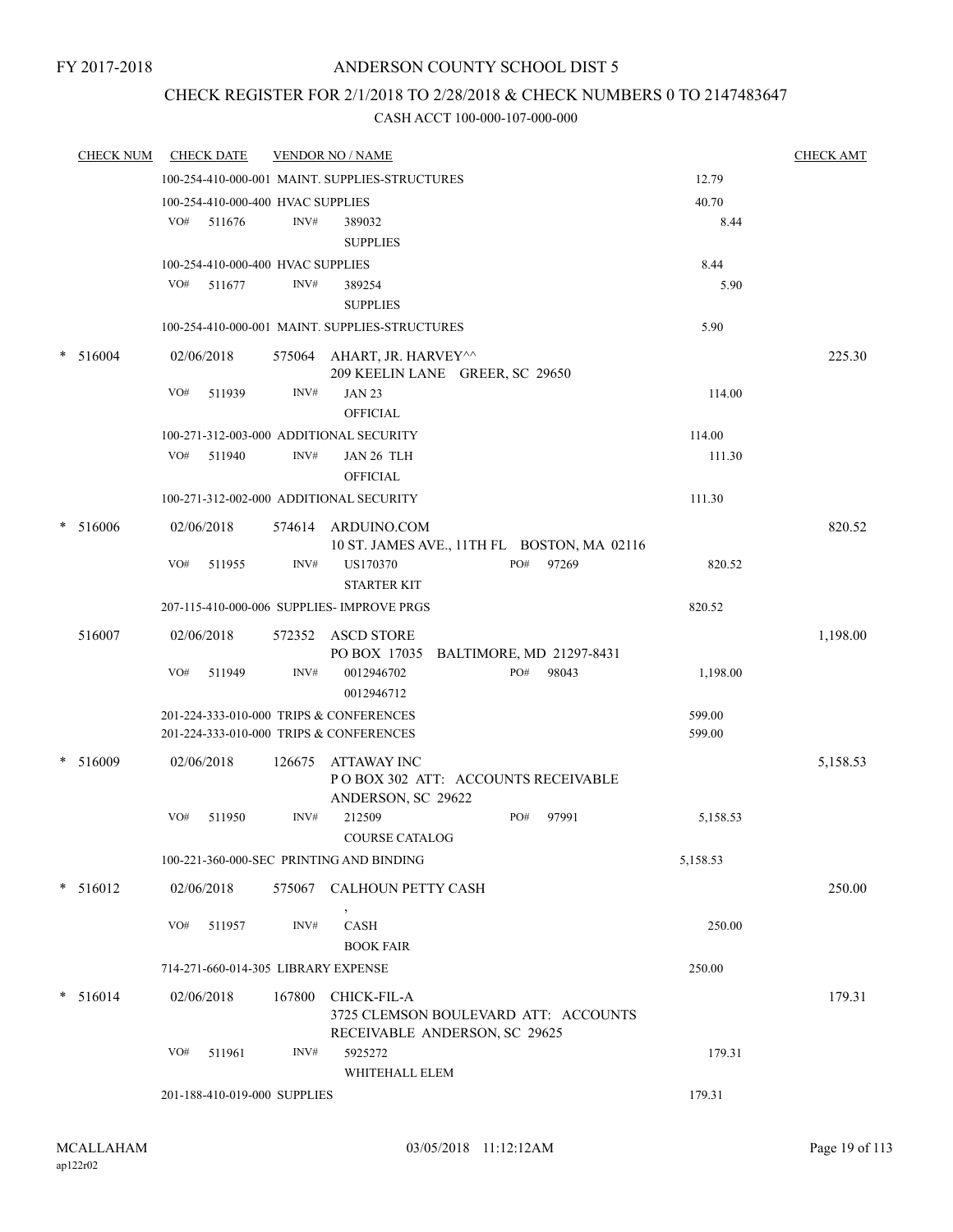# CHECK REGISTER FOR 2/1/2018 TO 2/28/2018 & CHECK NUMBERS 0 TO 2147483647

|   | <b>CHECK NUM</b> |     | <b>CHECK DATE</b>                   |        | <b>VENDOR NO / NAME</b>                                                              |          | <b>CHECK AMT</b> |
|---|------------------|-----|-------------------------------------|--------|--------------------------------------------------------------------------------------|----------|------------------|
|   |                  |     |                                     |        | 100-254-410-000-001 MAINT. SUPPLIES-STRUCTURES                                       | 12.79    |                  |
|   |                  |     | 100-254-410-000-400 HVAC SUPPLIES   |        |                                                                                      | 40.70    |                  |
|   |                  | VO# | 511676                              | INV#   | 389032                                                                               | 8.44     |                  |
|   |                  |     |                                     |        | <b>SUPPLIES</b>                                                                      |          |                  |
|   |                  |     | 100-254-410-000-400 HVAC SUPPLIES   |        |                                                                                      | 8.44     |                  |
|   |                  | VO# | 511677                              | INV#   | 389254                                                                               | 5.90     |                  |
|   |                  |     |                                     |        | <b>SUPPLIES</b>                                                                      |          |                  |
|   |                  |     |                                     |        | 100-254-410-000-001 MAINT. SUPPLIES-STRUCTURES                                       | 5.90     |                  |
|   | $* 516004$       |     | 02/06/2018                          |        | 575064 AHART, JR. HARVEY^^<br>209 KEELIN LANE GREER, SC 29650                        |          | 225.30           |
|   |                  | VO# | 511939                              | INV#   | <b>JAN 23</b><br><b>OFFICIAL</b>                                                     | 114.00   |                  |
|   |                  |     |                                     |        | 100-271-312-003-000 ADDITIONAL SECURITY                                              | 114.00   |                  |
|   |                  | VO# | 511940                              | INV#   | JAN 26 TLH<br><b>OFFICIAL</b>                                                        | 111.30   |                  |
|   |                  |     |                                     |        | 100-271-312-002-000 ADDITIONAL SECURITY                                              | 111.30   |                  |
| * | 516006           |     | 02/06/2018                          |        | 574614 ARDUINO.COM<br>10 ST. JAMES AVE., 11TH FL BOSTON, MA 02116                    |          | 820.52           |
|   |                  | VO# | 511955                              | INV#   | PO#<br>97269<br>US170370<br><b>STARTER KIT</b>                                       | 820.52   |                  |
|   |                  |     |                                     |        | 207-115-410-000-006 SUPPLIES- IMPROVE PRGS                                           | 820.52   |                  |
|   | 516007           |     | 02/06/2018                          |        | 572352 ASCD STORE<br>PO BOX 17035 BALTIMORE, MD 21297-8431                           |          | 1,198.00         |
|   |                  | VO# | 511949                              | INV#   | 0012946702<br>PO#<br>98043<br>0012946712                                             | 1,198.00 |                  |
|   |                  |     |                                     |        | 201-224-333-010-000 TRIPS & CONFERENCES                                              | 599.00   |                  |
|   |                  |     |                                     |        | 201-224-333-010-000 TRIPS & CONFERENCES                                              | 599.00   |                  |
|   | $*$ 516009       |     | 02/06/2018                          | 126675 | ATTAWAY INC<br>POBOX 302 ATT: ACCOUNTS RECEIVABLE                                    |          | 5,158.53         |
|   |                  | VO# | 511950                              | INV#   | ANDERSON, SC 29622<br>212509<br>PO#<br>97991                                         | 5,158.53 |                  |
|   |                  |     |                                     |        | <b>COURSE CATALOG</b>                                                                |          |                  |
|   |                  |     |                                     |        | 100-221-360-000-SEC PRINTING AND BINDING                                             | 5,158.53 |                  |
|   | * 516012         |     | 02/06/2018                          |        | 575067 CALHOUN PETTY CASH                                                            |          | 250.00           |
|   |                  | VO# | 511957                              | INV#   | $\mbox{CASH}$<br><b>BOOK FAIR</b>                                                    | 250.00   |                  |
|   |                  |     | 714-271-660-014-305 LIBRARY EXPENSE |        |                                                                                      | 250.00   |                  |
|   | $* 516014$       |     | 02/06/2018                          | 167800 | CHICK-FIL-A<br>3725 CLEMSON BOULEVARD ATT: ACCOUNTS<br>RECEIVABLE ANDERSON, SC 29625 |          | 179.31           |
|   |                  | VO# | 511961                              | INV#   | 5925272<br>WHITEHALL ELEM                                                            | 179.31   |                  |
|   |                  |     | 201-188-410-019-000 SUPPLIES        |        |                                                                                      | 179.31   |                  |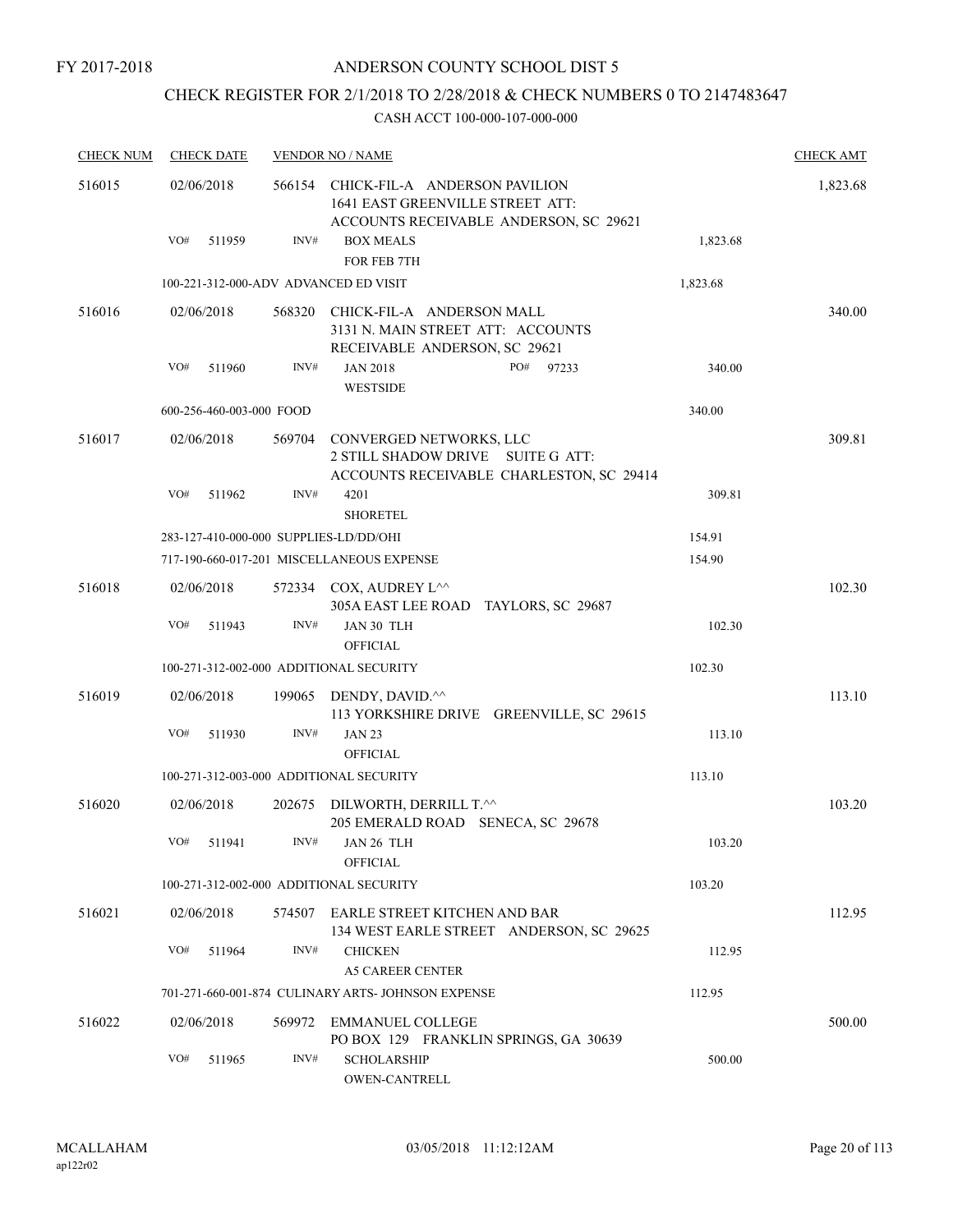# ANDERSON COUNTY SCHOOL DIST 5

# CHECK REGISTER FOR 2/1/2018 TO 2/28/2018 & CHECK NUMBERS 0 TO 2147483647

| <b>CHECK NUM</b> | <b>CHECK DATE</b>                       |        | <b>VENDOR NO / NAME</b>                                                                                     |          | <b>CHECK AMT</b> |
|------------------|-----------------------------------------|--------|-------------------------------------------------------------------------------------------------------------|----------|------------------|
| 516015           | 02/06/2018                              | 566154 | CHICK-FIL-A ANDERSON PAVILION<br>1641 EAST GREENVILLE STREET ATT:<br>ACCOUNTS RECEIVABLE ANDERSON, SC 29621 |          | 1,823.68         |
|                  | VO#<br>511959                           | INV#   | <b>BOX MEALS</b><br>FOR FEB 7TH                                                                             | 1,823.68 |                  |
|                  | 100-221-312-000-ADV ADVANCED ED VISIT   |        |                                                                                                             | 1,823.68 |                  |
| 516016           | 02/06/2018                              | 568320 | CHICK-FIL-A ANDERSON MALL<br>3131 N. MAIN STREET ATT: ACCOUNTS<br>RECEIVABLE ANDERSON, SC 29621             |          | 340.00           |
|                  | VO#<br>511960                           | INV#   | <b>JAN 2018</b><br>PO#<br>97233<br><b>WESTSIDE</b>                                                          | 340.00   |                  |
|                  | 600-256-460-003-000 FOOD                |        |                                                                                                             | 340.00   |                  |
| 516017           | 02/06/2018                              | 569704 | CONVERGED NETWORKS, LLC<br>2 STILL SHADOW DRIVE SUITE G ATT:<br>ACCOUNTS RECEIVABLE CHARLESTON, SC 29414    |          | 309.81           |
|                  | VO#<br>511962                           | INV#   | 4201<br><b>SHORETEL</b>                                                                                     | 309.81   |                  |
|                  | 283-127-410-000-000 SUPPLIES-LD/DD/OHI  |        |                                                                                                             | 154.91   |                  |
|                  |                                         |        | 717-190-660-017-201 MISCELLANEOUS EXPENSE                                                                   | 154.90   |                  |
| 516018           | 02/06/2018                              |        | 572334 COX, AUDREY L <sup>^^</sup><br>305A EAST LEE ROAD TAYLORS, SC 29687                                  |          | 102.30           |
|                  | VO#<br>511943                           | INV#   | JAN 30 TLH<br><b>OFFICIAL</b>                                                                               | 102.30   |                  |
|                  | 100-271-312-002-000 ADDITIONAL SECURITY |        |                                                                                                             | 102.30   |                  |
| 516019           | 02/06/2018                              | 199065 | DENDY, DAVID.^^<br>113 YORKSHIRE DRIVE GREENVILLE, SC 29615                                                 |          | 113.10           |
|                  | VO#<br>511930                           | INV#   | <b>JAN 23</b><br><b>OFFICIAL</b>                                                                            | 113.10   |                  |
|                  | 100-271-312-003-000 ADDITIONAL SECURITY |        |                                                                                                             | 113.10   |                  |
| 516020           | 02/06/2018                              |        | 202675 DILWORTH, DERRILL T.^^<br>205 EMERALD ROAD SENECA, SC 29678                                          |          | 103.20           |
|                  | VO#<br>511941                           |        | $INV#$ JAN 26 TLH<br><b>OFFICIAL</b>                                                                        | 103.20   |                  |
|                  | 100-271-312-002-000 ADDITIONAL SECURITY |        |                                                                                                             | 103.20   |                  |
| 516021           | 02/06/2018                              |        | 574507 EARLE STREET KITCHEN AND BAR<br>134 WEST EARLE STREET ANDERSON, SC 29625                             |          | 112.95           |
|                  | VO#<br>511964                           | INV#   | <b>CHICKEN</b><br><b>A5 CAREER CENTER</b>                                                                   | 112.95   |                  |
|                  |                                         |        | 701-271-660-001-874 CULINARY ARTS- JOHNSON EXPENSE                                                          | 112.95   |                  |
| 516022           | 02/06/2018                              | 569972 | <b>EMMANUEL COLLEGE</b><br>PO BOX 129 FRANKLIN SPRINGS, GA 30639                                            |          | 500.00           |
|                  | VO#<br>511965                           | INV#   | <b>SCHOLARSHIP</b><br><b>OWEN-CANTRELL</b>                                                                  | 500.00   |                  |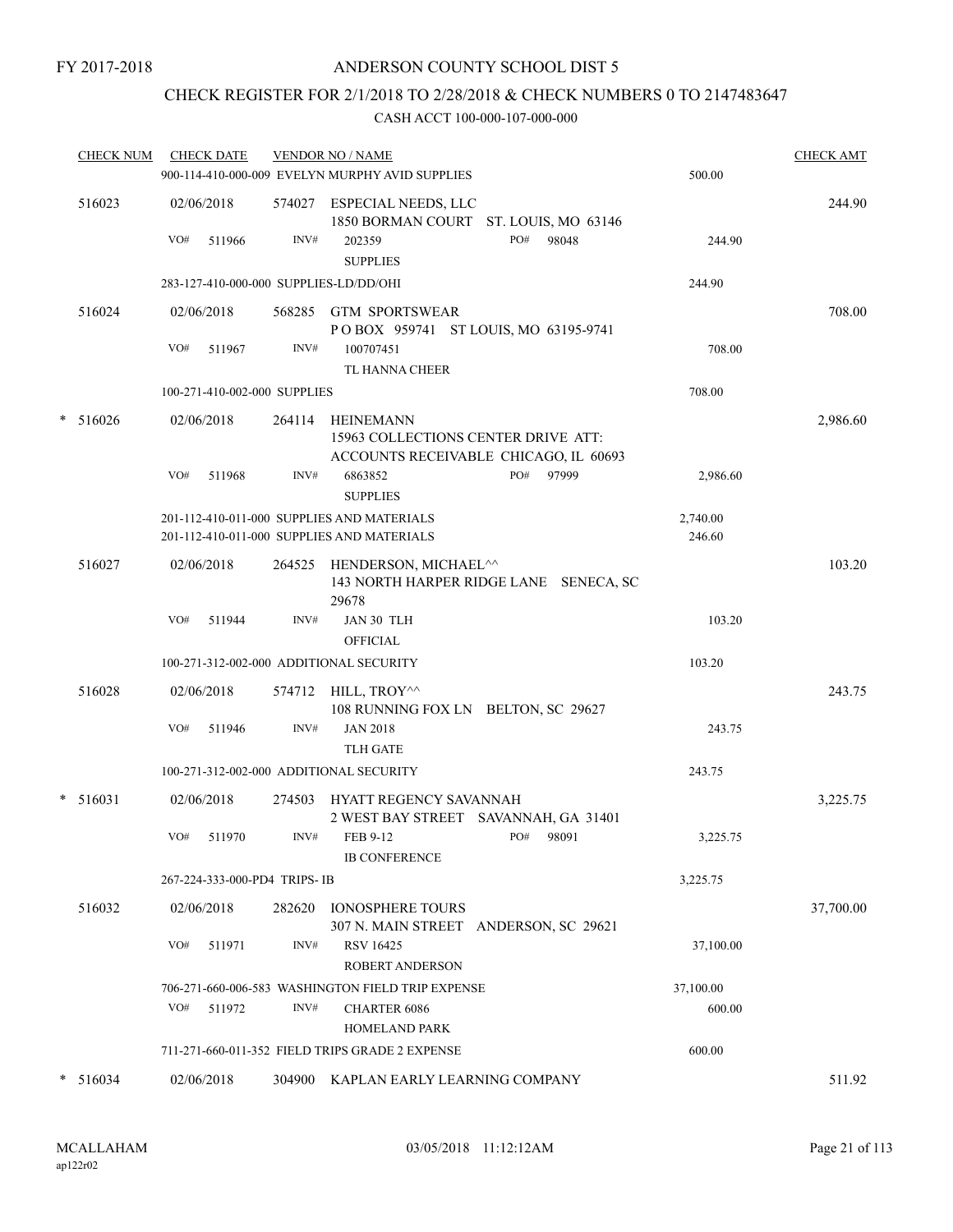# CHECK REGISTER FOR 2/1/2018 TO 2/28/2018 & CHECK NUMBERS 0 TO 2147483647

| <b>CHECK NUM</b> | <b>CHECK DATE</b>                       |                | <b>VENDOR NO / NAME</b><br>900-114-410-000-009 EVELYN MURPHY AVID SUPPLIES               |                                                       | 500.00             | <b>CHECK AMT</b> |
|------------------|-----------------------------------------|----------------|------------------------------------------------------------------------------------------|-------------------------------------------------------|--------------------|------------------|
| 516023           | 02/06/2018<br>VO#<br>511966             | 574027<br>INV# | ESPECIAL NEEDS, LLC<br>202359<br><b>SUPPLIES</b>                                         | 1850 BORMAN COURT ST. LOUIS, MO 63146<br>PO#<br>98048 | 244.90             | 244.90           |
|                  | 283-127-410-000-000 SUPPLIES-LD/DD/OHI  |                |                                                                                          |                                                       | 244.90             |                  |
| 516024           | 02/06/2018<br>VO#<br>511967             | 568285<br>INV# | <b>GTM SPORTSWEAR</b><br>POBOX 959741 ST LOUIS, MO 63195-9741<br>100707451               |                                                       | 708.00             | 708.00           |
|                  |                                         |                | TL HANNA CHEER                                                                           |                                                       |                    |                  |
|                  | 100-271-410-002-000 SUPPLIES            |                |                                                                                          |                                                       | 708.00             |                  |
| $* 516026$       | 02/06/2018                              | 264114         | HEINEMANN<br>15963 COLLECTIONS CENTER DRIVE ATT:                                         | ACCOUNTS RECEIVABLE CHICAGO, IL 60693                 |                    | 2,986.60         |
|                  | VO#<br>511968                           | INV#           | 6863852<br><b>SUPPLIES</b>                                                               | PO#<br>97999                                          | 2,986.60           |                  |
|                  |                                         |                | 201-112-410-011-000 SUPPLIES AND MATERIALS<br>201-112-410-011-000 SUPPLIES AND MATERIALS |                                                       | 2,740.00<br>246.60 |                  |
| 516027           | 02/06/2018                              | 264525         | HENDERSON, MICHAEL^^<br>29678                                                            | 143 NORTH HARPER RIDGE LANE SENECA, SC                |                    | 103.20           |
|                  | VO#<br>511944                           | INV#           | JAN 30 TLH<br><b>OFFICIAL</b>                                                            |                                                       | 103.20             |                  |
|                  | 100-271-312-002-000 ADDITIONAL SECURITY |                |                                                                                          |                                                       | 103.20             |                  |
| 516028           | 02/06/2018                              | 574712         | HILL, TROY^^<br>108 RUNNING FOX LN BELTON, SC 29627                                      |                                                       |                    | 243.75           |
|                  | VO#<br>511946                           | INV#           | <b>JAN 2018</b><br><b>TLH GATE</b>                                                       |                                                       | 243.75             |                  |
|                  | 100-271-312-002-000 ADDITIONAL SECURITY |                |                                                                                          |                                                       | 243.75             |                  |
| $*$ 516031       | 02/06/2018                              | 274503         | HYATT REGENCY SAVANNAH                                                                   | 2 WEST BAY STREET SAVANNAH, GA 31401                  |                    | 3,225.75         |
|                  | VO#<br>511970                           | INV#           | FEB 9-12<br><b>IB CONFERENCE</b>                                                         | PO#<br>98091                                          | 3,225.75           |                  |
|                  | 267-224-333-000-PD4 TRIPS-IB            |                |                                                                                          |                                                       | 3,225.75           |                  |
| 516032           | 02/06/2018                              | 282620         | <b>IONOSPHERE TOURS</b>                                                                  | 307 N. MAIN STREET ANDERSON, SC 29621                 |                    | 37,700.00        |
|                  | VO#<br>511971                           | INV#           | <b>RSV 16425</b><br><b>ROBERT ANDERSON</b>                                               |                                                       | 37,100.00          |                  |
|                  |                                         |                | 706-271-660-006-583 WASHINGTON FIELD TRIP EXPENSE                                        |                                                       | 37,100.00          |                  |
|                  | VO#<br>511972                           | INV#           | <b>CHARTER 6086</b><br><b>HOMELAND PARK</b>                                              |                                                       | 600.00             |                  |
|                  |                                         |                | 711-271-660-011-352 FIELD TRIPS GRADE 2 EXPENSE                                          |                                                       | 600.00             |                  |
| 516034           | 02/06/2018                              |                | 304900 KAPLAN EARLY LEARNING COMPANY                                                     |                                                       |                    | 511.92           |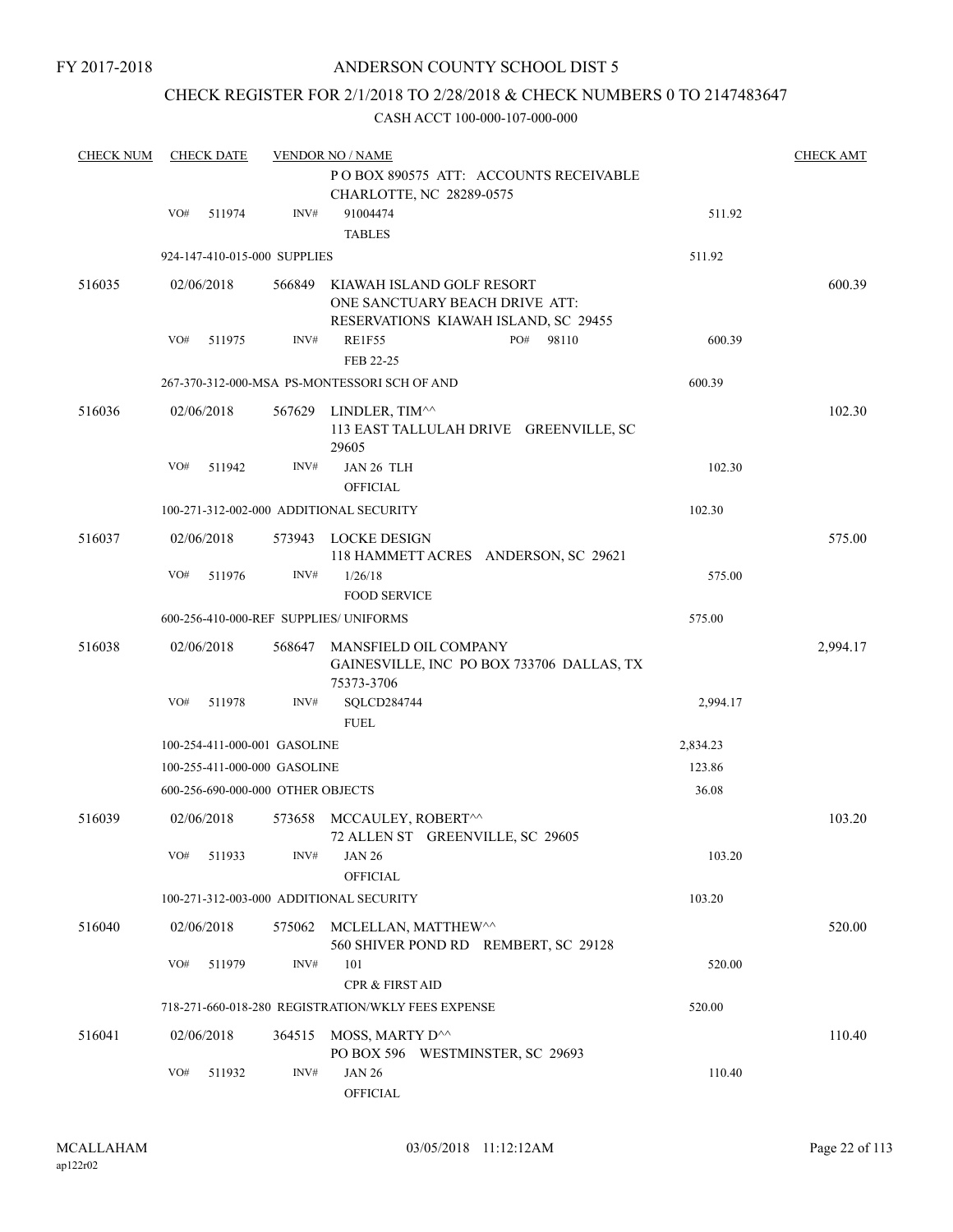# ANDERSON COUNTY SCHOOL DIST 5

# CHECK REGISTER FOR 2/1/2018 TO 2/28/2018 & CHECK NUMBERS 0 TO 2147483647

| <b>CHECK NUM</b> | <b>CHECK DATE</b>                 |                | <b>VENDOR NO / NAME</b>                                                                             |          | <b>CHECK AMT</b> |
|------------------|-----------------------------------|----------------|-----------------------------------------------------------------------------------------------------|----------|------------------|
|                  |                                   |                | PO BOX 890575 ATT: ACCOUNTS RECEIVABLE<br>CHARLOTTE, NC 28289-0575                                  |          |                  |
|                  | VO#<br>511974                     | INV#           | 91004474<br><b>TABLES</b>                                                                           | 511.92   |                  |
|                  | 924-147-410-015-000 SUPPLIES      |                |                                                                                                     | 511.92   |                  |
| 516035           | 02/06/2018                        | 566849         | KIAWAH ISLAND GOLF RESORT<br>ONE SANCTUARY BEACH DRIVE ATT:<br>RESERVATIONS KIAWAH ISLAND, SC 29455 |          | 600.39           |
|                  | VO#<br>511975                     | INV#           | PO#<br><b>RE1F55</b><br>98110<br>FEB 22-25                                                          | 600.39   |                  |
|                  |                                   |                | 267-370-312-000-MSA PS-MONTESSORI SCH OF AND                                                        | 600.39   |                  |
| 516036           | 02/06/2018                        |                | 567629 LINDLER, TIM^^<br>113 EAST TALLULAH DRIVE GREENVILLE, SC<br>29605                            |          | 102.30           |
|                  | VO#<br>511942                     | INV#           | JAN 26 TLH<br><b>OFFICIAL</b>                                                                       | 102.30   |                  |
|                  |                                   |                | 100-271-312-002-000 ADDITIONAL SECURITY                                                             | 102.30   |                  |
| 516037           | 02/06/2018                        |                | 573943 LOCKE DESIGN<br>118 HAMMETT ACRES ANDERSON, SC 29621                                         |          | 575.00           |
|                  | VO#<br>511976                     | $\text{INV}\#$ | 1/26/18<br><b>FOOD SERVICE</b>                                                                      | 575.00   |                  |
|                  |                                   |                | 600-256-410-000-REF SUPPLIES/ UNIFORMS                                                              | 575.00   |                  |
| 516038           | 02/06/2018                        | 568647         | MANSFIELD OIL COMPANY<br>GAINESVILLE, INC PO BOX 733706 DALLAS, TX<br>75373-3706                    |          | 2,994.17         |
|                  | VO#<br>511978                     | INV#           | SQLCD284744<br><b>FUEL</b>                                                                          | 2,994.17 |                  |
|                  | 100-254-411-000-001 GASOLINE      |                |                                                                                                     | 2,834.23 |                  |
|                  | 100-255-411-000-000 GASOLINE      |                |                                                                                                     | 123.86   |                  |
|                  | 600-256-690-000-000 OTHER OBJECTS |                |                                                                                                     | 36.08    |                  |
| 516039           | 02/06/2018                        | 573658         | MCCAULEY, ROBERT^^<br>72 ALLEN ST GREENVILLE, SC 29605                                              |          | 103.20           |
|                  | VO#<br>511933                     | INV#           | <b>JAN 26</b><br><b>OFFICIAL</b>                                                                    | 103.20   |                  |
|                  |                                   |                | 100-271-312-003-000 ADDITIONAL SECURITY                                                             | 103.20   |                  |
| 516040           | 02/06/2018                        | 575062         | MCLELLAN, MATTHEW^^<br>560 SHIVER POND RD REMBERT, SC 29128                                         |          | 520.00           |
|                  | VO#<br>511979                     | INV#           | 101<br><b>CPR &amp; FIRST AID</b>                                                                   | 520.00   |                  |
|                  |                                   |                | 718-271-660-018-280 REGISTRATION/WKLY FEES EXPENSE                                                  | 520.00   |                  |
| 516041           | 02/06/2018                        | 364515         | MOSS, MARTY D^^<br>PO BOX 596 WESTMINSTER, SC 29693                                                 |          | 110.40           |
|                  | VO#<br>511932                     | INV#           | <b>JAN 26</b><br>OFFICIAL                                                                           | 110.40   |                  |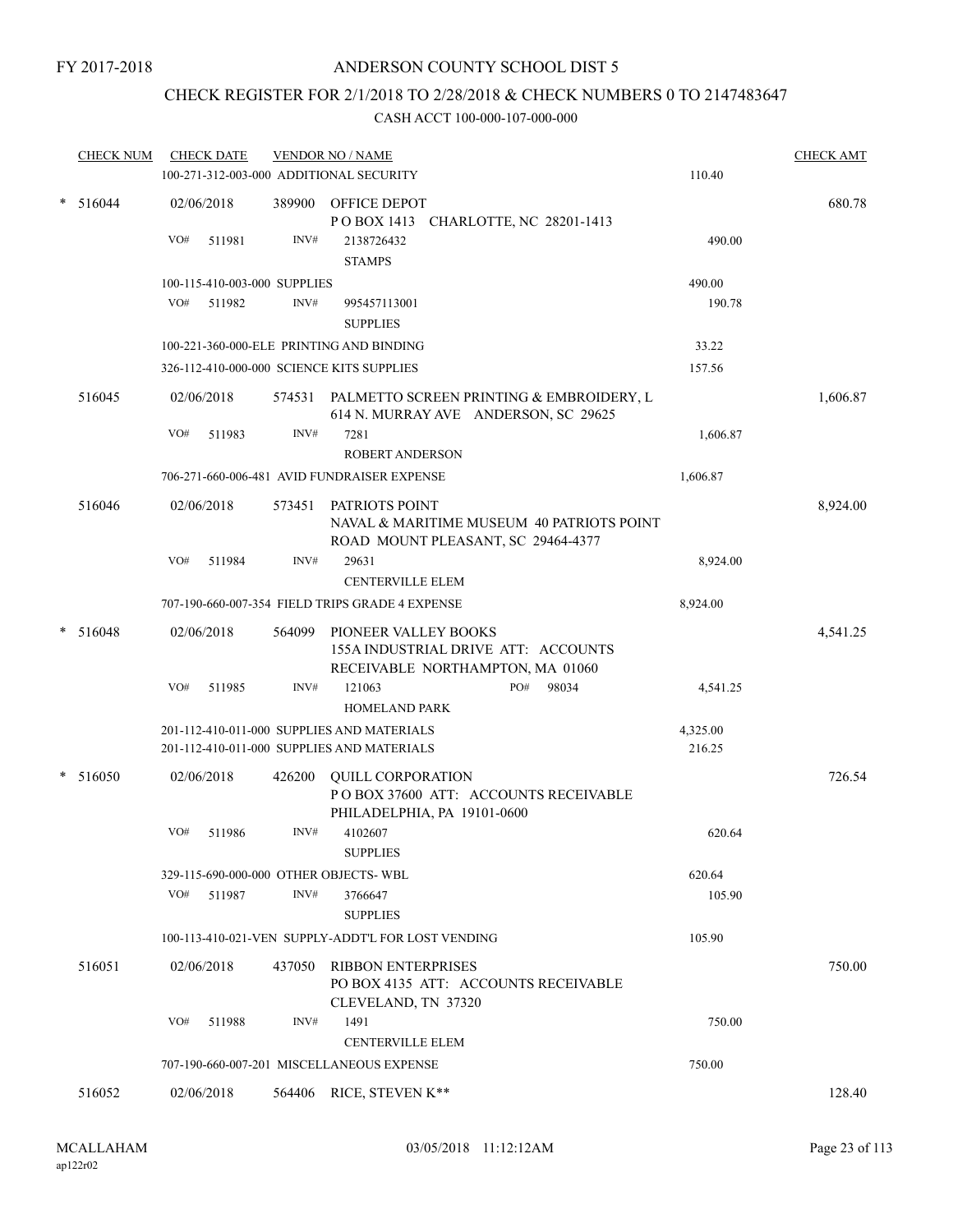# CHECK REGISTER FOR 2/1/2018 TO 2/28/2018 & CHECK NUMBERS 0 TO 2147483647

|        | <b>CHECK NUM</b> | <b>CHECK DATE</b> |                                       | <b>VENDOR NO / NAME</b><br>100-271-312-003-000 ADDITIONAL SECURITY                                     | 110.40             | <b>CHECK AMT</b> |
|--------|------------------|-------------------|---------------------------------------|--------------------------------------------------------------------------------------------------------|--------------------|------------------|
| $\ast$ | 516044           | 02/06/2018        |                                       | 389900 OFFICE DEPOT                                                                                    |                    | 680.78           |
|        |                  | VO#<br>511981     | INV#                                  | POBOX 1413 CHARLOTTE, NC 28201-1413<br>2138726432<br><b>STAMPS</b>                                     | 490.00             |                  |
|        |                  |                   | 100-115-410-003-000 SUPPLIES          |                                                                                                        | 490.00             |                  |
|        |                  | VO#<br>511982     | INV#                                  | 995457113001<br><b>SUPPLIES</b>                                                                        | 190.78             |                  |
|        |                  |                   |                                       | 100-221-360-000-ELE PRINTING AND BINDING                                                               | 33.22              |                  |
|        |                  |                   |                                       | 326-112-410-000-000 SCIENCE KITS SUPPLIES                                                              | 157.56             |                  |
|        | 516045           | 02/06/2018        |                                       | 574531 PALMETTO SCREEN PRINTING & EMBROIDERY, L<br>614 N. MURRAY AVE ANDERSON, SC 29625                |                    | 1,606.87         |
|        |                  | VO#<br>511983     | INV#                                  | 7281<br><b>ROBERT ANDERSON</b>                                                                         | 1,606.87           |                  |
|        |                  |                   |                                       | 706-271-660-006-481 AVID FUNDRAISER EXPENSE                                                            | 1,606.87           |                  |
|        | 516046           | 02/06/2018        | 573451                                | PATRIOTS POINT<br>NAVAL & MARITIME MUSEUM 40 PATRIOTS POINT<br>ROAD MOUNT PLEASANT, SC 29464-4377      |                    | 8,924.00         |
|        |                  | VO#<br>511984     | INV#                                  | 29631<br><b>CENTERVILLE ELEM</b>                                                                       | 8,924.00           |                  |
|        |                  |                   |                                       | 707-190-660-007-354 FIELD TRIPS GRADE 4 EXPENSE                                                        | 8,924.00           |                  |
|        | $* 516048$       | 02/06/2018<br>VO# | 564099<br>INV#                        | PIONEER VALLEY BOOKS<br>155A INDUSTRIAL DRIVE ATT: ACCOUNTS<br>RECEIVABLE NORTHAMPTON, MA 01060<br>PO# |                    | 4,541.25         |
|        |                  | 511985            |                                       | 121063<br>98034<br><b>HOMELAND PARK</b>                                                                | 4,541.25           |                  |
|        |                  |                   |                                       | 201-112-410-011-000 SUPPLIES AND MATERIALS<br>201-112-410-011-000 SUPPLIES AND MATERIALS               | 4,325.00<br>216.25 |                  |
|        | * 516050         | 02/06/2018        | 426200                                | <b>QUILL CORPORATION</b><br>POBOX 37600 ATT: ACCOUNTS RECEIVABLE<br>PHILADELPHIA, PA 19101-0600        |                    | 726.54           |
|        |                  | VO#<br>511986     | INV#                                  | 4102607<br><b>SUPPLIES</b>                                                                             | 620.64             |                  |
|        |                  |                   | 329-115-690-000-000 OTHER OBJECTS-WBL |                                                                                                        | 620.64             |                  |
|        |                  | VO#<br>511987     | INV#                                  | 3766647<br><b>SUPPLIES</b>                                                                             | 105.90             |                  |
|        |                  |                   |                                       | 100-113-410-021-VEN SUPPLY-ADDT'L FOR LOST VENDING                                                     | 105.90             |                  |
|        | 516051           | 02/06/2018        | 437050                                | RIBBON ENTERPRISES<br>PO BOX 4135 ATT: ACCOUNTS RECEIVABLE<br>CLEVELAND, TN 37320                      |                    | 750.00           |
|        |                  | VO#<br>511988     | INV#                                  | 1491                                                                                                   | 750.00             |                  |
|        |                  |                   |                                       | <b>CENTERVILLE ELEM</b><br>707-190-660-007-201 MISCELLANEOUS EXPENSE                                   | 750.00             |                  |
|        |                  |                   |                                       |                                                                                                        |                    |                  |
|        | 516052           | 02/06/2018        | 564406                                | RICE, STEVEN K**                                                                                       |                    | 128.40           |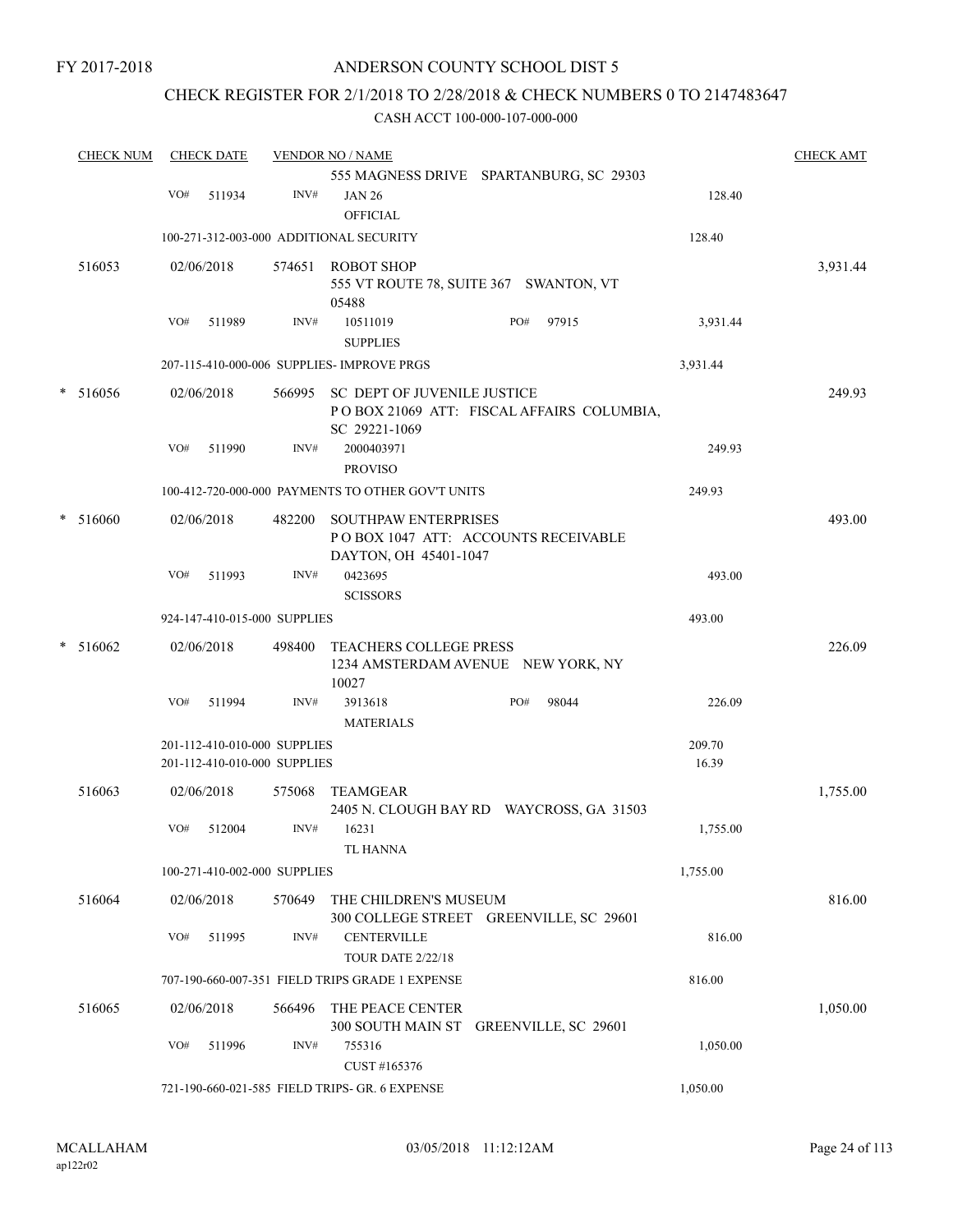# ANDERSON COUNTY SCHOOL DIST 5

# CHECK REGISTER FOR 2/1/2018 TO 2/28/2018 & CHECK NUMBERS 0 TO 2147483647

|   | <b>CHECK NUM</b> |     | <b>CHECK DATE</b> |                                                              | <b>VENDOR NO / NAME</b>                           |                                           |                 | <b>CHECK AMT</b> |
|---|------------------|-----|-------------------|--------------------------------------------------------------|---------------------------------------------------|-------------------------------------------|-----------------|------------------|
|   |                  |     |                   |                                                              |                                                   | 555 MAGNESS DRIVE SPARTANBURG, SC 29303   |                 |                  |
|   |                  | VO# | 511934            | INV#                                                         | <b>JAN 26</b><br><b>OFFICIAL</b>                  |                                           | 128.40          |                  |
|   |                  |     |                   |                                                              | 100-271-312-003-000 ADDITIONAL SECURITY           |                                           | 128.40          |                  |
|   |                  |     |                   |                                                              |                                                   |                                           |                 |                  |
|   | 516053           |     | 02/06/2018        | 574651                                                       | <b>ROBOT SHOP</b><br>05488                        | 555 VT ROUTE 78, SUITE 367 SWANTON, VT    |                 | 3,931.44         |
|   |                  | VO# | 511989            | INV#                                                         | 10511019<br><b>SUPPLIES</b>                       | 97915<br>PO#                              | 3,931.44        |                  |
|   |                  |     |                   |                                                              | 207-115-410-000-006 SUPPLIES- IMPROVE PRGS        |                                           | 3,931.44        |                  |
| * | 516056           |     | 02/06/2018        |                                                              | 566995 SC DEPT OF JUVENILE JUSTICE                |                                           |                 | 249.93           |
|   |                  |     |                   |                                                              | SC 29221-1069                                     | POBOX 21069 ATT: FISCAL AFFAIRS COLUMBIA, |                 |                  |
|   |                  | VO# | 511990            | INV#                                                         | 2000403971<br><b>PROVISO</b>                      |                                           | 249.93          |                  |
|   |                  |     |                   |                                                              | 100-412-720-000-000 PAYMENTS TO OTHER GOV'T UNITS |                                           | 249.93          |                  |
|   | * 516060         |     | 02/06/2018        | 482200                                                       | SOUTHPAW ENTERPRISES                              |                                           |                 | 493.00           |
|   |                  |     |                   |                                                              | DAYTON, OH 45401-1047                             | POBOX 1047 ATT: ACCOUNTS RECEIVABLE       |                 |                  |
|   |                  | VO# | 511993            | INV#                                                         | 0423695<br><b>SCISSORS</b>                        |                                           | 493.00          |                  |
|   |                  |     |                   | 924-147-410-015-000 SUPPLIES                                 |                                                   |                                           | 493.00          |                  |
|   | * 516062         |     | 02/06/2018        | 498400                                                       | <b>TEACHERS COLLEGE PRESS</b>                     | 1234 AMSTERDAM AVENUE NEW YORK, NY        |                 | 226.09           |
|   |                  |     |                   |                                                              | 10027                                             |                                           |                 |                  |
|   |                  | VO# | 511994            | INV#                                                         | 3913618<br><b>MATERIALS</b>                       | 98044<br>PO#                              | 226.09          |                  |
|   |                  |     |                   | 201-112-410-010-000 SUPPLIES<br>201-112-410-010-000 SUPPLIES |                                                   |                                           | 209.70<br>16.39 |                  |
|   | 516063           |     | 02/06/2018        | 575068                                                       | TEAMGEAR                                          |                                           |                 | 1,755.00         |
|   |                  | VO# | 512004            | INV#                                                         | 16231                                             | 2405 N. CLOUGH BAY RD WAYCROSS, GA 31503  | 1,755.00        |                  |
|   |                  |     |                   | 100-271-410-002-000 SUPPLIES                                 | TL HANNA                                          |                                           | 1,755.00        |                  |
|   |                  |     |                   |                                                              |                                                   |                                           |                 |                  |
|   | 516064           |     | 02/06/2018        | 570649                                                       | THE CHILDREN'S MUSEUM                             | 300 COLLEGE STREET GREENVILLE, SC 29601   |                 | 816.00           |
|   |                  | VO# | 511995            | INV#                                                         | <b>CENTERVILLE</b><br><b>TOUR DATE 2/22/18</b>    |                                           | 816.00          |                  |
|   |                  |     |                   |                                                              | 707-190-660-007-351 FIELD TRIPS GRADE 1 EXPENSE   |                                           | 816.00          |                  |
|   | 516065           |     | 02/06/2018        | 566496                                                       | THE PEACE CENTER                                  |                                           |                 | 1,050.00         |
|   |                  |     |                   |                                                              |                                                   | 300 SOUTH MAIN ST GREENVILLE, SC 29601    |                 |                  |
|   |                  | VO# | 511996            | INV#                                                         | 755316<br>CUST #165376                            |                                           | 1,050.00        |                  |
|   |                  |     |                   |                                                              | 721-190-660-021-585 FIELD TRIPS- GR. 6 EXPENSE    |                                           | 1,050.00        |                  |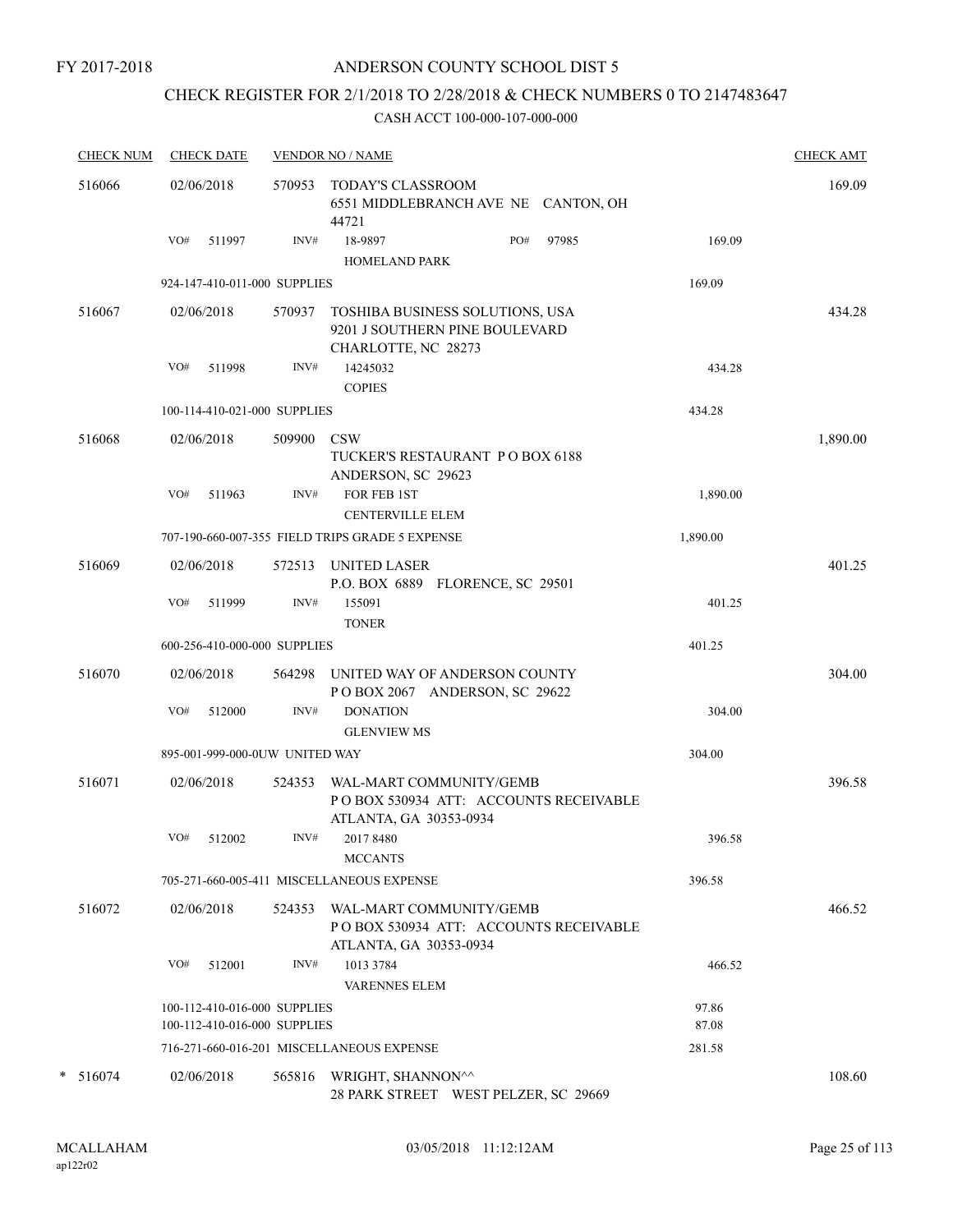# ANDERSON COUNTY SCHOOL DIST 5

# CHECK REGISTER FOR 2/1/2018 TO 2/28/2018 & CHECK NUMBERS 0 TO 2147483647

| <b>CHECK NUM</b> |     | <b>CHECK DATE</b> |                                                              | <b>VENDOR NO / NAME</b>                                                                     |                | <b>CHECK AMT</b> |
|------------------|-----|-------------------|--------------------------------------------------------------|---------------------------------------------------------------------------------------------|----------------|------------------|
| 516066           |     | 02/06/2018        | 570953                                                       | <b>TODAY'S CLASSROOM</b><br>6551 MIDDLEBRANCH AVE NE CANTON, OH<br>44721                    |                | 169.09           |
|                  | VO# | 511997            | INV#                                                         | PO#<br>97985<br>18-9897<br><b>HOMELAND PARK</b>                                             | 169.09         |                  |
|                  |     |                   | 924-147-410-011-000 SUPPLIES                                 |                                                                                             | 169.09         |                  |
| 516067           |     | 02/06/2018        | 570937                                                       | TOSHIBA BUSINESS SOLUTIONS, USA<br>9201 J SOUTHERN PINE BOULEVARD<br>CHARLOTTE, NC 28273    |                | 434.28           |
|                  | VO# | 511998            | INV#                                                         | 14245032                                                                                    | 434.28         |                  |
|                  |     |                   |                                                              | <b>COPIES</b>                                                                               |                |                  |
|                  |     |                   | 100-114-410-021-000 SUPPLIES                                 |                                                                                             | 434.28         |                  |
| 516068           |     | 02/06/2018        | 509900                                                       | <b>CSW</b><br>TUCKER'S RESTAURANT PO BOX 6188<br>ANDERSON, SC 29623                         |                | 1,890.00         |
|                  | VO# | 511963            | INV#                                                         | FOR FEB 1ST<br><b>CENTERVILLE ELEM</b>                                                      | 1,890.00       |                  |
|                  |     |                   |                                                              | 707-190-660-007-355 FIELD TRIPS GRADE 5 EXPENSE                                             | 1,890.00       |                  |
| 516069           |     | 02/06/2018        | 572513                                                       | <b>UNITED LASER</b><br>P.O. BOX 6889 FLORENCE, SC 29501                                     |                | 401.25           |
|                  | VO# | 511999            | INV#                                                         | 155091<br><b>TONER</b>                                                                      | 401.25         |                  |
|                  |     |                   | 600-256-410-000-000 SUPPLIES                                 |                                                                                             | 401.25         |                  |
| 516070           |     | 02/06/2018        |                                                              | 564298 UNITED WAY OF ANDERSON COUNTY<br>POBOX 2067 ANDERSON, SC 29622                       |                | 304.00           |
|                  | VO# | 512000            | INV#                                                         | <b>DONATION</b><br><b>GLENVIEW MS</b>                                                       | 304.00         |                  |
|                  |     |                   | 895-001-999-000-0UW UNITED WAY                               |                                                                                             | 304.00         |                  |
| 516071           |     | 02/06/2018        | 524353                                                       | WAL-MART COMMUNITY/GEMB<br>PO BOX 530934 ATT: ACCOUNTS RECEIVABLE<br>ATLANTA, GA 30353-0934 |                | 396.58           |
|                  | VO# | 512002            | INV#                                                         | 2017 8480<br><b>MCCANTS</b>                                                                 | 396.58         |                  |
|                  |     |                   |                                                              | 705-271-660-005-411 MISCELLANEOUS EXPENSE                                                   | 396.58         |                  |
| 516072           |     | 02/06/2018        | 524353                                                       | WAL-MART COMMUNITY/GEMB<br>PO BOX 530934 ATT: ACCOUNTS RECEIVABLE<br>ATLANTA, GA 30353-0934 |                | 466.52           |
|                  | VO# | 512001            | INV#                                                         | 1013 3784<br><b>VARENNES ELEM</b>                                                           | 466.52         |                  |
|                  |     |                   | 100-112-410-016-000 SUPPLIES<br>100-112-410-016-000 SUPPLIES |                                                                                             | 97.86<br>87.08 |                  |
|                  |     |                   |                                                              | 716-271-660-016-201 MISCELLANEOUS EXPENSE                                                   | 281.58         |                  |
| $* 516074$       |     | 02/06/2018        | 565816                                                       | WRIGHT, SHANNON^^<br>28 PARK STREET WEST PELZER, SC 29669                                   |                | 108.60           |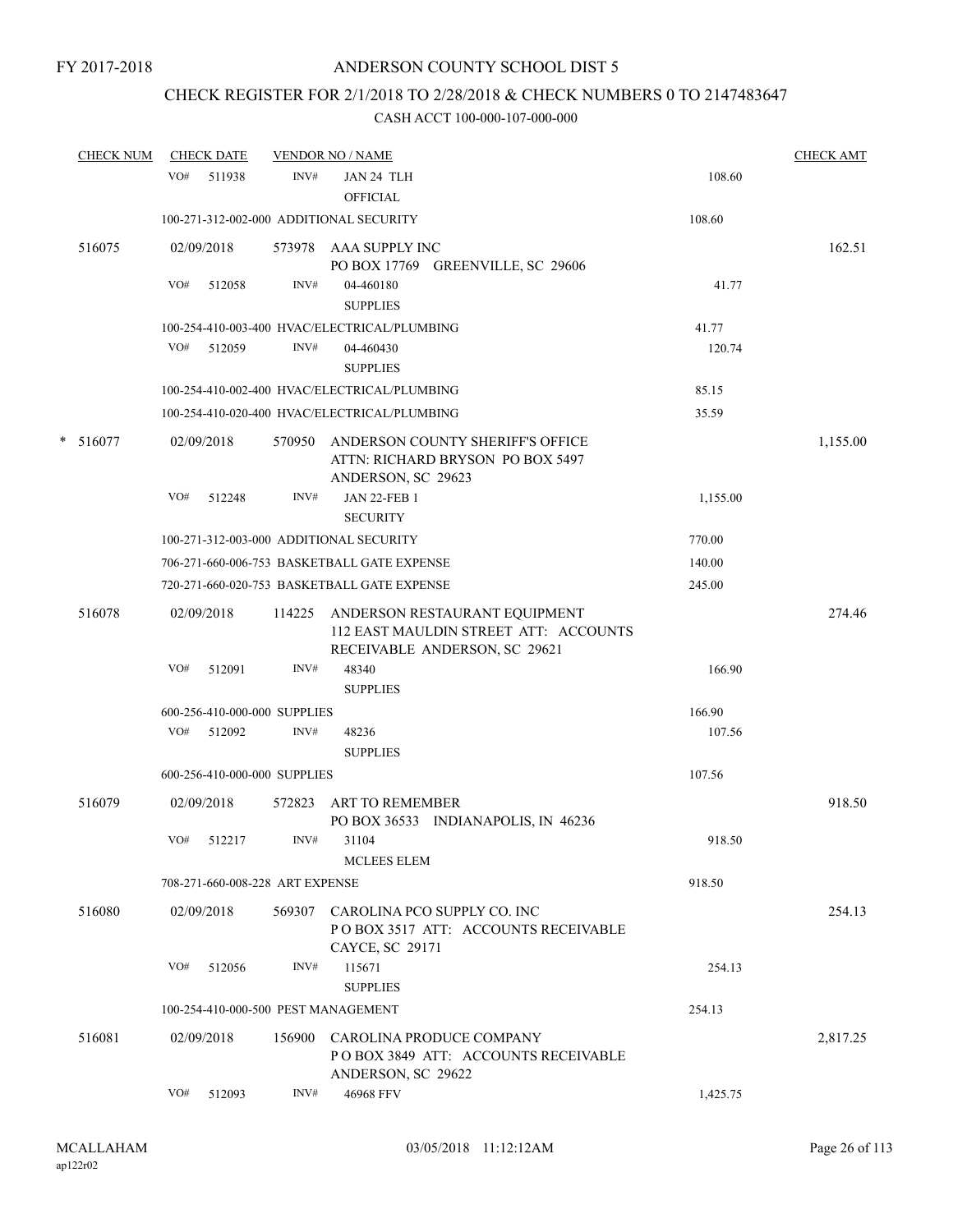# CHECK REGISTER FOR 2/1/2018 TO 2/28/2018 & CHECK NUMBERS 0 TO 2147483647

| <b>CHECK NUM</b> |     | <b>CHECK DATE</b>                          |        | <b>VENDOR NO / NAME</b>                                                                      |                  | <b>CHECK AMT</b> |
|------------------|-----|--------------------------------------------|--------|----------------------------------------------------------------------------------------------|------------------|------------------|
|                  | VO# | 511938                                     | INV#   | JAN 24 TLH<br><b>OFFICIAL</b>                                                                | 108.60           |                  |
|                  |     |                                            |        | 100-271-312-002-000 ADDITIONAL SECURITY                                                      | 108.60           |                  |
| 516075           |     | 02/09/2018                                 |        | 573978 AAA SUPPLY INC<br>PO BOX 17769 GREENVILLE, SC 29606                                   |                  | 162.51           |
|                  | VO# | 512058                                     | INV#   | 04-460180<br><b>SUPPLIES</b>                                                                 | 41.77            |                  |
|                  |     |                                            |        | 100-254-410-003-400 HVAC/ELECTRICAL/PLUMBING                                                 | 41.77            |                  |
|                  | VO# | 512059                                     | INV#   | 04-460430                                                                                    | 120.74           |                  |
|                  |     |                                            |        | <b>SUPPLIES</b>                                                                              |                  |                  |
|                  |     |                                            |        | 100-254-410-002-400 HVAC/ELECTRICAL/PLUMBING                                                 | 85.15            |                  |
|                  |     |                                            |        | 100-254-410-020-400 HVAC/ELECTRICAL/PLUMBING                                                 | 35.59            |                  |
| $* 516077$       |     | 02/09/2018                                 | 570950 | ANDERSON COUNTY SHERIFF'S OFFICE<br>ATTN: RICHARD BRYSON PO BOX 5497<br>ANDERSON, SC 29623   |                  | 1,155.00         |
|                  | VO# | 512248                                     | INV#   | <b>JAN 22-FEB 1</b><br><b>SECURITY</b>                                                       | 1,155.00         |                  |
|                  |     |                                            |        | 100-271-312-003-000 ADDITIONAL SECURITY                                                      | 770.00           |                  |
|                  |     |                                            |        | 706-271-660-006-753 BASKETBALL GATE EXPENSE                                                  | 140.00           |                  |
|                  |     |                                            |        | 720-271-660-020-753 BASKETBALL GATE EXPENSE                                                  | 245.00           |                  |
| 516078           |     | 02/09/2018                                 | 114225 | ANDERSON RESTAURANT EQUIPMENT<br>112 EAST MAULDIN STREET ATT: ACCOUNTS                       |                  | 274.46           |
|                  |     |                                            |        | RECEIVABLE ANDERSON, SC 29621                                                                |                  |                  |
|                  | VO# | 512091                                     | INV#   | 48340                                                                                        | 166.90           |                  |
|                  |     |                                            |        | <b>SUPPLIES</b>                                                                              |                  |                  |
|                  |     | 600-256-410-000-000 SUPPLIES<br>VO# 512092 | INV#   |                                                                                              | 166.90<br>107.56 |                  |
|                  |     |                                            |        | 48236<br><b>SUPPLIES</b>                                                                     |                  |                  |
|                  |     | 600-256-410-000-000 SUPPLIES               |        |                                                                                              | 107.56           |                  |
| 516079           |     | 02/09/2018                                 | 572823 | <b>ART TO REMEMBER</b><br>PO BOX 36533 INDIANAPOLIS, IN 46236                                |                  | 918.50           |
|                  | VO# | 512217                                     | INV#   | 31104<br><b>MCLEES ELEM</b>                                                                  | 918.50           |                  |
|                  |     | 708-271-660-008-228 ART EXPENSE            |        |                                                                                              | 918.50           |                  |
| 516080           |     | 02/09/2018                                 |        | 569307 CAROLINA PCO SUPPLY CO. INC<br>POBOX 3517 ATT: ACCOUNTS RECEIVABLE<br>CAYCE, SC 29171 |                  | 254.13           |
|                  | VO# | 512056                                     | INV#   | 115671<br><b>SUPPLIES</b>                                                                    | 254.13           |                  |
|                  |     |                                            |        | 100-254-410-000-500 PEST MANAGEMENT                                                          | 254.13           |                  |
| 516081           |     | 02/09/2018                                 | 156900 | CAROLINA PRODUCE COMPANY<br>POBOX 3849 ATT: ACCOUNTS RECEIVABLE                              |                  | 2,817.25         |
|                  |     |                                            |        | ANDERSON, SC 29622                                                                           |                  |                  |
|                  | VO# | 512093                                     | INV#   | 46968 FFV                                                                                    | 1,425.75         |                  |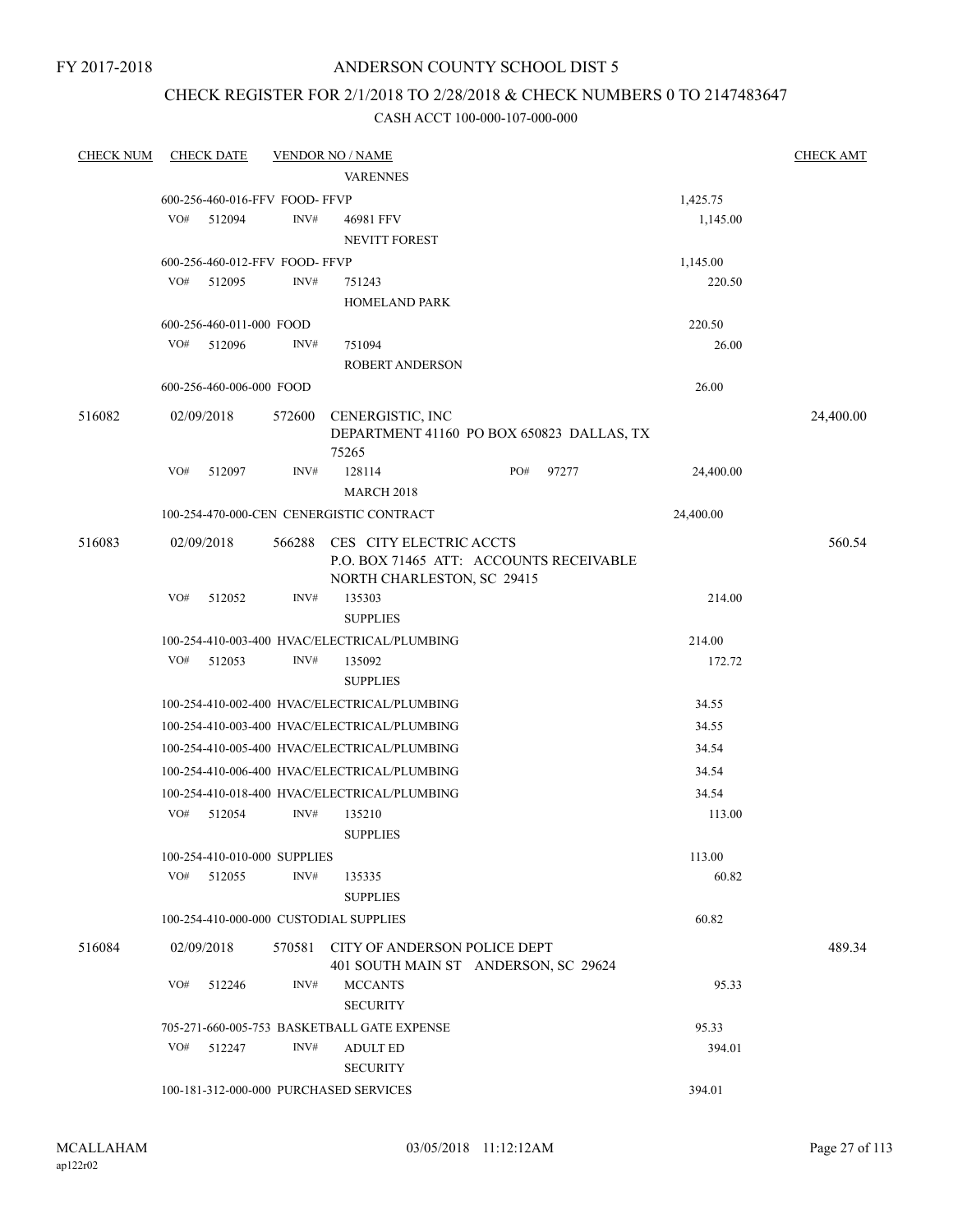# ANDERSON COUNTY SCHOOL DIST 5

# CHECK REGISTER FOR 2/1/2018 TO 2/28/2018 & CHECK NUMBERS 0 TO 2147483647

| <b>CHECK NUM</b> |            | <b>CHECK DATE</b>              |        | <b>VENDOR NO / NAME</b>                                                                          |     |       |           | <b>CHECK AMT</b> |
|------------------|------------|--------------------------------|--------|--------------------------------------------------------------------------------------------------|-----|-------|-----------|------------------|
|                  |            |                                |        | <b>VARENNES</b>                                                                                  |     |       |           |                  |
|                  |            | 600-256-460-016-FFV FOOD- FFVP |        |                                                                                                  |     |       | 1,425.75  |                  |
|                  | VO#        | 512094                         | INV#   | 46981 FFV                                                                                        |     |       | 1,145.00  |                  |
|                  |            |                                |        | NEVITT FOREST                                                                                    |     |       |           |                  |
|                  |            | 600-256-460-012-FFV FOOD- FFVP |        |                                                                                                  |     |       | 1,145.00  |                  |
|                  | VO#        | 512095                         | INV#   | 751243                                                                                           |     |       | 220.50    |                  |
|                  |            |                                |        | <b>HOMELAND PARK</b>                                                                             |     |       |           |                  |
|                  |            | 600-256-460-011-000 FOOD       |        |                                                                                                  |     |       | 220.50    |                  |
|                  | VO#        | 512096                         | INV#   | 751094                                                                                           |     |       | 26.00     |                  |
|                  |            |                                |        | ROBERT ANDERSON                                                                                  |     |       |           |                  |
|                  |            | 600-256-460-006-000 FOOD       |        |                                                                                                  |     |       | 26.00     |                  |
| 516082           | 02/09/2018 |                                | 572600 | CENERGISTIC, INC<br>DEPARTMENT 41160 PO BOX 650823 DALLAS, TX<br>75265                           |     |       |           | 24,400.00        |
|                  | VO#        | 512097                         | INV#   | 128114<br><b>MARCH 2018</b>                                                                      | PO# | 97277 | 24,400.00 |                  |
|                  |            |                                |        | 100-254-470-000-CEN CENERGISTIC CONTRACT                                                         |     |       | 24,400.00 |                  |
| 516083           | 02/09/2018 |                                | 566288 | CES CITY ELECTRIC ACCTS<br>P.O. BOX 71465 ATT: ACCOUNTS RECEIVABLE<br>NORTH CHARLESTON, SC 29415 |     |       |           | 560.54           |
|                  | VO#        | 512052                         | INV#   | 135303<br><b>SUPPLIES</b>                                                                        |     |       | 214.00    |                  |
|                  |            |                                |        | 100-254-410-003-400 HVAC/ELECTRICAL/PLUMBING                                                     |     |       | 214.00    |                  |
|                  | VO#        | 512053                         | INV#   | 135092                                                                                           |     |       | 172.72    |                  |
|                  |            |                                |        | <b>SUPPLIES</b>                                                                                  |     |       |           |                  |
|                  |            |                                |        | 100-254-410-002-400 HVAC/ELECTRICAL/PLUMBING                                                     |     |       | 34.55     |                  |
|                  |            |                                |        | 100-254-410-003-400 HVAC/ELECTRICAL/PLUMBING                                                     |     |       | 34.55     |                  |
|                  |            |                                |        | 100-254-410-005-400 HVAC/ELECTRICAL/PLUMBING                                                     |     |       | 34.54     |                  |
|                  |            |                                |        | 100-254-410-006-400 HVAC/ELECTRICAL/PLUMBING                                                     |     |       | 34.54     |                  |
|                  |            |                                |        | 100-254-410-018-400 HVAC/ELECTRICAL/PLUMBING                                                     |     |       | 34.54     |                  |
|                  | VO#        | 512054                         | INV#   | 135210                                                                                           |     |       | 113.00    |                  |
|                  |            |                                |        | <b>SUPPLIES</b>                                                                                  |     |       |           |                  |
|                  |            | 100-254-410-010-000 SUPPLIES   |        |                                                                                                  |     |       | 113.00    |                  |
|                  | VO#        | 512055                         | INV#   | 135335                                                                                           |     |       | 60.82     |                  |
|                  |            |                                |        | <b>SUPPLIES</b>                                                                                  |     |       |           |                  |
|                  |            |                                |        | 100-254-410-000-000 CUSTODIAL SUPPLIES                                                           |     |       | 60.82     |                  |
| 516084           | 02/09/2018 |                                | 570581 | CITY OF ANDERSON POLICE DEPT<br>401 SOUTH MAIN ST ANDERSON, SC 29624                             |     |       |           | 489.34           |
|                  | VO#        | 512246                         | INV#   | <b>MCCANTS</b><br><b>SECURITY</b>                                                                |     |       | 95.33     |                  |
|                  |            |                                |        | 705-271-660-005-753 BASKETBALL GATE EXPENSE                                                      |     |       | 95.33     |                  |
|                  | VO#        | 512247                         | INV#   | <b>ADULT ED</b>                                                                                  |     |       | 394.01    |                  |
|                  |            |                                |        | <b>SECURITY</b>                                                                                  |     |       |           |                  |
|                  |            |                                |        | 100-181-312-000-000 PURCHASED SERVICES                                                           |     |       | 394.01    |                  |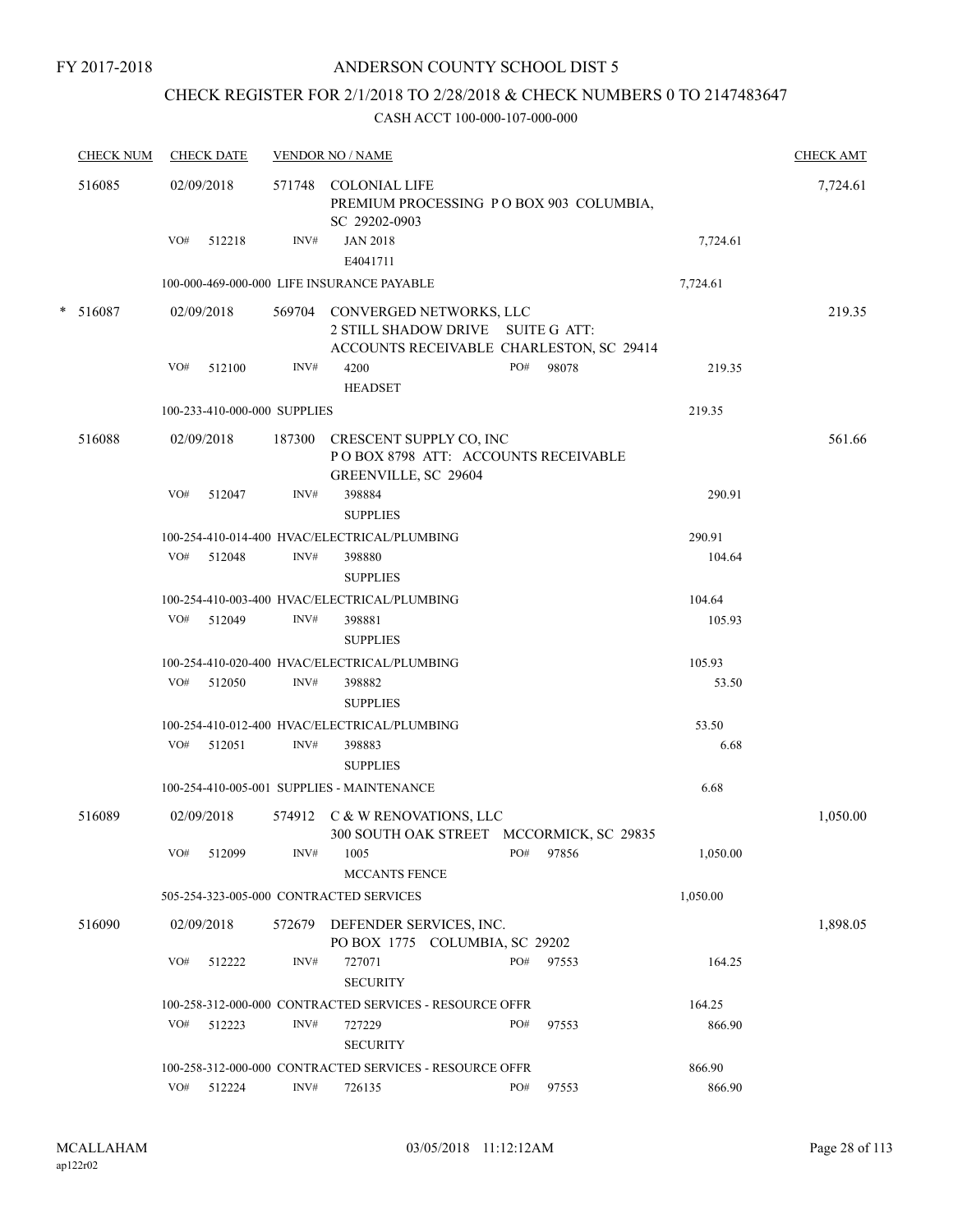# CHECK REGISTER FOR 2/1/2018 TO 2/28/2018 & CHECK NUMBERS 0 TO 2147483647

| <b>CHECK NUM</b> |     | <b>CHECK DATE</b>            |        | <b>VENDOR NO / NAME</b>                                                                                         |     |       |          | <b>CHECK AMT</b> |
|------------------|-----|------------------------------|--------|-----------------------------------------------------------------------------------------------------------------|-----|-------|----------|------------------|
| 516085           |     | 02/09/2018                   |        | 571748 COLONIAL LIFE<br>PREMIUM PROCESSING PO BOX 903 COLUMBIA,<br>SC 29202-0903                                |     |       |          | 7,724.61         |
|                  | VO# | 512218                       | INV#   | <b>JAN 2018</b><br>E4041711                                                                                     |     |       | 7,724.61 |                  |
|                  |     |                              |        | 100-000-469-000-000 LIFE INSURANCE PAYABLE                                                                      |     |       | 7,724.61 |                  |
| $* 516087$       |     | 02/09/2018                   |        | 569704 CONVERGED NETWORKS, LLC<br>2 STILL SHADOW DRIVE SUITE G ATT:<br>ACCOUNTS RECEIVABLE CHARLESTON, SC 29414 |     |       |          | 219.35           |
|                  |     | VO# 512100                   | INV#   | 4200<br><b>HEADSET</b>                                                                                          | PO# | 98078 | 219.35   |                  |
|                  |     | 100-233-410-000-000 SUPPLIES |        |                                                                                                                 |     |       | 219.35   |                  |
| 516088           |     | 02/09/2018                   |        | 187300 CRESCENT SUPPLY CO, INC<br>POBOX 8798 ATT: ACCOUNTS RECEIVABLE<br>GREENVILLE, SC 29604                   |     |       |          | 561.66           |
|                  | VO# | 512047                       | INV#   | 398884<br><b>SUPPLIES</b>                                                                                       |     |       | 290.91   |                  |
|                  |     |                              |        | 100-254-410-014-400 HVAC/ELECTRICAL/PLUMBING                                                                    |     |       | 290.91   |                  |
|                  |     | VO# 512048                   | INV#   | 398880<br><b>SUPPLIES</b>                                                                                       |     |       | 104.64   |                  |
|                  |     |                              |        | 100-254-410-003-400 HVAC/ELECTRICAL/PLUMBING                                                                    |     |       | 104.64   |                  |
|                  |     | VO# 512049                   | INV#   | 398881<br><b>SUPPLIES</b>                                                                                       |     |       | 105.93   |                  |
|                  |     |                              |        | 100-254-410-020-400 HVAC/ELECTRICAL/PLUMBING                                                                    |     |       | 105.93   |                  |
|                  |     | VO# 512050                   | INV#   | 398882<br><b>SUPPLIES</b>                                                                                       |     |       | 53.50    |                  |
|                  |     |                              |        | 100-254-410-012-400 HVAC/ELECTRICAL/PLUMBING                                                                    |     |       | 53.50    |                  |
|                  | VO# | 512051                       | INV#   | 398883<br><b>SUPPLIES</b>                                                                                       |     |       | 6.68     |                  |
|                  |     |                              |        | 100-254-410-005-001 SUPPLIES - MAINTENANCE                                                                      |     |       | 6.68     |                  |
| 516089           |     | 02/09/2018                   |        | 574912 C & W RENOVATIONS, LLC<br>300 SOUTH OAK STREET MCCORMICK, SC 29835                                       |     |       |          | 1,050.00         |
|                  | VO# | 512099                       | INV#   | 1005<br><b>MCCANTS FENCE</b>                                                                                    | PO# | 97856 | 1,050.00 |                  |
|                  |     |                              |        | 505-254-323-005-000 CONTRACTED SERVICES                                                                         |     |       | 1,050.00 |                  |
| 516090           |     | 02/09/2018                   | 572679 | DEFENDER SERVICES, INC.<br>PO BOX 1775 COLUMBIA, SC 29202                                                       |     |       |          | 1,898.05         |
|                  | VO# | 512222                       | INV#   | 727071<br><b>SECURITY</b>                                                                                       | PO# | 97553 | 164.25   |                  |
|                  |     |                              |        | 100-258-312-000-000 CONTRACTED SERVICES - RESOURCE OFFR                                                         |     |       | 164.25   |                  |
|                  | VO# | 512223                       | INV#   | 727229<br><b>SECURITY</b>                                                                                       | PO# | 97553 | 866.90   |                  |
|                  |     |                              |        | 100-258-312-000-000 CONTRACTED SERVICES - RESOURCE OFFR                                                         |     |       | 866.90   |                  |
|                  |     | VO# 512224                   | INV#   | 726135                                                                                                          | PO# | 97553 | 866.90   |                  |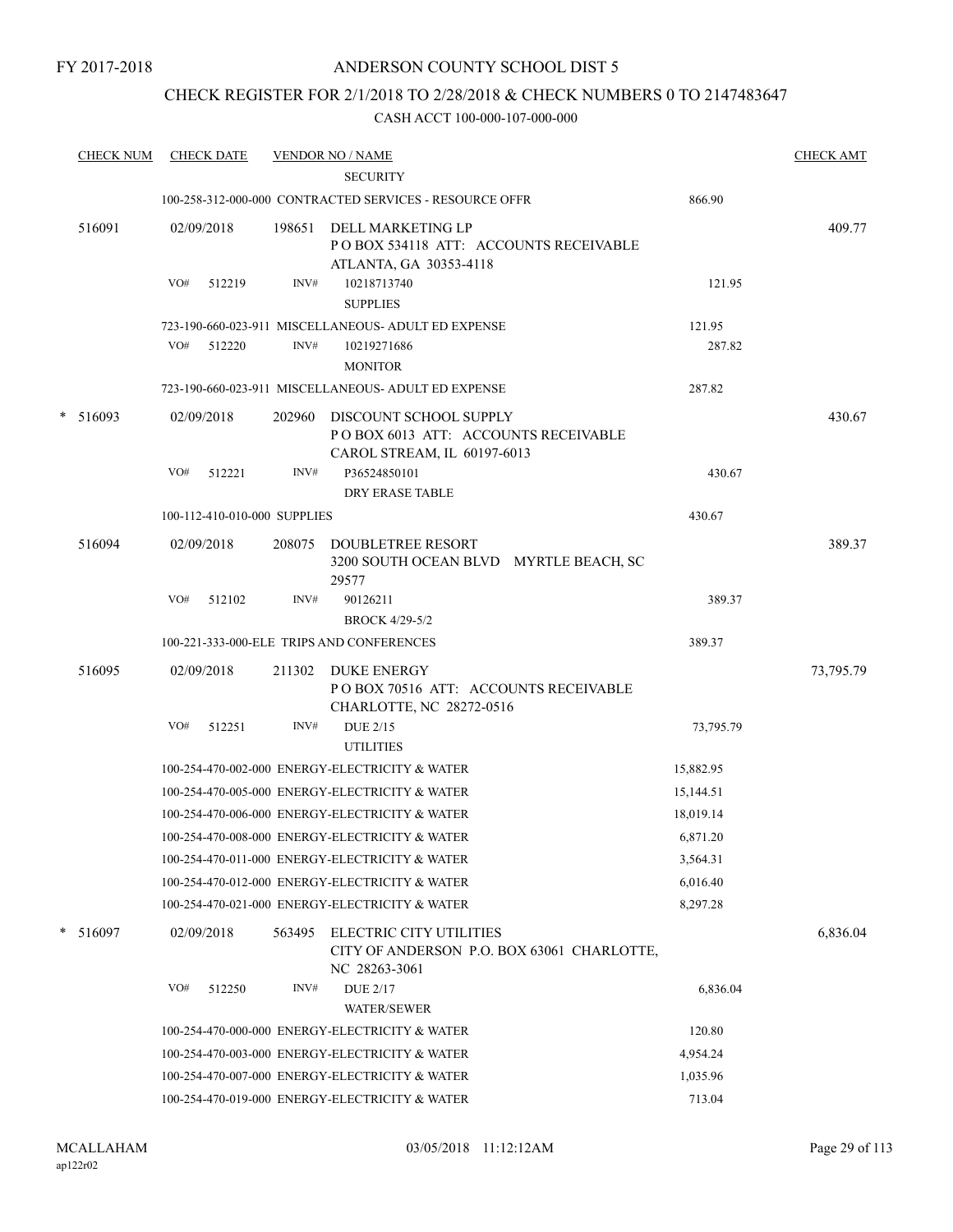# CHECK REGISTER FOR 2/1/2018 TO 2/28/2018 & CHECK NUMBERS 0 TO 2147483647

|   | <b>CHECK NUM</b> |                   | <b>CHECK DATE</b>            |                | <b>VENDOR NO / NAME</b>                                                                              |           | <b>CHECK AMT</b> |
|---|------------------|-------------------|------------------------------|----------------|------------------------------------------------------------------------------------------------------|-----------|------------------|
|   |                  |                   |                              |                | <b>SECURITY</b>                                                                                      |           |                  |
|   |                  |                   |                              |                | 100-258-312-000-000 CONTRACTED SERVICES - RESOURCE OFFR                                              | 866.90    |                  |
|   | 516091           | 02/09/2018<br>VO# | 512219                       | 198651<br>INV# | DELL MARKETING LP<br>PO BOX 534118 ATT: ACCOUNTS RECEIVABLE<br>ATLANTA, GA 30353-4118<br>10218713740 | 121.95    | 409.77           |
|   |                  |                   |                              |                | <b>SUPPLIES</b>                                                                                      |           |                  |
|   |                  |                   |                              |                | 723-190-660-023-911 MISCELLANEOUS- ADULT ED EXPENSE                                                  | 121.95    |                  |
|   |                  | VO#               | 512220                       | INV#           | 10219271686                                                                                          | 287.82    |                  |
|   |                  |                   |                              |                | <b>MONITOR</b>                                                                                       |           |                  |
|   |                  |                   |                              |                | 723-190-660-023-911 MISCELLANEOUS- ADULT ED EXPENSE                                                  | 287.82    |                  |
| * | 516093           | 02/09/2018        |                              | 202960         | DISCOUNT SCHOOL SUPPLY<br>POBOX 6013 ATT: ACCOUNTS RECEIVABLE<br>CAROL STREAM, IL 60197-6013         |           | 430.67           |
|   |                  | VO#               | 512221                       | INV#           | P36524850101<br>DRY ERASE TABLE                                                                      | 430.67    |                  |
|   |                  |                   | 100-112-410-010-000 SUPPLIES |                |                                                                                                      | 430.67    |                  |
|   | 516094           |                   | 02/09/2018                   | 208075         | <b>DOUBLETREE RESORT</b><br>3200 SOUTH OCEAN BLVD MYRTLE BEACH, SC<br>29577                          |           | 389.37           |
|   |                  | VO#               | 512102                       | INV#           | 90126211                                                                                             | 389.37    |                  |
|   |                  |                   |                              |                | <b>BROCK 4/29-5/2</b>                                                                                |           |                  |
|   |                  |                   |                              |                | 100-221-333-000-ELE TRIPS AND CONFERENCES                                                            | 389.37    |                  |
|   | 516095           |                   | 02/09/2018                   | 211302         | DUKE ENERGY<br>POBOX 70516 ATT: ACCOUNTS RECEIVABLE<br>CHARLOTTE, NC 28272-0516                      |           | 73,795.79        |
|   |                  | VO#               | 512251                       | INV#           | DUE 2/15<br><b>UTILITIES</b>                                                                         | 73,795.79 |                  |
|   |                  |                   |                              |                | 100-254-470-002-000 ENERGY-ELECTRICITY & WATER                                                       | 15,882.95 |                  |
|   |                  |                   |                              |                | 100-254-470-005-000 ENERGY-ELECTRICITY & WATER                                                       | 15,144.51 |                  |
|   |                  |                   |                              |                | 100-254-470-006-000 ENERGY-ELECTRICITY & WATER                                                       | 18,019.14 |                  |
|   |                  |                   |                              |                | 100-254-470-008-000 ENERGY-ELECTRICITY & WATER                                                       | 6,871.20  |                  |
|   |                  |                   |                              |                | 100-254-470-011-000 ENERGY-ELECTRICITY & WATER                                                       | 3,564.31  |                  |
|   |                  |                   |                              |                | 100-254-470-012-000 ENERGY-ELECTRICITY & WATER                                                       | 6,016.40  |                  |
|   |                  |                   |                              |                | 100-254-470-021-000 ENERGY-ELECTRICITY & WATER                                                       | 8,297.28  |                  |
|   | $* 516097$       | 02/09/2018        |                              | 563495         | ELECTRIC CITY UTILITIES<br>CITY OF ANDERSON P.O. BOX 63061 CHARLOTTE,<br>NC 28263-3061               |           | 6,836.04         |
|   |                  | VO#               | 512250                       | INV#           | <b>DUE 2/17</b>                                                                                      | 6,836.04  |                  |
|   |                  |                   |                              |                | <b>WATER/SEWER</b>                                                                                   |           |                  |
|   |                  |                   |                              |                | 100-254-470-000-000 ENERGY-ELECTRICITY & WATER                                                       | 120.80    |                  |
|   |                  |                   |                              |                | 100-254-470-003-000 ENERGY-ELECTRICITY & WATER                                                       | 4,954.24  |                  |
|   |                  |                   |                              |                | 100-254-470-007-000 ENERGY-ELECTRICITY & WATER                                                       | 1,035.96  |                  |
|   |                  |                   |                              |                | 100-254-470-019-000 ENERGY-ELECTRICITY & WATER                                                       | 713.04    |                  |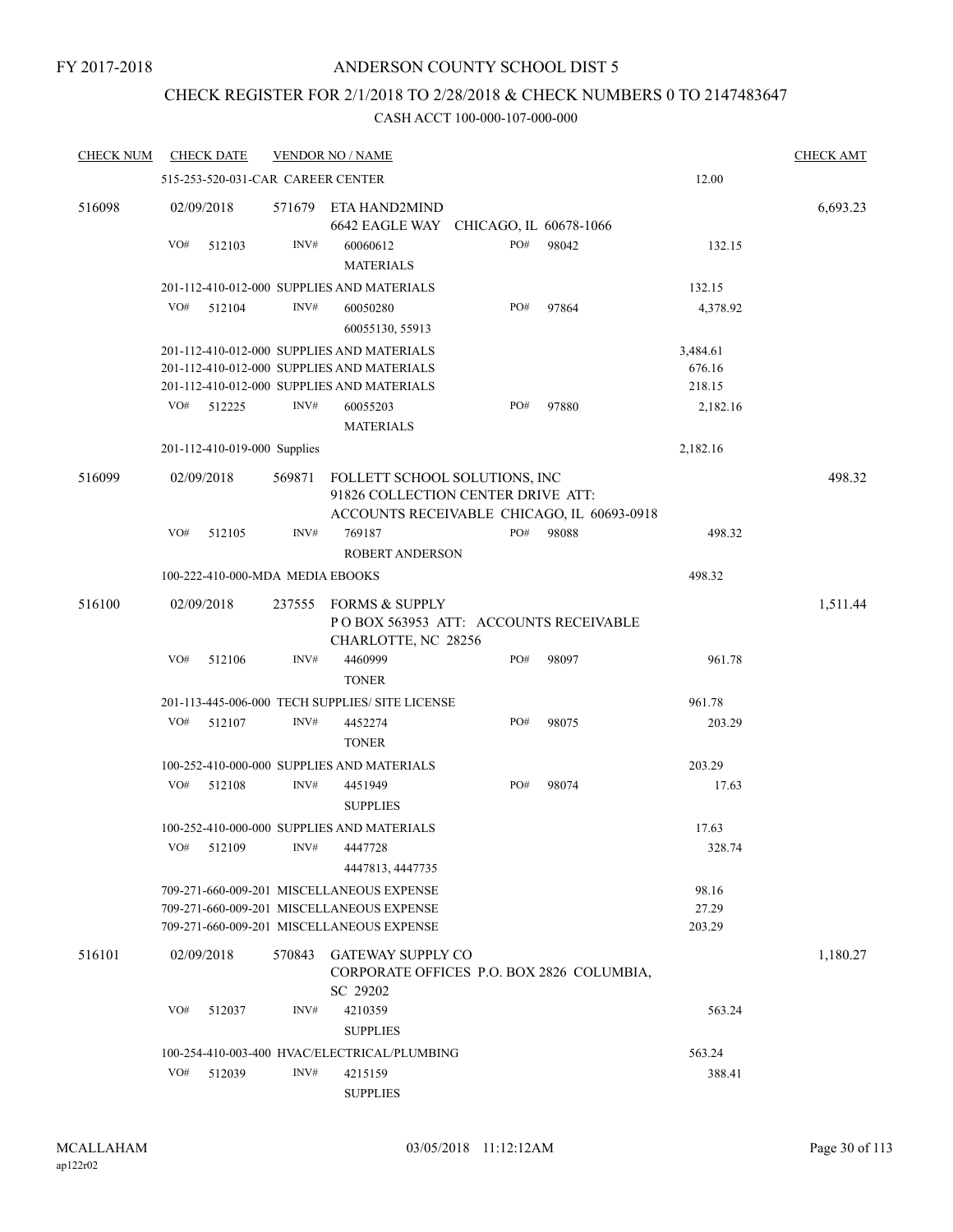# ANDERSON COUNTY SCHOOL DIST 5

# CHECK REGISTER FOR 2/1/2018 TO 2/28/2018 & CHECK NUMBERS 0 TO 2147483647

| <b>CHECK NUM</b> |     | <b>CHECK DATE</b>                 |        | <b>VENDOR NO / NAME</b>                                                                                                             |                        |       |                          | <b>CHECK AMT</b> |
|------------------|-----|-----------------------------------|--------|-------------------------------------------------------------------------------------------------------------------------------------|------------------------|-------|--------------------------|------------------|
|                  |     | 515-253-520-031-CAR CAREER CENTER |        |                                                                                                                                     |                        |       | 12.00                    |                  |
| 516098           |     | 02/09/2018                        | 571679 | ETA HAND2MIND<br>6642 EAGLE WAY                                                                                                     | CHICAGO, IL 60678-1066 |       |                          | 6,693.23         |
|                  | VO# | 512103                            | INV#   | 60060612<br><b>MATERIALS</b>                                                                                                        | PO#                    | 98042 | 132.15                   |                  |
|                  |     |                                   |        | 201-112-410-012-000 SUPPLIES AND MATERIALS                                                                                          |                        |       | 132.15                   |                  |
|                  | VO# | 512104                            | INV#   | 60050280<br>60055130, 55913                                                                                                         | PO#                    | 97864 | 4,378.92                 |                  |
|                  |     |                                   |        | 201-112-410-012-000 SUPPLIES AND MATERIALS                                                                                          |                        |       | 3,484.61                 |                  |
|                  |     |                                   |        | 201-112-410-012-000 SUPPLIES AND MATERIALS                                                                                          |                        |       | 676.16                   |                  |
|                  |     |                                   |        | 201-112-410-012-000 SUPPLIES AND MATERIALS                                                                                          |                        |       | 218.15                   |                  |
|                  | VO# | 512225                            | INV#   | 60055203<br><b>MATERIALS</b>                                                                                                        | PO#                    | 97880 | 2,182.16                 |                  |
|                  |     | 201-112-410-019-000 Supplies      |        |                                                                                                                                     |                        |       | 2,182.16                 |                  |
| 516099           |     | 02/09/2018                        | 569871 | FOLLETT SCHOOL SOLUTIONS, INC<br>91826 COLLECTION CENTER DRIVE ATT:<br>ACCOUNTS RECEIVABLE CHICAGO, IL 60693-0918                   |                        |       |                          | 498.32           |
|                  | VO# | 512105                            | INV#   | 769187                                                                                                                              | PO#                    | 98088 | 498.32                   |                  |
|                  |     |                                   |        | ROBERT ANDERSON                                                                                                                     |                        |       |                          |                  |
|                  |     | 100-222-410-000-MDA MEDIA EBOOKS  |        |                                                                                                                                     |                        |       | 498.32                   |                  |
| 516100           |     | 02/09/2018                        | 237555 | <b>FORMS &amp; SUPPLY</b><br>POBOX 563953 ATT: ACCOUNTS RECEIVABLE<br>CHARLOTTE, NC 28256                                           |                        |       |                          | 1,511.44         |
|                  | VO# | 512106                            | INV#   | 4460999<br><b>TONER</b>                                                                                                             | PO#                    | 98097 | 961.78                   |                  |
|                  |     |                                   |        | 201-113-445-006-000 TECH SUPPLIES/ SITE LICENSE                                                                                     |                        |       | 961.78                   |                  |
|                  | VO# | 512107                            | INV#   | 4452274<br><b>TONER</b>                                                                                                             | PO#                    | 98075 | 203.29                   |                  |
|                  |     |                                   |        | 100-252-410-000-000 SUPPLIES AND MATERIALS                                                                                          |                        |       | 203.29                   |                  |
|                  | VO# | 512108                            | INV#   | 4451949<br><b>SUPPLIES</b>                                                                                                          | PO#                    | 98074 | 17.63                    |                  |
|                  |     |                                   |        | 100-252-410-000-000 SUPPLIES AND MATERIALS                                                                                          |                        |       | 17.63                    |                  |
|                  | VO# | 512109                            | INV#   | 4447728<br>4447813, 4447735                                                                                                         |                        |       | 328.74                   |                  |
|                  |     |                                   |        | 709-271-660-009-201 MISCELLANEOUS EXPENSE<br>709-271-660-009-201 MISCELLANEOUS EXPENSE<br>709-271-660-009-201 MISCELLANEOUS EXPENSE |                        |       | 98.16<br>27.29<br>203.29 |                  |
| 516101           |     | 02/09/2018                        | 570843 | <b>GATEWAY SUPPLY CO</b><br>CORPORATE OFFICES P.O. BOX 2826 COLUMBIA,<br>SC 29202                                                   |                        |       |                          | 1,180.27         |
|                  | VO# | 512037                            | INV#   | 4210359<br><b>SUPPLIES</b>                                                                                                          |                        |       | 563.24                   |                  |
|                  |     |                                   |        | 100-254-410-003-400 HVAC/ELECTRICAL/PLUMBING                                                                                        |                        |       | 563.24                   |                  |
|                  | VO# | 512039                            | INV#   | 4215159<br><b>SUPPLIES</b>                                                                                                          |                        |       | 388.41                   |                  |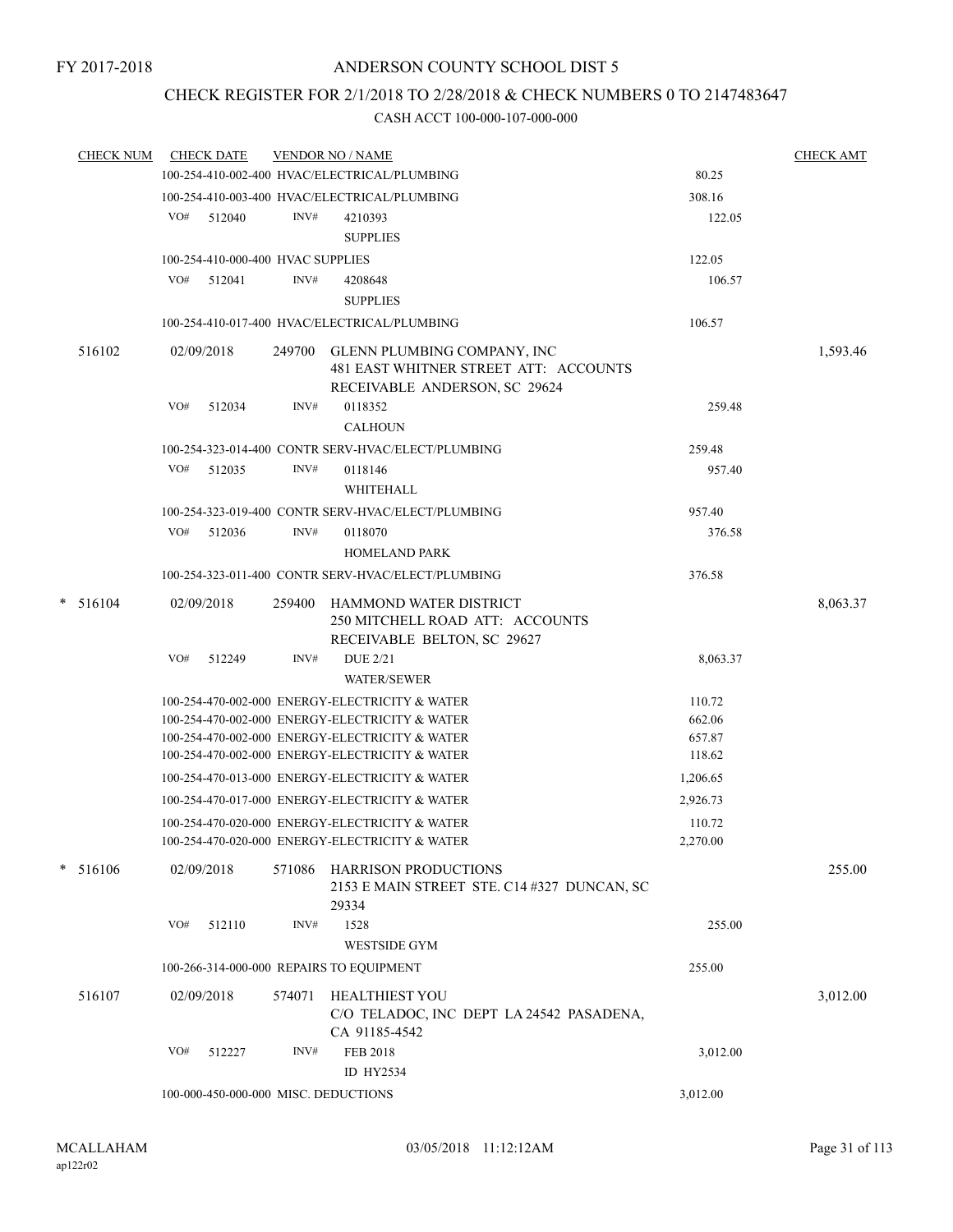# CHECK REGISTER FOR 2/1/2018 TO 2/28/2018 & CHECK NUMBERS 0 TO 2147483647

| CHECK NUM  |     | <b>CHECK DATE</b>                    |        | <b>VENDOR NO / NAME</b>                                                                                      |          | <b>CHECK AMT</b> |
|------------|-----|--------------------------------------|--------|--------------------------------------------------------------------------------------------------------------|----------|------------------|
|            |     |                                      |        | 100-254-410-002-400 HVAC/ELECTRICAL/PLUMBING                                                                 | 80.25    |                  |
|            |     |                                      |        | 100-254-410-003-400 HVAC/ELECTRICAL/PLUMBING                                                                 | 308.16   |                  |
|            |     | VO# 512040                           | INV#   | 4210393                                                                                                      | 122.05   |                  |
|            |     |                                      |        | <b>SUPPLIES</b>                                                                                              |          |                  |
|            |     | 100-254-410-000-400 HVAC SUPPLIES    |        |                                                                                                              | 122.05   |                  |
|            | VO# | 512041                               | INV#   | 4208648                                                                                                      | 106.57   |                  |
|            |     |                                      |        | <b>SUPPLIES</b>                                                                                              |          |                  |
|            |     |                                      |        | 100-254-410-017-400 HVAC/ELECTRICAL/PLUMBING                                                                 | 106.57   |                  |
| 516102     |     | 02/09/2018                           |        | 249700 GLENN PLUMBING COMPANY, INC<br>481 EAST WHITNER STREET ATT: ACCOUNTS<br>RECEIVABLE ANDERSON, SC 29624 |          | 1,593.46         |
|            | VO# | 512034                               | INV#   | 0118352                                                                                                      | 259.48   |                  |
|            |     |                                      |        | <b>CALHOUN</b>                                                                                               |          |                  |
|            |     |                                      |        | 100-254-323-014-400 CONTR SERV-HVAC/ELECT/PLUMBING                                                           | 259.48   |                  |
|            |     | VO# 512035                           | INV#   | 0118146                                                                                                      | 957.40   |                  |
|            |     |                                      |        | <b>WHITEHALL</b>                                                                                             |          |                  |
|            |     |                                      |        | 100-254-323-019-400 CONTR SERV-HVAC/ELECT/PLUMBING                                                           | 957.40   |                  |
|            |     | VO# 512036                           | INV#   | 0118070                                                                                                      | 376.58   |                  |
|            |     |                                      |        | <b>HOMELAND PARK</b>                                                                                         |          |                  |
|            |     |                                      |        | 100-254-323-011-400 CONTR SERV-HVAC/ELECT/PLUMBING                                                           | 376.58   |                  |
| $* 516104$ |     | 02/09/2018                           |        | 259400 HAMMOND WATER DISTRICT<br>250 MITCHELL ROAD ATT: ACCOUNTS<br>RECEIVABLE BELTON, SC 29627              |          | 8,063.37         |
|            | VO# | 512249                               | INV#   | <b>DUE 2/21</b><br><b>WATER/SEWER</b>                                                                        | 8,063.37 |                  |
|            |     |                                      |        | 100-254-470-002-000 ENERGY-ELECTRICITY & WATER                                                               | 110.72   |                  |
|            |     |                                      |        | 100-254-470-002-000 ENERGY-ELECTRICITY & WATER                                                               | 662.06   |                  |
|            |     |                                      |        | 100-254-470-002-000 ENERGY-ELECTRICITY & WATER                                                               | 657.87   |                  |
|            |     |                                      |        | 100-254-470-002-000 ENERGY-ELECTRICITY & WATER                                                               | 118.62   |                  |
|            |     |                                      |        | 100-254-470-013-000 ENERGY-ELECTRICITY & WATER                                                               | 1,206.65 |                  |
|            |     |                                      |        | 100-254-470-017-000 ENERGY-ELECTRICITY & WATER                                                               | 2,926.73 |                  |
|            |     |                                      |        | 100-254-470-020-000 ENERGY-ELECTRICITY & WATER                                                               | 110.72   |                  |
|            |     |                                      |        | 100-254-470-020-000 ENERGY-ELECTRICITY & WATER                                                               | 2,270.00 |                  |
| $* 516106$ |     | 02/09/2018                           |        | 571086 HARRISON PRODUCTIONS<br>2153 E MAIN STREET STE. C14 #327 DUNCAN, SC<br>29334                          |          | 255.00           |
|            | VO# | 512110                               | INV#   | 1528                                                                                                         | 255.00   |                  |
|            |     |                                      |        | <b>WESTSIDE GYM</b>                                                                                          |          |                  |
|            |     |                                      |        | 100-266-314-000-000 REPAIRS TO EQUIPMENT                                                                     | 255.00   |                  |
| 516107     |     | 02/09/2018                           | 574071 | <b>HEALTHIEST YOU</b><br>C/O TELADOC, INC DEPT LA 24542 PASADENA,<br>CA 91185-4542                           |          | 3,012.00         |
|            | VO# | 512227                               | INV#   | <b>FEB 2018</b><br>ID HY2534                                                                                 | 3,012.00 |                  |
|            |     | 100-000-450-000-000 MISC. DEDUCTIONS |        |                                                                                                              | 3,012.00 |                  |
|            |     |                                      |        |                                                                                                              |          |                  |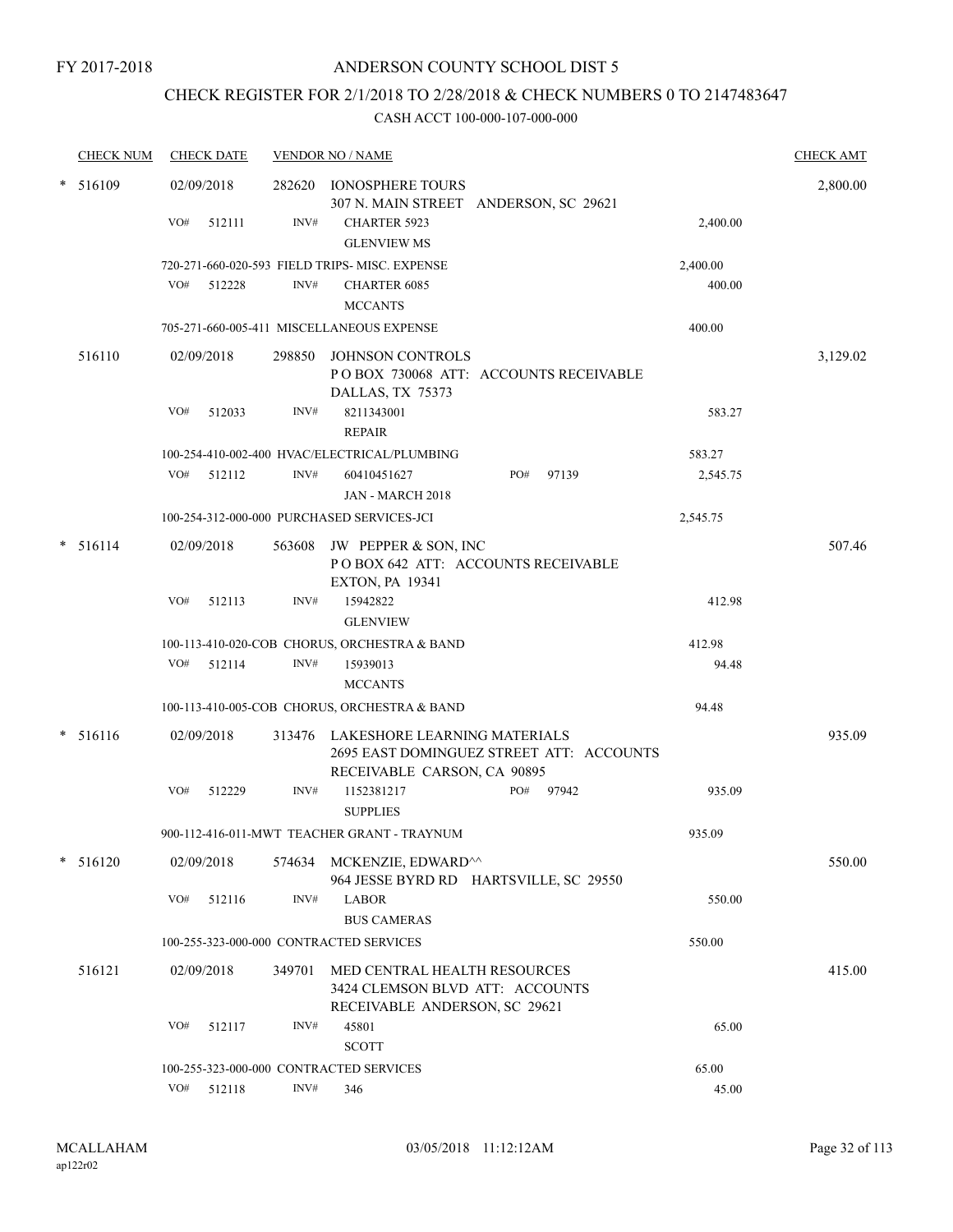# CHECK REGISTER FOR 2/1/2018 TO 2/28/2018 & CHECK NUMBERS 0 TO 2147483647

|        | <b>CHECK NUM</b> |     | <b>CHECK DATE</b> |                | <b>VENDOR NO / NAME</b>                                                                                 |           |       |          | <b>CHECK AMT</b> |
|--------|------------------|-----|-------------------|----------------|---------------------------------------------------------------------------------------------------------|-----------|-------|----------|------------------|
| *      | 516109           |     | 02/09/2018        | 282620         | IONOSPHERE TOURS<br>307 N. MAIN STREET ANDERSON, SC 29621                                               |           |       |          | 2,800.00         |
|        |                  | VO# | 512111            | INV#           | <b>CHARTER 5923</b><br><b>GLENVIEW MS</b>                                                               |           |       | 2,400.00 |                  |
|        |                  |     |                   |                | 720-271-660-020-593 FIELD TRIPS-MISC. EXPENSE                                                           |           |       | 2,400.00 |                  |
|        |                  | VO# | 512228            | INV#           | <b>CHARTER 6085</b><br><b>MCCANTS</b>                                                                   |           |       | 400.00   |                  |
|        |                  |     |                   |                | 705-271-660-005-411 MISCELLANEOUS EXPENSE                                                               |           |       | 400.00   |                  |
|        | 516110           |     | 02/09/2018        | 298850         | JOHNSON CONTROLS<br>POBOX 730068 ATT: ACCOUNTS RECEIVABLE<br>DALLAS, TX 75373                           |           |       |          | 3,129.02         |
|        |                  | VO# | 512033            | INV#           | 8211343001<br><b>REPAIR</b>                                                                             |           |       | 583.27   |                  |
|        |                  |     |                   |                | 100-254-410-002-400 HVAC/ELECTRICAL/PLUMBING                                                            |           |       | 583.27   |                  |
|        |                  | VO# | 512112            | INV#           | 60410451627<br>JAN - MARCH 2018                                                                         | PO#       | 97139 | 2,545.75 |                  |
|        |                  |     |                   |                | 100-254-312-000-000 PURCHASED SERVICES-JCI                                                              |           |       | 2,545.75 |                  |
| $\ast$ | 516114           |     | 02/09/2018        | 563608         | JW PEPPER & SON, INC<br>POBOX 642 ATT: ACCOUNTS RECEIVABLE<br><b>EXTON, PA 19341</b>                    |           |       |          | 507.46           |
|        |                  | VO# | 512113            | INV#           | 15942822<br><b>GLENVIEW</b>                                                                             |           |       | 412.98   |                  |
|        |                  |     |                   |                | 100-113-410-020-COB CHORUS, ORCHESTRA & BAND                                                            |           |       | 412.98   |                  |
|        |                  | VO# | 512114            | INV#           | 15939013                                                                                                |           |       | 94.48    |                  |
|        |                  |     |                   |                | <b>MCCANTS</b>                                                                                          |           |       |          |                  |
|        |                  |     |                   |                | 100-113-410-005-COB CHORUS, ORCHESTRA & BAND                                                            |           |       | 94.48    |                  |
| *      | 516116           |     | 02/09/2018        | 313476         | LAKESHORE LEARNING MATERIALS<br>2695 EAST DOMINGUEZ STREET ATT: ACCOUNTS<br>RECEIVABLE CARSON, CA 90895 |           |       |          | 935.09           |
|        |                  | VO# | 512229            | INV#           | 1152381217<br><b>SUPPLIES</b>                                                                           | PO# 97942 |       | 935.09   |                  |
|        |                  |     |                   |                | 900-112-416-011-MWT TEACHER GRANT - TRAYNUM                                                             |           |       | 935.09   |                  |
|        | $* 516120$       |     | 02/09/2018        |                | 574634 MCKENZIE, EDWARD^^<br>964 JESSE BYRD RD HARTSVILLE, SC 29550                                     |           |       |          | 550.00           |
|        |                  | VO# | 512116            | INV#           | <b>LABOR</b><br><b>BUS CAMERAS</b>                                                                      |           |       | 550.00   |                  |
|        |                  |     |                   |                | 100-255-323-000-000 CONTRACTED SERVICES                                                                 |           |       | 550.00   |                  |
|        | 516121           |     | 02/09/2018        | 349701         | MED CENTRAL HEALTH RESOURCES<br>3424 CLEMSON BLVD ATT: ACCOUNTS<br>RECEIVABLE ANDERSON, SC 29621        |           |       |          | 415.00           |
|        |                  | VO# | 512117            | INV#           | 45801<br><b>SCOTT</b>                                                                                   |           |       | 65.00    |                  |
|        |                  |     |                   |                | 100-255-323-000-000 CONTRACTED SERVICES                                                                 |           |       | 65.00    |                  |
|        |                  | VO# | 512118            | $\text{INV}\#$ | 346                                                                                                     |           |       | 45.00    |                  |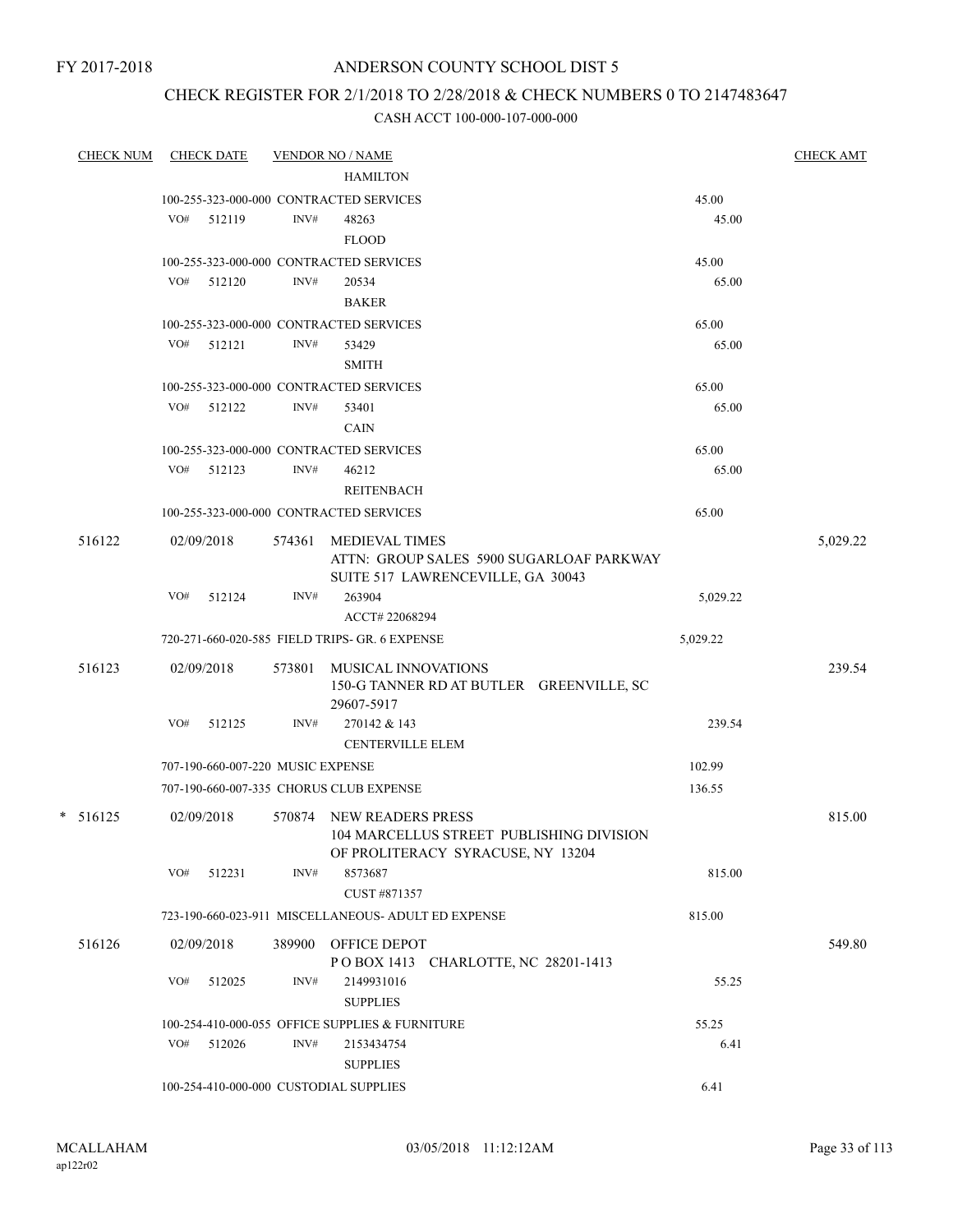# ANDERSON COUNTY SCHOOL DIST 5

# CHECK REGISTER FOR 2/1/2018 TO 2/28/2018 & CHECK NUMBERS 0 TO 2147483647

| <b>CHECK NUM</b> |     | <b>CHECK DATE</b>                 |        | <b>VENDOR NO / NAME</b>                                             |                | <b>CHECK AMT</b> |
|------------------|-----|-----------------------------------|--------|---------------------------------------------------------------------|----------------|------------------|
|                  |     |                                   |        | <b>HAMILTON</b>                                                     |                |                  |
|                  |     |                                   |        | 100-255-323-000-000 CONTRACTED SERVICES                             | 45.00          |                  |
|                  | VO# | 512119                            | INV#   | 48263                                                               | 45.00          |                  |
|                  |     |                                   |        | <b>FLOOD</b>                                                        |                |                  |
|                  |     |                                   |        | 100-255-323-000-000 CONTRACTED SERVICES                             | 45.00          |                  |
|                  |     | VO# 512120                        | INV#   | 20534                                                               | 65.00          |                  |
|                  |     |                                   |        | <b>BAKER</b>                                                        |                |                  |
|                  | VO# | 512121                            | INV#   | 100-255-323-000-000 CONTRACTED SERVICES<br>53429                    | 65.00<br>65.00 |                  |
|                  |     |                                   |        | <b>SMITH</b>                                                        |                |                  |
|                  |     |                                   |        |                                                                     |                |                  |
|                  | VO# | 512122                            | INV#   | 100-255-323-000-000 CONTRACTED SERVICES<br>53401                    | 65.00<br>65.00 |                  |
|                  |     |                                   |        | <b>CAIN</b>                                                         |                |                  |
|                  |     |                                   |        | 100-255-323-000-000 CONTRACTED SERVICES                             | 65.00          |                  |
|                  |     | VO# 512123                        | INV#   | 46212                                                               | 65.00          |                  |
|                  |     |                                   |        | <b>REITENBACH</b>                                                   |                |                  |
|                  |     |                                   |        | 100-255-323-000-000 CONTRACTED SERVICES                             | 65.00          |                  |
| 516122           |     | 02/09/2018                        | 574361 | <b>MEDIEVAL TIMES</b>                                               |                | 5,029.22         |
|                  |     |                                   |        | ATTN: GROUP SALES 5900 SUGARLOAF PARKWAY                            |                |                  |
|                  |     |                                   |        | SUITE 517 LAWRENCEVILLE, GA 30043                                   |                |                  |
|                  | VO# | 512124                            | INV#   | 263904                                                              | 5,029.22       |                  |
|                  |     |                                   |        | ACCT# 22068294                                                      |                |                  |
|                  |     |                                   |        | 720-271-660-020-585 FIELD TRIPS- GR. 6 EXPENSE                      | 5,029.22       |                  |
| 516123           |     | 02/09/2018                        | 573801 | MUSICAL INNOVATIONS                                                 |                | 239.54           |
|                  |     |                                   |        | 150-G TANNER RD AT BUTLER GREENVILLE, SC                            |                |                  |
|                  |     |                                   |        | 29607-5917                                                          |                |                  |
|                  | VO# | 512125                            | INV#   | 270142 & 143                                                        | 239.54         |                  |
|                  |     |                                   |        | <b>CENTERVILLE ELEM</b>                                             |                |                  |
|                  |     | 707-190-660-007-220 MUSIC EXPENSE |        |                                                                     | 102.99         |                  |
|                  |     |                                   |        | 707-190-660-007-335 CHORUS CLUB EXPENSE                             | 136.55         |                  |
| $* 516125$       |     | 02/09/2018                        | 570874 | <b>NEW READERS PRESS</b>                                            |                | 815.00           |
|                  |     |                                   |        | 104 MARCELLUS STREET PUBLISHING DIVISION                            |                |                  |
|                  |     |                                   |        | OF PROLITERACY SYRACUSE, NY 13204                                   |                |                  |
|                  | VO# | 512231                            | INV#   | 8573687                                                             | 815.00         |                  |
|                  |     |                                   |        | CUST #871357<br>723-190-660-023-911 MISCELLANEOUS- ADULT ED EXPENSE | 815.00         |                  |
|                  |     |                                   |        |                                                                     |                |                  |
| 516126           |     | 02/09/2018                        |        | 389900 OFFICE DEPOT                                                 |                | 549.80           |
|                  | VO# | 512025                            | INV#   | POBOX 1413 CHARLOTTE, NC 28201-1413<br>2149931016                   | 55.25          |                  |
|                  |     |                                   |        | <b>SUPPLIES</b>                                                     |                |                  |
|                  |     |                                   |        | 100-254-410-000-055 OFFICE SUPPLIES & FURNITURE                     | 55.25          |                  |
|                  | VO# | 512026                            | INV#   | 2153434754                                                          | 6.41           |                  |
|                  |     |                                   |        | <b>SUPPLIES</b>                                                     |                |                  |
|                  |     |                                   |        | 100-254-410-000-000 CUSTODIAL SUPPLIES                              | 6.41           |                  |
|                  |     |                                   |        |                                                                     |                |                  |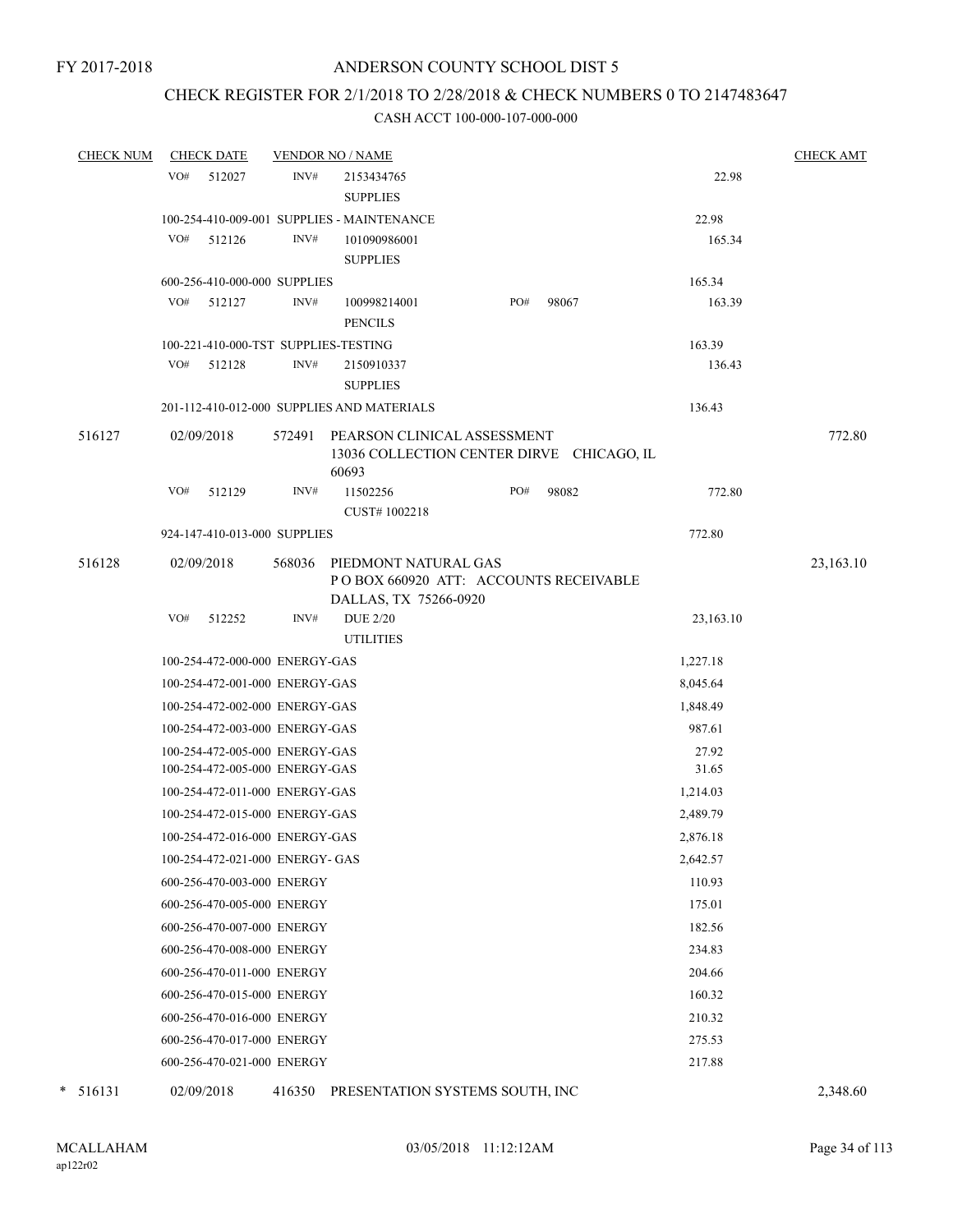# CHECK REGISTER FOR 2/1/2018 TO 2/28/2018 & CHECK NUMBERS 0 TO 2147483647

#### CASH ACCT 100-000-107-000-000

| <b>CHECK NUM</b> | <b>CHECK DATE</b>                    |        | <b>VENDOR NO / NAME</b>                                                                |     |       |           | <b>CHECK AMT</b> |
|------------------|--------------------------------------|--------|----------------------------------------------------------------------------------------|-----|-------|-----------|------------------|
|                  | VO#<br>512027                        | INV#   | 2153434765                                                                             |     |       | 22.98     |                  |
|                  |                                      |        | <b>SUPPLIES</b>                                                                        |     |       |           |                  |
|                  |                                      |        | 100-254-410-009-001 SUPPLIES - MAINTENANCE                                             |     |       | 22.98     |                  |
|                  | VO#<br>512126                        | INV#   | 101090986001                                                                           |     |       | 165.34    |                  |
|                  |                                      |        | <b>SUPPLIES</b>                                                                        |     |       |           |                  |
|                  | 600-256-410-000-000 SUPPLIES         |        |                                                                                        |     |       | 165.34    |                  |
|                  | VO#<br>512127                        | INV#   | 100998214001                                                                           | PO# | 98067 | 163.39    |                  |
|                  |                                      |        | <b>PENCILS</b>                                                                         |     |       |           |                  |
|                  | 100-221-410-000-TST SUPPLIES-TESTING |        |                                                                                        |     |       | 163.39    |                  |
|                  | VO#<br>512128                        | INV#   | 2150910337                                                                             |     |       | 136.43    |                  |
|                  |                                      |        | <b>SUPPLIES</b>                                                                        |     |       |           |                  |
|                  |                                      |        | 201-112-410-012-000 SUPPLIES AND MATERIALS                                             |     |       | 136.43    |                  |
| 516127           | 02/09/2018                           | 572491 | PEARSON CLINICAL ASSESSMENT<br>13036 COLLECTION CENTER DIRVE CHICAGO, IL<br>60693      |     |       |           | 772.80           |
|                  | VO#<br>512129                        | INV#   | 11502256<br>CUST#1002218                                                               | PO# | 98082 | 772.80    |                  |
|                  | 924-147-410-013-000 SUPPLIES         |        |                                                                                        |     |       | 772.80    |                  |
|                  |                                      |        |                                                                                        |     |       |           |                  |
| 516128           | 02/09/2018                           | 568036 | PIEDMONT NATURAL GAS<br>POBOX 660920 ATT: ACCOUNTS RECEIVABLE<br>DALLAS, TX 75266-0920 |     |       |           | 23,163.10        |
|                  | VO#<br>512252                        | INV#   | <b>DUE 2/20</b>                                                                        |     |       | 23,163.10 |                  |
|                  |                                      |        | <b>UTILITIES</b>                                                                       |     |       |           |                  |
|                  | 100-254-472-000-000 ENERGY-GAS       |        |                                                                                        |     |       | 1,227.18  |                  |
|                  | 100-254-472-001-000 ENERGY-GAS       |        |                                                                                        |     |       | 8,045.64  |                  |
|                  | 100-254-472-002-000 ENERGY-GAS       |        |                                                                                        |     |       | 1,848.49  |                  |
|                  | 100-254-472-003-000 ENERGY-GAS       |        |                                                                                        |     |       | 987.61    |                  |
|                  | 100-254-472-005-000 ENERGY-GAS       |        |                                                                                        |     |       | 27.92     |                  |
|                  | 100-254-472-005-000 ENERGY-GAS       |        |                                                                                        |     |       | 31.65     |                  |
|                  | 100-254-472-011-000 ENERGY-GAS       |        |                                                                                        |     |       | 1,214.03  |                  |
|                  | 100-254-472-015-000 ENERGY-GAS       |        |                                                                                        |     |       | 2,489.79  |                  |
|                  | 100-254-472-016-000 ENERGY-GAS       |        |                                                                                        |     |       | 2,876.18  |                  |
|                  | 100-254-472-021-000 ENERGY- GAS      |        |                                                                                        |     |       | 2,642.57  |                  |
|                  | 600-256-470-003-000 ENERGY           |        |                                                                                        |     |       | 110.93    |                  |
|                  | 600-256-470-005-000 ENERGY           |        |                                                                                        |     |       | 175.01    |                  |
|                  | 600-256-470-007-000 ENERGY           |        |                                                                                        |     |       | 182.56    |                  |
|                  | 600-256-470-008-000 ENERGY           |        |                                                                                        |     |       | 234.83    |                  |
|                  | 600-256-470-011-000 ENERGY           |        |                                                                                        |     |       | 204.66    |                  |
|                  | 600-256-470-015-000 ENERGY           |        |                                                                                        |     |       | 160.32    |                  |
|                  | 600-256-470-016-000 ENERGY           |        |                                                                                        |     |       | 210.32    |                  |
|                  | 600-256-470-017-000 ENERGY           |        |                                                                                        |     |       | 275.53    |                  |
|                  |                                      |        |                                                                                        |     |       |           |                  |
|                  | 600-256-470-021-000 ENERGY           |        |                                                                                        |     |       | 217.88    |                  |

\* 516131 02/09/2018 416350 PRESENTATION SYSTEMS SOUTH, INC 2,348.60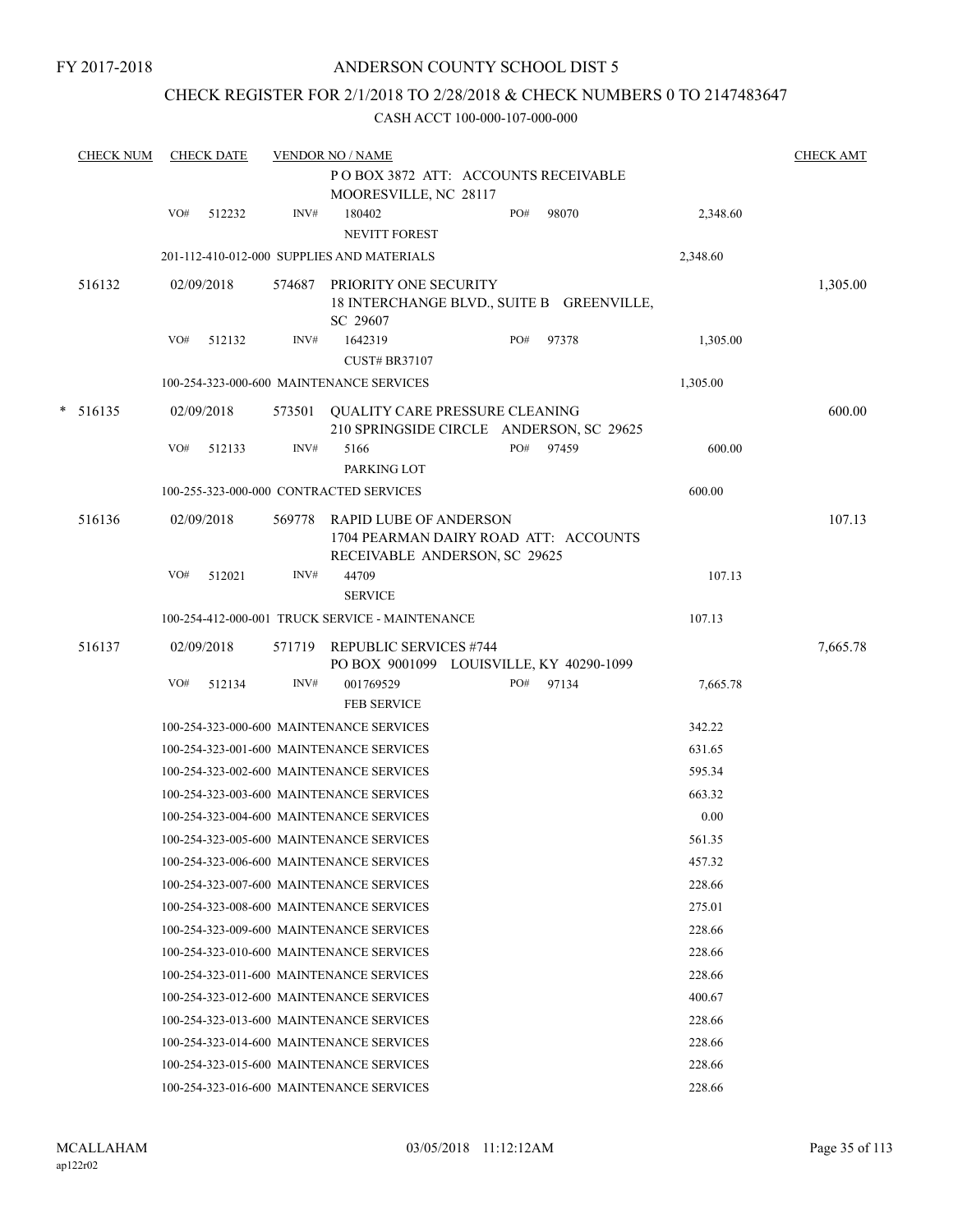# CHECK REGISTER FOR 2/1/2018 TO 2/28/2018 & CHECK NUMBERS 0 TO 2147483647

|   | <b>CHECK NUM</b> |     | <b>CHECK DATE</b> |        | <b>VENDOR NO / NAME</b>                                                                                 |     |       |          | <b>CHECK AMT</b> |
|---|------------------|-----|-------------------|--------|---------------------------------------------------------------------------------------------------------|-----|-------|----------|------------------|
|   |                  |     |                   |        | POBOX 3872 ATT: ACCOUNTS RECEIVABLE<br>MOORESVILLE, NC 28117                                            |     |       |          |                  |
|   |                  | VO# | 512232            | INV#   | 180402<br><b>NEVITT FOREST</b>                                                                          | PO# | 98070 | 2,348.60 |                  |
|   |                  |     |                   |        | 201-112-410-012-000 SUPPLIES AND MATERIALS                                                              |     |       | 2,348.60 |                  |
|   | 516132           |     | 02/09/2018        | 574687 | PRIORITY ONE SECURITY<br>18 INTERCHANGE BLVD., SUITE B GREENVILLE,<br>SC 29607                          |     |       |          | 1,305.00         |
|   |                  | VO# | 512132            | INV#   | 1642319<br><b>CUST# BR37107</b>                                                                         | PO# | 97378 | 1,305.00 |                  |
|   |                  |     |                   |        | 100-254-323-000-600 MAINTENANCE SERVICES                                                                |     |       | 1,305.00 |                  |
| * | 516135           |     | 02/09/2018        | 573501 | QUALITY CARE PRESSURE CLEANING<br>210 SPRINGSIDE CIRCLE ANDERSON, SC 29625                              |     |       |          | 600.00           |
|   |                  | VO# | 512133            | INV#   | 5166<br>PARKING LOT                                                                                     | PO# | 97459 | 600.00   |                  |
|   |                  |     |                   |        | 100-255-323-000-000 CONTRACTED SERVICES                                                                 |     |       | 600.00   |                  |
|   | 516136           |     | 02/09/2018        | 569778 | <b>RAPID LUBE OF ANDERSON</b><br>1704 PEARMAN DAIRY ROAD ATT: ACCOUNTS<br>RECEIVABLE ANDERSON, SC 29625 |     |       |          | 107.13           |
|   |                  | VO# | 512021            | INV#   | 44709<br><b>SERVICE</b>                                                                                 |     |       | 107.13   |                  |
|   |                  |     |                   |        | 100-254-412-000-001 TRUCK SERVICE - MAINTENANCE                                                         |     |       | 107.13   |                  |
|   | 516137           |     | 02/09/2018        | 571719 | <b>REPUBLIC SERVICES #744</b><br>PO BOX 9001099 LOUISVILLE, KY 40290-1099                               |     |       |          | 7,665.78         |
|   |                  | VO# | 512134            | INV#   | 001769529<br><b>FEB SERVICE</b>                                                                         | PO# | 97134 | 7,665.78 |                  |
|   |                  |     |                   |        | 100-254-323-000-600 MAINTENANCE SERVICES                                                                |     |       | 342.22   |                  |
|   |                  |     |                   |        | 100-254-323-001-600 MAINTENANCE SERVICES                                                                |     |       | 631.65   |                  |
|   |                  |     |                   |        | 100-254-323-002-600 MAINTENANCE SERVICES                                                                |     |       | 595.34   |                  |
|   |                  |     |                   |        | 100-254-323-003-600 MAINTENANCE SERVICES                                                                |     |       | 663.32   |                  |
|   |                  |     |                   |        | 100-254-323-004-600 MAINTENANCE SERVICES                                                                |     |       | 0.00     |                  |
|   |                  |     |                   |        | 100-254-323-005-600 MAINTENANCE SERVICES                                                                |     |       | 561.35   |                  |
|   |                  |     |                   |        | 100-254-323-006-600 MAINTENANCE SERVICES                                                                |     |       | 457.32   |                  |
|   |                  |     |                   |        | 100-254-323-007-600 MAINTENANCE SERVICES                                                                |     |       | 228.66   |                  |
|   |                  |     |                   |        | 100-254-323-008-600 MAINTENANCE SERVICES                                                                |     |       | 275.01   |                  |
|   |                  |     |                   |        | 100-254-323-009-600 MAINTENANCE SERVICES                                                                |     |       | 228.66   |                  |
|   |                  |     |                   |        | 100-254-323-010-600 MAINTENANCE SERVICES                                                                |     |       | 228.66   |                  |
|   |                  |     |                   |        | 100-254-323-011-600 MAINTENANCE SERVICES                                                                |     |       | 228.66   |                  |
|   |                  |     |                   |        | 100-254-323-012-600 MAINTENANCE SERVICES                                                                |     |       | 400.67   |                  |
|   |                  |     |                   |        | 100-254-323-013-600 MAINTENANCE SERVICES                                                                |     |       | 228.66   |                  |
|   |                  |     |                   |        | 100-254-323-014-600 MAINTENANCE SERVICES                                                                |     |       | 228.66   |                  |
|   |                  |     |                   |        | 100-254-323-015-600 MAINTENANCE SERVICES                                                                |     |       | 228.66   |                  |
|   |                  |     |                   |        | 100-254-323-016-600 MAINTENANCE SERVICES                                                                |     |       | 228.66   |                  |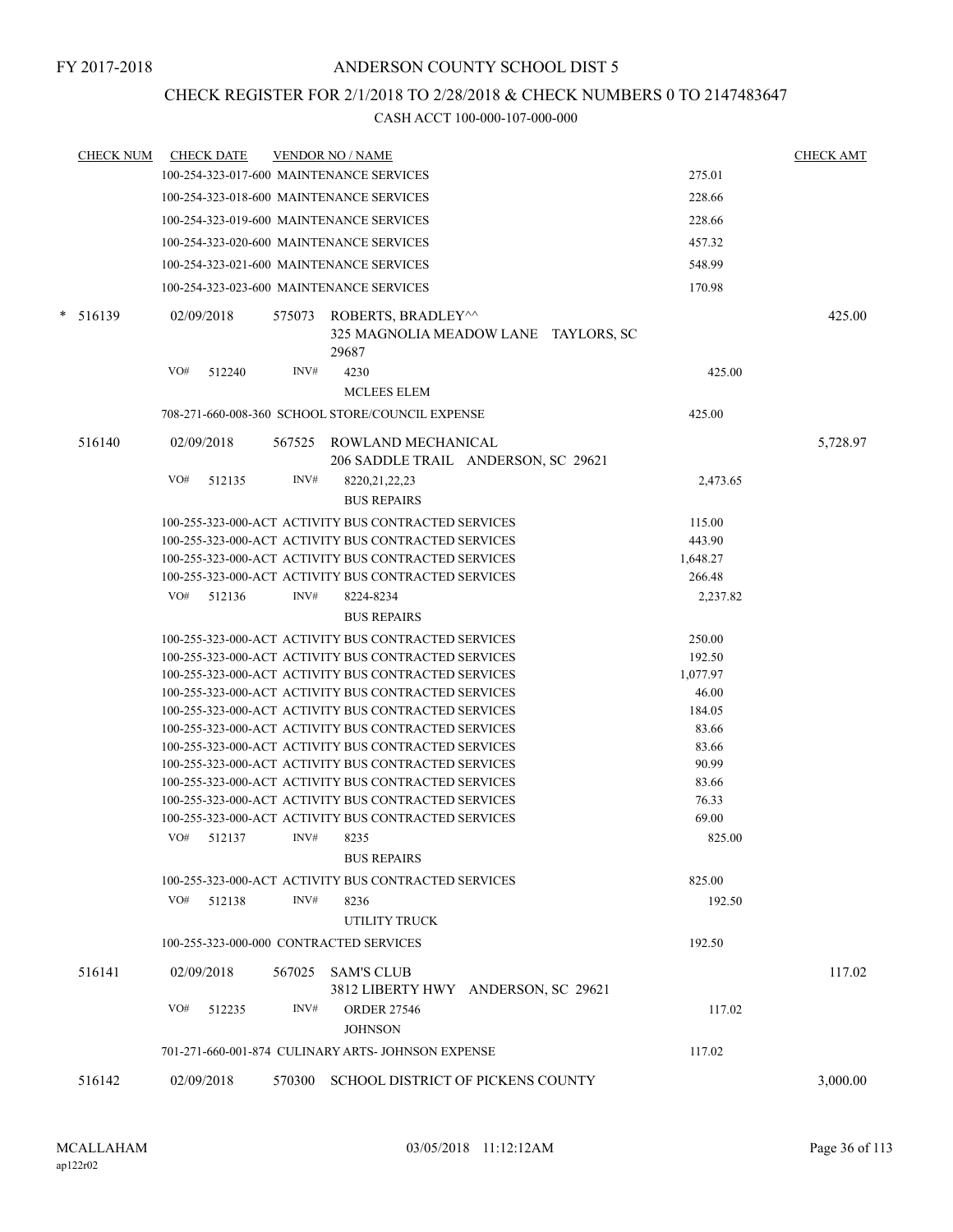# CHECK REGISTER FOR 2/1/2018 TO 2/28/2018 & CHECK NUMBERS 0 TO 2147483647

| <b>CHECK NUM</b> | <b>CHECK DATE</b><br><b>VENDOR NO / NAME</b>                                                |          | <b>CHECK AMT</b> |
|------------------|---------------------------------------------------------------------------------------------|----------|------------------|
|                  | 100-254-323-017-600 MAINTENANCE SERVICES                                                    | 275.01   |                  |
|                  | 100-254-323-018-600 MAINTENANCE SERVICES                                                    | 228.66   |                  |
|                  | 100-254-323-019-600 MAINTENANCE SERVICES                                                    | 228.66   |                  |
|                  | 100-254-323-020-600 MAINTENANCE SERVICES                                                    | 457.32   |                  |
|                  | 100-254-323-021-600 MAINTENANCE SERVICES                                                    | 548.99   |                  |
|                  | 100-254-323-023-600 MAINTENANCE SERVICES                                                    | 170.98   |                  |
|                  |                                                                                             |          |                  |
| $* 516139$       | 02/09/2018<br>575073<br>ROBERTS, BRADLEY^^<br>325 MAGNOLIA MEADOW LANE TAYLORS, SC<br>29687 |          | 425.00           |
|                  | INV#<br>4230<br>VO#<br>512240                                                               | 425.00   |                  |
|                  | <b>MCLEES ELEM</b>                                                                          |          |                  |
|                  | 708-271-660-008-360 SCHOOL STORE/COUNCIL EXPENSE                                            | 425.00   |                  |
| 516140           | 02/09/2018<br>567525<br>ROWLAND MECHANICAL                                                  |          | 5,728.97         |
|                  | 206 SADDLE TRAIL ANDERSON, SC 29621                                                         |          |                  |
|                  | VO#<br>INV#<br>512135<br>8220, 21, 22, 23                                                   | 2,473.65 |                  |
|                  | <b>BUS REPAIRS</b>                                                                          |          |                  |
|                  | 100-255-323-000-ACT ACTIVITY BUS CONTRACTED SERVICES                                        | 115.00   |                  |
|                  | 100-255-323-000-ACT ACTIVITY BUS CONTRACTED SERVICES                                        | 443.90   |                  |
|                  | 100-255-323-000-ACT ACTIVITY BUS CONTRACTED SERVICES                                        | 1,648.27 |                  |
|                  | 100-255-323-000-ACT ACTIVITY BUS CONTRACTED SERVICES                                        | 266.48   |                  |
|                  | VO#<br>INV#<br>512136<br>8224-8234                                                          | 2,237.82 |                  |
|                  | <b>BUS REPAIRS</b>                                                                          |          |                  |
|                  | 100-255-323-000-ACT ACTIVITY BUS CONTRACTED SERVICES                                        | 250.00   |                  |
|                  | 100-255-323-000-ACT ACTIVITY BUS CONTRACTED SERVICES                                        | 192.50   |                  |
|                  | 100-255-323-000-ACT ACTIVITY BUS CONTRACTED SERVICES                                        | 1,077.97 |                  |
|                  | 100-255-323-000-ACT ACTIVITY BUS CONTRACTED SERVICES                                        | 46.00    |                  |
|                  | 100-255-323-000-ACT ACTIVITY BUS CONTRACTED SERVICES                                        | 184.05   |                  |
|                  | 100-255-323-000-ACT ACTIVITY BUS CONTRACTED SERVICES                                        | 83.66    |                  |
|                  | 100-255-323-000-ACT ACTIVITY BUS CONTRACTED SERVICES                                        | 83.66    |                  |
|                  | 100-255-323-000-ACT ACTIVITY BUS CONTRACTED SERVICES                                        | 90.99    |                  |
|                  | 100-255-323-000-ACT ACTIVITY BUS CONTRACTED SERVICES                                        | 83.66    |                  |
|                  | 100-255-323-000-ACT ACTIVITY BUS CONTRACTED SERVICES                                        | 76.33    |                  |
|                  | 100-255-323-000-ACT ACTIVITY BUS CONTRACTED SERVICES<br>VO#<br>INV#                         | 69.00    |                  |
|                  | 512137<br>8235<br><b>BUS REPAIRS</b>                                                        | 825.00   |                  |
|                  | 100-255-323-000-ACT ACTIVITY BUS CONTRACTED SERVICES                                        | 825.00   |                  |
|                  | VO#<br>INV#<br>512138<br>8236                                                               | 192.50   |                  |
|                  | UTILITY TRUCK                                                                               |          |                  |
|                  | 100-255-323-000-000 CONTRACTED SERVICES                                                     | 192.50   |                  |
|                  |                                                                                             |          |                  |
| 516141           | 567025 SAM'S CLUB<br>02/09/2018<br>3812 LIBERTY HWY ANDERSON, SC 29621                      |          | 117.02           |
|                  | VO#<br>INV#<br>512235<br><b>ORDER 27546</b><br><b>JOHNSON</b>                               | 117.02   |                  |
|                  | 701-271-660-001-874 CULINARY ARTS- JOHNSON EXPENSE                                          | 117.02   |                  |
| 516142           | SCHOOL DISTRICT OF PICKENS COUNTY<br>02/09/2018<br>570300                                   |          | 3,000.00         |
|                  |                                                                                             |          |                  |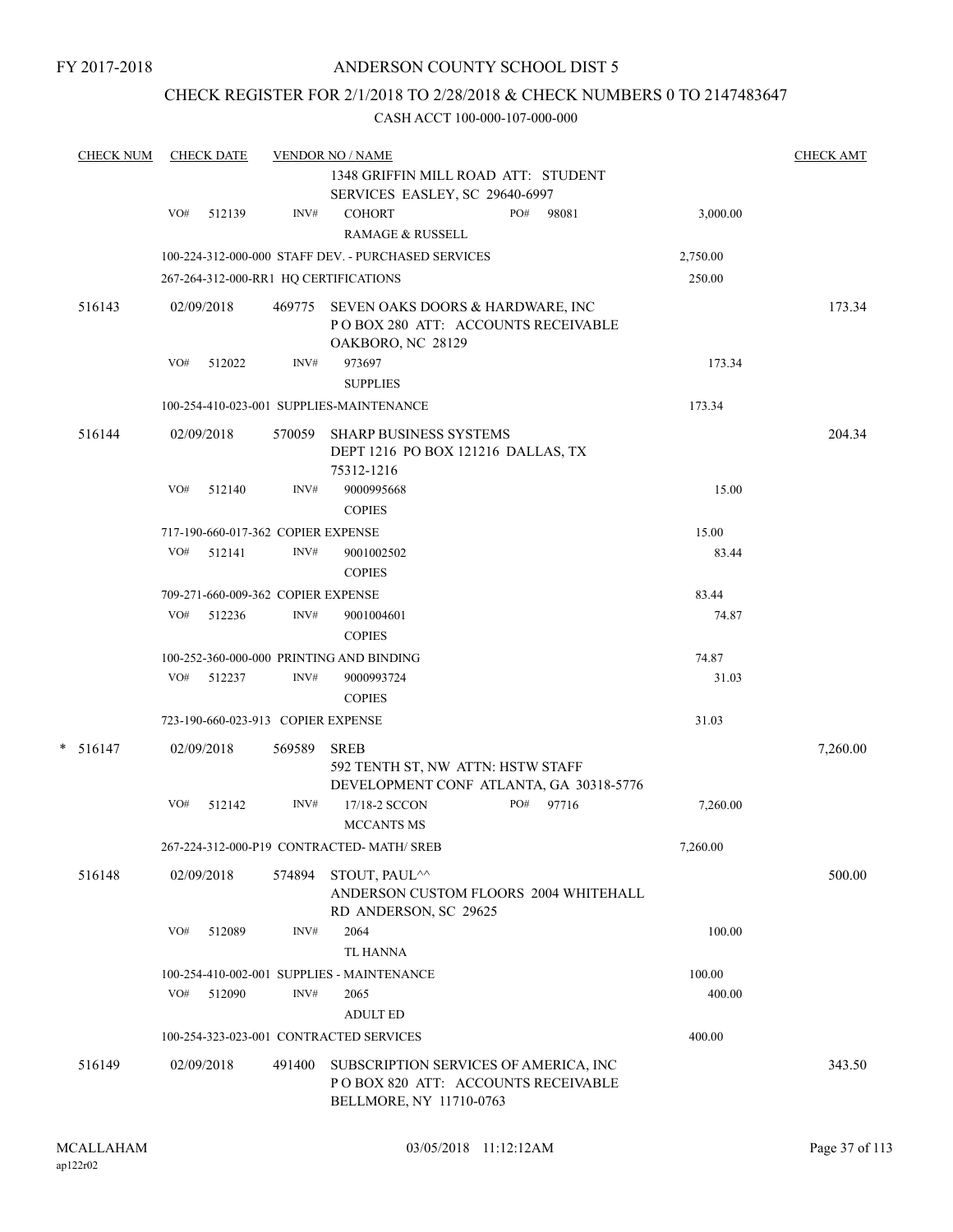## CHECK REGISTER FOR 2/1/2018 TO 2/28/2018 & CHECK NUMBERS 0 TO 2147483647

| <b>CHECK NUM</b> |     | <b>CHECK DATE</b>                  |        | <b>VENDOR NO / NAME</b>                                                                                |     |       |          | <b>CHECK AMT</b> |
|------------------|-----|------------------------------------|--------|--------------------------------------------------------------------------------------------------------|-----|-------|----------|------------------|
|                  |     |                                    |        | 1348 GRIFFIN MILL ROAD ATT: STUDENT<br>SERVICES EASLEY, SC 29640-6997                                  |     |       |          |                  |
|                  | VO# | 512139                             | INV#   | <b>COHORT</b><br><b>RAMAGE &amp; RUSSELL</b>                                                           | PO# | 98081 | 3,000.00 |                  |
|                  |     |                                    |        | 100-224-312-000-000 STAFF DEV. - PURCHASED SERVICES                                                    |     |       | 2,750.00 |                  |
|                  |     |                                    |        | 267-264-312-000-RR1 HQ CERTIFICATIONS                                                                  |     |       | 250.00   |                  |
| 516143           |     | 02/09/2018                         |        | 469775 SEVEN OAKS DOORS & HARDWARE, INC<br>POBOX 280 ATT: ACCOUNTS RECEIVABLE<br>OAKBORO, NC 28129     |     |       |          | 173.34           |
|                  | VO# | 512022                             | INV#   | 973697<br><b>SUPPLIES</b>                                                                              |     |       | 173.34   |                  |
|                  |     |                                    |        | 100-254-410-023-001 SUPPLIES-MAINTENANCE                                                               |     |       | 173.34   |                  |
| 516144           |     | 02/09/2018                         |        | 570059 SHARP BUSINESS SYSTEMS<br>DEPT 1216 PO BOX 121216 DALLAS, TX<br>75312-1216                      |     |       |          | 204.34           |
|                  | VO# | 512140                             | INV#   | 9000995668<br><b>COPIES</b>                                                                            |     |       | 15.00    |                  |
|                  |     | 717-190-660-017-362 COPIER EXPENSE |        |                                                                                                        |     |       | 15.00    |                  |
|                  |     | VO# 512141                         | INV#   | 9001002502<br><b>COPIES</b>                                                                            |     |       | 83.44    |                  |
|                  |     | 709-271-660-009-362 COPIER EXPENSE |        |                                                                                                        |     |       | 83.44    |                  |
|                  | VO# | 512236                             | INV#   | 9001004601<br><b>COPIES</b>                                                                            |     |       | 74.87    |                  |
|                  |     |                                    |        | 100-252-360-000-000 PRINTING AND BINDING                                                               |     |       | 74.87    |                  |
|                  |     | VO# 512237                         | INV#   | 9000993724<br><b>COPIES</b>                                                                            |     |       | 31.03    |                  |
|                  |     | 723-190-660-023-913 COPIER EXPENSE |        |                                                                                                        |     |       | 31.03    |                  |
| $* 516147$       |     | 02/09/2018                         | 569589 | <b>SREB</b><br>592 TENTH ST, NW ATTN: HSTW STAFF<br>DEVELOPMENT CONF ATLANTA, GA 30318-5776            |     |       |          | 7,260.00         |
|                  | VO# | 512142                             | INV#   | 17/18-2 SCCON<br><b>MCCANTS MS</b>                                                                     | PO# | 97716 | 7,260.00 |                  |
|                  |     |                                    |        | 267-224-312-000-P19 CONTRACTED-MATH/ SREB                                                              |     |       | 7,260.00 |                  |
| 516148           |     | 02/09/2018                         | 574894 | STOUT, PAUL <sup>^^</sup><br>ANDERSON CUSTOM FLOORS 2004 WHITEHALL<br>RD ANDERSON, SC 29625            |     |       |          | 500.00           |
|                  | VO# | 512089                             | INV#   | 2064<br><b>TL HANNA</b>                                                                                |     |       | 100.00   |                  |
|                  |     |                                    |        | 100-254-410-002-001 SUPPLIES - MAINTENANCE                                                             |     |       | 100.00   |                  |
|                  | VO# | 512090                             | INV#   | 2065<br><b>ADULT ED</b>                                                                                |     |       | 400.00   |                  |
|                  |     |                                    |        | 100-254-323-023-001 CONTRACTED SERVICES                                                                |     |       | 400.00   |                  |
| 516149           |     | 02/09/2018                         | 491400 | SUBSCRIPTION SERVICES OF AMERICA, INC<br>POBOX 820 ATT: ACCOUNTS RECEIVABLE<br>BELLMORE, NY 11710-0763 |     |       |          | 343.50           |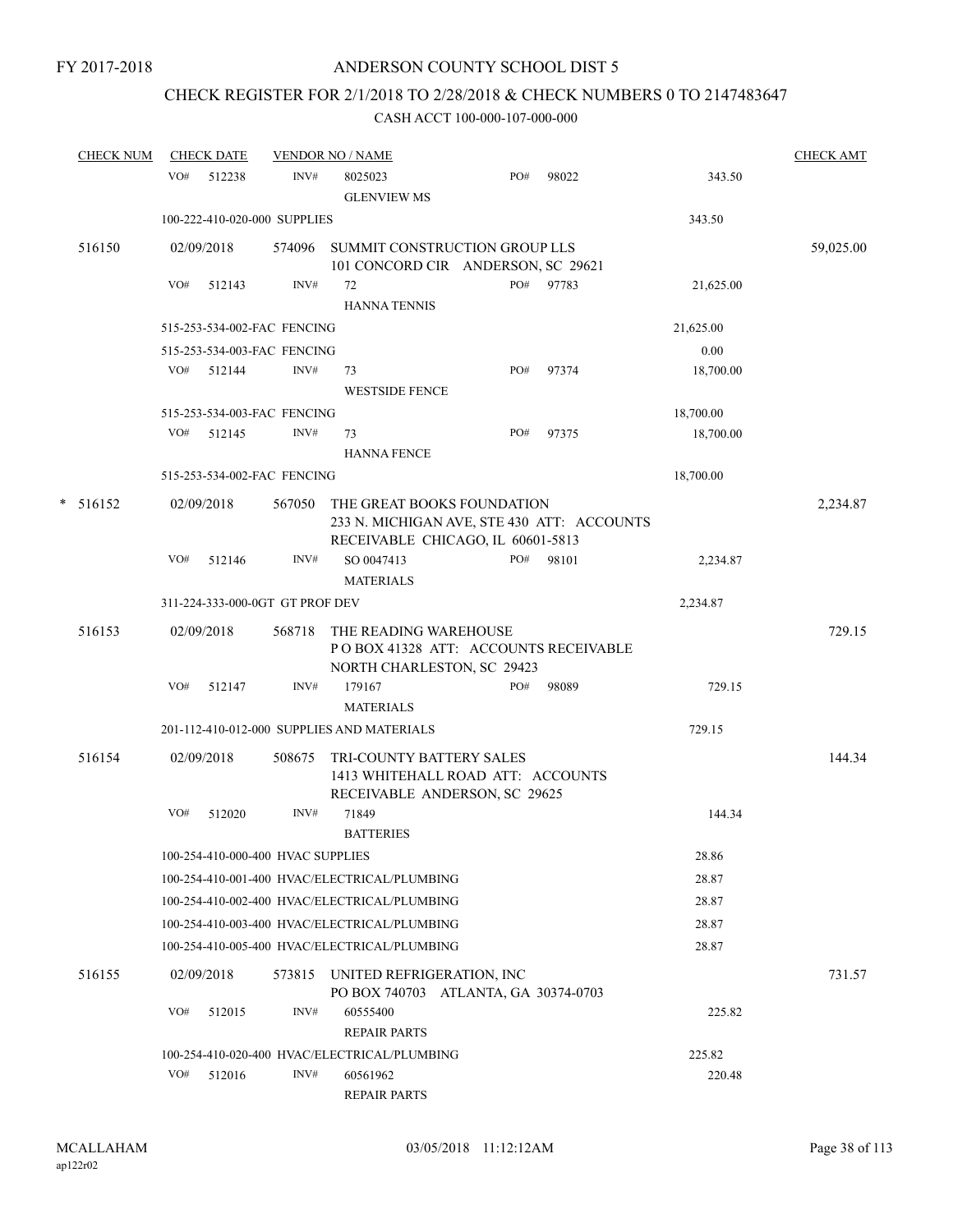## CHECK REGISTER FOR 2/1/2018 TO 2/28/2018 & CHECK NUMBERS 0 TO 2147483647

|   | <b>CHECK NUM</b> |     | <b>CHECK DATE</b> |                                   | <b>VENDOR NO / NAME</b>                      |                                                                                                               |       |           | <b>CHECK AMT</b> |
|---|------------------|-----|-------------------|-----------------------------------|----------------------------------------------|---------------------------------------------------------------------------------------------------------------|-------|-----------|------------------|
|   |                  | VO# | 512238            | INV#                              | 8025023<br><b>GLENVIEW MS</b>                | PO#                                                                                                           | 98022 | 343.50    |                  |
|   |                  |     |                   | 100-222-410-020-000 SUPPLIES      |                                              |                                                                                                               |       | 343.50    |                  |
|   | 516150           |     | 02/09/2018        | 574096                            |                                              | SUMMIT CONSTRUCTION GROUP LLS<br>101 CONCORD CIR ANDERSON, SC 29621                                           |       |           | 59,025.00        |
|   |                  | VO# | 512143            | INV#                              | 72                                           | PO#                                                                                                           | 97783 | 21,625.00 |                  |
|   |                  |     |                   |                                   | <b>HANNA TENNIS</b>                          |                                                                                                               |       |           |                  |
|   |                  |     |                   | 515-253-534-002-FAC FENCING       |                                              |                                                                                                               |       | 21,625.00 |                  |
|   |                  |     |                   | 515-253-534-003-FAC FENCING       |                                              |                                                                                                               |       | 0.00      |                  |
|   |                  | VO# | 512144            | INV#                              | 73<br><b>WESTSIDE FENCE</b>                  | PO#                                                                                                           | 97374 | 18,700.00 |                  |
|   |                  |     |                   | 515-253-534-003-FAC FENCING       |                                              |                                                                                                               |       | 18,700.00 |                  |
|   |                  | VO# | 512145            | INV#                              | 73<br><b>HANNA FENCE</b>                     | PO#                                                                                                           | 97375 | 18,700.00 |                  |
|   |                  |     |                   | 515-253-534-002-FAC FENCING       |                                              |                                                                                                               |       | 18,700.00 |                  |
| * | 516152           |     | 02/09/2018        | 567050                            |                                              | THE GREAT BOOKS FOUNDATION<br>233 N. MICHIGAN AVE, STE 430 ATT: ACCOUNTS<br>RECEIVABLE CHICAGO, IL 60601-5813 |       |           | 2,234.87         |
|   |                  | VO# | 512146            | INV#                              | SO 0047413<br><b>MATERIALS</b>               | PO#                                                                                                           | 98101 | 2,234.87  |                  |
|   |                  |     |                   | 311-224-333-000-0GT GT PROF DEV   |                                              |                                                                                                               |       | 2,234.87  |                  |
|   | 516153           |     | 02/09/2018        | 568718                            | THE READING WAREHOUSE                        |                                                                                                               |       |           | 729.15           |
|   |                  |     |                   |                                   |                                              | POBOX 41328 ATT: ACCOUNTS RECEIVABLE<br>NORTH CHARLESTON, SC 29423                                            |       |           |                  |
|   |                  | VO# | 512147            | INV#                              | 179167                                       | PO#                                                                                                           | 98089 | 729.15    |                  |
|   |                  |     |                   |                                   | <b>MATERIALS</b>                             |                                                                                                               |       |           |                  |
|   |                  |     |                   |                                   | 201-112-410-012-000 SUPPLIES AND MATERIALS   |                                                                                                               |       | 729.15    |                  |
|   | 516154           |     | 02/09/2018        | 508675                            |                                              | TRI-COUNTY BATTERY SALES<br>1413 WHITEHALL ROAD ATT: ACCOUNTS<br>RECEIVABLE ANDERSON, SC 29625                |       |           | 144.34           |
|   |                  | VO# | 512020            | INV#                              | 71849<br><b>BATTERIES</b>                    |                                                                                                               |       | 144.34    |                  |
|   |                  |     |                   | 100-254-410-000-400 HVAC SUPPLIES |                                              |                                                                                                               |       | 28.86     |                  |
|   |                  |     |                   |                                   | 100-254-410-001-400 HVAC/ELECTRICAL/PLUMBING |                                                                                                               |       | 28.87     |                  |
|   |                  |     |                   |                                   | 100-254-410-002-400 HVAC/ELECTRICAL/PLUMBING |                                                                                                               |       | 28.87     |                  |
|   |                  |     |                   |                                   | 100-254-410-003-400 HVAC/ELECTRICAL/PLUMBING |                                                                                                               |       | 28.87     |                  |
|   |                  |     |                   |                                   | 100-254-410-005-400 HVAC/ELECTRICAL/PLUMBING |                                                                                                               |       | 28.87     |                  |
|   | 516155           |     | 02/09/2018        | 573815                            |                                              | UNITED REFRIGERATION, INC<br>PO BOX 740703 ATLANTA, GA 30374-0703                                             |       |           | 731.57           |
|   |                  | VO# | 512015            | INV#                              | 60555400<br><b>REPAIR PARTS</b>              |                                                                                                               |       | 225.82    |                  |
|   |                  |     |                   |                                   | 100-254-410-020-400 HVAC/ELECTRICAL/PLUMBING |                                                                                                               |       | 225.82    |                  |
|   |                  | VO# | 512016            | INV#                              | 60561962                                     |                                                                                                               |       | 220.48    |                  |
|   |                  |     |                   |                                   | <b>REPAIR PARTS</b>                          |                                                                                                               |       |           |                  |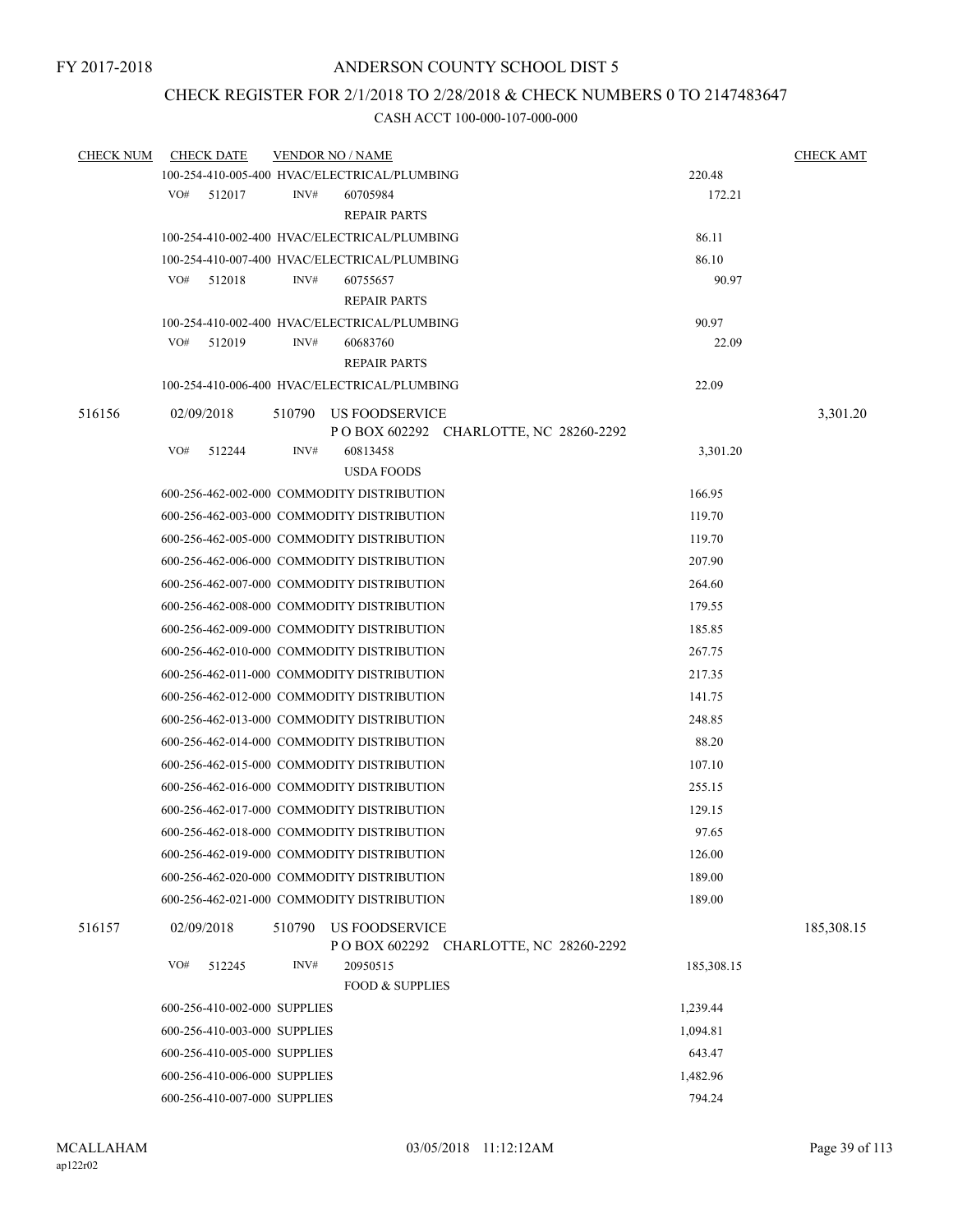## CHECK REGISTER FOR 2/1/2018 TO 2/28/2018 & CHECK NUMBERS 0 TO 2147483647

| <b>CHECK NUM</b> | <b>CHECK DATE</b>            |        | <b>VENDOR NO / NAME</b>                      |            | <b>CHECK AMT</b> |
|------------------|------------------------------|--------|----------------------------------------------|------------|------------------|
|                  |                              |        | 100-254-410-005-400 HVAC/ELECTRICAL/PLUMBING | 220.48     |                  |
|                  | VO#<br>512017                | INV#   | 60705984                                     | 172.21     |                  |
|                  |                              |        | <b>REPAIR PARTS</b>                          |            |                  |
|                  |                              |        | 100-254-410-002-400 HVAC/ELECTRICAL/PLUMBING | 86.11      |                  |
|                  |                              |        | 100-254-410-007-400 HVAC/ELECTRICAL/PLUMBING | 86.10      |                  |
|                  | VO#<br>512018                | INV#   | 60755657                                     | 90.97      |                  |
|                  |                              |        | <b>REPAIR PARTS</b>                          |            |                  |
|                  |                              |        | 100-254-410-002-400 HVAC/ELECTRICAL/PLUMBING | 90.97      |                  |
|                  | VO#<br>512019                | INV#   | 60683760                                     | 22.09      |                  |
|                  |                              |        | <b>REPAIR PARTS</b>                          |            |                  |
|                  |                              |        | 100-254-410-006-400 HVAC/ELECTRICAL/PLUMBING | 22.09      |                  |
| 516156           | 02/09/2018                   | 510790 | US FOODSERVICE                               |            | 3,301.20         |
|                  |                              |        | P O BOX 602292 CHARLOTTE, NC 28260-2292      |            |                  |
|                  | VO#<br>512244                | INV#   | 60813458                                     | 3,301.20   |                  |
|                  |                              |        | <b>USDA FOODS</b>                            |            |                  |
|                  |                              |        | 600-256-462-002-000 COMMODITY DISTRIBUTION   | 166.95     |                  |
|                  |                              |        | 600-256-462-003-000 COMMODITY DISTRIBUTION   | 119.70     |                  |
|                  |                              |        | 600-256-462-005-000 COMMODITY DISTRIBUTION   | 119.70     |                  |
|                  |                              |        | 600-256-462-006-000 COMMODITY DISTRIBUTION   | 207.90     |                  |
|                  |                              |        | 600-256-462-007-000 COMMODITY DISTRIBUTION   | 264.60     |                  |
|                  |                              |        | 600-256-462-008-000 COMMODITY DISTRIBUTION   | 179.55     |                  |
|                  |                              |        | 600-256-462-009-000 COMMODITY DISTRIBUTION   | 185.85     |                  |
|                  |                              |        | 600-256-462-010-000 COMMODITY DISTRIBUTION   | 267.75     |                  |
|                  |                              |        | 600-256-462-011-000 COMMODITY DISTRIBUTION   | 217.35     |                  |
|                  |                              |        | 600-256-462-012-000 COMMODITY DISTRIBUTION   | 141.75     |                  |
|                  |                              |        | 600-256-462-013-000 COMMODITY DISTRIBUTION   | 248.85     |                  |
|                  |                              |        | 600-256-462-014-000 COMMODITY DISTRIBUTION   | 88.20      |                  |
|                  |                              |        | 600-256-462-015-000 COMMODITY DISTRIBUTION   | 107.10     |                  |
|                  |                              |        | 600-256-462-016-000 COMMODITY DISTRIBUTION   | 255.15     |                  |
|                  |                              |        | 600-256-462-017-000 COMMODITY DISTRIBUTION   | 129.15     |                  |
|                  |                              |        | 600-256-462-018-000 COMMODITY DISTRIBUTION   | 97.65      |                  |
|                  |                              |        | 600-256-462-019-000 COMMODITY DISTRIBUTION   | 126.00     |                  |
|                  |                              |        | 600-256-462-020-000 COMMODITY DISTRIBUTION   | 189.00     |                  |
|                  |                              |        | 600-256-462-021-000 COMMODITY DISTRIBUTION   | 189.00     |                  |
| 516157           | 02/09/2018                   | 510790 | <b>US FOODSERVICE</b>                        |            | 185,308.15       |
|                  |                              |        | P O BOX 602292 CHARLOTTE, NC 28260-2292      |            |                  |
|                  | VO#<br>512245                | INV#   | 20950515                                     | 185,308.15 |                  |
|                  |                              |        | <b>FOOD &amp; SUPPLIES</b>                   |            |                  |
|                  | 600-256-410-002-000 SUPPLIES |        |                                              | 1,239.44   |                  |
|                  | 600-256-410-003-000 SUPPLIES |        |                                              | 1,094.81   |                  |
|                  | 600-256-410-005-000 SUPPLIES |        |                                              | 643.47     |                  |
|                  | 600-256-410-006-000 SUPPLIES |        |                                              | 1,482.96   |                  |
|                  | 600-256-410-007-000 SUPPLIES |        |                                              | 794.24     |                  |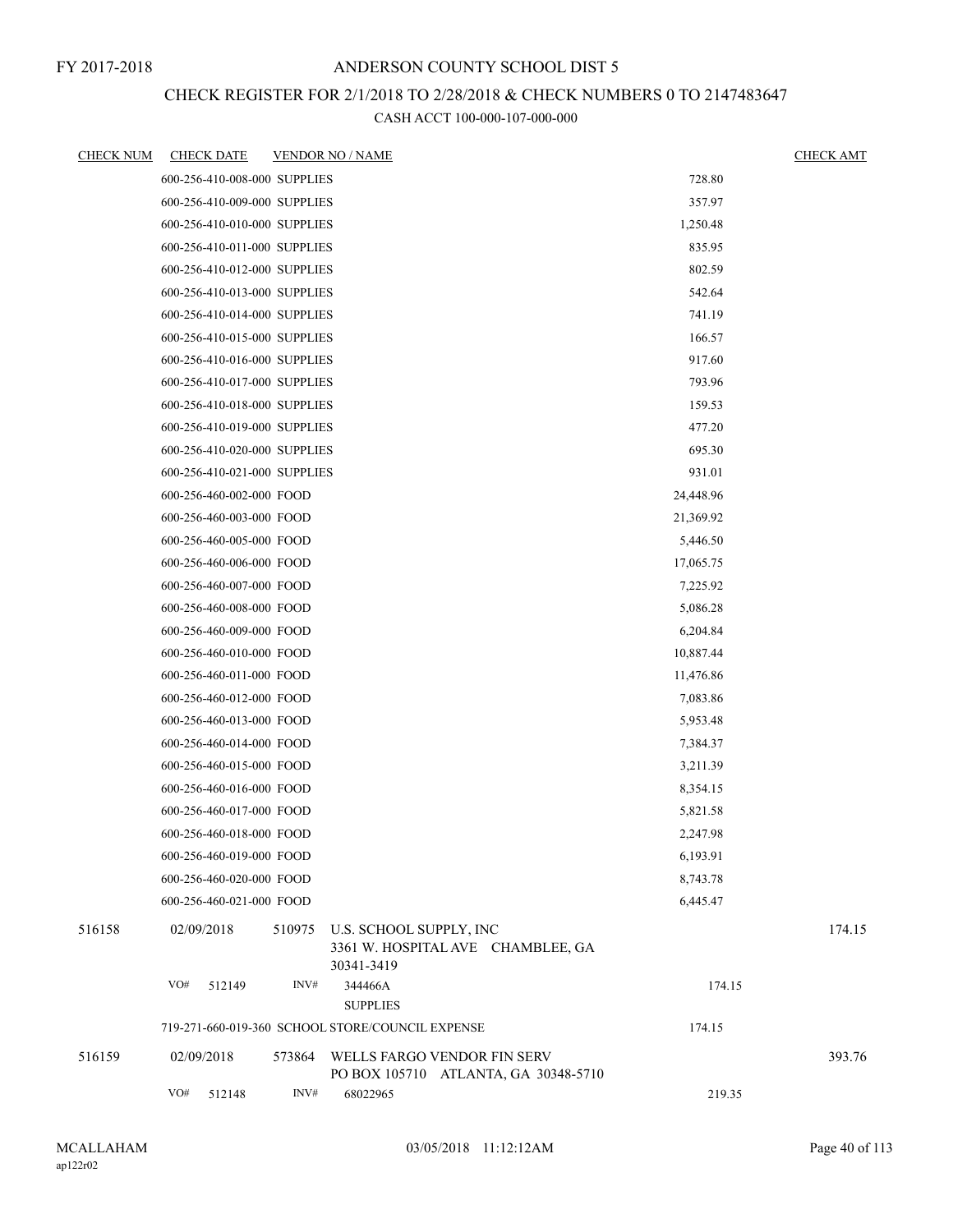## CHECK REGISTER FOR 2/1/2018 TO 2/28/2018 & CHECK NUMBERS 0 TO 2147483647

| <b>CHECK NUM</b> | <b>CHECK DATE</b>            |        | <b>VENDOR NO / NAME</b>                                                    |           | <b>CHECK AMT</b> |
|------------------|------------------------------|--------|----------------------------------------------------------------------------|-----------|------------------|
|                  | 600-256-410-008-000 SUPPLIES |        |                                                                            | 728.80    |                  |
|                  | 600-256-410-009-000 SUPPLIES |        |                                                                            | 357.97    |                  |
|                  | 600-256-410-010-000 SUPPLIES |        |                                                                            | 1,250.48  |                  |
|                  | 600-256-410-011-000 SUPPLIES |        |                                                                            | 835.95    |                  |
|                  | 600-256-410-012-000 SUPPLIES |        |                                                                            | 802.59    |                  |
|                  | 600-256-410-013-000 SUPPLIES |        |                                                                            | 542.64    |                  |
|                  | 600-256-410-014-000 SUPPLIES |        |                                                                            | 741.19    |                  |
|                  | 600-256-410-015-000 SUPPLIES |        |                                                                            | 166.57    |                  |
|                  | 600-256-410-016-000 SUPPLIES |        |                                                                            | 917.60    |                  |
|                  | 600-256-410-017-000 SUPPLIES |        |                                                                            | 793.96    |                  |
|                  | 600-256-410-018-000 SUPPLIES |        |                                                                            | 159.53    |                  |
|                  | 600-256-410-019-000 SUPPLIES |        |                                                                            | 477.20    |                  |
|                  | 600-256-410-020-000 SUPPLIES |        |                                                                            | 695.30    |                  |
|                  | 600-256-410-021-000 SUPPLIES |        |                                                                            | 931.01    |                  |
|                  | 600-256-460-002-000 FOOD     |        |                                                                            | 24,448.96 |                  |
|                  | 600-256-460-003-000 FOOD     |        |                                                                            | 21,369.92 |                  |
|                  | 600-256-460-005-000 FOOD     |        |                                                                            | 5,446.50  |                  |
|                  | 600-256-460-006-000 FOOD     |        |                                                                            | 17,065.75 |                  |
|                  | 600-256-460-007-000 FOOD     |        |                                                                            | 7,225.92  |                  |
|                  | 600-256-460-008-000 FOOD     |        |                                                                            | 5,086.28  |                  |
|                  | 600-256-460-009-000 FOOD     |        |                                                                            | 6,204.84  |                  |
|                  | 600-256-460-010-000 FOOD     |        |                                                                            | 10,887.44 |                  |
|                  | 600-256-460-011-000 FOOD     |        |                                                                            | 11,476.86 |                  |
|                  | 600-256-460-012-000 FOOD     |        |                                                                            | 7,083.86  |                  |
|                  | 600-256-460-013-000 FOOD     |        |                                                                            | 5,953.48  |                  |
|                  | 600-256-460-014-000 FOOD     |        |                                                                            | 7,384.37  |                  |
|                  | 600-256-460-015-000 FOOD     |        |                                                                            | 3,211.39  |                  |
|                  | 600-256-460-016-000 FOOD     |        |                                                                            | 8,354.15  |                  |
|                  | 600-256-460-017-000 FOOD     |        |                                                                            | 5,821.58  |                  |
|                  | 600-256-460-018-000 FOOD     |        |                                                                            | 2,247.98  |                  |
|                  | 600-256-460-019-000 FOOD     |        |                                                                            | 6,193.91  |                  |
|                  | 600-256-460-020-000 FOOD     |        |                                                                            | 8,743.78  |                  |
|                  | 600-256-460-021-000 FOOD     |        |                                                                            | 6,445.47  |                  |
| 516158           | 02/09/2018                   | 510975 | U.S. SCHOOL SUPPLY, INC<br>3361 W. HOSPITAL AVE CHAMBLEE, GA<br>30341-3419 |           | 174.15           |
|                  | VO#<br>512149                | INV#   | 344466A<br><b>SUPPLIES</b>                                                 | 174.15    |                  |
|                  |                              |        | 719-271-660-019-360 SCHOOL STORE/COUNCIL EXPENSE                           | 174.15    |                  |
| 516159           | 02/09/2018                   | 573864 | WELLS FARGO VENDOR FIN SERV<br>PO BOX 105710 ATLANTA, GA 30348-5710        |           | 393.76           |
|                  | VO#<br>512148                | INV#   | 68022965                                                                   | 219.35    |                  |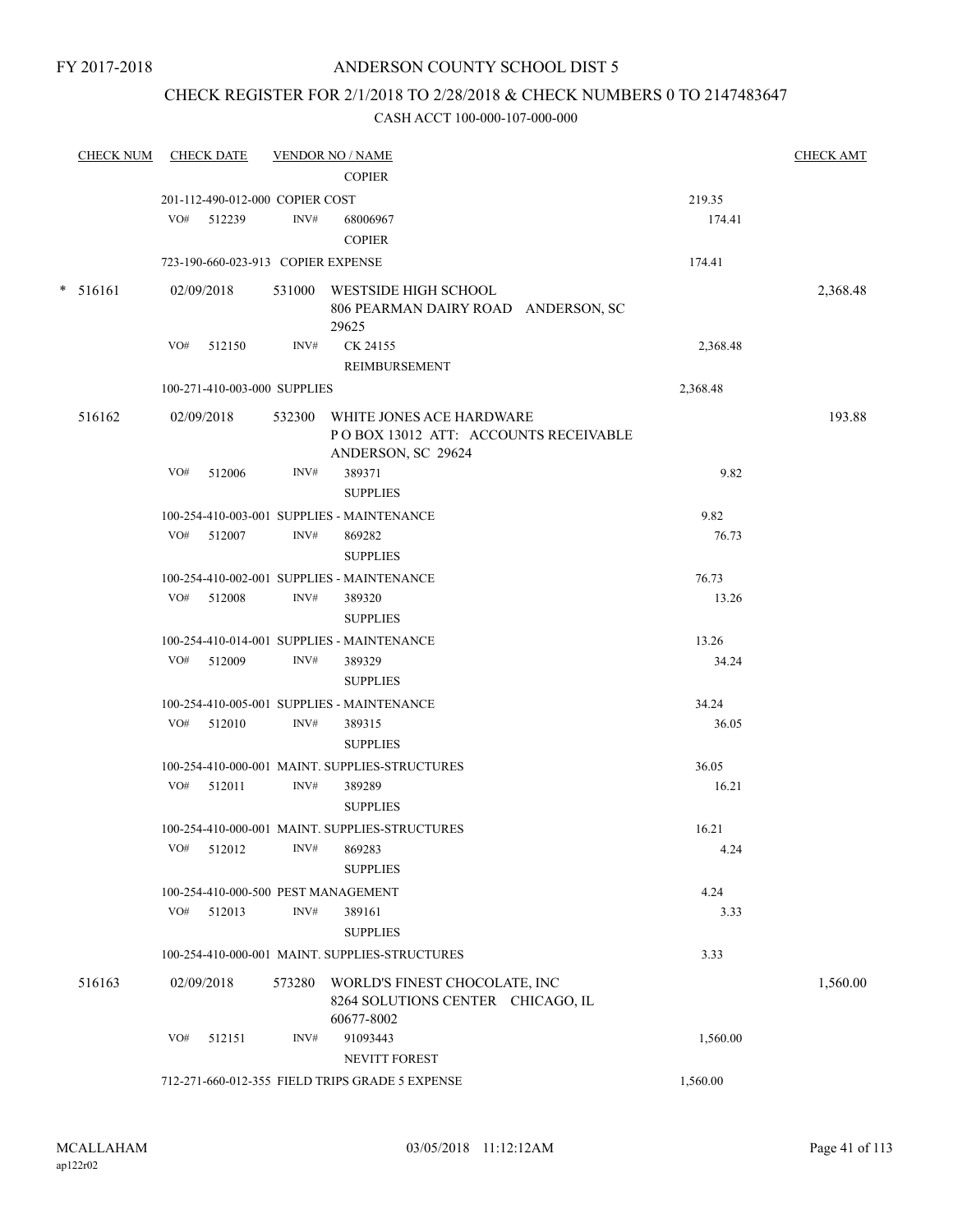# ANDERSON COUNTY SCHOOL DIST 5

## CHECK REGISTER FOR 2/1/2018 TO 2/28/2018 & CHECK NUMBERS 0 TO 2147483647

|            | CHECK NUM CHECK DATE                |      | <b>VENDOR NO / NAME</b><br><b>COPIER</b>                                                      |          | <b>CHECK AMT</b> |
|------------|-------------------------------------|------|-----------------------------------------------------------------------------------------------|----------|------------------|
|            | 201-112-490-012-000 COPIER COST     |      |                                                                                               | 219.35   |                  |
|            | VO# 512239                          | INV# | 68006967                                                                                      | 174.41   |                  |
|            |                                     |      | <b>COPIER</b>                                                                                 |          |                  |
|            | 723-190-660-023-913 COPIER EXPENSE  |      |                                                                                               | 174.41   |                  |
| $* 516161$ | 02/09/2018                          |      | 531000 WESTSIDE HIGH SCHOOL<br>806 PEARMAN DAIRY ROAD ANDERSON, SC                            |          | 2,368.48         |
|            |                                     |      | 29625                                                                                         |          |                  |
|            | VO# 512150                          | INV# | CK 24155                                                                                      | 2,368.48 |                  |
|            |                                     |      | REIMBURSEMENT                                                                                 |          |                  |
|            | 100-271-410-003-000 SUPPLIES        |      |                                                                                               | 2,368.48 |                  |
| 516162     | 02/09/2018                          |      | 532300 WHITE JONES ACE HARDWARE<br>POBOX 13012 ATT: ACCOUNTS RECEIVABLE<br>ANDERSON, SC 29624 |          | 193.88           |
|            | VO# 512006                          | INV# | 389371<br><b>SUPPLIES</b>                                                                     | 9.82     |                  |
|            |                                     |      | 100-254-410-003-001 SUPPLIES - MAINTENANCE                                                    | 9.82     |                  |
|            | VO# 512007                          | INV# | 869282                                                                                        | 76.73    |                  |
|            |                                     |      | <b>SUPPLIES</b>                                                                               |          |                  |
|            |                                     |      | 100-254-410-002-001 SUPPLIES - MAINTENANCE                                                    | 76.73    |                  |
|            | VO# 512008                          | INV# | 389320                                                                                        | 13.26    |                  |
|            |                                     |      | <b>SUPPLIES</b>                                                                               |          |                  |
|            |                                     |      | 100-254-410-014-001 SUPPLIES - MAINTENANCE                                                    | 13.26    |                  |
|            | VO# 512009                          | INV# | 389329                                                                                        | 34.24    |                  |
|            |                                     |      | <b>SUPPLIES</b>                                                                               |          |                  |
|            |                                     |      | 100-254-410-005-001 SUPPLIES - MAINTENANCE                                                    | 34.24    |                  |
|            | VO# 512010                          | INV# | 389315                                                                                        | 36.05    |                  |
|            |                                     |      | <b>SUPPLIES</b>                                                                               |          |                  |
|            |                                     |      | 100-254-410-000-001 MAINT. SUPPLIES-STRUCTURES                                                | 36.05    |                  |
|            | VO# 512011                          | INV# | 389289                                                                                        | 16.21    |                  |
|            |                                     |      | <b>SUPPLIES</b>                                                                               |          |                  |
|            |                                     |      | 100-254-410-000-001 MAINT. SUPPLIES-STRUCTURES                                                | 16.21    |                  |
|            | VO# 512012                          |      | INV# 869283                                                                                   | 4.24     |                  |
|            |                                     |      | <b>SUPPLIES</b>                                                                               |          |                  |
|            | 100-254-410-000-500 PEST MANAGEMENT |      |                                                                                               | 4.24     |                  |
|            | VO# 512013                          | INV# | 389161                                                                                        | 3.33     |                  |
|            |                                     |      | <b>SUPPLIES</b>                                                                               |          |                  |
|            |                                     |      | 100-254-410-000-001 MAINT. SUPPLIES-STRUCTURES                                                | 3.33     |                  |
| 516163     | 02/09/2018                          |      | 573280 WORLD'S FINEST CHOCOLATE, INC<br>8264 SOLUTIONS CENTER CHICAGO, IL<br>60677-8002       |          | 1,560.00         |
|            | VO#<br>512151                       | INV# | 91093443                                                                                      | 1,560.00 |                  |
|            |                                     |      | NEVITT FOREST                                                                                 |          |                  |
|            |                                     |      | 712-271-660-012-355 FIELD TRIPS GRADE 5 EXPENSE                                               | 1,560.00 |                  |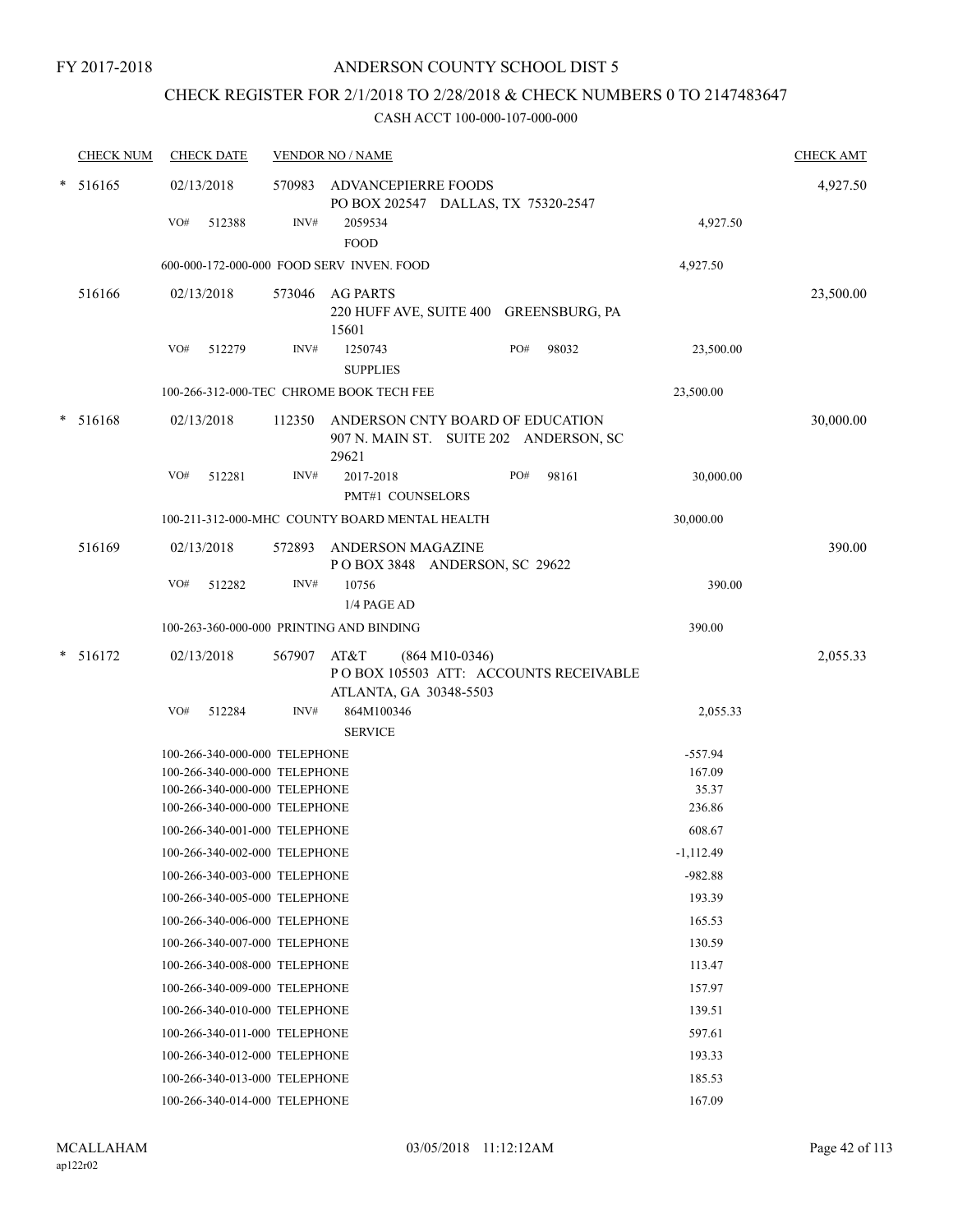## CHECK REGISTER FOR 2/1/2018 TO 2/28/2018 & CHECK NUMBERS 0 TO 2147483647

|   | <b>CHECK NUM</b> | <b>CHECK DATE</b>                                              |             | <b>VENDOR NO / NAME</b>                                                              |     |       |                  | <b>CHECK AMT</b> |
|---|------------------|----------------------------------------------------------------|-------------|--------------------------------------------------------------------------------------|-----|-------|------------------|------------------|
| * | 516165           | 02/13/2018                                                     |             | 570983 ADVANCEPIERRE FOODS<br>PO BOX 202547 DALLAS, TX 75320-2547                    |     |       |                  | 4,927.50         |
|   |                  | VO#<br>512388                                                  | INV#        | 2059534<br><b>FOOD</b>                                                               |     |       | 4,927.50         |                  |
|   |                  |                                                                |             | 600-000-172-000-000 FOOD SERV INVEN. FOOD                                            |     |       | 4,927.50         |                  |
|   | 516166           | 02/13/2018                                                     | 573046      | AG PARTS<br>220 HUFF AVE, SUITE 400 GREENSBURG, PA<br>15601                          |     |       |                  | 23,500.00        |
|   |                  | VO#<br>512279                                                  | INV#        | 1250743<br><b>SUPPLIES</b>                                                           | PO# | 98032 | 23,500.00        |                  |
|   |                  |                                                                |             | 100-266-312-000-TEC CHROME BOOK TECH FEE                                             |     |       | 23,500.00        |                  |
|   | $* 516168$       | 02/13/2018                                                     | 112350      | ANDERSON CNTY BOARD OF EDUCATION<br>907 N. MAIN ST. SUITE 202 ANDERSON, SC<br>29621  |     |       |                  | 30,000.00        |
|   |                  | VO#<br>512281                                                  | INV#        | 2017-2018<br>PMT#1 COUNSELORS                                                        | PO# | 98161 | 30,000.00        |                  |
|   |                  |                                                                |             | 100-211-312-000-MHC COUNTY BOARD MENTAL HEALTH                                       |     |       | 30,000.00        |                  |
|   | 516169           | 02/13/2018                                                     | 572893      | ANDERSON MAGAZINE<br>POBOX 3848 ANDERSON, SC 29622                                   |     |       |                  | 390.00           |
|   |                  | VO#<br>512282                                                  | INV#        | 10756<br>1/4 PAGE AD                                                                 |     |       | 390.00           |                  |
|   |                  | 100-263-360-000-000 PRINTING AND BINDING                       |             |                                                                                      |     |       | 390.00           |                  |
| * | 516172           | 02/13/2018<br>VO#                                              | 567907 AT&T | $(864 M10-0346)$<br>PO BOX 105503 ATT: ACCOUNTS RECEIVABLE<br>ATLANTA, GA 30348-5503 |     |       |                  | 2,055.33         |
|   |                  | 512284                                                         | INV#        | 864M100346<br><b>SERVICE</b>                                                         |     |       | 2,055.33         |                  |
|   |                  | 100-266-340-000-000 TELEPHONE                                  |             |                                                                                      |     |       | $-557.94$        |                  |
|   |                  | 100-266-340-000-000 TELEPHONE                                  |             |                                                                                      |     |       | 167.09           |                  |
|   |                  | 100-266-340-000-000 TELEPHONE                                  |             |                                                                                      |     |       | 35.37            |                  |
|   |                  | 100-266-340-000-000 TELEPHONE                                  |             |                                                                                      |     |       | 236.86           |                  |
|   |                  | 100-266-340-001-000 TELEPHONE                                  |             |                                                                                      |     |       | 608.67           |                  |
|   |                  | 100-266-340-002-000 TELEPHONE                                  |             |                                                                                      |     |       | $-1,112.49$      |                  |
|   |                  | 100-266-340-003-000 TELEPHONE                                  |             |                                                                                      |     |       | $-982.88$        |                  |
|   |                  | 100-266-340-005-000 TELEPHONE                                  |             |                                                                                      |     |       | 193.39           |                  |
|   |                  | 100-266-340-006-000 TELEPHONE<br>100-266-340-007-000 TELEPHONE |             |                                                                                      |     |       | 165.53           |                  |
|   |                  |                                                                |             |                                                                                      |     |       | 130.59           |                  |
|   |                  | 100-266-340-008-000 TELEPHONE<br>100-266-340-009-000 TELEPHONE |             |                                                                                      |     |       | 113.47<br>157.97 |                  |
|   |                  | 100-266-340-010-000 TELEPHONE                                  |             |                                                                                      |     |       | 139.51           |                  |
|   |                  | 100-266-340-011-000 TELEPHONE                                  |             |                                                                                      |     |       | 597.61           |                  |
|   |                  | 100-266-340-012-000 TELEPHONE                                  |             |                                                                                      |     |       | 193.33           |                  |
|   |                  | 100-266-340-013-000 TELEPHONE                                  |             |                                                                                      |     |       | 185.53           |                  |
|   |                  | 100-266-340-014-000 TELEPHONE                                  |             |                                                                                      |     |       | 167.09           |                  |
|   |                  |                                                                |             |                                                                                      |     |       |                  |                  |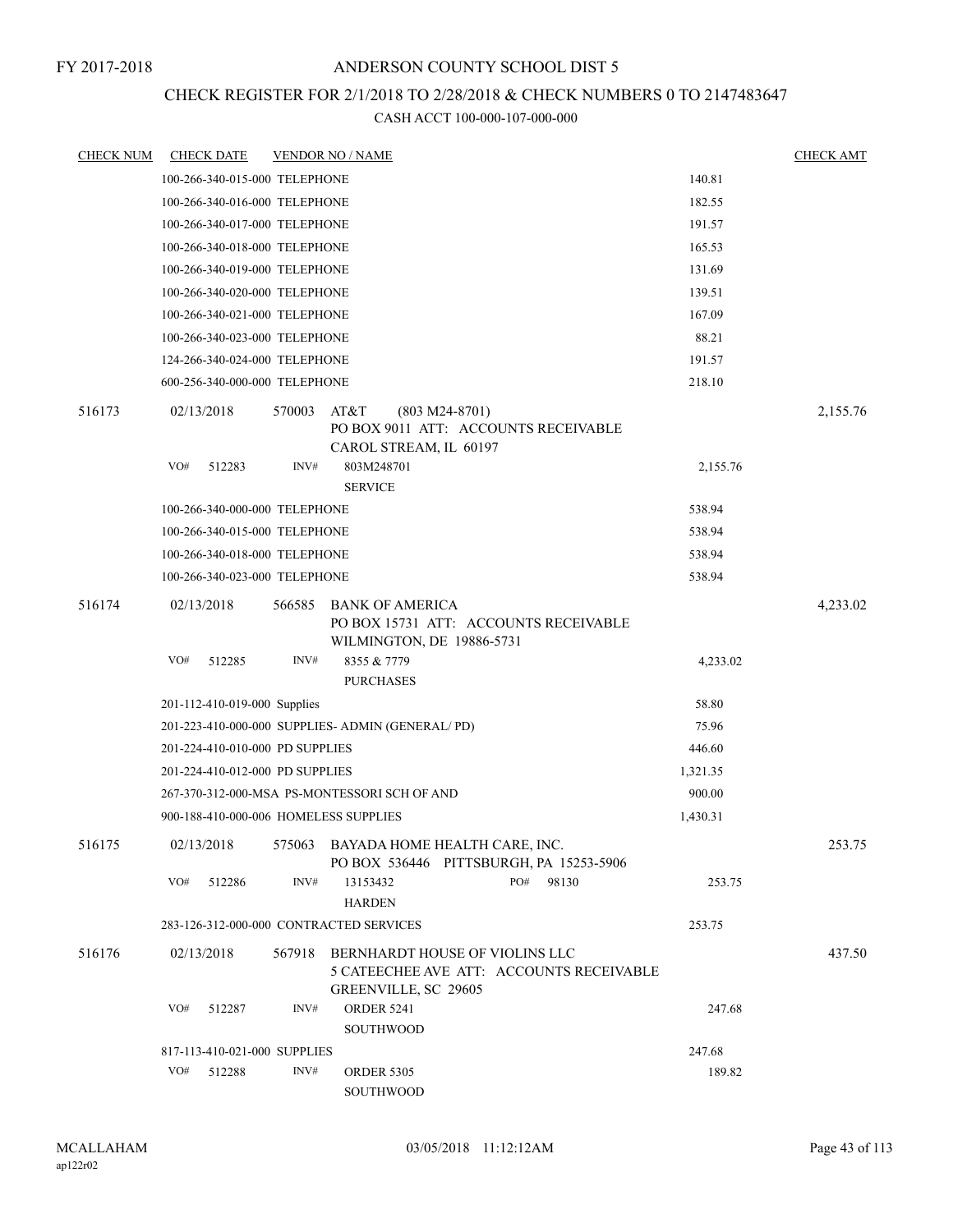## CHECK REGISTER FOR 2/1/2018 TO 2/28/2018 & CHECK NUMBERS 0 TO 2147483647

| <b>CHECK NUM</b> | <b>CHECK DATE</b>                       |        | <b>VENDOR NO / NAME</b>                                                                                   | <b>CHECK AMT</b> |
|------------------|-----------------------------------------|--------|-----------------------------------------------------------------------------------------------------------|------------------|
|                  | 100-266-340-015-000 TELEPHONE           |        | 140.81                                                                                                    |                  |
|                  | 100-266-340-016-000 TELEPHONE           |        | 182.55                                                                                                    |                  |
|                  | 100-266-340-017-000 TELEPHONE           |        | 191.57                                                                                                    |                  |
|                  | 100-266-340-018-000 TELEPHONE           |        | 165.53                                                                                                    |                  |
|                  | 100-266-340-019-000 TELEPHONE           |        | 131.69                                                                                                    |                  |
|                  | 100-266-340-020-000 TELEPHONE           |        | 139.51                                                                                                    |                  |
|                  | 100-266-340-021-000 TELEPHONE           |        | 167.09                                                                                                    |                  |
|                  | 100-266-340-023-000 TELEPHONE           |        | 88.21                                                                                                     |                  |
|                  | 124-266-340-024-000 TELEPHONE           |        | 191.57                                                                                                    |                  |
|                  | 600-256-340-000-000 TELEPHONE           |        | 218.10                                                                                                    |                  |
| 516173           | 02/13/2018                              | 570003 | AT&T<br>$(803 M24-8701)$<br>PO BOX 9011 ATT: ACCOUNTS RECEIVABLE<br>CAROL STREAM, IL 60197                | 2,155.76         |
|                  | VO#<br>512283                           | INV#   | 803M248701<br>2,155.76<br><b>SERVICE</b>                                                                  |                  |
|                  | 100-266-340-000-000 TELEPHONE           |        | 538.94                                                                                                    |                  |
|                  | 100-266-340-015-000 TELEPHONE           |        | 538.94                                                                                                    |                  |
|                  | 100-266-340-018-000 TELEPHONE           |        | 538.94                                                                                                    |                  |
|                  | 100-266-340-023-000 TELEPHONE           |        | 538.94                                                                                                    |                  |
| 516174           | 02/13/2018                              | 566585 | <b>BANK OF AMERICA</b><br>PO BOX 15731 ATT: ACCOUNTS RECEIVABLE<br>WILMINGTON, DE 19886-5731              | 4,233.02         |
|                  | VO#<br>512285                           | INV#   | 8355 & 7779<br>4,233.02                                                                                   |                  |
|                  |                                         |        | <b>PURCHASES</b>                                                                                          |                  |
|                  | 201-112-410-019-000 Supplies            |        | 58.80                                                                                                     |                  |
|                  |                                         |        | 75.96<br>201-223-410-000-000 SUPPLIES- ADMIN (GENERAL/PD)                                                 |                  |
|                  | 201-224-410-010-000 PD SUPPLIES         |        | 446.60                                                                                                    |                  |
|                  | 201-224-410-012-000 PD SUPPLIES         |        | 1,321.35                                                                                                  |                  |
|                  |                                         |        | 900.00<br>267-370-312-000-MSA PS-MONTESSORI SCH OF AND                                                    |                  |
|                  | 900-188-410-000-006 HOMELESS SUPPLIES   |        | 1,430.31                                                                                                  |                  |
| 516175           |                                         |        | 02/13/2018 575063 BAYADA HOME HEALTH CARE, INC.<br>PO BOX 536446 PITTSBURGH, PA 15253-5906                | 253.75           |
|                  | VO#<br>512286                           | INV#   | PO#<br>98130<br>13153432<br>253.75<br><b>HARDEN</b>                                                       |                  |
|                  | 283-126-312-000-000 CONTRACTED SERVICES |        | 253.75                                                                                                    |                  |
| 516176           | 02/13/2018                              | 567918 | BERNHARDT HOUSE OF VIOLINS LLC<br>5 CATEECHEE AVE ATT: ACCOUNTS RECEIVABLE<br><b>GREENVILLE, SC 29605</b> | 437.50           |
|                  | VO#<br>512287                           | INV#   | <b>ORDER 5241</b><br>247.68<br>SOUTHWOOD                                                                  |                  |
|                  | 817-113-410-021-000 SUPPLIES            |        | 247.68                                                                                                    |                  |
|                  | VO#<br>512288                           | INV#   | 189.82<br><b>ORDER 5305</b><br>SOUTHWOOD                                                                  |                  |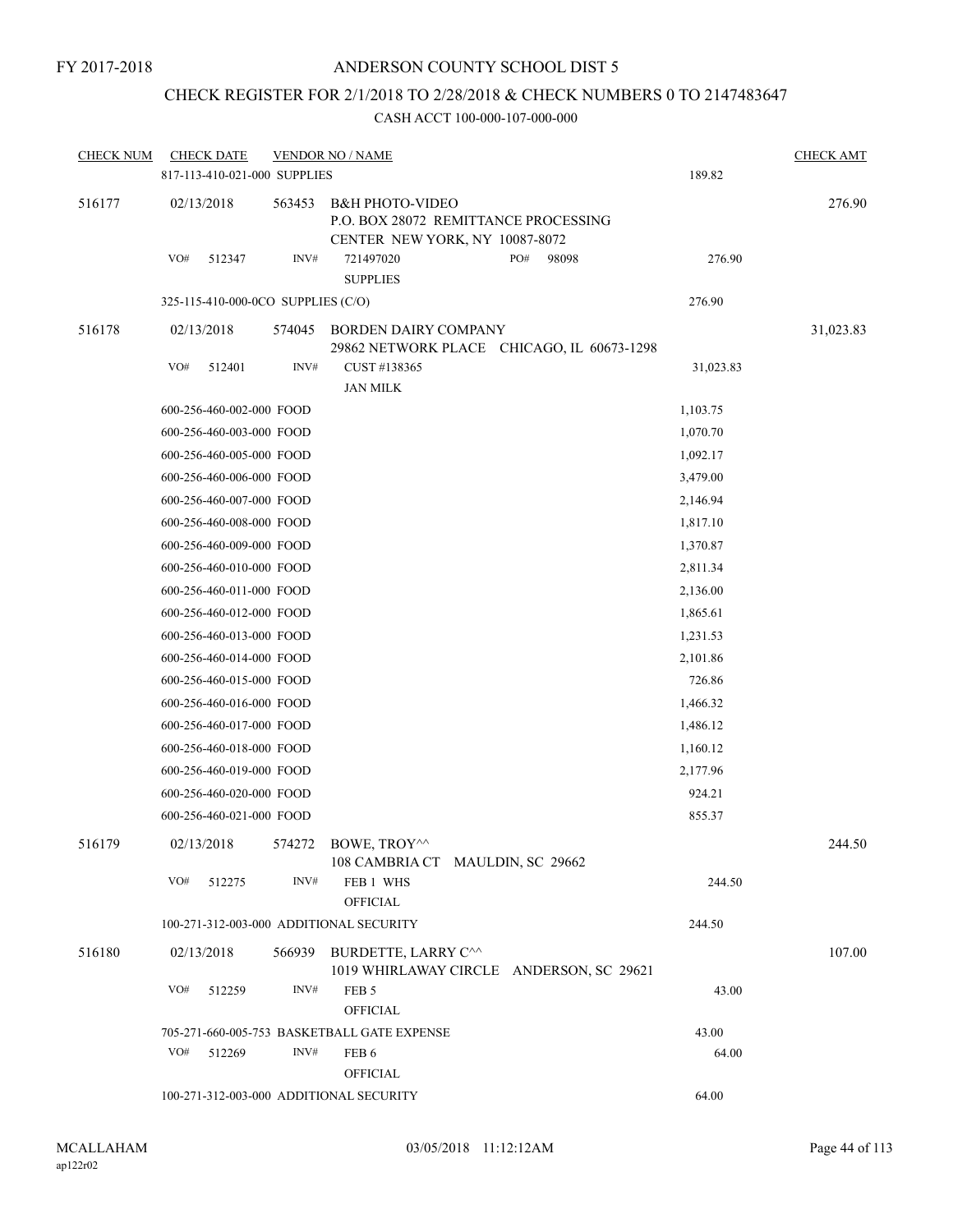## CHECK REGISTER FOR 2/1/2018 TO 2/28/2018 & CHECK NUMBERS 0 TO 2147483647

| <b>CHECK NUM</b> |            | <b>CHECK DATE</b>                  |                | <b>VENDOR NO / NAME</b>                                                                              |     |       |           | <b>CHECK AMT</b> |
|------------------|------------|------------------------------------|----------------|------------------------------------------------------------------------------------------------------|-----|-------|-----------|------------------|
|                  |            | 817-113-410-021-000 SUPPLIES       |                |                                                                                                      |     |       | 189.82    |                  |
| 516177           | 02/13/2018 |                                    | 563453         | <b>B&amp;H PHOTO-VIDEO</b><br>P.O. BOX 28072 REMITTANCE PROCESSING<br>CENTER NEW YORK, NY 10087-8072 |     |       |           | 276.90           |
|                  | VO#        | 512347                             | INV#           | 721497020<br><b>SUPPLIES</b>                                                                         | PO# | 98098 | 276.90    |                  |
|                  |            | 325-115-410-000-0CO SUPPLIES (C/O) |                |                                                                                                      |     |       | 276.90    |                  |
| 516178           | 02/13/2018 |                                    | 574045         | BORDEN DAIRY COMPANY<br>29862 NETWORK PLACE CHICAGO, IL 60673-1298                                   |     |       |           | 31,023.83        |
|                  | VO#        | 512401                             | INV#           | CUST #138365<br><b>JAN MILK</b>                                                                      |     |       | 31,023.83 |                  |
|                  |            | 600-256-460-002-000 FOOD           |                |                                                                                                      |     |       | 1,103.75  |                  |
|                  |            | 600-256-460-003-000 FOOD           |                |                                                                                                      |     |       | 1,070.70  |                  |
|                  |            | 600-256-460-005-000 FOOD           |                |                                                                                                      |     |       | 1,092.17  |                  |
|                  |            | 600-256-460-006-000 FOOD           |                |                                                                                                      |     |       | 3,479.00  |                  |
|                  |            | 600-256-460-007-000 FOOD           |                |                                                                                                      |     |       | 2,146.94  |                  |
|                  |            | 600-256-460-008-000 FOOD           |                |                                                                                                      |     |       | 1,817.10  |                  |
|                  |            | 600-256-460-009-000 FOOD           |                |                                                                                                      |     |       | 1,370.87  |                  |
|                  |            | 600-256-460-010-000 FOOD           |                |                                                                                                      |     |       | 2,811.34  |                  |
|                  |            | 600-256-460-011-000 FOOD           |                |                                                                                                      |     |       | 2,136.00  |                  |
|                  |            | 600-256-460-012-000 FOOD           |                |                                                                                                      |     |       | 1,865.61  |                  |
|                  |            | 600-256-460-013-000 FOOD           |                |                                                                                                      |     |       | 1,231.53  |                  |
|                  |            | 600-256-460-014-000 FOOD           |                |                                                                                                      |     |       | 2,101.86  |                  |
|                  |            | 600-256-460-015-000 FOOD           |                |                                                                                                      |     |       | 726.86    |                  |
|                  |            | 600-256-460-016-000 FOOD           |                |                                                                                                      |     |       | 1,466.32  |                  |
|                  |            | 600-256-460-017-000 FOOD           |                |                                                                                                      |     |       | 1,486.12  |                  |
|                  |            | 600-256-460-018-000 FOOD           |                |                                                                                                      |     |       | 1,160.12  |                  |
|                  |            | 600-256-460-019-000 FOOD           |                |                                                                                                      |     |       | 2,177.96  |                  |
|                  |            | 600-256-460-020-000 FOOD           |                |                                                                                                      |     |       | 924.21    |                  |
|                  |            | 600-256-460-021-000 FOOD           |                |                                                                                                      |     |       | 855.37    |                  |
| 516179           | 02/13/2018 |                                    |                | 574272 BOWE, TROY^^<br>108 CAMBRIA CT MAULDIN, SC 29662                                              |     |       |           | 244.50           |
|                  | VO#        | 512275                             | INV#           | FEB 1 WHS<br><b>OFFICIAL</b>                                                                         |     |       | 244.50    |                  |
|                  |            |                                    |                | 100-271-312-003-000 ADDITIONAL SECURITY                                                              |     |       | 244.50    |                  |
|                  |            |                                    |                |                                                                                                      |     |       |           |                  |
| 516180           | 02/13/2018 |                                    |                | 566939 BURDETTE, LARRY C^^<br>1019 WHIRLAWAY CIRCLE ANDERSON, SC 29621                               |     |       |           | 107.00           |
|                  | VO#        | 512259                             | INV#           | FEB <sub>5</sub><br><b>OFFICIAL</b>                                                                  |     |       | 43.00     |                  |
|                  |            |                                    |                | 705-271-660-005-753 BASKETBALL GATE EXPENSE                                                          |     |       | 43.00     |                  |
|                  | VO#        | 512269                             | $\text{INV}\#$ | FEB <sub>6</sub>                                                                                     |     |       | 64.00     |                  |
|                  |            |                                    |                | <b>OFFICIAL</b>                                                                                      |     |       |           |                  |
|                  |            |                                    |                | 100-271-312-003-000 ADDITIONAL SECURITY                                                              |     |       | 64.00     |                  |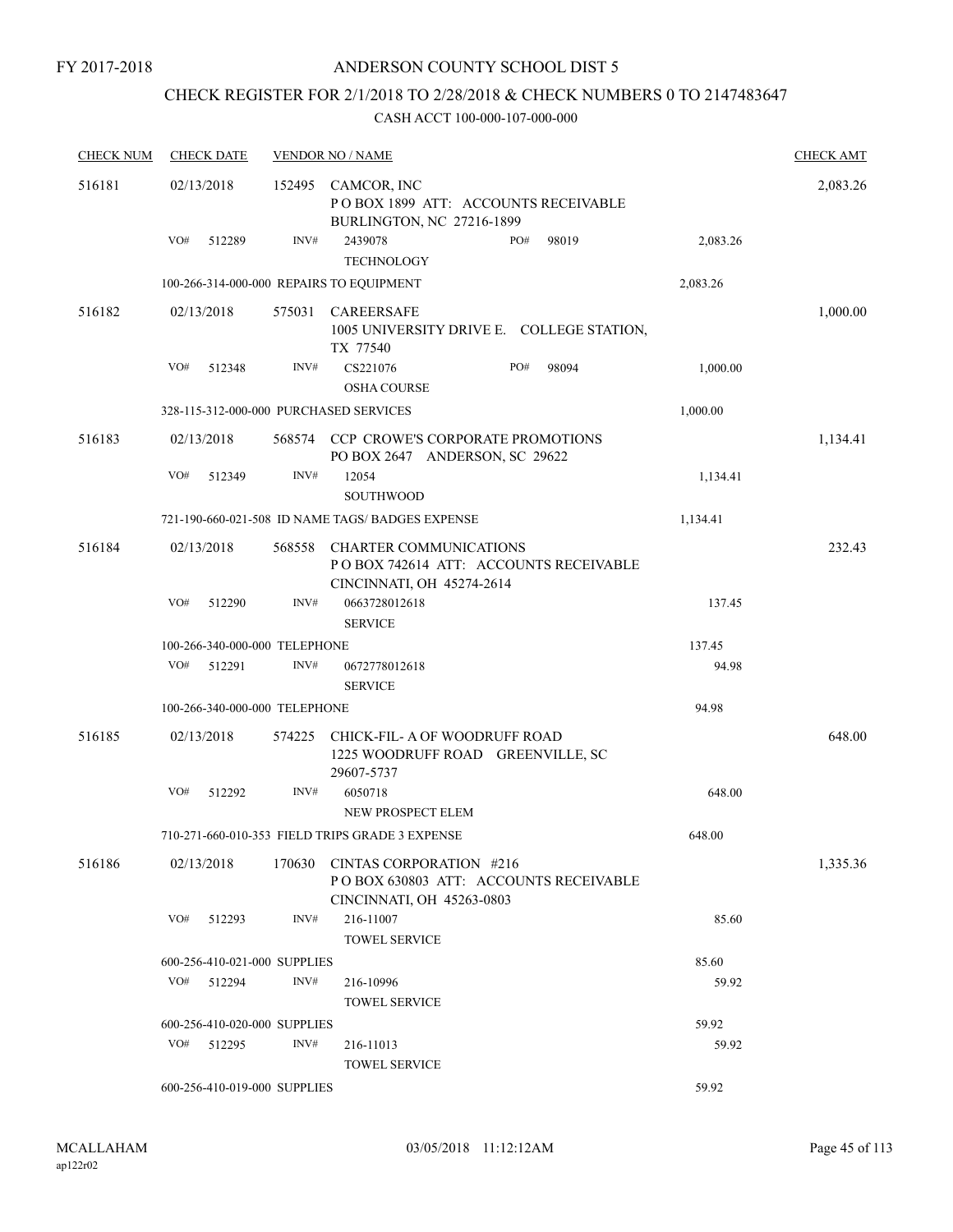## ANDERSON COUNTY SCHOOL DIST 5

## CHECK REGISTER FOR 2/1/2018 TO 2/28/2018 & CHECK NUMBERS 0 TO 2147483647

| <b>CHECK NUM</b> | <b>CHECK DATE</b>                        |        | <b>VENDOR NO / NAME</b>                                                                             |          | <b>CHECK AMT</b> |
|------------------|------------------------------------------|--------|-----------------------------------------------------------------------------------------------------|----------|------------------|
| 516181           | 02/13/2018                               | 152495 | CAMCOR, INC<br>POBOX 1899 ATT: ACCOUNTS RECEIVABLE<br>BURLINGTON, NC 27216-1899                     |          | 2,083.26         |
|                  | VO#<br>512289                            | INV#   | 2439078<br>PO#<br>98019<br><b>TECHNOLOGY</b>                                                        | 2,083.26 |                  |
|                  | 100-266-314-000-000 REPAIRS TO EQUIPMENT |        |                                                                                                     | 2,083.26 |                  |
| 516182           | 02/13/2018                               | 575031 | CAREERSAFE<br>1005 UNIVERSITY DRIVE E. COLLEGE STATION,<br>TX 77540                                 |          | 1,000.00         |
|                  | VO#<br>512348                            | INV#   | CS221076<br>PO#<br>98094<br><b>OSHA COURSE</b>                                                      | 1,000.00 |                  |
|                  | 328-115-312-000-000 PURCHASED SERVICES   |        |                                                                                                     | 1,000.00 |                  |
| 516183           | 02/13/2018                               |        | 568574 CCP CROWE'S CORPORATE PROMOTIONS<br>PO BOX 2647 ANDERSON, SC 29622                           |          | 1,134.41         |
|                  | VO#<br>512349                            | INV#   | 12054<br><b>SOUTHWOOD</b>                                                                           | 1,134.41 |                  |
|                  |                                          |        | 721-190-660-021-508 ID NAME TAGS/BADGES EXPENSE                                                     | 1,134.41 |                  |
| 516184           | 02/13/2018                               | 568558 | <b>CHARTER COMMUNICATIONS</b><br>POBOX 742614 ATT: ACCOUNTS RECEIVABLE<br>CINCINNATI, OH 45274-2614 |          | 232.43           |
|                  | VO#<br>512290                            | INV#   | 0663728012618<br><b>SERVICE</b>                                                                     | 137.45   |                  |
|                  | 100-266-340-000-000 TELEPHONE            |        |                                                                                                     | 137.45   |                  |
|                  | VO#<br>512291                            | INV#   | 0672778012618<br><b>SERVICE</b>                                                                     | 94.98    |                  |
|                  | 100-266-340-000-000 TELEPHONE            |        |                                                                                                     | 94.98    |                  |
| 516185           | 02/13/2018                               | 574225 | CHICK-FIL- A OF WOODRUFF ROAD<br>1225 WOODRUFF ROAD GREENVILLE, SC<br>29607-5737                    |          | 648.00           |
|                  | VO#<br>512292                            | INV#   | 6050718<br>NEW PROSPECT ELEM                                                                        | 648.00   |                  |
|                  |                                          |        | 710-271-660-010-353 FIELD TRIPS GRADE 3 EXPENSE                                                     | 648.00   |                  |
| 516186           | 02/13/2018                               | 170630 | CINTAS CORPORATION #216<br>POBOX 630803 ATT: ACCOUNTS RECEIVABLE<br>CINCINNATI, OH 45263-0803       |          | 1,335.36         |
|                  | VO#<br>512293                            | INV#   | 216-11007<br>TOWEL SERVICE                                                                          | 85.60    |                  |
|                  | 600-256-410-021-000 SUPPLIES             |        |                                                                                                     | 85.60    |                  |
|                  | VO#<br>512294                            | INV#   | 216-10996<br><b>TOWEL SERVICE</b>                                                                   | 59.92    |                  |
|                  | 600-256-410-020-000 SUPPLIES             |        |                                                                                                     | 59.92    |                  |
|                  | VO#<br>512295                            | INV#   | 216-11013<br><b>TOWEL SERVICE</b>                                                                   | 59.92    |                  |
|                  | 600-256-410-019-000 SUPPLIES             |        |                                                                                                     | 59.92    |                  |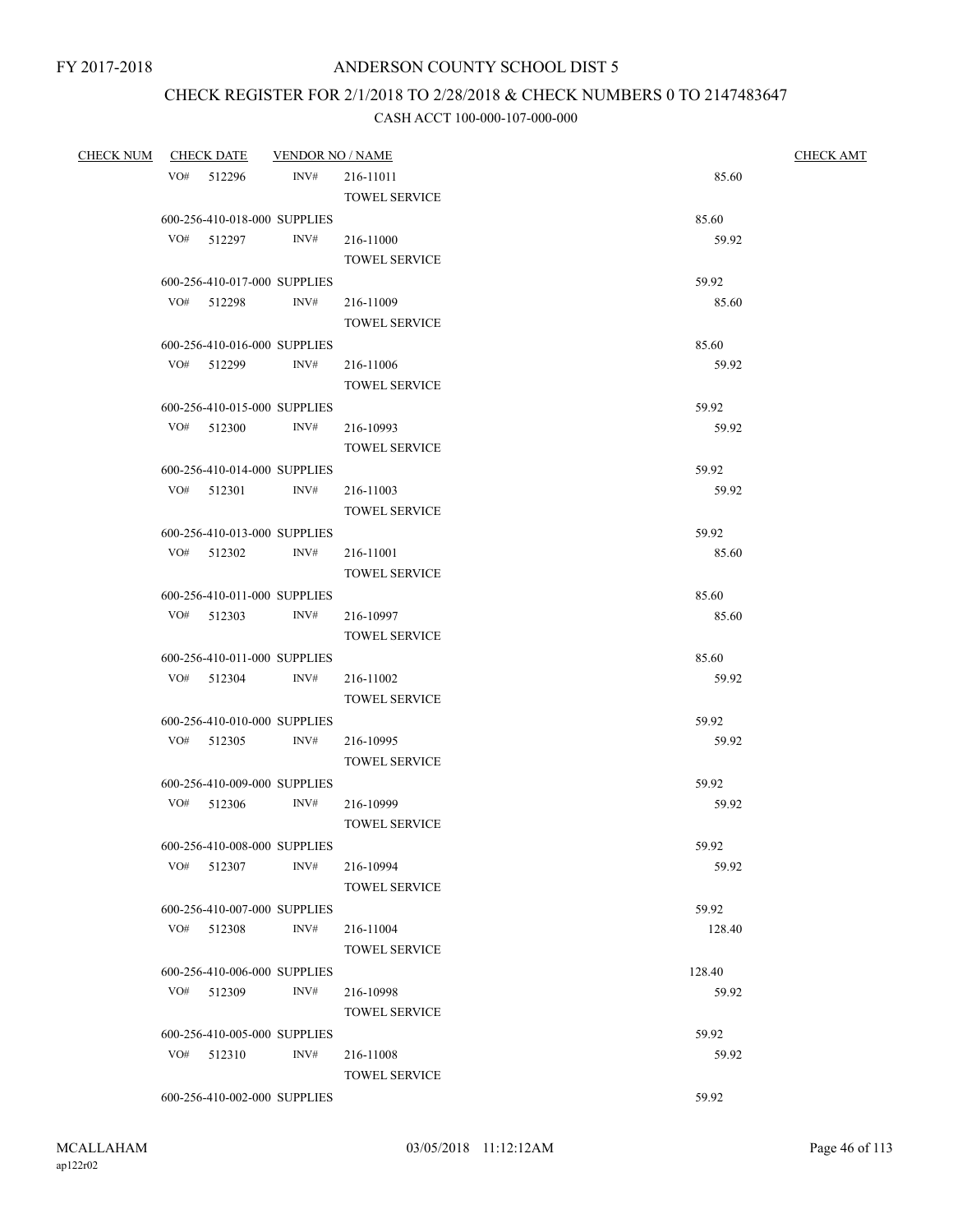## CHECK REGISTER FOR 2/1/2018 TO 2/28/2018 & CHECK NUMBERS 0 TO 2147483647

| CHECK NUM CHECK DATE | <b>VENDOR NO / NAME</b>      |                      | <b>CHECK AMT</b> |  |
|----------------------|------------------------------|----------------------|------------------|--|
| VO# 512296           | INV#                         | 216-11011            | 85.60            |  |
|                      |                              | <b>TOWEL SERVICE</b> |                  |  |
|                      | 600-256-410-018-000 SUPPLIES |                      | 85.60            |  |
| VO# 512297           | INV#                         | 216-11000            | 59.92            |  |
|                      |                              | <b>TOWEL SERVICE</b> |                  |  |
|                      | 600-256-410-017-000 SUPPLIES |                      | 59.92            |  |
| VO# 512298           | INV#                         | 216-11009            | 85.60            |  |
|                      |                              | <b>TOWEL SERVICE</b> |                  |  |
|                      | 600-256-410-016-000 SUPPLIES |                      | 85.60            |  |
| VO# 512299           | INV#                         | 216-11006            | 59.92            |  |
|                      |                              | <b>TOWEL SERVICE</b> |                  |  |
|                      | 600-256-410-015-000 SUPPLIES |                      | 59.92            |  |
| VO# 512300           | INV#                         | 216-10993            | 59.92            |  |
|                      |                              | <b>TOWEL SERVICE</b> |                  |  |
|                      | 600-256-410-014-000 SUPPLIES |                      | 59.92            |  |
| $VO#$ 512301         | INV#                         | 216-11003            | 59.92            |  |
|                      |                              | <b>TOWEL SERVICE</b> |                  |  |
|                      | 600-256-410-013-000 SUPPLIES |                      | 59.92            |  |
| VO# 512302           | INV#                         | 216-11001            | 85.60            |  |
|                      |                              | <b>TOWEL SERVICE</b> |                  |  |
|                      | 600-256-410-011-000 SUPPLIES |                      | 85.60            |  |
| VO# 512303           | INV#                         | 216-10997            | 85.60            |  |
|                      |                              | <b>TOWEL SERVICE</b> |                  |  |
|                      | 600-256-410-011-000 SUPPLIES |                      | 85.60            |  |
| VO# 512304           | INV#                         | 216-11002            | 59.92            |  |
|                      |                              | <b>TOWEL SERVICE</b> |                  |  |
|                      | 600-256-410-010-000 SUPPLIES |                      | 59.92            |  |
| $VO#$ 512305         | INV#                         | 216-10995            | 59.92            |  |
|                      |                              | <b>TOWEL SERVICE</b> |                  |  |
|                      | 600-256-410-009-000 SUPPLIES |                      | 59.92            |  |
| VO# 512306           | INV#                         | 216-10999            | 59.92            |  |
|                      |                              | <b>TOWEL SERVICE</b> |                  |  |
|                      | 600-256-410-008-000 SUPPLIES |                      | 59.92            |  |
| VO# 512307           | INV#                         | 216-10994            | 59.92            |  |
|                      |                              | <b>TOWEL SERVICE</b> |                  |  |
|                      | 600-256-410-007-000 SUPPLIES |                      | 59.92            |  |
| VO# 512308           | INV#                         | 216-11004            | 128.40           |  |
|                      |                              | <b>TOWEL SERVICE</b> |                  |  |
|                      | 600-256-410-006-000 SUPPLIES |                      | 128.40           |  |
| VO# 512309           | INV#                         | 216-10998            | 59.92            |  |
|                      |                              | <b>TOWEL SERVICE</b> |                  |  |
|                      | 600-256-410-005-000 SUPPLIES |                      | 59.92            |  |
| VO# 512310           | INV#                         | 216-11008            | 59.92            |  |
|                      |                              | <b>TOWEL SERVICE</b> |                  |  |
|                      | 600-256-410-002-000 SUPPLIES |                      | 59.92            |  |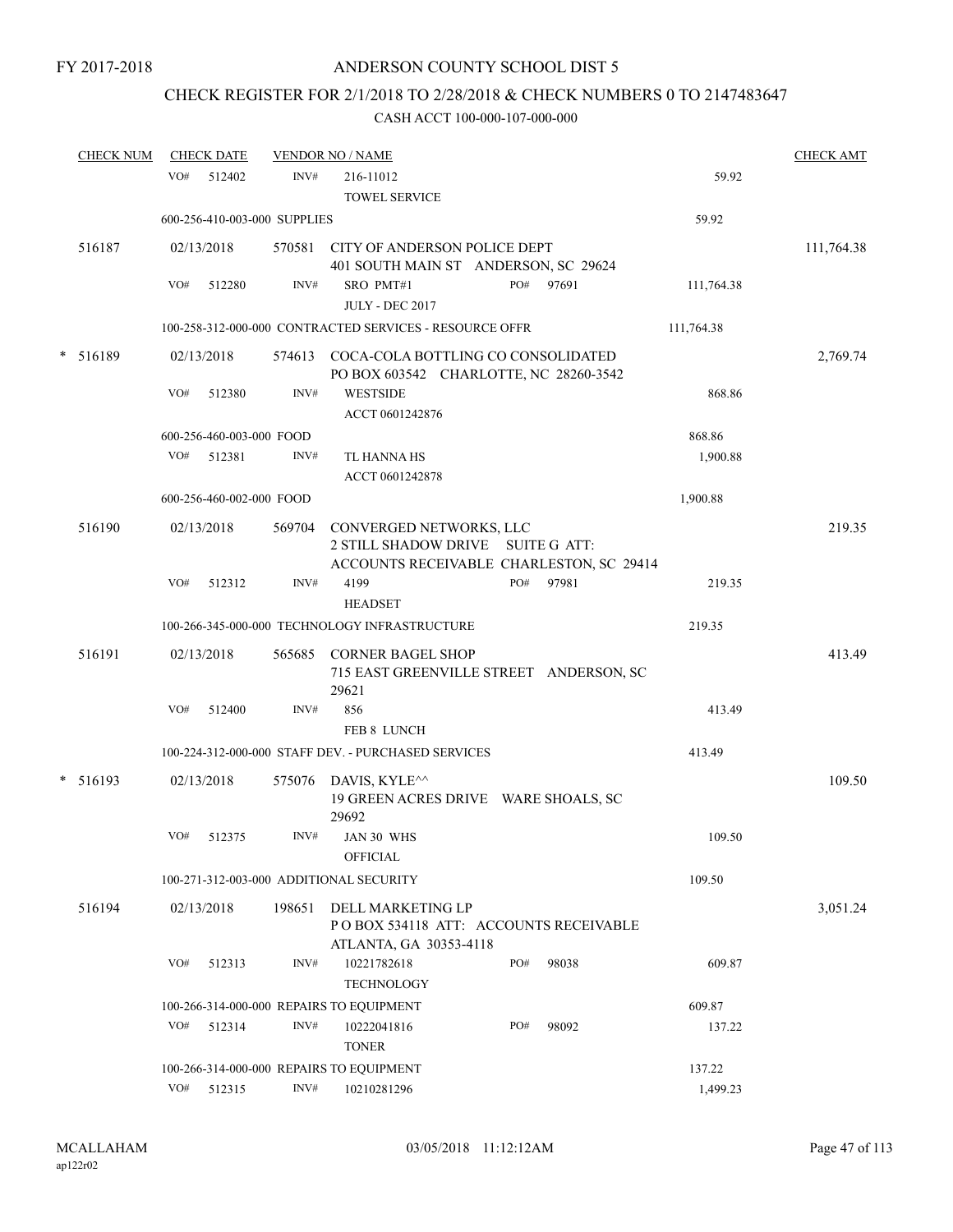# CHECK REGISTER FOR 2/1/2018 TO 2/28/2018 & CHECK NUMBERS 0 TO 2147483647

|        | <b>CHECK NUM</b> |     | <b>CHECK DATE</b>        |                              | <b>VENDOR NO / NAME</b>                                                                                  |     |       |            | <b>CHECK AMT</b> |
|--------|------------------|-----|--------------------------|------------------------------|----------------------------------------------------------------------------------------------------------|-----|-------|------------|------------------|
|        |                  | VO# | 512402                   | INV#                         | 216-11012<br><b>TOWEL SERVICE</b>                                                                        |     |       | 59.92      |                  |
|        |                  |     |                          | 600-256-410-003-000 SUPPLIES |                                                                                                          |     |       | 59.92      |                  |
|        | 516187           |     | 02/13/2018               | 570581                       | CITY OF ANDERSON POLICE DEPT<br>401 SOUTH MAIN ST ANDERSON, SC 29624                                     |     |       |            | 111,764.38       |
|        |                  | VO# | 512280                   | INV#                         | SRO PMT#1<br><b>JULY - DEC 2017</b>                                                                      | PO# | 97691 | 111,764.38 |                  |
|        |                  |     |                          |                              | 100-258-312-000-000 CONTRACTED SERVICES - RESOURCE OFFR                                                  |     |       | 111,764.38 |                  |
| $\ast$ | 516189           |     | 02/13/2018               | 574613                       | COCA-COLA BOTTLING CO CONSOLIDATED<br>PO BOX 603542 CHARLOTTE, NC 28260-3542                             |     |       |            | 2,769.74         |
|        |                  | VO# | 512380                   | INV#                         | <b>WESTSIDE</b><br>ACCT 0601242876                                                                       |     |       | 868.86     |                  |
|        |                  |     | 600-256-460-003-000 FOOD |                              |                                                                                                          |     |       | 868.86     |                  |
|        |                  | VO# | 512381                   | INV#                         | TL HANNA HS<br>ACCT 0601242878                                                                           |     |       | 1,900.88   |                  |
|        |                  |     | 600-256-460-002-000 FOOD |                              |                                                                                                          |     |       | 1,900.88   |                  |
|        | 516190           |     | 02/13/2018               | 569704                       | CONVERGED NETWORKS, LLC<br>2 STILL SHADOW DRIVE SUITE G ATT:<br>ACCOUNTS RECEIVABLE CHARLESTON, SC 29414 |     |       |            | 219.35           |
|        |                  | VO# | 512312                   | INV#                         | 4199<br><b>HEADSET</b>                                                                                   | PO# | 97981 | 219.35     |                  |
|        |                  |     |                          |                              | 100-266-345-000-000 TECHNOLOGY INFRASTRUCTURE                                                            |     |       | 219.35     |                  |
|        | 516191           |     | 02/13/2018               | 565685                       | <b>CORNER BAGEL SHOP</b><br>715 EAST GREENVILLE STREET ANDERSON, SC<br>29621                             |     |       |            | 413.49           |
|        |                  | VO# | 512400                   | INV#                         | 856<br>FEB 8 LUNCH                                                                                       |     |       | 413.49     |                  |
|        |                  |     |                          |                              | 100-224-312-000-000 STAFF DEV. - PURCHASED SERVICES                                                      |     |       | 413.49     |                  |
|        | $* 516193$       |     | 02/13/2018               | 575076                       | DAVIS, KYLE^^<br>19 GREEN ACRES DRIVE WARE SHOALS, SC                                                    |     |       |            | 109.50           |
|        |                  | VO# | 512375                   | INV#                         | 29692<br>JAN 30 WHS<br><b>OFFICIAL</b>                                                                   |     |       | 109.50     |                  |
|        |                  |     |                          |                              | 100-271-312-003-000 ADDITIONAL SECURITY                                                                  |     |       | 109.50     |                  |
|        | 516194           |     | 02/13/2018               | 198651                       | DELL MARKETING LP<br>PO BOX 534118 ATT: ACCOUNTS RECEIVABLE<br>ATLANTA, GA 30353-4118                    |     |       |            | 3,051.24         |
|        |                  | VO# | 512313                   | INV#                         | 10221782618<br><b>TECHNOLOGY</b>                                                                         | PO# | 98038 | 609.87     |                  |
|        |                  |     |                          |                              | 100-266-314-000-000 REPAIRS TO EQUIPMENT                                                                 |     |       | 609.87     |                  |
|        |                  | VO# | 512314                   | INV#                         | 10222041816<br><b>TONER</b>                                                                              | PO# | 98092 | 137.22     |                  |
|        |                  |     |                          |                              | 100-266-314-000-000 REPAIRS TO EQUIPMENT                                                                 |     |       | 137.22     |                  |
|        |                  | VO# | 512315                   | INV#                         | 10210281296                                                                                              |     |       | 1,499.23   |                  |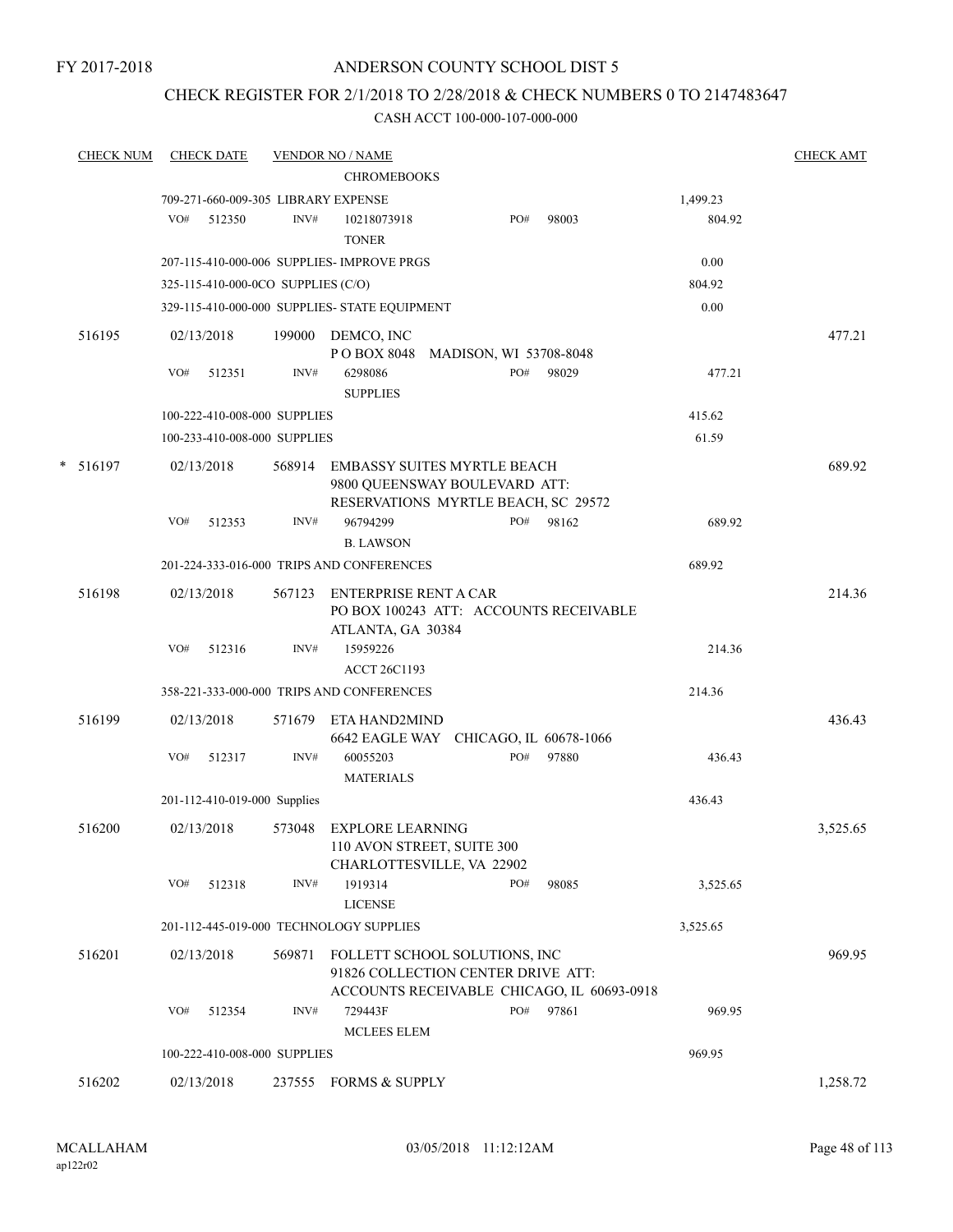## CHECK REGISTER FOR 2/1/2018 TO 2/28/2018 & CHECK NUMBERS 0 TO 2147483647

|   | <b>CHECK NUM</b> |     | <b>CHECK DATE</b>                  |        | <b>VENDOR NO / NAME</b>                                                                                    |                        |       |          | <b>CHECK AMT</b> |
|---|------------------|-----|------------------------------------|--------|------------------------------------------------------------------------------------------------------------|------------------------|-------|----------|------------------|
|   |                  |     |                                    |        | <b>CHROMEBOOKS</b>                                                                                         |                        |       |          |                  |
|   |                  |     |                                    |        | 709-271-660-009-305 LIBRARY EXPENSE                                                                        |                        |       | 1,499.23 |                  |
|   |                  | VO# | 512350                             | INV#   | 10218073918<br><b>TONER</b>                                                                                | PO#                    | 98003 | 804.92   |                  |
|   |                  |     |                                    |        | 207-115-410-000-006 SUPPLIES- IMPROVE PRGS                                                                 |                        |       | 0.00     |                  |
|   |                  |     | 325-115-410-000-0CO SUPPLIES (C/O) |        |                                                                                                            |                        |       | 804.92   |                  |
|   |                  |     |                                    |        | 329-115-410-000-000 SUPPLIES- STATE EQUIPMENT                                                              |                        |       | 0.00     |                  |
|   | 516195           |     | 02/13/2018                         | 199000 | DEMCO, INC<br>P O BOX 8048                                                                                 | MADISON, WI 53708-8048 |       |          | 477.21           |
|   |                  | VO# | 512351                             | INV#   | 6298086<br><b>SUPPLIES</b>                                                                                 | PO#                    | 98029 | 477.21   |                  |
|   |                  |     | 100-222-410-008-000 SUPPLIES       |        |                                                                                                            |                        |       | 415.62   |                  |
|   |                  |     | 100-233-410-008-000 SUPPLIES       |        |                                                                                                            |                        |       | 61.59    |                  |
| * | 516197           |     | 02/13/2018                         | 568914 | <b>EMBASSY SUITES MYRTLE BEACH</b><br>9800 QUEENSWAY BOULEVARD ATT:<br>RESERVATIONS MYRTLE BEACH, SC 29572 |                        |       |          | 689.92           |
|   |                  | VO# | 512353                             | INV#   | 96794299                                                                                                   | PO#                    | 98162 | 689.92   |                  |
|   |                  |     |                                    |        | <b>B. LAWSON</b>                                                                                           |                        |       |          |                  |
|   |                  |     |                                    |        | 201-224-333-016-000 TRIPS AND CONFERENCES                                                                  |                        |       | 689.92   |                  |
|   | 516198           |     | 02/13/2018                         | 567123 | <b>ENTERPRISE RENT A CAR</b><br>PO BOX 100243 ATT: ACCOUNTS RECEIVABLE<br>ATLANTA, GA 30384                |                        |       |          | 214.36           |
|   |                  | VO# | 512316                             | INV#   | 15959226<br><b>ACCT 26C1193</b>                                                                            |                        |       | 214.36   |                  |
|   |                  |     |                                    |        | 358-221-333-000-000 TRIPS AND CONFERENCES                                                                  |                        |       | 214.36   |                  |
|   | 516199           |     | 02/13/2018                         | 571679 | ETA HAND2MIND<br>6642 EAGLE WAY CHICAGO, IL 60678-1066                                                     |                        |       |          | 436.43           |
|   |                  | VO# | 512317                             | INV#   | 60055203<br><b>MATERIALS</b>                                                                               | PO#                    | 97880 | 436.43   |                  |
|   |                  |     | 201-112-410-019-000 Supplies       |        |                                                                                                            |                        |       | 436.43   |                  |
|   | 516200           |     | 02/13/2018                         | 573048 | <b>EXPLORE LEARNING</b><br>110 AVON STREET, SUITE 300<br>CHARLOTTESVILLE, VA 22902                         |                        |       |          | 3,525.65         |
|   |                  | VO# | 512318                             | INV#   | 1919314<br><b>LICENSE</b>                                                                                  | PO#                    | 98085 | 3,525.65 |                  |
|   |                  |     |                                    |        | 201-112-445-019-000 TECHNOLOGY SUPPLIES                                                                    |                        |       | 3,525.65 |                  |
|   | 516201           |     | 02/13/2018                         | 569871 | FOLLETT SCHOOL SOLUTIONS, INC<br>91826 COLLECTION CENTER DRIVE ATT:                                        |                        |       |          | 969.95           |
|   |                  | VO# | 512354                             | INV#   | ACCOUNTS RECEIVABLE CHICAGO, IL 60693-0918<br>729443F<br>MCLEES ELEM                                       | PO#                    | 97861 | 969.95   |                  |
|   |                  |     | 100-222-410-008-000 SUPPLIES       |        |                                                                                                            |                        |       | 969.95   |                  |
|   |                  |     |                                    |        |                                                                                                            |                        |       |          |                  |
|   | 516202           |     | 02/13/2018                         | 237555 | <b>FORMS &amp; SUPPLY</b>                                                                                  |                        |       |          | 1,258.72         |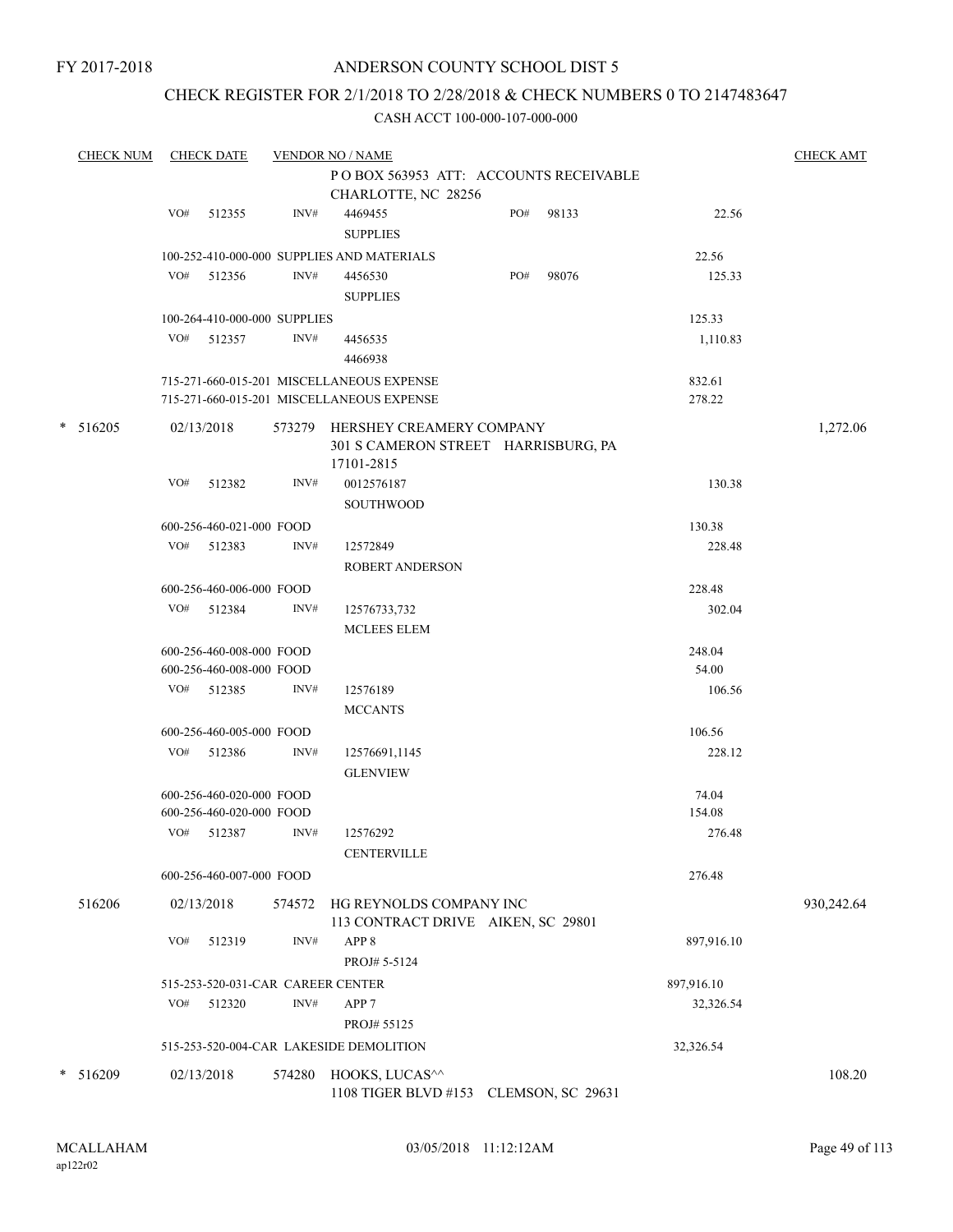## CHECK REGISTER FOR 2/1/2018 TO 2/28/2018 & CHECK NUMBERS 0 TO 2147483647

| <b>CHECK NUM</b> |     | <b>CHECK DATE</b>                          |        | <b>VENDOR NO / NAME</b>                    |     |       |                 | <b>CHECK AMT</b> |
|------------------|-----|--------------------------------------------|--------|--------------------------------------------|-----|-------|-----------------|------------------|
|                  |     |                                            |        | POBOX 563953 ATT: ACCOUNTS RECEIVABLE      |     |       |                 |                  |
|                  |     |                                            |        | CHARLOTTE, NC 28256                        |     |       |                 |                  |
|                  | VO# | 512355                                     | INV#   | 4469455                                    | PO# | 98133 | 22.56           |                  |
|                  |     |                                            |        | <b>SUPPLIES</b>                            |     |       |                 |                  |
|                  |     |                                            |        | 100-252-410-000-000 SUPPLIES AND MATERIALS |     |       | 22.56           |                  |
|                  |     | VO# 512356                                 | INV#   | 4456530                                    | PO# | 98076 | 125.33          |                  |
|                  |     |                                            |        | <b>SUPPLIES</b>                            |     |       |                 |                  |
|                  |     |                                            |        |                                            |     |       | 125.33          |                  |
|                  |     | 100-264-410-000-000 SUPPLIES<br>VO# 512357 |        |                                            |     |       |                 |                  |
|                  |     |                                            | INV#   | 4456535                                    |     |       | 1,110.83        |                  |
|                  |     |                                            |        | 4466938                                    |     |       |                 |                  |
|                  |     |                                            |        | 715-271-660-015-201 MISCELLANEOUS EXPENSE  |     |       | 832.61          |                  |
|                  |     |                                            |        | 715-271-660-015-201 MISCELLANEOUS EXPENSE  |     |       | 278.22          |                  |
| $* 516205$       |     | 02/13/2018                                 |        | 573279 HERSHEY CREAMERY COMPANY            |     |       |                 | 1,272.06         |
|                  |     |                                            |        | 301 S CAMERON STREET HARRISBURG, PA        |     |       |                 |                  |
|                  |     |                                            |        | 17101-2815                                 |     |       |                 |                  |
|                  | VO# | 512382                                     | INV#   | 0012576187                                 |     |       | 130.38          |                  |
|                  |     |                                            |        | <b>SOUTHWOOD</b>                           |     |       |                 |                  |
|                  |     | 600-256-460-021-000 FOOD                   |        |                                            |     |       | 130.38          |                  |
|                  |     | VO# 512383                                 | INV#   | 12572849                                   |     |       | 228.48          |                  |
|                  |     |                                            |        | <b>ROBERT ANDERSON</b>                     |     |       |                 |                  |
|                  |     | 600-256-460-006-000 FOOD                   |        |                                            |     |       | 228.48          |                  |
|                  |     | VO# 512384                                 | INV#   | 12576733,732                               |     |       | 302.04          |                  |
|                  |     |                                            |        | <b>MCLEES ELEM</b>                         |     |       |                 |                  |
|                  |     |                                            |        |                                            |     |       |                 |                  |
|                  |     | 600-256-460-008-000 FOOD                   |        |                                            |     |       | 248.04<br>54.00 |                  |
|                  |     | 600-256-460-008-000 FOOD                   |        |                                            |     |       |                 |                  |
|                  |     | VO# 512385                                 | INV#   | 12576189                                   |     |       | 106.56          |                  |
|                  |     |                                            |        | <b>MCCANTS</b>                             |     |       |                 |                  |
|                  |     | 600-256-460-005-000 FOOD                   |        |                                            |     |       | 106.56          |                  |
|                  |     | VO# 512386                                 | INV#   | 12576691,1145                              |     |       | 228.12          |                  |
|                  |     |                                            |        | <b>GLENVIEW</b>                            |     |       |                 |                  |
|                  |     | 600-256-460-020-000 FOOD                   |        |                                            |     |       | 74.04           |                  |
|                  |     | 600-256-460-020-000 FOOD                   |        |                                            |     |       | 154.08          |                  |
|                  |     | VO# 512387                                 | INV#   | 12576292                                   |     |       | 276.48          |                  |
|                  |     |                                            |        | <b>CENTERVILLE</b>                         |     |       |                 |                  |
|                  |     | 600-256-460-007-000 FOOD                   |        |                                            |     |       | 276.48          |                  |
| 516206           |     | 02/13/2018                                 | 574572 | HG REYNOLDS COMPANY INC                    |     |       |                 | 930,242.64       |
|                  |     |                                            |        | 113 CONTRACT DRIVE AIKEN, SC 29801         |     |       |                 |                  |
|                  | VO# | 512319                                     | INV#   | APP <sub>8</sub>                           |     |       | 897,916.10      |                  |
|                  |     |                                            |        | PROJ# 5-5124                               |     |       |                 |                  |
|                  |     |                                            |        |                                            |     |       |                 |                  |
|                  |     | 515-253-520-031-CAR CAREER CENTER          |        |                                            |     |       | 897,916.10      |                  |
|                  | VO# | 512320                                     | INV#   | APP <sub>7</sub>                           |     |       | 32,326.54       |                  |
|                  |     |                                            |        | PROJ# 55125                                |     |       |                 |                  |
|                  |     |                                            |        | 515-253-520-004-CAR LAKESIDE DEMOLITION    |     |       | 32,326.54       |                  |
| $*$ 516209       |     | 02/13/2018                                 | 574280 | HOOKS, LUCAS^^                             |     |       |                 | 108.20           |
|                  |     |                                            |        | 1108 TIGER BLVD #153 CLEMSON, SC 29631     |     |       |                 |                  |
|                  |     |                                            |        |                                            |     |       |                 |                  |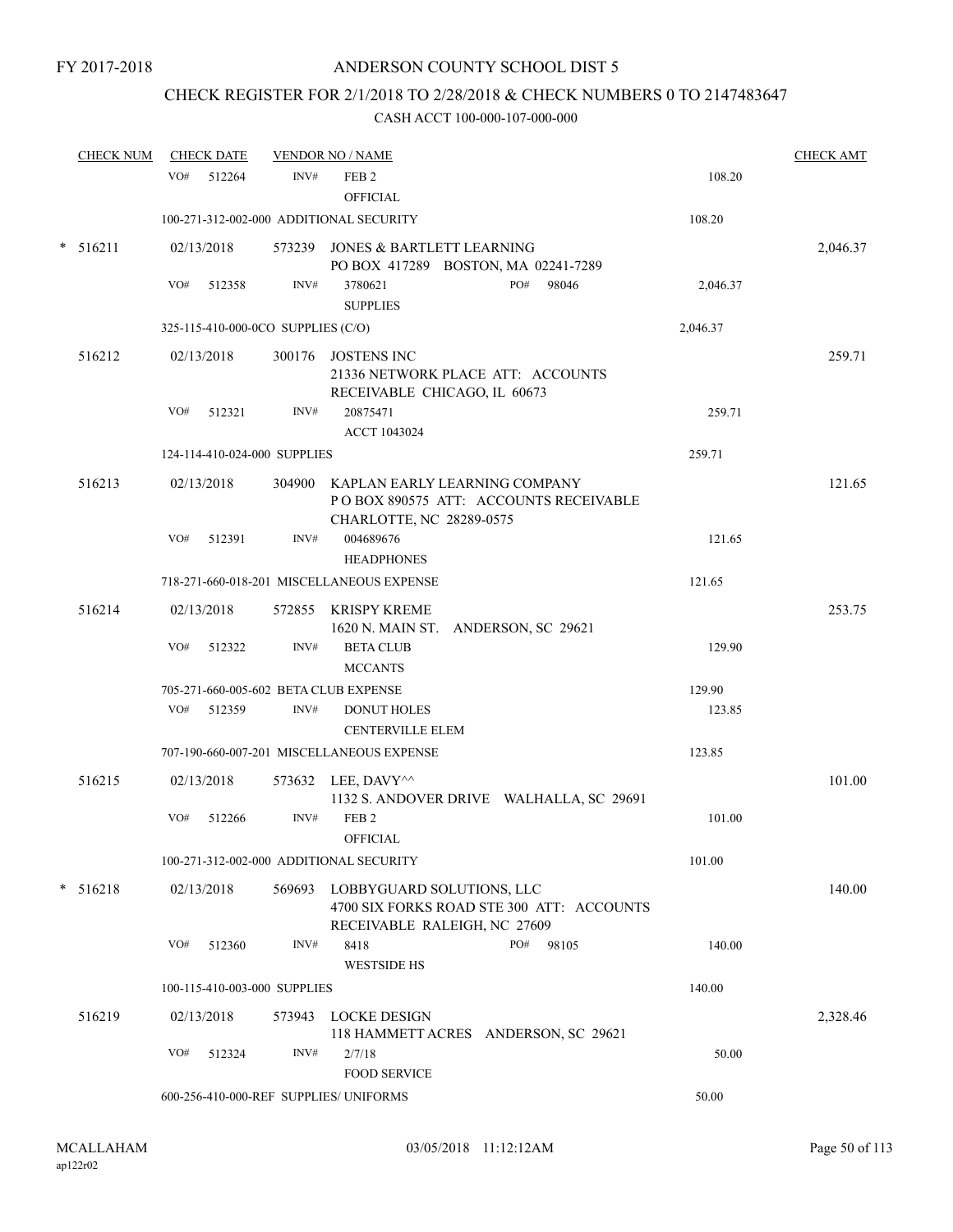## CHECK REGISTER FOR 2/1/2018 TO 2/28/2018 & CHECK NUMBERS 0 TO 2147483647

| <b>CHECK NUM</b> |     | <b>CHECK DATE</b> |                                    | <b>VENDOR NO / NAME</b>                                          |                                           |          | <b>CHECK AMT</b> |
|------------------|-----|-------------------|------------------------------------|------------------------------------------------------------------|-------------------------------------------|----------|------------------|
|                  | VO# | 512264            | INV#                               | FEB <sub>2</sub><br><b>OFFICIAL</b>                              |                                           | 108.20   |                  |
|                  |     |                   |                                    | 100-271-312-002-000 ADDITIONAL SECURITY                          |                                           | 108.20   |                  |
| $* 516211$       |     | 02/13/2018        |                                    | 573239 JONES & BARTLETT LEARNING                                 | PO BOX 417289 BOSTON, MA 02241-7289       |          | 2,046.37         |
|                  | VO# | 512358            | INV#                               | 3780621<br><b>SUPPLIES</b>                                       | PO#<br>98046                              | 2,046.37 |                  |
|                  |     |                   | 325-115-410-000-0CO SUPPLIES (C/O) |                                                                  |                                           | 2,046.37 |                  |
| 516212           |     | 02/13/2018        |                                    | 300176 JOSTENS INC<br>RECEIVABLE CHICAGO, IL 60673               | 21336 NETWORK PLACE ATT: ACCOUNTS         |          | 259.71           |
|                  | VO# | 512321            | INV#                               | 20875471<br>ACCT 1043024                                         |                                           | 259.71   |                  |
|                  |     |                   | 124-114-410-024-000 SUPPLIES       |                                                                  |                                           | 259.71   |                  |
| 516213           |     | 02/13/2018        |                                    | 304900 KAPLAN EARLY LEARNING COMPANY<br>CHARLOTTE, NC 28289-0575 | POBOX 890575 ATT: ACCOUNTS RECEIVABLE     |          | 121.65           |
|                  | VO# | 512391            | INV#                               | 004689676<br><b>HEADPHONES</b>                                   |                                           | 121.65   |                  |
|                  |     |                   |                                    | 718-271-660-018-201 MISCELLANEOUS EXPENSE                        |                                           | 121.65   |                  |
| 516214           |     | 02/13/2018        |                                    | 572855 KRISPY KREME                                              | 1620 N. MAIN ST. ANDERSON, SC 29621       |          | 253.75           |
|                  | VO# | 512322            | INV#                               | <b>BETA CLUB</b><br><b>MCCANTS</b>                               |                                           | 129.90   |                  |
|                  |     |                   |                                    | 705-271-660-005-602 BETA CLUB EXPENSE                            |                                           | 129.90   |                  |
|                  |     | VO# 512359        | INV#                               | <b>DONUT HOLES</b><br><b>CENTERVILLE ELEM</b>                    |                                           | 123.85   |                  |
|                  |     |                   |                                    | 707-190-660-007-201 MISCELLANEOUS EXPENSE                        |                                           | 123.85   |                  |
| 516215           |     | 02/13/2018        |                                    | 573632 LEE, DAVY^^                                               | 1132 S. ANDOVER DRIVE WALHALLA, SC 29691  |          | 101.00           |
|                  | VO# | 512266            | INV#                               | FEB <sub>2</sub><br><b>OFFICIAL</b>                              |                                           | 101.00   |                  |
|                  |     |                   |                                    | 100-271-312-002-000 ADDITIONAL SECURITY                          |                                           | 101.00   |                  |
| $* 516218$       |     | 02/13/2018        |                                    | 569693 LOBBYGUARD SOLUTIONS, LLC<br>RECEIVABLE RALEIGH, NC 27609 | 4700 SIX FORKS ROAD STE 300 ATT: ACCOUNTS |          | 140.00           |
|                  | VO# | 512360            | INV#                               | 8418<br><b>WESTSIDE HS</b>                                       | PO#<br>98105                              | 140.00   |                  |
|                  |     |                   | 100-115-410-003-000 SUPPLIES       |                                                                  |                                           | 140.00   |                  |
| 516219           |     | 02/13/2018        | 573943                             | LOCKE DESIGN                                                     | 118 HAMMETT ACRES ANDERSON, SC 29621      |          | 2,328.46         |
|                  | VO# | 512324            | INV#                               | 2/7/18<br><b>FOOD SERVICE</b>                                    |                                           | 50.00    |                  |
|                  |     |                   |                                    | 600-256-410-000-REF SUPPLIES/ UNIFORMS                           |                                           | 50.00    |                  |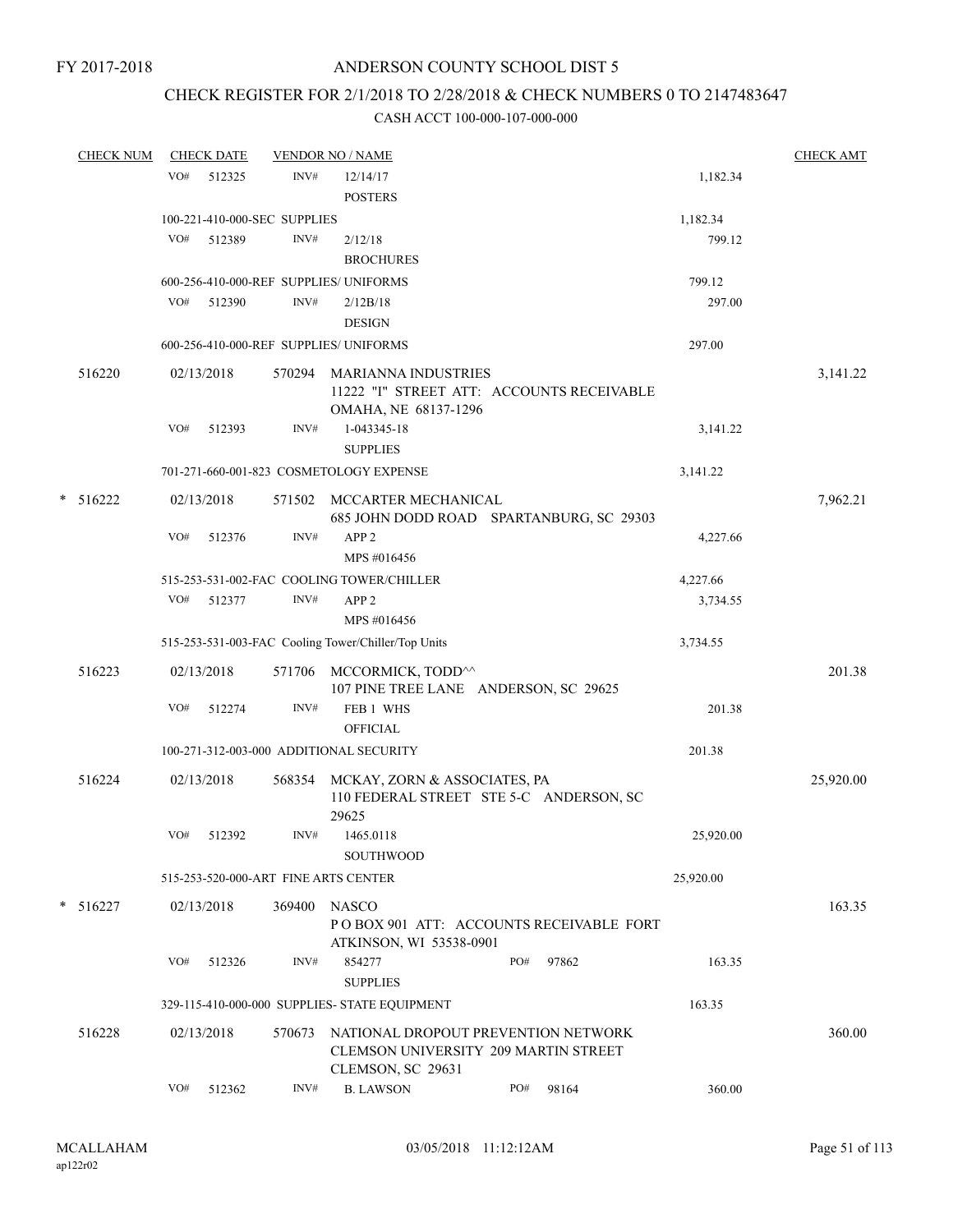## CHECK REGISTER FOR 2/1/2018 TO 2/28/2018 & CHECK NUMBERS 0 TO 2147483647

| <b>CHECK NUM</b> |     | <b>CHECK DATE</b>            |        | <b>VENDOR NO / NAME</b>                                                                                 |     |       |           | <b>CHECK AMT</b> |
|------------------|-----|------------------------------|--------|---------------------------------------------------------------------------------------------------------|-----|-------|-----------|------------------|
|                  | VO# | 512325                       | INV#   | 12/14/17                                                                                                |     |       | 1,182.34  |                  |
|                  |     |                              |        | <b>POSTERS</b>                                                                                          |     |       |           |                  |
|                  |     | 100-221-410-000-SEC SUPPLIES |        |                                                                                                         |     |       | 1,182.34  |                  |
|                  | VO# | 512389                       | INV#   | 2/12/18                                                                                                 |     |       | 799.12    |                  |
|                  |     |                              |        | <b>BROCHURES</b>                                                                                        |     |       |           |                  |
|                  |     |                              |        | 600-256-410-000-REF SUPPLIES/ UNIFORMS                                                                  |     |       | 799.12    |                  |
|                  |     | VO# 512390                   | INV#   | 2/12B/18                                                                                                |     |       | 297.00    |                  |
|                  |     |                              |        | <b>DESIGN</b>                                                                                           |     |       |           |                  |
|                  |     |                              |        | 600-256-410-000-REF SUPPLIES/ UNIFORMS                                                                  |     |       | 297.00    |                  |
| 516220           |     | 02/13/2018                   | 570294 | <b>MARIANNA INDUSTRIES</b><br>11222 "I" STREET ATT: ACCOUNTS RECEIVABLE<br>OMAHA, NE 68137-1296         |     |       |           | 3,141.22         |
|                  | VO# | 512393                       | INV#   | 1-043345-18<br><b>SUPPLIES</b>                                                                          |     |       | 3,141.22  |                  |
|                  |     |                              |        | 701-271-660-001-823 COSMETOLOGY EXPENSE                                                                 |     |       | 3,141.22  |                  |
| $* 516222$       |     |                              |        | 571502 MCCARTER MECHANICAL                                                                              |     |       |           |                  |
|                  |     | 02/13/2018                   |        | 685 JOHN DODD ROAD SPARTANBURG, SC 29303                                                                |     |       |           | 7,962.21         |
|                  | VO# | 512376                       | INV#   | APP <sub>2</sub>                                                                                        |     |       | 4,227.66  |                  |
|                  |     |                              |        | MPS #016456                                                                                             |     |       |           |                  |
|                  |     |                              |        | 515-253-531-002-FAC COOLING TOWER/CHILLER                                                               |     |       | 4,227.66  |                  |
|                  | VO# | 512377                       | INV#   | APP <sub>2</sub>                                                                                        |     |       | 3,734.55  |                  |
|                  |     |                              |        | MPS #016456                                                                                             |     |       |           |                  |
|                  |     |                              |        | 515-253-531-003-FAC Cooling Tower/Chiller/Top Units                                                     |     |       | 3,734.55  |                  |
| 516223           |     | 02/13/2018                   |        | 571706 MCCORMICK, TODD <sup>^^</sup><br>107 PINE TREE LANE ANDERSON, SC 29625                           |     |       |           | 201.38           |
|                  | VO# | 512274                       | INV#   | FEB 1 WHS<br><b>OFFICIAL</b>                                                                            |     |       | 201.38    |                  |
|                  |     |                              |        | 100-271-312-003-000 ADDITIONAL SECURITY                                                                 |     |       | 201.38    |                  |
| 516224           |     | 02/13/2018                   |        | 568354 MCKAY, ZORN & ASSOCIATES, PA                                                                     |     |       |           | 25,920.00        |
|                  |     |                              |        | 110 FEDERAL STREET STE 5-C ANDERSON, SC<br>29625                                                        |     |       |           |                  |
|                  | VO# | 512392                       | INV#   | 1465.0118<br><b>SOUTHWOOD</b>                                                                           |     |       | 25,920.00 |                  |
|                  |     |                              |        | 515-253-520-000-ART FINE ARTS CENTER                                                                    |     |       | 25,920.00 |                  |
| $* 516227$       |     | 02/13/2018                   | 369400 | <b>NASCO</b>                                                                                            |     |       |           | 163.35           |
|                  |     |                              |        | POBOX 901 ATT: ACCOUNTS RECEIVABLE FORT<br>ATKINSON, WI 53538-0901                                      |     |       |           |                  |
|                  | VO# | 512326                       | INV#   | 854277                                                                                                  | PO# | 97862 | 163.35    |                  |
|                  |     |                              |        | <b>SUPPLIES</b>                                                                                         |     |       |           |                  |
|                  |     |                              |        | 329-115-410-000-000 SUPPLIES- STATE EQUIPMENT                                                           |     |       | 163.35    |                  |
| 516228           |     | 02/13/2018                   | 570673 | NATIONAL DROPOUT PREVENTION NETWORK<br><b>CLEMSON UNIVERSITY 209 MARTIN STREET</b><br>CLEMSON, SC 29631 |     |       |           | 360.00           |
|                  | VO# | 512362                       | INV#   | <b>B. LAWSON</b>                                                                                        | PO# | 98164 | 360.00    |                  |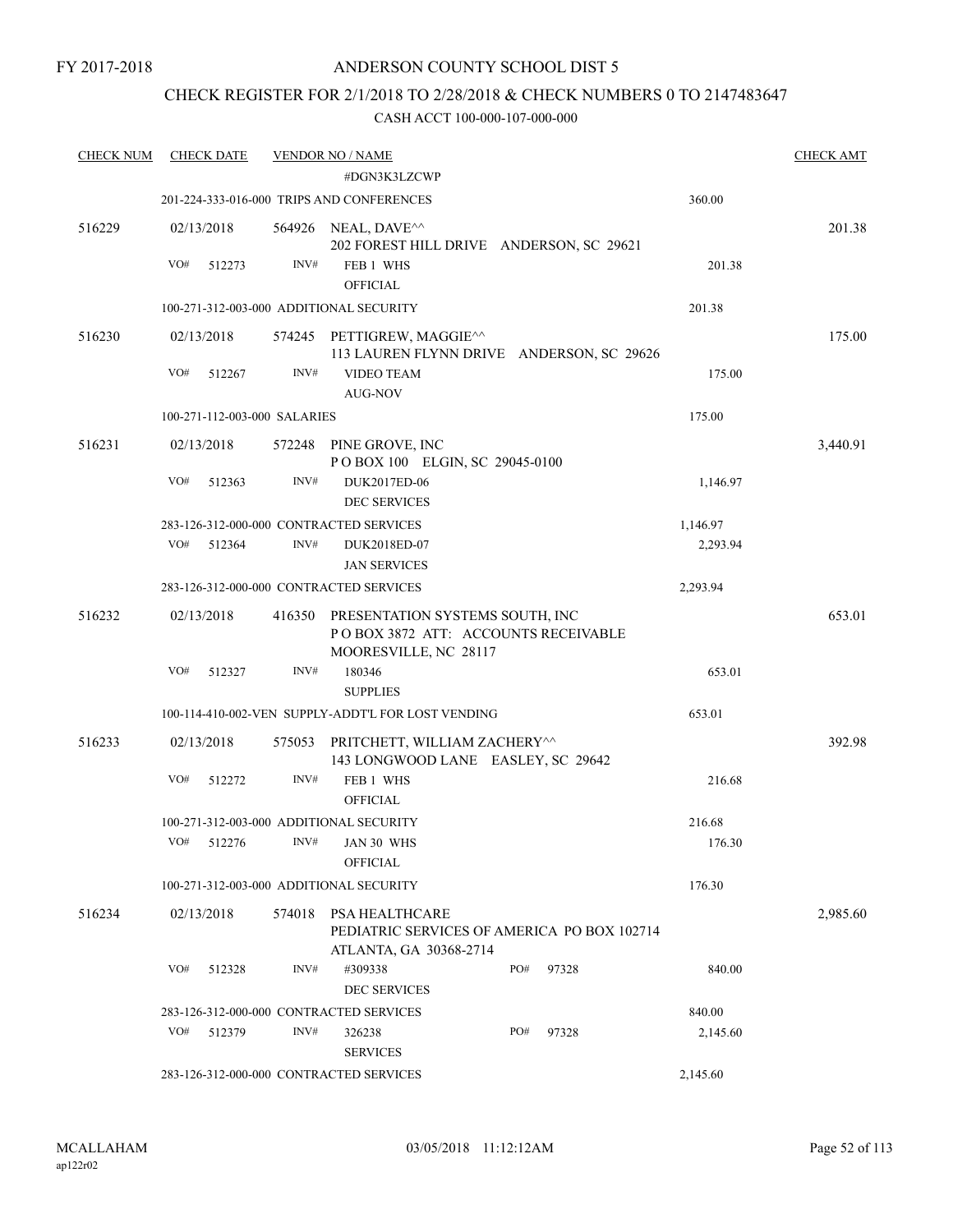## CHECK REGISTER FOR 2/1/2018 TO 2/28/2018 & CHECK NUMBERS 0 TO 2147483647

| <b>CHECK NUM</b> | <b>CHECK DATE</b>            |        | <b>VENDOR NO / NAME</b>                                                                         |     |       |          | <b>CHECK AMT</b> |
|------------------|------------------------------|--------|-------------------------------------------------------------------------------------------------|-----|-------|----------|------------------|
|                  |                              |        | #DGN3K3LZCWP                                                                                    |     |       |          |                  |
|                  |                              |        | 201-224-333-016-000 TRIPS AND CONFERENCES                                                       |     |       | 360.00   |                  |
| 516229           | 02/13/2018                   |        | 564926 NEAL, DAVE^^<br>202 FOREST HILL DRIVE ANDERSON, SC 29621                                 |     |       |          | 201.38           |
|                  | VO#<br>512273                | INV#   | FEB 1 WHS<br><b>OFFICIAL</b>                                                                    |     |       | 201.38   |                  |
|                  |                              |        | 100-271-312-003-000 ADDITIONAL SECURITY                                                         |     |       | 201.38   |                  |
| 516230           | 02/13/2018                   |        | 574245 PETTIGREW, MAGGIE^^<br>113 LAUREN FLYNN DRIVE ANDERSON, SC 29626                         |     |       |          | 175.00           |
|                  | VO#<br>512267                | INV#   | <b>VIDEO TEAM</b><br><b>AUG-NOV</b>                                                             |     |       | 175.00   |                  |
|                  | 100-271-112-003-000 SALARIES |        |                                                                                                 |     |       | 175.00   |                  |
| 516231           | 02/13/2018                   |        | 572248 PINE GROVE, INC                                                                          |     |       |          | 3,440.91         |
|                  |                              |        | POBOX 100 ELGIN, SC 29045-0100                                                                  |     |       |          |                  |
|                  | VO#<br>512363                | INV#   | DUK2017ED-06                                                                                    |     |       | 1,146.97 |                  |
|                  |                              |        | <b>DEC SERVICES</b><br>283-126-312-000-000 CONTRACTED SERVICES                                  |     |       | 1,146.97 |                  |
|                  | VO#<br>512364                | INV#   | DUK2018ED-07                                                                                    |     |       | 2,293.94 |                  |
|                  |                              |        | <b>JAN SERVICES</b>                                                                             |     |       |          |                  |
|                  |                              |        | 283-126-312-000-000 CONTRACTED SERVICES                                                         |     |       | 2,293.94 |                  |
| 516232           | 02/13/2018                   | 416350 | PRESENTATION SYSTEMS SOUTH, INC<br>POBOX 3872 ATT: ACCOUNTS RECEIVABLE<br>MOORESVILLE, NC 28117 |     |       |          | 653.01           |
|                  | VO#<br>512327                | INV#   | 180346                                                                                          |     |       | 653.01   |                  |
|                  |                              |        | <b>SUPPLIES</b>                                                                                 |     |       |          |                  |
|                  |                              |        | 100-114-410-002-VEN SUPPLY-ADDT'L FOR LOST VENDING                                              |     |       | 653.01   |                  |
| 516233           | 02/13/2018                   |        | 575053 PRITCHETT, WILLIAM ZACHERY^^<br>143 LONGWOOD LANE EASLEY, SC 29642                       |     |       |          | 392.98           |
|                  | VO#<br>512272                | INV#   | FEB 1 WHS<br><b>OFFICIAL</b>                                                                    |     |       | 216.68   |                  |
|                  |                              |        | 100-271-312-003-000 ADDITIONAL SECURITY                                                         |     |       | 216.68   |                  |
|                  |                              |        | VO# 512276 INV# JAN 30 WHS                                                                      |     |       | 176.30   |                  |
|                  |                              |        | <b>OFFICIAL</b>                                                                                 |     |       |          |                  |
|                  |                              |        | 100-271-312-003-000 ADDITIONAL SECURITY                                                         |     |       | 176.30   |                  |
| 516234           | 02/13/2018                   |        | 574018 PSA HEALTHCARE<br>PEDIATRIC SERVICES OF AMERICA PO BOX 102714<br>ATLANTA, GA 30368-2714  |     |       |          | 2,985.60         |
|                  | VO#<br>512328                | INV#   | #309338<br><b>DEC SERVICES</b>                                                                  | PO# | 97328 | 840.00   |                  |
|                  |                              |        | 283-126-312-000-000 CONTRACTED SERVICES                                                         |     |       | 840.00   |                  |
|                  | VO#<br>512379                | INV#   | 326238                                                                                          | PO# | 97328 | 2,145.60 |                  |
|                  |                              |        | <b>SERVICES</b>                                                                                 |     |       |          |                  |
|                  |                              |        | 283-126-312-000-000 CONTRACTED SERVICES                                                         |     |       | 2,145.60 |                  |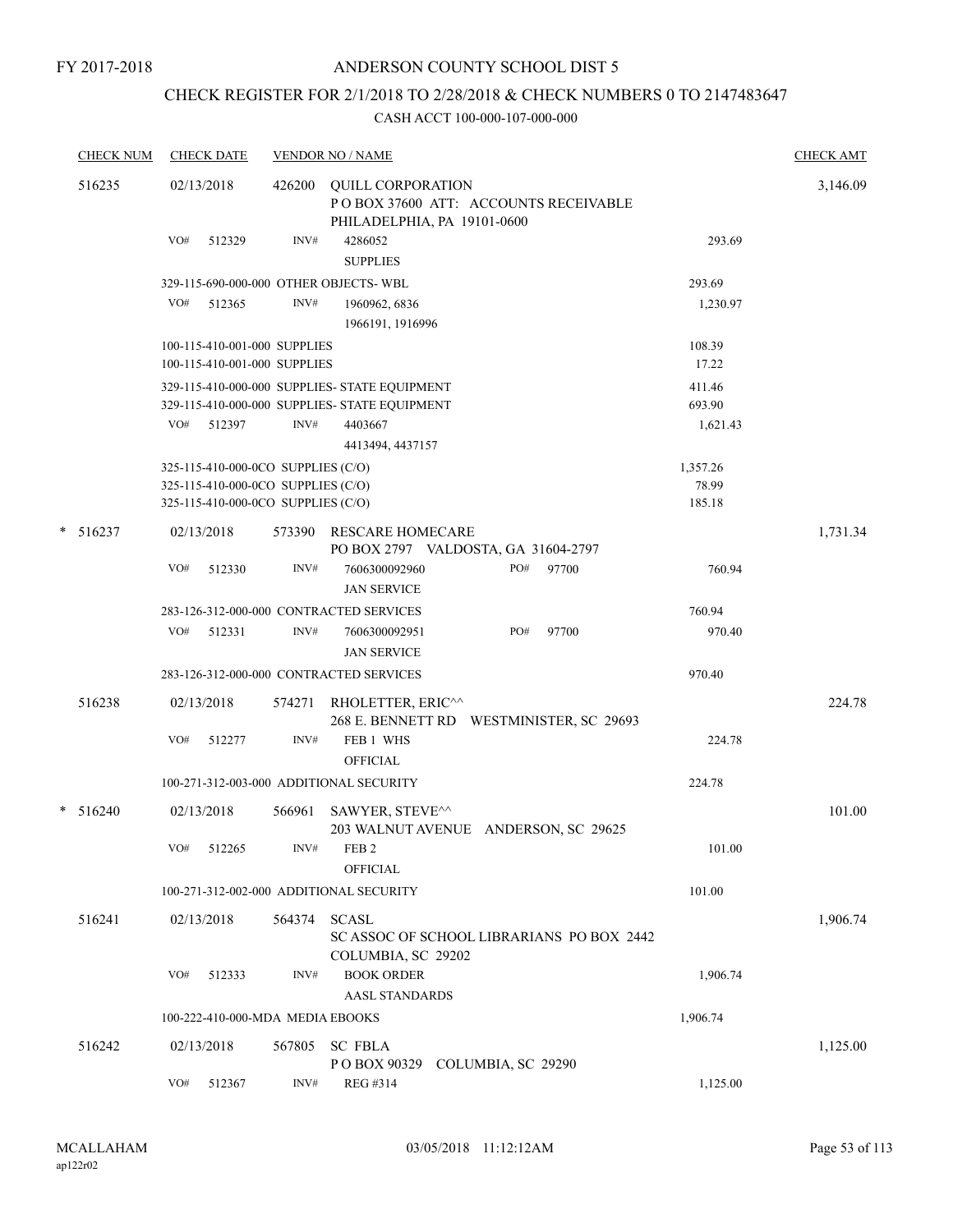## ANDERSON COUNTY SCHOOL DIST 5

## CHECK REGISTER FOR 2/1/2018 TO 2/28/2018 & CHECK NUMBERS 0 TO 2147483647

| <b>CHECK NUM</b> | <b>CHECK DATE</b>                                                        |        | <b>VENDOR NO / NAME</b>                                                                         |                                           |                   | <b>CHECK AMT</b> |
|------------------|--------------------------------------------------------------------------|--------|-------------------------------------------------------------------------------------------------|-------------------------------------------|-------------------|------------------|
| 516235           | 02/13/2018                                                               | 426200 | <b>QUILL CORPORATION</b><br>POBOX 37600 ATT: ACCOUNTS RECEIVABLE<br>PHILADELPHIA, PA 19101-0600 |                                           |                   | 3,146.09         |
|                  | VO#<br>512329                                                            | INV#   | 4286052<br><b>SUPPLIES</b>                                                                      |                                           | 293.69            |                  |
|                  | 329-115-690-000-000 OTHER OBJECTS-WBL                                    |        |                                                                                                 |                                           | 293.69            |                  |
|                  | VO#<br>512365                                                            | INV#   | 1960962, 6836<br>1966191, 1916996                                                               |                                           | 1,230.97          |                  |
|                  | 100-115-410-001-000 SUPPLIES                                             |        |                                                                                                 |                                           | 108.39            |                  |
|                  | 100-115-410-001-000 SUPPLIES                                             |        |                                                                                                 |                                           | 17.22             |                  |
|                  |                                                                          |        | 329-115-410-000-000 SUPPLIES- STATE EQUIPMENT<br>329-115-410-000-000 SUPPLIES- STATE EQUIPMENT  |                                           | 411.46<br>693.90  |                  |
|                  | VO# 512397                                                               | INV#   | 4403667                                                                                         |                                           | 1,621.43          |                  |
|                  |                                                                          |        | 4413494, 4437157                                                                                |                                           |                   |                  |
|                  | 325-115-410-000-0CO SUPPLIES (C/O)<br>325-115-410-000-0CO SUPPLIES (C/O) |        |                                                                                                 |                                           | 1,357.26<br>78.99 |                  |
|                  | 325-115-410-000-0CO SUPPLIES (C/O)                                       |        |                                                                                                 |                                           | 185.18            |                  |
| *<br>516237      | 02/13/2018                                                               | 573390 | <b>RESCARE HOMECARE</b>                                                                         | PO BOX 2797 VALDOSTA, GA 31604-2797       |                   | 1,731.34         |
|                  | VO#<br>512330                                                            | INV#   | 7606300092960<br><b>JAN SERVICE</b>                                                             | PO#<br>97700                              | 760.94            |                  |
|                  | 283-126-312-000-000 CONTRACTED SERVICES                                  |        |                                                                                                 |                                           | 760.94            |                  |
|                  | VO#<br>512331                                                            | INV#   | 7606300092951<br><b>JAN SERVICE</b>                                                             | PO#<br>97700                              | 970.40            |                  |
|                  | 283-126-312-000-000 CONTRACTED SERVICES                                  |        |                                                                                                 |                                           | 970.40            |                  |
| 516238           | 02/13/2018                                                               | 574271 | RHOLETTER, ERIC <sup>^^</sup>                                                                   | 268 E. BENNETT RD WESTMINISTER, SC 29693  |                   | 224.78           |
|                  | VO#<br>512277                                                            | INV#   | FEB 1 WHS<br><b>OFFICIAL</b>                                                                    |                                           | 224.78            |                  |
|                  | 100-271-312-003-000 ADDITIONAL SECURITY                                  |        |                                                                                                 |                                           | 224.78            |                  |
| $*$ 516240       | 02/13/2018                                                               | 566961 | SAWYER, STEVE^^                                                                                 | 203 WALNUT AVENUE ANDERSON, SC 29625      |                   | 101.00           |
|                  | VO# 512265                                                               |        | $INV#$ FEB 2<br><b>OFFICIAL</b>                                                                 |                                           | 101.00            |                  |
|                  | 100-271-312-002-000 ADDITIONAL SECURITY                                  |        |                                                                                                 |                                           | 101.00            |                  |
| 516241           | 02/13/2018                                                               | 564374 | SCASL                                                                                           |                                           |                   | 1,906.74         |
|                  |                                                                          |        | COLUMBIA, SC 29202                                                                              | SC ASSOC OF SCHOOL LIBRARIANS PO BOX 2442 |                   |                  |
|                  | VO#<br>512333                                                            | INV#   | <b>BOOK ORDER</b><br><b>AASL STANDARDS</b>                                                      |                                           | 1,906.74          |                  |
|                  | 100-222-410-000-MDA MEDIA EBOOKS                                         |        |                                                                                                 |                                           | 1,906.74          |                  |
| 516242           | 02/13/2018                                                               | 567805 | <b>SC FBLA</b>                                                                                  |                                           |                   | 1,125.00         |
|                  | VO#<br>512367                                                            | INV#   | POBOX 90329 COLUMBIA, SC 29290<br>REG #314                                                      |                                           | 1,125.00          |                  |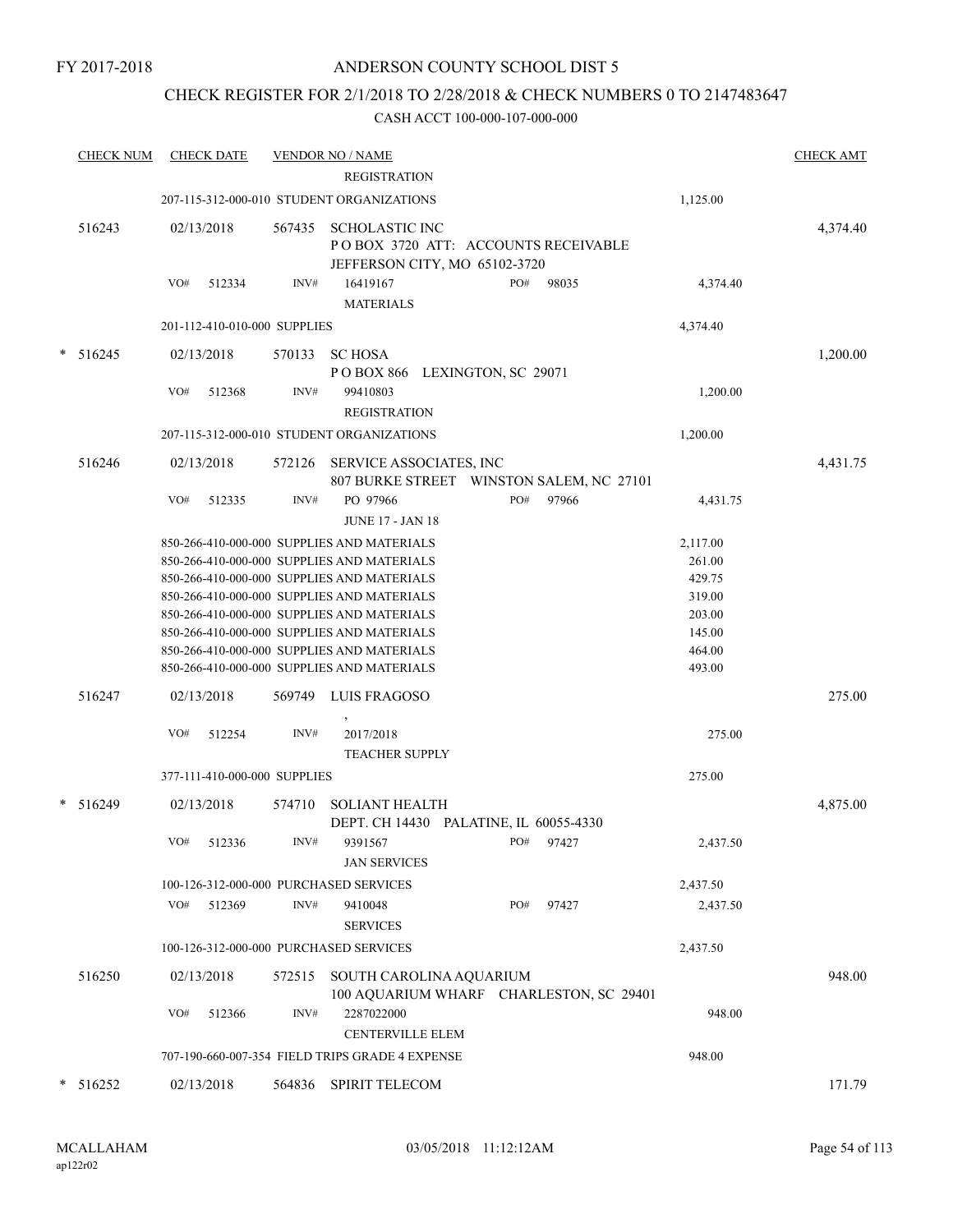## CHECK REGISTER FOR 2/1/2018 TO 2/28/2018 & CHECK NUMBERS 0 TO 2147483647

|   | <b>CHECK NUM</b> |     | <b>CHECK DATE</b>            |        | <b>VENDOR NO / NAME</b>                                                                       |     |           |                    | <b>CHECK AMT</b> |
|---|------------------|-----|------------------------------|--------|-----------------------------------------------------------------------------------------------|-----|-----------|--------------------|------------------|
|   |                  |     |                              |        | <b>REGISTRATION</b>                                                                           |     |           |                    |                  |
|   |                  |     |                              |        | 207-115-312-000-010 STUDENT ORGANIZATIONS                                                     |     |           | 1,125.00           |                  |
|   | 516243           |     | 02/13/2018                   | 567435 | <b>SCHOLASTIC INC</b><br>POBOX 3720 ATT: ACCOUNTS RECEIVABLE<br>JEFFERSON CITY, MO 65102-3720 |     |           |                    | 4,374.40         |
|   |                  | VO# | 512334                       | INV#   | 16419167<br><b>MATERIALS</b>                                                                  | PO# | 98035     | 4,374.40           |                  |
|   |                  |     | 201-112-410-010-000 SUPPLIES |        |                                                                                               |     |           | 4,374.40           |                  |
| * | 516245           |     | 02/13/2018                   | 570133 | <b>SC HOSA</b><br>POBOX 866 LEXINGTON, SC 29071                                               |     |           |                    | 1,200.00         |
|   |                  | VO# | 512368                       | INV#   | 99410803<br><b>REGISTRATION</b>                                                               |     |           | 1,200.00           |                  |
|   |                  |     |                              |        | 207-115-312-000-010 STUDENT ORGANIZATIONS                                                     |     |           | 1,200.00           |                  |
|   | 516246           |     | 02/13/2018                   | 572126 | SERVICE ASSOCIATES, INC<br>807 BURKE STREET WINSTON SALEM, NC 27101                           |     |           |                    | 4,431.75         |
|   |                  | VO# | 512335                       | INV#   | PO 97966<br><b>JUNE 17 - JAN 18</b>                                                           | PO# | 97966     | 4,431.75           |                  |
|   |                  |     |                              |        | 850-266-410-000-000 SUPPLIES AND MATERIALS<br>850-266-410-000-000 SUPPLIES AND MATERIALS      |     |           | 2,117.00<br>261.00 |                  |
|   |                  |     |                              |        | 850-266-410-000-000 SUPPLIES AND MATERIALS<br>850-266-410-000-000 SUPPLIES AND MATERIALS      |     |           | 429.75<br>319.00   |                  |
|   |                  |     |                              |        | 850-266-410-000-000 SUPPLIES AND MATERIALS                                                    |     |           | 203.00             |                  |
|   |                  |     |                              |        | 850-266-410-000-000 SUPPLIES AND MATERIALS                                                    |     |           | 145.00             |                  |
|   |                  |     |                              |        | 850-266-410-000-000 SUPPLIES AND MATERIALS                                                    |     |           | 464.00             |                  |
|   |                  |     |                              |        | 850-266-410-000-000 SUPPLIES AND MATERIALS                                                    |     |           | 493.00             |                  |
|   | 516247           |     | 02/13/2018                   | 569749 | LUIS FRAGOSO                                                                                  |     |           |                    | 275.00           |
|   |                  | VO# | 512254                       | INV#   | 2017/2018<br><b>TEACHER SUPPLY</b>                                                            |     |           | 275.00             |                  |
|   |                  |     | 377-111-410-000-000 SUPPLIES |        |                                                                                               |     |           | 275.00             |                  |
|   | $* 516249$       |     | 02/13/2018                   | 574710 | <b>SOLIANT HEALTH</b><br>DEPT. CH 14430 PALATINE, IL 60055-4330                               |     |           |                    | 4,875.00         |
|   |                  | VO# | 512336                       | INV#   | 9391567<br><b>JAN SERVICES</b>                                                                |     | PO# 97427 | 2,437.50           |                  |
|   |                  |     |                              |        | 100-126-312-000-000 PURCHASED SERVICES                                                        |     |           | 2,437.50           |                  |
|   |                  | VO# | 512369                       | INV#   | 9410048<br><b>SERVICES</b>                                                                    | PO# | 97427     | 2,437.50           |                  |
|   |                  |     |                              |        | 100-126-312-000-000 PURCHASED SERVICES                                                        |     |           | 2,437.50           |                  |
|   | 516250           |     | 02/13/2018                   |        | 572515 SOUTH CAROLINA AQUARIUM<br>100 AQUARIUM WHARF CHARLESTON, SC 29401                     |     |           |                    | 948.00           |
|   |                  | VO# | 512366                       | INV#   | 2287022000<br><b>CENTERVILLE ELEM</b>                                                         |     |           | 948.00             |                  |
|   |                  |     |                              |        | 707-190-660-007-354 FIELD TRIPS GRADE 4 EXPENSE                                               |     |           | 948.00             |                  |
|   | $* 516252$       |     | 02/13/2018                   |        | 564836 SPIRIT TELECOM                                                                         |     |           |                    | 171.79           |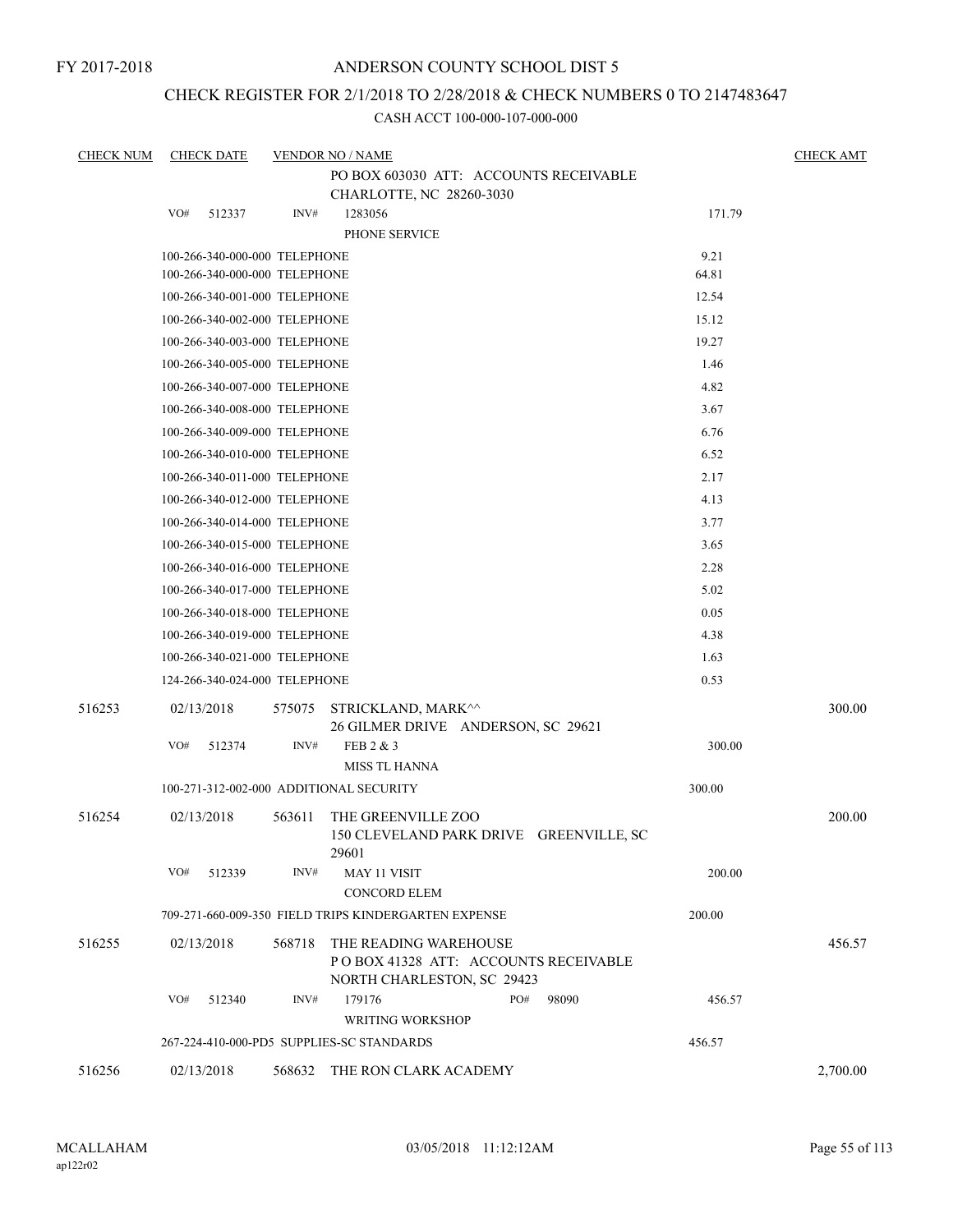## ANDERSON COUNTY SCHOOL DIST 5

## CHECK REGISTER FOR 2/1/2018 TO 2/28/2018 & CHECK NUMBERS 0 TO 2147483647

| <b>CHECK NUM</b> | <b>CHECK DATE</b>                       |        | <b>VENDOR NO / NAME</b>                                                                     |        | <b>CHECK AMT</b> |
|------------------|-----------------------------------------|--------|---------------------------------------------------------------------------------------------|--------|------------------|
|                  |                                         |        | PO BOX 603030 ATT: ACCOUNTS RECEIVABLE                                                      |        |                  |
|                  | VO#                                     | INV#   | CHARLOTTE, NC 28260-3030<br>1283056                                                         | 171.79 |                  |
|                  | 512337                                  |        | PHONE SERVICE                                                                               |        |                  |
|                  | 100-266-340-000-000 TELEPHONE           |        |                                                                                             | 9.21   |                  |
|                  | 100-266-340-000-000 TELEPHONE           |        |                                                                                             | 64.81  |                  |
|                  | 100-266-340-001-000 TELEPHONE           |        |                                                                                             | 12.54  |                  |
|                  | 100-266-340-002-000 TELEPHONE           |        |                                                                                             | 15.12  |                  |
|                  | 100-266-340-003-000 TELEPHONE           |        |                                                                                             | 19.27  |                  |
|                  | 100-266-340-005-000 TELEPHONE           |        |                                                                                             | 1.46   |                  |
|                  | 100-266-340-007-000 TELEPHONE           |        |                                                                                             | 4.82   |                  |
|                  | 100-266-340-008-000 TELEPHONE           |        |                                                                                             | 3.67   |                  |
|                  | 100-266-340-009-000 TELEPHONE           |        |                                                                                             | 6.76   |                  |
|                  | 100-266-340-010-000 TELEPHONE           |        |                                                                                             | 6.52   |                  |
|                  | 100-266-340-011-000 TELEPHONE           |        |                                                                                             | 2.17   |                  |
|                  | 100-266-340-012-000 TELEPHONE           |        |                                                                                             | 4.13   |                  |
|                  | 100-266-340-014-000 TELEPHONE           |        |                                                                                             | 3.77   |                  |
|                  | 100-266-340-015-000 TELEPHONE           |        |                                                                                             | 3.65   |                  |
|                  | 100-266-340-016-000 TELEPHONE           |        |                                                                                             | 2.28   |                  |
|                  | 100-266-340-017-000 TELEPHONE           |        |                                                                                             | 5.02   |                  |
|                  | 100-266-340-018-000 TELEPHONE           |        |                                                                                             | 0.05   |                  |
|                  | 100-266-340-019-000 TELEPHONE           |        |                                                                                             | 4.38   |                  |
|                  | 100-266-340-021-000 TELEPHONE           |        |                                                                                             | 1.63   |                  |
|                  | 124-266-340-024-000 TELEPHONE           |        |                                                                                             | 0.53   |                  |
| 516253           | 02/13/2018                              | 575075 | STRICKLAND, MARK^^<br>26 GILMER DRIVE ANDERSON, SC 29621                                    |        | 300.00           |
|                  | VO#<br>512374                           | INV#   | FEB 2 & 3                                                                                   | 300.00 |                  |
|                  |                                         |        | <b>MISS TL HANNA</b>                                                                        |        |                  |
|                  | 100-271-312-002-000 ADDITIONAL SECURITY |        |                                                                                             | 300.00 |                  |
| 516254           | 02/13/2018                              | 563611 | THE GREENVILLE ZOO<br>150 CLEVELAND PARK DRIVE GREENVILLE, SC                               |        | 200.00           |
|                  | VO#<br>512339                           | INV#   | 29601<br><b>MAY 11 VISIT</b><br><b>CONCORD ELEM</b>                                         | 200.00 |                  |
|                  |                                         |        | 709-271-660-009-350 FIELD TRIPS KINDERGARTEN EXPENSE                                        | 200.00 |                  |
|                  |                                         |        |                                                                                             |        |                  |
| 516255           | 02/13/2018                              | 568718 | THE READING WAREHOUSE<br>POBOX 41328 ATT: ACCOUNTS RECEIVABLE<br>NORTH CHARLESTON, SC 29423 |        | 456.57           |
|                  | VO#<br>512340                           | INV#   | PO#<br>179176<br>98090<br><b>WRITING WORKSHOP</b>                                           | 456.57 |                  |
|                  |                                         |        | 267-224-410-000-PD5 SUPPLIES-SC STANDARDS                                                   | 456.57 |                  |
| 516256           | 02/13/2018                              | 568632 | THE RON CLARK ACADEMY                                                                       |        | 2,700.00         |
|                  |                                         |        |                                                                                             |        |                  |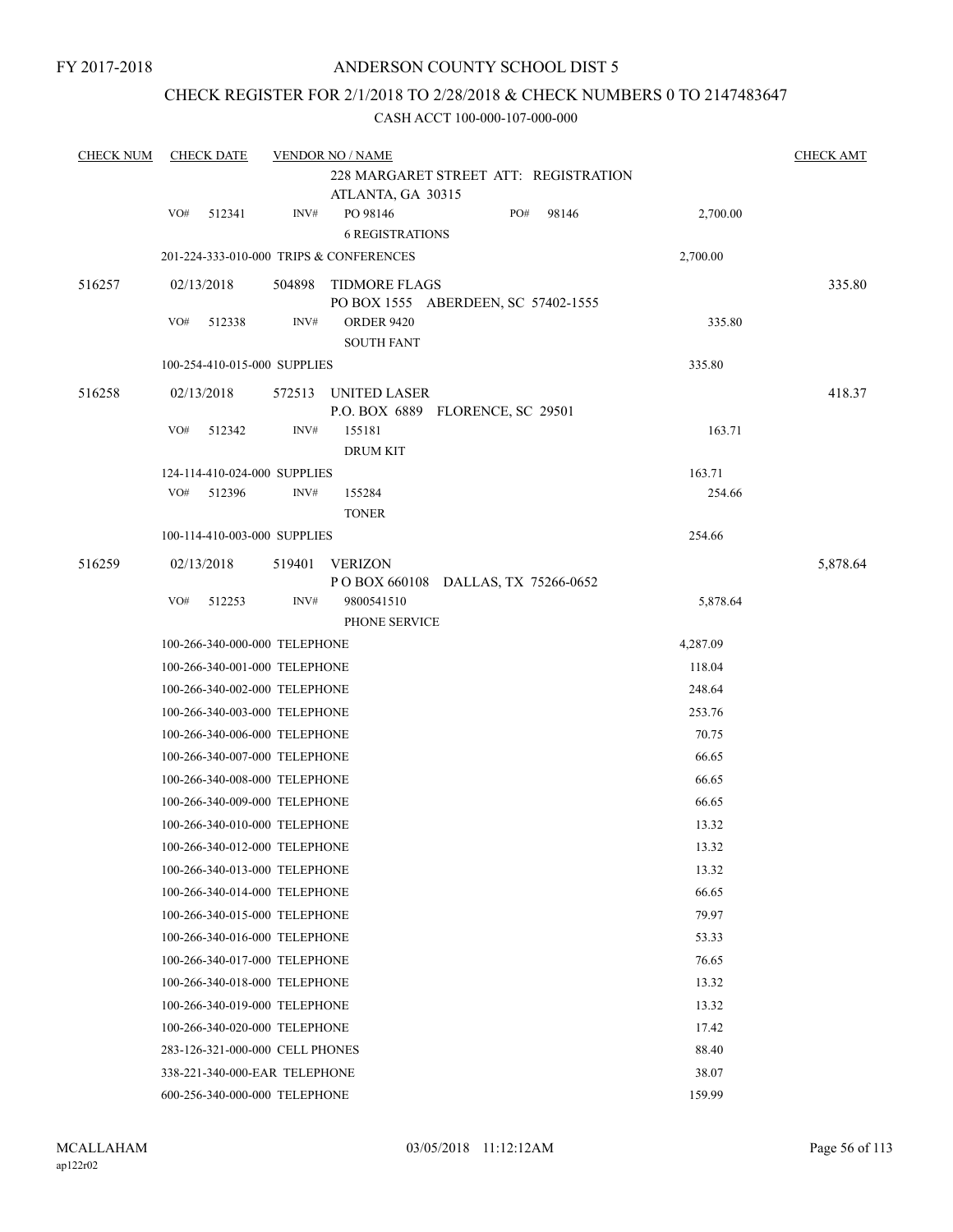## CHECK REGISTER FOR 2/1/2018 TO 2/28/2018 & CHECK NUMBERS 0 TO 2147483647

| <b>CHECK NUM</b> | <b>CHECK DATE</b> |                                 | <b>CHECK AMT</b> |                                                            |     |       |          |          |
|------------------|-------------------|---------------------------------|------------------|------------------------------------------------------------|-----|-------|----------|----------|
|                  |                   |                                 |                  | 228 MARGARET STREET ATT: REGISTRATION<br>ATLANTA, GA 30315 |     |       |          |          |
|                  | VO#               | 512341                          | INV#             | PO 98146<br><b>6 REGISTRATIONS</b>                         | PO# | 98146 | 2,700.00 |          |
|                  |                   |                                 |                  | 201-224-333-010-000 TRIPS & CONFERENCES                    |     |       | 2,700.00 |          |
| 516257           |                   | 02/13/2018                      | 504898           | TIDMORE FLAGS<br>PO BOX 1555 ABERDEEN, SC 57402-1555       |     |       |          | 335.80   |
|                  | VO#               | 512338                          | INV#             | <b>ORDER 9420</b><br><b>SOUTH FANT</b>                     |     |       | 335.80   |          |
|                  |                   | 100-254-410-015-000 SUPPLIES    |                  |                                                            |     |       | 335.80   |          |
| 516258           |                   | 02/13/2018                      |                  | 572513 UNITED LASER<br>P.O. BOX 6889 FLORENCE, SC 29501    |     |       |          | 418.37   |
|                  | VO#               | 512342                          | INV#             | 155181<br><b>DRUM KIT</b>                                  |     |       | 163.71   |          |
|                  |                   | 124-114-410-024-000 SUPPLIES    |                  |                                                            |     |       | 163.71   |          |
|                  | VO#               | 512396                          | INV#             | 155284<br><b>TONER</b>                                     |     |       | 254.66   |          |
|                  |                   | 100-114-410-003-000 SUPPLIES    |                  |                                                            |     |       | 254.66   |          |
| 516259           |                   | 02/13/2018                      | 519401           | <b>VERIZON</b><br>POBOX 660108 DALLAS, TX 75266-0652       |     |       |          | 5,878.64 |
|                  | VO#               | 512253                          | INV#             | 9800541510<br>PHONE SERVICE                                |     |       | 5,878.64 |          |
|                  |                   | 100-266-340-000-000 TELEPHONE   |                  |                                                            |     |       | 4,287.09 |          |
|                  |                   | 100-266-340-001-000 TELEPHONE   |                  |                                                            |     |       | 118.04   |          |
|                  |                   | 100-266-340-002-000 TELEPHONE   |                  |                                                            |     |       | 248.64   |          |
|                  |                   | 100-266-340-003-000 TELEPHONE   |                  |                                                            |     |       | 253.76   |          |
|                  |                   | 100-266-340-006-000 TELEPHONE   |                  |                                                            |     |       | 70.75    |          |
|                  |                   | 100-266-340-007-000 TELEPHONE   |                  |                                                            |     |       | 66.65    |          |
|                  |                   | 100-266-340-008-000 TELEPHONE   |                  |                                                            |     |       | 66.65    |          |
|                  |                   | 100-266-340-009-000 TELEPHONE   |                  |                                                            |     |       | 66.65    |          |
|                  |                   | 100-266-340-010-000 TELEPHONE   |                  |                                                            |     |       | 13.32    |          |
|                  |                   | 100-266-340-012-000 TELEPHONE   |                  |                                                            |     |       | 13.32    |          |
|                  |                   | 100-266-340-013-000 TELEPHONE   |                  |                                                            |     |       | 13.32    |          |
|                  |                   | 100-266-340-014-000 TELEPHONE   |                  |                                                            |     |       | 66.65    |          |
|                  |                   | 100-266-340-015-000 TELEPHONE   |                  |                                                            |     |       | 79.97    |          |
|                  |                   | 100-266-340-016-000 TELEPHONE   |                  |                                                            |     |       | 53.33    |          |
|                  |                   | 100-266-340-017-000 TELEPHONE   |                  |                                                            |     |       | 76.65    |          |
|                  |                   | 100-266-340-018-000 TELEPHONE   |                  |                                                            |     |       | 13.32    |          |
|                  |                   | 100-266-340-019-000 TELEPHONE   |                  |                                                            |     |       | 13.32    |          |
|                  |                   | 100-266-340-020-000 TELEPHONE   |                  |                                                            |     |       | 17.42    |          |
|                  |                   | 283-126-321-000-000 CELL PHONES |                  |                                                            |     |       | 88.40    |          |
|                  |                   | 338-221-340-000-EAR TELEPHONE   |                  |                                                            |     |       | 38.07    |          |
|                  |                   | 600-256-340-000-000 TELEPHONE   |                  |                                                            |     |       | 159.99   |          |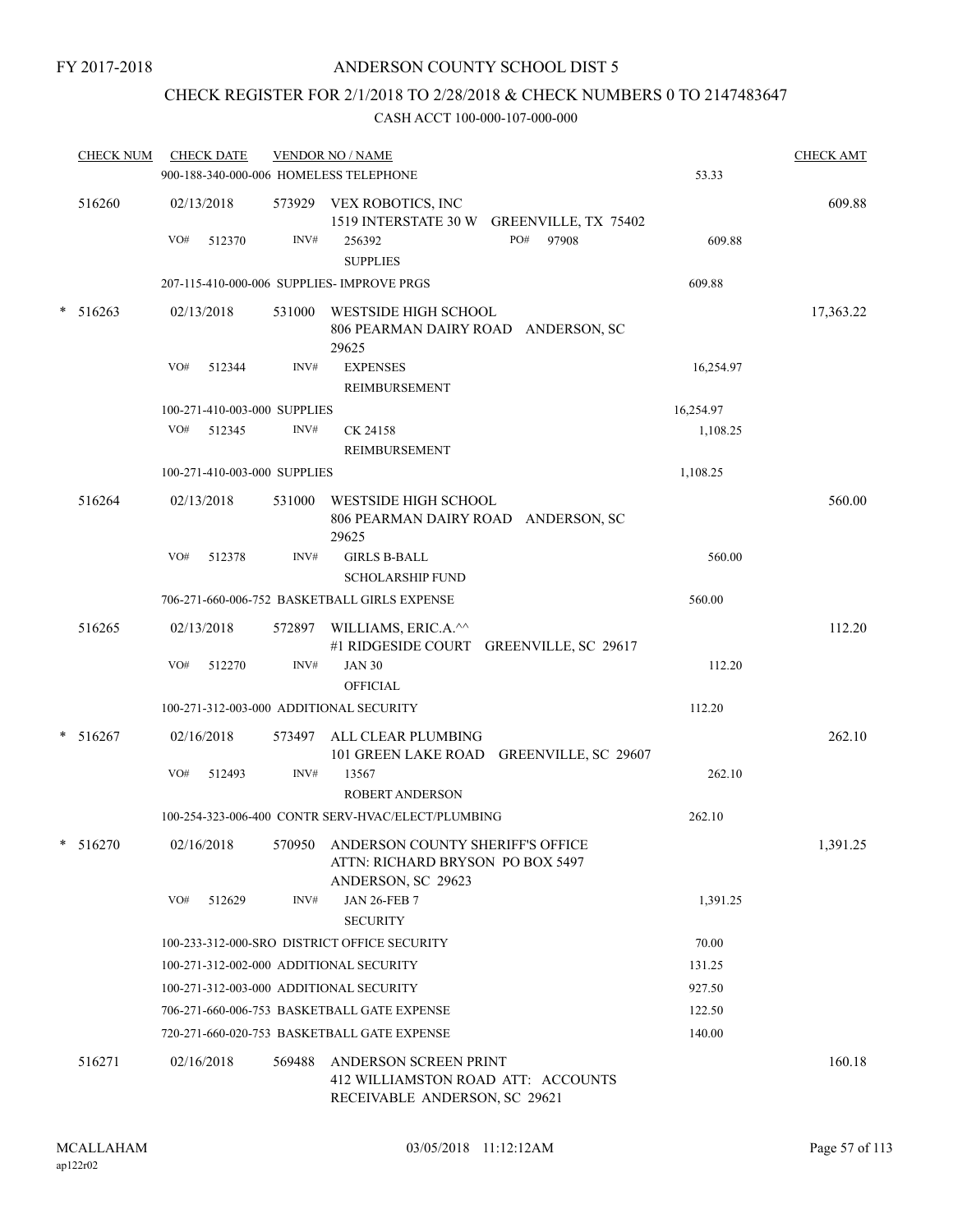## ANDERSON COUNTY SCHOOL DIST 5

## CHECK REGISTER FOR 2/1/2018 TO 2/28/2018 & CHECK NUMBERS 0 TO 2147483647

| CHECK NUM CHECK DATE |               |                              | <b>VENDOR NO / NAME</b><br>900-188-340-000-006 HOMELESS TELEPHONE                                 | 53.33     | <b>CHECK AMT</b> |
|----------------------|---------------|------------------------------|---------------------------------------------------------------------------------------------------|-----------|------------------|
| 516260               | 02/13/2018    |                              | 573929 VEX ROBOTICS, INC<br>1519 INTERSTATE 30 W GREENVILLE, TX 75402                             |           | 609.88           |
|                      | VO#<br>512370 | INV#                         | PO#<br>97908<br>256392<br><b>SUPPLIES</b>                                                         | 609.88    |                  |
|                      |               |                              | 207-115-410-000-006 SUPPLIES- IMPROVE PRGS                                                        | 609.88    |                  |
| $* 516263$           | 02/13/2018    |                              | 531000 WESTSIDE HIGH SCHOOL<br>806 PEARMAN DAIRY ROAD ANDERSON, SC<br>29625                       |           | 17,363.22        |
|                      | VO#<br>512344 | INV#                         | <b>EXPENSES</b><br><b>REIMBURSEMENT</b>                                                           | 16,254.97 |                  |
|                      |               | 100-271-410-003-000 SUPPLIES |                                                                                                   | 16,254.97 |                  |
|                      | VO#<br>512345 | INV#                         | CK 24158<br>REIMBURSEMENT                                                                         | 1,108.25  |                  |
|                      |               | 100-271-410-003-000 SUPPLIES |                                                                                                   | 1,108.25  |                  |
| 516264               | 02/13/2018    |                              | 531000 WESTSIDE HIGH SCHOOL<br>806 PEARMAN DAIRY ROAD ANDERSON, SC<br>29625                       |           | 560.00           |
|                      | VO#<br>512378 | INV#                         | <b>GIRLS B-BALL</b><br><b>SCHOLARSHIP FUND</b>                                                    | 560.00    |                  |
|                      |               |                              | 706-271-660-006-752 BASKETBALL GIRLS EXPENSE                                                      | 560.00    |                  |
| 516265               | 02/13/2018    |                              | 572897 WILLIAMS, ERIC.A.^^<br>#1 RIDGESIDE COURT GREENVILLE, SC 29617                             |           | 112.20           |
|                      | VO#<br>512270 | INV#                         | <b>JAN 30</b><br><b>OFFICIAL</b>                                                                  | 112.20    |                  |
|                      |               |                              | 100-271-312-003-000 ADDITIONAL SECURITY                                                           | 112.20    |                  |
| $* 516267$           | 02/16/2018    |                              | 573497 ALL CLEAR PLUMBING<br>101 GREEN LAKE ROAD GREENVILLE, SC 29607                             |           | 262.10           |
|                      | VO#<br>512493 | INV#                         | 13567<br><b>ROBERT ANDERSON</b>                                                                   | 262.10    |                  |
|                      |               |                              | 100-254-323-006-400 CONTR SERV-HVAC/ELECT/PLUMBING                                                | 262.10    |                  |
| $* 516270$           | 02/16/2018    |                              | 570950 ANDERSON COUNTY SHERIFF'S OFFICE<br>ATTN: RICHARD BRYSON PO BOX 5497<br>ANDERSON, SC 29623 |           | 1,391.25         |
|                      | VO#<br>512629 | INV#                         | <b>JAN 26-FEB 7</b><br><b>SECURITY</b>                                                            | 1,391.25  |                  |
|                      |               |                              | 100-233-312-000-SRO DISTRICT OFFICE SECURITY                                                      | 70.00     |                  |
|                      |               |                              | 100-271-312-002-000 ADDITIONAL SECURITY                                                           | 131.25    |                  |
|                      |               |                              | 100-271-312-003-000 ADDITIONAL SECURITY                                                           | 927.50    |                  |
|                      |               |                              | 706-271-660-006-753 BASKETBALL GATE EXPENSE                                                       | 122.50    |                  |
|                      |               |                              | 720-271-660-020-753 BASKETBALL GATE EXPENSE                                                       | 140.00    |                  |
| 516271               | 02/16/2018    | 569488                       | ANDERSON SCREEN PRINT<br>412 WILLIAMSTON ROAD ATT: ACCOUNTS<br>RECEIVABLE ANDERSON, SC 29621      |           | 160.18           |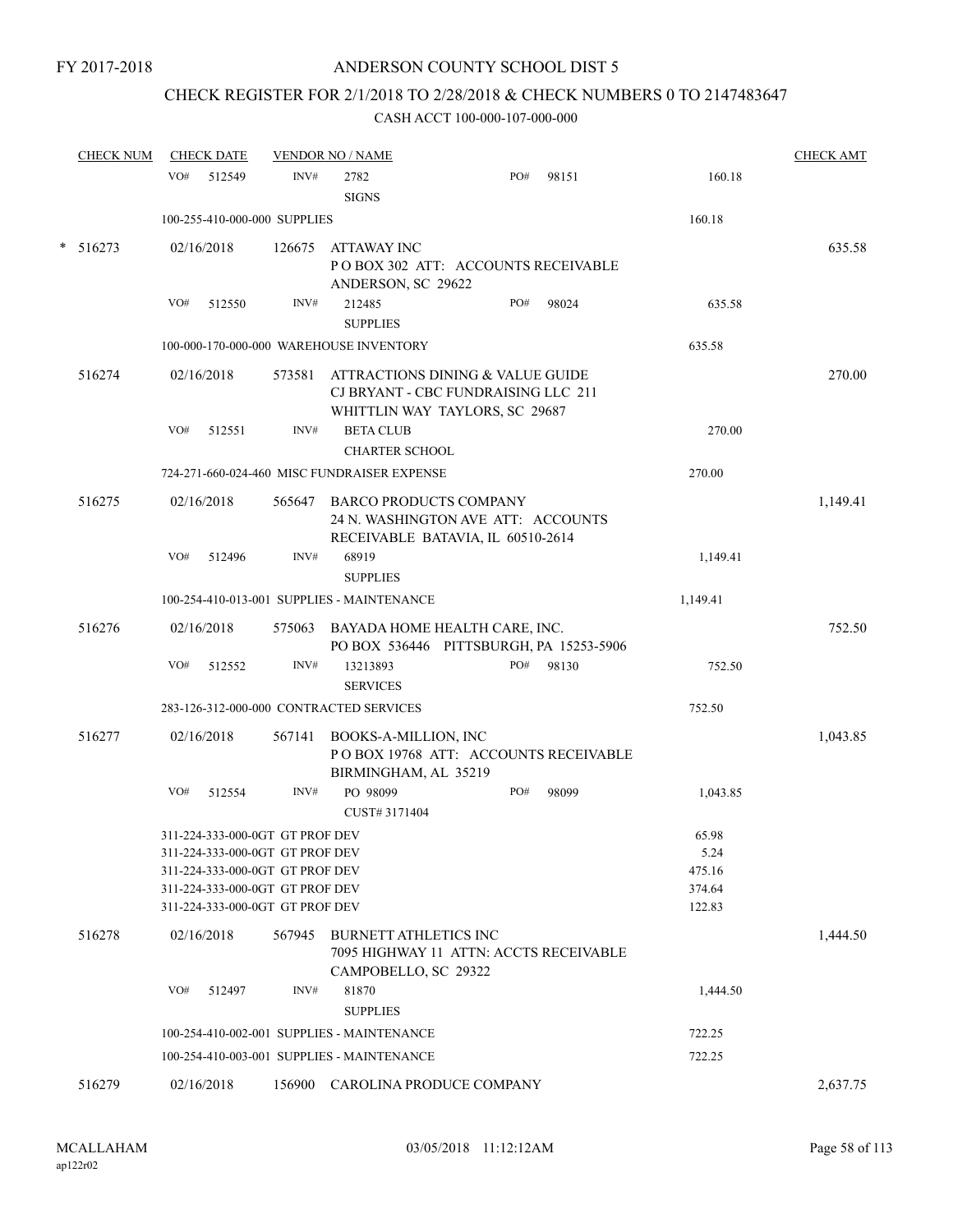# CHECK REGISTER FOR 2/1/2018 TO 2/28/2018 & CHECK NUMBERS 0 TO 2147483647

| <b>CHECK NUM</b> | <b>CHECK DATE</b>                                                                                                                                                           |        | <b>VENDOR NO / NAME</b>                       |                                                                                                           |       |                                             | <b>CHECK AMT</b> |
|------------------|-----------------------------------------------------------------------------------------------------------------------------------------------------------------------------|--------|-----------------------------------------------|-----------------------------------------------------------------------------------------------------------|-------|---------------------------------------------|------------------|
|                  | VO#<br>512549                                                                                                                                                               | INV#   | 2782<br><b>SIGNS</b>                          | PO#                                                                                                       | 98151 | 160.18                                      |                  |
|                  | 100-255-410-000-000 SUPPLIES                                                                                                                                                |        |                                               |                                                                                                           |       | 160.18                                      |                  |
| * 516273         | 02/16/2018                                                                                                                                                                  | 126675 | ATTAWAY INC<br>ANDERSON, SC 29622             | POBOX 302 ATT: ACCOUNTS RECEIVABLE                                                                        |       |                                             | 635.58           |
|                  | VO#<br>512550                                                                                                                                                               | INV#   | 212485<br><b>SUPPLIES</b>                     | PO#                                                                                                       | 98024 | 635.58                                      |                  |
|                  |                                                                                                                                                                             |        | 100-000-170-000-000 WAREHOUSE INVENTORY       |                                                                                                           |       | 635.58                                      |                  |
| 516274           | 02/16/2018                                                                                                                                                                  | 573581 |                                               | ATTRACTIONS DINING & VALUE GUIDE<br>CJ BRYANT - CBC FUNDRAISING LLC 211<br>WHITTLIN WAY TAYLORS, SC 29687 |       |                                             | 270.00           |
|                  | VO#<br>512551                                                                                                                                                               | INV#   | <b>BETA CLUB</b><br><b>CHARTER SCHOOL</b>     |                                                                                                           |       | 270.00                                      |                  |
|                  |                                                                                                                                                                             |        | 724-271-660-024-460 MISC FUNDRAISER EXPENSE   |                                                                                                           |       | 270.00                                      |                  |
| 516275           | 02/16/2018                                                                                                                                                                  |        | 565647 BARCO PRODUCTS COMPANY                 | 24 N. WASHINGTON AVE ATT: ACCOUNTS<br>RECEIVABLE BATAVIA, IL 60510-2614                                   |       |                                             | 1,149.41         |
|                  | VO#<br>512496                                                                                                                                                               | INV#   | 68919<br><b>SUPPLIES</b>                      |                                                                                                           |       | 1,149.41                                    |                  |
|                  |                                                                                                                                                                             |        | 100-254-410-013-001 SUPPLIES - MAINTENANCE    |                                                                                                           |       | 1,149.41                                    |                  |
| 516276           | 02/16/2018                                                                                                                                                                  |        |                                               | 575063 BAYADA HOME HEALTH CARE, INC.<br>PO BOX 536446 PITTSBURGH, PA 15253-5906                           |       |                                             | 752.50           |
|                  | VO#<br>512552                                                                                                                                                               | INV#   | 13213893<br><b>SERVICES</b>                   | PO#                                                                                                       | 98130 | 752.50                                      |                  |
|                  | 283-126-312-000-000 CONTRACTED SERVICES                                                                                                                                     |        |                                               |                                                                                                           |       | 752.50                                      |                  |
| 516277           | 02/16/2018                                                                                                                                                                  | 567141 | BOOKS-A-MILLION, INC<br>BIRMINGHAM, AL 35219  | POBOX 19768 ATT: ACCOUNTS RECEIVABLE                                                                      |       |                                             | 1,043.85         |
|                  | VO#<br>512554                                                                                                                                                               | INV#   | PO 98099<br>CUST# 3171404                     | PO#                                                                                                       | 98099 | 1,043.85                                    |                  |
|                  | 311-224-333-000-0GT GT PROF DEV<br>311-224-333-000-0GT GT PROF DEV<br>311-224-333-000-0GT GT PROF DEV<br>311-224-333-000-0GT GT PROF DEV<br>311-224-333-000-0GT GT PROF DEV |        |                                               |                                                                                                           |       | 65.98<br>5.24<br>475.16<br>374.64<br>122.83 |                  |
| 516278           | 02/16/2018                                                                                                                                                                  | 567945 | BURNETT ATHLETICS INC<br>CAMPOBELLO, SC 29322 | 7095 HIGHWAY 11 ATTN: ACCTS RECEIVABLE                                                                    |       |                                             | 1,444.50         |
|                  | VO#<br>512497                                                                                                                                                               | INV#   | 81870<br><b>SUPPLIES</b>                      |                                                                                                           |       | 1,444.50                                    |                  |
|                  |                                                                                                                                                                             |        | 100-254-410-002-001 SUPPLIES - MAINTENANCE    |                                                                                                           |       | 722.25                                      |                  |
|                  |                                                                                                                                                                             |        | 100-254-410-003-001 SUPPLIES - MAINTENANCE    |                                                                                                           |       | 722.25                                      |                  |
| 516279           | 02/16/2018                                                                                                                                                                  |        |                                               | 156900 CAROLINA PRODUCE COMPANY                                                                           |       |                                             | 2,637.75         |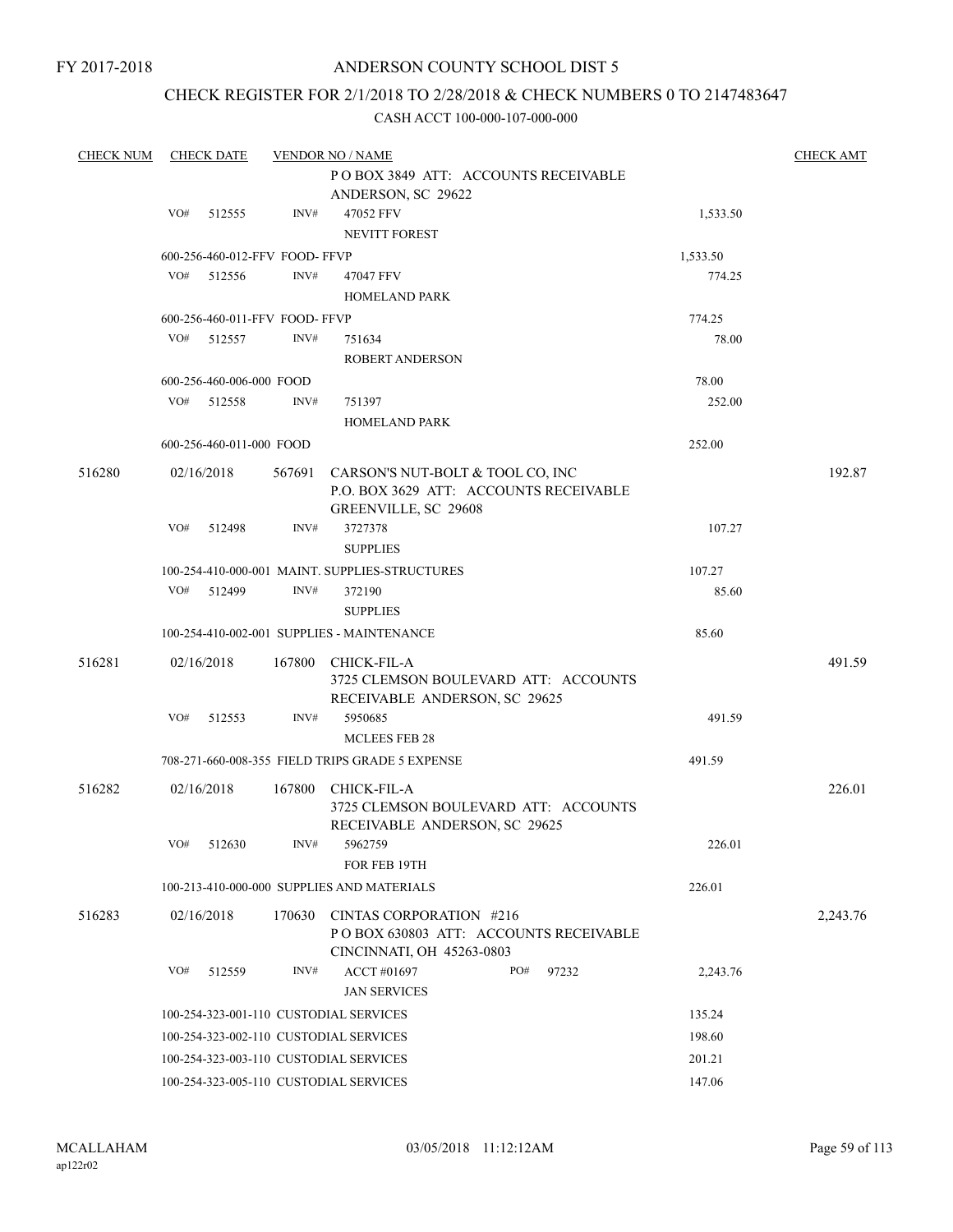## ANDERSON COUNTY SCHOOL DIST 5

## CHECK REGISTER FOR 2/1/2018 TO 2/28/2018 & CHECK NUMBERS 0 TO 2147483647

| <b>CHECK NUM</b> |     | <b>CHECK DATE</b>              |        | <b>VENDOR NO / NAME</b>                                                                              |          | <b>CHECK AMT</b> |
|------------------|-----|--------------------------------|--------|------------------------------------------------------------------------------------------------------|----------|------------------|
|                  |     |                                |        | POBOX 3849 ATT: ACCOUNTS RECEIVABLE                                                                  |          |                  |
|                  |     |                                |        | ANDERSON, SC 29622                                                                                   |          |                  |
|                  | VO# | 512555                         | INV#   | 47052 FFV                                                                                            | 1,533.50 |                  |
|                  |     |                                |        | <b>NEVITT FOREST</b>                                                                                 |          |                  |
|                  |     | 600-256-460-012-FFV FOOD-FFVP  |        |                                                                                                      | 1,533.50 |                  |
|                  | VO# | 512556                         | INV#   | 47047 FFV                                                                                            | 774.25   |                  |
|                  |     |                                |        | <b>HOMELAND PARK</b>                                                                                 |          |                  |
|                  |     | 600-256-460-011-FFV FOOD- FFVP |        |                                                                                                      | 774.25   |                  |
|                  | VO# | 512557                         | INV#   | 751634                                                                                               | 78.00    |                  |
|                  |     |                                |        | <b>ROBERT ANDERSON</b>                                                                               |          |                  |
|                  |     | 600-256-460-006-000 FOOD       |        |                                                                                                      | 78.00    |                  |
|                  | VO# | 512558                         | INV#   | 751397                                                                                               | 252.00   |                  |
|                  |     |                                |        | <b>HOMELAND PARK</b>                                                                                 |          |                  |
|                  |     | 600-256-460-011-000 FOOD       |        |                                                                                                      | 252.00   |                  |
| 516280           |     | 02/16/2018                     | 567691 | CARSON'S NUT-BOLT & TOOL CO, INC                                                                     |          | 192.87           |
|                  |     |                                |        | P.O. BOX 3629 ATT: ACCOUNTS RECEIVABLE<br>GREENVILLE, SC 29608                                       |          |                  |
|                  | VO# | 512498                         | INV#   | 3727378                                                                                              | 107.27   |                  |
|                  |     |                                |        | <b>SUPPLIES</b>                                                                                      |          |                  |
|                  |     |                                |        | 100-254-410-000-001 MAINT. SUPPLIES-STRUCTURES                                                       | 107.27   |                  |
|                  | VO# | 512499                         | INV#   | 372190                                                                                               | 85.60    |                  |
|                  |     |                                |        | <b>SUPPLIES</b>                                                                                      |          |                  |
|                  |     |                                |        | 100-254-410-002-001 SUPPLIES - MAINTENANCE                                                           | 85.60    |                  |
| 516281           |     | 02/16/2018                     | 167800 | CHICK-FIL-A<br>3725 CLEMSON BOULEVARD ATT: ACCOUNTS                                                  |          | 491.59           |
|                  |     |                                |        | RECEIVABLE ANDERSON, SC 29625                                                                        |          |                  |
|                  | VO# | 512553                         | INV#   | 5950685                                                                                              | 491.59   |                  |
|                  |     |                                |        | <b>MCLEES FEB 28</b>                                                                                 |          |                  |
|                  |     |                                |        | 708-271-660-008-355 FIELD TRIPS GRADE 5 EXPENSE                                                      | 491.59   |                  |
| 516282           |     | 02/16/2018                     | 167800 | CHICK-FIL-A<br>3725 CLEMSON BOULEVARD ATT: ACCOUNTS<br>RECEIVABLE ANDERSON, SC 29625                 |          | 226.01           |
|                  | VO# | 512630                         | INV#   | 5962759                                                                                              | 226.01   |                  |
|                  |     |                                |        | FOR FEB 19TH                                                                                         |          |                  |
|                  |     |                                |        | 100-213-410-000-000 SUPPLIES AND MATERIALS                                                           | 226.01   |                  |
| 516283           |     | 02/16/2018                     |        | 170630 CINTAS CORPORATION #216<br>POBOX 630803 ATT: ACCOUNTS RECEIVABLE<br>CINCINNATI, OH 45263-0803 |          | 2,243.76         |
|                  | VO# | 512559                         | INV#   | ACCT #01697<br>PO#<br>97232                                                                          | 2,243.76 |                  |
|                  |     |                                |        | <b>JAN SERVICES</b>                                                                                  |          |                  |
|                  |     |                                |        | 100-254-323-001-110 CUSTODIAL SERVICES                                                               | 135.24   |                  |
|                  |     |                                |        | 100-254-323-002-110 CUSTODIAL SERVICES                                                               | 198.60   |                  |
|                  |     |                                |        | 100-254-323-003-110 CUSTODIAL SERVICES                                                               | 201.21   |                  |
|                  |     |                                |        |                                                                                                      |          |                  |
|                  |     |                                |        | 100-254-323-005-110 CUSTODIAL SERVICES                                                               | 147.06   |                  |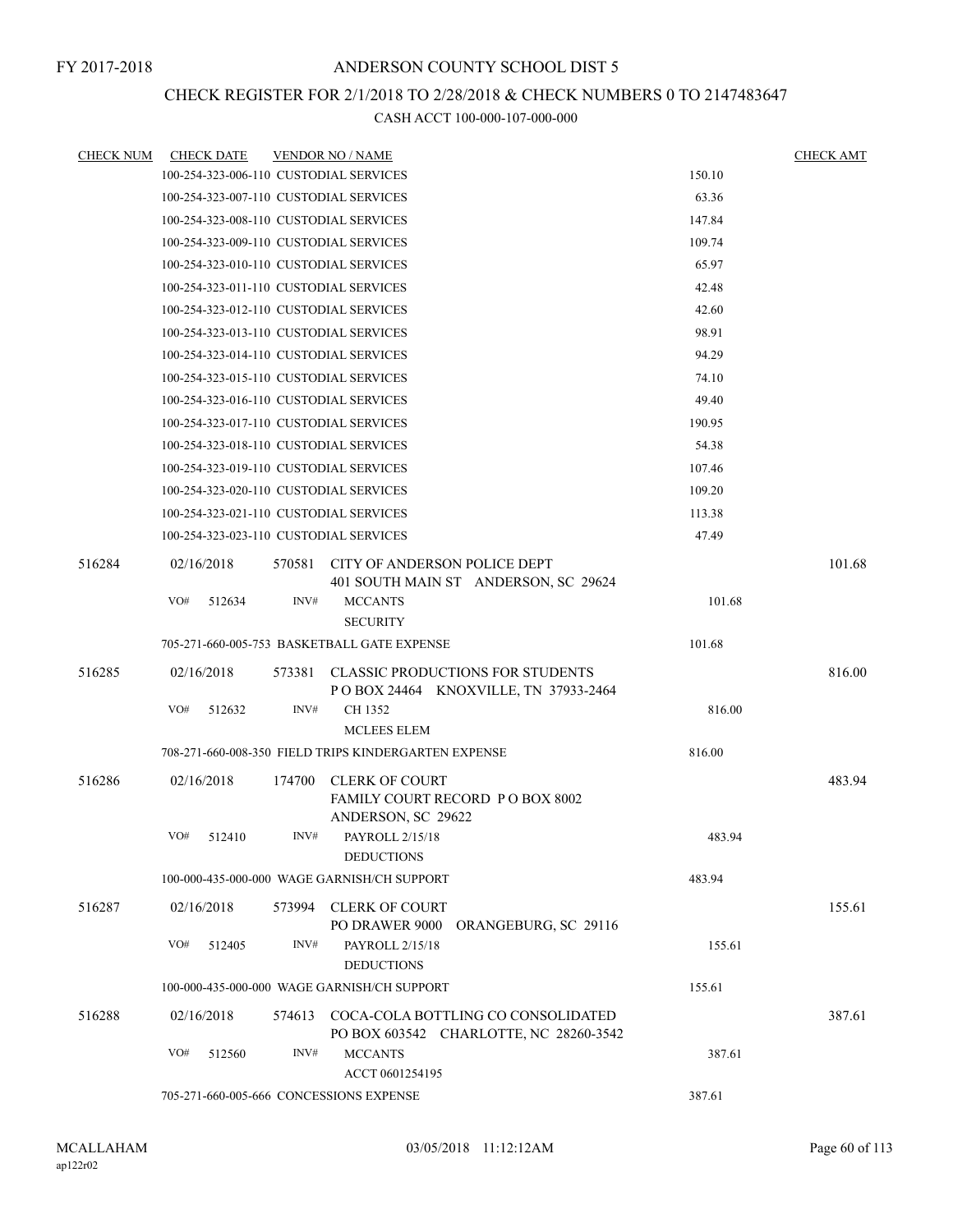## CHECK REGISTER FOR 2/1/2018 TO 2/28/2018 & CHECK NUMBERS 0 TO 2147483647

| <b>CHECK NUM</b> | <b>CHECK DATE</b>                       |        | <b>VENDOR NO / NAME</b>                                                     |        | <b>CHECK AMT</b> |
|------------------|-----------------------------------------|--------|-----------------------------------------------------------------------------|--------|------------------|
|                  | 100-254-323-006-110 CUSTODIAL SERVICES  |        |                                                                             | 150.10 |                  |
|                  | 100-254-323-007-110 CUSTODIAL SERVICES  |        |                                                                             | 63.36  |                  |
|                  | 100-254-323-008-110 CUSTODIAL SERVICES  |        |                                                                             | 147.84 |                  |
|                  | 100-254-323-009-110 CUSTODIAL SERVICES  |        |                                                                             | 109.74 |                  |
|                  | 100-254-323-010-110 CUSTODIAL SERVICES  |        |                                                                             | 65.97  |                  |
|                  | 100-254-323-011-110 CUSTODIAL SERVICES  |        |                                                                             | 42.48  |                  |
|                  | 100-254-323-012-110 CUSTODIAL SERVICES  |        |                                                                             | 42.60  |                  |
|                  | 100-254-323-013-110 CUSTODIAL SERVICES  |        |                                                                             | 98.91  |                  |
|                  | 100-254-323-014-110 CUSTODIAL SERVICES  |        |                                                                             | 94.29  |                  |
|                  | 100-254-323-015-110 CUSTODIAL SERVICES  |        |                                                                             | 74.10  |                  |
|                  | 100-254-323-016-110 CUSTODIAL SERVICES  |        |                                                                             | 49.40  |                  |
|                  | 100-254-323-017-110 CUSTODIAL SERVICES  |        |                                                                             | 190.95 |                  |
|                  | 100-254-323-018-110 CUSTODIAL SERVICES  |        |                                                                             | 54.38  |                  |
|                  | 100-254-323-019-110 CUSTODIAL SERVICES  |        |                                                                             | 107.46 |                  |
|                  | 100-254-323-020-110 CUSTODIAL SERVICES  |        |                                                                             | 109.20 |                  |
|                  | 100-254-323-021-110 CUSTODIAL SERVICES  |        |                                                                             | 113.38 |                  |
|                  | 100-254-323-023-110 CUSTODIAL SERVICES  |        |                                                                             | 47.49  |                  |
| 516284           | 02/16/2018                              |        | 570581 CITY OF ANDERSON POLICE DEPT<br>401 SOUTH MAIN ST ANDERSON, SC 29624 |        | 101.68           |
|                  | VO#<br>512634                           | INV#   | <b>MCCANTS</b><br><b>SECURITY</b>                                           | 101.68 |                  |
|                  |                                         |        | 705-271-660-005-753 BASKETBALL GATE EXPENSE                                 | 101.68 |                  |
| 516285           | 02/16/2018                              | 573381 | <b>CLASSIC PRODUCTIONS FOR STUDENTS</b>                                     |        | 816.00           |
|                  | VO#<br>512632                           | INV#   | P O BOX 24464 KNOXVILLE, TN 37933-2464<br>CH 1352<br><b>MCLEES ELEM</b>     | 816.00 |                  |
|                  |                                         |        | 708-271-660-008-350 FIELD TRIPS KINDERGARTEN EXPENSE                        | 816.00 |                  |
| 516286           | 02/16/2018                              | 174700 | <b>CLERK OF COURT</b>                                                       |        | 483.94           |
|                  |                                         |        | <b>FAMILY COURT RECORD PO BOX 8002</b><br>ANDERSON, SC 29622                |        |                  |
|                  | VO#<br>512410                           | INV#   | PAYROLL 2/15/18<br><b>DEDUCTIONS</b>                                        | 483.94 |                  |
|                  |                                         |        | 100-000-435-000-000 WAGE GARNISH/CH SUPPORT                                 | 483.94 |                  |
| 516287           | 02/16/2018                              | 573994 | <b>CLERK OF COURT</b><br>PO DRAWER 9000<br>ORANGEBURG, SC 29116             |        | 155.61           |
|                  | VO#<br>512405                           | INV#   | PAYROLL 2/15/18<br><b>DEDUCTIONS</b>                                        | 155.61 |                  |
|                  |                                         |        | 100-000-435-000-000 WAGE GARNISH/CH SUPPORT                                 | 155.61 |                  |
| 516288           | 02/16/2018                              | 574613 | COCA-COLA BOTTLING CO CONSOLIDATED                                          |        | 387.61           |
|                  | VO#<br>512560                           | INV#   | PO BOX 603542 CHARLOTTE, NC 28260-3542<br><b>MCCANTS</b><br>ACCT 0601254195 | 387.61 |                  |
|                  | 705-271-660-005-666 CONCESSIONS EXPENSE |        |                                                                             | 387.61 |                  |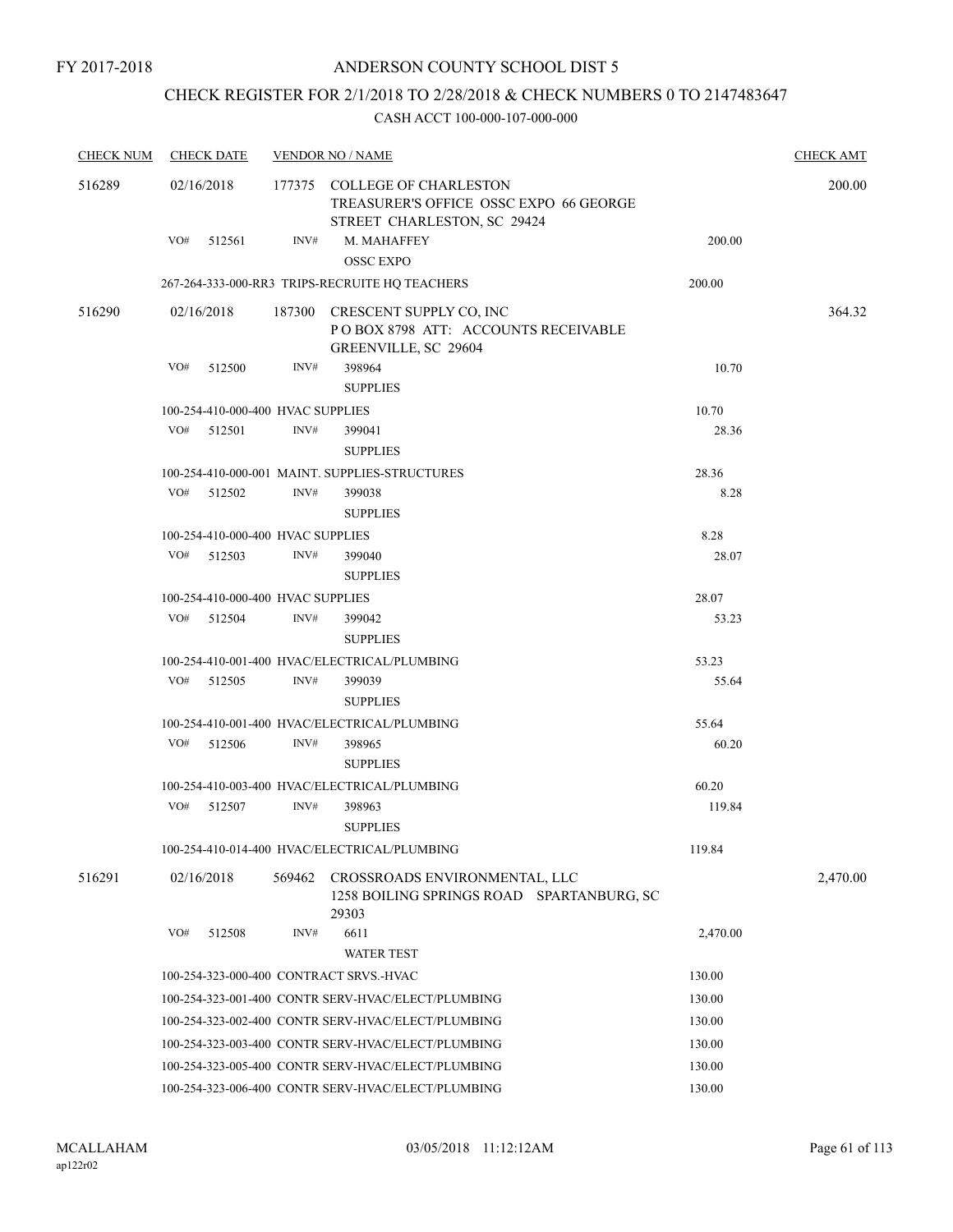## CHECK REGISTER FOR 2/1/2018 TO 2/28/2018 & CHECK NUMBERS 0 TO 2147483647

| <b>CHECK NUM</b> | <b>CHECK DATE</b> |                                   |        | <b>VENDOR NO / NAME</b>                                                                               |          | <b>CHECK AMT</b> |
|------------------|-------------------|-----------------------------------|--------|-------------------------------------------------------------------------------------------------------|----------|------------------|
| 516289           | 02/16/2018        |                                   |        | 177375 COLLEGE OF CHARLESTON<br>TREASURER'S OFFICE OSSC EXPO 66 GEORGE<br>STREET CHARLESTON, SC 29424 |          | 200.00           |
|                  | $VO#$ 512561      |                                   | INV#   | M. MAHAFFEY<br><b>OSSC EXPO</b>                                                                       | 200.00   |                  |
|                  |                   |                                   |        | 267-264-333-000-RR3 TRIPS-RECRUITE HQ TEACHERS                                                        | 200.00   |                  |
| 516290           | 02/16/2018        |                                   |        | 187300 CRESCENT SUPPLY CO, INC                                                                        |          | 364.32           |
|                  |                   |                                   |        | POBOX 8798 ATT: ACCOUNTS RECEIVABLE<br>GREENVILLE, SC 29604                                           |          |                  |
|                  | VO#               | 512500                            | INV#   | 398964                                                                                                | 10.70    |                  |
|                  |                   |                                   |        | <b>SUPPLIES</b>                                                                                       |          |                  |
|                  |                   | 100-254-410-000-400 HVAC SUPPLIES |        |                                                                                                       | 10.70    |                  |
|                  | VO#               | 512501                            | INV#   | 399041<br><b>SUPPLIES</b>                                                                             | 28.36    |                  |
|                  |                   |                                   |        | 100-254-410-000-001 MAINT. SUPPLIES-STRUCTURES                                                        | 28.36    |                  |
|                  | VO# 512502        |                                   | INV#   | 399038<br><b>SUPPLIES</b>                                                                             | 8.28     |                  |
|                  |                   | 100-254-410-000-400 HVAC SUPPLIES |        |                                                                                                       | 8.28     |                  |
|                  | VO# 512503        |                                   | INV#   | 399040<br><b>SUPPLIES</b>                                                                             | 28.07    |                  |
|                  |                   | 100-254-410-000-400 HVAC SUPPLIES |        |                                                                                                       | 28.07    |                  |
|                  |                   | VO# 512504                        | INV#   | 399042<br><b>SUPPLIES</b>                                                                             | 53.23    |                  |
|                  |                   |                                   |        | 100-254-410-001-400 HVAC/ELECTRICAL/PLUMBING                                                          | 53.23    |                  |
|                  | VO# 512505        |                                   | INV#   | 399039<br><b>SUPPLIES</b>                                                                             | 55.64    |                  |
|                  |                   |                                   |        | 100-254-410-001-400 HVAC/ELECTRICAL/PLUMBING                                                          | 55.64    |                  |
|                  | VO#               | 512506                            | INV#   | 398965<br><b>SUPPLIES</b>                                                                             | 60.20    |                  |
|                  |                   |                                   |        | 100-254-410-003-400 HVAC/ELECTRICAL/PLUMBING                                                          | 60.20    |                  |
|                  | VO#               | 512507                            | INV#   | 398963<br><b>SUPPLIES</b>                                                                             | 119.84   |                  |
|                  |                   |                                   |        | 100-254-410-014-400 HVAC/ELECTRICAL/PLUMBING                                                          | 119.84   |                  |
| 516291           | 02/16/2018        |                                   | 569462 | CROSSROADS ENVIRONMENTAL, LLC<br>1258 BOILING SPRINGS ROAD SPARTANBURG, SC<br>29303                   |          | 2,470.00         |
|                  | VO#               | 512508                            | INV#   | 6611<br><b>WATER TEST</b>                                                                             | 2,470.00 |                  |
|                  |                   |                                   |        | 100-254-323-000-400 CONTRACT SRVS.-HVAC                                                               | 130.00   |                  |
|                  |                   |                                   |        | 100-254-323-001-400 CONTR SERV-HVAC/ELECT/PLUMBING                                                    | 130.00   |                  |
|                  |                   |                                   |        | 100-254-323-002-400 CONTR SERV-HVAC/ELECT/PLUMBING                                                    | 130.00   |                  |
|                  |                   |                                   |        | 100-254-323-003-400 CONTR SERV-HVAC/ELECT/PLUMBING                                                    | 130.00   |                  |
|                  |                   |                                   |        | 100-254-323-005-400 CONTR SERV-HVAC/ELECT/PLUMBING                                                    | 130.00   |                  |
|                  |                   |                                   |        | 100-254-323-006-400 CONTR SERV-HVAC/ELECT/PLUMBING                                                    | 130.00   |                  |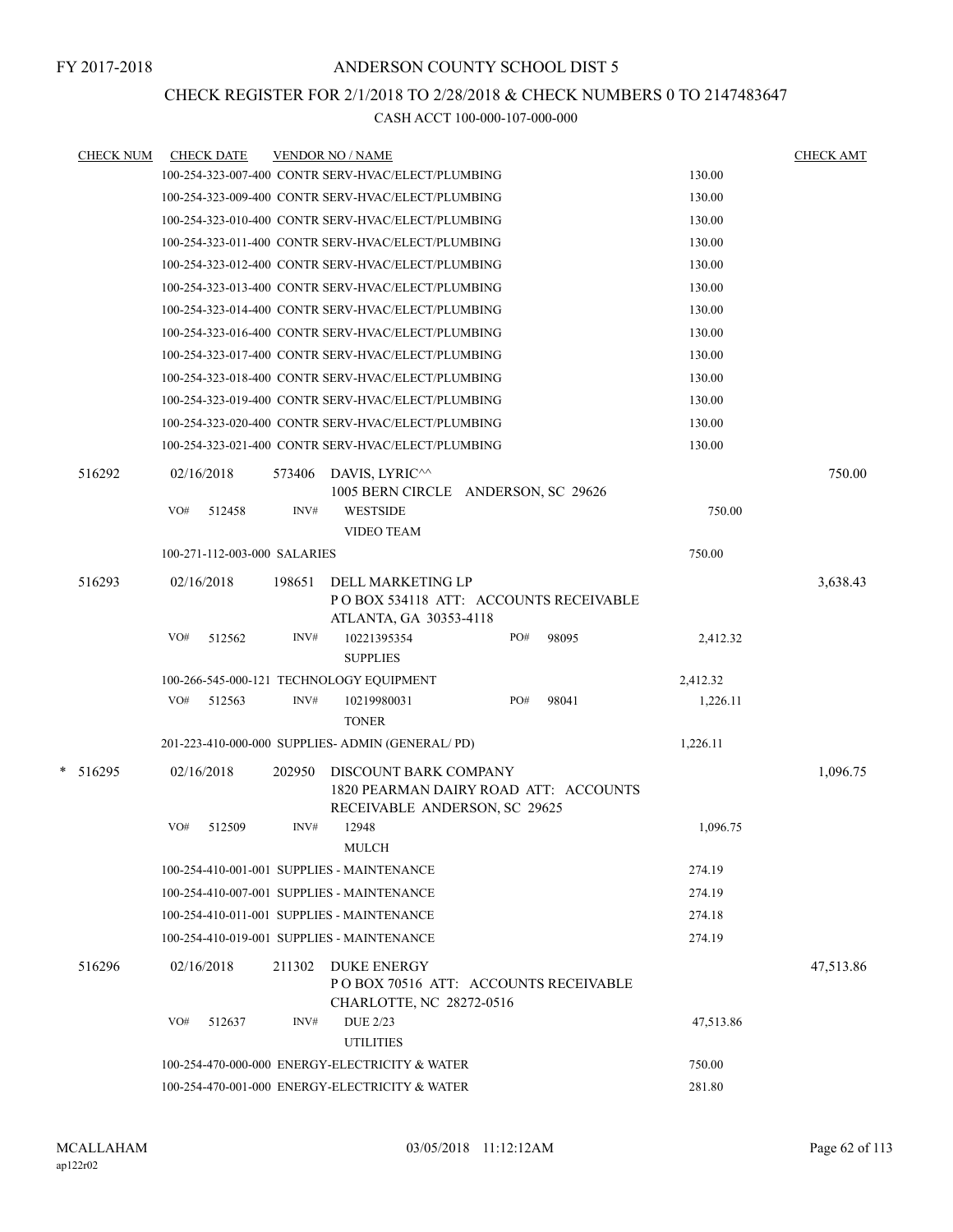## CHECK REGISTER FOR 2/1/2018 TO 2/28/2018 & CHECK NUMBERS 0 TO 2147483647

| <b>CHECK NUM</b> | <b>CHECK DATE</b>            |        | <b>VENDOR NO / NAME</b>                                                                         |     |       |           | <b>CHECK AMT</b> |
|------------------|------------------------------|--------|-------------------------------------------------------------------------------------------------|-----|-------|-----------|------------------|
|                  |                              |        | 100-254-323-007-400 CONTR SERV-HVAC/ELECT/PLUMBING                                              |     |       | 130.00    |                  |
|                  |                              |        | 100-254-323-009-400 CONTR SERV-HVAC/ELECT/PLUMBING                                              |     |       | 130.00    |                  |
|                  |                              |        | 100-254-323-010-400 CONTR SERV-HVAC/ELECT/PLUMBING                                              |     |       | 130.00    |                  |
|                  |                              |        | 100-254-323-011-400 CONTR SERV-HVAC/ELECT/PLUMBING                                              |     |       | 130.00    |                  |
|                  |                              |        | 100-254-323-012-400 CONTR SERV-HVAC/ELECT/PLUMBING                                              |     |       | 130.00    |                  |
|                  |                              |        | 100-254-323-013-400 CONTR SERV-HVAC/ELECT/PLUMBING                                              |     |       | 130.00    |                  |
|                  |                              |        | 100-254-323-014-400 CONTR SERV-HVAC/ELECT/PLUMBING                                              |     |       | 130.00    |                  |
|                  |                              |        | 100-254-323-016-400 CONTR SERV-HVAC/ELECT/PLUMBING                                              |     |       | 130.00    |                  |
|                  |                              |        | 100-254-323-017-400 CONTR SERV-HVAC/ELECT/PLUMBING                                              |     |       | 130.00    |                  |
|                  |                              |        | 100-254-323-018-400 CONTR SERV-HVAC/ELECT/PLUMBING                                              |     |       | 130.00    |                  |
|                  |                              |        | 100-254-323-019-400 CONTR SERV-HVAC/ELECT/PLUMBING                                              |     |       | 130.00    |                  |
|                  |                              |        | 100-254-323-020-400 CONTR SERV-HVAC/ELECT/PLUMBING                                              |     |       | 130.00    |                  |
|                  |                              |        | 100-254-323-021-400 CONTR SERV-HVAC/ELECT/PLUMBING                                              |     |       | 130.00    |                  |
| 516292           | 02/16/2018                   | 573406 | DAVIS, LYRIC^^<br>1005 BERN CIRCLE ANDERSON, SC 29626                                           |     |       |           | 750.00           |
|                  | VO#<br>512458                | INV#   | <b>WESTSIDE</b><br><b>VIDEO TEAM</b>                                                            |     |       | 750.00    |                  |
|                  | 100-271-112-003-000 SALARIES |        |                                                                                                 |     |       | 750.00    |                  |
| 516293           | 02/16/2018                   | 198651 | DELL MARKETING LP<br>PO BOX 534118 ATT: ACCOUNTS RECEIVABLE<br>ATLANTA, GA 30353-4118           |     |       |           | 3,638.43         |
|                  | VO#<br>512562                | INV#   | 10221395354<br><b>SUPPLIES</b>                                                                  | PO# | 98095 | 2,412.32  |                  |
|                  |                              |        | 100-266-545-000-121 TECHNOLOGY EQUIPMENT                                                        |     |       | 2,412.32  |                  |
|                  | VO#<br>512563                | INV#   | 10219980031<br><b>TONER</b>                                                                     | PO# | 98041 | 1,226.11  |                  |
|                  |                              |        | 201-223-410-000-000 SUPPLIES- ADMIN (GENERAL/PD)                                                |     |       | 1,226.11  |                  |
| $* 516295$       | 02/16/2018                   | 202950 | DISCOUNT BARK COMPANY<br>1820 PEARMAN DAIRY ROAD ATT: ACCOUNTS<br>RECEIVABLE ANDERSON, SC 29625 |     |       |           | 1,096.75         |
|                  | VO#<br>512509                | INV#   | 12948<br><b>MULCH</b>                                                                           |     |       | 1,096.75  |                  |
|                  |                              |        | 100-254-410-001-001 SUPPLIES - MAINTENANCE                                                      |     |       | 274.19    |                  |
|                  |                              |        | 100-254-410-007-001 SUPPLIES - MAINTENANCE                                                      |     |       | 274.19    |                  |
|                  |                              |        | 100-254-410-011-001 SUPPLIES - MAINTENANCE                                                      |     |       | 274.18    |                  |
|                  |                              |        | 100-254-410-019-001 SUPPLIES - MAINTENANCE                                                      |     |       | 274.19    |                  |
| 516296           | 02/16/2018                   | 211302 | <b>DUKE ENERGY</b><br>PO BOX 70516 ATT: ACCOUNTS RECEIVABLE<br>CHARLOTTE, NC 28272-0516         |     |       |           | 47,513.86        |
|                  | VO#<br>512637                | INV#   | <b>DUE 2/23</b><br><b>UTILITIES</b>                                                             |     |       | 47,513.86 |                  |
|                  |                              |        | 100-254-470-000-000 ENERGY-ELECTRICITY & WATER                                                  |     |       | 750.00    |                  |
|                  |                              |        | 100-254-470-001-000 ENERGY-ELECTRICITY & WATER                                                  |     |       | 281.80    |                  |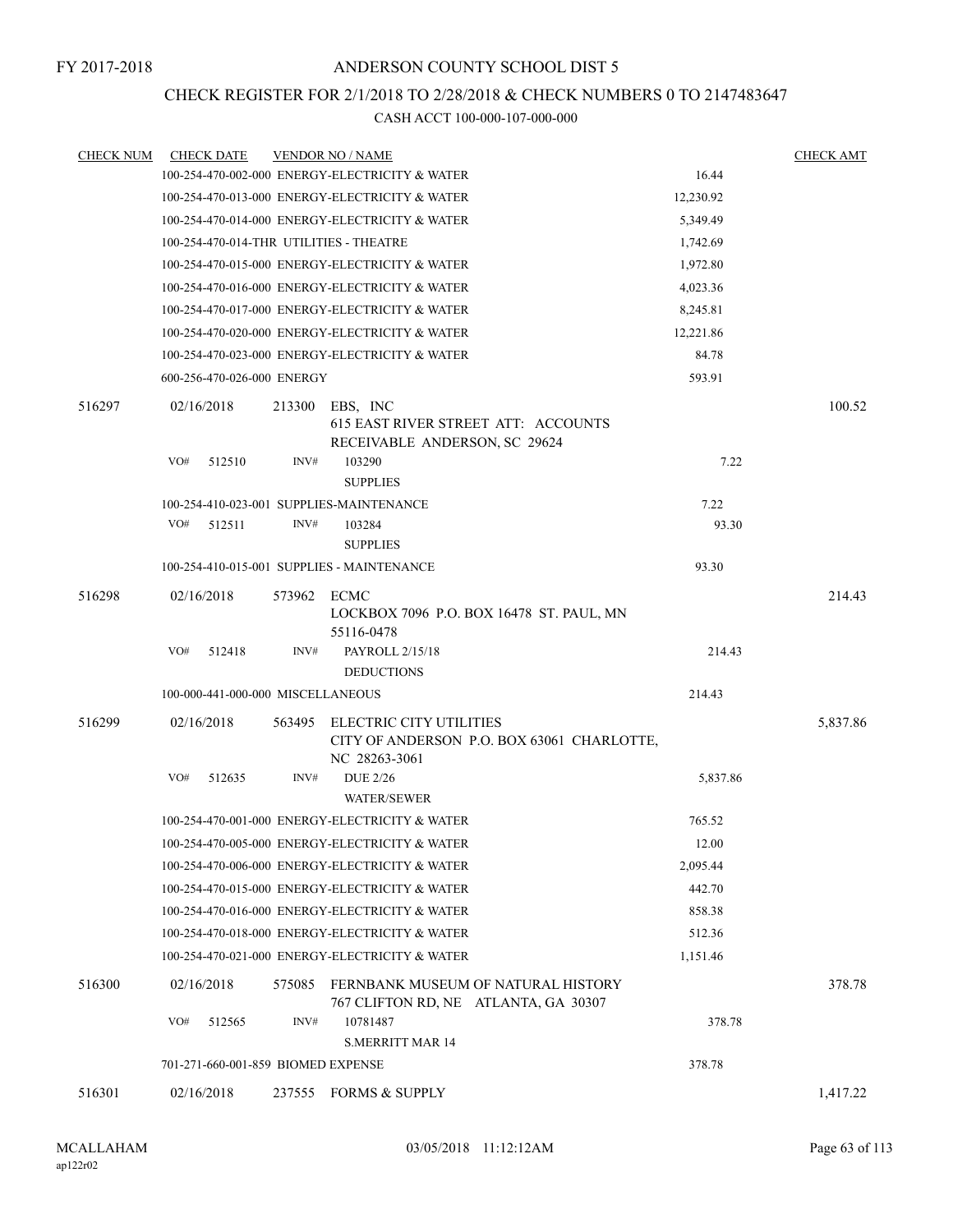## CHECK REGISTER FOR 2/1/2018 TO 2/28/2018 & CHECK NUMBERS 0 TO 2147483647

| <b>CHECK NUM</b> | <b>CHECK DATE</b>                  |             | <b>VENDOR NO / NAME</b>                                                                 |                                            |           | <b>CHECK AMT</b> |
|------------------|------------------------------------|-------------|-----------------------------------------------------------------------------------------|--------------------------------------------|-----------|------------------|
|                  |                                    |             | 100-254-470-002-000 ENERGY-ELECTRICITY & WATER                                          |                                            | 16.44     |                  |
|                  |                                    |             | 100-254-470-013-000 ENERGY-ELECTRICITY & WATER                                          |                                            | 12,230.92 |                  |
|                  |                                    |             | 100-254-470-014-000 ENERGY-ELECTRICITY & WATER                                          |                                            | 5,349.49  |                  |
|                  |                                    |             | 100-254-470-014-THR UTILITIES - THEATRE                                                 |                                            | 1,742.69  |                  |
|                  |                                    |             | 100-254-470-015-000 ENERGY-ELECTRICITY & WATER                                          |                                            | 1,972.80  |                  |
|                  |                                    |             | 100-254-470-016-000 ENERGY-ELECTRICITY & WATER                                          |                                            | 4,023.36  |                  |
|                  |                                    |             | 100-254-470-017-000 ENERGY-ELECTRICITY & WATER                                          |                                            | 8,245.81  |                  |
|                  |                                    |             | 100-254-470-020-000 ENERGY-ELECTRICITY & WATER                                          |                                            | 12,221.86 |                  |
|                  |                                    |             | 100-254-470-023-000 ENERGY-ELECTRICITY & WATER                                          |                                            | 84.78     |                  |
|                  | 600-256-470-026-000 ENERGY         |             |                                                                                         |                                            | 593.91    |                  |
| 516297           | 02/16/2018                         | 213300      | EBS, INC<br><b>615 EAST RIVER STREET ATT: ACCOUNTS</b><br>RECEIVABLE ANDERSON, SC 29624 |                                            |           | 100.52           |
|                  | VO#<br>512510                      | INV#        | 103290<br><b>SUPPLIES</b>                                                               |                                            | 7.22      |                  |
|                  |                                    |             | 100-254-410-023-001 SUPPLIES-MAINTENANCE                                                |                                            | 7.22      |                  |
|                  | VO#<br>512511                      | INV#        | 103284<br><b>SUPPLIES</b>                                                               |                                            | 93.30     |                  |
|                  |                                    |             | 100-254-410-015-001 SUPPLIES - MAINTENANCE                                              |                                            | 93.30     |                  |
| 516298           | 02/16/2018                         | 573962 ECMC | 55116-0478                                                                              | LOCKBOX 7096 P.O. BOX 16478 ST. PAUL, MN   |           | 214.43           |
|                  | VO#<br>512418                      | INV#        | PAYROLL 2/15/18<br><b>DEDUCTIONS</b>                                                    |                                            | 214.43    |                  |
|                  | 100-000-441-000-000 MISCELLANEOUS  |             |                                                                                         |                                            | 214.43    |                  |
| 516299           | 02/16/2018                         | 563495      | ELECTRIC CITY UTILITIES<br>NC 28263-3061                                                | CITY OF ANDERSON P.O. BOX 63061 CHARLOTTE, |           | 5,837.86         |
|                  | VO#<br>512635                      | INV#        | <b>DUE 2/26</b><br><b>WATER/SEWER</b>                                                   |                                            | 5,837.86  |                  |
|                  |                                    |             | 100-254-470-001-000 ENERGY-ELECTRICITY & WATER                                          |                                            | 765.52    |                  |
|                  |                                    |             | 100-254-470-005-000 ENERGY-ELECTRICITY & WATER                                          |                                            | 12.00     |                  |
|                  |                                    |             | 100-254-470-006-000 ENERGY-ELECTRICITY & WATER                                          |                                            | 2,095.44  |                  |
|                  |                                    |             | 100-254-470-015-000 ENERGY-ELECTRICITY & WATER                                          |                                            | 442.70    |                  |
|                  |                                    |             | 100-254-470-016-000 ENERGY-ELECTRICITY & WATER                                          |                                            | 858.38    |                  |
|                  |                                    |             | 100-254-470-018-000 ENERGY-ELECTRICITY & WATER                                          |                                            | 512.36    |                  |
|                  |                                    |             | 100-254-470-021-000 ENERGY-ELECTRICITY & WATER                                          |                                            | 1,151.46  |                  |
| 516300           | 02/16/2018                         | 575085      | 767 CLIFTON RD, NE ATLANTA, GA 30307                                                    | FERNBANK MUSEUM OF NATURAL HISTORY         |           | 378.78           |
|                  | VO#<br>512565                      | INV#        | 10781487<br><b>S.MERRITT MAR 14</b>                                                     |                                            | 378.78    |                  |
|                  | 701-271-660-001-859 BIOMED EXPENSE |             |                                                                                         |                                            | 378.78    |                  |
| 516301           | 02/16/2018                         |             | 237555 FORMS & SUPPLY                                                                   |                                            |           | 1,417.22         |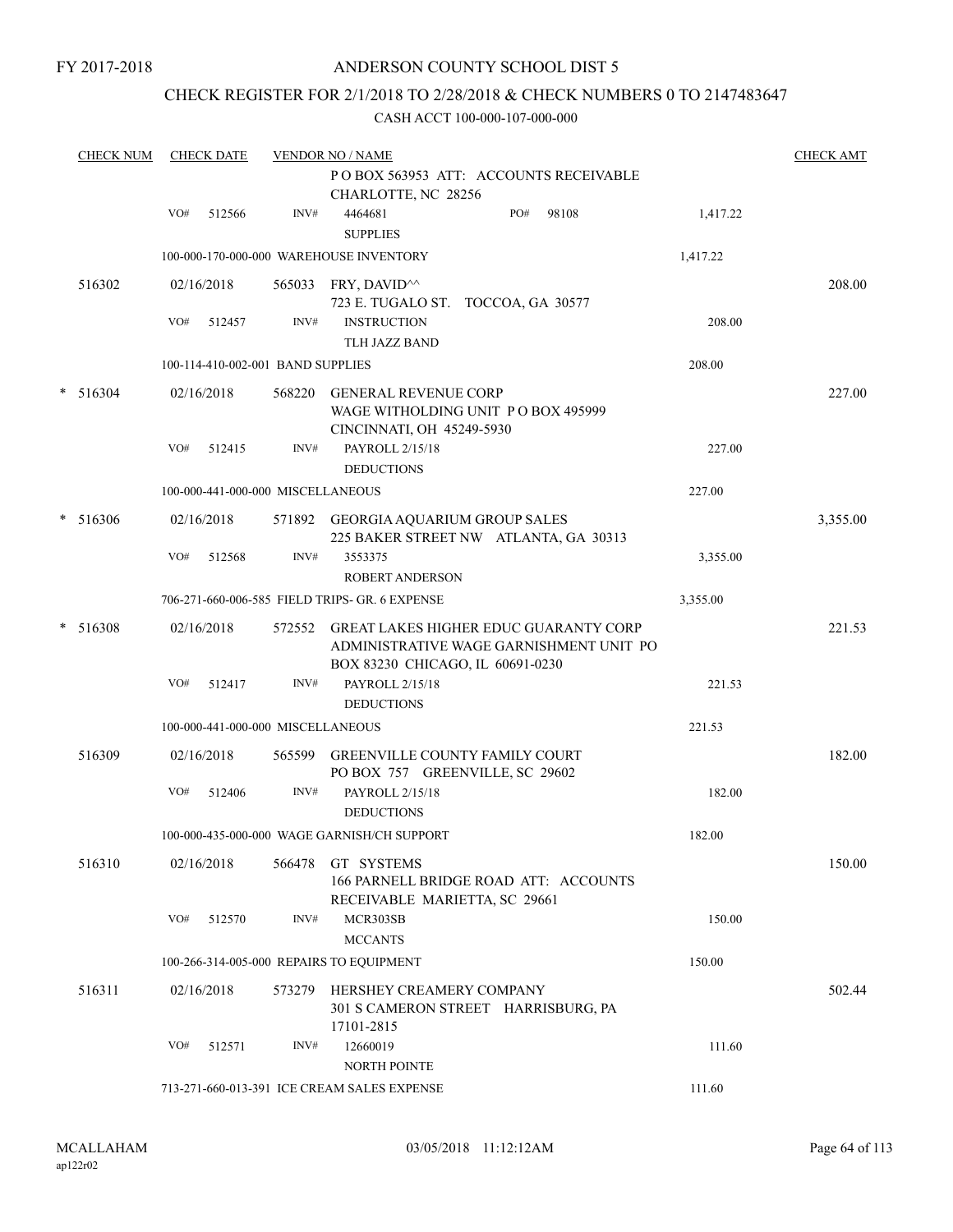## ANDERSON COUNTY SCHOOL DIST 5

## CHECK REGISTER FOR 2/1/2018 TO 2/28/2018 & CHECK NUMBERS 0 TO 2147483647

| <b>CHECK NUM</b> |     | <b>CHECK DATE</b> |                                   | <b>VENDOR NO / NAME</b>                                                                                                     |     |       |          | <b>CHECK AMT</b> |
|------------------|-----|-------------------|-----------------------------------|-----------------------------------------------------------------------------------------------------------------------------|-----|-------|----------|------------------|
|                  |     |                   |                                   | POBOX 563953 ATT: ACCOUNTS RECEIVABLE                                                                                       |     |       |          |                  |
|                  |     |                   |                                   | CHARLOTTE, NC 28256                                                                                                         |     |       |          |                  |
|                  | VO# | 512566            | INV#                              | 4464681<br><b>SUPPLIES</b>                                                                                                  | PO# | 98108 | 1,417.22 |                  |
|                  |     |                   |                                   | 100-000-170-000-000 WAREHOUSE INVENTORY                                                                                     |     |       | 1,417.22 |                  |
| 516302           |     | 02/16/2018        |                                   | 565033 FRY, DAVID^^<br>723 E. TUGALO ST. TOCCOA, GA 30577                                                                   |     |       |          | 208.00           |
|                  | VO# | 512457            | INV#                              | <b>INSTRUCTION</b><br>TLH JAZZ BAND                                                                                         |     |       | 208.00   |                  |
|                  |     |                   | 100-114-410-002-001 BAND SUPPLIES |                                                                                                                             |     |       | 208.00   |                  |
| $* 516304$       |     | 02/16/2018        |                                   | 568220 GENERAL REVENUE CORP<br>WAGE WITHOLDING UNIT PO BOX 495999<br>CINCINNATI, OH 45249-5930                              |     |       |          | 227.00           |
|                  | VO# | 512415            | INV#                              | PAYROLL 2/15/18<br><b>DEDUCTIONS</b>                                                                                        |     |       | 227.00   |                  |
|                  |     |                   | 100-000-441-000-000 MISCELLANEOUS |                                                                                                                             |     |       | 227.00   |                  |
| $* 516306$       |     | 02/16/2018        |                                   | 571892 GEORGIA AQUARIUM GROUP SALES<br>225 BAKER STREET NW ATLANTA, GA 30313                                                |     |       |          | 3,355.00         |
|                  | VO# | 512568            | INV#                              | 3553375<br><b>ROBERT ANDERSON</b>                                                                                           |     |       | 3,355.00 |                  |
|                  |     |                   |                                   | 706-271-660-006-585 FIELD TRIPS- GR. 6 EXPENSE                                                                              |     |       | 3,355.00 |                  |
| $* 516308$       |     | 02/16/2018        | 572552                            | <b>GREAT LAKES HIGHER EDUC GUARANTY CORP</b><br>ADMINISTRATIVE WAGE GARNISHMENT UNIT PO<br>BOX 83230 CHICAGO, IL 60691-0230 |     |       |          | 221.53           |
|                  | VO# | 512417            | INV#                              | PAYROLL 2/15/18<br><b>DEDUCTIONS</b>                                                                                        |     |       | 221.53   |                  |
|                  |     |                   | 100-000-441-000-000 MISCELLANEOUS |                                                                                                                             |     |       | 221.53   |                  |
| 516309           |     | 02/16/2018        | 565599                            | <b>GREENVILLE COUNTY FAMILY COURT</b><br>PO BOX 757 GREENVILLE, SC 29602                                                    |     |       |          | 182.00           |
|                  | VO# | 512406            | INV#                              | PAYROLL 2/15/18<br><b>DEDUCTIONS</b>                                                                                        |     |       | 182.00   |                  |
|                  |     |                   |                                   | 100-000-435-000-000 WAGE GARNISH/CH SUPPORT                                                                                 |     |       | 182.00   |                  |
| 516310           |     | 02/16/2018        | 566478                            | GT SYSTEMS<br>166 PARNELL BRIDGE ROAD ATT: ACCOUNTS<br>RECEIVABLE MARIETTA, SC 29661                                        |     |       |          | 150.00           |
|                  | VO# | 512570            | INV#                              | MCR303SB<br><b>MCCANTS</b>                                                                                                  |     |       | 150.00   |                  |
|                  |     |                   |                                   | 100-266-314-005-000 REPAIRS TO EQUIPMENT                                                                                    |     |       | 150.00   |                  |
| 516311           |     | 02/16/2018        | 573279                            | HERSHEY CREAMERY COMPANY<br>301 S CAMERON STREET HARRISBURG, PA<br>17101-2815                                               |     |       |          | 502.44           |
|                  | VO# | 512571            | INV#                              | 12660019<br>NORTH POINTE                                                                                                    |     |       | 111.60   |                  |
|                  |     |                   |                                   | 713-271-660-013-391 ICE CREAM SALES EXPENSE                                                                                 |     |       | 111.60   |                  |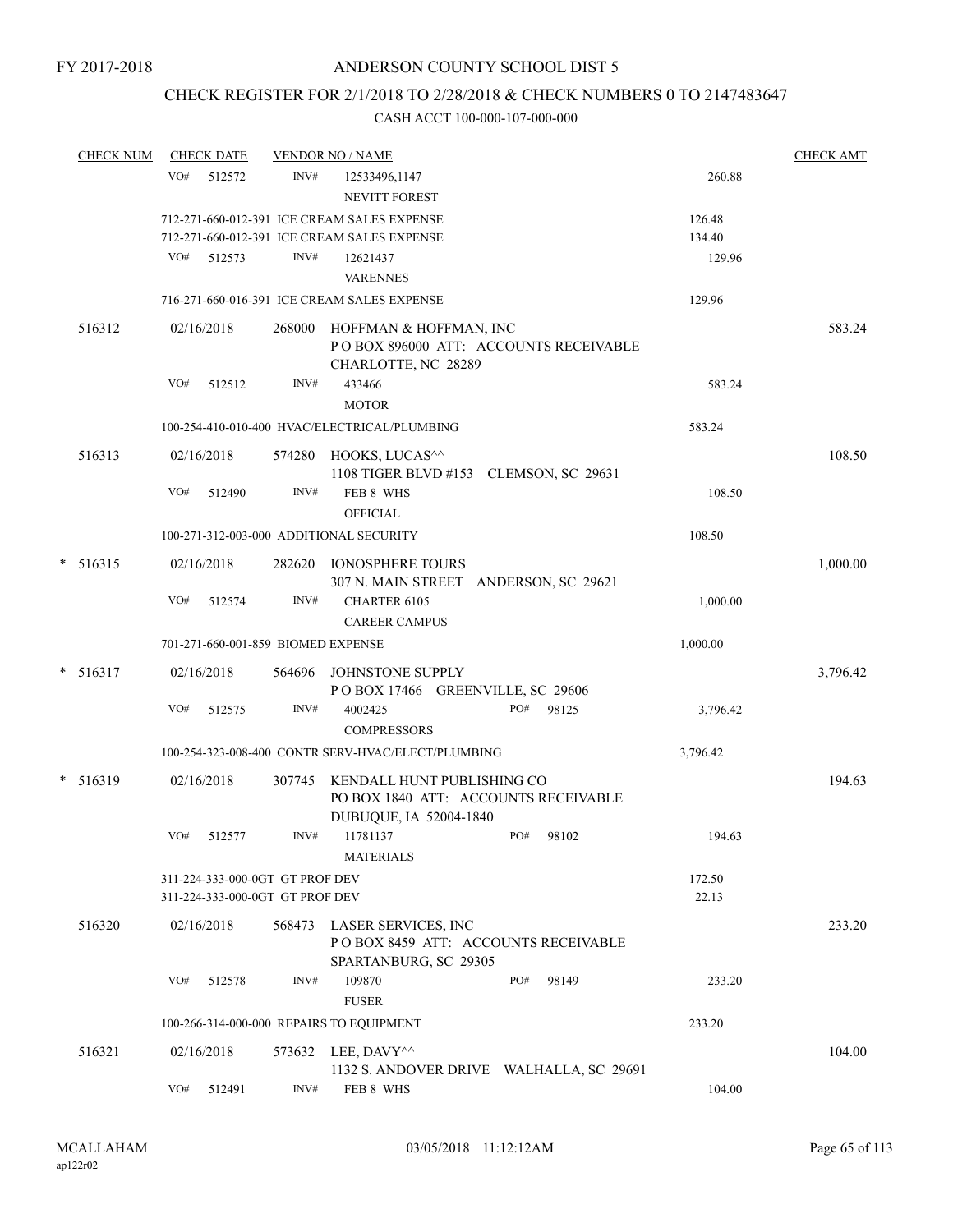## CHECK REGISTER FOR 2/1/2018 TO 2/28/2018 & CHECK NUMBERS 0 TO 2147483647

|   | <b>CHECK NUM</b> |     | <b>CHECK DATE</b>                                                  |        | <b>VENDOR NO / NAME</b>                                                                 |     |       |                 | <b>CHECK AMT</b> |
|---|------------------|-----|--------------------------------------------------------------------|--------|-----------------------------------------------------------------------------------------|-----|-------|-----------------|------------------|
|   |                  | VO# | 512572                                                             | INV#   | 12533496,1147                                                                           |     |       | 260.88          |                  |
|   |                  |     |                                                                    |        | NEVITT FOREST                                                                           |     |       |                 |                  |
|   |                  |     |                                                                    |        | 712-271-660-012-391 ICE CREAM SALES EXPENSE                                             |     |       | 126.48          |                  |
|   |                  |     |                                                                    |        | 712-271-660-012-391 ICE CREAM SALES EXPENSE                                             |     |       | 134.40          |                  |
|   |                  | VO# | 512573                                                             | INV#   | 12621437                                                                                |     |       | 129.96          |                  |
|   |                  |     |                                                                    |        | <b>VARENNES</b>                                                                         |     |       |                 |                  |
|   |                  |     |                                                                    |        | 716-271-660-016-391 ICE CREAM SALES EXPENSE                                             |     |       | 129.96          |                  |
|   | 516312           |     | 02/16/2018                                                         | 268000 | HOFFMAN & HOFFMAN, INC<br>PO BOX 896000 ATT: ACCOUNTS RECEIVABLE<br>CHARLOTTE, NC 28289 |     |       |                 | 583.24           |
|   |                  | VO# | 512512                                                             | INV#   | 433466                                                                                  |     |       | 583.24          |                  |
|   |                  |     |                                                                    |        | <b>MOTOR</b>                                                                            |     |       |                 |                  |
|   |                  |     |                                                                    |        | 100-254-410-010-400 HVAC/ELECTRICAL/PLUMBING                                            |     |       | 583.24          |                  |
|   | 516313           |     | 02/16/2018                                                         |        | 574280 HOOKS, LUCAS <sup>^^</sup><br>1108 TIGER BLVD #153 CLEMSON, SC 29631             |     |       |                 | 108.50           |
|   |                  | VO# | 512490                                                             | INV#   | FEB 8 WHS<br><b>OFFICIAL</b>                                                            |     |       | 108.50          |                  |
|   |                  |     |                                                                    |        | 100-271-312-003-000 ADDITIONAL SECURITY                                                 |     |       | 108.50          |                  |
|   | $* 516315$       |     | 02/16/2018                                                         | 282620 | <b>IONOSPHERE TOURS</b>                                                                 |     |       |                 | 1,000.00         |
|   |                  | VO# | 512574                                                             | INV#   | 307 N. MAIN STREET ANDERSON, SC 29621<br>CHARTER 6105                                   |     |       | 1,000.00        |                  |
|   |                  |     |                                                                    |        | <b>CAREER CAMPUS</b>                                                                    |     |       |                 |                  |
|   |                  |     | 701-271-660-001-859 BIOMED EXPENSE                                 |        |                                                                                         |     |       | 1,000.00        |                  |
| * | 516317           |     | 02/16/2018                                                         | 564696 | JOHNSTONE SUPPLY<br>POBOX 17466 GREENVILLE, SC 29606                                    |     |       |                 | 3,796.42         |
|   |                  | VO# | 512575                                                             | INV#   | 4002425<br><b>COMPRESSORS</b>                                                           | PO# | 98125 | 3,796.42        |                  |
|   |                  |     |                                                                    |        | 100-254-323-008-400 CONTR SERV-HVAC/ELECT/PLUMBING                                      |     |       | 3,796.42        |                  |
|   | $* 516319$       |     | 02/16/2018                                                         | 307745 | KENDALL HUNT PUBLISHING CO<br>PO BOX 1840 ATT: ACCOUNTS RECEIVABLE                      |     |       |                 | 194.63           |
|   |                  | VO# | 512577                                                             | INV#   | DUBUQUE, IA 52004-1840<br>11781137<br><b>MATERIALS</b>                                  | PO# | 98102 | 194.63          |                  |
|   |                  |     | 311-224-333-000-0GT GT PROF DEV<br>311-224-333-000-0GT GT PROF DEV |        |                                                                                         |     |       | 172.50<br>22.13 |                  |
|   | 516320           |     | 02/16/2018                                                         |        | 568473 LASER SERVICES, INC<br>POBOX 8459 ATT: ACCOUNTS RECEIVABLE                       |     |       |                 | 233.20           |
|   |                  | VO# | 512578                                                             | INV#   | SPARTANBURG, SC 29305<br>109870<br><b>FUSER</b>                                         | PO# | 98149 | 233.20          |                  |
|   |                  |     |                                                                    |        | 100-266-314-000-000 REPAIRS TO EQUIPMENT                                                |     |       | 233.20          |                  |
|   | 516321           |     | 02/16/2018                                                         |        | 573632 LEE, DAVY^^<br>1132 S. ANDOVER DRIVE WALHALLA, SC 29691                          |     |       |                 | 104.00           |
|   |                  | VO# | 512491                                                             | INV#   | FEB 8 WHS                                                                               |     |       | 104.00          |                  |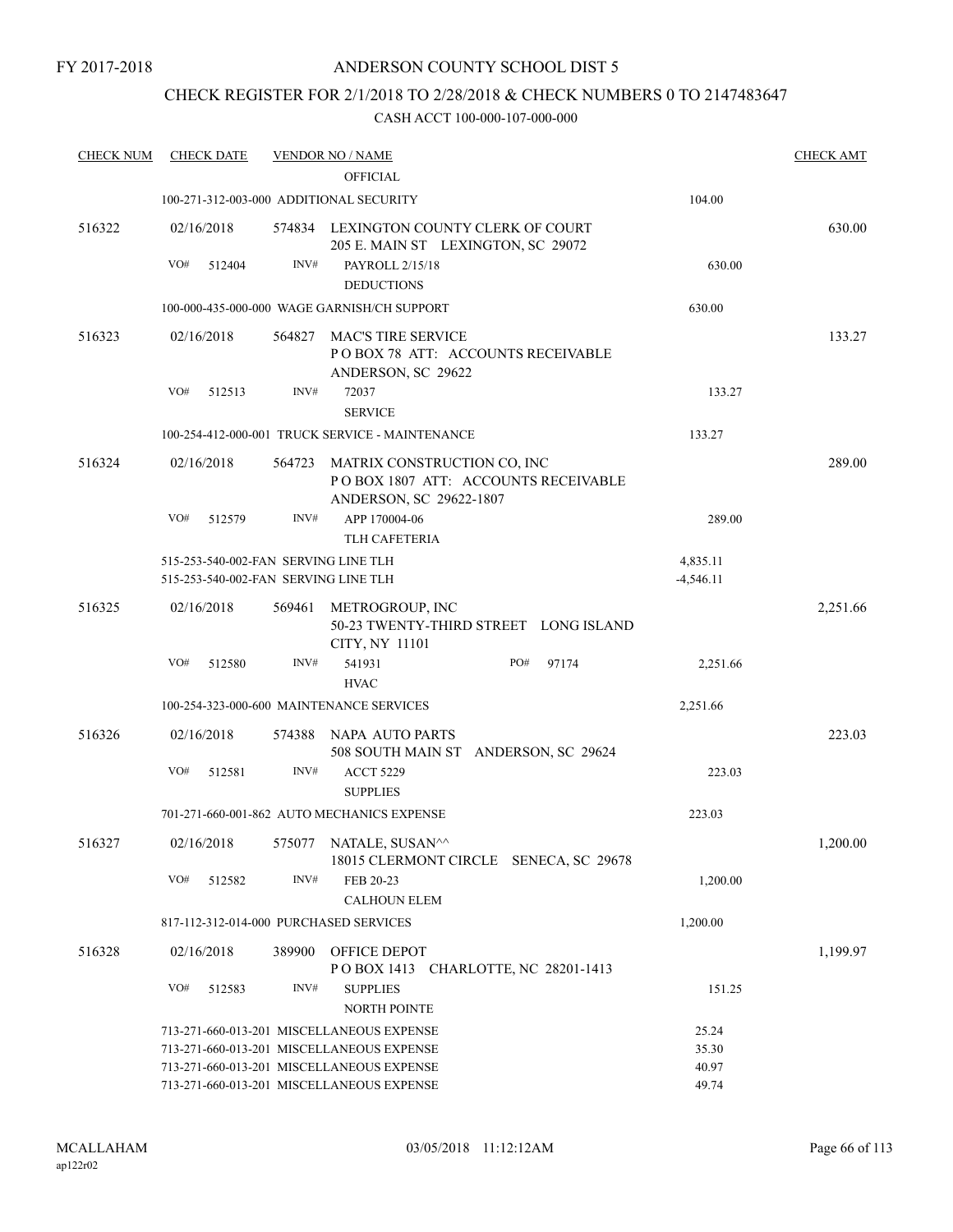## CHECK REGISTER FOR 2/1/2018 TO 2/28/2018 & CHECK NUMBERS 0 TO 2147483647

| <b>CHECK NUM</b> | <b>CHECK DATE</b>                                                            |        | <b>VENDOR NO / NAME</b>                                                                              |                         | <b>CHECK AMT</b> |
|------------------|------------------------------------------------------------------------------|--------|------------------------------------------------------------------------------------------------------|-------------------------|------------------|
|                  |                                                                              |        | <b>OFFICIAL</b>                                                                                      |                         |                  |
|                  | 100-271-312-003-000 ADDITIONAL SECURITY                                      |        |                                                                                                      | 104.00                  |                  |
| 516322           | 02/16/2018                                                                   |        | 574834 LEXINGTON COUNTY CLERK OF COURT<br>205 E. MAIN ST LEXINGTON, SC 29072                         |                         | 630.00           |
|                  | VO#<br>512404                                                                | INV#   | PAYROLL 2/15/18                                                                                      | 630.00                  |                  |
|                  |                                                                              |        | <b>DEDUCTIONS</b>                                                                                    |                         |                  |
|                  |                                                                              |        | 100-000-435-000-000 WAGE GARNISH/CH SUPPORT                                                          | 630.00                  |                  |
| 516323           | 02/16/2018                                                                   |        | 564827 MAC'S TIRE SERVICE<br>POBOX 78 ATT: ACCOUNTS RECEIVABLE<br>ANDERSON, SC 29622                 |                         | 133.27           |
|                  | VO#<br>512513                                                                | INV#   | 72037<br><b>SERVICE</b>                                                                              | 133.27                  |                  |
|                  |                                                                              |        | 100-254-412-000-001 TRUCK SERVICE - MAINTENANCE                                                      | 133.27                  |                  |
| 516324           | 02/16/2018                                                                   |        | 564723 MATRIX CONSTRUCTION CO, INC<br>POBOX 1807 ATT: ACCOUNTS RECEIVABLE<br>ANDERSON, SC 29622-1807 |                         | 289.00           |
|                  | VO#<br>512579                                                                | INV#   | APP 170004-06<br><b>TLH CAFETERIA</b>                                                                | 289.00                  |                  |
|                  | 515-253-540-002-FAN SERVING LINE TLH<br>515-253-540-002-FAN SERVING LINE TLH |        |                                                                                                      | 4,835.11<br>$-4,546.11$ |                  |
|                  |                                                                              |        |                                                                                                      |                         |                  |
| 516325           | 02/16/2018                                                                   | 569461 | METROGROUP, INC<br>50-23 TWENTY-THIRD STREET LONG ISLAND<br>CITY, NY 11101                           |                         | 2,251.66         |
|                  | VO#<br>512580                                                                | INV#   | PO#<br>541931<br>97174<br><b>HVAC</b>                                                                | 2,251.66                |                  |
|                  |                                                                              |        | 100-254-323-000-600 MAINTENANCE SERVICES                                                             | 2,251.66                |                  |
| 516326           | 02/16/2018                                                                   |        | 574388 NAPA AUTO PARTS<br>508 SOUTH MAIN ST ANDERSON, SC 29624                                       |                         | 223.03           |
|                  | VO#<br>512581                                                                | INV#   | <b>ACCT 5229</b><br><b>SUPPLIES</b>                                                                  | 223.03                  |                  |
|                  |                                                                              |        | 701-271-660-001-862 AUTO MECHANICS EXPENSE                                                           | 223.03                  |                  |
| 516327           | 02/16/2018                                                                   |        | 575077 NATALE, SUSAN^^<br>18015 CLERMONT CIRCLE SENECA, SC 29678                                     |                         | 1,200.00         |
|                  | VO#<br>512582                                                                | INV#   | FEB 20-23<br><b>CALHOUN ELEM</b>                                                                     | 1,200.00                |                  |
|                  | 817-112-312-014-000 PURCHASED SERVICES                                       |        |                                                                                                      | 1,200.00                |                  |
| 516328           | 02/16/2018                                                                   |        | 389900 OFFICE DEPOT<br>POBOX 1413 CHARLOTTE, NC 28201-1413                                           |                         | 1,199.97         |
|                  | VO#<br>512583                                                                | INV#   | <b>SUPPLIES</b><br>NORTH POINTE                                                                      | 151.25                  |                  |
|                  |                                                                              |        | 713-271-660-013-201 MISCELLANEOUS EXPENSE                                                            | 25.24                   |                  |
|                  |                                                                              |        | 713-271-660-013-201 MISCELLANEOUS EXPENSE                                                            | 35.30                   |                  |
|                  |                                                                              |        | 713-271-660-013-201 MISCELLANEOUS EXPENSE                                                            | 40.97                   |                  |
|                  |                                                                              |        | 713-271-660-013-201 MISCELLANEOUS EXPENSE                                                            | 49.74                   |                  |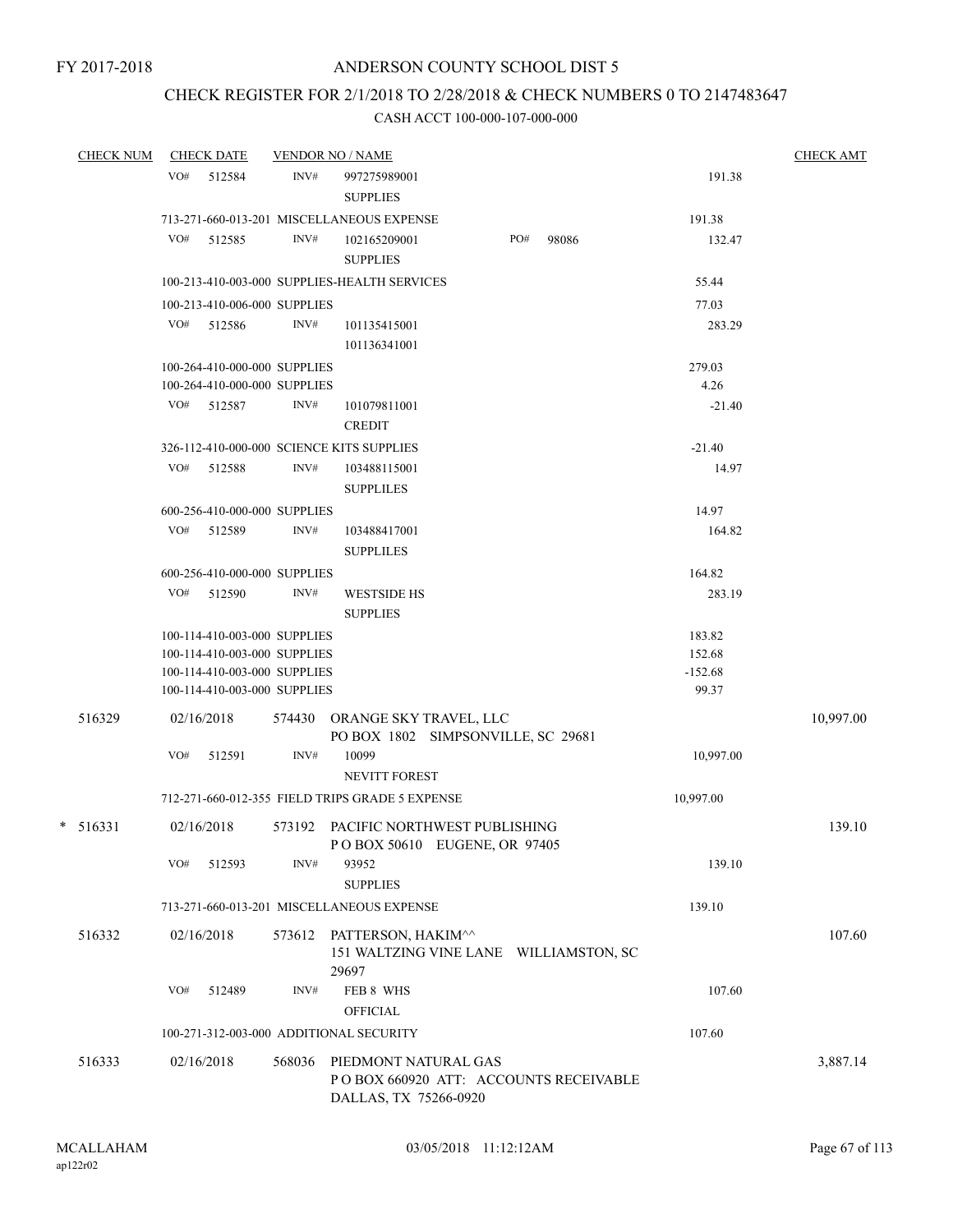## CHECK REGISTER FOR 2/1/2018 TO 2/28/2018 & CHECK NUMBERS 0 TO 2147483647

| <b>CHECK NUM</b> |     | <b>CHECK DATE</b>                                            |        | <b>VENDOR NO / NAME</b>                         |                                                                      |     |       |                     | <b>CHECK AMT</b> |
|------------------|-----|--------------------------------------------------------------|--------|-------------------------------------------------|----------------------------------------------------------------------|-----|-------|---------------------|------------------|
|                  |     | VO# 512584                                                   | INV#   | 997275989001<br><b>SUPPLIES</b>                 |                                                                      |     |       | 191.38              |                  |
|                  |     |                                                              |        | 713-271-660-013-201 MISCELLANEOUS EXPENSE       |                                                                      |     |       | 191.38              |                  |
|                  | VO# | 512585                                                       | INV#   | 102165209001<br><b>SUPPLIES</b>                 |                                                                      | PO# | 98086 | 132.47              |                  |
|                  |     |                                                              |        | 100-213-410-003-000 SUPPLIES-HEALTH SERVICES    |                                                                      |     |       | 55.44               |                  |
|                  |     | 100-213-410-006-000 SUPPLIES                                 |        |                                                 |                                                                      |     |       | 77.03               |                  |
|                  | VO# | 512586                                                       | INV#   | 101135415001<br>101136341001                    |                                                                      |     |       | 283.29              |                  |
|                  |     | 100-264-410-000-000 SUPPLIES<br>100-264-410-000-000 SUPPLIES |        |                                                 |                                                                      |     |       | 279.03<br>4.26      |                  |
|                  |     | VO# 512587                                                   | INV#   | 101079811001<br><b>CREDIT</b>                   |                                                                      |     |       | $-21.40$            |                  |
|                  |     |                                                              |        | 326-112-410-000-000 SCIENCE KITS SUPPLIES       |                                                                      |     |       | $-21.40$            |                  |
|                  | VO# | 512588                                                       | INV#   | 103488115001<br><b>SUPPLILES</b>                |                                                                      |     |       | 14.97               |                  |
|                  |     | 600-256-410-000-000 SUPPLIES                                 |        |                                                 |                                                                      |     |       | 14.97               |                  |
|                  |     | VO# 512589                                                   | INV#   | 103488417001<br><b>SUPPLILES</b>                |                                                                      |     |       | 164.82              |                  |
|                  |     | 600-256-410-000-000 SUPPLIES                                 |        |                                                 |                                                                      |     |       | 164.82              |                  |
|                  |     | VO# 512590                                                   | INV#   | <b>WESTSIDE HS</b><br><b>SUPPLIES</b>           |                                                                      |     |       | 283.19              |                  |
|                  |     | 100-114-410-003-000 SUPPLIES                                 |        |                                                 |                                                                      |     |       | 183.82              |                  |
|                  |     | 100-114-410-003-000 SUPPLIES<br>100-114-410-003-000 SUPPLIES |        |                                                 |                                                                      |     |       | 152.68<br>$-152.68$ |                  |
|                  |     | 100-114-410-003-000 SUPPLIES                                 |        |                                                 |                                                                      |     |       | 99.37               |                  |
| 516329           |     | 02/16/2018                                                   |        |                                                 | 574430 ORANGE SKY TRAVEL, LLC<br>PO BOX 1802 SIMPSONVILLE, SC 29681  |     |       |                     | 10,997.00        |
|                  | VO# | 512591                                                       | INV#   | 10099<br>NEVITT FOREST                          |                                                                      |     |       | 10,997.00           |                  |
|                  |     |                                                              |        | 712-271-660-012-355 FIELD TRIPS GRADE 5 EXPENSE |                                                                      |     |       | 10,997.00           |                  |
| $* 516331$       |     | 02/16/2018                                                   |        |                                                 | 573192 PACIFIC NORTHWEST PUBLISHING<br>PO BOX 50610 EUGENE, OR 97405 |     |       |                     | 139.10           |
|                  | VO# | 512593                                                       | INV#   | 93952<br><b>SUPPLIES</b>                        |                                                                      |     |       | 139.10              |                  |
|                  |     |                                                              |        | 713-271-660-013-201 MISCELLANEOUS EXPENSE       |                                                                      |     |       | 139.10              |                  |
| 516332           |     | 02/16/2018                                                   | 573612 | PATTERSON, HAKIM^^<br>29697                     | 151 WALTZING VINE LANE WILLIAMSTON, SC                               |     |       |                     | 107.60           |
|                  | VO# | 512489                                                       | INV#   | FEB 8 WHS<br><b>OFFICIAL</b>                    |                                                                      |     |       | 107.60              |                  |
|                  |     |                                                              |        | 100-271-312-003-000 ADDITIONAL SECURITY         |                                                                      |     |       | 107.60              |                  |
| 516333           |     | 02/16/2018                                                   | 568036 | PIEDMONT NATURAL GAS<br>DALLAS, TX 75266-0920   | PO BOX 660920 ATT: ACCOUNTS RECEIVABLE                               |     |       |                     | 3,887.14         |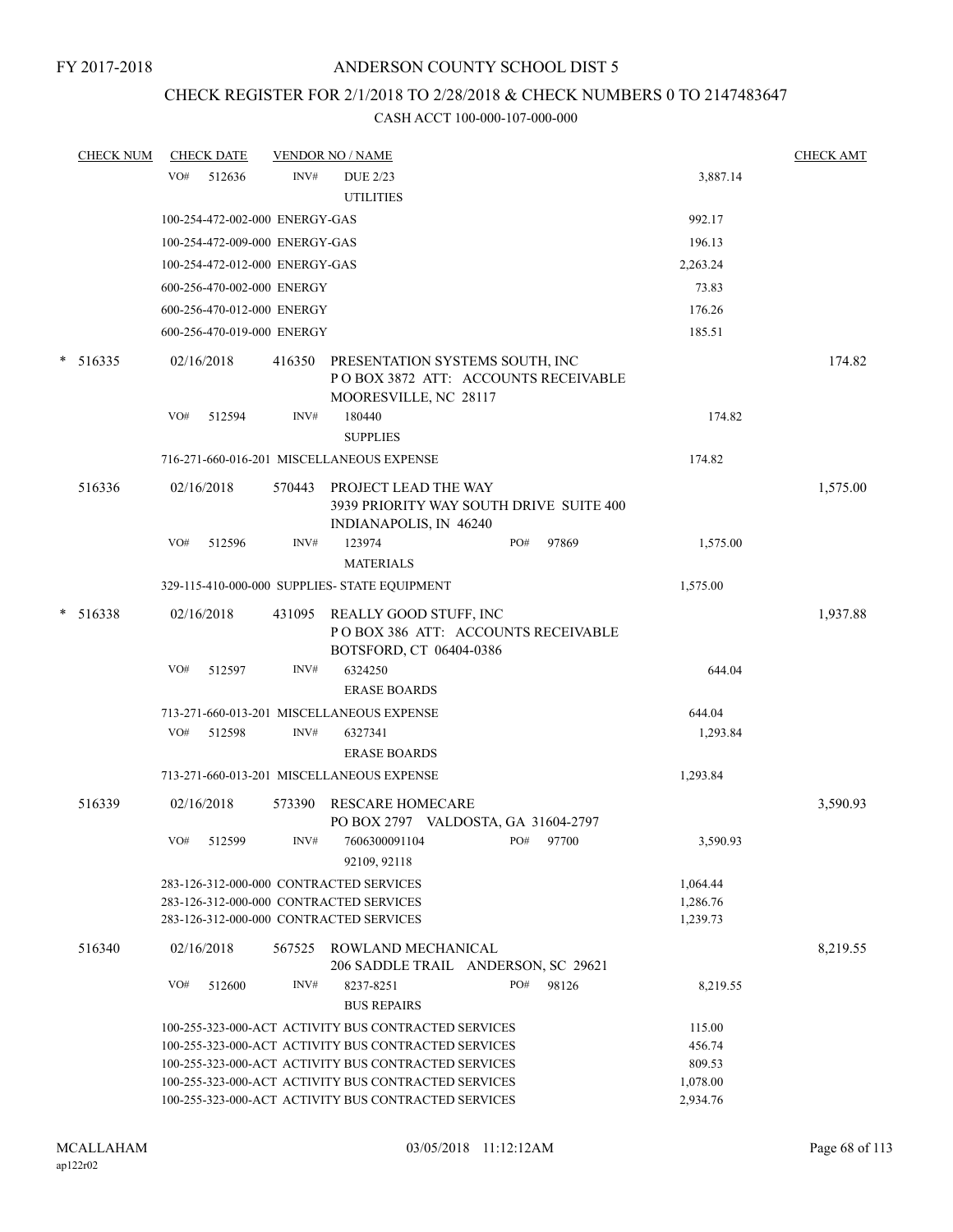## CHECK REGISTER FOR 2/1/2018 TO 2/28/2018 & CHECK NUMBERS 0 TO 2147483647

|   | <b>CHECK NUM</b> |     | <b>CHECK DATE</b>              |        | <b>VENDOR NO / NAME</b>                                                                         |                      | <b>CHECK AMT</b> |
|---|------------------|-----|--------------------------------|--------|-------------------------------------------------------------------------------------------------|----------------------|------------------|
|   |                  | VO# | 512636                         | INV#   | <b>DUE 2/23</b><br><b>UTILITIES</b>                                                             | 3,887.14             |                  |
|   |                  |     |                                |        |                                                                                                 | 992.17               |                  |
|   |                  |     | 100-254-472-002-000 ENERGY-GAS |        |                                                                                                 |                      |                  |
|   |                  |     | 100-254-472-009-000 ENERGY-GAS |        |                                                                                                 | 196.13               |                  |
|   |                  |     | 100-254-472-012-000 ENERGY-GAS |        |                                                                                                 | 2,263.24             |                  |
|   |                  |     | 600-256-470-002-000 ENERGY     |        |                                                                                                 | 73.83                |                  |
|   |                  |     | 600-256-470-012-000 ENERGY     |        |                                                                                                 | 176.26               |                  |
|   |                  |     | 600-256-470-019-000 ENERGY     |        |                                                                                                 | 185.51               |                  |
| * | 516335           |     | 02/16/2018                     | 416350 | PRESENTATION SYSTEMS SOUTH, INC<br>POBOX 3872 ATT: ACCOUNTS RECEIVABLE<br>MOORESVILLE, NC 28117 |                      | 174.82           |
|   |                  | VO# | 512594                         | INV#   | 180440<br><b>SUPPLIES</b>                                                                       | 174.82               |                  |
|   |                  |     |                                |        | 716-271-660-016-201 MISCELLANEOUS EXPENSE                                                       | 174.82               |                  |
|   |                  |     |                                |        |                                                                                                 |                      |                  |
|   | 516336           |     | 02/16/2018                     | 570443 | PROJECT LEAD THE WAY<br>3939 PRIORITY WAY SOUTH DRIVE SUITE 400<br>INDIANAPOLIS, IN 46240       |                      | 1,575.00         |
|   |                  | VO# | 512596                         | INV#   | 123974<br>PO#<br>97869<br><b>MATERIALS</b>                                                      | 1,575.00             |                  |
|   |                  |     |                                |        |                                                                                                 |                      |                  |
|   |                  |     |                                |        | 329-115-410-000-000 SUPPLIES- STATE EQUIPMENT                                                   | 1,575.00             |                  |
| * | 516338           |     | 02/16/2018                     | 431095 | REALLY GOOD STUFF, INC<br>POBOX 386 ATT: ACCOUNTS RECEIVABLE<br>BOTSFORD, CT 06404-0386         |                      | 1,937.88         |
|   |                  | VO# | 512597                         | INV#   | 6324250                                                                                         | 644.04               |                  |
|   |                  |     |                                |        | <b>ERASE BOARDS</b>                                                                             |                      |                  |
|   |                  |     |                                |        | 713-271-660-013-201 MISCELLANEOUS EXPENSE                                                       | 644.04               |                  |
|   |                  | VO# | 512598                         | INV#   | 6327341                                                                                         | 1,293.84             |                  |
|   |                  |     |                                |        | <b>ERASE BOARDS</b>                                                                             |                      |                  |
|   |                  |     |                                |        | 713-271-660-013-201 MISCELLANEOUS EXPENSE                                                       | 1,293.84             |                  |
|   | 516339           |     | 02/16/2018                     | 573390 | <b>RESCARE HOMECARE</b>                                                                         |                      | 3,590.93         |
|   |                  | VO# | 512599                         | INV#   | PO BOX 2797 VALDOSTA, GA 31604-2797<br>7606300091104<br>PO# 97700<br>92109, 92118               | 3,590.93             |                  |
|   |                  |     |                                |        | 283-126-312-000-000 CONTRACTED SERVICES<br>283-126-312-000-000 CONTRACTED SERVICES              | 1,064.44<br>1,286.76 |                  |
|   |                  |     |                                |        | 283-126-312-000-000 CONTRACTED SERVICES                                                         | 1,239.73             |                  |
|   | 516340           |     | 02/16/2018                     |        | 567525 ROWLAND MECHANICAL<br>206 SADDLE TRAIL ANDERSON, SC 29621                                |                      | 8,219.55         |
|   |                  | VO# | 512600                         | INV#   | PO#<br>8237-8251<br>98126                                                                       | 8,219.55             |                  |
|   |                  |     |                                |        | <b>BUS REPAIRS</b>                                                                              |                      |                  |
|   |                  |     |                                |        | 100-255-323-000-ACT ACTIVITY BUS CONTRACTED SERVICES                                            | 115.00               |                  |
|   |                  |     |                                |        | 100-255-323-000-ACT ACTIVITY BUS CONTRACTED SERVICES                                            | 456.74               |                  |
|   |                  |     |                                |        | 100-255-323-000-ACT ACTIVITY BUS CONTRACTED SERVICES                                            | 809.53               |                  |
|   |                  |     |                                |        | 100-255-323-000-ACT ACTIVITY BUS CONTRACTED SERVICES                                            | 1,078.00             |                  |
|   |                  |     |                                |        | 100-255-323-000-ACT ACTIVITY BUS CONTRACTED SERVICES                                            | 2,934.76             |                  |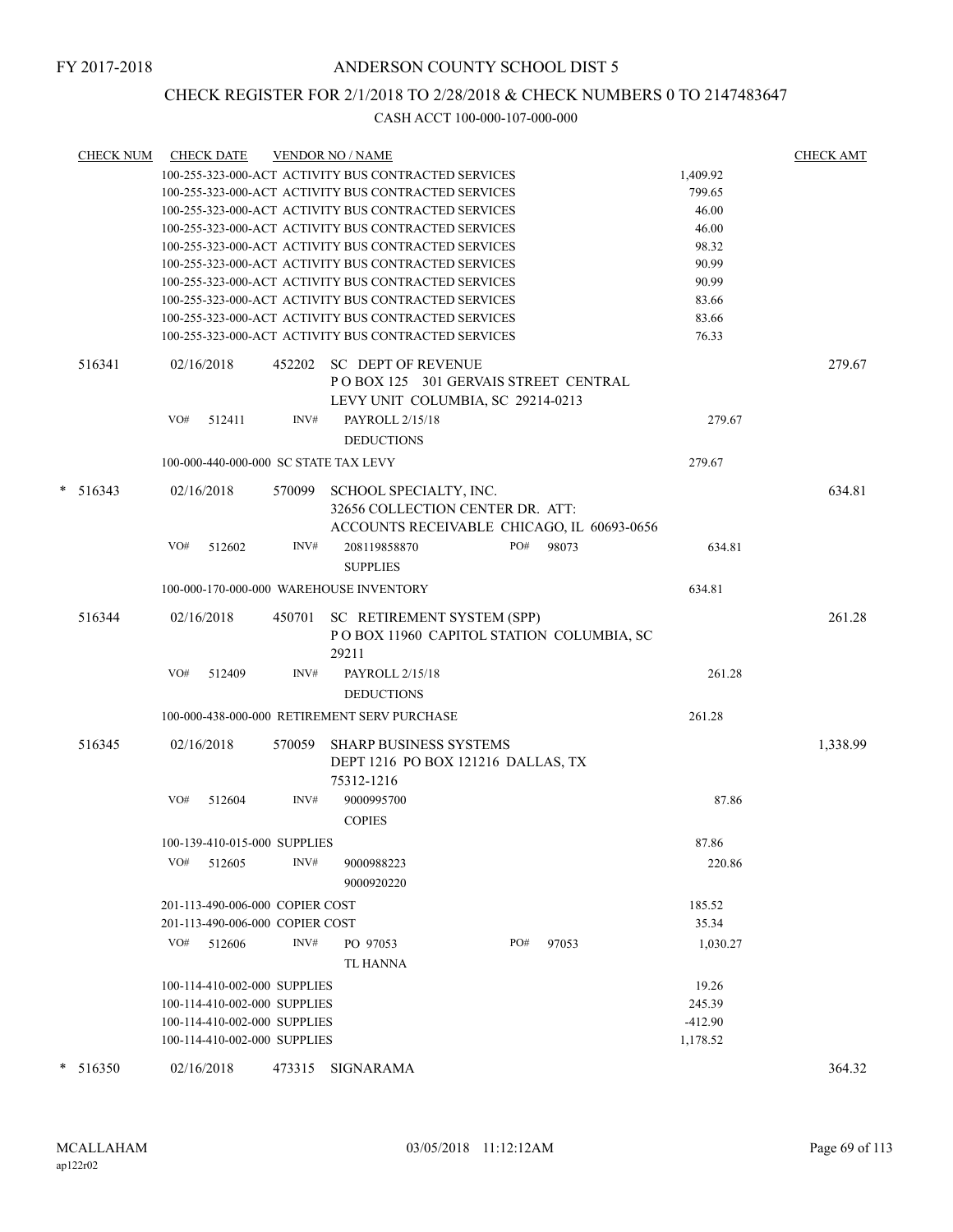## CHECK REGISTER FOR 2/1/2018 TO 2/28/2018 & CHECK NUMBERS 0 TO 2147483647

|   | <b>CHECK NUM</b> | <b>CHECK DATE</b>                       |        | <b>VENDOR NO / NAME</b>                              |     |       |           | <b>CHECK AMT</b> |
|---|------------------|-----------------------------------------|--------|------------------------------------------------------|-----|-------|-----------|------------------|
|   |                  |                                         |        | 100-255-323-000-ACT ACTIVITY BUS CONTRACTED SERVICES |     |       | 1,409.92  |                  |
|   |                  |                                         |        | 100-255-323-000-ACT ACTIVITY BUS CONTRACTED SERVICES |     |       | 799.65    |                  |
|   |                  |                                         |        | 100-255-323-000-ACT ACTIVITY BUS CONTRACTED SERVICES |     |       | 46.00     |                  |
|   |                  |                                         |        | 100-255-323-000-ACT ACTIVITY BUS CONTRACTED SERVICES |     |       | 46.00     |                  |
|   |                  |                                         |        | 100-255-323-000-ACT ACTIVITY BUS CONTRACTED SERVICES |     |       | 98.32     |                  |
|   |                  |                                         |        | 100-255-323-000-ACT ACTIVITY BUS CONTRACTED SERVICES |     |       | 90.99     |                  |
|   |                  |                                         |        | 100-255-323-000-ACT ACTIVITY BUS CONTRACTED SERVICES |     |       | 90.99     |                  |
|   |                  |                                         |        | 100-255-323-000-ACT ACTIVITY BUS CONTRACTED SERVICES |     |       | 83.66     |                  |
|   |                  |                                         |        | 100-255-323-000-ACT ACTIVITY BUS CONTRACTED SERVICES |     |       | 83.66     |                  |
|   |                  |                                         |        | 100-255-323-000-ACT ACTIVITY BUS CONTRACTED SERVICES |     |       | 76.33     |                  |
|   | 516341           | 02/16/2018                              | 452202 | <b>SC DEPT OF REVENUE</b>                            |     |       |           | 279.67           |
|   |                  |                                         |        | POBOX 125 301 GERVAIS STREET CENTRAL                 |     |       |           |                  |
|   |                  |                                         |        | LEVY UNIT COLUMBIA, SC 29214-0213                    |     |       |           |                  |
|   |                  | VO#<br>512411                           | INV#   | PAYROLL 2/15/18                                      |     |       | 279.67    |                  |
|   |                  |                                         |        | <b>DEDUCTIONS</b>                                    |     |       |           |                  |
|   |                  | 100-000-440-000-000 SC STATE TAX LEVY   |        |                                                      |     |       | 279.67    |                  |
|   |                  |                                         |        |                                                      |     |       |           |                  |
| * | 516343           | 02/16/2018                              | 570099 | SCHOOL SPECIALTY, INC.                               |     |       |           | 634.81           |
|   |                  |                                         |        | 32656 COLLECTION CENTER DR. ATT:                     |     |       |           |                  |
|   |                  |                                         |        | ACCOUNTS RECEIVABLE CHICAGO, IL 60693-0656           |     |       |           |                  |
|   |                  | VO#<br>512602                           | INV#   | 208119858870                                         | PO# | 98073 | 634.81    |                  |
|   |                  |                                         |        | <b>SUPPLIES</b>                                      |     |       |           |                  |
|   |                  | 100-000-170-000-000 WAREHOUSE INVENTORY |        |                                                      |     |       | 634.81    |                  |
|   | 516344           | 02/16/2018                              | 450701 | SC RETIREMENT SYSTEM (SPP)                           |     |       |           | 261.28           |
|   |                  |                                         |        | POBOX 11960 CAPITOL STATION COLUMBIA, SC             |     |       |           |                  |
|   |                  |                                         |        | 29211                                                |     |       |           |                  |
|   |                  | 512409<br>VO#                           | INV#   | PAYROLL 2/15/18                                      |     |       | 261.28    |                  |
|   |                  |                                         |        |                                                      |     |       |           |                  |
|   |                  |                                         |        | <b>DEDUCTIONS</b>                                    |     |       |           |                  |
|   |                  |                                         |        | 100-000-438-000-000 RETIREMENT SERV PURCHASE         |     |       | 261.28    |                  |
|   | 516345           | 02/16/2018                              | 570059 | <b>SHARP BUSINESS SYSTEMS</b>                        |     |       |           | 1,338.99         |
|   |                  |                                         |        | DEPT 1216 PO BOX 121216 DALLAS, TX                   |     |       |           |                  |
|   |                  |                                         |        | 75312-1216                                           |     |       |           |                  |
|   |                  | VO#<br>512604                           | INV#   | 9000995700                                           |     |       | 87.86     |                  |
|   |                  |                                         |        | <b>COPIES</b>                                        |     |       |           |                  |
|   |                  | 100-139-410-015-000 SUPPLIES            |        |                                                      |     |       | 87.86     |                  |
|   |                  |                                         |        |                                                      |     |       |           |                  |
|   |                  | VO#<br>512605                           | INV#   | 9000988223                                           |     |       | 220.86    |                  |
|   |                  |                                         |        | 9000920220                                           |     |       |           |                  |
|   |                  | 201-113-490-006-000 COPIER COST         |        |                                                      |     |       | 185.52    |                  |
|   |                  | 201-113-490-006-000 COPIER COST         |        |                                                      |     |       | 35.34     |                  |
|   |                  | VO#<br>512606                           | INV#   | PO 97053                                             | PO# | 97053 | 1,030.27  |                  |
|   |                  |                                         |        | TL HANNA                                             |     |       |           |                  |
|   |                  | 100-114-410-002-000 SUPPLIES            |        |                                                      |     |       | 19.26     |                  |
|   |                  | 100-114-410-002-000 SUPPLIES            |        |                                                      |     |       | 245.39    |                  |
|   |                  | 100-114-410-002-000 SUPPLIES            |        |                                                      |     |       | $-412.90$ |                  |
|   |                  | 100-114-410-002-000 SUPPLIES            |        |                                                      |     |       | 1,178.52  |                  |
|   | $*$ 516350       | 02/16/2018                              | 473315 | SIGNARAMA                                            |     |       |           | 364.32           |
|   |                  |                                         |        |                                                      |     |       |           |                  |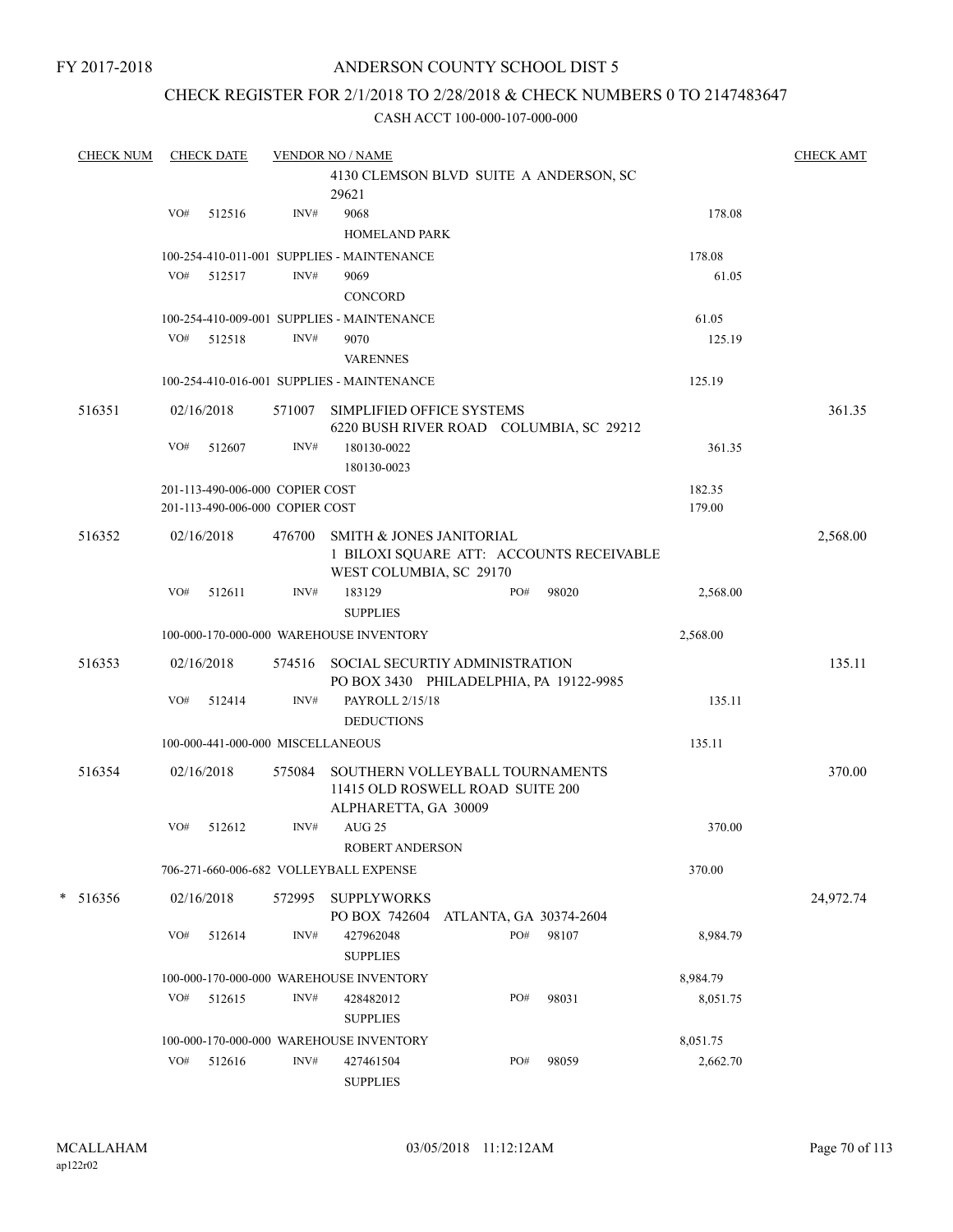## ANDERSON COUNTY SCHOOL DIST 5

## CHECK REGISTER FOR 2/1/2018 TO 2/28/2018 & CHECK NUMBERS 0 TO 2147483647

| <b>CHECK NUM</b> |     | <b>CHECK DATE</b>                 |        | <b>VENDOR NO / NAME</b>                                                                     |     |                        |          |        | <b>CHECK AMT</b> |
|------------------|-----|-----------------------------------|--------|---------------------------------------------------------------------------------------------|-----|------------------------|----------|--------|------------------|
|                  |     |                                   |        | 4130 CLEMSON BLVD SUITE A ANDERSON, SC<br>29621                                             |     |                        |          |        |                  |
|                  | VO# | 512516                            | INV#   | 9068                                                                                        |     |                        |          | 178.08 |                  |
|                  |     |                                   |        | <b>HOMELAND PARK</b>                                                                        |     |                        |          |        |                  |
|                  |     |                                   |        | 100-254-410-011-001 SUPPLIES - MAINTENANCE                                                  |     |                        | 178.08   |        |                  |
|                  |     | VO# 512517                        | INV#   | 9069                                                                                        |     |                        |          | 61.05  |                  |
|                  |     |                                   |        | CONCORD                                                                                     |     |                        |          |        |                  |
|                  |     |                                   |        | 100-254-410-009-001 SUPPLIES - MAINTENANCE                                                  |     |                        | 61.05    |        |                  |
|                  | VO# | 512518                            | INV#   | 9070                                                                                        |     |                        |          | 125.19 |                  |
|                  |     |                                   |        | <b>VARENNES</b>                                                                             |     |                        |          |        |                  |
|                  |     |                                   |        | 100-254-410-016-001 SUPPLIES - MAINTENANCE                                                  |     |                        | 125.19   |        |                  |
| 516351           |     | 02/16/2018                        | 571007 | SIMPLIFIED OFFICE SYSTEMS<br>6220 BUSH RIVER ROAD COLUMBIA, SC 29212                        |     |                        |          |        | 361.35           |
|                  | VO# | 512607                            | INV#   | 180130-0022<br>180130-0023                                                                  |     |                        |          | 361.35 |                  |
|                  |     | 201-113-490-006-000 COPIER COST   |        |                                                                                             |     |                        | 182.35   |        |                  |
|                  |     | 201-113-490-006-000 COPIER COST   |        |                                                                                             |     |                        | 179.00   |        |                  |
| 516352           |     | 02/16/2018                        | 476700 | <b>SMITH &amp; JONES JANITORIAL</b><br>1 BILOXI SQUARE ATT: ACCOUNTS RECEIVABLE             |     |                        |          |        | 2,568.00         |
|                  | VO# | 512611                            | INV#   | WEST COLUMBIA, SC 29170<br>183129<br><b>SUPPLIES</b>                                        | PO# | 98020                  | 2,568.00 |        |                  |
|                  |     |                                   |        | 100-000-170-000-000 WAREHOUSE INVENTORY                                                     |     |                        | 2,568.00 |        |                  |
| 516353           |     | 02/16/2018                        |        | 574516 SOCIAL SECURTIY ADMINISTRATION<br>PO BOX 3430 PHILADELPHIA, PA 19122-9985            |     |                        |          |        | 135.11           |
|                  | VO# | 512414                            | INV#   | PAYROLL 2/15/18<br><b>DEDUCTIONS</b>                                                        |     |                        |          | 135.11 |                  |
|                  |     | 100-000-441-000-000 MISCELLANEOUS |        |                                                                                             |     |                        | 135.11   |        |                  |
| 516354           |     | 02/16/2018                        | 575084 | SOUTHERN VOLLEYBALL TOURNAMENTS<br>11415 OLD ROSWELL ROAD SUITE 200<br>ALPHARETTA, GA 30009 |     |                        |          |        | 370.00           |
|                  | VO# | 512612                            | INV#   | $AUG$ 25<br>ROBERT ANDERSON                                                                 |     |                        |          | 370.00 |                  |
|                  |     |                                   |        | 706-271-660-006-682 VOLLEYBALL EXPENSE                                                      |     |                        | 370.00   |        |                  |
| $* 516356$       |     | 02/16/2018                        | 572995 | <b>SUPPLYWORKS</b><br>PO BOX 742604                                                         |     | ATLANTA, GA 30374-2604 |          |        | 24,972.74        |
|                  | VO# | 512614                            | INV#   | 427962048<br><b>SUPPLIES</b>                                                                | PO# | 98107                  | 8,984.79 |        |                  |
|                  |     |                                   |        | 100-000-170-000-000 WAREHOUSE INVENTORY                                                     |     |                        | 8,984.79 |        |                  |
|                  | VO# | 512615                            | INV#   | 428482012<br><b>SUPPLIES</b>                                                                | PO# | 98031                  | 8,051.75 |        |                  |
|                  |     |                                   |        | 100-000-170-000-000 WAREHOUSE INVENTORY                                                     |     |                        | 8,051.75 |        |                  |
|                  | VO# | 512616                            | INV#   | 427461504<br><b>SUPPLIES</b>                                                                | PO# | 98059                  | 2,662.70 |        |                  |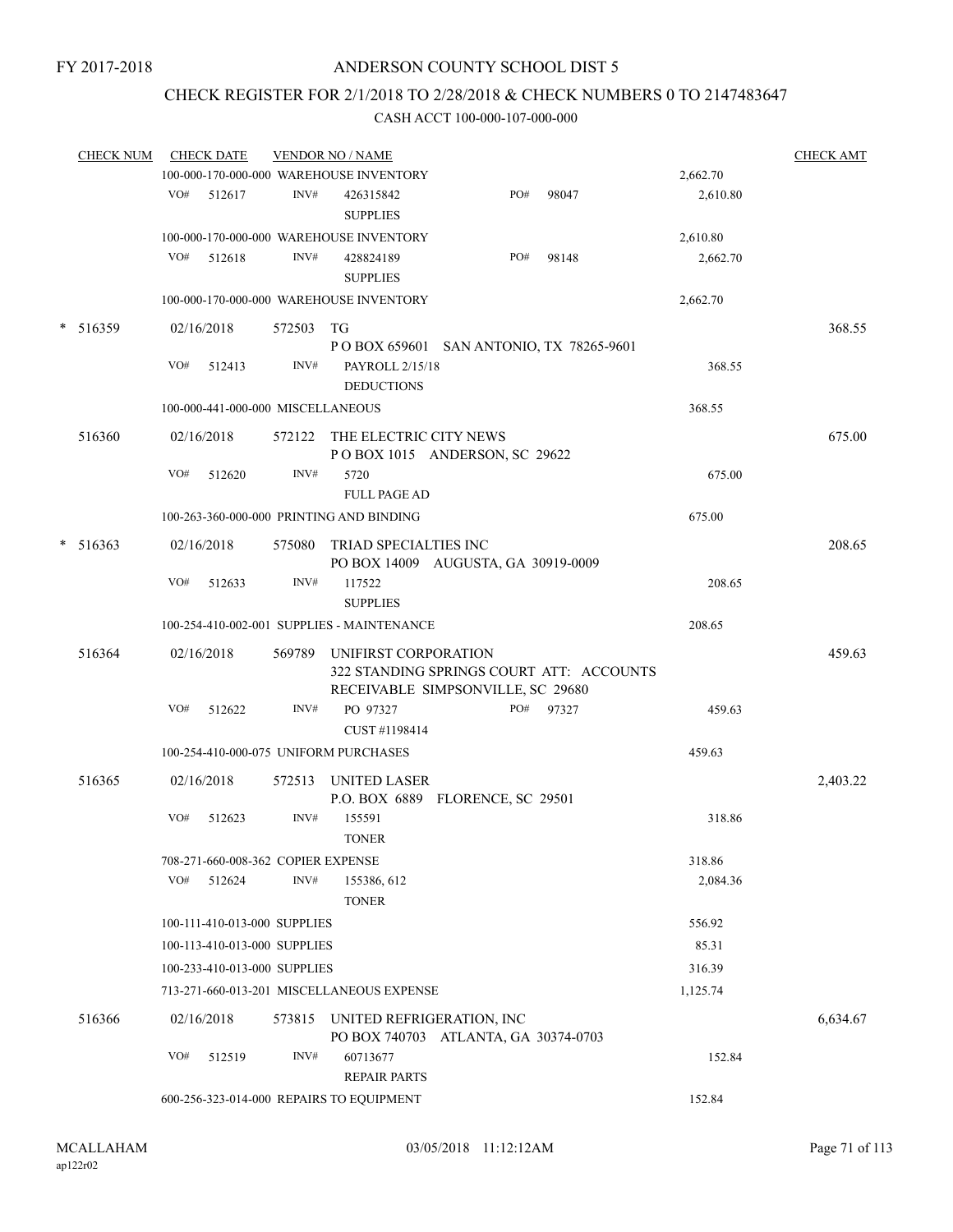## CHECK REGISTER FOR 2/1/2018 TO 2/28/2018 & CHECK NUMBERS 0 TO 2147483647

|        | <b>CHECK NUM</b> |     | <b>CHECK DATE</b>                  |                | <b>VENDOR NO / NAME</b>                    |                                                                               |           |                    | <b>CHECK AMT</b> |
|--------|------------------|-----|------------------------------------|----------------|--------------------------------------------|-------------------------------------------------------------------------------|-----------|--------------------|------------------|
|        |                  |     |                                    |                | 100-000-170-000-000 WAREHOUSE INVENTORY    |                                                                               |           | 2,662.70           |                  |
|        |                  | VO# | 512617                             | INV#           | 426315842<br><b>SUPPLIES</b>               | PO#                                                                           | 98047     | 2,610.80           |                  |
|        |                  |     |                                    |                | 100-000-170-000-000 WAREHOUSE INVENTORY    |                                                                               |           | 2,610.80           |                  |
|        |                  | VO# | 512618                             | INV#           | 428824189                                  | PO#                                                                           | 98148     | 2,662.70           |                  |
|        |                  |     |                                    |                | <b>SUPPLIES</b>                            |                                                                               |           |                    |                  |
|        |                  |     |                                    |                | 100-000-170-000-000 WAREHOUSE INVENTORY    |                                                                               |           | 2,662.70           |                  |
|        | $*$ 516359       |     | 02/16/2018                         | 572503 TG      |                                            | P O BOX 659601 SAN ANTONIO, TX 78265-9601                                     |           |                    | 368.55           |
|        |                  | VO# | 512413                             | INV#           | PAYROLL 2/15/18                            |                                                                               |           | 368.55             |                  |
|        |                  |     |                                    |                | <b>DEDUCTIONS</b>                          |                                                                               |           |                    |                  |
|        |                  |     | 100-000-441-000-000 MISCELLANEOUS  |                |                                            |                                                                               |           | 368.55             |                  |
|        | 516360           |     | 02/16/2018                         |                | 572122 THE ELECTRIC CITY NEWS              | POBOX 1015 ANDERSON, SC 29622                                                 |           |                    | 675.00           |
|        |                  | VO# | 512620                             | INV#           | 5720<br><b>FULL PAGE AD</b>                |                                                                               |           | 675.00             |                  |
|        |                  |     |                                    |                | 100-263-360-000-000 PRINTING AND BINDING   |                                                                               |           | 675.00             |                  |
| $\ast$ | 516363           |     | 02/16/2018                         |                | 575080 TRIAD SPECIALTIES INC               |                                                                               |           |                    | 208.65           |
|        |                  | VO# | 512633                             | INV#           | 117522<br><b>SUPPLIES</b>                  | PO BOX 14009 AUGUSTA, GA 30919-0009                                           |           | 208.65             |                  |
|        |                  |     |                                    |                | 100-254-410-002-001 SUPPLIES - MAINTENANCE |                                                                               |           | 208.65             |                  |
|        | 516364           |     | 02/16/2018                         |                | 569789 UNIFIRST CORPORATION                |                                                                               |           |                    | 459.63           |
|        |                  |     |                                    |                |                                            | 322 STANDING SPRINGS COURT ATT: ACCOUNTS<br>RECEIVABLE SIMPSONVILLE, SC 29680 |           |                    |                  |
|        |                  | VO# | 512622                             | INV#           | PO 97327                                   |                                                                               | PO# 97327 | 459.63             |                  |
|        |                  |     |                                    |                | CUST #1198414                              |                                                                               |           |                    |                  |
|        |                  |     |                                    |                | 100-254-410-000-075 UNIFORM PURCHASES      |                                                                               |           | 459.63             |                  |
|        | 516365           |     | 02/16/2018                         |                | 572513 UNITED LASER                        | P.O. BOX 6889 FLORENCE, SC 29501                                              |           |                    | 2,403.22         |
|        |                  | VO# | 512623                             | INV#           | 155591<br><b>TONER</b>                     |                                                                               |           | 318.86             |                  |
|        |                  |     | 708-271-660-008-362 COPIER EXPENSE |                |                                            |                                                                               |           | 318.86             |                  |
|        |                  | VO# | 512624                             | INV#           | 155386, 612                                |                                                                               |           | 2,084.36           |                  |
|        |                  |     | 100-111-410-013-000 SUPPLIES       |                | <b>TONER</b>                               |                                                                               |           | 556.92             |                  |
|        |                  |     | 100-113-410-013-000 SUPPLIES       |                |                                            |                                                                               |           | 85.31              |                  |
|        |                  |     |                                    |                |                                            |                                                                               |           |                    |                  |
|        |                  |     | 100-233-410-013-000 SUPPLIES       |                | 713-271-660-013-201 MISCELLANEOUS EXPENSE  |                                                                               |           | 316.39<br>1,125.74 |                  |
|        |                  |     |                                    |                |                                            |                                                                               |           |                    |                  |
|        | 516366           |     | 02/16/2018                         | 573815         | UNITED REFRIGERATION, INC                  | PO BOX 740703 ATLANTA, GA 30374-0703                                          |           |                    | 6,634.67         |
|        |                  | VO# | 512519                             | $\text{INV}\#$ | 60713677<br><b>REPAIR PARTS</b>            |                                                                               |           | 152.84             |                  |
|        |                  |     |                                    |                | 600-256-323-014-000 REPAIRS TO EQUIPMENT   |                                                                               |           | 152.84             |                  |
|        |                  |     |                                    |                |                                            |                                                                               |           |                    |                  |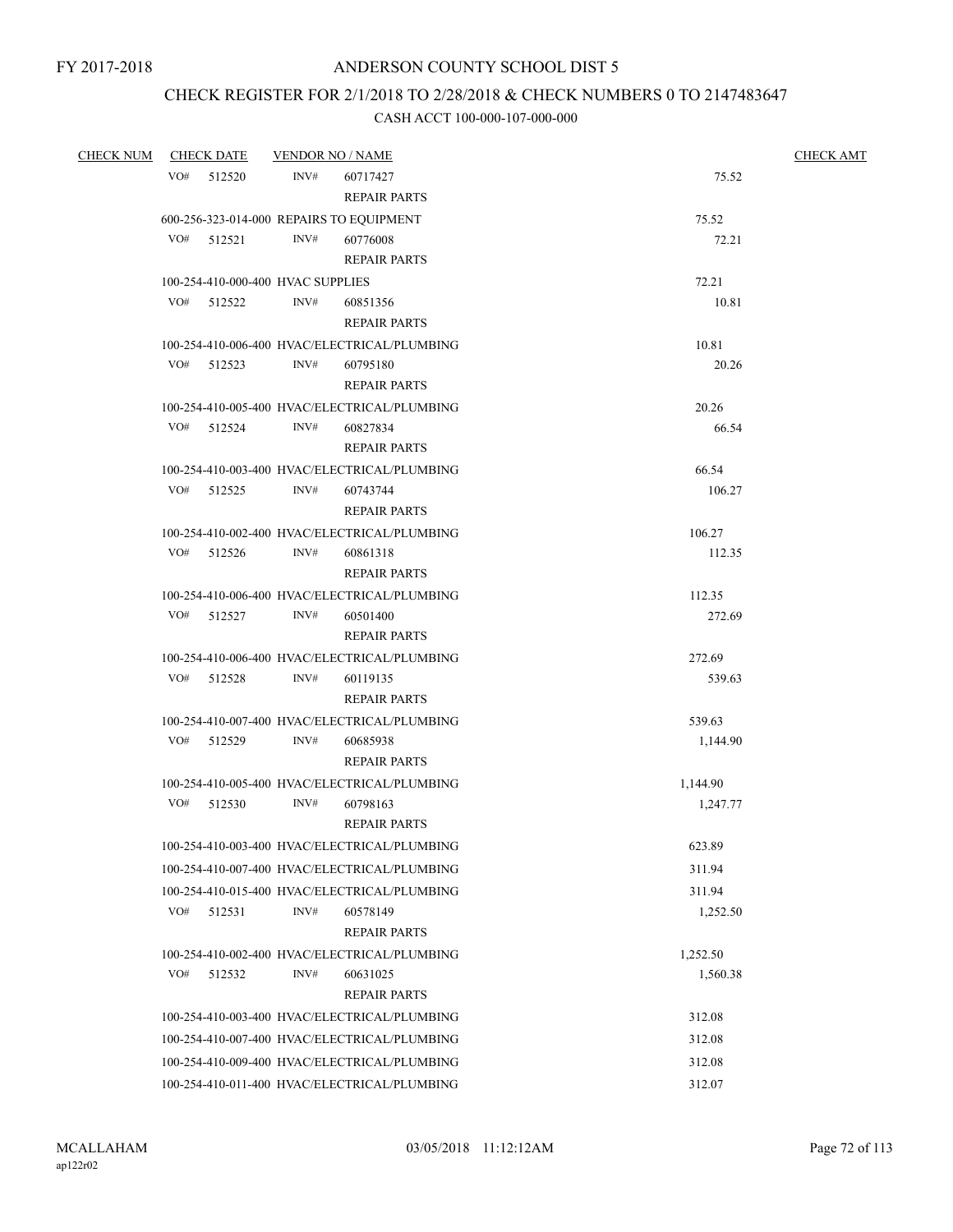## CHECK REGISTER FOR 2/1/2018 TO 2/28/2018 & CHECK NUMBERS 0 TO 2147483647

| <b>CHECK NUM</b> | <b>CHECK DATE</b>                 | <b>VENDOR NO / NAME</b>                              | <b>CHECK AMT</b> |
|------------------|-----------------------------------|------------------------------------------------------|------------------|
|                  | VO# 512520                        | INV#<br>60717427                                     | 75.52            |
|                  |                                   | <b>REPAIR PARTS</b>                                  |                  |
|                  |                                   | 600-256-323-014-000 REPAIRS TO EQUIPMENT             | 75.52            |
|                  | VO#<br>512521                     | INV#<br>60776008                                     | 72.21            |
|                  |                                   | <b>REPAIR PARTS</b>                                  |                  |
|                  | 100-254-410-000-400 HVAC SUPPLIES |                                                      | 72.21            |
|                  | VO# 512522                        | INV#<br>60851356                                     | 10.81            |
|                  |                                   | <b>REPAIR PARTS</b>                                  |                  |
|                  |                                   | 100-254-410-006-400 HVAC/ELECTRICAL/PLUMBING         | 10.81            |
|                  | VO#<br>512523                     | INV#<br>60795180                                     | 20.26            |
|                  |                                   | <b>REPAIR PARTS</b>                                  |                  |
|                  |                                   | 100-254-410-005-400 HVAC/ELECTRICAL/PLUMBING         | 20.26            |
|                  | VO#<br>512524                     | INV#<br>60827834                                     | 66.54            |
|                  |                                   | <b>REPAIR PARTS</b>                                  |                  |
|                  |                                   | 100-254-410-003-400 HVAC/ELECTRICAL/PLUMBING         | 66.54            |
|                  | VO# 512525                        | INV#<br>60743744                                     | 106.27           |
|                  |                                   | <b>REPAIR PARTS</b>                                  |                  |
|                  |                                   | 100-254-410-002-400 HVAC/ELECTRICAL/PLUMBING         | 106.27           |
|                  | VO# 512526                        | INV#<br>60861318                                     | 112.35           |
|                  |                                   | <b>REPAIR PARTS</b>                                  |                  |
|                  | VO# 512527                        | 100-254-410-006-400 HVAC/ELECTRICAL/PLUMBING<br>INV# | 112.35<br>272.69 |
|                  |                                   | 60501400<br><b>REPAIR PARTS</b>                      |                  |
|                  |                                   | 100-254-410-006-400 HVAC/ELECTRICAL/PLUMBING         | 272.69           |
|                  | VO# 512528                        | INV#<br>60119135                                     | 539.63           |
|                  |                                   | <b>REPAIR PARTS</b>                                  |                  |
|                  |                                   | 100-254-410-007-400 HVAC/ELECTRICAL/PLUMBING         | 539.63           |
|                  | VO# 512529                        | INV#<br>60685938                                     | 1,144.90         |
|                  |                                   | <b>REPAIR PARTS</b>                                  |                  |
|                  |                                   | 100-254-410-005-400 HVAC/ELECTRICAL/PLUMBING         | 1,144.90         |
|                  | $VO#$ 512530                      | INV#<br>60798163                                     | 1,247.77         |
|                  |                                   | <b>REPAIR PARTS</b>                                  |                  |
|                  |                                   | 100-254-410-003-400 HVAC/ELECTRICAL/PLUMBING         | 623.89           |
|                  |                                   | 100-254-410-007-400 HVAC/ELECTRICAL/PLUMBING         | 311.94           |
|                  |                                   | 100-254-410-015-400 HVAC/ELECTRICAL/PLUMBING         | 311.94           |
|                  | VO#<br>512531                     | INV#<br>60578149                                     | 1,252.50         |
|                  |                                   | <b>REPAIR PARTS</b>                                  |                  |
|                  |                                   | 100-254-410-002-400 HVAC/ELECTRICAL/PLUMBING         | 1,252.50         |
|                  | VO#<br>512532                     | INV#<br>60631025                                     | 1,560.38         |
|                  |                                   | <b>REPAIR PARTS</b>                                  |                  |
|                  |                                   | 100-254-410-003-400 HVAC/ELECTRICAL/PLUMBING         | 312.08           |
|                  |                                   | 100-254-410-007-400 HVAC/ELECTRICAL/PLUMBING         | 312.08           |
|                  |                                   | 100-254-410-009-400 HVAC/ELECTRICAL/PLUMBING         | 312.08           |
|                  |                                   | 100-254-410-011-400 HVAC/ELECTRICAL/PLUMBING         | 312.07           |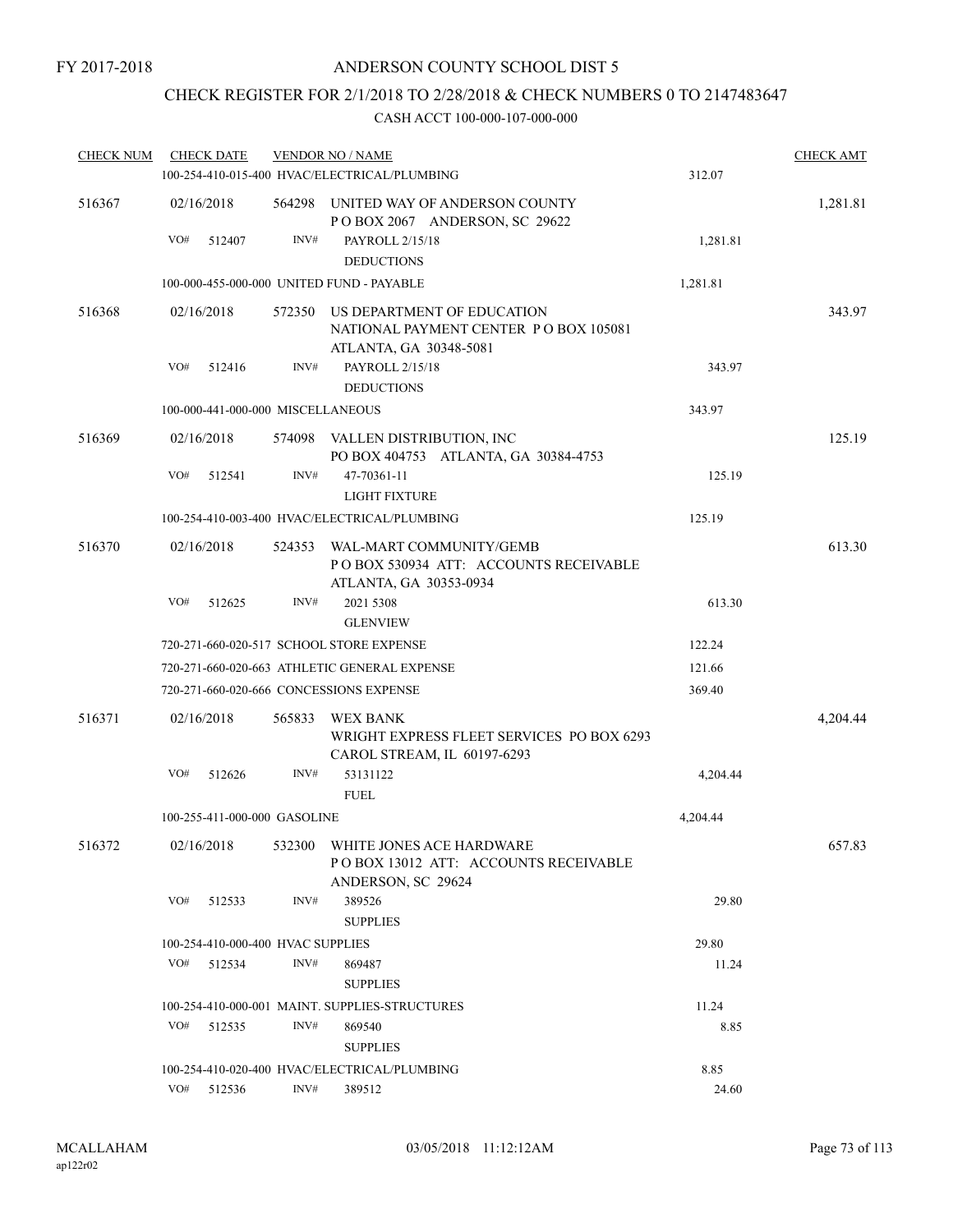# CHECK REGISTER FOR 2/1/2018 TO 2/28/2018 & CHECK NUMBERS 0 TO 2147483647

| <b>CHECK NUM</b> |            | <b>CHECK DATE</b> |                                   | <b>VENDOR NO / NAME</b>                                                                       |          | <b>CHECK AMT</b> |
|------------------|------------|-------------------|-----------------------------------|-----------------------------------------------------------------------------------------------|----------|------------------|
|                  |            |                   |                                   | 100-254-410-015-400 HVAC/ELECTRICAL/PLUMBING                                                  | 312.07   |                  |
| 516367           |            | 02/16/2018        | 564298                            | UNITED WAY OF ANDERSON COUNTY<br>POBOX 2067 ANDERSON, SC 29622                                |          | 1,281.81         |
|                  | VO#        | 512407            | INV#                              | PAYROLL 2/15/18                                                                               | 1,281.81 |                  |
|                  |            |                   |                                   | <b>DEDUCTIONS</b>                                                                             |          |                  |
|                  |            |                   |                                   | 100-000-455-000-000 UNITED FUND - PAYABLE                                                     | 1,281.81 |                  |
| 516368           |            | 02/16/2018        | 572350                            | US DEPARTMENT OF EDUCATION<br>NATIONAL PAYMENT CENTER PO BOX 105081<br>ATLANTA, GA 30348-5081 |          | 343.97           |
|                  | VO#        | 512416            | INV#                              | PAYROLL 2/15/18<br><b>DEDUCTIONS</b>                                                          | 343.97   |                  |
|                  |            |                   | 100-000-441-000-000 MISCELLANEOUS |                                                                                               | 343.97   |                  |
|                  |            |                   |                                   |                                                                                               |          |                  |
| 516369           |            | 02/16/2018        |                                   | 574098 VALLEN DISTRIBUTION, INC<br>PO BOX 404753 ATLANTA, GA 30384-4753                       |          | 125.19           |
|                  | VO#        | 512541            | INV#                              | 47-70361-11<br><b>LIGHT FIXTURE</b>                                                           | 125.19   |                  |
|                  |            |                   |                                   | 100-254-410-003-400 HVAC/ELECTRICAL/PLUMBING                                                  | 125.19   |                  |
| 516370           |            | 02/16/2018        | 524353                            | WAL-MART COMMUNITY/GEMB<br>POBOX 530934 ATT: ACCOUNTS RECEIVABLE                              |          | 613.30           |
|                  | VO#        | 512625            | INV#                              | ATLANTA, GA 30353-0934<br>2021 5308<br><b>GLENVIEW</b>                                        | 613.30   |                  |
|                  |            |                   |                                   | 720-271-660-020-517 SCHOOL STORE EXPENSE                                                      | 122.24   |                  |
|                  |            |                   |                                   | 720-271-660-020-663 ATHLETIC GENERAL EXPENSE                                                  | 121.66   |                  |
|                  |            |                   |                                   | 720-271-660-020-666 CONCESSIONS EXPENSE                                                       | 369.40   |                  |
| 516371           |            | 02/16/2018        | 565833                            | WEX BANK<br>WRIGHT EXPRESS FLEET SERVICES PO BOX 6293<br>CAROL STREAM, IL 60197-6293          |          | 4,204.44         |
|                  | VO#        | 512626            | INV#                              | 53131122<br><b>FUEL</b>                                                                       | 4,204.44 |                  |
|                  |            |                   | 100-255-411-000-000 GASOLINE      |                                                                                               | 4,204.44 |                  |
| 516372           |            | 02/16/2018        |                                   | 532300 WHITE JONES ACE HARDWARE<br>POBOX 13012 ATT: ACCOUNTS RECEIVABLE<br>ANDERSON, SC 29624 |          | 657.83           |
|                  | VO#        | 512533            | INV#                              | 389526<br><b>SUPPLIES</b>                                                                     | 29.80    |                  |
|                  |            |                   | 100-254-410-000-400 HVAC SUPPLIES |                                                                                               | 29.80    |                  |
|                  | VO#        | 512534            | INV#                              | 869487                                                                                        | 11.24    |                  |
|                  |            |                   |                                   | <b>SUPPLIES</b>                                                                               |          |                  |
|                  |            |                   |                                   | 100-254-410-000-001 MAINT. SUPPLIES-STRUCTURES                                                | 11.24    |                  |
|                  | VO#        | 512535            | INV#                              | 869540<br><b>SUPPLIES</b>                                                                     | 8.85     |                  |
|                  |            |                   |                                   | 100-254-410-020-400 HVAC/ELECTRICAL/PLUMBING                                                  | 8.85     |                  |
|                  | VO# 512536 |                   | INV#                              | 389512                                                                                        | 24.60    |                  |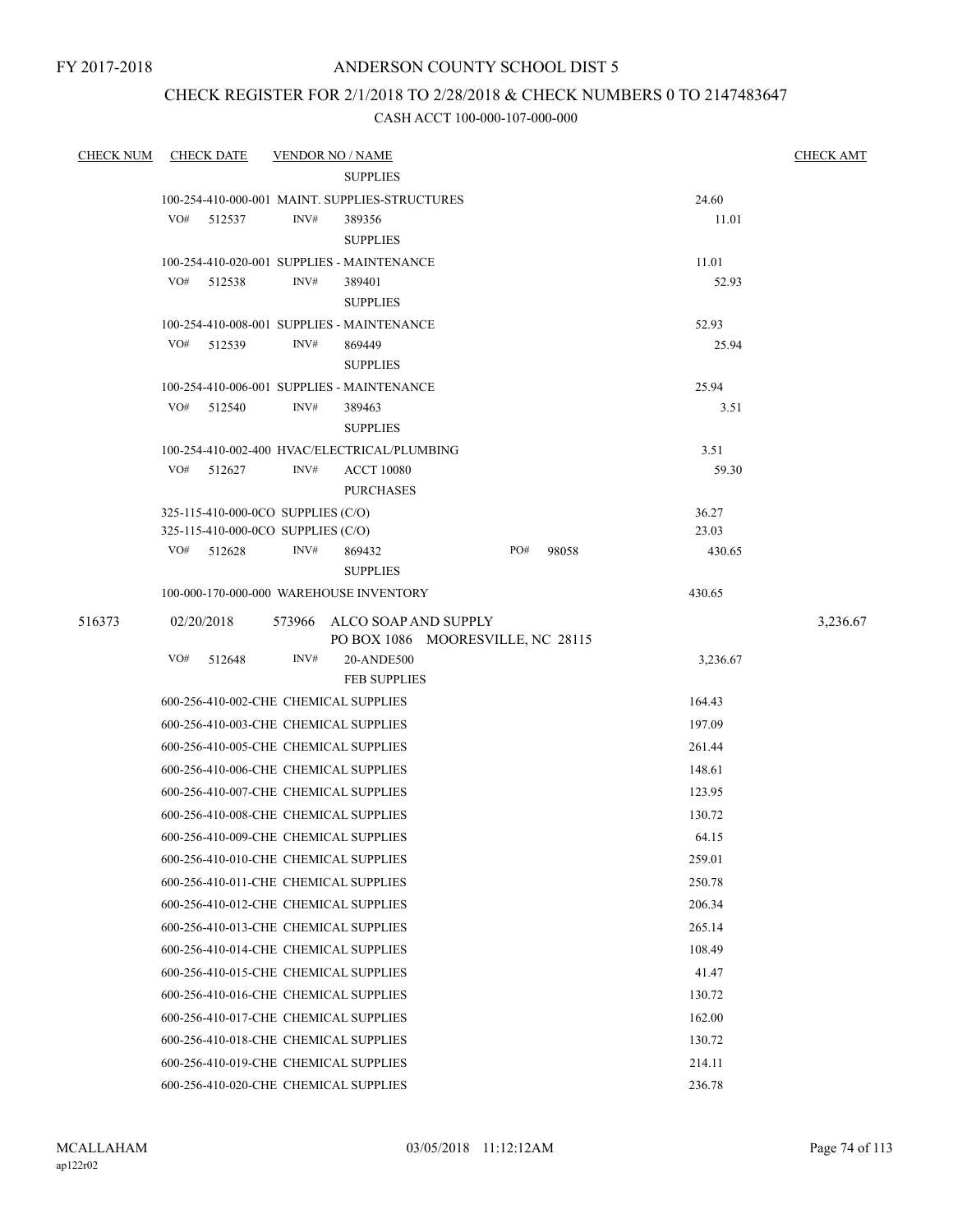## ANDERSON COUNTY SCHOOL DIST 5

## CHECK REGISTER FOR 2/1/2018 TO 2/28/2018 & CHECK NUMBERS 0 TO 2147483647

| <b>CHECK NUM</b> | <b>CHECK DATE</b>                     | <b>VENDOR NO / NAME</b>                        |                                   |        |                | <b>CHECK AMT</b> |
|------------------|---------------------------------------|------------------------------------------------|-----------------------------------|--------|----------------|------------------|
|                  |                                       | <b>SUPPLIES</b>                                |                                   |        |                |                  |
|                  |                                       | 100-254-410-000-001 MAINT. SUPPLIES-STRUCTURES |                                   |        | 24.60          |                  |
|                  | VO#<br>512537                         | INV#<br>389356                                 |                                   |        | 11.01          |                  |
|                  |                                       | <b>SUPPLIES</b>                                |                                   |        |                |                  |
|                  |                                       | 100-254-410-020-001 SUPPLIES - MAINTENANCE     |                                   |        | 11.01          |                  |
|                  | VO#<br>512538                         | INV#<br>389401                                 |                                   |        | 52.93          |                  |
|                  |                                       | <b>SUPPLIES</b>                                |                                   |        |                |                  |
|                  |                                       | 100-254-410-008-001 SUPPLIES - MAINTENANCE     |                                   |        | 52.93          |                  |
|                  | VO#<br>512539                         | INV#<br>869449                                 |                                   |        | 25.94          |                  |
|                  |                                       | <b>SUPPLIES</b>                                |                                   |        |                |                  |
|                  |                                       | 100-254-410-006-001 SUPPLIES - MAINTENANCE     |                                   |        | 25.94          |                  |
|                  | VO#<br>512540                         | INV#<br>389463                                 |                                   |        | 3.51           |                  |
|                  |                                       | <b>SUPPLIES</b>                                |                                   |        |                |                  |
|                  |                                       | 100-254-410-002-400 HVAC/ELECTRICAL/PLUMBING   |                                   |        | 3.51           |                  |
|                  | VO# 512627                            | INV#<br><b>ACCT 10080</b><br><b>PURCHASES</b>  |                                   |        | 59.30          |                  |
|                  |                                       | 325-115-410-000-0CO SUPPLIES (C/O)             |                                   |        |                |                  |
|                  |                                       | 325-115-410-000-0CO SUPPLIES (C/O)             |                                   |        | 36.27<br>23.03 |                  |
|                  | VO# 512628                            | INV#<br>869432                                 | PO#                               | 98058  | 430.65         |                  |
|                  |                                       | <b>SUPPLIES</b>                                |                                   |        |                |                  |
|                  |                                       | 100-000-170-000-000 WAREHOUSE INVENTORY        |                                   |        | 430.65         |                  |
| 516373           | 02/20/2018                            | 573966 ALCO SOAP AND SUPPLY                    |                                   |        |                | 3,236.67         |
|                  |                                       |                                                | PO BOX 1086 MOORESVILLE, NC 28115 |        |                |                  |
|                  | VO#<br>512648                         | INV#<br>20-ANDE500                             |                                   |        | 3,236.67       |                  |
|                  |                                       | <b>FEB SUPPLIES</b>                            |                                   |        |                |                  |
|                  |                                       | 600-256-410-002-CHE CHEMICAL SUPPLIES          |                                   | 164.43 |                |                  |
|                  |                                       | 600-256-410-003-CHE CHEMICAL SUPPLIES          |                                   | 197.09 |                |                  |
|                  |                                       | 600-256-410-005-CHE CHEMICAL SUPPLIES          |                                   |        | 261.44         |                  |
|                  |                                       | 600-256-410-006-CHE CHEMICAL SUPPLIES          |                                   |        | 148.61         |                  |
|                  |                                       | 600-256-410-007-CHE CHEMICAL SUPPLIES          |                                   |        | 123.95         |                  |
|                  |                                       | 600-256-410-008-CHE CHEMICAL SUPPLIES          |                                   |        | 130.72         |                  |
|                  |                                       | 600-256-410-009-CHE CHEMICAL SUPPLIES          |                                   |        | 64.15          |                  |
|                  |                                       | 600-256-410-010-CHE CHEMICAL SUPPLIES          |                                   |        | 259.01         |                  |
|                  |                                       | 600-256-410-011-CHE CHEMICAL SUPPLIES          |                                   |        | 250.78         |                  |
|                  |                                       | 600-256-410-012-CHE CHEMICAL SUPPLIES          |                                   |        | 206.34         |                  |
|                  |                                       | 600-256-410-013-CHE CHEMICAL SUPPLIES          |                                   |        | 265.14         |                  |
|                  |                                       | 600-256-410-014-CHE CHEMICAL SUPPLIES          |                                   |        | 108.49         |                  |
|                  |                                       | 600-256-410-015-CHE CHEMICAL SUPPLIES          |                                   |        | 41.47          |                  |
|                  |                                       | 600-256-410-016-CHE CHEMICAL SUPPLIES          |                                   |        | 130.72         |                  |
|                  | 600-256-410-017-CHE CHEMICAL SUPPLIES | 162.00                                         |                                   |        |                |                  |
|                  |                                       | 600-256-410-018-CHE CHEMICAL SUPPLIES          |                                   |        | 130.72         |                  |
|                  |                                       | 600-256-410-019-CHE CHEMICAL SUPPLIES          |                                   |        | 214.11         |                  |
|                  |                                       | 600-256-410-020-CHE CHEMICAL SUPPLIES          |                                   |        | 236.78         |                  |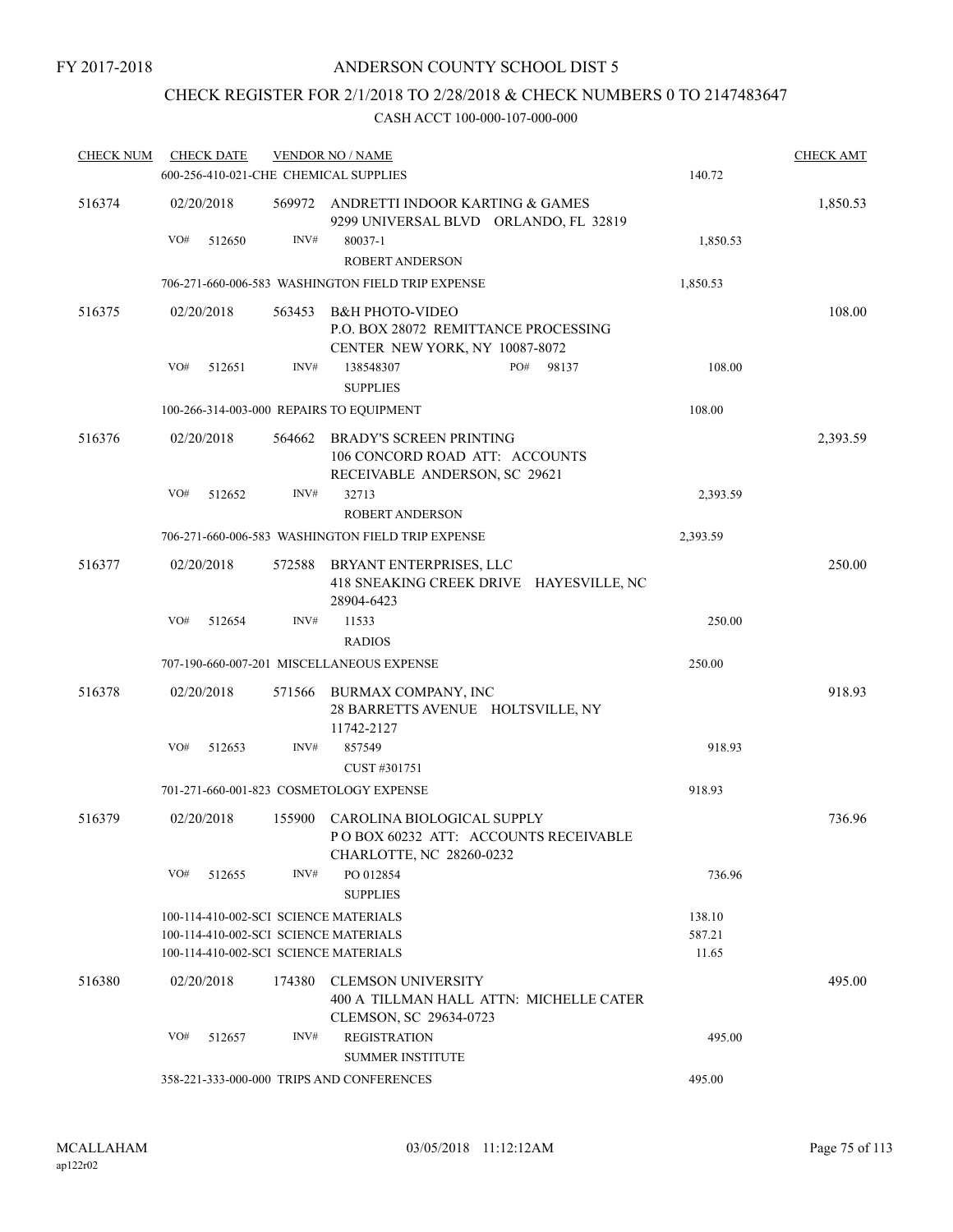## ANDERSON COUNTY SCHOOL DIST 5

# CHECK REGISTER FOR 2/1/2018 TO 2/28/2018 & CHECK NUMBERS 0 TO 2147483647

| <b>CHECK NUM</b> |     | <b>CHECK DATE</b> |        | <b>VENDOR NO / NAME</b>                                                                           |          | <b>CHECK AMT</b> |
|------------------|-----|-------------------|--------|---------------------------------------------------------------------------------------------------|----------|------------------|
|                  |     |                   |        | 600-256-410-021-CHE CHEMICAL SUPPLIES                                                             | 140.72   |                  |
| 516374           |     | 02/20/2018        |        | 569972 ANDRETTI INDOOR KARTING & GAMES<br>9299 UNIVERSAL BLVD ORLANDO, FL 32819                   |          | 1,850.53         |
|                  | VO# | 512650            | INV#   | 80037-1                                                                                           | 1,850.53 |                  |
|                  |     |                   |        | <b>ROBERT ANDERSON</b>                                                                            |          |                  |
|                  |     |                   |        | 706-271-660-006-583 WASHINGTON FIELD TRIP EXPENSE                                                 | 1,850.53 |                  |
| 516375           |     | 02/20/2018        | 563453 | B&H PHOTO-VIDEO<br>P.O. BOX 28072 REMITTANCE PROCESSING<br>CENTER NEW YORK, NY 10087-8072         |          | 108.00           |
|                  | VO# | 512651            | INV#   | 138548307<br>PO#<br>98137<br><b>SUPPLIES</b>                                                      | 108.00   |                  |
|                  |     |                   |        | 100-266-314-003-000 REPAIRS TO EQUIPMENT                                                          | 108.00   |                  |
| 516376           |     | 02/20/2018        | 564662 | <b>BRADY'S SCREEN PRINTING</b><br>106 CONCORD ROAD ATT: ACCOUNTS<br>RECEIVABLE ANDERSON, SC 29621 |          | 2,393.59         |
|                  | VO# | 512652            | INV#   | 32713<br><b>ROBERT ANDERSON</b>                                                                   | 2,393.59 |                  |
|                  |     |                   |        | 706-271-660-006-583 WASHINGTON FIELD TRIP EXPENSE                                                 | 2,393.59 |                  |
| 516377           |     | 02/20/2018        | 572588 | BRYANT ENTERPRISES, LLC<br>418 SNEAKING CREEK DRIVE HAYESVILLE, NC<br>28904-6423                  |          | 250.00           |
|                  | VO# | 512654            | INV#   | 11533                                                                                             | 250.00   |                  |
|                  |     |                   |        | <b>RADIOS</b>                                                                                     |          |                  |
|                  |     |                   |        | 707-190-660-007-201 MISCELLANEOUS EXPENSE                                                         | 250.00   |                  |
| 516378           |     | 02/20/2018        | 571566 | BURMAX COMPANY, INC<br>28 BARRETTS AVENUE HOLTSVILLE, NY<br>11742-2127                            |          | 918.93           |
|                  | VO# | 512653            | INV#   | 857549<br>CUST #301751                                                                            | 918.93   |                  |
|                  |     |                   |        | 701-271-660-001-823 COSMETOLOGY EXPENSE                                                           | 918.93   |                  |
| 516379           |     | 02/20/2018        | 155900 | CAROLINA BIOLOGICAL SUPPLY<br>POBOX 60232 ATT: ACCOUNTS RECEIVABLE<br>CHARLOTTE, NC 28260-0232    |          | 736.96           |
|                  | VO# | 512655            | INV#   | PO 012854<br><b>SUPPLIES</b>                                                                      | 736.96   |                  |
|                  |     |                   |        | 100-114-410-002-SCI SCIENCE MATERIALS                                                             | 138.10   |                  |
|                  |     |                   |        | 100-114-410-002-SCI SCIENCE MATERIALS                                                             | 587.21   |                  |
|                  |     |                   |        | 100-114-410-002-SCI SCIENCE MATERIALS                                                             | 11.65    |                  |
| 516380           |     | 02/20/2018        | 174380 | <b>CLEMSON UNIVERSITY</b><br>400 A TILLMAN HALL ATTN: MICHELLE CATER<br>CLEMSON, SC 29634-0723    |          | 495.00           |
|                  | VO# | 512657            | INV#   | <b>REGISTRATION</b><br><b>SUMMER INSTITUTE</b>                                                    | 495.00   |                  |
|                  |     |                   |        | 358-221-333-000-000 TRIPS AND CONFERENCES                                                         | 495.00   |                  |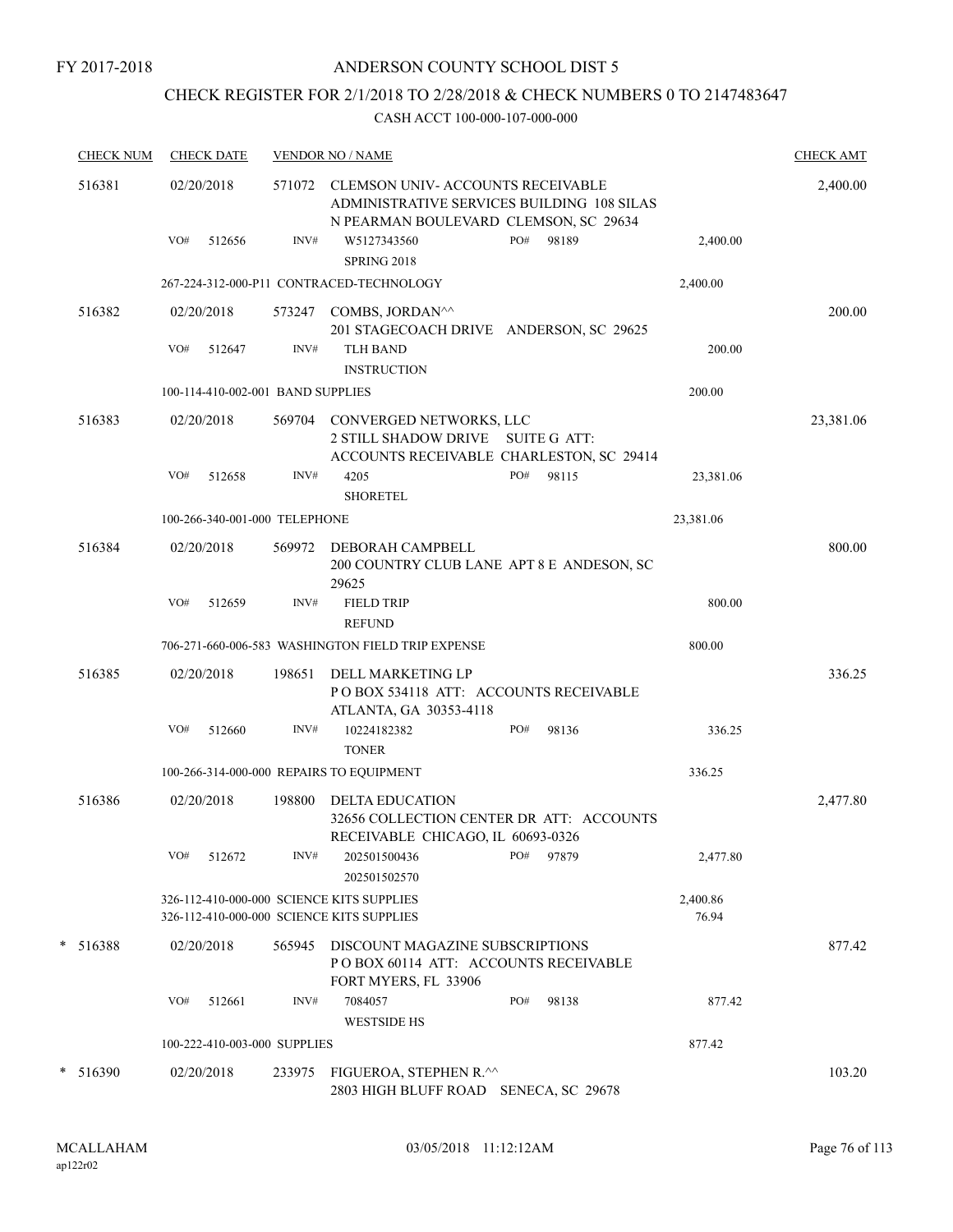## ANDERSON COUNTY SCHOOL DIST 5

# CHECK REGISTER FOR 2/1/2018 TO 2/28/2018 & CHECK NUMBERS 0 TO 2147483647

| <b>CHECK NUM</b> |            | <b>CHECK DATE</b>                 |        | <b>VENDOR NO / NAME</b>                                                                                                        |     |       |                   | <b>CHECK AMT</b> |
|------------------|------------|-----------------------------------|--------|--------------------------------------------------------------------------------------------------------------------------------|-----|-------|-------------------|------------------|
| 516381           | 02/20/2018 |                                   |        | 571072 CLEMSON UNIV-ACCOUNTS RECEIVABLE<br>ADMINISTRATIVE SERVICES BUILDING 108 SILAS<br>N PEARMAN BOULEVARD CLEMSON, SC 29634 |     |       |                   | 2,400.00         |
|                  | VO#        | 512656                            | INV#   | W5127343560<br>SPRING 2018                                                                                                     | PO# | 98189 | 2,400.00          |                  |
|                  |            |                                   |        | 267-224-312-000-P11 CONTRACED-TECHNOLOGY                                                                                       |     |       | 2,400.00          |                  |
| 516382           | 02/20/2018 |                                   |        | 573247 COMBS, JORDAN <sup>^^</sup><br>201 STAGECOACH DRIVE ANDERSON, SC 29625                                                  |     |       |                   | 200.00           |
|                  | VO#        | 512647                            | INV#   | <b>TLH BAND</b><br><b>INSTRUCTION</b>                                                                                          |     |       | 200.00            |                  |
|                  |            | 100-114-410-002-001 BAND SUPPLIES |        |                                                                                                                                |     |       | 200.00            |                  |
| 516383           | 02/20/2018 |                                   |        | 569704 CONVERGED NETWORKS, LLC<br>2 STILL SHADOW DRIVE SUITE G ATT:<br>ACCOUNTS RECEIVABLE CHARLESTON, SC 29414                |     |       |                   | 23,381.06        |
|                  | VO#        | 512658                            | INV#   | 4205<br><b>SHORETEL</b>                                                                                                        | PO# | 98115 | 23,381.06         |                  |
|                  |            | 100-266-340-001-000 TELEPHONE     |        |                                                                                                                                |     |       | 23,381.06         |                  |
| 516384           | 02/20/2018 |                                   | 569972 | DEBORAH CAMPBELL<br>200 COUNTRY CLUB LANE APT 8 E ANDESON, SC<br>29625                                                         |     |       |                   | 800.00           |
|                  | VO#        | 512659                            | INV#   | <b>FIELD TRIP</b><br><b>REFUND</b>                                                                                             |     |       | 800.00            |                  |
|                  |            |                                   |        | 706-271-660-006-583 WASHINGTON FIELD TRIP EXPENSE                                                                              |     |       | 800.00            |                  |
| 516385           | 02/20/2018 |                                   | 198651 | DELL MARKETING LP<br>POBOX 534118 ATT: ACCOUNTS RECEIVABLE                                                                     |     |       |                   | 336.25           |
|                  | VO#        | 512660                            | INV#   | ATLANTA, GA 30353-4118<br>10224182382<br><b>TONER</b>                                                                          | PO# | 98136 | 336.25            |                  |
|                  |            |                                   |        | 100-266-314-000-000 REPAIRS TO EQUIPMENT                                                                                       |     |       | 336.25            |                  |
| 516386           | 02/20/2018 |                                   | 198800 | DELTA EDUCATION<br>32656 COLLECTION CENTER DR ATT: ACCOUNTS<br>RECEIVABLE CHICAGO, IL 60693-0326                               |     |       |                   | 2,477.80         |
|                  | VO#        | 512672                            | INV#   | 202501500436<br>202501502570                                                                                                   | PO# | 97879 | 2,477.80          |                  |
|                  |            |                                   |        | 326-112-410-000-000 SCIENCE KITS SUPPLIES<br>326-112-410-000-000 SCIENCE KITS SUPPLIES                                         |     |       | 2,400.86<br>76.94 |                  |
| $* 516388$       | 02/20/2018 |                                   | 565945 | DISCOUNT MAGAZINE SUBSCRIPTIONS<br>POBOX 60114 ATT: ACCOUNTS RECEIVABLE<br>FORT MYERS, FL 33906                                |     |       |                   | 877.42           |
|                  | VO#        | 512661                            | INV#   | 7084057<br><b>WESTSIDE HS</b>                                                                                                  | PO# | 98138 | 877.42            |                  |
|                  |            | 100-222-410-003-000 SUPPLIES      |        |                                                                                                                                |     |       | 877.42            |                  |
| $* 516390$       | 02/20/2018 |                                   | 233975 | FIGUEROA, STEPHEN R.^^<br>2803 HIGH BLUFF ROAD SENECA, SC 29678                                                                |     |       |                   | 103.20           |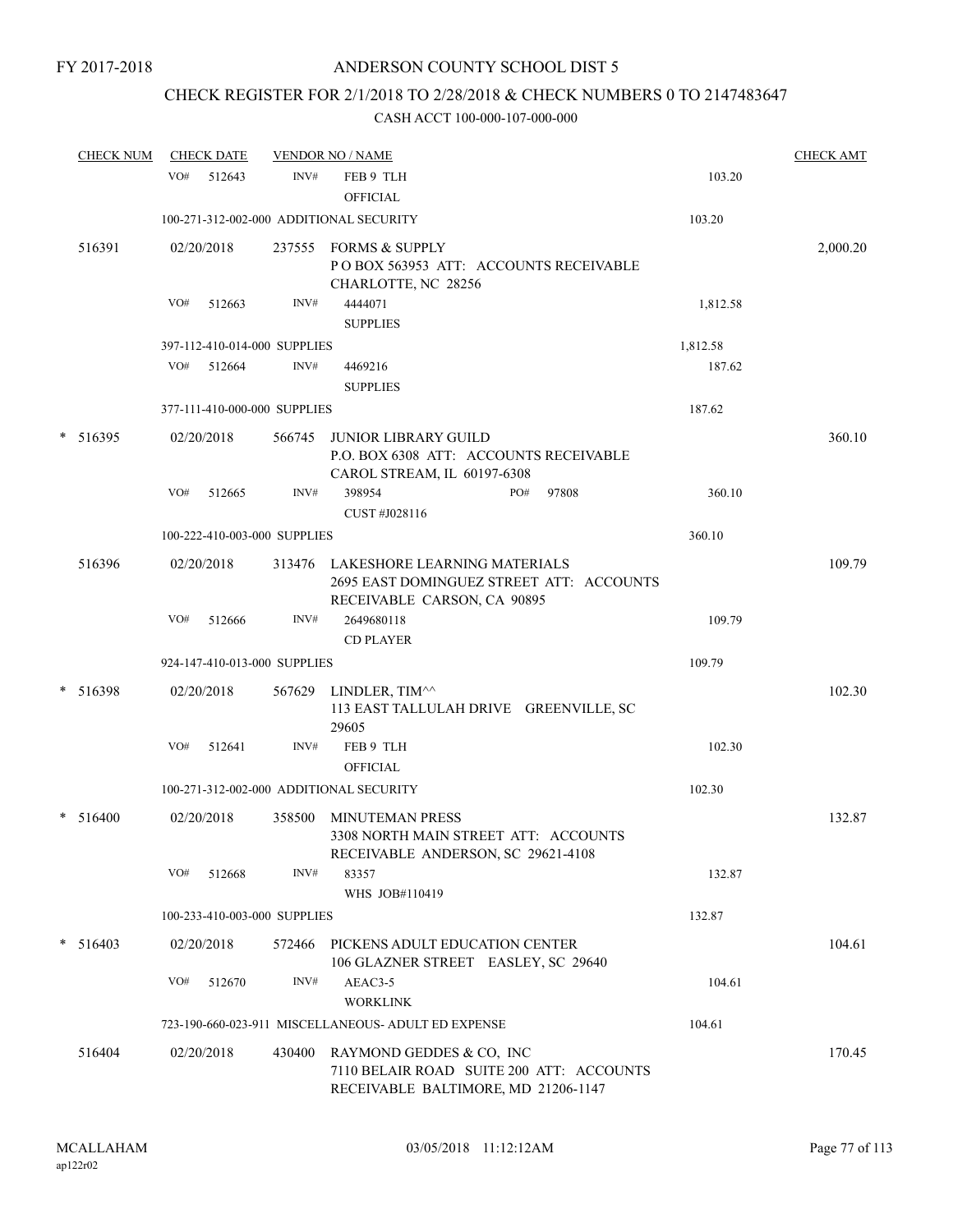# CHECK REGISTER FOR 2/1/2018 TO 2/28/2018 & CHECK NUMBERS 0 TO 2147483647

| <b>CHECK NUM</b> |     | <b>CHECK DATE</b> |                              | <b>VENDOR NO / NAME</b>                                                                                        |     |       |          | <b>CHECK AMT</b> |
|------------------|-----|-------------------|------------------------------|----------------------------------------------------------------------------------------------------------------|-----|-------|----------|------------------|
|                  | VO# | 512643            | INV#                         | FEB 9 TLH<br><b>OFFICIAL</b>                                                                                   |     |       | 103.20   |                  |
|                  |     |                   |                              | 100-271-312-002-000 ADDITIONAL SECURITY                                                                        |     |       | 103.20   |                  |
| 516391           |     | 02/20/2018        |                              | 237555 FORMS & SUPPLY<br>POBOX 563953 ATT: ACCOUNTS RECEIVABLE<br>CHARLOTTE, NC 28256                          |     |       |          | 2,000.20         |
|                  | VO# | 512663            | INV#                         | 4444071<br><b>SUPPLIES</b>                                                                                     |     |       | 1,812.58 |                  |
|                  |     |                   | 397-112-410-014-000 SUPPLIES |                                                                                                                |     |       | 1,812.58 |                  |
|                  | VO# | 512664            | INV#                         | 4469216<br><b>SUPPLIES</b>                                                                                     |     |       | 187.62   |                  |
|                  |     |                   | 377-111-410-000-000 SUPPLIES |                                                                                                                |     |       | 187.62   |                  |
| $*$ 516395       |     | 02/20/2018        | 566745                       | JUNIOR LIBRARY GUILD<br>P.O. BOX 6308 ATT: ACCOUNTS RECEIVABLE<br>CAROL STREAM, IL 60197-6308                  |     |       |          | 360.10           |
|                  | VO# | 512665            | INV#                         | 398954<br>CUST #J028116                                                                                        | PO# | 97808 | 360.10   |                  |
|                  |     |                   | 100-222-410-003-000 SUPPLIES |                                                                                                                |     |       | 360.10   |                  |
| 516396           |     | 02/20/2018        |                              | 313476 LAKESHORE LEARNING MATERIALS<br>2695 EAST DOMINGUEZ STREET ATT: ACCOUNTS<br>RECEIVABLE CARSON, CA 90895 |     |       |          | 109.79           |
|                  | VO# | 512666            | INV#                         | 2649680118<br><b>CD PLAYER</b>                                                                                 |     |       | 109.79   |                  |
|                  |     |                   | 924-147-410-013-000 SUPPLIES |                                                                                                                |     |       | 109.79   |                  |
| $* 516398$       |     | 02/20/2018        | 567629                       | LINDLER, TIM^^<br>113 EAST TALLULAH DRIVE GREENVILLE, SC<br>29605                                              |     |       |          | 102.30           |
|                  | VO# | 512641            | INV#                         | FEB 9 TLH<br><b>OFFICIAL</b>                                                                                   |     |       | 102.30   |                  |
|                  |     |                   |                              | 100-271-312-002-000 ADDITIONAL SECURITY                                                                        |     |       | 102.30   |                  |
| $* 516400$       |     | 02/20/2018        | 358500                       | <b>MINUTEMAN PRESS</b><br>3308 NORTH MAIN STREET ATT: ACCOUNTS<br>RECEIVABLE ANDERSON, SC 29621-4108           |     |       |          | 132.87           |
|                  | VO# | 512668            | INV#                         | 83357<br>WHS JOB#110419                                                                                        |     |       | 132.87   |                  |
|                  |     |                   | 100-233-410-003-000 SUPPLIES |                                                                                                                |     |       | 132.87   |                  |
| $*$ 516403       |     | 02/20/2018        | 572466                       | PICKENS ADULT EDUCATION CENTER<br>106 GLAZNER STREET EASLEY, SC 29640                                          |     |       |          | 104.61           |
|                  | VO# | 512670            | INV#                         | AEAC3-5<br><b>WORKLINK</b>                                                                                     |     |       | 104.61   |                  |
|                  |     |                   |                              | 723-190-660-023-911 MISCELLANEOUS- ADULT ED EXPENSE                                                            |     |       | 104.61   |                  |
| 516404           |     | 02/20/2018        | 430400                       | RAYMOND GEDDES & CO, INC<br>7110 BELAIR ROAD SUITE 200 ATT: ACCOUNTS<br>RECEIVABLE BALTIMORE, MD 21206-1147    |     |       |          | 170.45           |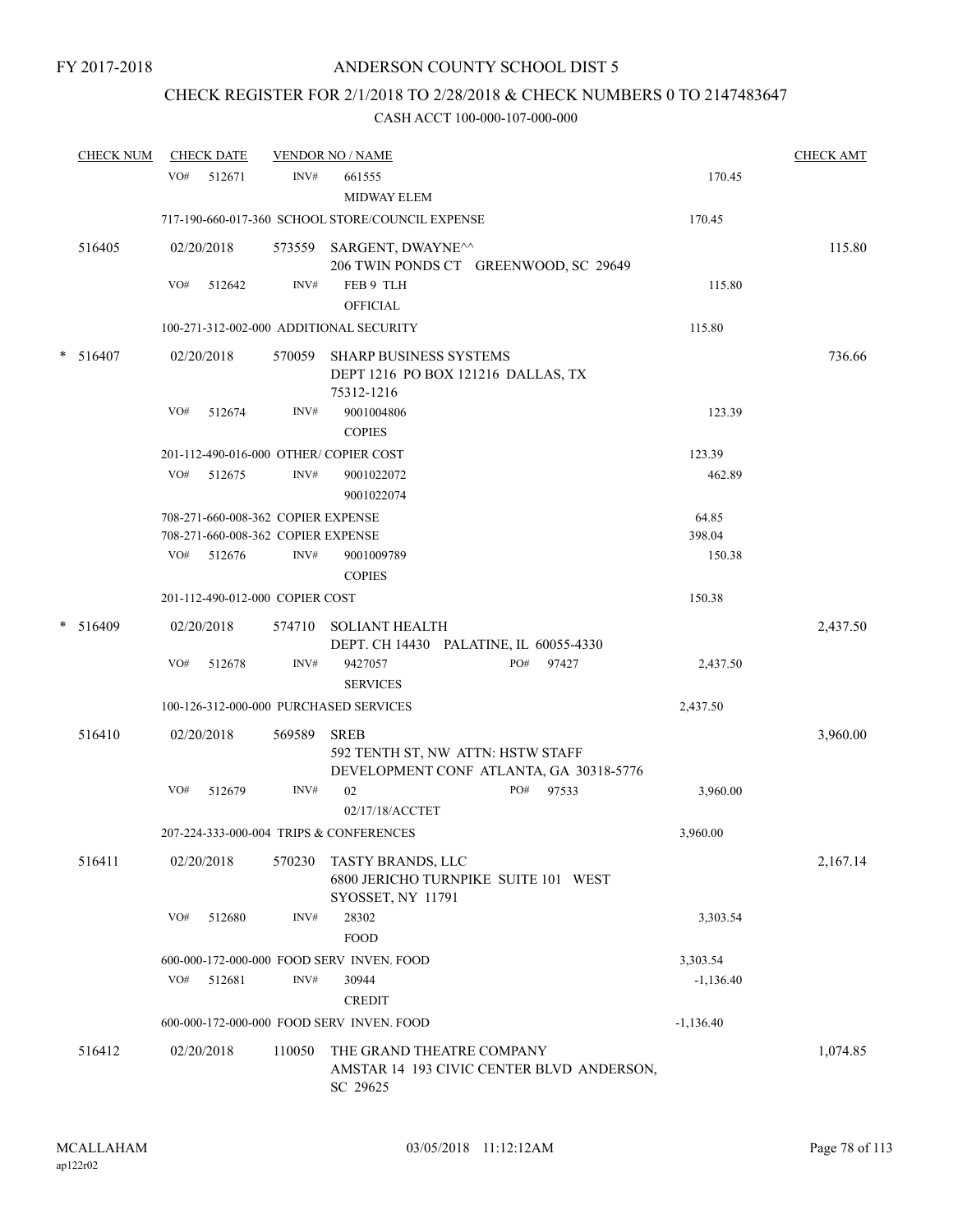# CHECK REGISTER FOR 2/1/2018 TO 2/28/2018 & CHECK NUMBERS 0 TO 2147483647

|        | <b>CHECK NUM</b> |     | <b>CHECK DATE</b> |                                    | <b>VENDOR NO / NAME</b>                                                                     |              |             | <b>CHECK AMT</b> |
|--------|------------------|-----|-------------------|------------------------------------|---------------------------------------------------------------------------------------------|--------------|-------------|------------------|
|        |                  | VO# | 512671            | INV#                               | 661555<br><b>MIDWAY ELEM</b>                                                                |              | 170.45      |                  |
|        |                  |     |                   |                                    | 717-190-660-017-360 SCHOOL STORE/COUNCIL EXPENSE                                            |              | 170.45      |                  |
|        | 516405           |     | 02/20/2018        |                                    | 573559 SARGENT, DWAYNE <sup>^^</sup><br>206 TWIN PONDS CT GREENWOOD, SC 29649               |              |             | 115.80           |
|        |                  | VO# | 512642            | INV#                               | FEB 9 TLH<br><b>OFFICIAL</b>                                                                |              | 115.80      |                  |
|        |                  |     |                   |                                    | 100-271-312-002-000 ADDITIONAL SECURITY                                                     |              | 115.80      |                  |
| $\ast$ | 516407           |     | 02/20/2018        |                                    | 570059 SHARP BUSINESS SYSTEMS<br>DEPT 1216 PO BOX 121216 DALLAS, TX<br>75312-1216           |              |             | 736.66           |
|        |                  | VO# | 512674            | INV#                               | 9001004806<br><b>COPIES</b>                                                                 |              | 123.39      |                  |
|        |                  |     |                   |                                    | 201-112-490-016-000 OTHER/COPIER COST                                                       |              | 123.39      |                  |
|        |                  | VO# | 512675            | INV#                               | 9001022072<br>9001022074                                                                    |              | 462.89      |                  |
|        |                  |     |                   | 708-271-660-008-362 COPIER EXPENSE |                                                                                             |              | 64.85       |                  |
|        |                  |     |                   | 708-271-660-008-362 COPIER EXPENSE |                                                                                             |              | 398.04      |                  |
|        |                  | VO# | 512676            | INV#                               | 9001009789<br><b>COPIES</b>                                                                 |              | 150.38      |                  |
|        |                  |     |                   | 201-112-490-012-000 COPIER COST    |                                                                                             |              | 150.38      |                  |
|        | $* 516409$       |     | 02/20/2018        |                                    | 574710 SOLIANT HEALTH<br>DEPT. CH 14430 PALATINE, IL 60055-4330                             |              |             | 2,437.50         |
|        |                  | VO# | 512678            | INV#                               | 9427057<br><b>SERVICES</b>                                                                  | PO#<br>97427 | 2,437.50    |                  |
|        |                  |     |                   |                                    | 100-126-312-000-000 PURCHASED SERVICES                                                      |              | 2,437.50    |                  |
|        | 516410           |     | 02/20/2018        | 569589                             | <b>SREB</b><br>592 TENTH ST, NW ATTN: HSTW STAFF<br>DEVELOPMENT CONF ATLANTA, GA 30318-5776 |              |             | 3,960.00         |
|        |                  | VO# | 512679            | INV#                               | 02<br>02/17/18/ACCTET                                                                       | PO# 97533    | 3,960.00    |                  |
|        |                  |     |                   |                                    | 207-224-333-000-004 TRIPS & CONFERENCES                                                     |              | 3,960.00    |                  |
|        | 516411           |     | 02/20/2018        | 570230                             | TASTY BRANDS, LLC<br>6800 JERICHO TURNPIKE SUITE 101 WEST<br>SYOSSET, NY 11791              |              |             | 2,167.14         |
|        |                  | VO# | 512680            | INV#                               | 28302<br><b>FOOD</b>                                                                        |              | 3,303.54    |                  |
|        |                  |     |                   |                                    | 600-000-172-000-000 FOOD SERV INVEN, FOOD                                                   |              | 3,303.54    |                  |
|        |                  | VO# | 512681            | INV#                               | 30944<br><b>CREDIT</b>                                                                      |              | $-1,136.40$ |                  |
|        |                  |     |                   |                                    | 600-000-172-000-000 FOOD SERV INVEN. FOOD                                                   |              | $-1,136.40$ |                  |
|        | 516412           |     | 02/20/2018        | 110050                             | THE GRAND THEATRE COMPANY<br>AMSTAR 14 193 CIVIC CENTER BLVD ANDERSON,<br>SC 29625          |              |             | 1,074.85         |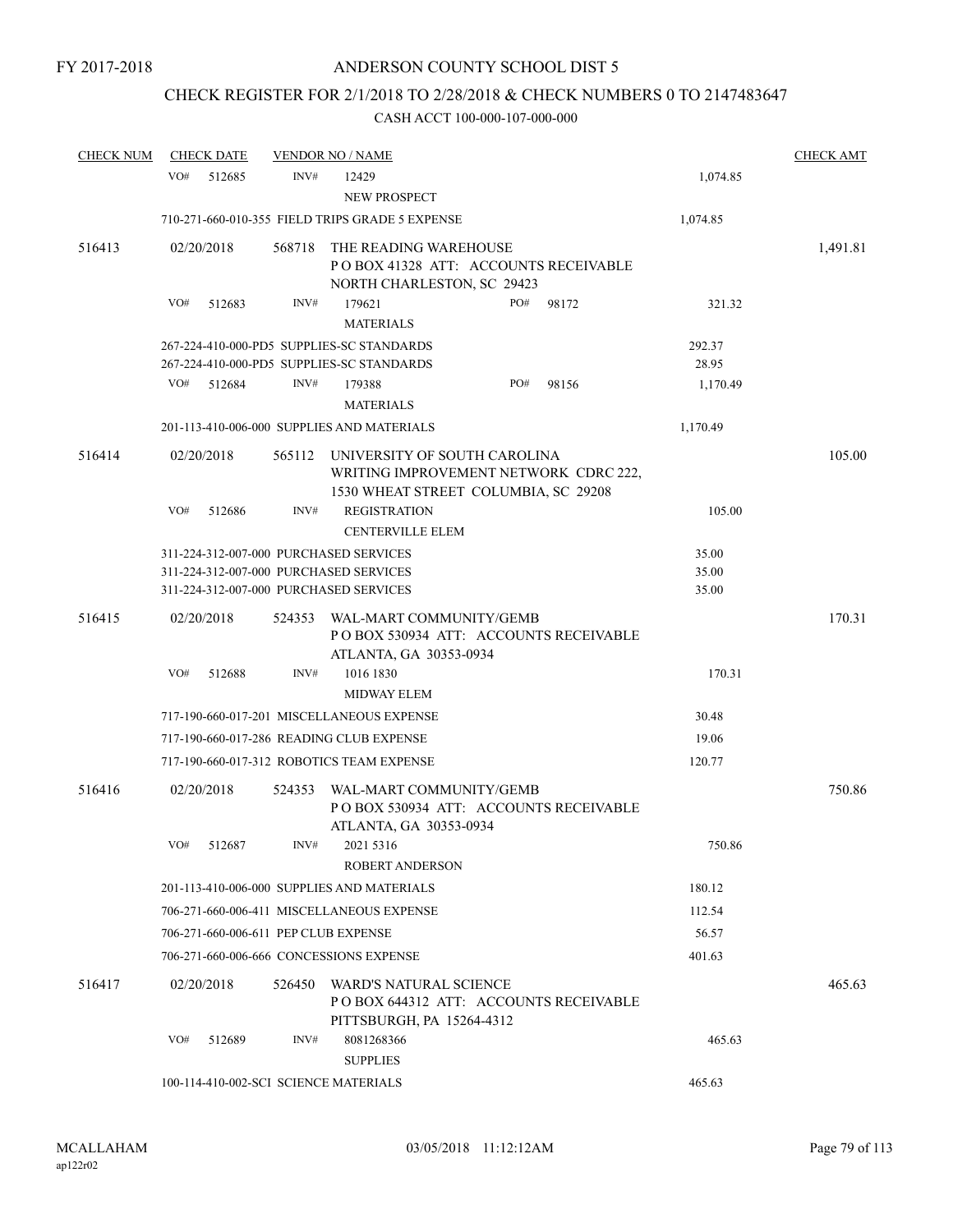## CHECK REGISTER FOR 2/1/2018 TO 2/28/2018 & CHECK NUMBERS 0 TO 2147483647

| <b>CHECK NUM</b> | <b>CHECK DATE</b> |        |        | <b>VENDOR NO / NAME</b>                                                                                                    |     |       |                         | <b>CHECK AMT</b> |
|------------------|-------------------|--------|--------|----------------------------------------------------------------------------------------------------------------------------|-----|-------|-------------------------|------------------|
|                  | VO#               | 512685 | INV#   | 12429<br>NEW PROSPECT                                                                                                      |     |       | 1,074.85                |                  |
|                  |                   |        |        | 710-271-660-010-355 FIELD TRIPS GRADE 5 EXPENSE                                                                            |     |       | 1,074.85                |                  |
| 516413           | 02/20/2018        |        | 568718 | THE READING WAREHOUSE<br>POBOX 41328 ATT: ACCOUNTS RECEIVABLE<br>NORTH CHARLESTON, SC 29423                                |     |       |                         | 1,491.81         |
|                  | VO#               | 512683 | INV#   | 179621<br><b>MATERIALS</b>                                                                                                 | PO# | 98172 | 321.32                  |                  |
|                  |                   |        |        | 267-224-410-000-PD5 SUPPLIES-SC STANDARDS<br>267-224-410-000-PD5 SUPPLIES-SC STANDARDS                                     |     |       | 292.37<br>28.95         |                  |
|                  | VO#               | 512684 | INV#   | 179388<br><b>MATERIALS</b>                                                                                                 | PO# | 98156 | 1,170.49                |                  |
|                  |                   |        |        | 201-113-410-006-000 SUPPLIES AND MATERIALS                                                                                 |     |       | 1,170.49                |                  |
| 516414           | 02/20/2018        |        | 565112 | UNIVERSITY OF SOUTH CAROLINA<br>WRITING IMPROVEMENT NETWORK CDRC 222,<br>1530 WHEAT STREET COLUMBIA, SC 29208              |     |       |                         | 105.00           |
|                  | VO#               | 512686 | INV#   | <b>REGISTRATION</b><br><b>CENTERVILLE ELEM</b>                                                                             |     |       | 105.00                  |                  |
|                  |                   |        |        | 311-224-312-007-000 PURCHASED SERVICES<br>311-224-312-007-000 PURCHASED SERVICES<br>311-224-312-007-000 PURCHASED SERVICES |     |       | 35.00<br>35.00<br>35.00 |                  |
| 516415           | 02/20/2018        |        | 524353 | WAL-MART COMMUNITY/GEMB<br>POBOX 530934 ATT: ACCOUNTS RECEIVABLE<br>ATLANTA, GA 30353-0934                                 |     |       |                         | 170.31           |
|                  | VO#               | 512688 | INV#   | 1016 1830<br><b>MIDWAY ELEM</b>                                                                                            |     |       | 170.31                  |                  |
|                  |                   |        |        | 717-190-660-017-201 MISCELLANEOUS EXPENSE                                                                                  |     |       | 30.48                   |                  |
|                  |                   |        |        | 717-190-660-017-286 READING CLUB EXPENSE                                                                                   |     |       | 19.06                   |                  |
|                  |                   |        |        | 717-190-660-017-312 ROBOTICS TEAM EXPENSE                                                                                  |     |       | 120.77                  |                  |
| 516416           | 02/20/2018        |        | 524353 | WAL-MART COMMUNITY/GEMB<br>PO BOX 530934 ATT: ACCOUNTS RECEIVABLE<br>ATLANTA, GA 30353-0934                                |     |       |                         | 750.86           |
|                  | VO# 512687        |        | INV#   | 2021 5316<br><b>ROBERT ANDERSON</b>                                                                                        |     |       | 750.86                  |                  |
|                  |                   |        |        | 201-113-410-006-000 SUPPLIES AND MATERIALS                                                                                 |     |       | 180.12                  |                  |
|                  |                   |        |        | 706-271-660-006-411 MISCELLANEOUS EXPENSE                                                                                  |     |       | 112.54                  |                  |
|                  |                   |        |        | 706-271-660-006-611 PEP CLUB EXPENSE                                                                                       |     |       | 56.57                   |                  |
|                  |                   |        |        | 706-271-660-006-666 CONCESSIONS EXPENSE                                                                                    |     |       | 401.63                  |                  |
| 516417           | 02/20/2018        |        | 526450 | WARD'S NATURAL SCIENCE<br>POBOX 644312 ATT: ACCOUNTS RECEIVABLE<br>PITTSBURGH, PA 15264-4312                               |     |       |                         | 465.63           |
|                  | VO#               | 512689 | INV#   | 8081268366<br><b>SUPPLIES</b>                                                                                              |     |       | 465.63                  |                  |
|                  |                   |        |        | 100-114-410-002-SCI SCIENCE MATERIALS                                                                                      |     |       | 465.63                  |                  |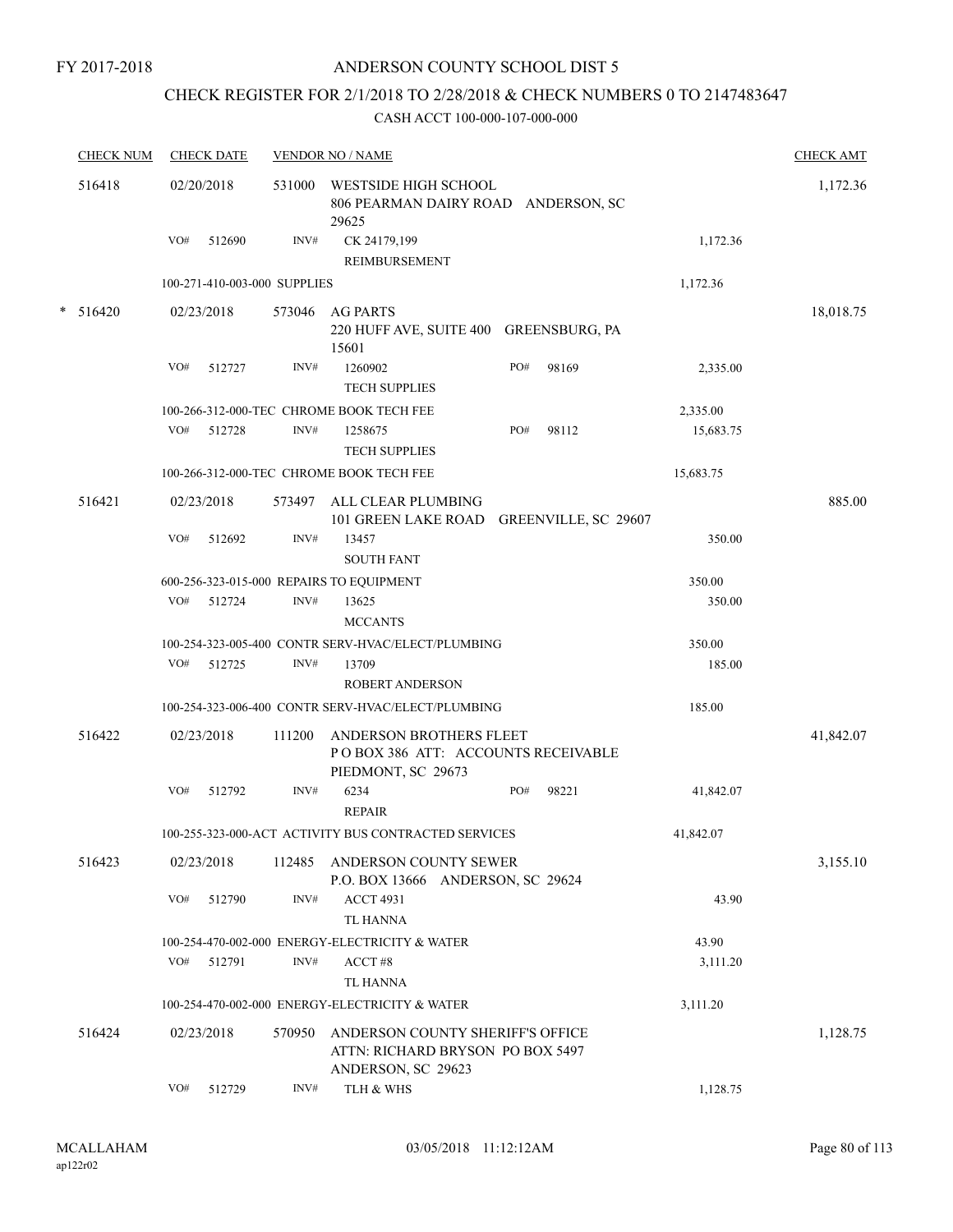## ANDERSON COUNTY SCHOOL DIST 5

# CHECK REGISTER FOR 2/1/2018 TO 2/28/2018 & CHECK NUMBERS 0 TO 2147483647

| <b>CHECK NUM</b> |     | <b>CHECK DATE</b> |                              | <b>VENDOR NO / NAME</b>                                                                    |     |       |           | <b>CHECK AMT</b> |
|------------------|-----|-------------------|------------------------------|--------------------------------------------------------------------------------------------|-----|-------|-----------|------------------|
| 516418           |     | 02/20/2018        | 531000                       | WESTSIDE HIGH SCHOOL<br>806 PEARMAN DAIRY ROAD ANDERSON, SC<br>29625                       |     |       |           | 1,172.36         |
|                  | VO# | 512690            | INV#                         | CK 24179,199<br><b>REIMBURSEMENT</b>                                                       |     |       | 1,172.36  |                  |
|                  |     |                   | 100-271-410-003-000 SUPPLIES |                                                                                            |     |       | 1,172.36  |                  |
| $* 516420$       |     | 02/23/2018        | 573046                       | <b>AG PARTS</b>                                                                            |     |       |           | 18,018.75        |
|                  |     |                   |                              | 220 HUFF AVE, SUITE 400 GREENSBURG, PA<br>15601                                            |     |       |           |                  |
|                  | VO# | 512727            | INV#                         | 1260902                                                                                    | PO# | 98169 | 2,335.00  |                  |
|                  |     |                   |                              | <b>TECH SUPPLIES</b>                                                                       |     |       |           |                  |
|                  |     |                   |                              | 100-266-312-000-TEC CHROME BOOK TECH FEE                                                   |     |       | 2,335.00  |                  |
|                  | VO# | 512728            | INV#                         | 1258675<br><b>TECH SUPPLIES</b>                                                            | PO# | 98112 | 15,683.75 |                  |
|                  |     |                   |                              | 100-266-312-000-TEC CHROME BOOK TECH FEE                                                   |     |       | 15,683.75 |                  |
| 516421           |     | 02/23/2018        | 573497                       | ALL CLEAR PLUMBING<br>101 GREEN LAKE ROAD GREENVILLE, SC 29607                             |     |       |           | 885.00           |
|                  | VO# | 512692            | INV#                         | 13457<br><b>SOUTH FANT</b>                                                                 |     |       | 350.00    |                  |
|                  |     |                   |                              | 600-256-323-015-000 REPAIRS TO EQUIPMENT                                                   |     |       | 350.00    |                  |
|                  | VO# | 512724            | INV#                         | 13625<br><b>MCCANTS</b>                                                                    |     |       | 350.00    |                  |
|                  |     |                   |                              | 100-254-323-005-400 CONTR SERV-HVAC/ELECT/PLUMBING                                         |     |       | 350.00    |                  |
|                  | VO# | 512725            | INV#                         | 13709<br><b>ROBERT ANDERSON</b>                                                            |     |       | 185.00    |                  |
|                  |     |                   |                              | 100-254-323-006-400 CONTR SERV-HVAC/ELECT/PLUMBING                                         |     |       | 185.00    |                  |
| 516422           |     | 02/23/2018        | 111200                       | ANDERSON BROTHERS FLEET<br>POBOX 386 ATT: ACCOUNTS RECEIVABLE<br>PIEDMONT, SC 29673        |     |       |           | 41,842.07        |
|                  | VO# | 512792            | INV#                         | 6234<br><b>REPAIR</b>                                                                      | PO# | 98221 | 41,842.07 |                  |
|                  |     |                   |                              | 100-255-323-000-ACT ACTIVITY BUS CONTRACTED SERVICES                                       |     |       | 41,842.07 |                  |
| 516423           |     | 02/23/2018        | 112485                       | ANDERSON COUNTY SEWER<br>P.O. BOX 13666 ANDERSON, SC 29624                                 |     |       |           | 3,155.10         |
|                  | VO# | 512790            | INV#                         | <b>ACCT 4931</b><br><b>TL HANNA</b>                                                        |     |       | 43.90     |                  |
|                  |     |                   |                              | 100-254-470-002-000 ENERGY-ELECTRICITY & WATER                                             |     |       | 43.90     |                  |
|                  | VO# | 512791            | INV#                         | ACCT#8                                                                                     |     |       | 3,111.20  |                  |
|                  |     |                   |                              | <b>TL HANNA</b>                                                                            |     |       |           |                  |
|                  |     |                   |                              | 100-254-470-002-000 ENERGY-ELECTRICITY & WATER                                             |     |       | 3,111.20  |                  |
| 516424           |     | 02/23/2018        | 570950                       | ANDERSON COUNTY SHERIFF'S OFFICE<br>ATTN: RICHARD BRYSON PO BOX 5497<br>ANDERSON, SC 29623 |     |       |           | 1,128.75         |
|                  | VO# | 512729            | INV#                         | TLH & WHS                                                                                  |     |       | 1,128.75  |                  |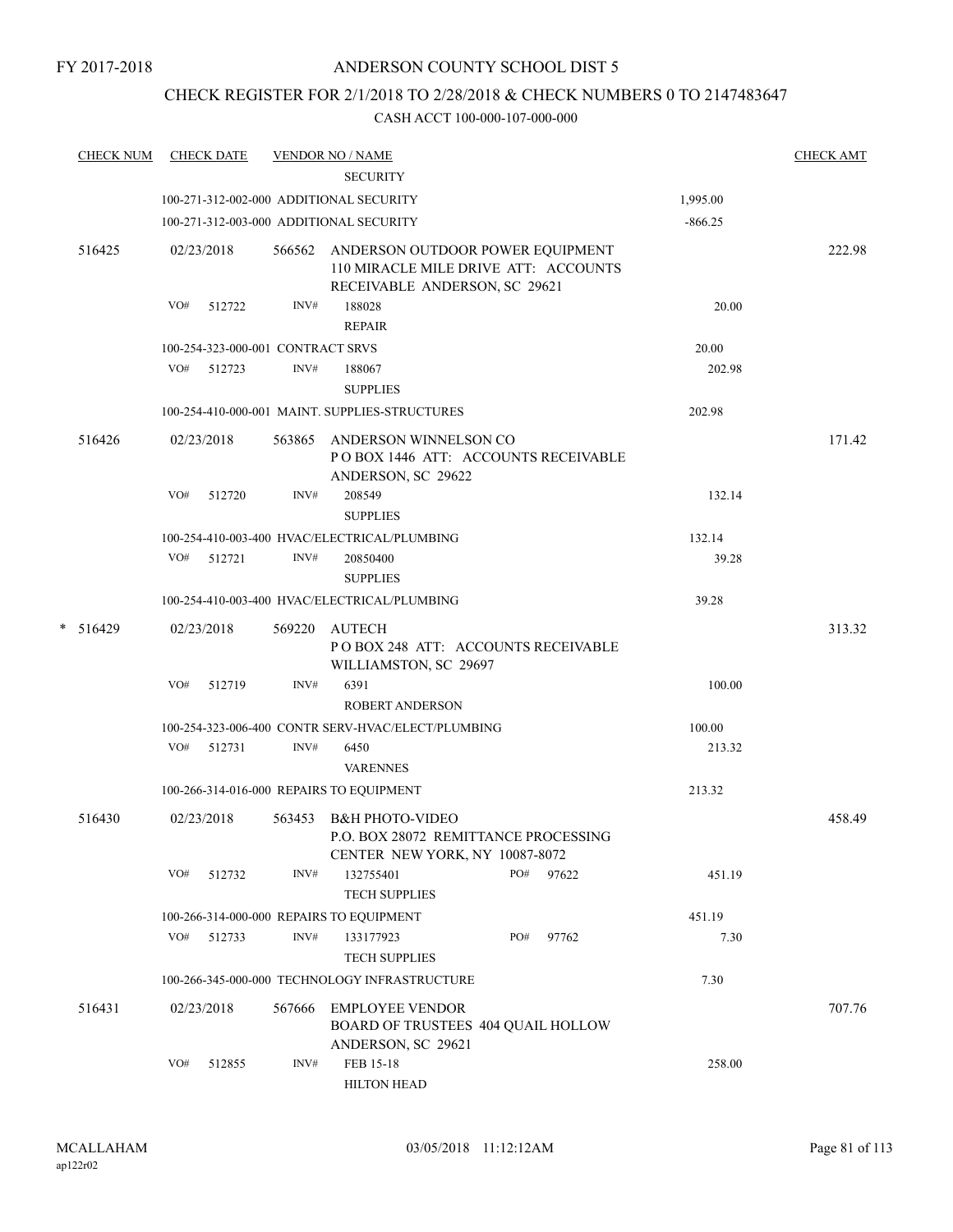## CHECK REGISTER FOR 2/1/2018 TO 2/28/2018 & CHECK NUMBERS 0 TO 2147483647

| <b>CHECK NUM</b> | <b>CHECK DATE</b>                        |        | <b>VENDOR NO / NAME</b>                                                                                          |           | <b>CHECK AMT</b> |
|------------------|------------------------------------------|--------|------------------------------------------------------------------------------------------------------------------|-----------|------------------|
|                  |                                          |        | <b>SECURITY</b>                                                                                                  |           |                  |
|                  | 100-271-312-002-000 ADDITIONAL SECURITY  |        |                                                                                                                  | 1,995.00  |                  |
|                  | 100-271-312-003-000 ADDITIONAL SECURITY  |        |                                                                                                                  | $-866.25$ |                  |
| 516425           | 02/23/2018                               |        | 566562 ANDERSON OUTDOOR POWER EQUIPMENT<br>110 MIRACLE MILE DRIVE ATT: ACCOUNTS<br>RECEIVABLE ANDERSON, SC 29621 |           | 222.98           |
|                  | VO#<br>512722                            | INV#   | 188028<br><b>REPAIR</b>                                                                                          | 20.00     |                  |
|                  | 100-254-323-000-001 CONTRACT SRVS        |        |                                                                                                                  | 20.00     |                  |
|                  | VO# 512723                               | INV#   | 188067<br><b>SUPPLIES</b>                                                                                        | 202.98    |                  |
|                  |                                          |        | 100-254-410-000-001 MAINT. SUPPLIES-STRUCTURES                                                                   | 202.98    |                  |
| 516426           | 02/23/2018                               |        | 563865 ANDERSON WINNELSON CO<br>POBOX 1446 ATT: ACCOUNTS RECEIVABLE<br>ANDERSON, SC 29622                        |           | 171.42           |
|                  | VO#<br>512720                            | INV#   | 208549<br><b>SUPPLIES</b>                                                                                        | 132.14    |                  |
|                  |                                          |        | 100-254-410-003-400 HVAC/ELECTRICAL/PLUMBING                                                                     | 132.14    |                  |
|                  | VO#<br>512721                            | INV#   | 20850400<br><b>SUPPLIES</b>                                                                                      | 39.28     |                  |
|                  |                                          |        | 100-254-410-003-400 HVAC/ELECTRICAL/PLUMBING                                                                     | 39.28     |                  |
| $* 516429$       | 02/23/2018                               |        | 569220 AUTECH<br>POBOX 248 ATT: ACCOUNTS RECEIVABLE<br>WILLIAMSTON, SC 29697                                     |           | 313.32           |
|                  | VO#<br>512719                            | INV#   | 6391<br><b>ROBERT ANDERSON</b>                                                                                   | 100.00    |                  |
|                  |                                          |        | 100-254-323-006-400 CONTR SERV-HVAC/ELECT/PLUMBING                                                               | 100.00    |                  |
|                  | VO# 512731                               | INV#   | 6450<br><b>VARENNES</b>                                                                                          | 213.32    |                  |
|                  |                                          |        | 100-266-314-016-000 REPAIRS TO EQUIPMENT                                                                         | 213.32    |                  |
| 516430           | 02/23/2018                               | 563453 | <b>B&amp;H PHOTO-VIDEO</b><br>P.O. BOX 28072 REMITTANCE PROCESSING<br>CENTER NEW YORK, NY 10087-8072             |           | 458.49           |
|                  | VO#<br>512732                            | INV#   | PO#<br>132755401<br>97622<br><b>TECH SUPPLIES</b>                                                                | 451.19    |                  |
|                  | 100-266-314-000-000 REPAIRS TO EQUIPMENT |        |                                                                                                                  | 451.19    |                  |
|                  | VO#<br>512733                            | INV#   | PO#<br>133177923<br>97762<br><b>TECH SUPPLIES</b>                                                                | 7.30      |                  |
|                  |                                          |        | 100-266-345-000-000 TECHNOLOGY INFRASTRUCTURE                                                                    | 7.30      |                  |
| 516431           | 02/23/2018                               | 567666 | <b>EMPLOYEE VENDOR</b><br>BOARD OF TRUSTEES 404 QUAIL HOLLOW<br>ANDERSON, SC 29621                               |           | 707.76           |
|                  | VO#<br>512855                            | INV#   | FEB 15-18<br><b>HILTON HEAD</b>                                                                                  | 258.00    |                  |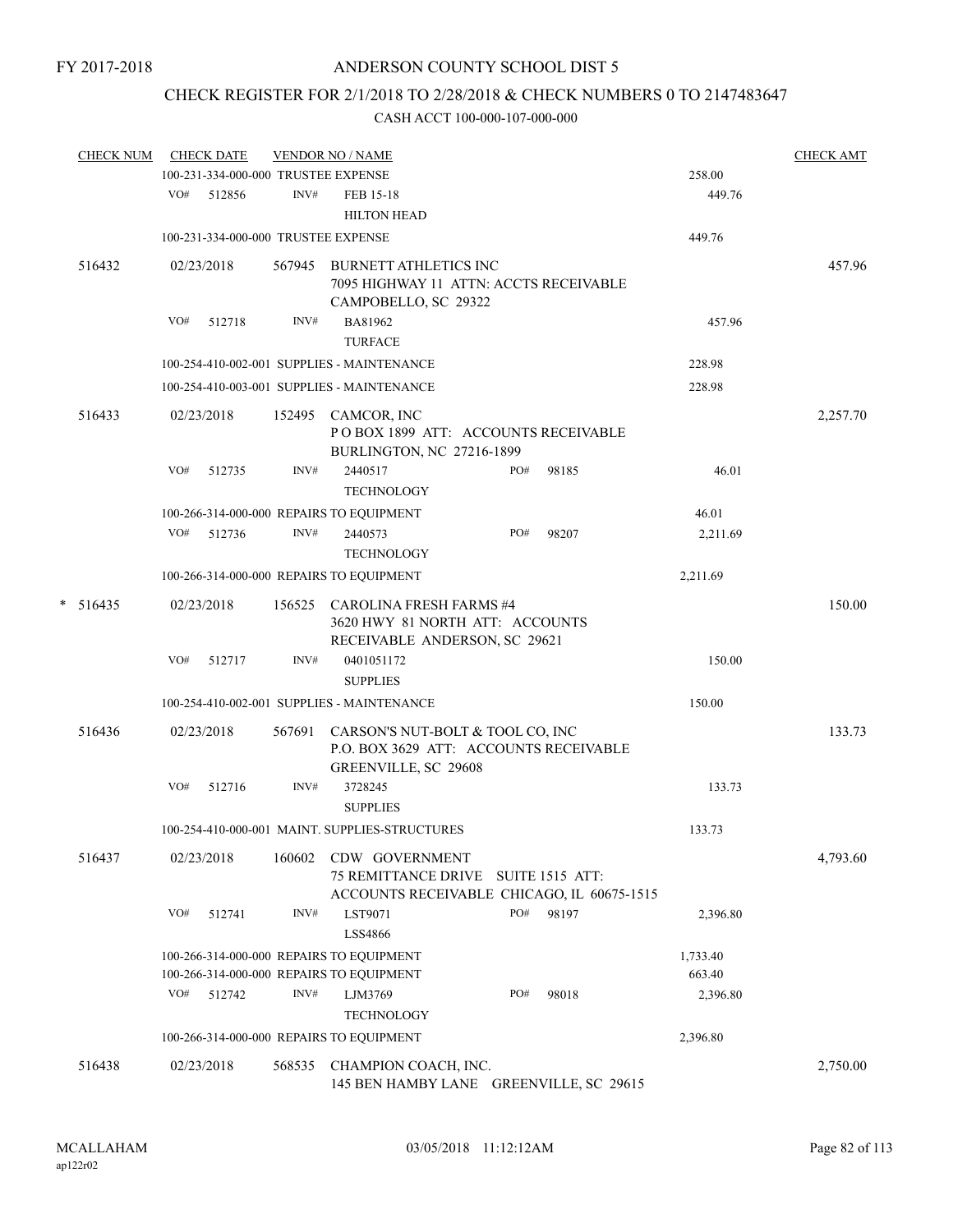# CHECK REGISTER FOR 2/1/2018 TO 2/28/2018 & CHECK NUMBERS 0 TO 2147483647

| <b>CHECK NUM</b> |     | <b>CHECK DATE</b>                   |        | <b>VENDOR NO / NAME</b>                                                                            |     |                        |          | <b>CHECK AMT</b> |
|------------------|-----|-------------------------------------|--------|----------------------------------------------------------------------------------------------------|-----|------------------------|----------|------------------|
|                  |     | 100-231-334-000-000 TRUSTEE EXPENSE |        |                                                                                                    |     |                        | 258.00   |                  |
|                  | VO# | 512856                              | INV#   | FEB 15-18<br><b>HILTON HEAD</b>                                                                    |     |                        | 449.76   |                  |
|                  |     | 100-231-334-000-000 TRUSTEE EXPENSE |        |                                                                                                    |     |                        | 449.76   |                  |
| 516432           |     | 02/23/2018                          | 567945 | <b>BURNETT ATHLETICS INC</b><br>7095 HIGHWAY 11 ATTN: ACCTS RECEIVABLE<br>CAMPOBELLO, SC 29322     |     |                        |          | 457.96           |
|                  | VO# | 512718                              | INV#   | BA81962<br><b>TURFACE</b>                                                                          |     |                        | 457.96   |                  |
|                  |     |                                     |        | 100-254-410-002-001 SUPPLIES - MAINTENANCE                                                         |     |                        | 228.98   |                  |
|                  |     |                                     |        | 100-254-410-003-001 SUPPLIES - MAINTENANCE                                                         |     |                        | 228.98   |                  |
| 516433           |     | 02/23/2018                          |        | 152495 CAMCOR, INC<br>POBOX 1899 ATT: ACCOUNTS RECEIVABLE<br>BURLINGTON, NC 27216-1899             |     |                        |          | 2,257.70         |
|                  | VO# | 512735                              | INV#   | 2440517<br><b>TECHNOLOGY</b>                                                                       | PO# | 98185                  | 46.01    |                  |
|                  |     |                                     |        | 100-266-314-000-000 REPAIRS TO EQUIPMENT                                                           |     |                        | 46.01    |                  |
|                  |     | VO# 512736                          | INV#   | 2440573<br><b>TECHNOLOGY</b>                                                                       | PO# | 98207                  | 2,211.69 |                  |
|                  |     |                                     |        | 100-266-314-000-000 REPAIRS TO EQUIPMENT                                                           |     |                        | 2,211.69 |                  |
| $* 516435$       |     | 02/23/2018                          | 156525 | <b>CAROLINA FRESH FARMS #4</b><br>3620 HWY 81 NORTH ATT: ACCOUNTS<br>RECEIVABLE ANDERSON, SC 29621 |     |                        |          | 150.00           |
|                  | VO# | 512717                              | INV#   | 0401051172<br><b>SUPPLIES</b>                                                                      |     |                        | 150.00   |                  |
|                  |     |                                     |        | 100-254-410-002-001 SUPPLIES - MAINTENANCE                                                         |     |                        | 150.00   |                  |
| 516436           |     | 02/23/2018                          | 567691 | CARSON'S NUT-BOLT & TOOL CO, INC<br>P.O. BOX 3629 ATT: ACCOUNTS RECEIVABLE<br>GREENVILLE, SC 29608 |     |                        |          | 133.73           |
|                  | VO# | 512716                              | INV#   | 3728245<br><b>SUPPLIES</b>                                                                         |     |                        | 133.73   |                  |
|                  |     |                                     |        | 100-254-410-000-001 MAINT. SUPPLIES-STRUCTURES                                                     |     |                        | 133.73   |                  |
| 516437           |     | 02/23/2018                          | 160602 | CDW GOVERNMENT<br><b>75 REMITTANCE DRIVE</b><br>ACCOUNTS RECEIVABLE CHICAGO, IL 60675-1515         |     | <b>SUITE 1515 ATT:</b> |          | 4,793.60         |
|                  | VO# | 512741                              | INV#   | LST9071<br>LSS4866                                                                                 | PO# | 98197                  | 2,396.80 |                  |
|                  |     |                                     |        | 100-266-314-000-000 REPAIRS TO EQUIPMENT                                                           |     |                        | 1,733.40 |                  |
|                  |     |                                     |        | 100-266-314-000-000 REPAIRS TO EQUIPMENT                                                           |     |                        | 663.40   |                  |
|                  | VO# | 512742                              | INV#   | LJM3769<br><b>TECHNOLOGY</b>                                                                       | PO# | 98018                  | 2,396.80 |                  |
|                  |     |                                     |        | 100-266-314-000-000 REPAIRS TO EQUIPMENT                                                           |     |                        | 2,396.80 |                  |
| 516438           |     | 02/23/2018                          | 568535 | CHAMPION COACH, INC.<br>145 BEN HAMBY LANE GREENVILLE, SC 29615                                    |     |                        |          | 2,750.00         |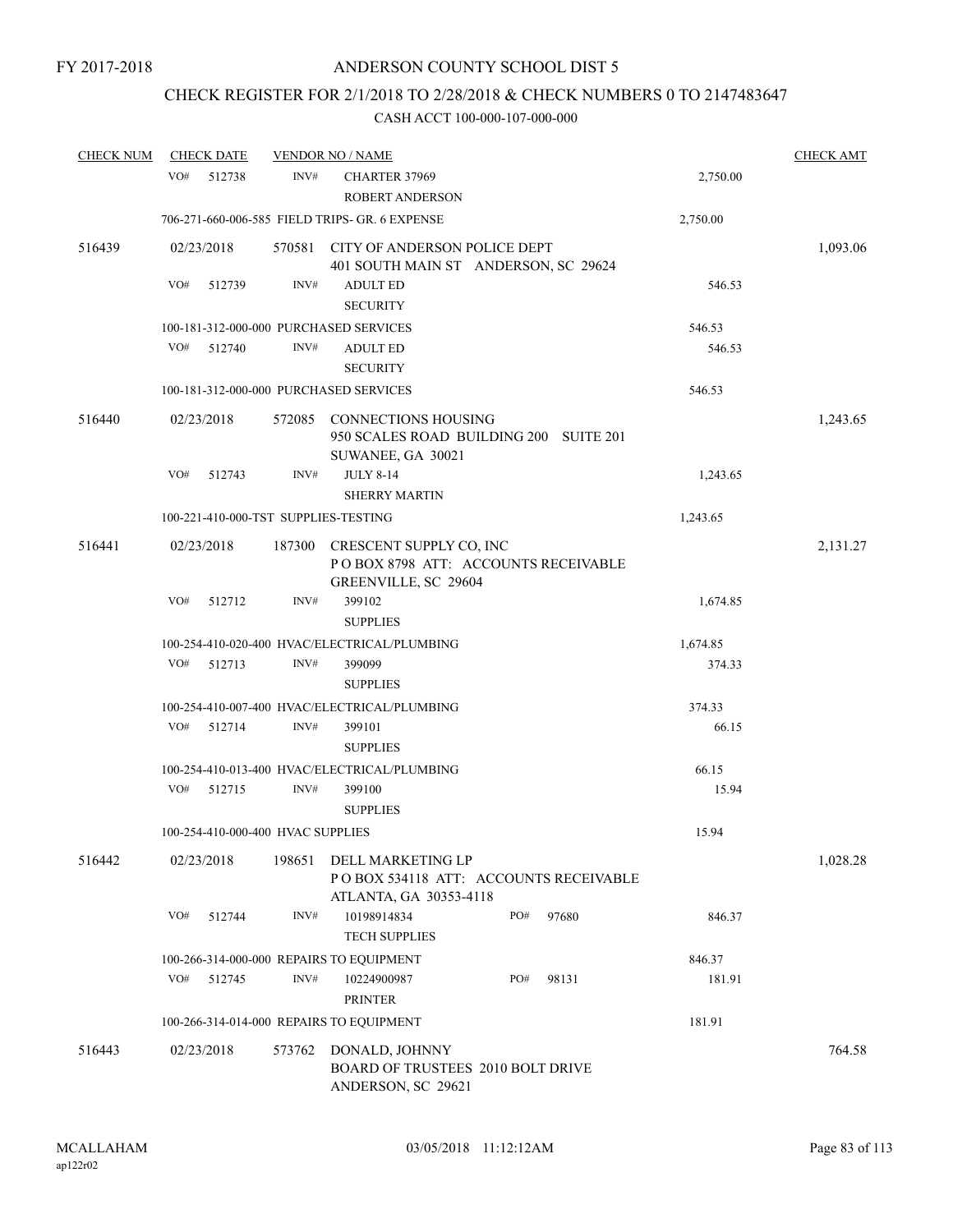# CHECK REGISTER FOR 2/1/2018 TO 2/28/2018 & CHECK NUMBERS 0 TO 2147483647

| <b>CHECK NUM</b> |            | <b>CHECK DATE</b>                 |        | <b>VENDOR NO / NAME</b>                                                                   |     |       |          | <b>CHECK AMT</b> |
|------------------|------------|-----------------------------------|--------|-------------------------------------------------------------------------------------------|-----|-------|----------|------------------|
|                  | VO#        | 512738                            | INV#   | CHARTER 37969<br><b>ROBERT ANDERSON</b>                                                   |     |       | 2,750.00 |                  |
|                  |            |                                   |        | 706-271-660-006-585 FIELD TRIPS- GR. 6 EXPENSE                                            |     |       | 2,750.00 |                  |
| 516439           | 02/23/2018 |                                   | 570581 | CITY OF ANDERSON POLICE DEPT<br>401 SOUTH MAIN ST ANDERSON, SC 29624                      |     |       |          | 1,093.06         |
|                  | VO#        | 512739                            | INV#   | <b>ADULT ED</b><br><b>SECURITY</b>                                                        |     |       | 546.53   |                  |
|                  |            |                                   |        | 100-181-312-000-000 PURCHASED SERVICES                                                    |     |       | 546.53   |                  |
|                  | VO#        | 512740                            | INV#   | <b>ADULT ED</b><br><b>SECURITY</b>                                                        |     |       | 546.53   |                  |
|                  |            |                                   |        | 100-181-312-000-000 PURCHASED SERVICES                                                    |     |       | 546.53   |                  |
| 516440           | 02/23/2018 |                                   |        | 572085 CONNECTIONS HOUSING<br>950 SCALES ROAD BUILDING 200 SUITE 201<br>SUWANEE, GA 30021 |     |       |          | 1,243.65         |
|                  | VO#        | 512743                            | INV#   | <b>JULY 8-14</b><br><b>SHERRY MARTIN</b>                                                  |     |       | 1,243.65 |                  |
|                  |            |                                   |        | 100-221-410-000-TST SUPPLIES-TESTING                                                      |     |       | 1,243.65 |                  |
| 516441           | 02/23/2018 |                                   | 187300 | CRESCENT SUPPLY CO, INC<br>POBOX 8798 ATT: ACCOUNTS RECEIVABLE<br>GREENVILLE, SC 29604    |     |       |          | 2,131.27         |
|                  | VO#        | 512712                            | INV#   | 399102<br><b>SUPPLIES</b>                                                                 |     |       | 1,674.85 |                  |
|                  |            |                                   |        | 100-254-410-020-400 HVAC/ELECTRICAL/PLUMBING                                              |     |       | 1,674.85 |                  |
|                  | VO#        | 512713                            | INV#   | 399099<br><b>SUPPLIES</b>                                                                 |     |       | 374.33   |                  |
|                  |            |                                   |        | 100-254-410-007-400 HVAC/ELECTRICAL/PLUMBING                                              |     |       | 374.33   |                  |
|                  | VO#        | 512714                            | INV#   | 399101<br><b>SUPPLIES</b>                                                                 |     |       | 66.15    |                  |
|                  |            |                                   |        | 100-254-410-013-400 HVAC/ELECTRICAL/PLUMBING                                              |     |       | 66.15    |                  |
|                  | VO#        | 512715                            | INV#   | 399100<br><b>SUPPLIES</b>                                                                 |     |       | 15.94    |                  |
|                  |            | 100-254-410-000-400 HVAC SUPPLIES |        |                                                                                           |     |       | 15.94    |                  |
| 516442           | 02/23/2018 |                                   | 198651 | DELL MARKETING LP<br>PO BOX 534118 ATT: ACCOUNTS RECEIVABLE<br>ATLANTA, GA 30353-4118     |     |       |          | 1,028.28         |
|                  | VO#        | 512744                            | INV#   | 10198914834<br><b>TECH SUPPLIES</b>                                                       | PO# | 97680 | 846.37   |                  |
|                  |            |                                   |        | 100-266-314-000-000 REPAIRS TO EQUIPMENT                                                  |     |       | 846.37   |                  |
|                  | VO#        | 512745                            | INV#   | 10224900987<br><b>PRINTER</b>                                                             | PO# | 98131 | 181.91   |                  |
|                  |            |                                   |        | 100-266-314-014-000 REPAIRS TO EQUIPMENT                                                  |     |       | 181.91   |                  |
| 516443           | 02/23/2018 |                                   | 573762 | DONALD, JOHNNY<br><b>BOARD OF TRUSTEES 2010 BOLT DRIVE</b><br>ANDERSON, SC 29621          |     |       |          | 764.58           |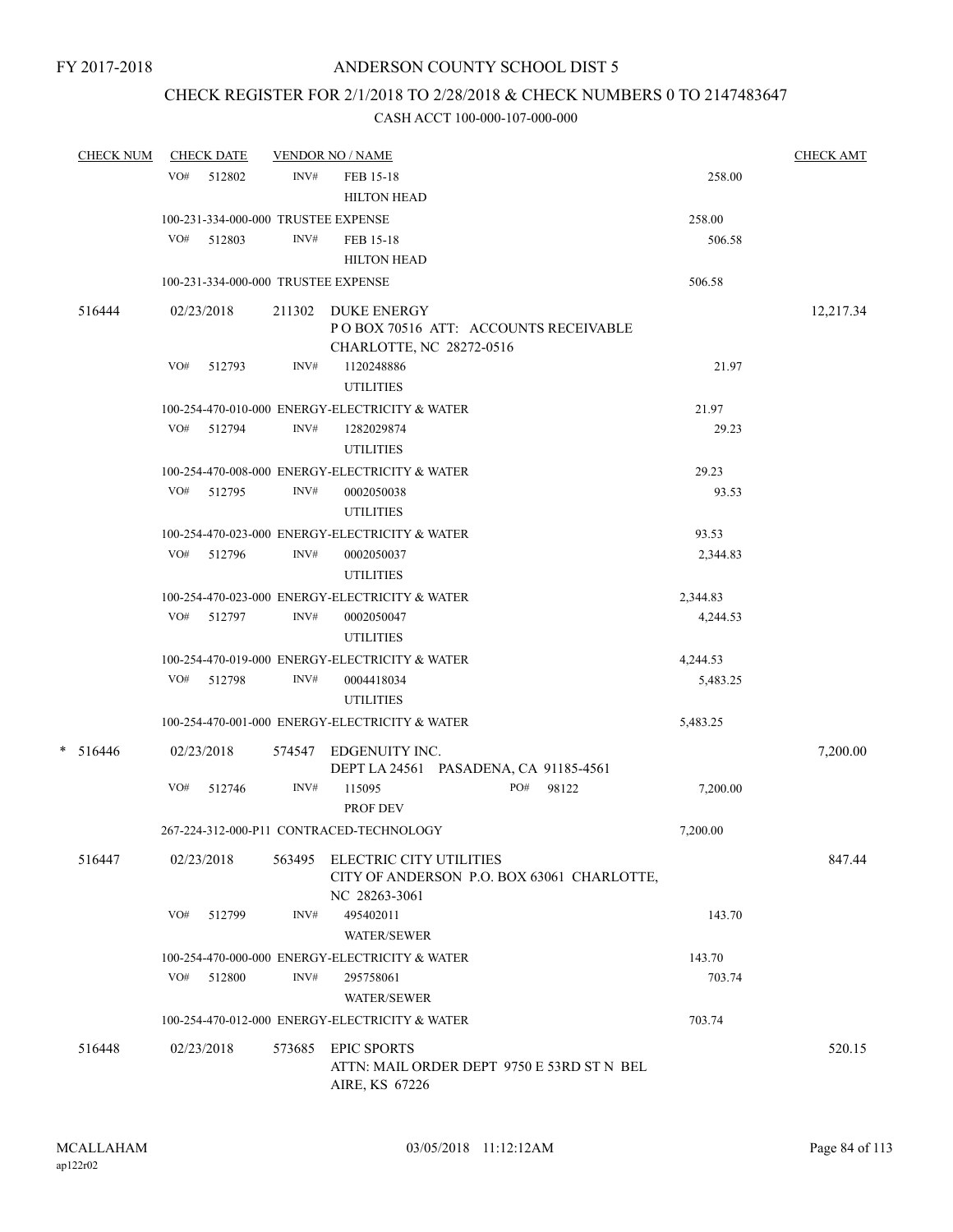## CHECK REGISTER FOR 2/1/2018 TO 2/28/2018 & CHECK NUMBERS 0 TO 2147483647

| <b>CHECK NUM</b> |     | <b>CHECK DATE</b>                   |        | <b>VENDOR NO / NAME</b>                         |           |          | <b>CHECK AMT</b> |
|------------------|-----|-------------------------------------|--------|-------------------------------------------------|-----------|----------|------------------|
|                  |     | VO# 512802                          | INV#   | FEB 15-18                                       |           | 258.00   |                  |
|                  |     |                                     |        | <b>HILTON HEAD</b>                              |           |          |                  |
|                  |     | 100-231-334-000-000 TRUSTEE EXPENSE |        |                                                 |           | 258.00   |                  |
|                  | VO# | 512803                              | INV#   | FEB 15-18                                       |           | 506.58   |                  |
|                  |     |                                     |        | <b>HILTON HEAD</b>                              |           |          |                  |
|                  |     | 100-231-334-000-000 TRUSTEE EXPENSE |        |                                                 |           | 506.58   |                  |
| 516444           |     | 02/23/2018                          |        | 211302 DUKE ENERGY                              |           |          | 12,217.34        |
|                  |     |                                     |        | POBOX 70516 ATT: ACCOUNTS RECEIVABLE            |           |          |                  |
|                  |     |                                     |        | CHARLOTTE, NC 28272-0516                        |           |          |                  |
|                  |     | VO# 512793                          | INV#   | 1120248886                                      |           | 21.97    |                  |
|                  |     |                                     |        | <b>UTILITIES</b>                                |           |          |                  |
|                  |     |                                     |        | 100-254-470-010-000 ENERGY-ELECTRICITY & WATER  |           | 21.97    |                  |
|                  |     | VO# 512794                          | INV#   | 1282029874                                      |           | 29.23    |                  |
|                  |     |                                     |        | <b>UTILITIES</b>                                |           |          |                  |
|                  |     |                                     |        | 100-254-470-008-000 ENERGY-ELECTRICITY & WATER  |           | 29.23    |                  |
|                  |     | VO# 512795                          | INV#   | 0002050038                                      |           | 93.53    |                  |
|                  |     |                                     |        | <b>UTILITIES</b>                                |           |          |                  |
|                  |     |                                     |        | 100-254-470-023-000 ENERGY-ELECTRICITY & WATER  |           | 93.53    |                  |
|                  |     | VO# 512796                          | INV#   | 0002050037                                      |           | 2,344.83 |                  |
|                  |     |                                     |        | <b>UTILITIES</b>                                |           |          |                  |
|                  |     |                                     |        | 100-254-470-023-000 ENERGY-ELECTRICITY & WATER  |           | 2,344.83 |                  |
|                  |     | VO# 512797                          | INV#   | 0002050047                                      |           | 4,244.53 |                  |
|                  |     |                                     |        | <b>UTILITIES</b>                                |           |          |                  |
|                  |     |                                     |        | 100-254-470-019-000 ENERGY-ELECTRICITY & WATER  |           | 4,244.53 |                  |
|                  |     | VO# 512798                          | INV#   | 0004418034                                      |           | 5,483.25 |                  |
|                  |     |                                     |        | <b>UTILITIES</b>                                |           |          |                  |
|                  |     |                                     |        | 100-254-470-001-000 ENERGY-ELECTRICITY & WATER  |           | 5,483.25 |                  |
| $* 516446$       |     | 02/23/2018                          |        | 574547 EDGENUITY INC.                           |           |          | 7,200.00         |
|                  |     | VO# 512746                          | INV#   | DEPT LA 24561 PASADENA, CA 91185-4561<br>115095 | PO# 98122 | 7,200.00 |                  |
|                  |     |                                     |        | PROF DEV                                        |           |          |                  |
|                  |     |                                     |        | 267-224-312-000-P11 CONTRACED-TECHNOLOGY        |           | 7,200.00 |                  |
| 516447           |     | 02/23/2018                          |        | 563495 ELECTRIC CITY UTILITIES                  |           |          | 847.44           |
|                  |     |                                     |        | CITY OF ANDERSON P.O. BOX 63061 CHARLOTTE,      |           |          |                  |
|                  |     |                                     |        | NC 28263-3061                                   |           |          |                  |
|                  | VO# | 512799                              | INV#   | 495402011                                       |           | 143.70   |                  |
|                  |     |                                     |        | <b>WATER/SEWER</b>                              |           |          |                  |
|                  |     |                                     |        | 100-254-470-000-000 ENERGY-ELECTRICITY & WATER  |           | 143.70   |                  |
|                  | VO# | 512800                              | INV#   | 295758061                                       |           | 703.74   |                  |
|                  |     |                                     |        | <b>WATER/SEWER</b>                              |           |          |                  |
|                  |     |                                     |        | 100-254-470-012-000 ENERGY-ELECTRICITY & WATER  |           | 703.74   |                  |
| 516448           |     | 02/23/2018                          | 573685 | <b>EPIC SPORTS</b>                              |           |          | 520.15           |
|                  |     |                                     |        | ATTN: MAIL ORDER DEPT 9750 E 53RD ST N BEL      |           |          |                  |
|                  |     |                                     |        | AIRE, KS 67226                                  |           |          |                  |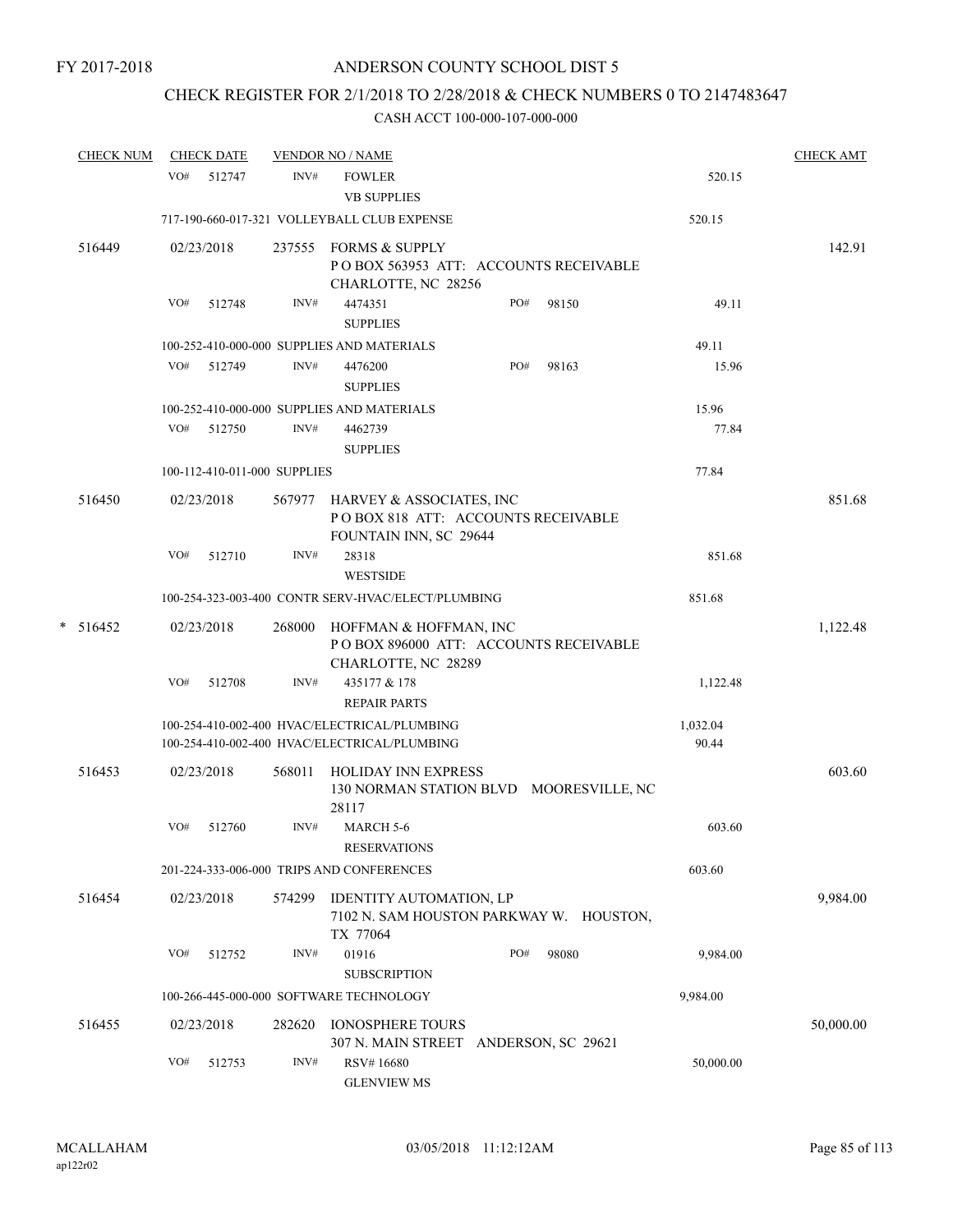## CHECK REGISTER FOR 2/1/2018 TO 2/28/2018 & CHECK NUMBERS 0 TO 2147483647

| <b>CHECK NUM</b> |     | <b>CHECK DATE</b> |                              | <b>VENDOR NO / NAME</b>                                                                         |     |       |                   | <b>CHECK AMT</b> |
|------------------|-----|-------------------|------------------------------|-------------------------------------------------------------------------------------------------|-----|-------|-------------------|------------------|
|                  |     | VO# 512747        | INV#                         | <b>FOWLER</b><br><b>VB SUPPLIES</b>                                                             |     |       | 520.15            |                  |
|                  |     |                   |                              | 717-190-660-017-321 VOLLEYBALL CLUB EXPENSE                                                     |     |       | 520.15            |                  |
| 516449           |     | 02/23/2018        |                              | 237555 FORMS & SUPPLY<br>POBOX 563953 ATT: ACCOUNTS RECEIVABLE<br>CHARLOTTE, NC 28256           |     |       |                   | 142.91           |
|                  | VO# | 512748            | INV#                         | 4474351<br><b>SUPPLIES</b>                                                                      | PO# | 98150 | 49.11             |                  |
|                  |     |                   |                              | 100-252-410-000-000 SUPPLIES AND MATERIALS                                                      |     |       | 49.11             |                  |
|                  |     | VO# 512749        | INV#                         | 4476200<br><b>SUPPLIES</b>                                                                      | PO# | 98163 | 15.96             |                  |
|                  |     |                   |                              | 100-252-410-000-000 SUPPLIES AND MATERIALS                                                      |     |       | 15.96             |                  |
|                  | VO# | 512750            | INV#                         | 4462739<br><b>SUPPLIES</b>                                                                      |     |       | 77.84             |                  |
|                  |     |                   | 100-112-410-011-000 SUPPLIES |                                                                                                 |     |       | 77.84             |                  |
| 516450           |     | 02/23/2018        |                              | 567977 HARVEY & ASSOCIATES, INC<br>POBOX 818 ATT: ACCOUNTS RECEIVABLE<br>FOUNTAIN INN, SC 29644 |     |       |                   | 851.68           |
|                  | VO# | 512710            | INV#                         | 28318<br><b>WESTSIDE</b>                                                                        |     |       | 851.68            |                  |
|                  |     |                   |                              | 100-254-323-003-400 CONTR SERV-HVAC/ELECT/PLUMBING                                              |     |       | 851.68            |                  |
| $* 516452$       |     | 02/23/2018        | 268000                       | HOFFMAN & HOFFMAN, INC<br>PO BOX 896000 ATT: ACCOUNTS RECEIVABLE<br>CHARLOTTE, NC 28289         |     |       |                   | 1,122.48         |
|                  | VO# | 512708            | INV#                         | 435177 & 178<br><b>REPAIR PARTS</b>                                                             |     |       | 1,122.48          |                  |
|                  |     |                   |                              | 100-254-410-002-400 HVAC/ELECTRICAL/PLUMBING<br>100-254-410-002-400 HVAC/ELECTRICAL/PLUMBING    |     |       | 1,032.04<br>90.44 |                  |
| 516453           |     | 02/23/2018        | 568011                       | <b>HOLIDAY INN EXPRESS</b><br>130 NORMAN STATION BLVD MOORESVILLE, NC<br>28117                  |     |       |                   | 603.60           |
|                  | VO# | 512760            | INV#                         | <b>MARCH 5-6</b><br><b>RESERVATIONS</b>                                                         |     |       | 603.60            |                  |
|                  |     |                   |                              | 201-224-333-006-000 TRIPS AND CONFERENCES                                                       |     |       | 603.60            |                  |
| 516454           |     | 02/23/2018        | 574299                       | IDENTITY AUTOMATION, LP<br>7102 N. SAM HOUSTON PARKWAY W. HOUSTON,<br>TX 77064                  |     |       |                   | 9,984.00         |
|                  | VO# | 512752            | INV#                         | 01916<br><b>SUBSCRIPTION</b>                                                                    | PO# | 98080 | 9,984.00          |                  |
|                  |     |                   |                              | 100-266-445-000-000 SOFTWARE TECHNOLOGY                                                         |     |       | 9,984.00          |                  |
| 516455           |     | 02/23/2018        | 282620                       | <b>IONOSPHERE TOURS</b><br>307 N. MAIN STREET ANDERSON, SC 29621                                |     |       |                   | 50,000.00        |
|                  | VO# | 512753            | INV#                         | RSV#16680<br><b>GLENVIEW MS</b>                                                                 |     |       | 50,000.00         |                  |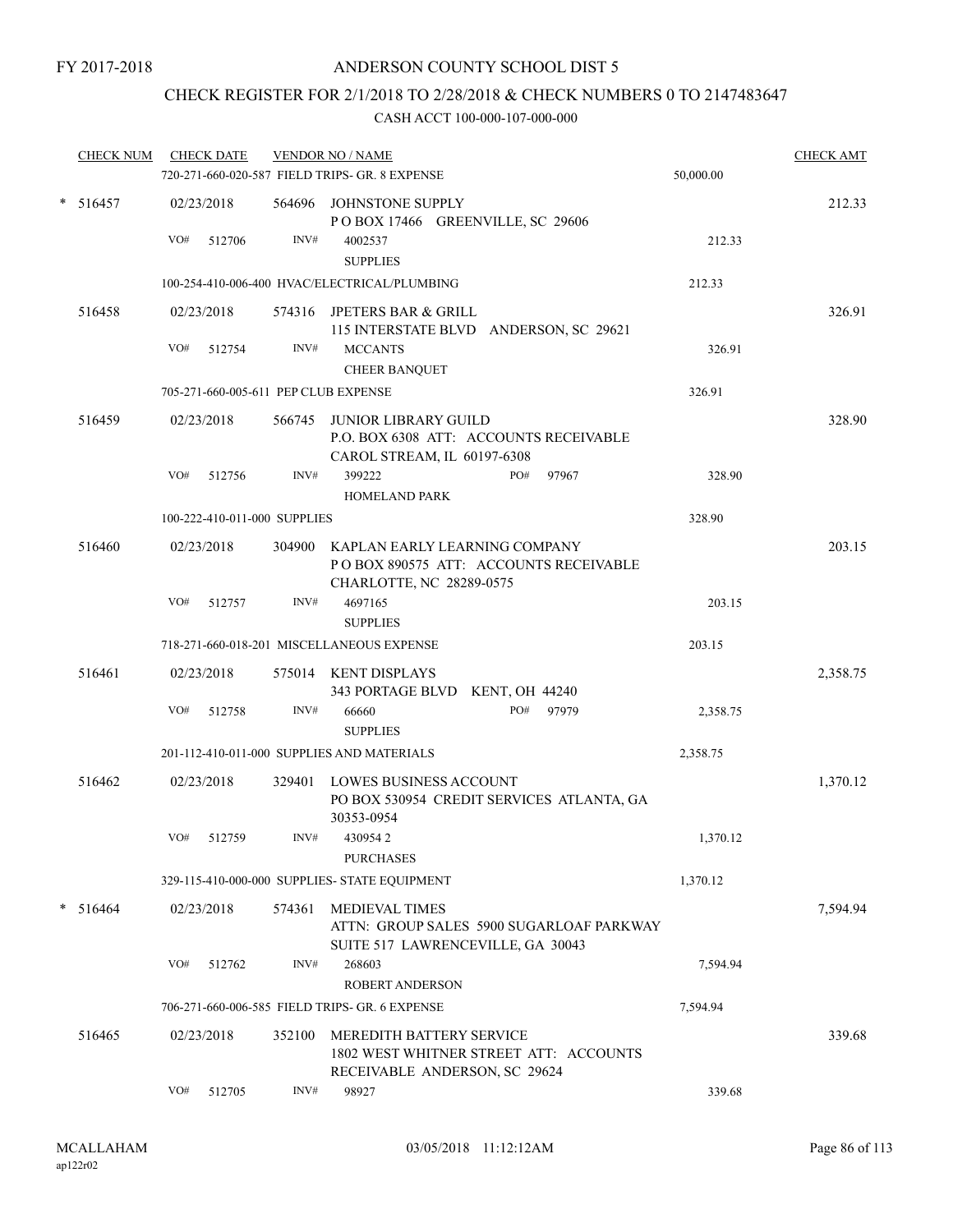## CHECK REGISTER FOR 2/1/2018 TO 2/28/2018 & CHECK NUMBERS 0 TO 2147483647

| <b>CHECK NUM</b> |     | <b>CHECK DATE</b>            |        | <b>VENDOR NO / NAME</b><br>720-271-660-020-587 FIELD TRIPS- GR. 8 EXPENSE                                      | 50,000.00 | <b>CHECK AMT</b> |
|------------------|-----|------------------------------|--------|----------------------------------------------------------------------------------------------------------------|-----------|------------------|
| $* 516457$       | VO# | 02/23/2018<br>512706         | INV#   | 564696 JOHNSTONE SUPPLY<br>POBOX 17466 GREENVILLE, SC 29606<br>4002537<br><b>SUPPLIES</b>                      | 212.33    | 212.33           |
|                  |     |                              |        | 100-254-410-006-400 HVAC/ELECTRICAL/PLUMBING                                                                   | 212.33    |                  |
| 516458           | VO# | 02/23/2018<br>512754         | INV#   | 574316 JPETERS BAR & GRILL<br>115 INTERSTATE BLVD ANDERSON, SC 29621<br><b>MCCANTS</b><br><b>CHEER BANQUET</b> | 326.91    | 326.91           |
|                  |     |                              |        | 705-271-660-005-611 PEP CLUB EXPENSE                                                                           | 326.91    |                  |
| 516459           |     | 02/23/2018                   |        | 566745 JUNIOR LIBRARY GUILD<br>P.O. BOX 6308 ATT: ACCOUNTS RECEIVABLE<br>CAROL STREAM, IL 60197-6308           |           | 328.90           |
|                  | VO# | 512756                       | INV#   | 399222<br>PO#<br>97967<br><b>HOMELAND PARK</b>                                                                 | 328.90    |                  |
|                  |     | 100-222-410-011-000 SUPPLIES |        |                                                                                                                | 328.90    |                  |
| 516460           |     | 02/23/2018                   |        | 304900 KAPLAN EARLY LEARNING COMPANY<br>PO BOX 890575 ATT: ACCOUNTS RECEIVABLE<br>CHARLOTTE, NC 28289-0575     |           | 203.15           |
|                  | VO# | 512757                       | INV#   | 4697165<br><b>SUPPLIES</b>                                                                                     | 203.15    |                  |
|                  |     |                              |        | 718-271-660-018-201 MISCELLANEOUS EXPENSE                                                                      | 203.15    |                  |
| 516461           |     | 02/23/2018                   |        | 575014 KENT DISPLAYS<br>343 PORTAGE BLVD KENT, OH 44240                                                        |           | 2,358.75         |
|                  | VO# | 512758                       | INV#   | 66660<br>PO#<br>97979<br><b>SUPPLIES</b>                                                                       | 2,358.75  |                  |
|                  |     |                              |        | 201-112-410-011-000 SUPPLIES AND MATERIALS                                                                     | 2,358.75  |                  |
| 516462           |     | 02/23/2018                   |        | 329401 LOWES BUSINESS ACCOUNT<br>PO BOX 530954 CREDIT SERVICES ATLANTA, GA<br>30353-0954                       |           | 1,370.12         |
|                  | VO# | 512759                       | INV#   | 4309542<br><b>PURCHASES</b>                                                                                    | 1,370.12  |                  |
|                  |     |                              |        | 329-115-410-000-000 SUPPLIES- STATE EQUIPMENT                                                                  | 1,370.12  |                  |
| $* 516464$       |     | 02/23/2018                   | 574361 | <b>MEDIEVAL TIMES</b><br>ATTN: GROUP SALES 5900 SUGARLOAF PARKWAY<br>SUITE 517 LAWRENCEVILLE, GA 30043         |           | 7,594.94         |
|                  | VO# | 512762                       | INV#   | 268603<br><b>ROBERT ANDERSON</b>                                                                               | 7,594.94  |                  |
|                  |     |                              |        | 706-271-660-006-585 FIELD TRIPS- GR. 6 EXPENSE                                                                 | 7,594.94  |                  |
| 516465           |     | 02/23/2018                   | 352100 | MEREDITH BATTERY SERVICE<br>1802 WEST WHITNER STREET ATT: ACCOUNTS<br>RECEIVABLE ANDERSON, SC 29624            |           | 339.68           |
|                  | VO# | 512705                       | INV#   | 98927                                                                                                          | 339.68    |                  |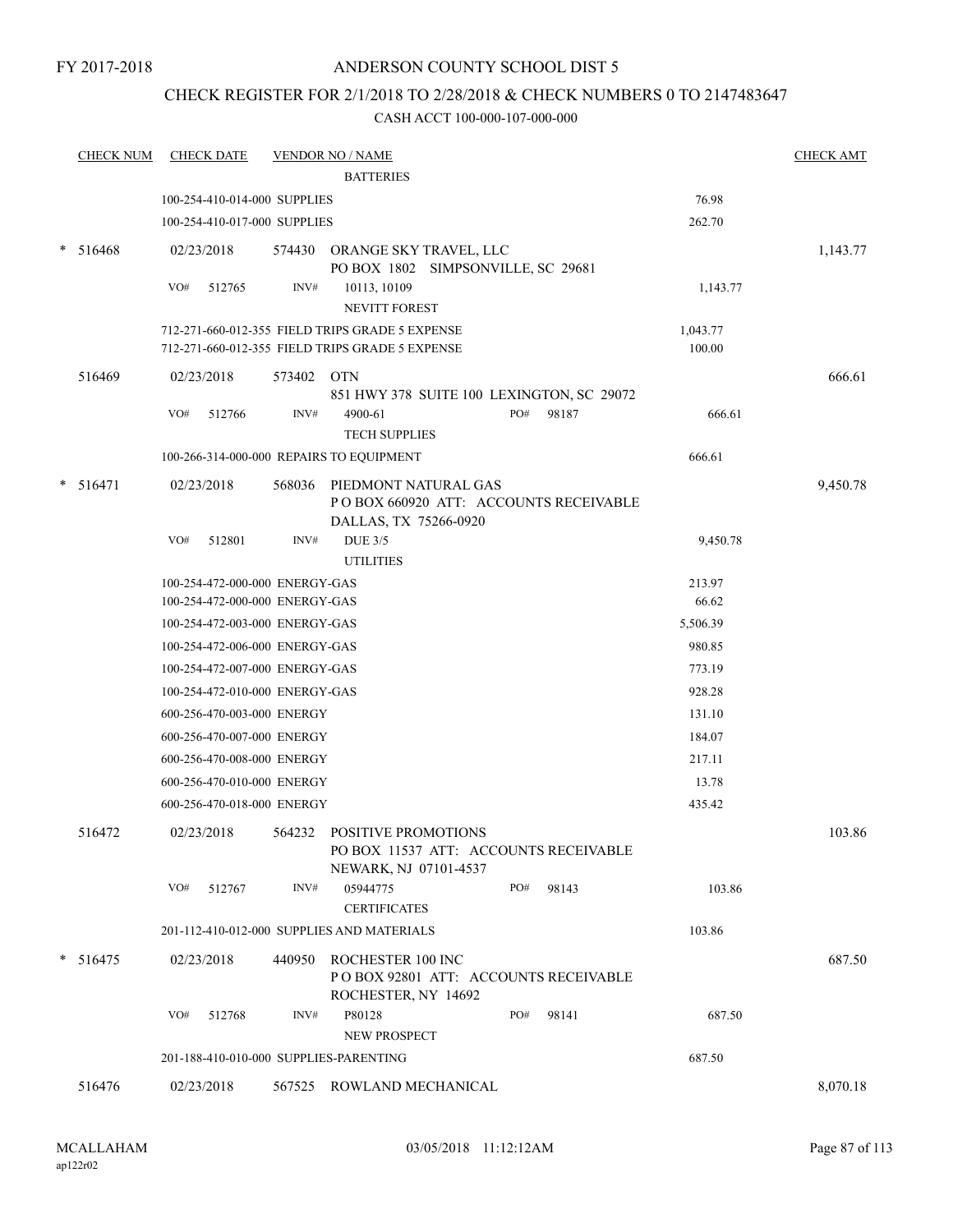## CHECK REGISTER FOR 2/1/2018 TO 2/28/2018 & CHECK NUMBERS 0 TO 2147483647

|   | <b>CHECK NUM</b> | <b>CHECK DATE</b>                                                |            | <b>VENDOR NO / NAME</b>                                                                            |     |                                       |                    | <b>CHECK AMT</b> |
|---|------------------|------------------------------------------------------------------|------------|----------------------------------------------------------------------------------------------------|-----|---------------------------------------|--------------------|------------------|
|   |                  |                                                                  |            | <b>BATTERIES</b>                                                                                   |     |                                       |                    |                  |
|   |                  | 100-254-410-014-000 SUPPLIES                                     |            |                                                                                                    |     |                                       | 76.98              |                  |
|   |                  | 100-254-410-017-000 SUPPLIES                                     |            |                                                                                                    |     |                                       | 262.70             |                  |
|   | 516468           | 02/23/2018                                                       |            | 574430 ORANGE SKY TRAVEL, LLC<br>PO BOX 1802 SIMPSONVILLE, SC 29681                                |     |                                       |                    | 1,143.77         |
|   |                  | VO#<br>512765                                                    | INV#       | 10113, 10109<br><b>NEVITT FOREST</b>                                                               |     |                                       | 1,143.77           |                  |
|   |                  |                                                                  |            | 712-271-660-012-355 FIELD TRIPS GRADE 5 EXPENSE<br>712-271-660-012-355 FIELD TRIPS GRADE 5 EXPENSE |     |                                       | 1,043.77<br>100.00 |                  |
|   | 516469           | 02/23/2018                                                       | 573402 OTN | 851 HWY 378 SUITE 100 LEXINGTON, SC 29072                                                          |     |                                       |                    | 666.61           |
|   |                  | VO#<br>512766                                                    | INV#       | 4900-61<br><b>TECH SUPPLIES</b>                                                                    | PO# | 98187                                 | 666.61             |                  |
|   |                  |                                                                  |            | 100-266-314-000-000 REPAIRS TO EQUIPMENT                                                           |     |                                       | 666.61             |                  |
|   | 516471           | 02/23/2018                                                       | 568036     | PIEDMONT NATURAL GAS<br>DALLAS, TX 75266-0920                                                      |     | POBOX 660920 ATT: ACCOUNTS RECEIVABLE |                    | 9,450.78         |
|   |                  | VO#<br>512801                                                    | INV#       | <b>DUE 3/5</b><br><b>UTILITIES</b>                                                                 |     |                                       | 9,450.78           |                  |
|   |                  | 100-254-472-000-000 ENERGY-GAS<br>100-254-472-000-000 ENERGY-GAS |            |                                                                                                    |     |                                       | 213.97<br>66.62    |                  |
|   |                  | 100-254-472-003-000 ENERGY-GAS                                   |            |                                                                                                    |     |                                       | 5,506.39           |                  |
|   |                  | 100-254-472-006-000 ENERGY-GAS                                   |            |                                                                                                    |     |                                       | 980.85             |                  |
|   |                  | 100-254-472-007-000 ENERGY-GAS                                   |            |                                                                                                    |     |                                       | 773.19             |                  |
|   |                  | 100-254-472-010-000 ENERGY-GAS                                   |            |                                                                                                    |     |                                       | 928.28             |                  |
|   |                  | 600-256-470-003-000 ENERGY                                       |            |                                                                                                    |     |                                       | 131.10             |                  |
|   |                  | 600-256-470-007-000 ENERGY                                       |            |                                                                                                    |     |                                       | 184.07             |                  |
|   |                  | 600-256-470-008-000 ENERGY                                       |            |                                                                                                    |     |                                       | 217.11             |                  |
|   |                  | 600-256-470-010-000 ENERGY                                       |            |                                                                                                    |     |                                       | 13.78              |                  |
|   |                  | 600-256-470-018-000 ENERGY                                       |            |                                                                                                    |     |                                       | 435.42             |                  |
|   | 516472           | 02/23/2018                                                       | 564232     | POSITIVE PROMOTIONS<br>PO BOX 11537 ATT: ACCOUNTS RECEIVABLE<br>NEWARK, NJ 07101-4537              |     |                                       |                    | 103.86           |
|   |                  | VO#<br>512767                                                    | INV#       | 05944775<br><b>CERTIFICATES</b>                                                                    | PO# | 98143                                 | 103.86             |                  |
|   |                  |                                                                  |            | 201-112-410-012-000 SUPPLIES AND MATERIALS                                                         |     |                                       | 103.86             |                  |
| * | 516475           | 02/23/2018                                                       | 440950     | ROCHESTER 100 INC<br>POBOX 92801 ATT: ACCOUNTS RECEIVABLE<br>ROCHESTER, NY 14692                   |     |                                       |                    | 687.50           |
|   |                  | VO#<br>512768                                                    | INV#       | P80128<br><b>NEW PROSPECT</b>                                                                      | PO# | 98141                                 | 687.50             |                  |
|   |                  | 201-188-410-010-000 SUPPLIES-PARENTING                           |            |                                                                                                    |     |                                       | 687.50             |                  |
|   | 516476           | 02/23/2018                                                       |            | 567525 ROWLAND MECHANICAL                                                                          |     |                                       |                    | 8,070.18         |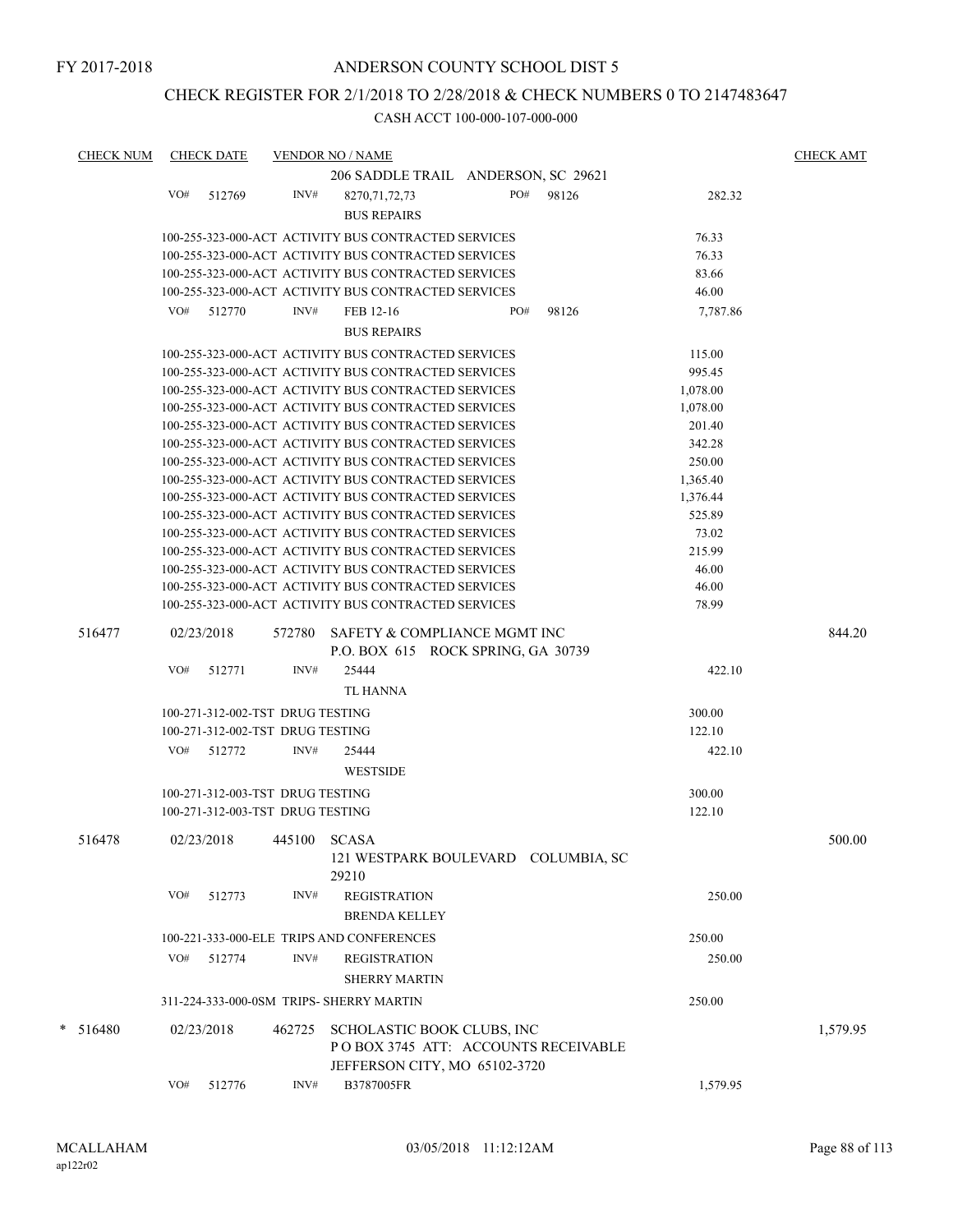## CHECK REGISTER FOR 2/1/2018 TO 2/28/2018 & CHECK NUMBERS 0 TO 2147483647

| <b>CHECK NUM</b> |     | <b>CHECK DATE</b>                |        | <b>VENDOR NO / NAME</b>                                                                            |     |       |          | <b>CHECK AMT</b> |
|------------------|-----|----------------------------------|--------|----------------------------------------------------------------------------------------------------|-----|-------|----------|------------------|
|                  |     |                                  |        | 206 SADDLE TRAIL ANDERSON, SC 29621                                                                |     |       |          |                  |
|                  | VO# | 512769                           | INV#   | 8270, 71, 72, 73                                                                                   | PO# | 98126 | 282.32   |                  |
|                  |     |                                  |        | <b>BUS REPAIRS</b>                                                                                 |     |       |          |                  |
|                  |     |                                  |        |                                                                                                    |     |       |          |                  |
|                  |     |                                  |        | 100-255-323-000-ACT ACTIVITY BUS CONTRACTED SERVICES                                               |     |       | 76.33    |                  |
|                  |     |                                  |        | 100-255-323-000-ACT ACTIVITY BUS CONTRACTED SERVICES                                               |     |       | 76.33    |                  |
|                  |     |                                  |        | 100-255-323-000-ACT ACTIVITY BUS CONTRACTED SERVICES                                               |     |       | 83.66    |                  |
|                  |     |                                  |        | 100-255-323-000-ACT ACTIVITY BUS CONTRACTED SERVICES                                               |     |       | 46.00    |                  |
|                  |     | VO# 512770                       | INV#   | FEB 12-16                                                                                          | PO# | 98126 | 7,787.86 |                  |
|                  |     |                                  |        | <b>BUS REPAIRS</b>                                                                                 |     |       |          |                  |
|                  |     |                                  |        |                                                                                                    |     |       |          |                  |
|                  |     |                                  |        | 100-255-323-000-ACT ACTIVITY BUS CONTRACTED SERVICES                                               |     |       | 115.00   |                  |
|                  |     |                                  |        | 100-255-323-000-ACT ACTIVITY BUS CONTRACTED SERVICES                                               |     |       | 995.45   |                  |
|                  |     |                                  |        | 100-255-323-000-ACT ACTIVITY BUS CONTRACTED SERVICES                                               |     |       | 1,078.00 |                  |
|                  |     |                                  |        | 100-255-323-000-ACT ACTIVITY BUS CONTRACTED SERVICES                                               |     |       | 1,078.00 |                  |
|                  |     |                                  |        | 100-255-323-000-ACT ACTIVITY BUS CONTRACTED SERVICES                                               |     |       | 201.40   |                  |
|                  |     |                                  |        | 100-255-323-000-ACT ACTIVITY BUS CONTRACTED SERVICES                                               |     |       | 342.28   |                  |
|                  |     |                                  |        | 100-255-323-000-ACT ACTIVITY BUS CONTRACTED SERVICES                                               |     |       | 250.00   |                  |
|                  |     |                                  |        | 100-255-323-000-ACT ACTIVITY BUS CONTRACTED SERVICES                                               |     |       | 1,365.40 |                  |
|                  |     |                                  |        | 100-255-323-000-ACT ACTIVITY BUS CONTRACTED SERVICES                                               |     |       | 1,376.44 |                  |
|                  |     |                                  |        | 100-255-323-000-ACT ACTIVITY BUS CONTRACTED SERVICES                                               |     |       | 525.89   |                  |
|                  |     |                                  |        | 100-255-323-000-ACT ACTIVITY BUS CONTRACTED SERVICES                                               |     |       | 73.02    |                  |
|                  |     |                                  |        | 100-255-323-000-ACT ACTIVITY BUS CONTRACTED SERVICES                                               |     |       | 215.99   |                  |
|                  |     |                                  |        | 100-255-323-000-ACT ACTIVITY BUS CONTRACTED SERVICES                                               |     |       | 46.00    |                  |
|                  |     |                                  |        | 100-255-323-000-ACT ACTIVITY BUS CONTRACTED SERVICES                                               |     |       | 46.00    |                  |
|                  |     |                                  |        | 100-255-323-000-ACT ACTIVITY BUS CONTRACTED SERVICES                                               |     |       | 78.99    |                  |
| 516477           |     | 02/23/2018                       | 572780 | SAFETY & COMPLIANCE MGMT INC<br>P.O. BOX 615 ROCK SPRING, GA 30739                                 |     |       |          | 844.20           |
|                  | VO# | 512771                           | INV#   | 25444                                                                                              |     |       | 422.10   |                  |
|                  |     |                                  |        |                                                                                                    |     |       |          |                  |
|                  |     |                                  |        | TL HANNA                                                                                           |     |       |          |                  |
|                  |     | 100-271-312-002-TST DRUG TESTING |        |                                                                                                    |     |       | 300.00   |                  |
|                  |     | 100-271-312-002-TST DRUG TESTING |        |                                                                                                    |     |       | 122.10   |                  |
|                  | VO# | 512772                           | INV#   | 25444                                                                                              |     |       | 422.10   |                  |
|                  |     |                                  |        | <b>WESTSIDE</b>                                                                                    |     |       |          |                  |
|                  |     | 100-271-312-003-TST DRUG TESTING |        |                                                                                                    |     |       | 300.00   |                  |
|                  |     | 100-271-312-003-TST DRUG TESTING |        |                                                                                                    |     |       | 122.10   |                  |
|                  |     |                                  |        |                                                                                                    |     |       |          |                  |
| 516478           |     | 02/23/2018                       | 445100 | <b>SCASA</b><br>121 WESTPARK BOULEVARD COLUMBIA, SC<br>29210                                       |     |       |          | 500.00           |
|                  | VO# | 512773                           | INV#   | <b>REGISTRATION</b><br><b>BRENDA KELLEY</b>                                                        |     |       | 250.00   |                  |
|                  |     |                                  |        |                                                                                                    |     |       |          |                  |
|                  |     |                                  |        | 100-221-333-000-ELE TRIPS AND CONFERENCES                                                          |     |       | 250.00   |                  |
|                  | VO# | 512774                           | INV#   | <b>REGISTRATION</b>                                                                                |     |       | 250.00   |                  |
|                  |     |                                  |        | <b>SHERRY MARTIN</b>                                                                               |     |       |          |                  |
|                  |     |                                  |        | 311-224-333-000-0SM TRIPS- SHERRY MARTIN                                                           |     |       | 250.00   |                  |
| $* 516480$       |     | 02/23/2018                       |        |                                                                                                    |     |       |          |                  |
|                  |     |                                  | 462725 | SCHOLASTIC BOOK CLUBS, INC<br>POBOX 3745 ATT: ACCOUNTS RECEIVABLE<br>JEFFERSON CITY, MO 65102-3720 |     |       |          | 1,579.95         |
|                  | VO# | 512776                           | INV#   | B3787005FR                                                                                         |     |       | 1,579.95 |                  |
|                  |     |                                  |        |                                                                                                    |     |       |          |                  |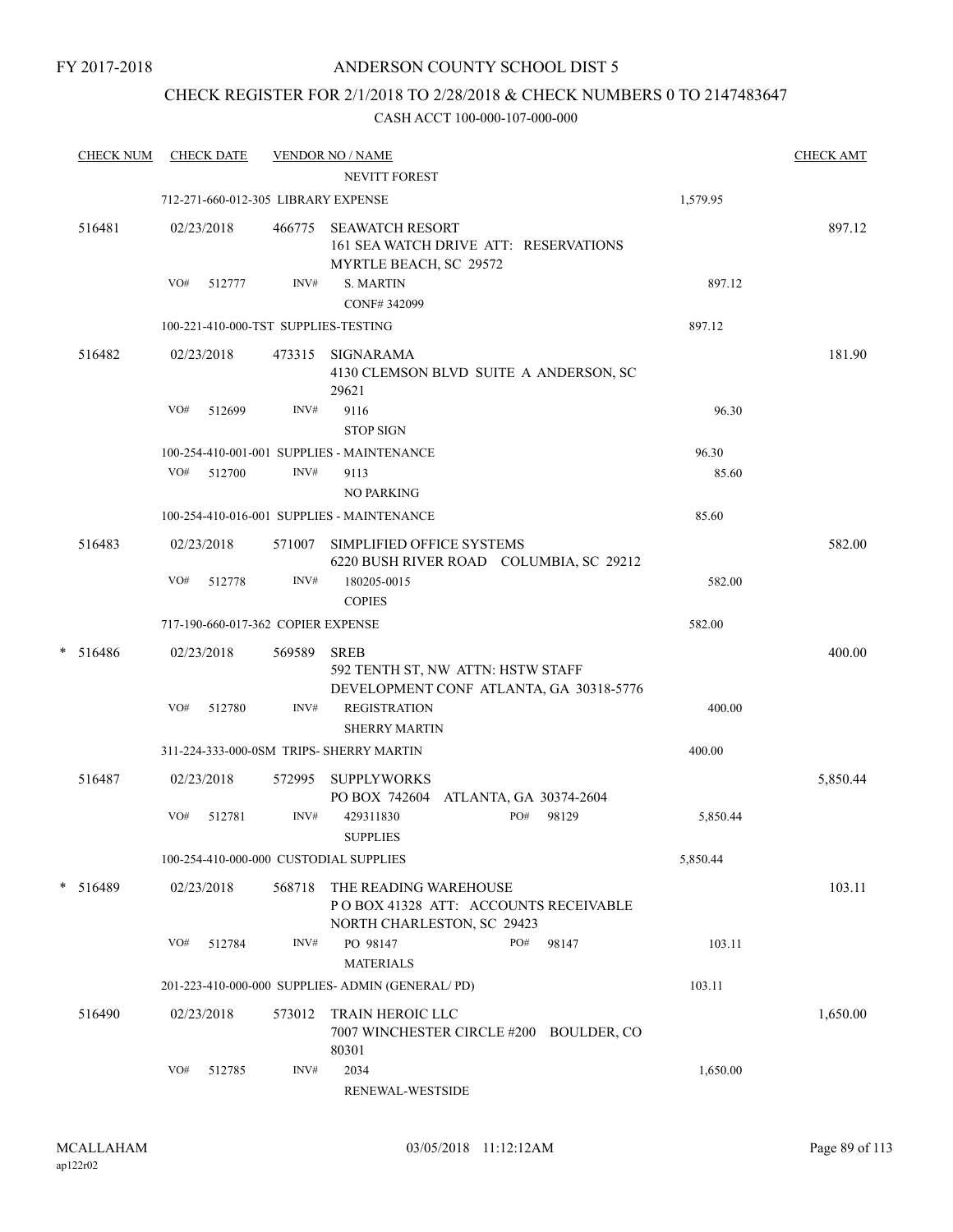## CHECK REGISTER FOR 2/1/2018 TO 2/28/2018 & CHECK NUMBERS 0 TO 2147483647

|   | <b>CHECK NUM</b> |     | <b>CHECK DATE</b>                  |        | <b>VENDOR NO / NAME</b>                                                                      |     |       |          | <b>CHECK AMT</b> |
|---|------------------|-----|------------------------------------|--------|----------------------------------------------------------------------------------------------|-----|-------|----------|------------------|
|   |                  |     |                                    |        | NEVITT FOREST                                                                                |     |       |          |                  |
|   |                  |     |                                    |        | 712-271-660-012-305 LIBRARY EXPENSE                                                          |     |       | 1,579.95 |                  |
|   | 516481           |     | 02/23/2018                         | 466775 | <b>SEAWATCH RESORT</b><br>161 SEA WATCH DRIVE ATT: RESERVATIONS<br>MYRTLE BEACH, SC 29572    |     |       |          | 897.12           |
|   |                  | VO# | 512777                             | INV#   | <b>S. MARTIN</b>                                                                             |     |       | 897.12   |                  |
|   |                  |     |                                    |        | CONF#342099                                                                                  |     |       |          |                  |
|   |                  |     |                                    |        | 100-221-410-000-TST SUPPLIES-TESTING                                                         |     |       | 897.12   |                  |
|   | 516482           |     | 02/23/2018                         | 473315 | SIGNARAMA<br>4130 CLEMSON BLVD SUITE A ANDERSON, SC<br>29621                                 |     |       |          | 181.90           |
|   |                  | VO# | 512699                             | INV#   | 9116                                                                                         |     |       | 96.30    |                  |
|   |                  |     |                                    |        | <b>STOP SIGN</b>                                                                             |     |       |          |                  |
|   |                  |     |                                    |        | 100-254-410-001-001 SUPPLIES - MAINTENANCE                                                   |     |       | 96.30    |                  |
|   |                  |     | VO# 512700                         | INV#   | 9113<br><b>NO PARKING</b>                                                                    |     |       | 85.60    |                  |
|   |                  |     |                                    |        | 100-254-410-016-001 SUPPLIES - MAINTENANCE                                                   |     |       | 85.60    |                  |
|   | 516483           |     | 02/23/2018                         | 571007 | SIMPLIFIED OFFICE SYSTEMS<br>6220 BUSH RIVER ROAD COLUMBIA, SC 29212                         |     |       |          | 582.00           |
|   |                  | VO# | 512778                             | INV#   | 180205-0015<br><b>COPIES</b>                                                                 |     |       | 582.00   |                  |
|   |                  |     | 717-190-660-017-362 COPIER EXPENSE |        |                                                                                              |     |       | 582.00   |                  |
| * | 516486           |     | 02/23/2018                         | 569589 | <b>SREB</b><br>592 TENTH ST, NW ATTN: HSTW STAFF<br>DEVELOPMENT CONF ATLANTA, GA 30318-5776  |     |       |          | 400.00           |
|   |                  | VO# | 512780                             | INV#   | <b>REGISTRATION</b><br><b>SHERRY MARTIN</b>                                                  |     |       | 400.00   |                  |
|   |                  |     |                                    |        | 311-224-333-000-0SM TRIPS- SHERRY MARTIN                                                     |     |       | 400.00   |                  |
|   | 516487           |     | 02/23/2018                         | 572995 | <b>SUPPLYWORKS</b><br>PO BOX 742604 ATLANTA, GA 30374-2604                                   |     |       |          | 5,850.44         |
|   |                  | VO# | 512781                             | INV#   | 429311830<br><b>SUPPLIES</b>                                                                 | PO# | 98129 | 5,850.44 |                  |
|   |                  |     |                                    |        | 100-254-410-000-000 CUSTODIAL SUPPLIES                                                       |     |       | 5,850.44 |                  |
|   | * 516489         |     | 02/23/2018                         | 568718 | THE READING WAREHOUSE<br>PO BOX 41328 ATT: ACCOUNTS RECEIVABLE<br>NORTH CHARLESTON, SC 29423 |     |       |          | 103.11           |
|   |                  | VO# | 512784                             | INV#   | PO 98147<br><b>MATERIALS</b>                                                                 | PO# | 98147 | 103.11   |                  |
|   |                  |     |                                    |        | 201-223-410-000-000 SUPPLIES- ADMIN (GENERAL/PD)                                             |     |       | 103.11   |                  |
|   | 516490           |     | 02/23/2018                         | 573012 | TRAIN HEROIC LLC<br>7007 WINCHESTER CIRCLE #200 BOULDER, CO<br>80301                         |     |       |          | 1,650.00         |
|   |                  | VO# | 512785                             | INV#   | 2034<br>RENEWAL-WESTSIDE                                                                     |     |       | 1,650.00 |                  |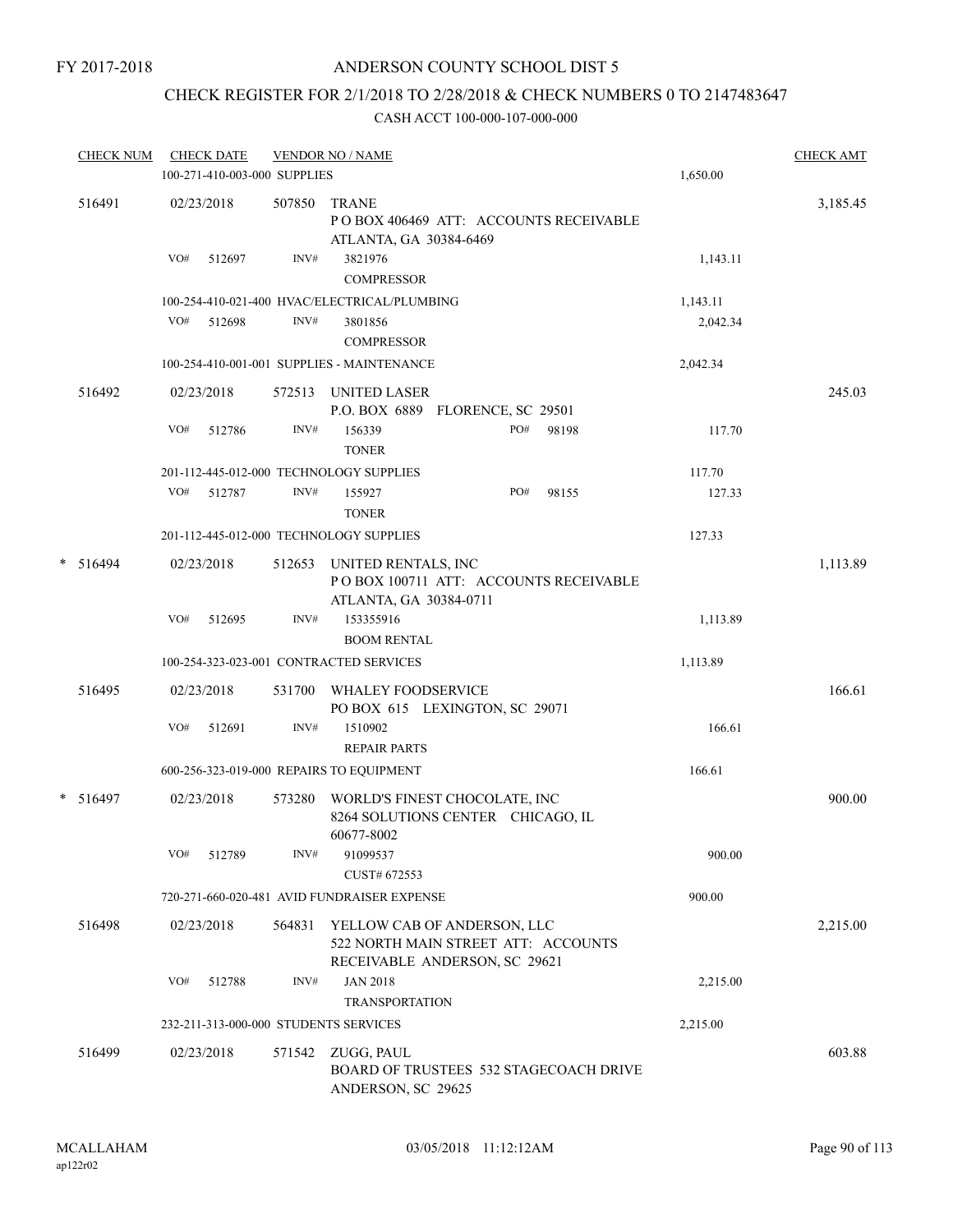## ANDERSON COUNTY SCHOOL DIST 5

# CHECK REGISTER FOR 2/1/2018 TO 2/28/2018 & CHECK NUMBERS 0 TO 2147483647

|   | <b>CHECK NUM</b> |     | <b>CHECK DATE</b><br>100-271-410-003-000 SUPPLIES |        | <b>VENDOR NO / NAME</b>                                        |                                                                    |       | 1,650.00 | <b>CHECK AMT</b> |
|---|------------------|-----|---------------------------------------------------|--------|----------------------------------------------------------------|--------------------------------------------------------------------|-------|----------|------------------|
|   | 516491           |     | 02/23/2018                                        | 507850 | <b>TRANE</b><br>ATLANTA, GA 30384-6469                         | POBOX 406469 ATT: ACCOUNTS RECEIVABLE                              |       |          | 3,185.45         |
|   |                  | VO# | 512697                                            | INV#   | 3821976<br><b>COMPRESSOR</b>                                   |                                                                    |       | 1,143.11 |                  |
|   |                  |     |                                                   |        | 100-254-410-021-400 HVAC/ELECTRICAL/PLUMBING                   |                                                                    |       | 1,143.11 |                  |
|   |                  | VO# | 512698                                            | INV#   | 3801856<br><b>COMPRESSOR</b>                                   |                                                                    |       | 2,042.34 |                  |
|   |                  |     |                                                   |        | 100-254-410-001-001 SUPPLIES - MAINTENANCE                     |                                                                    |       | 2,042.34 |                  |
|   | 516492           |     | 02/23/2018                                        |        | 572513 UNITED LASER                                            | P.O. BOX 6889 FLORENCE, SC 29501                                   |       |          | 245.03           |
|   |                  | VO# | 512786                                            | INV#   | 156339<br><b>TONER</b>                                         | PO#                                                                | 98198 | 117.70   |                  |
|   |                  |     |                                                   |        | 201-112-445-012-000 TECHNOLOGY SUPPLIES                        |                                                                    |       | 117.70   |                  |
|   |                  | VO# | 512787                                            | INV#   | 155927<br><b>TONER</b>                                         | PO#                                                                | 98155 | 127.33   |                  |
|   |                  |     |                                                   |        | 201-112-445-012-000 TECHNOLOGY SUPPLIES                        |                                                                    |       | 127.33   |                  |
| * | 516494           |     | 02/23/2018                                        | 512653 | UNITED RENTALS, INC<br>ATLANTA, GA 30384-0711                  | POBOX 100711 ATT: ACCOUNTS RECEIVABLE                              |       |          | 1,113.89         |
|   |                  | VO# | 512695                                            | INV#   | 153355916<br><b>BOOM RENTAL</b>                                |                                                                    |       | 1,113.89 |                  |
|   |                  |     |                                                   |        | 100-254-323-023-001 CONTRACTED SERVICES                        |                                                                    |       | 1,113.89 |                  |
|   | 516495           |     | 02/23/2018                                        | 531700 | WHALEY FOODSERVICE                                             | PO BOX 615 LEXINGTON, SC 29071                                     |       |          | 166.61           |
|   |                  | VO# | 512691                                            | INV#   | 1510902<br><b>REPAIR PARTS</b>                                 |                                                                    |       | 166.61   |                  |
|   |                  |     |                                                   |        | 600-256-323-019-000 REPAIRS TO EQUIPMENT                       |                                                                    |       | 166.61   |                  |
| * | 516497           |     | 02/23/2018                                        | 573280 | 60677-8002                                                     | WORLD'S FINEST CHOCOLATE, INC<br>8264 SOLUTIONS CENTER CHICAGO, IL |       |          | 900.00           |
|   |                  | VO# | 512789                                            | INV#   | 91099537<br>CUST# 672553                                       |                                                                    |       | 900.00   |                  |
|   |                  |     |                                                   |        | 720-271-660-020-481 AVID FUNDRAISER EXPENSE                    |                                                                    |       | 900.00   |                  |
|   | 516498           |     | 02/23/2018                                        | 564831 |                                                                | YELLOW CAB OF ANDERSON, LLC<br>522 NORTH MAIN STREET ATT: ACCOUNTS |       |          | 2,215.00         |
|   |                  | VO# | 512788                                            | INV#   | <b>JAN 2018</b>                                                | RECEIVABLE ANDERSON, SC 29621                                      |       | 2,215.00 |                  |
|   |                  |     |                                                   |        | <b>TRANSPORTATION</b><br>232-211-313-000-000 STUDENTS SERVICES |                                                                    |       | 2,215.00 |                  |
|   |                  |     |                                                   |        |                                                                |                                                                    |       |          |                  |
|   | 516499           |     | 02/23/2018                                        | 571542 | ZUGG, PAUL<br>ANDERSON, SC 29625                               | <b>BOARD OF TRUSTEES 532 STAGECOACH DRIVE</b>                      |       |          | 603.88           |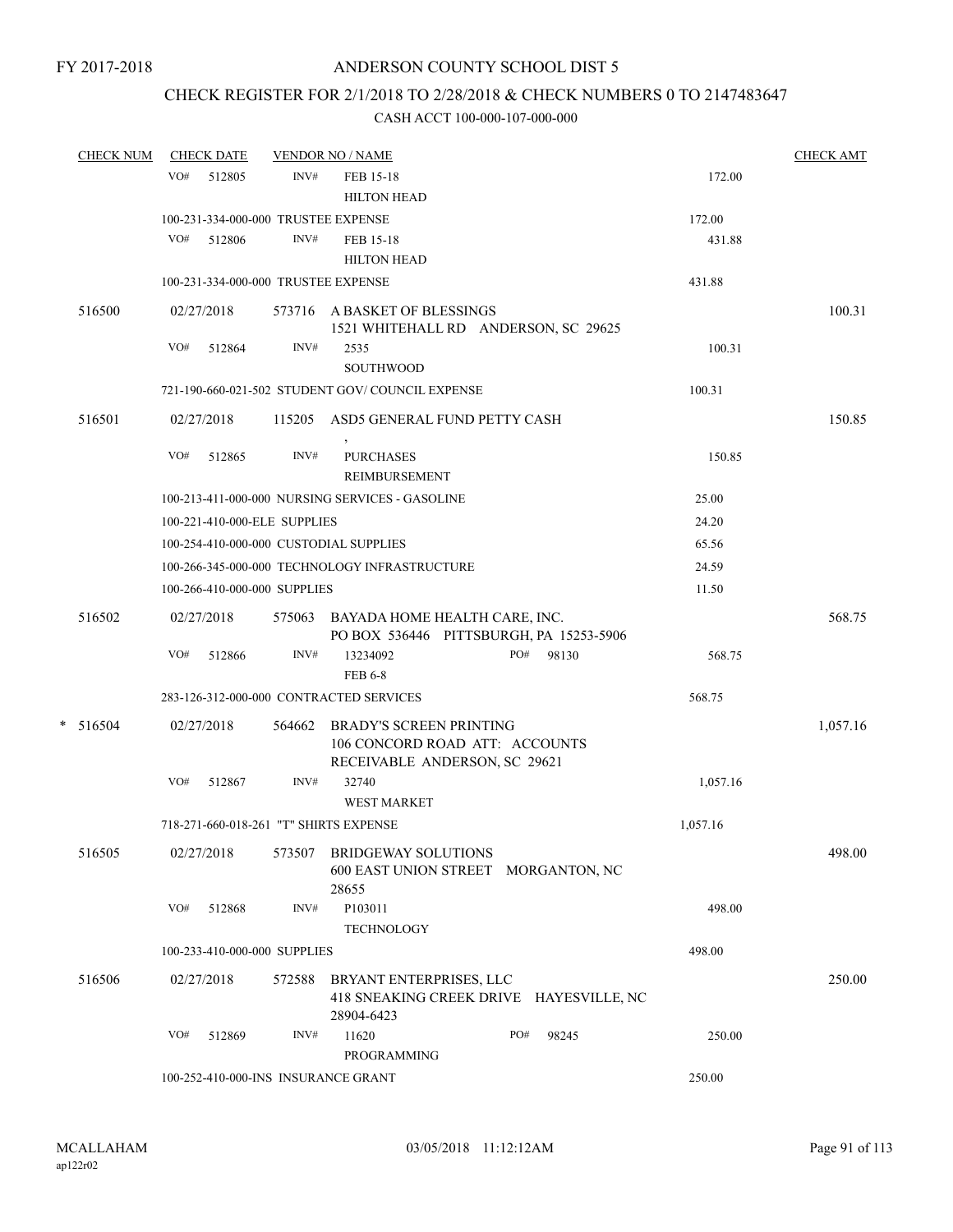## CHECK REGISTER FOR 2/1/2018 TO 2/28/2018 & CHECK NUMBERS 0 TO 2147483647

| <b>CHECK NUM</b> |     | <b>CHECK DATE</b>            |        | <b>VENDOR NO / NAME</b>                                                                    |  |     |       | <b>CHECK AMT</b> |          |
|------------------|-----|------------------------------|--------|--------------------------------------------------------------------------------------------|--|-----|-------|------------------|----------|
|                  | VO# | 512805                       | INV#   | FEB 15-18<br><b>HILTON HEAD</b>                                                            |  |     |       | 172.00           |          |
|                  |     |                              |        | 100-231-334-000-000 TRUSTEE EXPENSE                                                        |  |     |       | 172.00           |          |
|                  | VO# | 512806                       | INV#   | FEB 15-18<br><b>HILTON HEAD</b>                                                            |  |     |       | 431.88           |          |
|                  |     |                              |        | 100-231-334-000-000 TRUSTEE EXPENSE                                                        |  |     |       | 431.88           |          |
| 516500           |     | 02/27/2018                   |        | 573716 A BASKET OF BLESSINGS<br>1521 WHITEHALL RD ANDERSON, SC 29625                       |  |     |       |                  | 100.31   |
|                  | VO# | 512864                       | INV#   | 2535<br><b>SOUTHWOOD</b>                                                                   |  |     |       | 100.31           |          |
|                  |     |                              |        | 721-190-660-021-502 STUDENT GOV/COUNCIL EXPENSE                                            |  |     |       | 100.31           |          |
| 516501           |     | 02/27/2018                   |        | 115205 ASD5 GENERAL FUND PETTY CASH                                                        |  |     |       |                  | 150.85   |
|                  | VO# | 512865                       | INV#   | <b>PURCHASES</b><br>REIMBURSEMENT                                                          |  |     |       | 150.85           |          |
|                  |     |                              |        | 100-213-411-000-000 NURSING SERVICES - GASOLINE                                            |  |     |       | 25.00            |          |
|                  |     | 100-221-410-000-ELE SUPPLIES |        |                                                                                            |  |     |       | 24.20            |          |
|                  |     |                              |        | 100-254-410-000-000 CUSTODIAL SUPPLIES                                                     |  |     |       | 65.56            |          |
|                  |     |                              |        | 100-266-345-000-000 TECHNOLOGY INFRASTRUCTURE                                              |  |     |       | 24.59            |          |
|                  |     | 100-266-410-000-000 SUPPLIES |        |                                                                                            |  |     |       | 11.50            |          |
| 516502           |     | 02/27/2018                   |        | 575063 BAYADA HOME HEALTH CARE, INC.<br>PO BOX 536446 PITTSBURGH, PA 15253-5906            |  |     |       |                  | 568.75   |
|                  | VO# | 512866                       | INV#   | 13234092<br><b>FEB 6-8</b>                                                                 |  | PO# | 98130 | 568.75           |          |
|                  |     |                              |        | 283-126-312-000-000 CONTRACTED SERVICES                                                    |  |     |       | 568.75           |          |
| $* 516504$       |     | 02/27/2018                   | 564662 | BRADY'S SCREEN PRINTING<br>106 CONCORD ROAD ATT: ACCOUNTS<br>RECEIVABLE ANDERSON, SC 29621 |  |     |       |                  | 1,057.16 |
|                  | VO# | 512867                       | INV#   | 32740<br><b>WEST MARKET</b>                                                                |  |     |       | 1,057.16         |          |
|                  |     |                              |        | 718-271-660-018-261 "T" SHIRTS EXPENSE                                                     |  |     |       | 1,057.16         |          |
| 516505           |     | 02/27/2018                   | 573507 | <b>BRIDGEWAY SOLUTIONS</b><br>600 EAST UNION STREET MORGANTON, NC<br>28655                 |  |     |       |                  | 498.00   |
|                  | VO# | 512868                       | INV#   | P103011<br><b>TECHNOLOGY</b>                                                               |  |     |       | 498.00           |          |
|                  |     | 100-233-410-000-000 SUPPLIES |        |                                                                                            |  |     |       | 498.00           |          |
| 516506           |     | 02/27/2018                   | 572588 | BRYANT ENTERPRISES, LLC<br>418 SNEAKING CREEK DRIVE HAYESVILLE, NC<br>28904-6423           |  |     |       |                  | 250.00   |
|                  | VO# | 512869                       | INV#   | 11620<br>PROGRAMMING                                                                       |  | PO# | 98245 | 250.00           |          |
|                  |     |                              |        | 100-252-410-000-INS INSURANCE GRANT                                                        |  |     |       | 250.00           |          |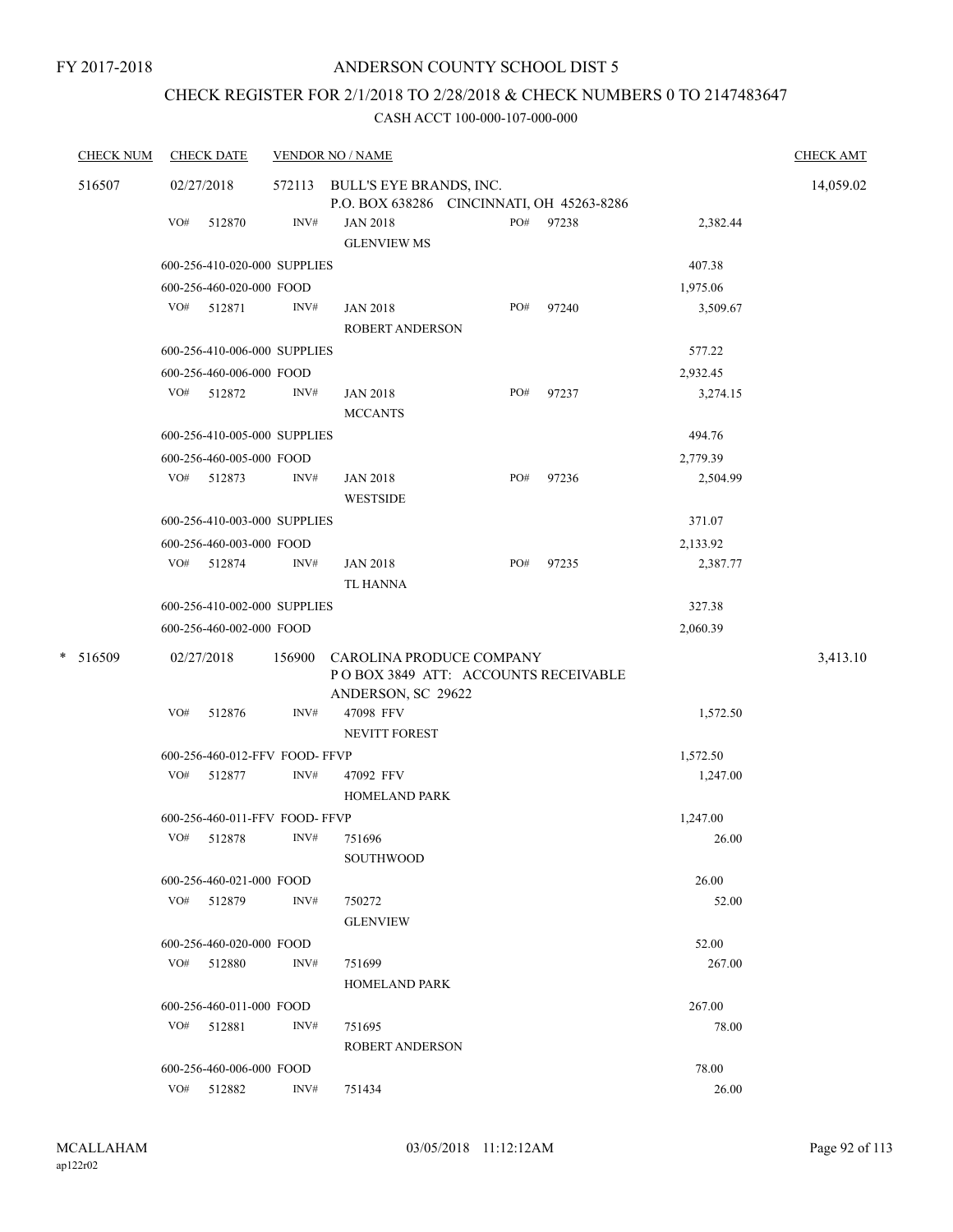# CHECK REGISTER FOR 2/1/2018 TO 2/28/2018 & CHECK NUMBERS 0 TO 2147483647

| <b>CHECK NUM</b> |     | <b>CHECK DATE</b>                            |                | <b>VENDOR NO / NAME</b>                   |     |       |                   | <b>CHECK AMT</b> |
|------------------|-----|----------------------------------------------|----------------|-------------------------------------------|-----|-------|-------------------|------------------|
| 516507           |     | 02/27/2018                                   |                | 572113 BULL'S EYE BRANDS, INC.            |     |       |                   | 14,059.02        |
|                  |     |                                              |                | P.O. BOX 638286 CINCINNATI, OH 45263-8286 |     |       |                   |                  |
|                  | VO# | 512870                                       | INV#           | <b>JAN 2018</b><br><b>GLENVIEW MS</b>     | PO# | 97238 | 2,382.44          |                  |
|                  |     | 600-256-410-020-000 SUPPLIES                 |                |                                           |     |       | 407.38            |                  |
|                  |     | 600-256-460-020-000 FOOD                     |                |                                           |     |       | 1,975.06          |                  |
|                  |     | VO# 512871                                   | INV#           | <b>JAN 2018</b>                           | PO# | 97240 | 3,509.67          |                  |
|                  |     |                                              |                | <b>ROBERT ANDERSON</b>                    |     |       |                   |                  |
|                  |     | 600-256-410-006-000 SUPPLIES                 |                |                                           |     |       | 577.22            |                  |
|                  |     | 600-256-460-006-000 FOOD                     |                |                                           |     |       | 2,932.45          |                  |
|                  | VO# | 512872                                       | INV#           | <b>JAN 2018</b>                           | PO# | 97237 | 3,274.15          |                  |
|                  |     |                                              |                | <b>MCCANTS</b>                            |     |       |                   |                  |
|                  |     | 600-256-410-005-000 SUPPLIES                 |                |                                           |     |       | 494.76            |                  |
|                  |     | 600-256-460-005-000 FOOD                     |                |                                           |     |       | 2,779.39          |                  |
|                  |     | VO# 512873                                   | $\text{INV}\#$ | <b>JAN 2018</b>                           | PO# | 97236 | 2,504.99          |                  |
|                  |     |                                              |                | <b>WESTSIDE</b>                           |     |       |                   |                  |
|                  |     | 600-256-410-003-000 SUPPLIES                 |                |                                           |     |       | 371.07            |                  |
|                  |     | 600-256-460-003-000 FOOD                     |                |                                           |     |       | 2,133.92          |                  |
|                  |     | VO# 512874                                   | INV#           | <b>JAN 2018</b>                           | PO# | 97235 | 2,387.77          |                  |
|                  |     |                                              |                | TL HANNA                                  |     |       |                   |                  |
|                  |     | 600-256-410-002-000 SUPPLIES                 |                |                                           |     |       | 327.38            |                  |
|                  |     | 600-256-460-002-000 FOOD                     |                |                                           |     |       | 2,060.39          |                  |
| $\ast$<br>516509 |     | 02/27/2018                                   | 156900         | CAROLINA PRODUCE COMPANY                  |     |       |                   | 3,413.10         |
|                  |     |                                              |                | POBOX 3849 ATT: ACCOUNTS RECEIVABLE       |     |       |                   |                  |
|                  |     |                                              |                | ANDERSON, SC 29622                        |     |       |                   |                  |
|                  | VO# | 512876                                       | INV#           | 47098 FFV                                 |     |       | 1,572.50          |                  |
|                  |     |                                              |                | <b>NEVITT FOREST</b>                      |     |       |                   |                  |
|                  |     | 600-256-460-012-FFV FOOD-FFVP                |                |                                           |     |       | 1,572.50          |                  |
|                  | VO# | 512877                                       | INV#           | 47092 FFV                                 |     |       | 1,247.00          |                  |
|                  |     |                                              |                | <b>HOMELAND PARK</b>                      |     |       |                   |                  |
|                  |     | 600-256-460-011-FFV FOOD- FFVP<br>VO# 512878 | INV#           | 751696                                    |     |       | 1,247.00<br>26.00 |                  |
|                  |     |                                              |                | <b>SOUTHWOOD</b>                          |     |       |                   |                  |
|                  |     | 600-256-460-021-000 FOOD                     |                |                                           |     |       | 26.00             |                  |
|                  |     | VO# 512879                                   | INV#           | 750272                                    |     |       | 52.00             |                  |
|                  |     |                                              |                | <b>GLENVIEW</b>                           |     |       |                   |                  |
|                  |     | 600-256-460-020-000 FOOD                     |                |                                           |     |       | 52.00             |                  |
|                  |     | VO# 512880                                   | INV#           | 751699                                    |     |       | 267.00            |                  |
|                  |     |                                              |                | <b>HOMELAND PARK</b>                      |     |       |                   |                  |
|                  |     | 600-256-460-011-000 FOOD                     |                |                                           |     |       | 267.00            |                  |
|                  |     | VO# 512881                                   | INV#           | 751695                                    |     |       | 78.00             |                  |
|                  |     |                                              |                | <b>ROBERT ANDERSON</b>                    |     |       |                   |                  |
|                  |     | 600-256-460-006-000 FOOD                     |                |                                           |     |       | 78.00             |                  |
|                  |     | VO# 512882                                   | INV#           | 751434                                    |     |       | 26.00             |                  |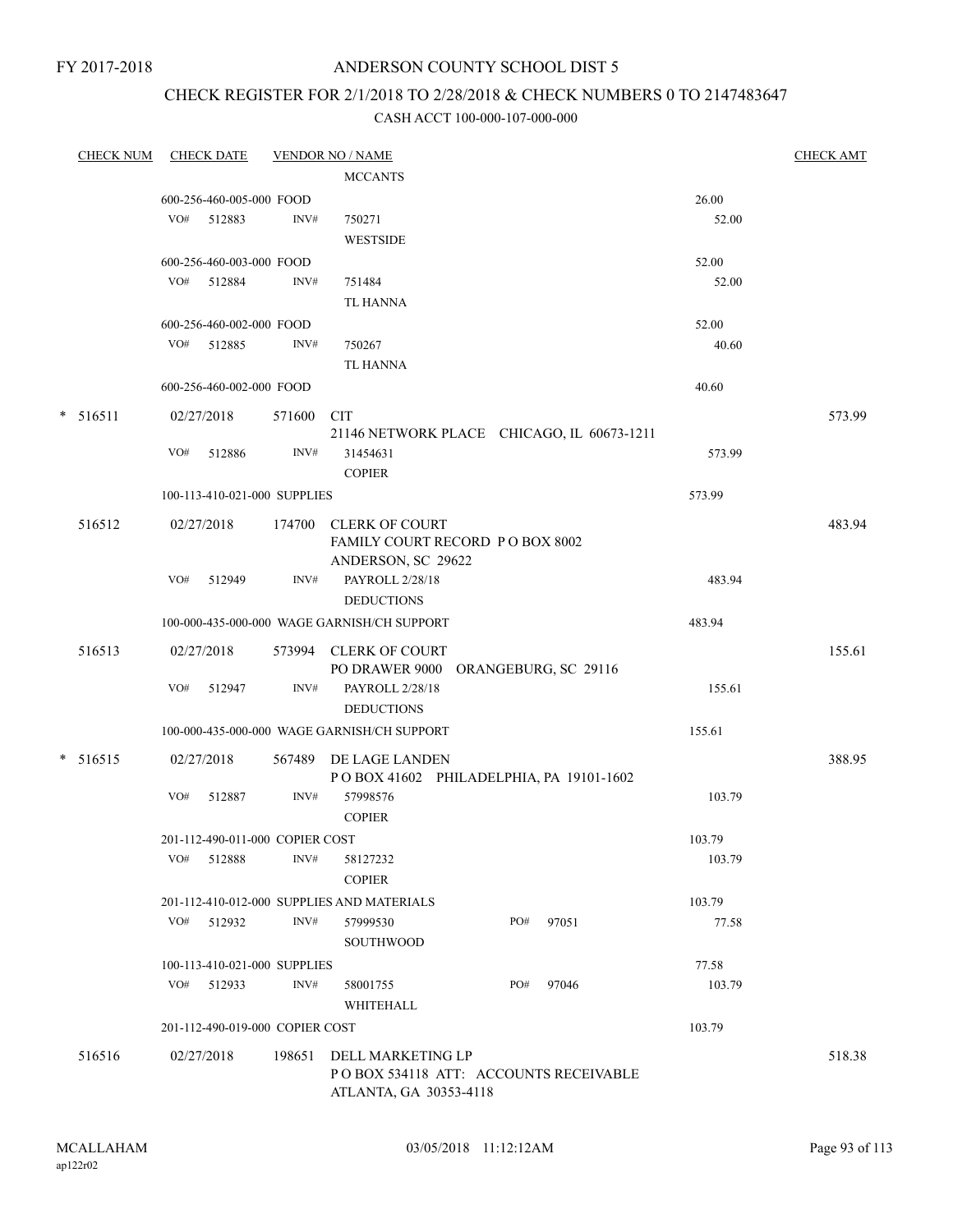## ANDERSON COUNTY SCHOOL DIST 5

# CHECK REGISTER FOR 2/1/2018 TO 2/28/2018 & CHECK NUMBERS 0 TO 2147483647

| <b>CHECK NUM</b> |     | <b>CHECK DATE</b>               |        | <b>VENDOR NO / NAME</b>                                      |     |       |                  | <b>CHECK AMT</b> |
|------------------|-----|---------------------------------|--------|--------------------------------------------------------------|-----|-------|------------------|------------------|
|                  |     |                                 |        | <b>MCCANTS</b>                                               |     |       |                  |                  |
|                  |     | 600-256-460-005-000 FOOD        |        |                                                              |     |       | 26.00            |                  |
|                  | VO# | 512883                          | INV#   | 750271                                                       |     |       | 52.00            |                  |
|                  |     |                                 |        | <b>WESTSIDE</b>                                              |     |       |                  |                  |
|                  |     | 600-256-460-003-000 FOOD        |        |                                                              |     |       | 52.00            |                  |
|                  |     | VO# 512884                      | INV#   | 751484                                                       |     |       | 52.00            |                  |
|                  |     |                                 |        | <b>TL HANNA</b>                                              |     |       |                  |                  |
|                  |     | 600-256-460-002-000 FOOD        |        |                                                              |     |       | 52.00            |                  |
|                  | VO# | 512885                          | INV#   | 750267                                                       |     |       | 40.60            |                  |
|                  |     |                                 |        | TL HANNA                                                     |     |       |                  |                  |
|                  |     | 600-256-460-002-000 FOOD        |        |                                                              |     |       | 40.60            |                  |
| $* 516511$       |     | 02/27/2018                      | 571600 | <b>CIT</b>                                                   |     |       |                  | 573.99           |
|                  |     |                                 |        | 21146 NETWORK PLACE CHICAGO, IL 60673-1211                   |     |       |                  |                  |
|                  | VO# | 512886                          | INV#   | 31454631                                                     |     |       | 573.99           |                  |
|                  |     |                                 |        | <b>COPIER</b>                                                |     |       |                  |                  |
|                  |     | 100-113-410-021-000 SUPPLIES    |        |                                                              |     |       | 573.99           |                  |
| 516512           |     |                                 |        | 174700 CLERK OF COURT                                        |     |       |                  |                  |
|                  |     | 02/27/2018                      |        | FAMILY COURT RECORD PO BOX 8002                              |     |       |                  | 483.94           |
|                  |     |                                 |        | ANDERSON, SC 29622                                           |     |       |                  |                  |
|                  | VO# | 512949                          | INV#   | PAYROLL 2/28/18                                              |     |       | 483.94           |                  |
|                  |     |                                 |        | <b>DEDUCTIONS</b>                                            |     |       |                  |                  |
|                  |     |                                 |        | 100-000-435-000-000 WAGE GARNISH/CH SUPPORT                  |     |       | 483.94           |                  |
|                  |     |                                 |        |                                                              |     |       |                  |                  |
| 516513           |     | 02/27/2018                      |        | 573994 CLERK OF COURT<br>PO DRAWER 9000 ORANGEBURG, SC 29116 |     |       |                  | 155.61           |
|                  | VO# | 512947                          | INV#   | PAYROLL 2/28/18                                              |     |       | 155.61           |                  |
|                  |     |                                 |        | <b>DEDUCTIONS</b>                                            |     |       |                  |                  |
|                  |     |                                 |        | 100-000-435-000-000 WAGE GARNISH/CH SUPPORT                  |     |       | 155.61           |                  |
|                  |     |                                 |        |                                                              |     |       |                  |                  |
| $* 516515$       |     | 02/27/2018                      |        | 567489 DE LAGE LANDEN                                        |     |       |                  | 388.95           |
|                  |     |                                 |        | POBOX 41602 PHILADELPHIA, PA 19101-1602<br>57998576          |     |       |                  |                  |
|                  | VO# | 512887                          | INV#   | <b>COPIER</b>                                                |     |       | 103.79           |                  |
|                  |     |                                 |        |                                                              |     |       |                  |                  |
|                  |     | 201-112-490-011-000 COPIER COST | INV#   |                                                              |     |       | 103.79<br>103.79 |                  |
|                  | VO# | 512888                          |        | 58127232<br><b>COPIER</b>                                    |     |       |                  |                  |
|                  |     |                                 |        |                                                              |     |       |                  |                  |
|                  |     |                                 |        | 201-112-410-012-000 SUPPLIES AND MATERIALS                   |     |       | 103.79           |                  |
|                  | VO# | 512932                          | INV#   | 57999530<br>SOUTHWOOD                                        | PO# | 97051 | 77.58            |                  |
|                  |     |                                 |        |                                                              |     |       |                  |                  |
|                  |     | 100-113-410-021-000 SUPPLIES    |        |                                                              |     |       | 77.58            |                  |
|                  | VO# | 512933                          | INV#   | 58001755                                                     | PO# | 97046 | 103.79           |                  |
|                  |     |                                 |        | WHITEHALL                                                    |     |       |                  |                  |
|                  |     | 201-112-490-019-000 COPIER COST |        |                                                              |     |       | 103.79           |                  |
| 516516           |     | 02/27/2018                      | 198651 | DELL MARKETING LP                                            |     |       |                  | 518.38           |
|                  |     |                                 |        | POBOX 534118 ATT: ACCOUNTS RECEIVABLE                        |     |       |                  |                  |
|                  |     |                                 |        | ATLANTA, GA 30353-4118                                       |     |       |                  |                  |
|                  |     |                                 |        |                                                              |     |       |                  |                  |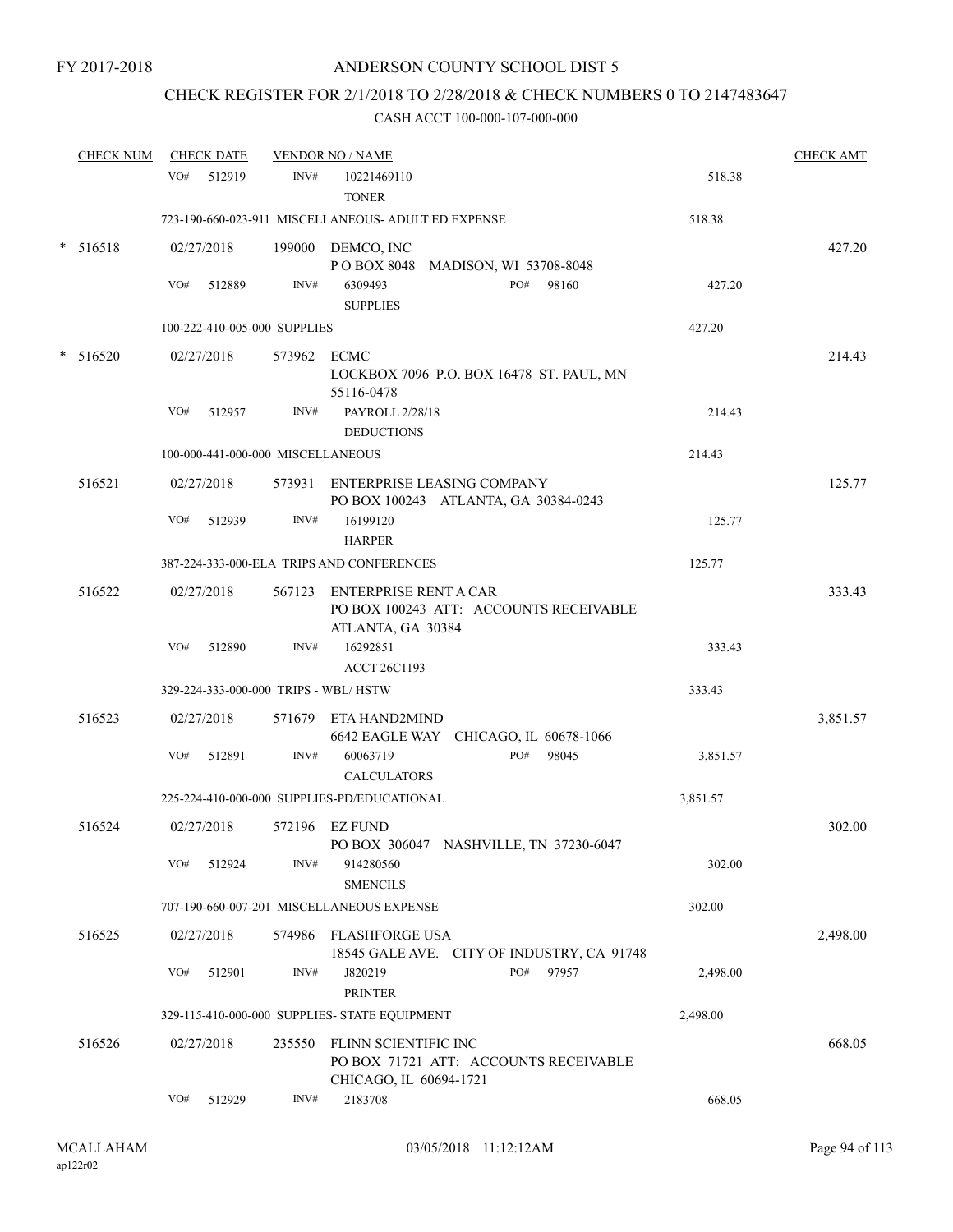# CHECK REGISTER FOR 2/1/2018 TO 2/28/2018 & CHECK NUMBERS 0 TO 2147483647

|   | <b>CHECK NUM</b> |     | <b>CHECK DATE</b> |                                   | <b>VENDOR NO / NAME</b>                             |                                                                           |          | <b>CHECK AMT</b> |
|---|------------------|-----|-------------------|-----------------------------------|-----------------------------------------------------|---------------------------------------------------------------------------|----------|------------------|
|   |                  | VO# | 512919            | INV#                              | 10221469110<br><b>TONER</b>                         |                                                                           | 518.38   |                  |
|   |                  |     |                   |                                   | 723-190-660-023-911 MISCELLANEOUS- ADULT ED EXPENSE |                                                                           | 518.38   |                  |
| * | 516518           |     | 02/27/2018        |                                   | 199000 DEMCO, INC                                   | POBOX 8048 MADISON, WI 53708-8048                                         |          | 427.20           |
|   |                  | VO# | 512889            | INV#                              | 6309493<br><b>SUPPLIES</b>                          | PO# 98160                                                                 | 427.20   |                  |
|   |                  |     |                   | 100-222-410-005-000 SUPPLIES      |                                                     |                                                                           | 427.20   |                  |
|   | $*$ 516520       |     | 02/27/2018        | 573962 ECMC                       |                                                     |                                                                           |          | 214.43           |
|   |                  |     |                   |                                   | 55116-0478                                          | LOCKBOX 7096 P.O. BOX 16478 ST. PAUL, MN                                  |          |                  |
|   |                  | VO# | 512957            | INV#                              | PAYROLL 2/28/18<br><b>DEDUCTIONS</b>                |                                                                           | 214.43   |                  |
|   |                  |     |                   | 100-000-441-000-000 MISCELLANEOUS |                                                     |                                                                           | 214.43   |                  |
|   | 516521           |     | 02/27/2018        |                                   |                                                     | 573931 ENTERPRISE LEASING COMPANY<br>PO BOX 100243 ATLANTA, GA 30384-0243 |          | 125.77           |
|   |                  | VO# | 512939            | INV#                              | 16199120<br><b>HARPER</b>                           |                                                                           | 125.77   |                  |
|   |                  |     |                   |                                   | 387-224-333-000-ELA TRIPS AND CONFERENCES           |                                                                           | 125.77   |                  |
|   | 516522           |     | 02/27/2018        |                                   | 567123 ENTERPRISE RENT A CAR<br>ATLANTA, GA 30384   | PO BOX 100243 ATT: ACCOUNTS RECEIVABLE                                    |          | 333.43           |
|   |                  | VO# | 512890            | INV#                              | 16292851<br><b>ACCT 26C1193</b>                     |                                                                           | 333.43   |                  |
|   |                  |     |                   |                                   | 329-224-333-000-000 TRIPS - WBL/HSTW                |                                                                           | 333.43   |                  |
|   | 516523           |     | 02/27/2018        |                                   | 571679 ETA HAND2MIND                                | 6642 EAGLE WAY CHICAGO, IL 60678-1066                                     |          | 3,851.57         |
|   |                  | VO# | 512891            | INV#                              | 60063719<br><b>CALCULATORS</b>                      | PO#<br>98045                                                              | 3,851.57 |                  |
|   |                  |     |                   |                                   | 225-224-410-000-000 SUPPLIES-PD/EDUCATIONAL         |                                                                           | 3,851.57 |                  |
|   | 516524           |     | 02/27/2018        |                                   | 572196 EZ FUND                                      | PO BOX 306047 NASHVILLE, TN 37230-6047                                    |          | 302.00           |
|   |                  | VO# | 512924            | INV#                              | 914280560<br><b>SMENCILS</b>                        |                                                                           | 302.00   |                  |
|   |                  |     |                   |                                   | 707-190-660-007-201 MISCELLANEOUS EXPENSE           |                                                                           | 302.00   |                  |
|   | 516525           |     | 02/27/2018        | 574986                            | FLASHFORGE USA                                      | 18545 GALE AVE. CITY OF INDUSTRY, CA 91748                                |          | 2,498.00         |
|   |                  | VO# | 512901            | INV#                              | J820219<br><b>PRINTER</b>                           | PO#<br>97957                                                              | 2,498.00 |                  |
|   |                  |     |                   |                                   | 329-115-410-000-000 SUPPLIES- STATE EQUIPMENT       |                                                                           | 2,498.00 |                  |
|   | 516526           |     | 02/27/2018        | 235550                            | FLINN SCIENTIFIC INC<br>CHICAGO, IL 60694-1721      | PO BOX 71721 ATT: ACCOUNTS RECEIVABLE                                     |          | 668.05           |
|   |                  | VO# | 512929            | INV#                              | 2183708                                             |                                                                           | 668.05   |                  |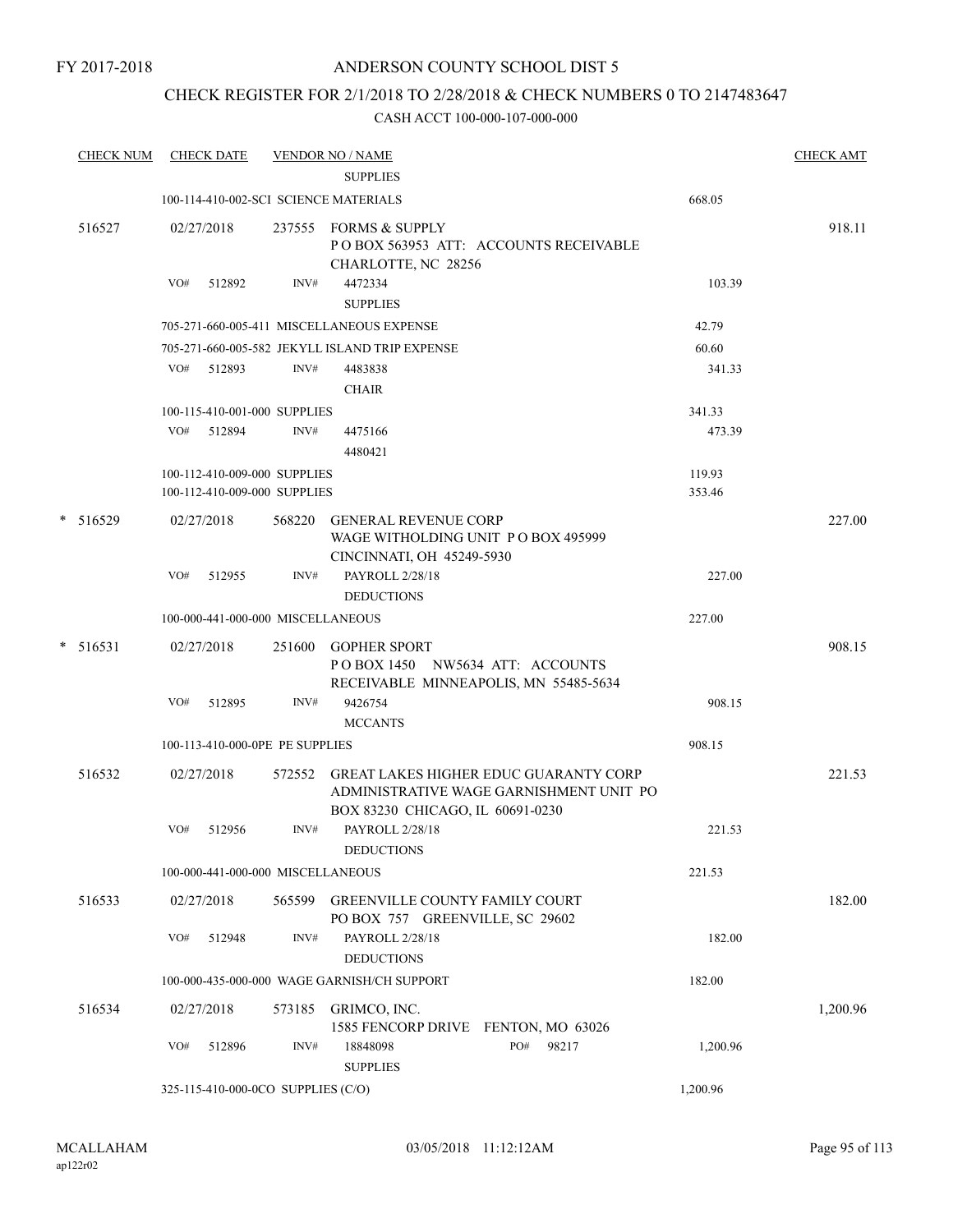## CHECK REGISTER FOR 2/1/2018 TO 2/28/2018 & CHECK NUMBERS 0 TO 2147483647

| <b>CHECK NUM</b> |     | <b>CHECK DATE</b>                  |        | <b>VENDOR NO / NAME</b><br><b>SUPPLIES</b>                                                      |                                                                                         |          | <b>CHECK AMT</b> |
|------------------|-----|------------------------------------|--------|-------------------------------------------------------------------------------------------------|-----------------------------------------------------------------------------------------|----------|------------------|
|                  |     |                                    |        | 100-114-410-002-SCI SCIENCE MATERIALS                                                           |                                                                                         | 668.05   |                  |
| 516527           |     | 02/27/2018                         |        | 237555 FORMS & SUPPLY<br>CHARLOTTE, NC 28256                                                    | PO BOX 563953 ATT: ACCOUNTS RECEIVABLE                                                  |          | 918.11           |
|                  | VO# | 512892                             | INV#   | 4472334<br><b>SUPPLIES</b>                                                                      |                                                                                         | 103.39   |                  |
|                  |     |                                    |        | 705-271-660-005-411 MISCELLANEOUS EXPENSE                                                       |                                                                                         | 42.79    |                  |
|                  |     |                                    |        | 705-271-660-005-582 JEKYLL ISLAND TRIP EXPENSE                                                  |                                                                                         | 60.60    |                  |
|                  |     | VO# 512893                         | INV#   | 4483838<br><b>CHAIR</b>                                                                         |                                                                                         | 341.33   |                  |
|                  |     | 100-115-410-001-000 SUPPLIES       |        |                                                                                                 |                                                                                         | 341.33   |                  |
|                  |     | VO# 512894                         | INV#   | 4475166<br>4480421                                                                              |                                                                                         | 473.39   |                  |
|                  |     | 100-112-410-009-000 SUPPLIES       |        |                                                                                                 |                                                                                         | 119.93   |                  |
|                  |     | 100-112-410-009-000 SUPPLIES       |        |                                                                                                 |                                                                                         | 353.46   |                  |
| * 516529         |     | 02/27/2018                         |        | 568220 GENERAL REVENUE CORP<br>WAGE WITHOLDING UNIT PO BOX 495999<br>CINCINNATI, OH 45249-5930  |                                                                                         |          | 227.00           |
|                  | VO# | 512955                             | INV#   | PAYROLL 2/28/18<br><b>DEDUCTIONS</b>                                                            |                                                                                         | 227.00   |                  |
|                  |     | 100-000-441-000-000 MISCELLANEOUS  |        |                                                                                                 |                                                                                         | 227.00   |                  |
| $*$ 516531       |     | 02/27/2018                         |        | 251600 GOPHER SPORT<br>POBOX 1450 NW5634 ATT: ACCOUNTS<br>RECEIVABLE MINNEAPOLIS, MN 55485-5634 |                                                                                         |          | 908.15           |
|                  | VO# | 512895                             | INV#   | 9426754<br><b>MCCANTS</b>                                                                       |                                                                                         | 908.15   |                  |
|                  |     | 100-113-410-000-0PE PE SUPPLIES    |        |                                                                                                 |                                                                                         | 908.15   |                  |
| 516532           |     | 02/27/2018                         |        | BOX 83230 CHICAGO, IL 60691-0230                                                                | 572552 GREAT LAKES HIGHER EDUC GUARANTY CORP<br>ADMINISTRATIVE WAGE GARNISHMENT UNIT PO |          | 221.53           |
|                  | VO# | 512956                             | INV#   | PAYROLL 2/28/18<br><b>DEDUCTIONS</b>                                                            |                                                                                         | 221.53   |                  |
|                  |     | 100-000-441-000-000 MISCELLANEOUS  |        |                                                                                                 |                                                                                         | 221.53   |                  |
| 516533           |     | 02/27/2018                         | 565599 | <b>GREENVILLE COUNTY FAMILY COURT</b><br>PO BOX 757 GREENVILLE, SC 29602                        |                                                                                         |          | 182.00           |
|                  | VO# | 512948                             | INV#   | PAYROLL 2/28/18<br><b>DEDUCTIONS</b>                                                            |                                                                                         | 182.00   |                  |
|                  |     |                                    |        | 100-000-435-000-000 WAGE GARNISH/CH SUPPORT                                                     |                                                                                         | 182.00   |                  |
| 516534           |     | 02/27/2018                         | 573185 | GRIMCO, INC.<br>1585 FENCORP DRIVE FENTON, MO 63026                                             |                                                                                         |          | 1,200.96         |
|                  | VO# | 512896                             | INV#   | 18848098<br><b>SUPPLIES</b>                                                                     | PO#<br>98217                                                                            | 1,200.96 |                  |
|                  |     | 325-115-410-000-0CO SUPPLIES (C/O) |        |                                                                                                 |                                                                                         | 1,200.96 |                  |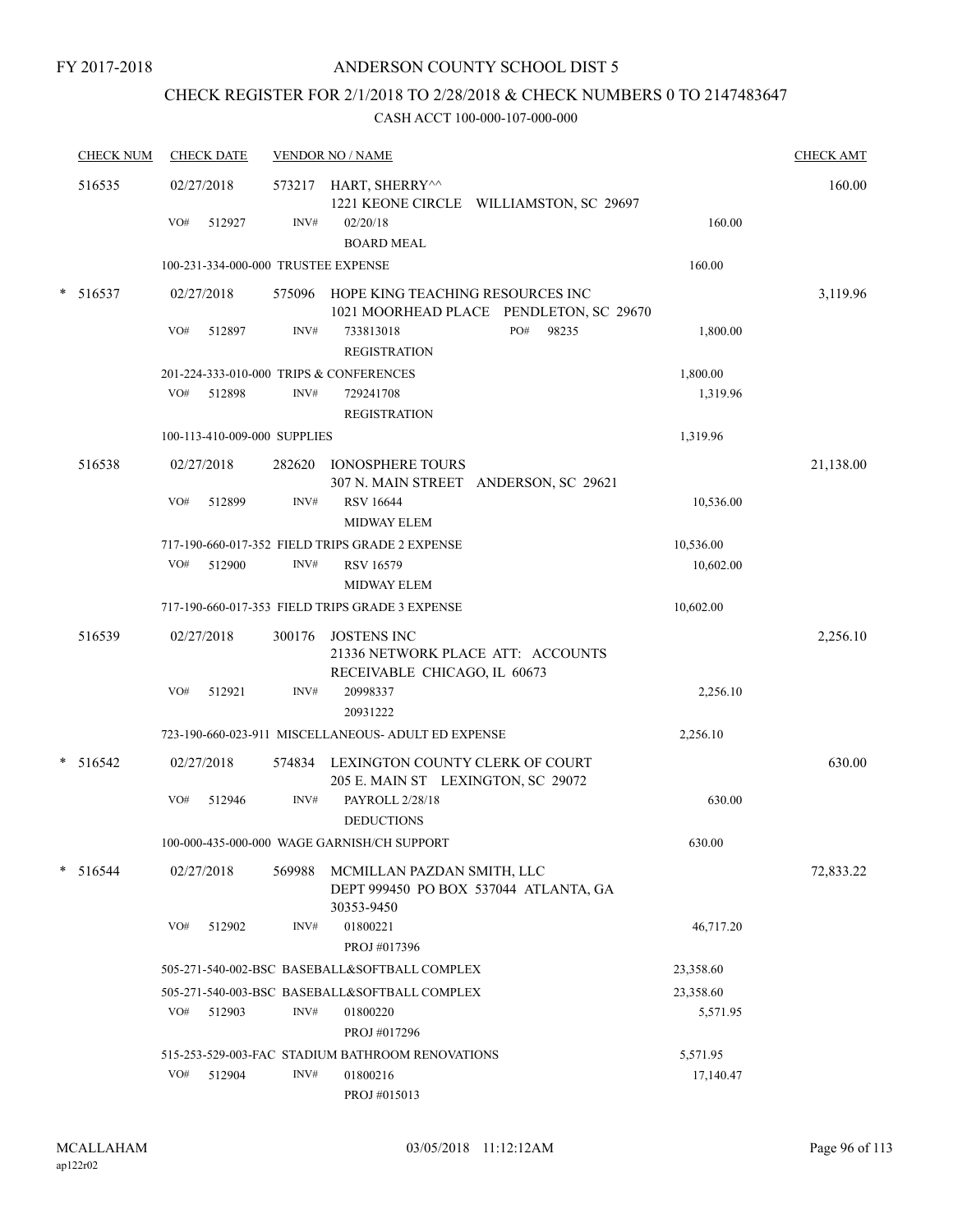# CHECK REGISTER FOR 2/1/2018 TO 2/28/2018 & CHECK NUMBERS 0 TO 2147483647

| <b>CHECK NUM</b> |     | <b>CHECK DATE</b>            |        | <b>VENDOR NO / NAME</b>                                                          |                                         |           | <b>CHECK AMT</b> |
|------------------|-----|------------------------------|--------|----------------------------------------------------------------------------------|-----------------------------------------|-----------|------------------|
| 516535           |     | 02/27/2018                   |        | 573217 HART, SHERRY^^                                                            | 1221 KEONE CIRCLE WILLIAMSTON, SC 29697 |           | 160.00           |
|                  | VO# | 512927                       | INV#   | 02/20/18<br><b>BOARD MEAL</b>                                                    |                                         | 160.00    |                  |
|                  |     |                              |        | 100-231-334-000-000 TRUSTEE EXPENSE                                              |                                         | 160.00    |                  |
| $* 516537$       |     | 02/27/2018                   | 575096 | HOPE KING TEACHING RESOURCES INC                                                 | 1021 MOORHEAD PLACE PENDLETON, SC 29670 |           | 3,119.96         |
|                  | VO# | 512897                       | INV#   | 733813018<br><b>REGISTRATION</b>                                                 | PO#<br>98235                            | 1,800.00  |                  |
|                  |     |                              |        | 201-224-333-010-000 TRIPS & CONFERENCES                                          |                                         | 1,800.00  |                  |
|                  | VO# | 512898                       | INV#   | 729241708<br><b>REGISTRATION</b>                                                 |                                         | 1,319.96  |                  |
|                  |     | 100-113-410-009-000 SUPPLIES |        |                                                                                  |                                         | 1,319.96  |                  |
| 516538           |     | 02/27/2018                   | 282620 | <b>IONOSPHERE TOURS</b>                                                          | 307 N. MAIN STREET ANDERSON, SC 29621   |           | 21,138.00        |
|                  | VO# | 512899                       | INV#   | <b>RSV 16644</b><br>MIDWAY ELEM                                                  |                                         | 10,536.00 |                  |
|                  |     |                              |        | 717-190-660-017-352 FIELD TRIPS GRADE 2 EXPENSE                                  |                                         | 10,536.00 |                  |
|                  | VO# | 512900                       | INV#   | <b>RSV 16579</b>                                                                 |                                         | 10,602.00 |                  |
|                  |     |                              |        | <b>MIDWAY ELEM</b>                                                               |                                         |           |                  |
|                  |     |                              |        | 717-190-660-017-353 FIELD TRIPS GRADE 3 EXPENSE                                  |                                         | 10,602.00 |                  |
| 516539           |     | 02/27/2018                   | 300176 | JOSTENS INC<br>21336 NETWORK PLACE ATT: ACCOUNTS<br>RECEIVABLE CHICAGO, IL 60673 |                                         |           | 2,256.10         |
|                  | VO# | 512921                       | INV#   | 20998337<br>20931222                                                             |                                         | 2,256.10  |                  |
|                  |     |                              |        | 723-190-660-023-911 MISCELLANEOUS- ADULT ED EXPENSE                              |                                         | 2,256.10  |                  |
| $* 516542$       |     | 02/27/2018                   | 574834 | LEXINGTON COUNTY CLERK OF COURT<br>205 E. MAIN ST LEXINGTON, SC 29072            |                                         |           | 630.00           |
|                  | VO# | 512946                       | INV#   | PAYROLL 2/28/18<br><b>DEDUCTIONS</b>                                             |                                         | 630.00    |                  |
|                  |     |                              |        | 100-000-435-000-000 WAGE GARNISH/CH SUPPORT                                      |                                         | 630.00    |                  |
| $*$ 516544       |     | 02/27/2018                   | 569988 | MCMILLAN PAZDAN SMITH, LLC<br>30353-9450                                         | DEPT 999450 PO BOX 537044 ATLANTA, GA   |           | 72,833.22        |
|                  | VO# | 512902                       | INV#   | 01800221<br>PROJ #017396                                                         |                                         | 46,717.20 |                  |
|                  |     |                              |        | 505-271-540-002-BSC BASEBALL&SOFTBALL COMPLEX                                    |                                         | 23,358.60 |                  |
|                  |     |                              |        | 505-271-540-003-BSC BASEBALL&SOFTBALL COMPLEX                                    |                                         | 23,358.60 |                  |
|                  | VO# | 512903                       | INV#   | 01800220<br>PROJ #017296                                                         |                                         | 5,571.95  |                  |
|                  |     |                              |        | 515-253-529-003-FAC STADIUM BATHROOM RENOVATIONS                                 |                                         | 5,571.95  |                  |
|                  | VO# | 512904                       | INV#   | 01800216<br>PROJ #015013                                                         |                                         | 17,140.47 |                  |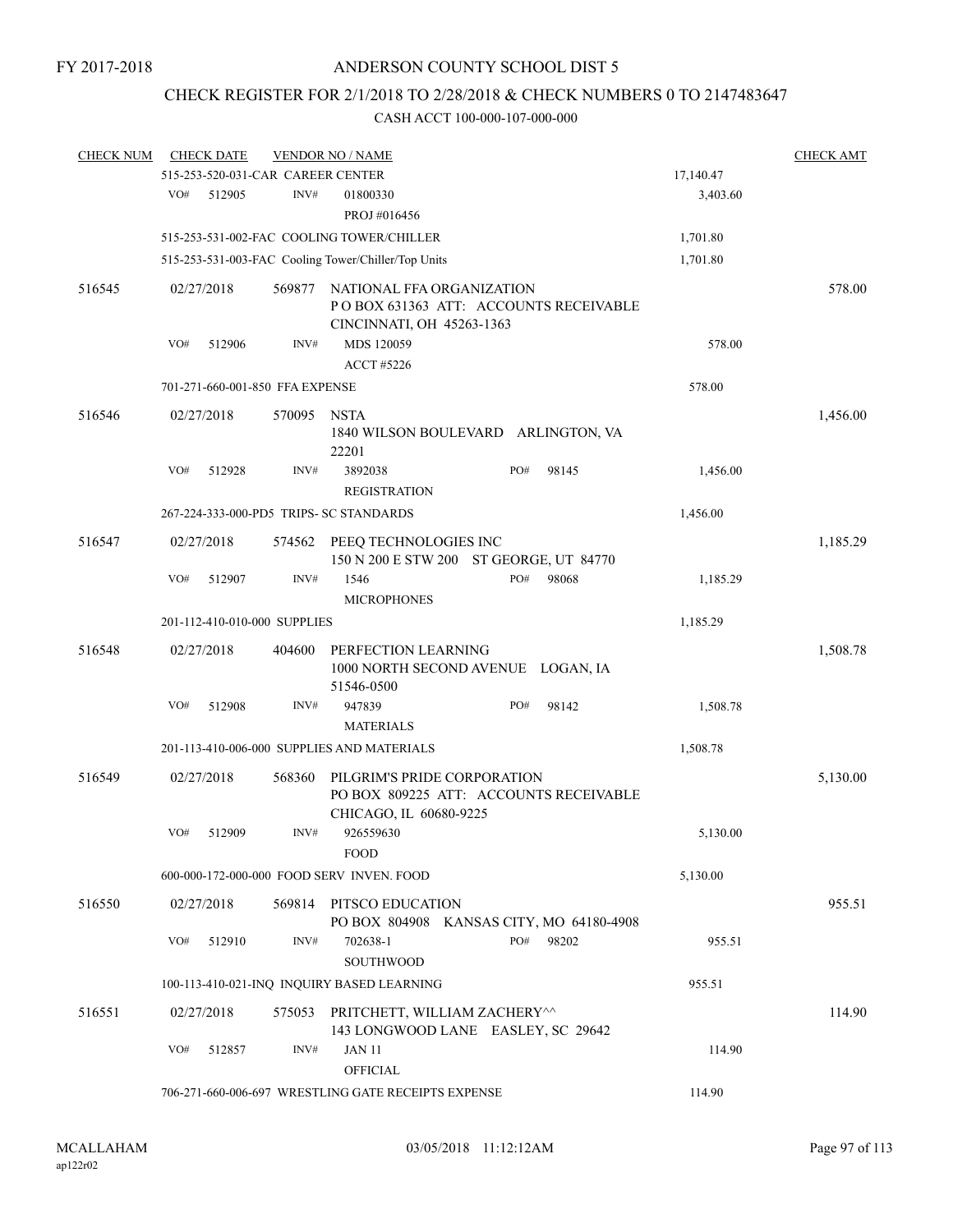## CHECK REGISTER FOR 2/1/2018 TO 2/28/2018 & CHECK NUMBERS 0 TO 2147483647

| <b>CHECK NUM</b> |     | <b>CHECK DATE</b> |                                   | <b>VENDOR NO / NAME</b>                                                                         |     |       |           | <b>CHECK AMT</b> |
|------------------|-----|-------------------|-----------------------------------|-------------------------------------------------------------------------------------------------|-----|-------|-----------|------------------|
|                  |     |                   | 515-253-520-031-CAR CAREER CENTER |                                                                                                 |     |       | 17,140.47 |                  |
|                  | VO# | 512905            | INV#                              | 01800330                                                                                        |     |       | 3,403.60  |                  |
|                  |     |                   |                                   | PROJ #016456                                                                                    |     |       |           |                  |
|                  |     |                   |                                   | 515-253-531-002-FAC COOLING TOWER/CHILLER                                                       |     |       | 1,701.80  |                  |
|                  |     |                   |                                   | 515-253-531-003-FAC Cooling Tower/Chiller/Top Units                                             |     |       | 1,701.80  |                  |
| 516545           |     | 02/27/2018        | 569877                            | NATIONAL FFA ORGANIZATION<br>POBOX 631363 ATT: ACCOUNTS RECEIVABLE                              |     |       |           | 578.00           |
|                  | VO# | 512906            | INV#                              | CINCINNATI, OH 45263-1363<br>MDS 120059<br><b>ACCT #5226</b>                                    |     |       | 578.00    |                  |
|                  |     |                   | 701-271-660-001-850 FFA EXPENSE   |                                                                                                 |     |       | 578.00    |                  |
| 516546           |     | 02/27/2018        | 570095                            | <b>NSTA</b><br>1840 WILSON BOULEVARD ARLINGTON, VA<br>22201                                     |     |       |           | 1,456.00         |
|                  | VO# | 512928            | INV#                              | 3892038<br><b>REGISTRATION</b>                                                                  | PO# | 98145 | 1,456.00  |                  |
|                  |     |                   |                                   | 267-224-333-000-PD5 TRIPS- SC STANDARDS                                                         |     |       | 1,456.00  |                  |
| 516547           |     | 02/27/2018        | 574562                            | PEEQ TECHNOLOGIES INC<br>150 N 200 E STW 200 ST GEORGE, UT 84770                                |     |       |           | 1,185.29         |
|                  | VO# | 512907            | INV#                              | 1546<br><b>MICROPHONES</b>                                                                      | PO# | 98068 | 1,185.29  |                  |
|                  |     |                   | 201-112-410-010-000 SUPPLIES      |                                                                                                 |     |       | 1,185.29  |                  |
| 516548           |     | 02/27/2018        | 404600                            | PERFECTION LEARNING<br>1000 NORTH SECOND AVENUE LOGAN, IA                                       |     |       |           | 1,508.78         |
|                  | VO# | 512908            | INV#                              | 51546-0500<br>947839<br><b>MATERIALS</b>                                                        | PO# | 98142 | 1,508.78  |                  |
|                  |     |                   |                                   | 201-113-410-006-000 SUPPLIES AND MATERIALS                                                      |     |       | 1,508.78  |                  |
| 516549           |     | 02/27/2018        | 568360                            | PILGRIM'S PRIDE CORPORATION<br>PO BOX 809225 ATT: ACCOUNTS RECEIVABLE<br>CHICAGO, IL 60680-9225 |     |       |           | 5,130.00         |
|                  | VO# | 512909            | INV#                              | 926559630<br><b>FOOD</b>                                                                        |     |       | 5,130.00  |                  |
|                  |     |                   |                                   | 600-000-172-000-000 FOOD SERV INVEN. FOOD                                                       |     |       | 5,130.00  |                  |
| 516550           |     | 02/27/2018        |                                   | 569814 PITSCO EDUCATION                                                                         |     |       |           | 955.51           |
|                  | VO# | 512910            | INV#                              | PO BOX 804908 KANSAS CITY, MO 64180-4908<br>702638-1<br><b>SOUTHWOOD</b>                        | PO# | 98202 | 955.51    |                  |
|                  |     |                   |                                   | 100-113-410-021-INQ INQUIRY BASED LEARNING                                                      |     |       | 955.51    |                  |
| 516551           |     | 02/27/2018        | 575053                            | PRITCHETT, WILLIAM ZACHERY^^<br>143 LONGWOOD LANE EASLEY, SC 29642                              |     |       |           | 114.90           |
|                  | VO# | 512857            | INV#                              | JAN 11<br><b>OFFICIAL</b>                                                                       |     |       | 114.90    |                  |
|                  |     |                   |                                   | 706-271-660-006-697 WRESTLING GATE RECEIPTS EXPENSE                                             |     |       | 114.90    |                  |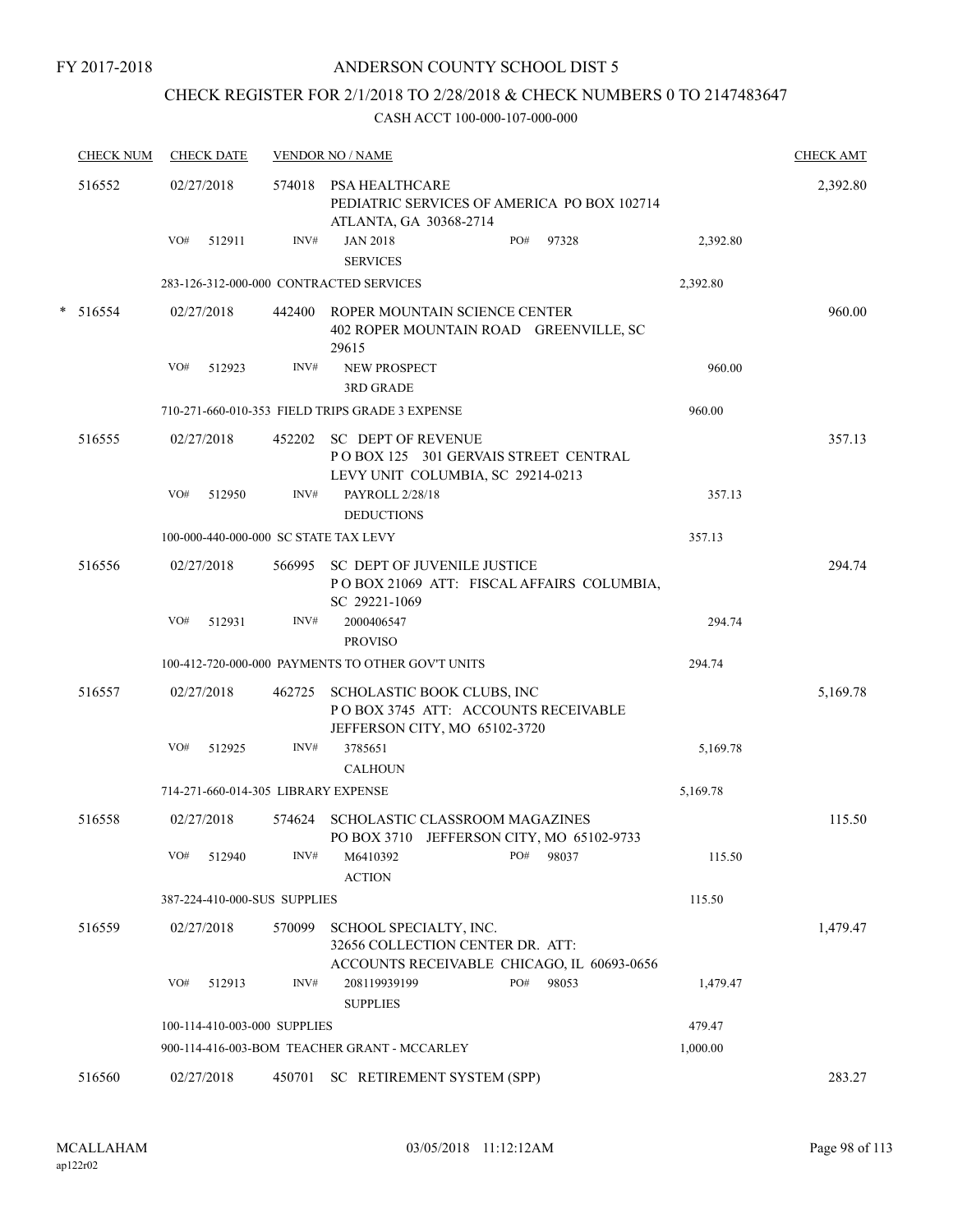## ANDERSON COUNTY SCHOOL DIST 5

## CHECK REGISTER FOR 2/1/2018 TO 2/28/2018 & CHECK NUMBERS 0 TO 2147483647

| <b>CHECK NUM</b> | <b>CHECK DATE</b>                     |        | <b>VENDOR NO / NAME</b>                                                                                  |          | <b>CHECK AMT</b> |
|------------------|---------------------------------------|--------|----------------------------------------------------------------------------------------------------------|----------|------------------|
| 516552           | 02/27/2018                            |        | 574018 PSA HEALTHCARE<br>PEDIATRIC SERVICES OF AMERICA PO BOX 102714<br>ATLANTA, GA 30368-2714           |          | 2,392.80         |
|                  | VO#<br>512911                         | INV#   | <b>JAN 2018</b><br>PO#<br>97328<br><b>SERVICES</b>                                                       | 2,392.80 |                  |
|                  |                                       |        | 283-126-312-000-000 CONTRACTED SERVICES                                                                  | 2,392.80 |                  |
| * 516554         | 02/27/2018                            |        | 442400 ROPER MOUNTAIN SCIENCE CENTER<br>402 ROPER MOUNTAIN ROAD GREENVILLE, SC<br>29615                  |          | 960.00           |
|                  | VO#<br>512923                         | INV#   | <b>NEW PROSPECT</b><br><b>3RD GRADE</b>                                                                  | 960.00   |                  |
|                  |                                       |        | 710-271-660-010-353 FIELD TRIPS GRADE 3 EXPENSE                                                          | 960.00   |                  |
| 516555           | 02/27/2018                            | 452202 | <b>SC DEPT OF REVENUE</b><br>POBOX 125 301 GERVAIS STREET CENTRAL<br>LEVY UNIT COLUMBIA, SC 29214-0213   |          | 357.13           |
|                  | VO#<br>512950                         | INV#   | PAYROLL 2/28/18<br><b>DEDUCTIONS</b>                                                                     | 357.13   |                  |
|                  | 100-000-440-000-000 SC STATE TAX LEVY |        |                                                                                                          | 357.13   |                  |
| 516556           | 02/27/2018                            | 566995 | <b>SC DEPT OF JUVENILE JUSTICE</b><br>POBOX 21069 ATT: FISCAL AFFAIRS COLUMBIA,<br>SC 29221-1069         |          | 294.74           |
|                  | VO#<br>512931                         | INV#   | 2000406547<br><b>PROVISO</b>                                                                             | 294.74   |                  |
|                  |                                       |        | 100-412-720-000-000 PAYMENTS TO OTHER GOV'T UNITS                                                        | 294.74   |                  |
| 516557           | 02/27/2018                            | 462725 | SCHOLASTIC BOOK CLUBS, INC<br>POBOX 3745 ATT: ACCOUNTS RECEIVABLE<br>JEFFERSON CITY, MO 65102-3720       |          | 5,169.78         |
|                  | VO#<br>512925                         | INV#   | 3785651<br><b>CALHOUN</b>                                                                                | 5,169.78 |                  |
|                  | 714-271-660-014-305 LIBRARY EXPENSE   |        |                                                                                                          | 5,169.78 |                  |
| 516558           | 02/27/2018                            | 574624 | SCHOLASTIC CLASSROOM MAGAZINES<br>PO BOX 3710 JEFFERSON CITY, MO 65102-9733                              |          | 115.50           |
|                  | VO#<br>512940                         | INV#   | M6410392<br>PO#<br>98037<br><b>ACTION</b>                                                                | 115.50   |                  |
|                  | 387-224-410-000-SUS SUPPLIES          |        |                                                                                                          | 115.50   |                  |
| 516559           | 02/27/2018                            | 570099 | SCHOOL SPECIALTY, INC.<br>32656 COLLECTION CENTER DR. ATT:<br>ACCOUNTS RECEIVABLE CHICAGO, IL 60693-0656 |          | 1,479.47         |
|                  | VO#<br>512913                         | INV#   | PO#<br>208119939199<br>98053<br><b>SUPPLIES</b>                                                          | 1,479.47 |                  |
|                  | 100-114-410-003-000 SUPPLIES          |        |                                                                                                          | 479.47   |                  |
|                  |                                       |        | 900-114-416-003-BOM TEACHER GRANT - MCCARLEY                                                             | 1,000.00 |                  |
| 516560           | 02/27/2018                            |        | 450701 SC RETIREMENT SYSTEM (SPP)                                                                        |          | 283.27           |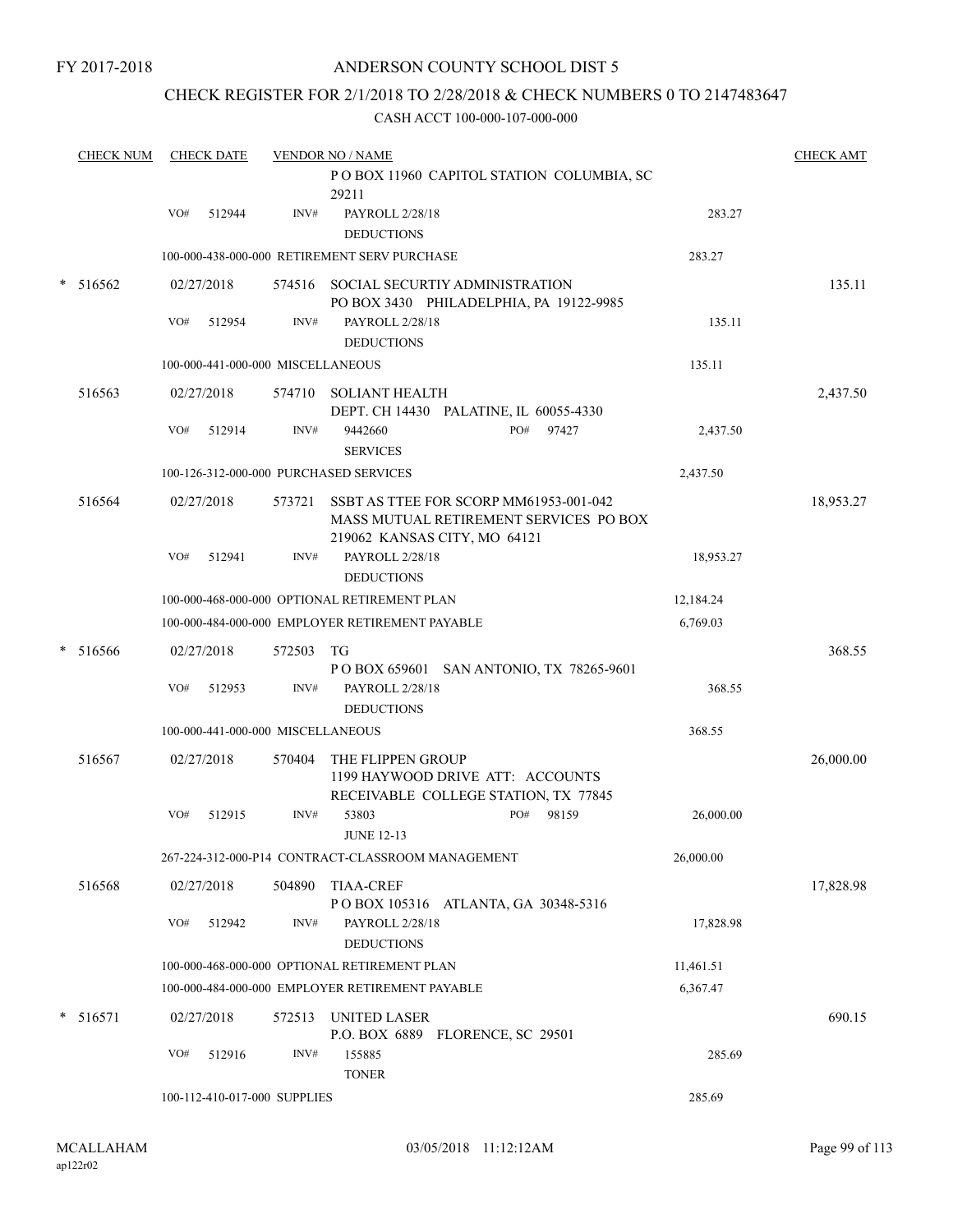## ANDERSON COUNTY SCHOOL DIST 5

## CHECK REGISTER FOR 2/1/2018 TO 2/28/2018 & CHECK NUMBERS 0 TO 2147483647

| <b>CHECK NUM</b> | <b>CHECK DATE</b> |        |                                   | <b>VENDOR NO / NAME</b>                                                                                          |           | <b>CHECK AMT</b> |
|------------------|-------------------|--------|-----------------------------------|------------------------------------------------------------------------------------------------------------------|-----------|------------------|
|                  |                   |        |                                   | POBOX 11960 CAPITOL STATION COLUMBIA, SC<br>29211                                                                |           |                  |
|                  | VO#               | 512944 | INV#                              | PAYROLL 2/28/18<br><b>DEDUCTIONS</b>                                                                             | 283.27    |                  |
|                  |                   |        |                                   | 100-000-438-000-000 RETIREMENT SERV PURCHASE                                                                     | 283.27    |                  |
| $* 516562$       | 02/27/2018        |        |                                   | 574516 SOCIAL SECURTIY ADMINISTRATION<br>PO BOX 3430 PHILADELPHIA, PA 19122-9985                                 |           | 135.11           |
|                  | VO#               | 512954 | INV#                              | PAYROLL 2/28/18<br><b>DEDUCTIONS</b>                                                                             | 135.11    |                  |
|                  |                   |        | 100-000-441-000-000 MISCELLANEOUS |                                                                                                                  | 135.11    |                  |
| 516563           | 02/27/2018        |        |                                   | 574710 SOLIANT HEALTH<br>DEPT. CH 14430 PALATINE, IL 60055-4330                                                  |           | 2,437.50         |
|                  | VO#               | 512914 | INV#                              | 9442660<br>PO#<br>97427<br><b>SERVICES</b>                                                                       | 2,437.50  |                  |
|                  |                   |        |                                   | 100-126-312-000-000 PURCHASED SERVICES                                                                           | 2,437.50  |                  |
| 516564           | 02/27/2018        |        | 573721                            | SSBT AS TTEE FOR SCORP MM61953-001-042<br>MASS MUTUAL RETIREMENT SERVICES PO BOX<br>219062 KANSAS CITY, MO 64121 |           | 18,953.27        |
|                  | VO#               | 512941 | INV#                              | PAYROLL 2/28/18<br><b>DEDUCTIONS</b>                                                                             | 18,953.27 |                  |
|                  |                   |        |                                   | 100-000-468-000-000 OPTIONAL RETIREMENT PLAN                                                                     | 12,184.24 |                  |
|                  |                   |        |                                   | 100-000-484-000-000 EMPLOYER RETIREMENT PAYABLE                                                                  | 6,769.03  |                  |
| $* 516566$       | 02/27/2018        |        | 572503                            | TG<br>P O BOX 659601 SAN ANTONIO, TX 78265-9601                                                                  |           | 368.55           |
|                  | VO#               | 512953 | INV#                              | PAYROLL 2/28/18<br><b>DEDUCTIONS</b>                                                                             | 368.55    |                  |
|                  |                   |        | 100-000-441-000-000 MISCELLANEOUS |                                                                                                                  | 368.55    |                  |
| 516567           | 02/27/2018        |        | 570404                            | THE FLIPPEN GROUP<br>1199 HAYWOOD DRIVE ATT: ACCOUNTS<br>RECEIVABLE COLLEGE STATION, TX 77845                    |           | 26,000.00        |
|                  | VO#               | 512915 | INV#                              | 53803<br>PO#<br>98159<br><b>JUNE 12-13</b>                                                                       | 26,000.00 |                  |
|                  |                   |        |                                   | 267-224-312-000-P14 CONTRACT-CLASSROOM MANAGEMENT                                                                | 26,000.00 |                  |
| 516568           | 02/27/2018        |        | 504890                            | <b>TIAA-CREF</b><br>POBOX 105316 ATLANTA, GA 30348-5316                                                          |           | 17,828.98        |
|                  | VO#               | 512942 | INV#                              | PAYROLL 2/28/18<br><b>DEDUCTIONS</b>                                                                             | 17,828.98 |                  |
|                  |                   |        |                                   | 100-000-468-000-000 OPTIONAL RETIREMENT PLAN                                                                     | 11,461.51 |                  |
|                  |                   |        |                                   | 100-000-484-000-000 EMPLOYER RETIREMENT PAYABLE                                                                  | 6,367.47  |                  |
| $* 516571$       | 02/27/2018        |        | 572513                            | <b>UNITED LASER</b><br>P.O. BOX 6889 FLORENCE, SC 29501                                                          |           | 690.15           |
|                  | VO#               | 512916 | INV#                              | 155885<br><b>TONER</b>                                                                                           | 285.69    |                  |
|                  |                   |        | 100-112-410-017-000 SUPPLIES      |                                                                                                                  | 285.69    |                  |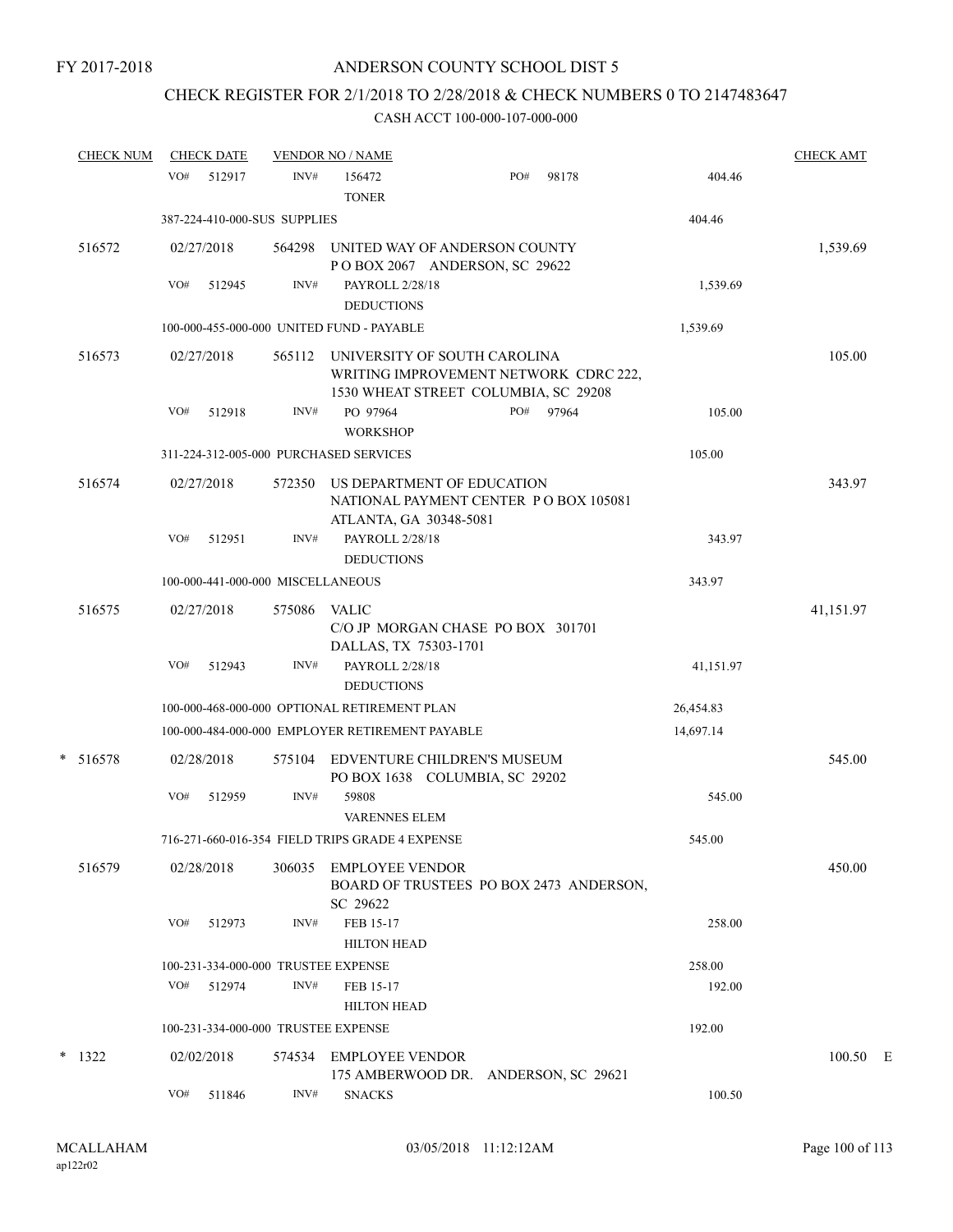# CHECK REGISTER FOR 2/1/2018 TO 2/28/2018 & CHECK NUMBERS 0 TO 2147483647

| <b>CHECK NUM</b> |     | <b>CHECK DATE</b> |                                   | <b>VENDOR NO / NAME</b>                                                                                       |     |       |           | <b>CHECK AMT</b> |  |
|------------------|-----|-------------------|-----------------------------------|---------------------------------------------------------------------------------------------------------------|-----|-------|-----------|------------------|--|
|                  | VO# | 512917            | INV#                              | 156472<br><b>TONER</b>                                                                                        | PO# | 98178 | 404.46    |                  |  |
|                  |     |                   | 387-224-410-000-SUS SUPPLIES      |                                                                                                               |     |       | 404.46    |                  |  |
| 516572           |     | 02/27/2018        | 564298                            | UNITED WAY OF ANDERSON COUNTY<br>POBOX 2067 ANDERSON, SC 29622                                                |     |       |           | 1,539.69         |  |
|                  | VO# | 512945            | INV#                              | PAYROLL 2/28/18<br><b>DEDUCTIONS</b>                                                                          |     |       | 1,539.69  |                  |  |
|                  |     |                   |                                   | 100-000-455-000-000 UNITED FUND - PAYABLE                                                                     |     |       | 1,539.69  |                  |  |
| 516573           |     | 02/27/2018        | 565112                            | UNIVERSITY OF SOUTH CAROLINA<br>WRITING IMPROVEMENT NETWORK CDRC 222,<br>1530 WHEAT STREET COLUMBIA, SC 29208 |     |       |           | 105.00           |  |
|                  | VO# | 512918            | INV#                              | PO 97964<br><b>WORKSHOP</b>                                                                                   | PO# | 97964 | 105.00    |                  |  |
|                  |     |                   |                                   | 311-224-312-005-000 PURCHASED SERVICES                                                                        |     |       | 105.00    |                  |  |
| 516574           |     | 02/27/2018        | 572350                            | US DEPARTMENT OF EDUCATION<br>NATIONAL PAYMENT CENTER PO BOX 105081<br>ATLANTA, GA 30348-5081                 |     |       |           | 343.97           |  |
|                  | VO# | 512951            | INV#                              | PAYROLL 2/28/18<br><b>DEDUCTIONS</b>                                                                          |     |       | 343.97    |                  |  |
|                  |     |                   | 100-000-441-000-000 MISCELLANEOUS |                                                                                                               |     |       | 343.97    |                  |  |
| 516575           |     | 02/27/2018        | 575086                            | <b>VALIC</b><br>C/O JP MORGAN CHASE PO BOX 301701<br>DALLAS, TX 75303-1701                                    |     |       |           | 41,151.97        |  |
|                  | VO# | 512943            | INV#                              | PAYROLL 2/28/18<br><b>DEDUCTIONS</b>                                                                          |     |       | 41,151.97 |                  |  |
|                  |     |                   |                                   | 100-000-468-000-000 OPTIONAL RETIREMENT PLAN                                                                  |     |       | 26,454.83 |                  |  |
|                  |     |                   |                                   | 100-000-484-000-000 EMPLOYER RETIREMENT PAYABLE                                                               |     |       | 14,697.14 |                  |  |
| $* 516578$       |     | 02/28/2018        | 575104                            | EDVENTURE CHILDREN'S MUSEUM<br>PO BOX 1638 COLUMBIA, SC 29202                                                 |     |       |           | 545.00           |  |
|                  | VO# | 512959            | INV#                              | 59808<br><b>VARENNES ELEM</b>                                                                                 |     |       | 545.00    |                  |  |
|                  |     |                   |                                   | 716-271-660-016-354 FIELD TRIPS GRADE 4 EXPENSE                                                               |     |       | 545.00    |                  |  |
| 516579           |     | 02/28/2018        | 306035                            | EMPLOYEE VENDOR<br>BOARD OF TRUSTEES PO BOX 2473 ANDERSON,<br>SC 29622                                        |     |       |           | 450.00           |  |
|                  | VO# | 512973            | INV#                              | FEB 15-17<br><b>HILTON HEAD</b>                                                                               |     |       | 258.00    |                  |  |
|                  |     |                   |                                   | 100-231-334-000-000 TRUSTEE EXPENSE                                                                           |     |       | 258.00    |                  |  |
|                  |     | $VO#$ 512974      | INV#                              | FEB 15-17<br><b>HILTON HEAD</b>                                                                               |     |       | 192.00    |                  |  |
|                  |     |                   |                                   | 100-231-334-000-000 TRUSTEE EXPENSE                                                                           |     |       | 192.00    |                  |  |
| $*$ 1322         |     | 02/02/2018        |                                   | 574534 EMPLOYEE VENDOR<br>175 AMBERWOOD DR. ANDERSON, SC 29621                                                |     |       |           | 100.50 E         |  |
|                  | VO# | 511846            | INV#                              | <b>SNACKS</b>                                                                                                 |     |       | 100.50    |                  |  |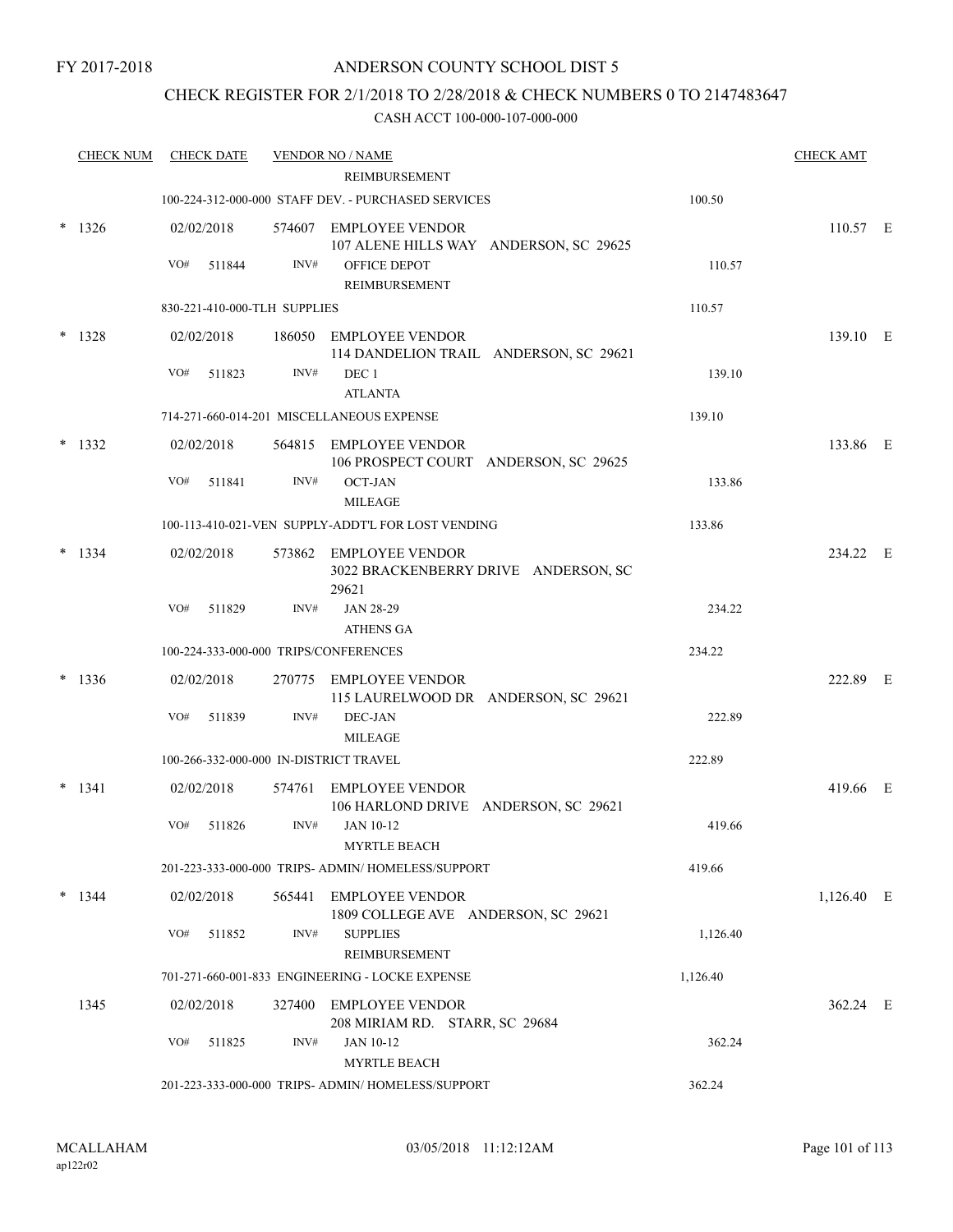## CHECK REGISTER FOR 2/1/2018 TO 2/28/2018 & CHECK NUMBERS 0 TO 2147483647

|        | <b>CHECK NUM</b> | <b>CHECK DATE</b>                      |      | <b>VENDOR NO / NAME</b><br><b>REIMBURSEMENT</b>                         |          | <b>CHECK AMT</b> |  |
|--------|------------------|----------------------------------------|------|-------------------------------------------------------------------------|----------|------------------|--|
|        |                  |                                        |      | 100-224-312-000-000 STAFF DEV. - PURCHASED SERVICES                     | 100.50   |                  |  |
|        |                  |                                        |      |                                                                         |          |                  |  |
|        | $*$ 1326         | 02/02/2018                             |      | 574607 EMPLOYEE VENDOR<br>107 ALENE HILLS WAY ANDERSON, SC 29625        |          | 110.57 E         |  |
|        |                  | VO#<br>511844                          | INV# | OFFICE DEPOT<br><b>REIMBURSEMENT</b>                                    | 110.57   |                  |  |
|        |                  | 830-221-410-000-TLH SUPPLIES           |      |                                                                         | 110.57   |                  |  |
| $\ast$ | 1328             | 02/02/2018                             |      | 186050 EMPLOYEE VENDOR                                                  |          | 139.10 E         |  |
|        |                  |                                        |      | 114 DANDELION TRAIL ANDERSON, SC 29621                                  |          |                  |  |
|        |                  | VO#<br>511823                          | INV# | DEC 1<br><b>ATLANTA</b>                                                 | 139.10   |                  |  |
|        |                  |                                        |      | 714-271-660-014-201 MISCELLANEOUS EXPENSE                               | 139.10   |                  |  |
|        | $*$ 1332         | 02/02/2018                             |      | 564815 EMPLOYEE VENDOR<br>106 PROSPECT COURT ANDERSON, SC 29625         |          | 133.86 E         |  |
|        |                  | VO#<br>511841                          | INV# | <b>OCT-JAN</b>                                                          | 133.86   |                  |  |
|        |                  |                                        |      | <b>MILEAGE</b>                                                          |          |                  |  |
|        |                  |                                        |      | 100-113-410-021-VEN SUPPLY-ADDT'L FOR LOST VENDING                      | 133.86   |                  |  |
|        | $*$ 1334         | 02/02/2018                             |      | 573862 EMPLOYEE VENDOR<br>3022 BRACKENBERRY DRIVE ANDERSON, SC<br>29621 |          | 234.22 E         |  |
|        |                  | VO#<br>511829                          | INV# | <b>JAN 28-29</b><br><b>ATHENS GA</b>                                    | 234.22   |                  |  |
|        |                  | 100-224-333-000-000 TRIPS/CONFERENCES  |      |                                                                         | 234.22   |                  |  |
|        |                  |                                        |      |                                                                         |          |                  |  |
|        | 1336             | 02/02/2018                             |      | 270775 EMPLOYEE VENDOR<br>115 LAURELWOOD DR ANDERSON, SC 29621          |          | 222.89 E         |  |
|        |                  | VO#<br>511839                          | INV# | DEC-JAN                                                                 | 222.89   |                  |  |
|        |                  |                                        |      | <b>MILEAGE</b>                                                          |          |                  |  |
|        |                  | 100-266-332-000-000 IN-DISTRICT TRAVEL |      |                                                                         | 222.89   |                  |  |
|        | $* 1341$         | 02/02/2018                             |      | 574761 EMPLOYEE VENDOR<br>106 HARLOND DRIVE ANDERSON, SC 29621          |          | 419.66 E         |  |
|        |                  | VO#<br>511826                          | INV# | <b>JAN 10-12</b><br>MYRTLE BEACH                                        | 419.66   |                  |  |
|        |                  |                                        |      | 201-223-333-000-000 TRIPS- ADMIN/HOMELESS/SUPPORT                       | 419.66   |                  |  |
|        | $*$ 1344         | 02/02/2018                             |      | 565441 EMPLOYEE VENDOR                                                  |          | 1,126.40 E       |  |
|        |                  |                                        |      | 1809 COLLEGE AVE ANDERSON, SC 29621                                     |          |                  |  |
|        |                  | VO#<br>511852                          | INV# | <b>SUPPLIES</b><br>REIMBURSEMENT                                        | 1,126.40 |                  |  |
|        |                  |                                        |      | 701-271-660-001-833 ENGINEERING - LOCKE EXPENSE                         | 1,126.40 |                  |  |
|        | 1345             | 02/02/2018                             |      | 327400 EMPLOYEE VENDOR                                                  |          | 362.24 E         |  |
|        |                  |                                        |      | 208 MIRIAM RD. STARR, SC 29684                                          |          |                  |  |
|        |                  | VO#<br>511825                          | INV# | JAN 10-12<br><b>MYRTLE BEACH</b>                                        | 362.24   |                  |  |
|        |                  |                                        |      | 201-223-333-000-000 TRIPS- ADMIN/ HOMELESS/SUPPORT                      | 362.24   |                  |  |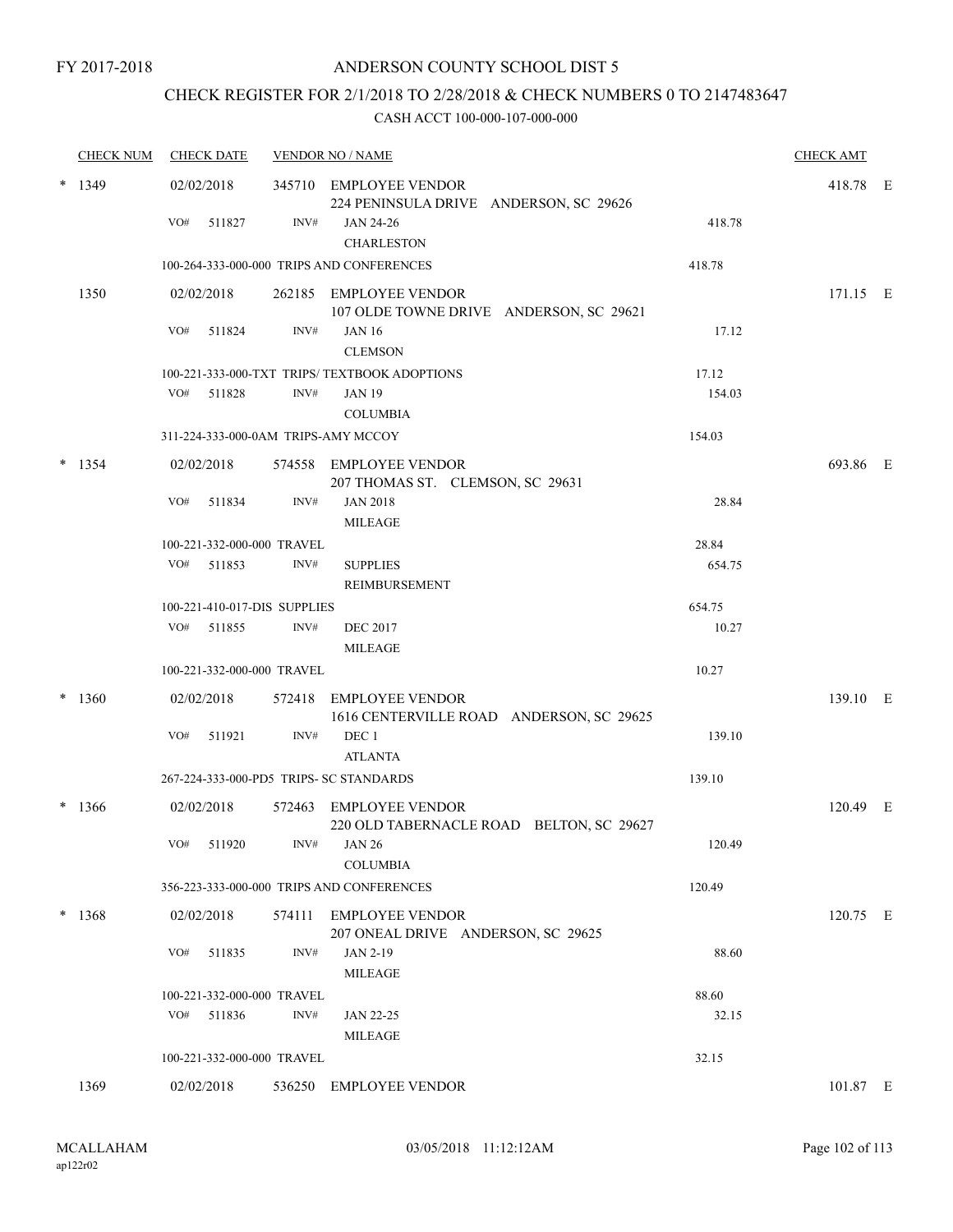## CHECK REGISTER FOR 2/1/2018 TO 2/28/2018 & CHECK NUMBERS 0 TO 2147483647

|        | <b>CHECK NUM</b> | <b>CHECK DATE</b>                       |      | <b>VENDOR NO / NAME</b>                                            |        | <b>CHECK AMT</b> |  |
|--------|------------------|-----------------------------------------|------|--------------------------------------------------------------------|--------|------------------|--|
|        | $*$ 1349         | 02/02/2018                              |      | 345710 EMPLOYEE VENDOR<br>224 PENINSULA DRIVE ANDERSON, SC 29626   |        | 418.78 E         |  |
|        |                  | VO#<br>511827                           | INV# | JAN 24-26<br><b>CHARLESTON</b>                                     | 418.78 |                  |  |
|        |                  |                                         |      | 100-264-333-000-000 TRIPS AND CONFERENCES                          | 418.78 |                  |  |
|        | 1350             | 02/02/2018                              |      | 262185 EMPLOYEE VENDOR<br>107 OLDE TOWNE DRIVE ANDERSON, SC 29621  |        | 171.15 E         |  |
|        |                  | VO#<br>511824                           | INV# | <b>JAN 16</b><br><b>CLEMSON</b>                                    | 17.12  |                  |  |
|        |                  |                                         |      | 100-221-333-000-TXT TRIPS/TEXTBOOK ADOPTIONS                       | 17.12  |                  |  |
|        |                  | VO# 511828                              | INV# | <b>JAN 19</b><br><b>COLUMBIA</b>                                   | 154.03 |                  |  |
|        |                  | 311-224-333-000-0AM TRIPS-AMY MCCOY     |      |                                                                    | 154.03 |                  |  |
|        | $*$ 1354         | 02/02/2018                              |      | 574558 EMPLOYEE VENDOR<br>207 THOMAS ST. CLEMSON, SC 29631         |        | 693.86 E         |  |
|        |                  | VO#<br>511834                           | INV# | <b>JAN 2018</b><br><b>MILEAGE</b>                                  | 28.84  |                  |  |
|        |                  | 100-221-332-000-000 TRAVEL              |      |                                                                    | 28.84  |                  |  |
|        |                  | VO# 511853                              | INV# | <b>SUPPLIES</b><br><b>REIMBURSEMENT</b>                            | 654.75 |                  |  |
|        |                  | 100-221-410-017-DIS SUPPLIES            |      |                                                                    | 654.75 |                  |  |
|        |                  | VO# 511855                              | INV# | <b>DEC 2017</b><br><b>MILEAGE</b>                                  | 10.27  |                  |  |
|        |                  | 100-221-332-000-000 TRAVEL              |      |                                                                    | 10.27  |                  |  |
| *      | 1360             | 02/02/2018                              |      | 572418 EMPLOYEE VENDOR<br>1616 CENTERVILLE ROAD ANDERSON, SC 29625 |        | 139.10 E         |  |
|        |                  | VO#<br>511921                           | INV# | DEC 1<br><b>ATLANTA</b>                                            | 139.10 |                  |  |
|        |                  | 267-224-333-000-PD5 TRIPS- SC STANDARDS |      |                                                                    | 139.10 |                  |  |
| $\ast$ | 1366             | 02/02/2018                              |      | 572463 EMPLOYEE VENDOR<br>220 OLD TABERNACLE ROAD BELTON, SC 29627 |        | 120.49 E         |  |
|        |                  | VO# 511920                              |      | $INV#$ JAN 26<br><b>COLUMBIA</b>                                   | 120.49 |                  |  |
|        |                  |                                         |      | 356-223-333-000-000 TRIPS AND CONFERENCES                          | 120.49 |                  |  |
|        | $* 1368$         | 02/02/2018                              |      | 574111 EMPLOYEE VENDOR<br>207 ONEAL DRIVE ANDERSON, SC 29625       |        | 120.75 E         |  |
|        |                  | VO# 511835                              | INV# | JAN 2-19<br><b>MILEAGE</b>                                         | 88.60  |                  |  |
|        |                  | 100-221-332-000-000 TRAVEL              |      |                                                                    | 88.60  |                  |  |
|        |                  | VO# 511836                              | INV# | JAN 22-25                                                          | 32.15  |                  |  |
|        |                  |                                         |      | <b>MILEAGE</b>                                                     |        |                  |  |
|        |                  | 100-221-332-000-000 TRAVEL              |      |                                                                    | 32.15  |                  |  |
|        | 1369             | 02/02/2018                              |      | 536250 EMPLOYEE VENDOR                                             |        | 101.87 E         |  |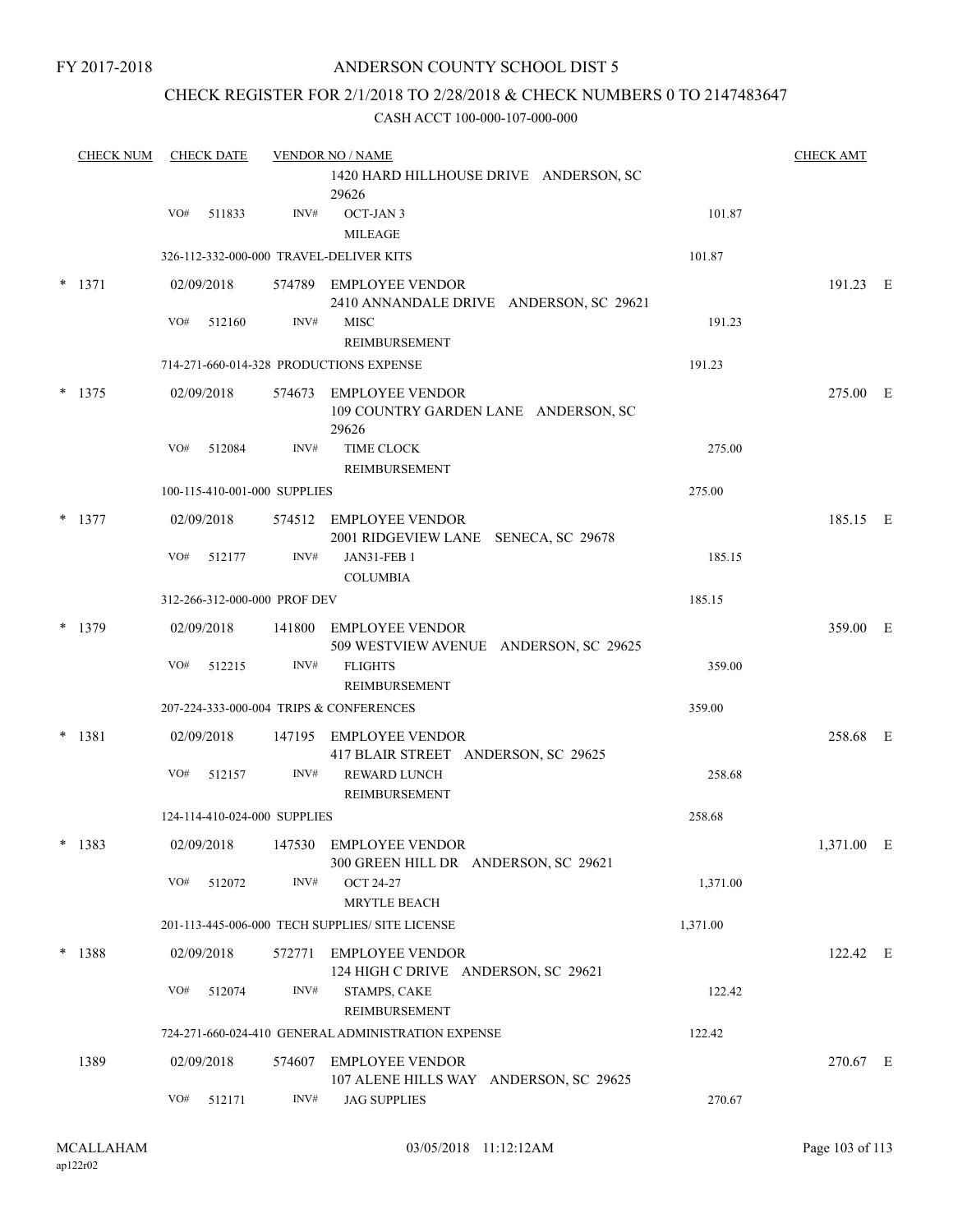## ANDERSON COUNTY SCHOOL DIST 5

## CHECK REGISTER FOR 2/1/2018 TO 2/28/2018 & CHECK NUMBERS 0 TO 2147483647

| <b>CHECK NUM</b> |     | <b>CHECK DATE</b> |                              | <b>VENDOR NO / NAME</b>                                                            |          | <b>CHECK AMT</b> |  |
|------------------|-----|-------------------|------------------------------|------------------------------------------------------------------------------------|----------|------------------|--|
|                  |     |                   |                              | 1420 HARD HILLHOUSE DRIVE ANDERSON, SC<br>29626                                    |          |                  |  |
|                  | VO# | 511833            | INV#                         | OCT-JAN 3<br><b>MILEAGE</b>                                                        | 101.87   |                  |  |
|                  |     |                   |                              | 326-112-332-000-000 TRAVEL-DELIVER KITS                                            | 101.87   |                  |  |
| $* 1371$         |     | 02/09/2018        |                              | 574789 EMPLOYEE VENDOR<br>2410 ANNANDALE DRIVE ANDERSON, SC 29621                  |          | 191.23 E         |  |
|                  | VO# | 512160            | INV#                         | <b>MISC</b><br>REIMBURSEMENT                                                       | 191.23   |                  |  |
|                  |     |                   |                              | 714-271-660-014-328 PRODUCTIONS EXPENSE                                            | 191.23   |                  |  |
| $* 1375$         |     | 02/09/2018        |                              | 574673 EMPLOYEE VENDOR<br>109 COUNTRY GARDEN LANE ANDERSON, SC<br>29626            |          | 275.00 E         |  |
|                  | VO# | 512084            | INV#                         | TIME CLOCK<br><b>REIMBURSEMENT</b>                                                 | 275.00   |                  |  |
|                  |     |                   | 100-115-410-001-000 SUPPLIES |                                                                                    | 275.00   |                  |  |
| $*$ 1377         |     | 02/09/2018        |                              | 574512 EMPLOYEE VENDOR<br>2001 RIDGEVIEW LANE SENECA, SC 29678                     |          | 185.15 E         |  |
|                  | VO# | 512177            | INV#                         | JAN31-FEB 1<br><b>COLUMBIA</b>                                                     | 185.15   |                  |  |
|                  |     |                   | 312-266-312-000-000 PROF DEV |                                                                                    | 185.15   |                  |  |
| $*$ 1379         |     | 02/09/2018        |                              | 141800 EMPLOYEE VENDOR<br>509 WESTVIEW AVENUE ANDERSON, SC 29625                   |          | 359.00 E         |  |
|                  | VO# | 512215            | INV#                         | <b>FLIGHTS</b><br>REIMBURSEMENT                                                    | 359.00   |                  |  |
|                  |     |                   |                              | 207-224-333-000-004 TRIPS & CONFERENCES                                            | 359.00   |                  |  |
| * 1381           |     | 02/09/2018        |                              | 147195 EMPLOYEE VENDOR                                                             |          | 258.68 E         |  |
|                  | VO# | 512157            | INV#                         | 417 BLAIR STREET ANDERSON, SC 29625<br><b>REWARD LUNCH</b><br><b>REIMBURSEMENT</b> | 258.68   |                  |  |
|                  |     |                   | 124-114-410-024-000 SUPPLIES |                                                                                    | 258.68   |                  |  |
| $* 1383$         |     |                   |                              | 02/09/2018 147530 EMPLOYEE VENDOR<br>300 GREEN HILL DR ANDERSON, SC 29621          |          | 1,371.00 E       |  |
|                  | VO# | 512072            | INV#                         | OCT 24-27<br><b>MRYTLE BEACH</b>                                                   | 1,371.00 |                  |  |
|                  |     |                   |                              | 201-113-445-006-000 TECH SUPPLIES/ SITE LICENSE                                    | 1,371.00 |                  |  |
| $* 1388$         |     | 02/09/2018        |                              | 572771 EMPLOYEE VENDOR<br>124 HIGH C DRIVE ANDERSON, SC 29621                      |          | 122.42 E         |  |
|                  | VO# | 512074            | INV#                         | STAMPS, CAKE<br><b>REIMBURSEMENT</b>                                               | 122.42   |                  |  |
|                  |     |                   |                              | 724-271-660-024-410 GENERAL ADMINISTRATION EXPENSE                                 | 122.42   |                  |  |
| 1389             |     | 02/09/2018        |                              | 574607 EMPLOYEE VENDOR<br>107 ALENE HILLS WAY ANDERSON, SC 29625                   |          | 270.67 E         |  |
|                  | VO# | 512171            | INV#                         | <b>JAG SUPPLIES</b>                                                                | 270.67   |                  |  |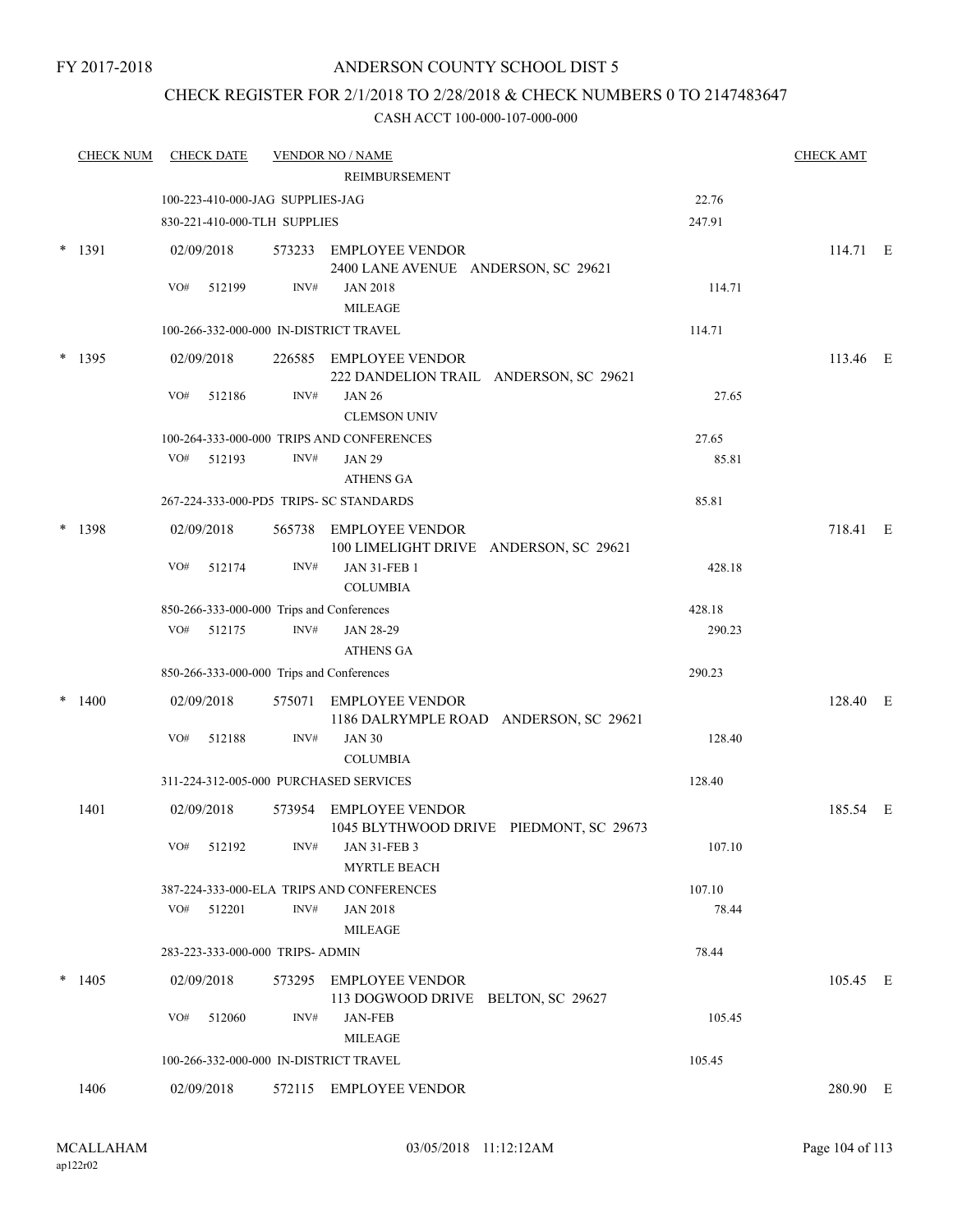## CHECK REGISTER FOR 2/1/2018 TO 2/28/2018 & CHECK NUMBERS 0 TO 2147483647

|        | <b>CHECK NUM</b> | <b>CHECK DATE</b> |                                           | <b>VENDOR NO / NAME</b>                                           |        | <b>CHECK AMT</b> |  |
|--------|------------------|-------------------|-------------------------------------------|-------------------------------------------------------------------|--------|------------------|--|
|        |                  |                   |                                           | REIMBURSEMENT                                                     |        |                  |  |
|        |                  |                   | 100-223-410-000-JAG SUPPLIES-JAG          |                                                                   | 22.76  |                  |  |
|        |                  |                   | 830-221-410-000-TLH SUPPLIES              |                                                                   | 247.91 |                  |  |
| $\ast$ | 1391             | 02/09/2018        |                                           | 573233 EMPLOYEE VENDOR<br>2400 LANE AVENUE ANDERSON, SC 29621     |        | 114.71 E         |  |
|        |                  | VO#               | $\mathrm{INV}\#$<br>512199                | <b>JAN 2018</b><br><b>MILEAGE</b>                                 | 114.71 |                  |  |
|        |                  |                   | 100-266-332-000-000 IN-DISTRICT TRAVEL    |                                                                   | 114.71 |                  |  |
|        | $*$ 1395         | 02/09/2018        |                                           | 226585 EMPLOYEE VENDOR<br>222 DANDELION TRAIL ANDERSON, SC 29621  |        | 113.46 E         |  |
|        |                  | VO#               | INV#<br>512186                            | <b>JAN 26</b><br><b>CLEMSON UNIV</b>                              | 27.65  |                  |  |
|        |                  |                   |                                           | 100-264-333-000-000 TRIPS AND CONFERENCES                         | 27.65  |                  |  |
|        |                  | VO#<br>512193     | INV#                                      | <b>JAN 29</b><br><b>ATHENS GA</b>                                 | 85.81  |                  |  |
|        |                  |                   | 267-224-333-000-PD5 TRIPS- SC STANDARDS   |                                                                   | 85.81  |                  |  |
|        | 1398             | 02/09/2018        |                                           | 565738 EMPLOYEE VENDOR<br>100 LIMELIGHT DRIVE ANDERSON, SC 29621  |        | 718.41 E         |  |
|        |                  | VO#               | INV#<br>512174                            | <b>JAN 31-FEB 1</b><br><b>COLUMBIA</b>                            | 428.18 |                  |  |
|        |                  |                   | 850-266-333-000-000 Trips and Conferences |                                                                   | 428.18 |                  |  |
|        |                  | VO#               | INV#<br>512175                            | JAN 28-29<br><b>ATHENS GA</b>                                     | 290.23 |                  |  |
|        |                  |                   | 850-266-333-000-000 Trips and Conferences |                                                                   | 290.23 |                  |  |
|        | 1400             | 02/09/2018        | 575071                                    | EMPLOYEE VENDOR<br>1186 DALRYMPLE ROAD ANDERSON, SC 29621         |        | 128.40 E         |  |
|        |                  | VO#               | INV#<br>512188                            | <b>JAN 30</b><br><b>COLUMBIA</b>                                  | 128.40 |                  |  |
|        |                  |                   | 311-224-312-005-000 PURCHASED SERVICES    |                                                                   | 128.40 |                  |  |
|        | 1401             | 02/09/2018        |                                           | 573954 EMPLOYEE VENDOR<br>1045 BLYTHWOOD DRIVE PIEDMONT, SC 29673 |        | 185.54 E         |  |
|        |                  | VO#<br>512192     | INV#                                      | <b>JAN 31-FEB 3</b><br><b>MYRTLE BEACH</b>                        | 107.10 |                  |  |
|        |                  |                   |                                           | 387-224-333-000-ELA TRIPS AND CONFERENCES                         | 107.10 |                  |  |
|        |                  | VO#<br>512201     | INV#                                      | <b>JAN 2018</b><br><b>MILEAGE</b>                                 | 78.44  |                  |  |
|        |                  |                   | 283-223-333-000-000 TRIPS- ADMIN          |                                                                   | 78.44  |                  |  |
| $\ast$ | 1405             | 02/09/2018        |                                           | 573295 EMPLOYEE VENDOR<br>113 DOGWOOD DRIVE BELTON, SC 29627      |        | 105.45 E         |  |
|        |                  | VO#               | INV#<br>512060                            | <b>JAN-FEB</b><br><b>MILEAGE</b>                                  | 105.45 |                  |  |
|        |                  |                   | 100-266-332-000-000 IN-DISTRICT TRAVEL    |                                                                   | 105.45 |                  |  |
|        | 1406             | 02/09/2018        |                                           | 572115 EMPLOYEE VENDOR                                            |        | 280.90 E         |  |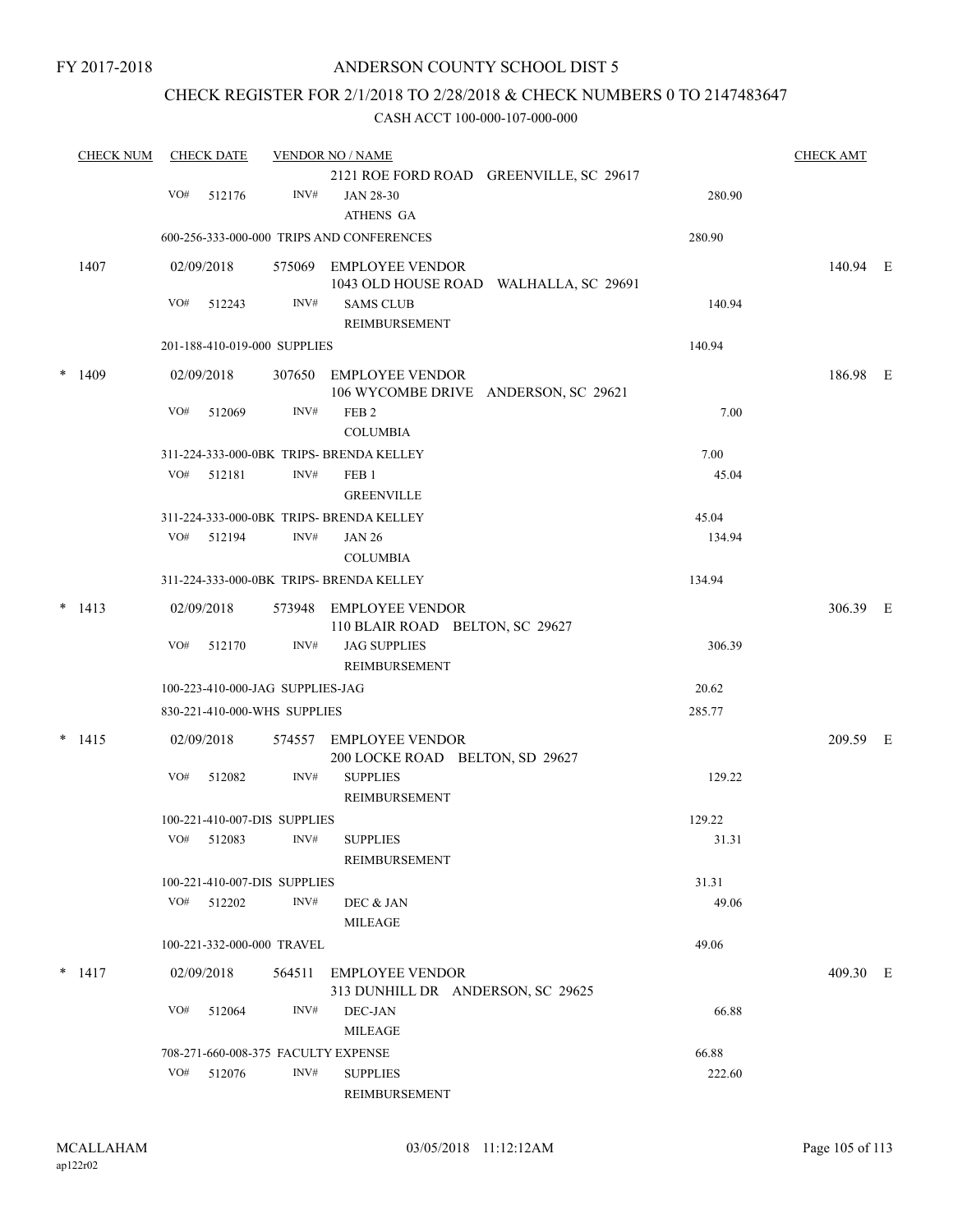## ANDERSON COUNTY SCHOOL DIST 5

## CHECK REGISTER FOR 2/1/2018 TO 2/28/2018 & CHECK NUMBERS 0 TO 2147483647

| <b>CHECK NUM</b> |     | <b>CHECK DATE</b> |                                  | <b>VENDOR NO / NAME</b>                                          |        | <b>CHECK AMT</b> |  |
|------------------|-----|-------------------|----------------------------------|------------------------------------------------------------------|--------|------------------|--|
|                  |     |                   |                                  | 2121 ROE FORD ROAD GREENVILLE, SC 29617                          |        |                  |  |
|                  | VO# | 512176            | INV#                             | JAN 28-30<br>ATHENS GA                                           | 280.90 |                  |  |
|                  |     |                   |                                  | 600-256-333-000-000 TRIPS AND CONFERENCES                        | 280.90 |                  |  |
| 1407             |     | 02/09/2018        |                                  | 575069 EMPLOYEE VENDOR<br>1043 OLD HOUSE ROAD WALHALLA, SC 29691 |        | 140.94 E         |  |
|                  | VO# | 512243            | INV#                             | <b>SAMS CLUB</b><br>REIMBURSEMENT                                | 140.94 |                  |  |
|                  |     |                   | 201-188-410-019-000 SUPPLIES     |                                                                  | 140.94 |                  |  |
| $*$ 1409         |     | 02/09/2018        |                                  | 307650 EMPLOYEE VENDOR<br>106 WYCOMBE DRIVE ANDERSON, SC 29621   |        | 186.98 E         |  |
|                  | VO# | 512069            | INV#                             | FEB <sub>2</sub><br><b>COLUMBIA</b>                              | 7.00   |                  |  |
|                  |     |                   |                                  | 311-224-333-000-0BK TRIPS- BRENDA KELLEY                         | 7.00   |                  |  |
|                  | VO# | 512181            | INV#                             | FEB 1<br><b>GREENVILLE</b>                                       | 45.04  |                  |  |
|                  |     |                   |                                  | 311-224-333-000-0BK TRIPS- BRENDA KELLEY                         | 45.04  |                  |  |
|                  | VO# | 512194            | INV#                             | <b>JAN 26</b>                                                    | 134.94 |                  |  |
|                  |     |                   |                                  | <b>COLUMBIA</b>                                                  |        |                  |  |
|                  |     |                   |                                  | 311-224-333-000-0BK TRIPS- BRENDA KELLEY                         | 134.94 |                  |  |
| $* 1413$         |     | 02/09/2018        |                                  | 573948 EMPLOYEE VENDOR<br>110 BLAIR ROAD BELTON, SC 29627        |        | 306.39 E         |  |
|                  | VO# | 512170            | INV#                             | <b>JAG SUPPLIES</b><br>REIMBURSEMENT                             | 306.39 |                  |  |
|                  |     |                   | 100-223-410-000-JAG SUPPLIES-JAG |                                                                  | 20.62  |                  |  |
|                  |     |                   | 830-221-410-000-WHS SUPPLIES     |                                                                  | 285.77 |                  |  |
| $*$ 1415         |     | 02/09/2018        | 574557                           | <b>EMPLOYEE VENDOR</b><br>200 LOCKE ROAD BELTON, SD 29627        |        | 209.59 E         |  |
|                  | VO# | 512082            | INV#                             | <b>SUPPLIES</b><br>REIMBURSEMENT                                 | 129.22 |                  |  |
|                  |     |                   | 100-221-410-007-DIS SUPPLIES     |                                                                  | 129.22 |                  |  |
|                  | VO# | 512083            | INV#                             | <b>SUPPLIES</b>                                                  | 31.31  |                  |  |
|                  |     |                   |                                  | REIMBURSEMENT                                                    |        |                  |  |
|                  |     |                   | 100-221-410-007-DIS SUPPLIES     |                                                                  | 31.31  |                  |  |
|                  |     | VO# 512202        | INV#                             | DEC & JAN<br><b>MILEAGE</b>                                      | 49.06  |                  |  |
|                  |     |                   | 100-221-332-000-000 TRAVEL       |                                                                  | 49.06  |                  |  |
| $*$ 1417         |     | 02/09/2018        | 564511                           | <b>EMPLOYEE VENDOR</b><br>313 DUNHILL DR ANDERSON, SC 29625      |        | 409.30 E         |  |
|                  | VO# | 512064            | INV#                             | DEC-JAN<br><b>MILEAGE</b>                                        | 66.88  |                  |  |
|                  |     |                   |                                  |                                                                  | 66.88  |                  |  |
|                  |     |                   |                                  | 708-271-660-008-375 FACULTY EXPENSE                              |        |                  |  |
|                  | VO# | 512076            | INV#                             | <b>SUPPLIES</b><br>REIMBURSEMENT                                 | 222.60 |                  |  |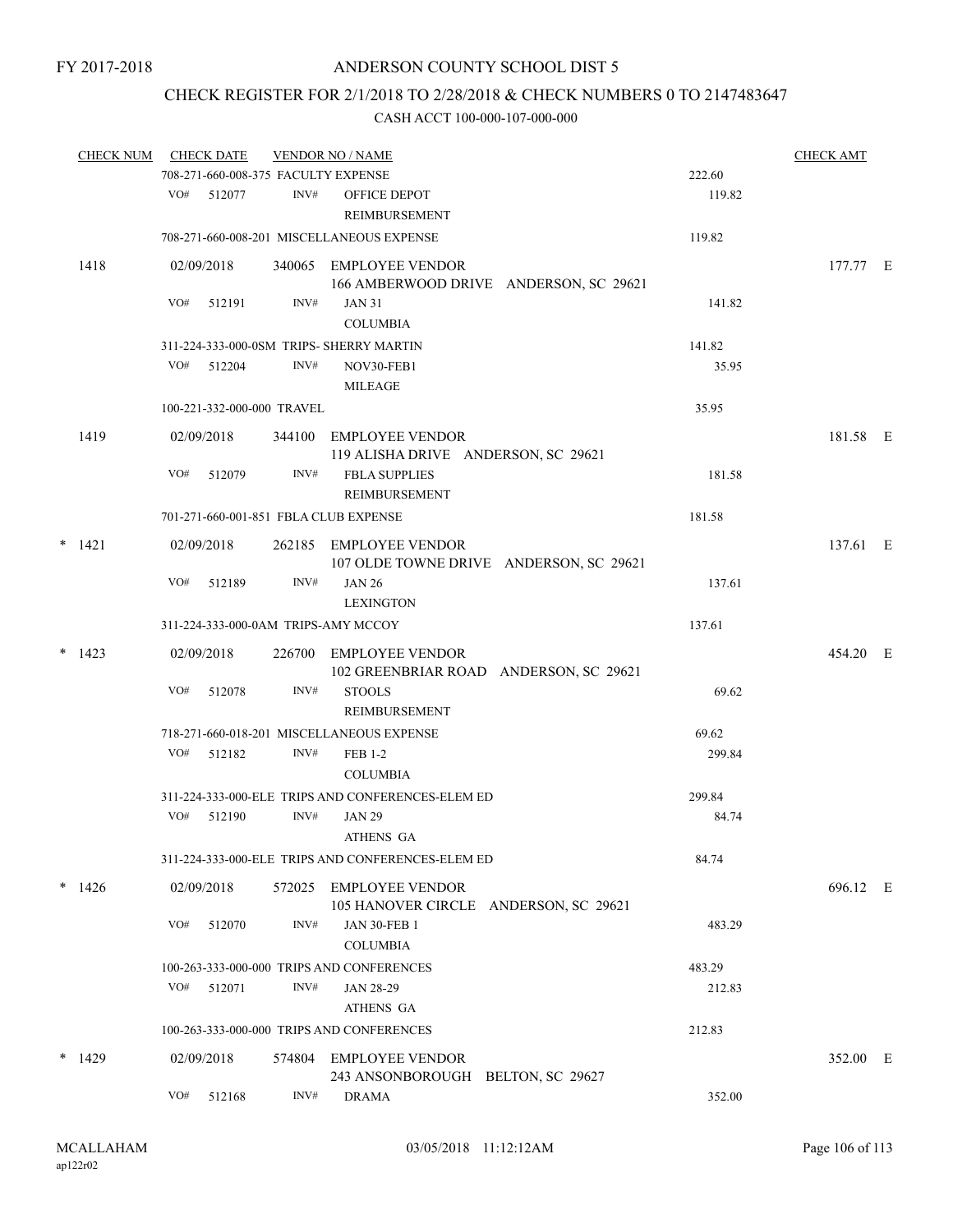## CHECK REGISTER FOR 2/1/2018 TO 2/28/2018 & CHECK NUMBERS 0 TO 2147483647

| <b>CHECK NUM</b> |     | <b>CHECK DATE</b>          |        | <b>VENDOR NO / NAME</b>                                         |                                         |        | <b>CHECK AMT</b> |  |
|------------------|-----|----------------------------|--------|-----------------------------------------------------------------|-----------------------------------------|--------|------------------|--|
|                  |     |                            |        | 708-271-660-008-375 FACULTY EXPENSE                             |                                         | 222.60 |                  |  |
|                  | VO# | 512077                     | INV#   | OFFICE DEPOT<br><b>REIMBURSEMENT</b>                            |                                         | 119.82 |                  |  |
|                  |     |                            |        | 708-271-660-008-201 MISCELLANEOUS EXPENSE                       |                                         | 119.82 |                  |  |
| 1418             |     | 02/09/2018                 |        | 340065 EMPLOYEE VENDOR                                          | 166 AMBERWOOD DRIVE ANDERSON, SC 29621  |        | 177.77 E         |  |
|                  | VO# | 512191                     | INV#   | <b>JAN 31</b><br><b>COLUMBIA</b>                                |                                         | 141.82 |                  |  |
|                  |     |                            |        | 311-224-333-000-0SM TRIPS- SHERRY MARTIN                        |                                         | 141.82 |                  |  |
|                  | VO# | 512204                     | INV#   | NOV30-FEB1<br>MILEAGE                                           |                                         | 35.95  |                  |  |
|                  |     | 100-221-332-000-000 TRAVEL |        |                                                                 |                                         | 35.95  |                  |  |
| 1419             |     | 02/09/2018                 |        | 344100 EMPLOYEE VENDOR<br>119 ALISHA DRIVE ANDERSON, SC 29621   |                                         |        | 181.58 E         |  |
|                  | VO# | 512079                     | INV#   | <b>FBLA SUPPLIES</b><br>REIMBURSEMENT                           |                                         | 181.58 |                  |  |
|                  |     |                            |        | 701-271-660-001-851 FBLA CLUB EXPENSE                           |                                         | 181.58 |                  |  |
| $*$ 1421         |     | 02/09/2018                 |        | 262185 EMPLOYEE VENDOR                                          | 107 OLDE TOWNE DRIVE ANDERSON, SC 29621 |        | 137.61 E         |  |
|                  | VO# | 512189                     | INV#   | <b>JAN 26</b><br><b>LEXINGTON</b>                               |                                         | 137.61 |                  |  |
|                  |     |                            |        | 311-224-333-000-0AM TRIPS-AMY MCCOY                             |                                         | 137.61 |                  |  |
| $*$ 1423         |     | 02/09/2018                 |        | 226700 EMPLOYEE VENDOR                                          | 102 GREENBRIAR ROAD ANDERSON, SC 29621  |        | 454.20 E         |  |
|                  | VO# | 512078                     | INV#   | <b>STOOLS</b><br><b>REIMBURSEMENT</b>                           |                                         | 69.62  |                  |  |
|                  |     |                            |        | 718-271-660-018-201 MISCELLANEOUS EXPENSE                       |                                         | 69.62  |                  |  |
|                  | VO# | 512182                     | INV#   | <b>FEB 1-2</b><br><b>COLUMBIA</b>                               |                                         | 299.84 |                  |  |
|                  |     |                            |        | 311-224-333-000-ELE TRIPS AND CONFERENCES-ELEM ED               |                                         | 299.84 |                  |  |
|                  | VO# | 512190                     | INV#   | <b>JAN 29</b><br>ATHENS GA                                      |                                         | 84.74  |                  |  |
|                  |     |                            |        | 311-224-333-000-ELE TRIPS AND CONFERENCES-ELEM ED               |                                         | 84.74  |                  |  |
| $*1426$          |     | 02/09/2018                 | 572025 | <b>EMPLOYEE VENDOR</b><br>105 HANOVER CIRCLE ANDERSON, SC 29621 |                                         |        | 696.12 E         |  |
|                  | VO# | 512070                     | INV#   | <b>JAN 30-FEB 1</b><br><b>COLUMBIA</b>                          |                                         | 483.29 |                  |  |
|                  |     |                            |        | 100-263-333-000-000 TRIPS AND CONFERENCES                       |                                         | 483.29 |                  |  |
|                  | VO# | 512071                     | INV#   | <b>JAN 28-29</b><br>ATHENS GA                                   |                                         | 212.83 |                  |  |
|                  |     |                            |        | 100-263-333-000-000 TRIPS AND CONFERENCES                       |                                         | 212.83 |                  |  |
| $*$ 1429         |     | 02/09/2018                 | 574804 | EMPLOYEE VENDOR<br>243 ANSONBOROUGH BELTON, SC 29627            |                                         |        | 352.00 E         |  |
|                  | VO# | 512168                     | INV#   | <b>DRAMA</b>                                                    |                                         | 352.00 |                  |  |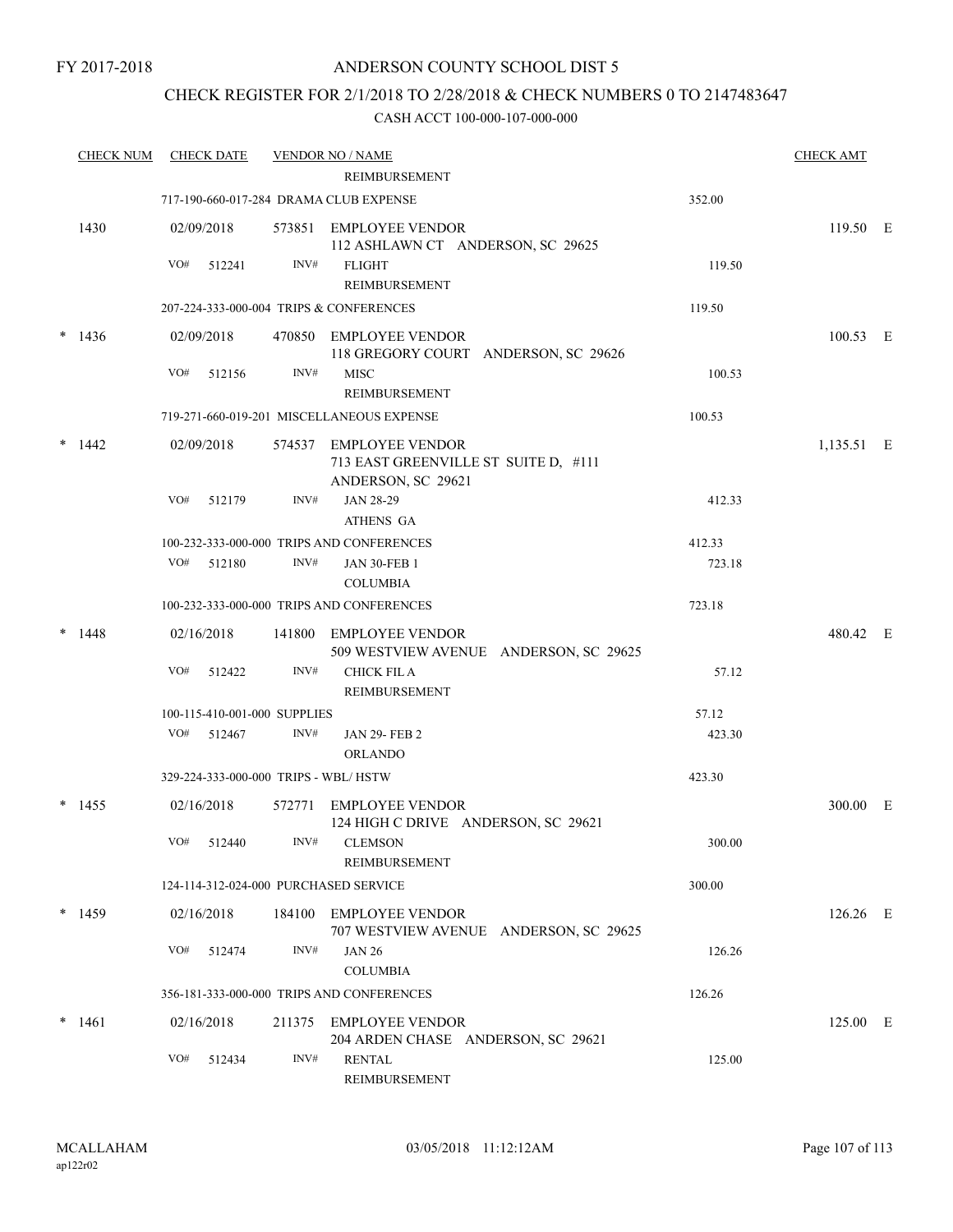## CHECK REGISTER FOR 2/1/2018 TO 2/28/2018 & CHECK NUMBERS 0 TO 2147483647

|        | <b>CHECK NUM</b> |     | <b>CHECK DATE</b> |                              | <b>VENDOR NO / NAME</b><br><b>REIMBURSEMENT</b>                                      |        | <b>CHECK AMT</b> |  |
|--------|------------------|-----|-------------------|------------------------------|--------------------------------------------------------------------------------------|--------|------------------|--|
|        |                  |     |                   |                              | 717-190-660-017-284 DRAMA CLUB EXPENSE                                               | 352.00 |                  |  |
|        | 1430             |     | 02/09/2018        |                              | 573851 EMPLOYEE VENDOR<br>112 ASHLAWN CT ANDERSON, SC 29625                          |        | 119.50 E         |  |
|        |                  | VO# | 512241            | INV#                         | <b>FLIGHT</b><br>REIMBURSEMENT                                                       | 119.50 |                  |  |
|        |                  |     |                   |                              | 207-224-333-000-004 TRIPS & CONFERENCES                                              | 119.50 |                  |  |
|        | $*1436$          |     | 02/09/2018        |                              | 470850 EMPLOYEE VENDOR<br>118 GREGORY COURT ANDERSON, SC 29626                       |        | 100.53 E         |  |
|        |                  | VO# | 512156            | INV#                         | <b>MISC</b><br>REIMBURSEMENT                                                         | 100.53 |                  |  |
|        |                  |     |                   |                              | 719-271-660-019-201 MISCELLANEOUS EXPENSE                                            | 100.53 |                  |  |
| $\ast$ | 1442             |     | 02/09/2018        |                              | 574537 EMPLOYEE VENDOR<br>713 EAST GREENVILLE ST SUITE D, #111<br>ANDERSON, SC 29621 |        | $1,135.51$ E     |  |
|        |                  | VO# | 512179            | INV#                         | JAN 28-29                                                                            | 412.33 |                  |  |
|        |                  |     |                   |                              | ATHENS GA                                                                            |        |                  |  |
|        |                  |     |                   |                              | 100-232-333-000-000 TRIPS AND CONFERENCES                                            | 412.33 |                  |  |
|        |                  |     | VO# 512180        | INV#                         | <b>JAN 30-FEB 1</b><br><b>COLUMBIA</b>                                               | 723.18 |                  |  |
|        |                  |     |                   |                              | 100-232-333-000-000 TRIPS AND CONFERENCES                                            | 723.18 |                  |  |
| $\ast$ | 1448             |     | 02/16/2018        |                              | 141800 EMPLOYEE VENDOR<br>509 WESTVIEW AVENUE ANDERSON, SC 29625                     |        | 480.42 E         |  |
|        |                  | VO# | 512422            | INV#                         | <b>CHICK FIL A</b><br><b>REIMBURSEMENT</b>                                           | 57.12  |                  |  |
|        |                  |     |                   | 100-115-410-001-000 SUPPLIES |                                                                                      | 57.12  |                  |  |
|        |                  | VO# | 512467            | INV#                         | <b>JAN 29-FEB 2</b><br><b>ORLANDO</b>                                                | 423.30 |                  |  |
|        |                  |     |                   |                              | 329-224-333-000-000 TRIPS - WBL/HSTW                                                 | 423.30 |                  |  |
|        | $*$ 1455         |     | 02/16/2018        |                              | 572771 EMPLOYEE VENDOR<br>124 HIGH C DRIVE ANDERSON, SC 29621                        |        | 300.00 E         |  |
|        |                  |     | VO# 512440        |                              | INV# CLEMSON<br>REIMBURSEMENT                                                        | 300.00 |                  |  |
|        |                  |     |                   |                              | 124-114-312-024-000 PURCHASED SERVICE                                                | 300.00 |                  |  |
|        | $*$ 1459         |     | 02/16/2018        |                              | 184100 EMPLOYEE VENDOR<br>707 WESTVIEW AVENUE ANDERSON, SC 29625                     |        | 126.26 E         |  |
|        |                  |     | VO# 512474        | INV#                         | <b>JAN 26</b><br><b>COLUMBIA</b>                                                     | 126.26 |                  |  |
|        |                  |     |                   |                              | 356-181-333-000-000 TRIPS AND CONFERENCES                                            | 126.26 |                  |  |
| $\ast$ | 1461             |     | 02/16/2018        |                              | 211375 EMPLOYEE VENDOR<br>204 ARDEN CHASE ANDERSON, SC 29621                         |        | 125.00 E         |  |
|        |                  |     | VO# 512434        | INV#                         | <b>RENTAL</b><br>REIMBURSEMENT                                                       | 125.00 |                  |  |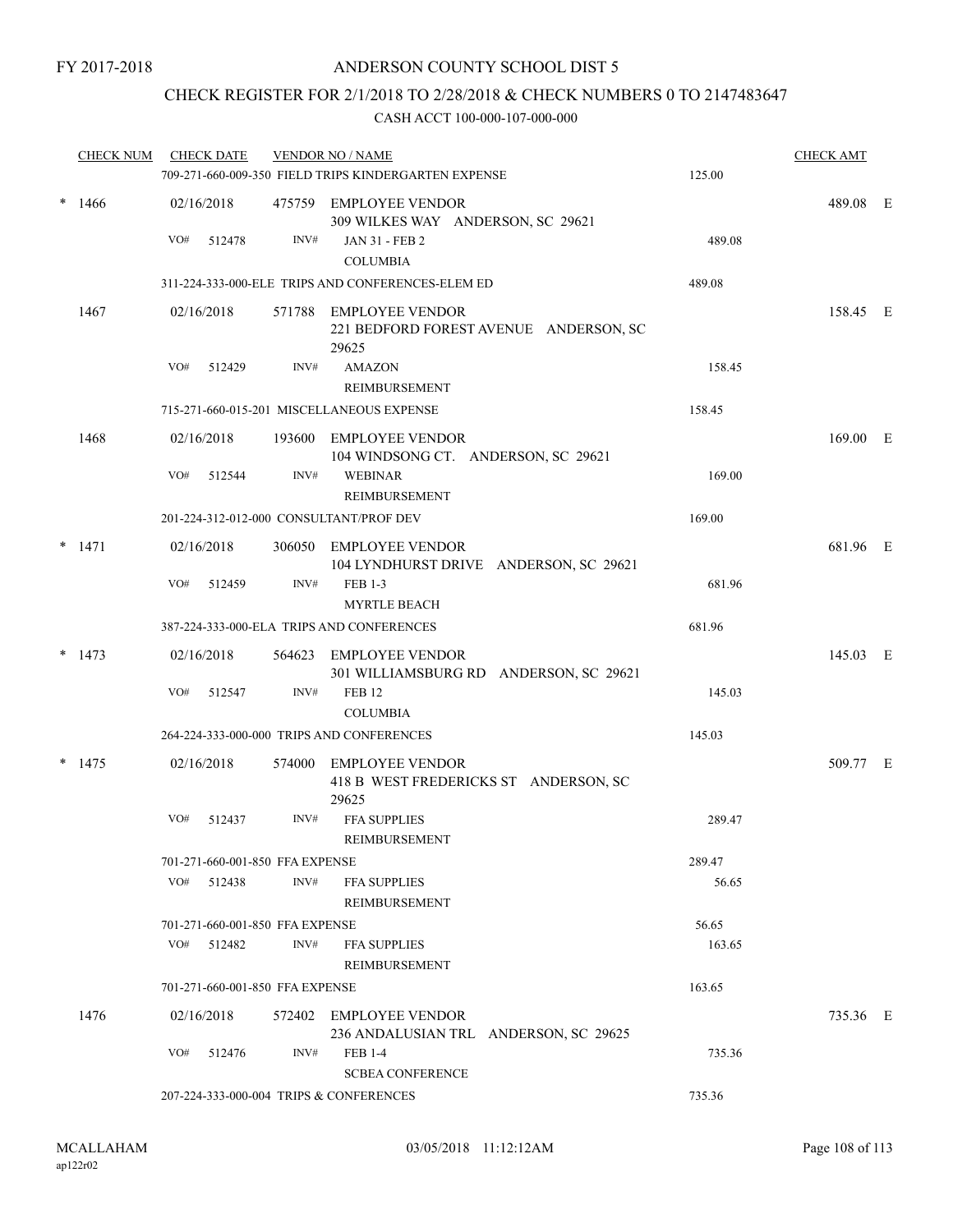## CHECK REGISTER FOR 2/1/2018 TO 2/28/2018 & CHECK NUMBERS 0 TO 2147483647

|        | <b>CHECK NUM</b> |            | <b>CHECK DATE</b> |                                 | <b>VENDOR NO / NAME</b><br>709-271-660-009-350 FIELD TRIPS KINDERGARTEN EXPENSE | 125.00 | <b>CHECK AMT</b> |  |
|--------|------------------|------------|-------------------|---------------------------------|---------------------------------------------------------------------------------|--------|------------------|--|
|        | $*1466$          | 02/16/2018 |                   |                                 | 475759 EMPLOYEE VENDOR<br>309 WILKES WAY ANDERSON, SC 29621                     |        | 489.08 E         |  |
|        |                  | VO#        | 512478            | INV#                            | <b>JAN 31 - FEB 2</b><br><b>COLUMBIA</b>                                        | 489.08 |                  |  |
|        |                  |            |                   |                                 | 311-224-333-000-ELE TRIPS AND CONFERENCES-ELEM ED                               | 489.08 |                  |  |
|        |                  |            |                   |                                 |                                                                                 |        |                  |  |
|        | 1467             | 02/16/2018 |                   |                                 | 571788 EMPLOYEE VENDOR<br>221 BEDFORD FOREST AVENUE ANDERSON, SC<br>29625       |        | 158.45 E         |  |
|        |                  | VO#        | 512429            | INV#                            | <b>AMAZON</b>                                                                   | 158.45 |                  |  |
|        |                  |            |                   |                                 | REIMBURSEMENT                                                                   |        |                  |  |
|        |                  |            |                   |                                 | 715-271-660-015-201 MISCELLANEOUS EXPENSE                                       | 158.45 |                  |  |
|        | 1468             | 02/16/2018 |                   |                                 | 193600 EMPLOYEE VENDOR<br>104 WINDSONG CT. ANDERSON, SC 29621                   |        | 169.00 E         |  |
|        |                  | VO#        | 512544            | INV#                            | <b>WEBINAR</b><br><b>REIMBURSEMENT</b>                                          | 169.00 |                  |  |
|        |                  |            |                   |                                 | 201-224-312-012-000 CONSULTANT/PROF DEV                                         | 169.00 |                  |  |
| $\ast$ | 1471             | 02/16/2018 |                   |                                 | 306050 EMPLOYEE VENDOR<br>104 LYNDHURST DRIVE ANDERSON, SC 29621                |        | 681.96 E         |  |
|        |                  | VO#        | 512459            | INV#                            | FEB 1-3                                                                         | 681.96 |                  |  |
|        |                  |            |                   |                                 | <b>MYRTLE BEACH</b>                                                             |        |                  |  |
|        |                  |            |                   |                                 | 387-224-333-000-ELA TRIPS AND CONFERENCES                                       | 681.96 |                  |  |
|        | $*$ 1473         | 02/16/2018 |                   |                                 | 564623 EMPLOYEE VENDOR<br>301 WILLIAMSBURG RD ANDERSON, SC 29621                |        | 145.03 E         |  |
|        |                  | VO#        | 512547            | INV#                            | <b>FEB 12</b><br><b>COLUMBIA</b>                                                | 145.03 |                  |  |
|        |                  |            |                   |                                 | 264-224-333-000-000 TRIPS AND CONFERENCES                                       | 145.03 |                  |  |
|        | $*$ 1475         | 02/16/2018 |                   | 574000                          | EMPLOYEE VENDOR<br>418 B WEST FREDERICKS ST ANDERSON, SC<br>29625               |        | 509.77 E         |  |
|        |                  | VO#        | 512437            | INV#                            | <b>FFA SUPPLIES</b><br>REIMBURSEMENT                                            | 289.47 |                  |  |
|        |                  |            |                   | 701-271-660-001-850 FFA EXPENSE |                                                                                 | 289.47 |                  |  |
|        |                  | VO#        | 512438            | INV#                            | <b>FFA SUPPLIES</b><br>REIMBURSEMENT                                            | 56.65  |                  |  |
|        |                  |            |                   | 701-271-660-001-850 FFA EXPENSE |                                                                                 | 56.65  |                  |  |
|        |                  |            | VO# 512482        | INV#                            | <b>FFA SUPPLIES</b><br><b>REIMBURSEMENT</b>                                     | 163.65 |                  |  |
|        |                  |            |                   | 701-271-660-001-850 FFA EXPENSE |                                                                                 | 163.65 |                  |  |
|        | 1476             | 02/16/2018 |                   |                                 | 572402 EMPLOYEE VENDOR<br>236 ANDALUSIAN TRL ANDERSON, SC 29625                 |        | 735.36 E         |  |
|        |                  | VO#        | 512476            | INV#                            | <b>FEB 1-4</b><br><b>SCBEA CONFERENCE</b>                                       | 735.36 |                  |  |
|        |                  |            |                   |                                 | 207-224-333-000-004 TRIPS & CONFERENCES                                         | 735.36 |                  |  |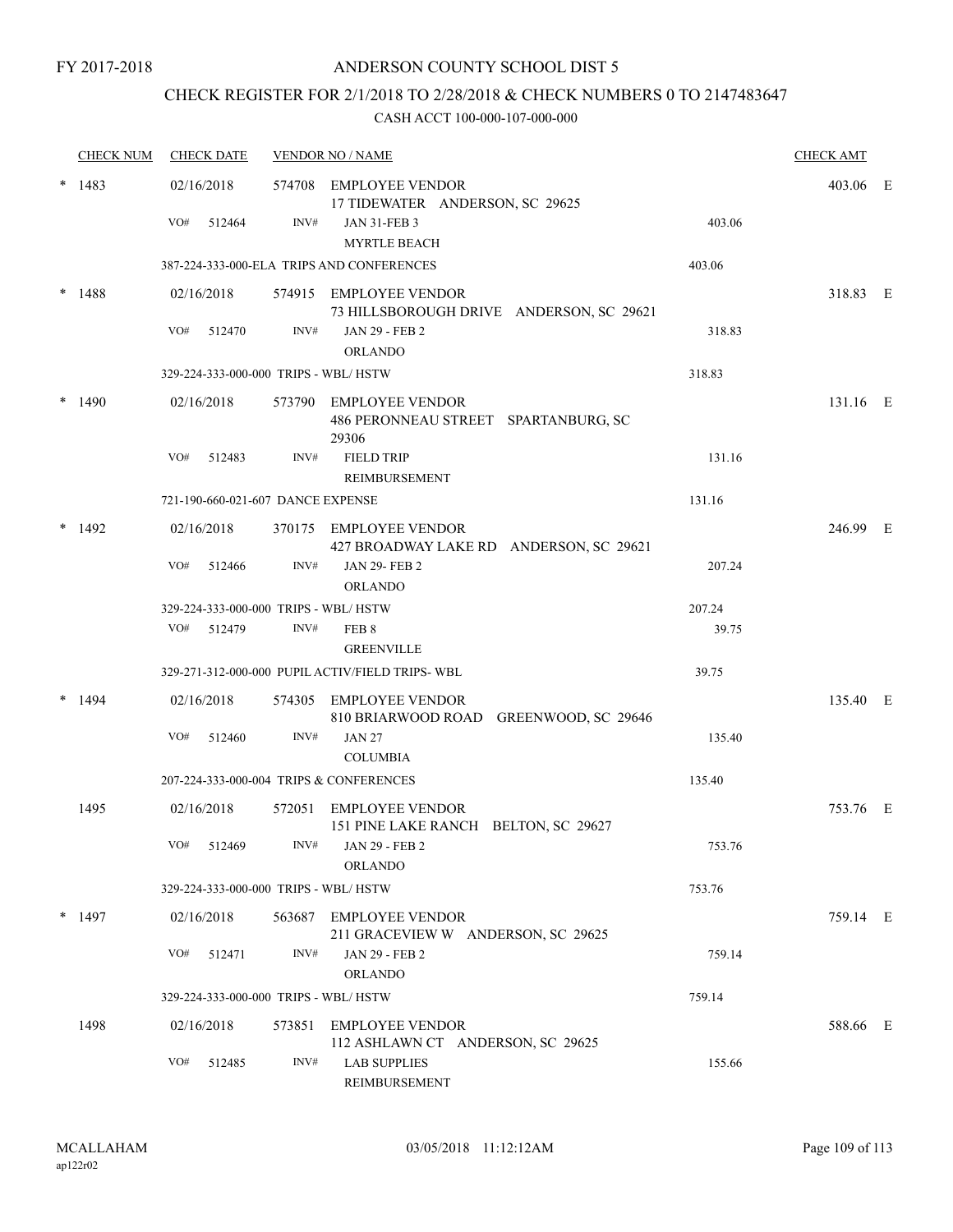#### FY 2017-2018

### ANDERSON COUNTY SCHOOL DIST 5

## CHECK REGISTER FOR 2/1/2018 TO 2/28/2018 & CHECK NUMBERS 0 TO 2147483647

|        | <b>CHECK NUM</b> |     | <b>CHECK DATE</b>                 |      | <b>VENDOR NO / NAME</b>                                                 |        | <b>CHECK AMT</b> |  |
|--------|------------------|-----|-----------------------------------|------|-------------------------------------------------------------------------|--------|------------------|--|
| $\ast$ | 1483             |     | 02/16/2018                        |      | 574708 EMPLOYEE VENDOR<br>17 TIDEWATER ANDERSON, SC 29625               |        | 403.06 E         |  |
|        |                  | VO# | 512464                            | INV# | <b>JAN 31-FEB 3</b><br><b>MYRTLE BEACH</b>                              | 403.06 |                  |  |
|        |                  |     |                                   |      | 387-224-333-000-ELA TRIPS AND CONFERENCES                               | 403.06 |                  |  |
|        | 1488             |     | 02/16/2018                        |      | 574915 EMPLOYEE VENDOR<br>73 HILLSBOROUGH DRIVE ANDERSON, SC 29621      |        | 318.83 E         |  |
|        |                  | VO# | 512470                            | INV# | <b>JAN 29 - FEB 2</b><br><b>ORLANDO</b>                                 | 318.83 |                  |  |
|        |                  |     |                                   |      | 329-224-333-000-000 TRIPS - WBL/HSTW                                    | 318.83 |                  |  |
|        | 1490             |     | 02/16/2018                        |      | 573790 EMPLOYEE VENDOR<br>486 PERONNEAU STREET SPARTANBURG, SC<br>29306 |        | 131.16 E         |  |
|        |                  | VO# | 512483                            | INV# | <b>FIELD TRIP</b><br>REIMBURSEMENT                                      | 131.16 |                  |  |
|        |                  |     | 721-190-660-021-607 DANCE EXPENSE |      |                                                                         | 131.16 |                  |  |
|        | 1492             |     | 02/16/2018                        |      | 370175 EMPLOYEE VENDOR<br>427 BROADWAY LAKE RD ANDERSON, SC 29621       |        | 246.99 E         |  |
|        |                  | VO# | 512466                            | INV# | <b>JAN 29-FEB 2</b><br><b>ORLANDO</b>                                   | 207.24 |                  |  |
|        |                  |     |                                   |      | 329-224-333-000-000 TRIPS - WBL/HSTW                                    | 207.24 |                  |  |
|        |                  | VO# | 512479                            | INV# | FEB 8<br><b>GREENVILLE</b>                                              | 39.75  |                  |  |
|        |                  |     |                                   |      | 329-271-312-000-000 PUPIL ACTIV/FIELD TRIPS-WBL                         | 39.75  |                  |  |
|        | 1494             |     | 02/16/2018                        |      | 574305 EMPLOYEE VENDOR<br>810 BRIARWOOD ROAD GREENWOOD, SC 29646        |        | 135.40 E         |  |
|        |                  | VO# | 512460                            | INV# | <b>JAN 27</b><br><b>COLUMBIA</b>                                        | 135.40 |                  |  |
|        |                  |     |                                   |      | 207-224-333-000-004 TRIPS & CONFERENCES                                 | 135.40 |                  |  |
|        | 1495             |     | 02/16/2018                        |      | 572051 EMPLOYEE VENDOR<br>151 PINE LAKE RANCH BELTON, SC 29627          |        | 753.76 E         |  |
|        |                  |     | VO# 512469                        |      | $INV#$ JAN 29 - FEB 2<br><b>ORLANDO</b>                                 | 753.76 |                  |  |
|        |                  |     |                                   |      | 329-224-333-000-000 TRIPS - WBL/HSTW                                    | 753.76 |                  |  |
|        | $*$ 1497         |     | 02/16/2018                        |      | 563687 EMPLOYEE VENDOR<br>211 GRACEVIEW W ANDERSON, SC 29625            |        | 759.14 E         |  |
|        |                  |     | VO# 512471                        | INV# | JAN 29 - FEB 2<br><b>ORLANDO</b>                                        | 759.14 |                  |  |
|        |                  |     |                                   |      | 329-224-333-000-000 TRIPS - WBL/HSTW                                    | 759.14 |                  |  |
|        | 1498             |     | 02/16/2018                        |      | 573851 EMPLOYEE VENDOR<br>112 ASHLAWN CT ANDERSON, SC 29625             |        | 588.66 E         |  |
|        |                  | VO# | 512485                            | INV# | <b>LAB SUPPLIES</b><br>REIMBURSEMENT                                    | 155.66 |                  |  |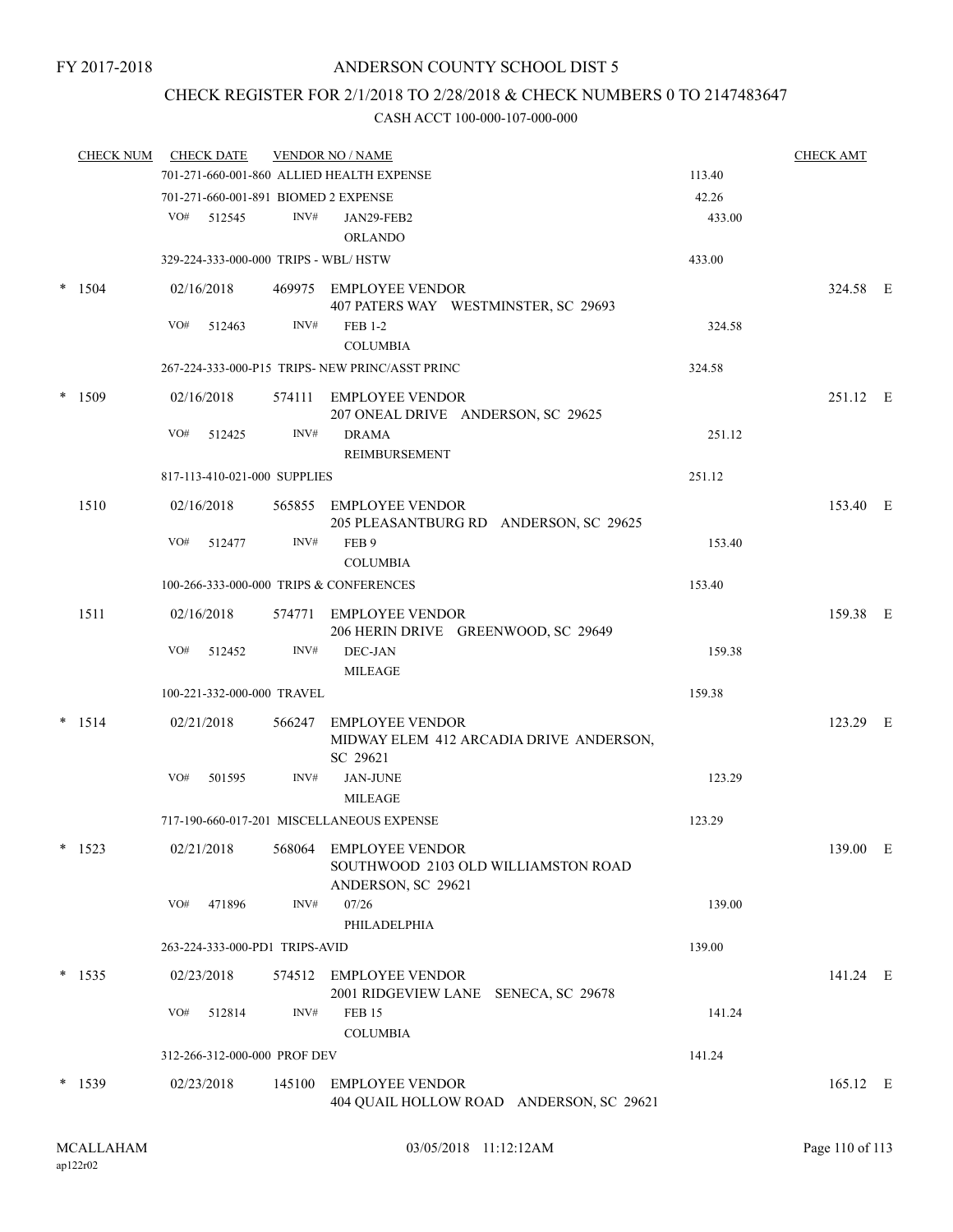## CHECK REGISTER FOR 2/1/2018 TO 2/28/2018 & CHECK NUMBERS 0 TO 2147483647

|        | <b>CHECK NUM</b> |     | <b>CHECK DATE</b>                    |      | <b>VENDOR NO / NAME</b>                                                       |        | <b>CHECK AMT</b> |  |
|--------|------------------|-----|--------------------------------------|------|-------------------------------------------------------------------------------|--------|------------------|--|
|        |                  |     |                                      |      | 701-271-660-001-860 ALLIED HEALTH EXPENSE                                     | 113.40 |                  |  |
|        |                  |     |                                      |      | 701-271-660-001-891 BIOMED 2 EXPENSE                                          | 42.26  |                  |  |
|        |                  |     | VO# 512545                           | INV# | JAN29-FEB2                                                                    | 433.00 |                  |  |
|        |                  |     |                                      |      | <b>ORLANDO</b>                                                                |        |                  |  |
|        |                  |     | 329-224-333-000-000 TRIPS - WBL/HSTW |      |                                                                               | 433.00 |                  |  |
|        | $* 1504$         |     | 02/16/2018                           |      | 469975 EMPLOYEE VENDOR<br>407 PATERS WAY WESTMINSTER, SC 29693                |        | 324.58 E         |  |
|        |                  | VO# | 512463                               | INV# | <b>FEB 1-2</b><br><b>COLUMBIA</b>                                             | 324.58 |                  |  |
|        |                  |     |                                      |      | 267-224-333-000-P15 TRIPS- NEW PRINC/ASST PRINC                               | 324.58 |                  |  |
| $\ast$ | 1509             |     | 02/16/2018                           |      | 574111 EMPLOYEE VENDOR<br>207 ONEAL DRIVE ANDERSON, SC 29625                  |        | 251.12 E         |  |
|        |                  | VO# | 512425                               | INV# | <b>DRAMA</b><br><b>REIMBURSEMENT</b>                                          | 251.12 |                  |  |
|        |                  |     | 817-113-410-021-000 SUPPLIES         |      |                                                                               | 251.12 |                  |  |
|        |                  |     |                                      |      |                                                                               |        |                  |  |
|        | 1510             |     | 02/16/2018                           |      | 565855 EMPLOYEE VENDOR<br>205 PLEASANTBURG RD ANDERSON, SC 29625              |        | 153.40 E         |  |
|        |                  |     | VO# 512477                           | INV# | FEB 9<br><b>COLUMBIA</b>                                                      | 153.40 |                  |  |
|        |                  |     |                                      |      | 100-266-333-000-000 TRIPS & CONFERENCES                                       | 153.40 |                  |  |
|        | 1511             |     | 02/16/2018                           |      | 574771 EMPLOYEE VENDOR<br>206 HERIN DRIVE GREENWOOD, SC 29649                 |        | 159.38 E         |  |
|        |                  | VO# | 512452                               | INV# | DEC-JAN<br><b>MILEAGE</b>                                                     | 159.38 |                  |  |
|        |                  |     | 100-221-332-000-000 TRAVEL           |      |                                                                               | 159.38 |                  |  |
|        |                  |     |                                      |      |                                                                               |        |                  |  |
|        | $* 1514$         |     | 02/21/2018                           |      | 566247 EMPLOYEE VENDOR<br>MIDWAY ELEM 412 ARCADIA DRIVE ANDERSON,<br>SC 29621 |        | 123.29 E         |  |
|        |                  | VO# | 501595                               | INV# | <b>JAN-JUNE</b><br><b>MILEAGE</b>                                             | 123.29 |                  |  |
|        |                  |     |                                      |      | 717-190-660-017-201 MISCELLANEOUS EXPENSE                                     | 123.29 |                  |  |
|        | 1523             |     | 02/21/2018                           |      | 568064 EMPLOYEE VENDOR<br>SOUTHWOOD 2103 OLD WILLIAMSTON ROAD                 |        | 139.00 E         |  |
|        |                  | VO# | 471896                               | INV# | ANDERSON, SC 29621<br>07/26<br>PHILADELPHIA                                   | 139.00 |                  |  |
|        |                  |     | 263-224-333-000-PD1 TRIPS-AVID       |      |                                                                               | 139.00 |                  |  |
|        |                  |     |                                      |      |                                                                               |        |                  |  |
|        | $*$ 1535         |     | 02/23/2018                           |      | 574512 EMPLOYEE VENDOR<br>2001 RIDGEVIEW LANE SENECA, SC 29678                |        | 141.24 E         |  |
|        |                  | VO# | 512814                               | INV# | <b>FEB 15</b><br><b>COLUMBIA</b>                                              | 141.24 |                  |  |
|        |                  |     | 312-266-312-000-000 PROF DEV         |      |                                                                               | 141.24 |                  |  |
|        | $*$ 1539         |     | 02/23/2018                           |      | 145100 EMPLOYEE VENDOR<br>404 QUAIL HOLLOW ROAD ANDERSON, SC 29621            |        | 165.12 E         |  |
|        |                  |     |                                      |      |                                                                               |        |                  |  |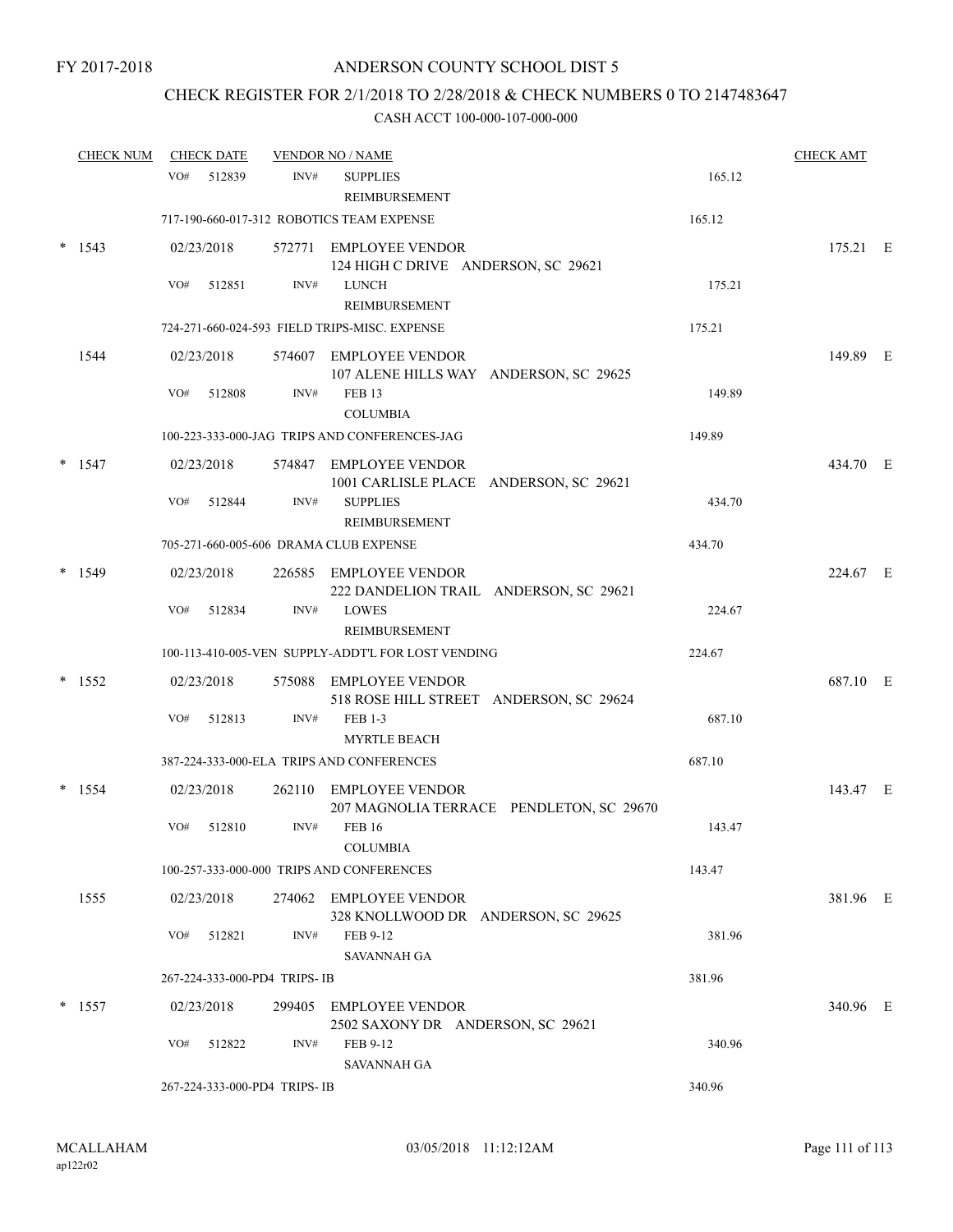## CHECK REGISTER FOR 2/1/2018 TO 2/28/2018 & CHECK NUMBERS 0 TO 2147483647

|   | <b>CHECK NUM</b> |     | <b>CHECK DATE</b> |                               | <b>VENDOR NO / NAME</b>                                            |        | <b>CHECK AMT</b> |  |
|---|------------------|-----|-------------------|-------------------------------|--------------------------------------------------------------------|--------|------------------|--|
|   |                  | VO# | 512839            | INV#                          | <b>SUPPLIES</b><br>REIMBURSEMENT                                   | 165.12 |                  |  |
|   |                  |     |                   |                               | 717-190-660-017-312 ROBOTICS TEAM EXPENSE                          | 165.12 |                  |  |
|   | 1543             |     | 02/23/2018        |                               | 572771 EMPLOYEE VENDOR<br>124 HIGH C DRIVE ANDERSON, SC 29621      |        | 175.21 E         |  |
|   |                  | VO# | 512851            | INV#                          | <b>LUNCH</b><br>REIMBURSEMENT                                      | 175.21 |                  |  |
|   |                  |     |                   |                               | 724-271-660-024-593 FIELD TRIPS-MISC. EXPENSE                      | 175.21 |                  |  |
|   | 1544             |     | 02/23/2018        |                               | 574607 EMPLOYEE VENDOR<br>107 ALENE HILLS WAY ANDERSON, SC 29625   |        | 149.89 E         |  |
|   |                  | VO# | 512808            | INV#                          | <b>FEB 13</b><br><b>COLUMBIA</b>                                   | 149.89 |                  |  |
|   |                  |     |                   |                               | 100-223-333-000-JAG TRIPS AND CONFERENCES-JAG                      | 149.89 |                  |  |
|   | $*$ 1547         |     | 02/23/2018        |                               | 574847 EMPLOYEE VENDOR<br>1001 CARLISLE PLACE ANDERSON, SC 29621   |        | 434.70 E         |  |
|   |                  | VO# | 512844            | INV#                          | <b>SUPPLIES</b><br><b>REIMBURSEMENT</b>                            | 434.70 |                  |  |
|   |                  |     |                   |                               | 705-271-660-005-606 DRAMA CLUB EXPENSE                             | 434.70 |                  |  |
|   | 1549             |     | 02/23/2018        |                               | 226585 EMPLOYEE VENDOR<br>222 DANDELION TRAIL ANDERSON, SC 29621   |        | 224.67 E         |  |
|   |                  | VO# | 512834            | INV#                          | <b>LOWES</b><br>REIMBURSEMENT                                      | 224.67 |                  |  |
|   |                  |     |                   |                               | 100-113-410-005-VEN SUPPLY-ADDT'L FOR LOST VENDING                 | 224.67 |                  |  |
| * | 1552             |     | 02/23/2018        |                               | 575088 EMPLOYEE VENDOR<br>518 ROSE HILL STREET ANDERSON, SC 29624  |        | 687.10 E         |  |
|   |                  | VO# | 512813            | INV#                          | <b>FEB 1-3</b><br><b>MYRTLE BEACH</b>                              | 687.10 |                  |  |
|   |                  |     |                   |                               | 387-224-333-000-ELA TRIPS AND CONFERENCES                          | 687.10 |                  |  |
|   | 1554             |     | 02/23/2018        |                               | 262110 EMPLOYEE VENDOR<br>207 MAGNOLIA TERRACE PENDLETON, SC 29670 |        | 143.47 E         |  |
|   |                  | VO# | 512810            | INV#                          | <b>FEB 16</b><br><b>COLUMBIA</b>                                   | 143.47 |                  |  |
|   |                  |     |                   |                               | 100-257-333-000-000 TRIPS AND CONFERENCES                          | 143.47 |                  |  |
|   | 1555             |     | 02/23/2018        |                               | 274062 EMPLOYEE VENDOR<br>328 KNOLLWOOD DR ANDERSON, SC 29625      |        | 381.96 E         |  |
|   |                  | VO# | 512821            | INV#                          | FEB 9-12<br>SAVANNAH GA                                            | 381.96 |                  |  |
|   |                  |     |                   | 267-224-333-000-PD4 TRIPS-IB  |                                                                    | 381.96 |                  |  |
|   | $*$ 1557         |     | 02/23/2018        | 299405                        | <b>EMPLOYEE VENDOR</b><br>2502 SAXONY DR ANDERSON, SC 29621        |        | 340.96 E         |  |
|   |                  | VO# | 512822            | INV#                          | FEB 9-12<br><b>SAVANNAH GA</b>                                     | 340.96 |                  |  |
|   |                  |     |                   | 267-224-333-000-PD4 TRIPS- IB |                                                                    | 340.96 |                  |  |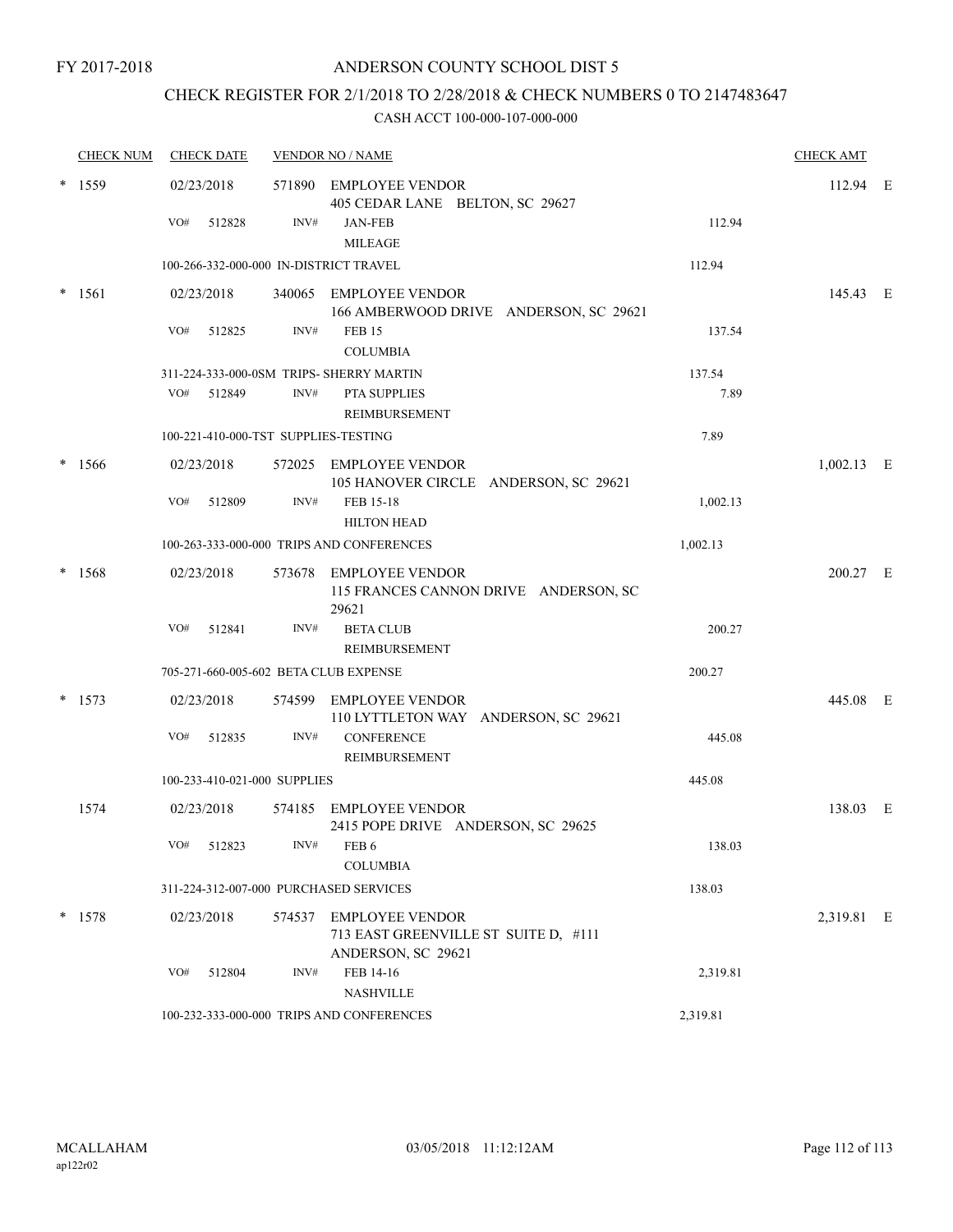## CHECK REGISTER FOR 2/1/2018 TO 2/28/2018 & CHECK NUMBERS 0 TO 2147483647

|        | <b>CHECK NUM</b> |     | <b>CHECK DATE</b> |                              | <b>VENDOR NO / NAME</b>                                                              |          | <b>CHECK AMT</b> |  |
|--------|------------------|-----|-------------------|------------------------------|--------------------------------------------------------------------------------------|----------|------------------|--|
|        | $*$ 1559         |     | 02/23/2018        |                              | 571890 EMPLOYEE VENDOR<br>405 CEDAR LANE BELTON, SC 29627                            |          | 112.94 E         |  |
|        |                  | VO# | 512828            | INV#                         | <b>JAN-FEB</b><br><b>MILEAGE</b>                                                     | 112.94   |                  |  |
|        |                  |     |                   |                              | 100-266-332-000-000 IN-DISTRICT TRAVEL                                               | 112.94   |                  |  |
|        | $* 1561$         |     | 02/23/2018        |                              | 340065 EMPLOYEE VENDOR<br>166 AMBERWOOD DRIVE ANDERSON, SC 29621                     |          | 145.43 E         |  |
|        |                  | VO# | 512825            | INV#                         | <b>FEB 15</b><br><b>COLUMBIA</b>                                                     | 137.54   |                  |  |
|        |                  |     |                   |                              | 311-224-333-000-0SM TRIPS- SHERRY MARTIN                                             | 137.54   |                  |  |
|        |                  | VO# | 512849            | INV#                         | PTA SUPPLIES<br><b>REIMBURSEMENT</b>                                                 | 7.89     |                  |  |
|        |                  |     |                   |                              | 100-221-410-000-TST SUPPLIES-TESTING                                                 | 7.89     |                  |  |
|        | $* 1566$         |     | 02/23/2018        |                              | 572025 EMPLOYEE VENDOR<br>105 HANOVER CIRCLE ANDERSON, SC 29621                      |          | $1,002.13$ E     |  |
|        |                  | VO# | 512809            | INV#                         | FEB 15-18<br><b>HILTON HEAD</b>                                                      | 1,002.13 |                  |  |
|        |                  |     |                   |                              | 100-263-333-000-000 TRIPS AND CONFERENCES                                            | 1,002.13 |                  |  |
| $\ast$ | 1568             |     | 02/23/2018        |                              | 573678 EMPLOYEE VENDOR<br>115 FRANCES CANNON DRIVE ANDERSON, SC<br>29621             |          | 200.27 E         |  |
|        |                  | VO# | 512841            | INV#                         | <b>BETA CLUB</b><br>REIMBURSEMENT                                                    | 200.27   |                  |  |
|        |                  |     |                   |                              | 705-271-660-005-602 BETA CLUB EXPENSE                                                | 200.27   |                  |  |
|        | $*$ 1573         |     | 02/23/2018        |                              | 574599 EMPLOYEE VENDOR<br>110 LYTTLETON WAY ANDERSON, SC 29621                       |          | 445.08 E         |  |
|        |                  | VO# | 512835            | INV#                         | <b>CONFERENCE</b><br>REIMBURSEMENT                                                   | 445.08   |                  |  |
|        |                  |     |                   | 100-233-410-021-000 SUPPLIES |                                                                                      | 445.08   |                  |  |
|        | 1574             |     | 02/23/2018        |                              | 574185 EMPLOYEE VENDOR<br>2415 POPE DRIVE ANDERSON, SC 29625                         |          | 138.03 E         |  |
|        |                  |     | VO# 512823        |                              | $INV#$ FEB 6<br><b>COLUMBIA</b>                                                      | 138.03   |                  |  |
|        |                  |     |                   |                              | 311-224-312-007-000 PURCHASED SERVICES                                               | 138.03   |                  |  |
|        | $*$ 1578         |     | 02/23/2018        |                              | 574537 EMPLOYEE VENDOR<br>713 EAST GREENVILLE ST SUITE D, #111<br>ANDERSON, SC 29621 |          | 2,319.81 E       |  |
|        |                  | VO# | 512804            | INV#                         | FEB 14-16<br><b>NASHVILLE</b>                                                        | 2,319.81 |                  |  |
|        |                  |     |                   |                              | 100-232-333-000-000 TRIPS AND CONFERENCES                                            | 2,319.81 |                  |  |